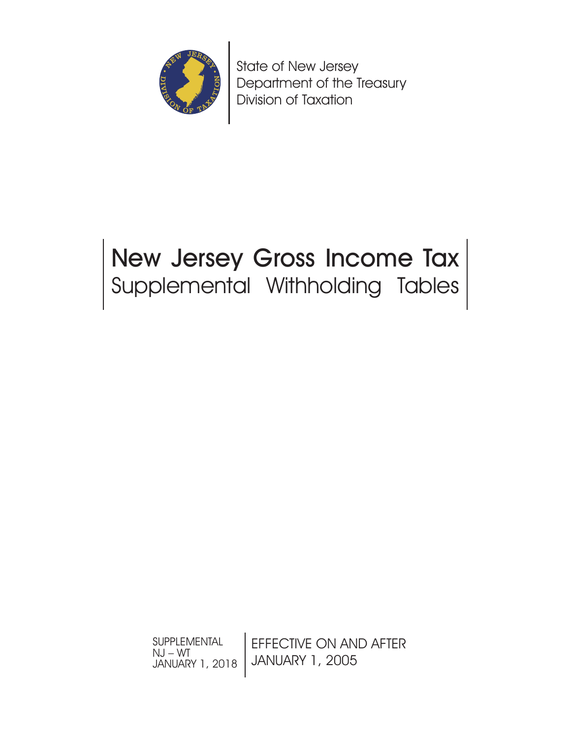

State of New Jersey Department of the Treasury Division of Taxation

# New Jersey Gross Income Tax Supplemental Withholding Tables

SUPPLEMENTAL NJ – WT JANUARY 1, 2018 EFFECTIVE ON AND AFTER JANUARY 1, 2005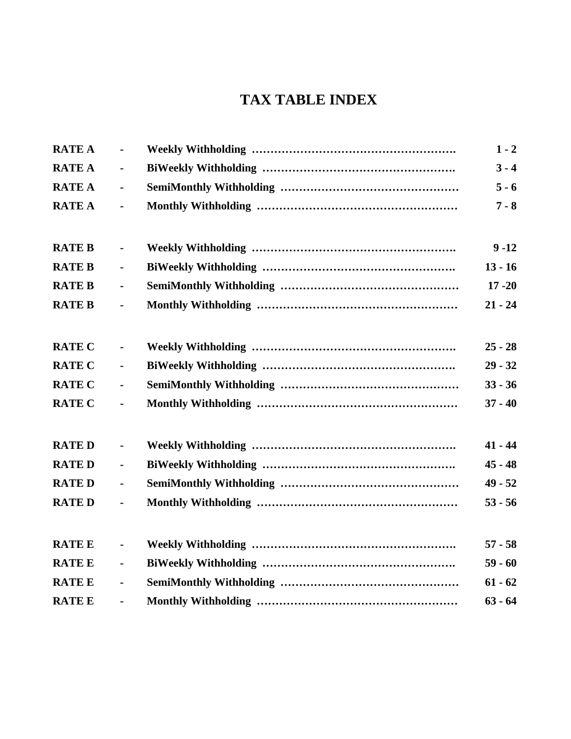# **TAX TABLE INDEX**

| <b>RATE A</b> | $\blacksquare$ | $1 - 2$   |
|---------------|----------------|-----------|
| <b>RATE A</b> | $\blacksquare$ | $3 - 4$   |
| <b>RATE A</b> | $\blacksquare$ | $5 - 6$   |
| <b>RATE A</b> | $\blacksquare$ | $7 - 8$   |
| <b>RATE B</b> | $\blacksquare$ | $9 - 12$  |
| <b>RATE B</b> | $\blacksquare$ | $13 - 16$ |
| <b>RATE B</b> | $\blacksquare$ | $17 - 20$ |
| <b>RATE B</b> | $\blacksquare$ | $21 - 24$ |
| <b>RATE C</b> | $\blacksquare$ | $25 - 28$ |
| <b>RATE C</b> | $\blacksquare$ | $29 - 32$ |
| <b>RATE C</b> | $\blacksquare$ | $33 - 36$ |
| <b>RATE C</b> | $\overline{a}$ | $37 - 40$ |
| <b>RATED</b>  | $\blacksquare$ | $41 - 44$ |
| <b>RATED</b>  | $\blacksquare$ | $45 - 48$ |
| <b>RATED</b>  | $\blacksquare$ | $49 - 52$ |
| <b>RATED</b>  | $\blacksquare$ | $53 - 56$ |
| <b>RATE E</b> | $\blacksquare$ | $57 - 58$ |
| <b>RATE E</b> | $\blacksquare$ | $59 - 60$ |
|               |                |           |
| <b>RATE E</b> | $\blacksquare$ | $61 - 62$ |
| <b>RATEE</b>  | $\overline{a}$ | $63 - 64$ |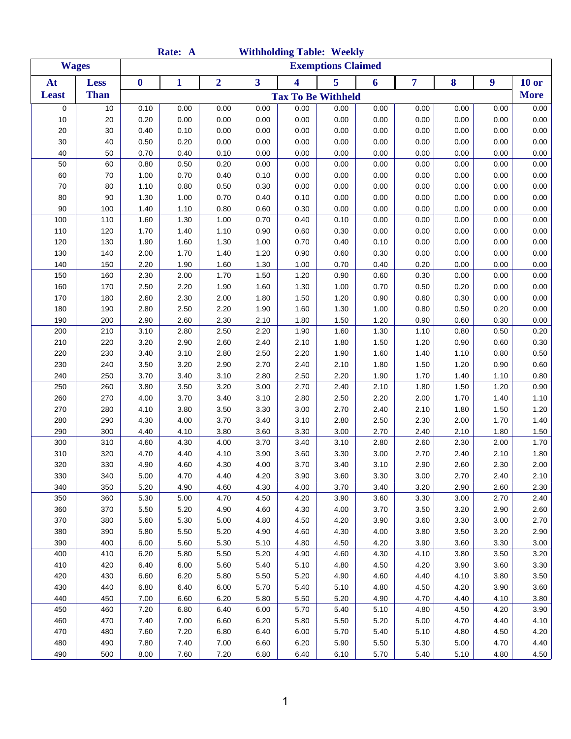|              |              |                  | Rate: A |                |                         |      | <b>Withholding Table: Weekly</b> |      |      |      |      |              |
|--------------|--------------|------------------|---------|----------------|-------------------------|------|----------------------------------|------|------|------|------|--------------|
|              | <b>Wages</b> |                  |         |                |                         |      | <b>Exemptions Claimed</b>        |      |      |      |      |              |
| At           | <b>Less</b>  | $\boldsymbol{0}$ | 1       | $\overline{2}$ | $\overline{\mathbf{3}}$ | 4    | 5                                | 6    | 7    | 8    | 9    | <b>10 or</b> |
| <b>Least</b> | <b>Than</b>  |                  |         |                |                         |      | <b>Tax To Be Withheld</b>        |      |      |      |      | <b>More</b>  |
| 0            | 10           | 0.10             | 0.00    | 0.00           | 0.00                    | 0.00 | 0.00                             | 0.00 | 0.00 | 0.00 | 0.00 | 0.00         |
| 10           | 20           | 0.20             | 0.00    | 0.00           | 0.00                    | 0.00 | 0.00                             | 0.00 | 0.00 | 0.00 | 0.00 | 0.00         |
| 20           | 30           | 0.40             | 0.10    | 0.00           | 0.00                    | 0.00 | 0.00                             | 0.00 | 0.00 | 0.00 | 0.00 | 0.00         |
| 30           | 40           | 0.50             | 0.20    | 0.00           | 0.00                    | 0.00 | 0.00                             | 0.00 | 0.00 | 0.00 | 0.00 | 0.00         |
| 40           | 50           | 0.70             | 0.40    | 0.10           | 0.00                    | 0.00 | 0.00                             | 0.00 | 0.00 | 0.00 | 0.00 | 0.00         |
| 50           | 60           | 0.80             | 0.50    | 0.20           | 0.00                    | 0.00 | 0.00                             | 0.00 | 0.00 | 0.00 | 0.00 | 0.00         |
| 60           | 70           | 1.00             | 0.70    | 0.40           | 0.10                    | 0.00 | 0.00                             | 0.00 | 0.00 | 0.00 | 0.00 | 0.00         |
| 70           | 80           | 1.10             | 0.80    | 0.50           | 0.30                    | 0.00 | 0.00                             | 0.00 | 0.00 | 0.00 | 0.00 | 0.00         |
| 80           | $90\,$       | 1.30             | 1.00    | 0.70           | 0.40                    | 0.10 | 0.00                             | 0.00 | 0.00 | 0.00 | 0.00 | 0.00         |
| 90           | 100          | 1.40             | 1.10    | 0.80           | 0.60                    | 0.30 | 0.00                             | 0.00 | 0.00 | 0.00 | 0.00 | 0.00         |
| 100          | 110          | 1.60             | 1.30    | 1.00           | 0.70                    | 0.40 | 0.10                             | 0.00 | 0.00 | 0.00 | 0.00 | 0.00         |
| 110          | 120          | 1.70             | 1.40    | 1.10           | 0.90                    | 0.60 | 0.30                             | 0.00 | 0.00 | 0.00 | 0.00 | 0.00         |
| 120          | 130          | 1.90             | 1.60    | 1.30           | 1.00                    | 0.70 | 0.40                             | 0.10 | 0.00 | 0.00 | 0.00 | 0.00         |
| 130          | 140          | 2.00             | 1.70    | 1.40           | 1.20                    | 0.90 | 0.60                             | 0.30 | 0.00 | 0.00 | 0.00 | 0.00         |
| 140          | 150          | 2.20             | 1.90    | 1.60           | 1.30                    | 1.00 | 0.70                             | 0.40 | 0.20 | 0.00 | 0.00 | 0.00         |
| 150          | 160          | 2.30             | 2.00    | 1.70           | 1.50                    | 1.20 | 0.90                             | 0.60 | 0.30 | 0.00 | 0.00 | 0.00         |
| 160          | 170          | 2.50             | 2.20    | 1.90           | 1.60                    | 1.30 | 1.00                             | 0.70 | 0.50 | 0.20 | 0.00 | 0.00         |
| 170          | 180          | 2.60             | 2.30    | 2.00           | 1.80                    | 1.50 | 1.20                             | 0.90 | 0.60 | 0.30 | 0.00 | 0.00         |
| 180          | 190          | 2.80             | 2.50    | 2.20           | 1.90                    | 1.60 | 1.30                             | 1.00 | 0.80 | 0.50 | 0.20 | 0.00         |
| 190          | 200          | 2.90             | 2.60    | 2.30           | 2.10                    | 1.80 | 1.50                             | 1.20 | 0.90 | 0.60 | 0.30 | 0.00         |
| 200          | 210          | 3.10             | 2.80    | 2.50           | 2.20                    | 1.90 | 1.60                             | 1.30 | 1.10 | 0.80 | 0.50 | 0.20         |
| 210          | 220          | 3.20             | 2.90    | 2.60           | 2.40                    | 2.10 | 1.80                             | 1.50 | 1.20 | 0.90 | 0.60 | 0.30         |
| 220          | 230          | 3.40             | 3.10    | 2.80           | 2.50                    | 2.20 | 1.90                             | 1.60 | 1.40 | 1.10 | 0.80 | $0.50\,$     |
| 230          | 240          | 3.50             | 3.20    | 2.90           | 2.70                    | 2.40 | 2.10                             | 1.80 | 1.50 | 1.20 | 0.90 | 0.60         |
| 240          | 250          | 3.70             | 3.40    | 3.10           | 2.80                    | 2.50 | 2.20                             | 1.90 | 1.70 | 1.40 | 1.10 | 0.80         |
| 250          | 260          | 3.80             | 3.50    | 3.20           | 3.00                    | 2.70 | 2.40                             | 2.10 | 1.80 | 1.50 | 1.20 | 0.90         |
| 260          | 270          | 4.00             | 3.70    | 3.40           | 3.10                    | 2.80 | 2.50                             | 2.20 | 2.00 | 1.70 | 1.40 | 1.10         |
| 270          | 280          | 4.10             | 3.80    | 3.50           | 3.30                    | 3.00 | 2.70                             | 2.40 | 2.10 | 1.80 | 1.50 | 1.20         |
| 280          | 290          | 4.30             | 4.00    | 3.70           | 3.40                    | 3.10 | 2.80                             | 2.50 | 2.30 | 2.00 | 1.70 | 1.40         |
| 290          | 300          | 4.40             | 4.10    | 3.80           | 3.60                    | 3.30 | 3.00                             | 2.70 | 2.40 | 2.10 | 1.80 | 1.50         |
| 300          | 310          | 4.60             | 4.30    | 4.00           | 3.70                    | 3.40 | 3.10                             | 2.80 | 2.60 | 2.30 | 2.00 | 1.70         |
| 310          | 320          | 4.70             | 4.40    | 4.10           | 3.90                    | 3.60 | 3.30                             | 3.00 | 2.70 | 2.40 | 2.10 | 1.80         |
| 320          | 330          | 4.90             | 4.60    | 4.30           | 4.00                    | 3.70 | 3.40                             | 3.10 | 2.90 | 2.60 | 2.30 | 2.00         |
| 330          | 340          | 5.00             | 4.70    | 4.40           | 4.20                    | 3.90 | 3.60                             | 3.30 | 3.00 | 2.70 | 2.40 | 2.10         |
| 340          | 350          | 5.20             | 4.90    | 4.60           | 4.30                    | 4.00 | 3.70                             | 3.40 | 3.20 | 2.90 | 2.60 | 2.30         |
| 350          | 360          | 5.30             | 5.00    | 4.70           | 4.50                    | 4.20 | 3.90                             | 3.60 | 3.30 | 3.00 | 2.70 | 2.40         |
| 360          | 370          | 5.50             | 5.20    | 4.90           | 4.60                    | 4.30 | 4.00                             | 3.70 | 3.50 | 3.20 | 2.90 | 2.60         |
| 370          | 380          | 5.60             | 5.30    | 5.00           | 4.80                    | 4.50 | 4.20                             | 3.90 | 3.60 | 3.30 | 3.00 | 2.70         |
| 380          | 390          | 5.80             | 5.50    | 5.20           | 4.90                    | 4.60 | 4.30                             | 4.00 | 3.80 | 3.50 | 3.20 | 2.90         |
| 390          | 400          | 6.00             | 5.60    | 5.30           | 5.10                    | 4.80 | 4.50                             | 4.20 | 3.90 | 3.60 | 3.30 | 3.00         |
| 400          | 410          | 6.20             | 5.80    | 5.50           | 5.20                    | 4.90 | 4.60                             | 4.30 | 4.10 | 3.80 | 3.50 | 3.20         |
| 410          | 420          | 6.40             | 6.00    | 5.60           | 5.40                    | 5.10 | 4.80                             | 4.50 | 4.20 | 3.90 | 3.60 | 3.30         |
| 420          | 430          | 6.60             | 6.20    | 5.80           | 5.50                    | 5.20 | 4.90                             | 4.60 | 4.40 | 4.10 | 3.80 | 3.50         |
| 430          | 440          | 6.80             | 6.40    | 6.00           | 5.70                    | 5.40 | 5.10                             | 4.80 | 4.50 | 4.20 | 3.90 | 3.60         |
| 440          | 450          | 7.00             | 6.60    | 6.20           | 5.80                    | 5.50 | 5.20                             | 4.90 | 4.70 | 4.40 | 4.10 | 3.80         |
| 450          | 460          | 7.20             | 6.80    | 6.40           | 6.00                    | 5.70 | 5.40                             | 5.10 | 4.80 | 4.50 | 4.20 | 3.90         |
| 460          | 470          | 7.40             | 7.00    | 6.60           | 6.20                    | 5.80 | 5.50                             | 5.20 | 5.00 | 4.70 | 4.40 | 4.10         |
| 470          | 480          | 7.60             | 7.20    | 6.80           | 6.40                    | 6.00 | 5.70                             | 5.40 | 5.10 | 4.80 | 4.50 | 4.20         |
| 480          | 490          | 7.80             | 7.40    | 7.00           | 6.60                    | 6.20 | 5.90                             | 5.50 | 5.30 | 5.00 | 4.70 | 4.40         |
| 490          | 500          | 8.00             | 7.60    | 7.20           | 6.80                    | 6.40 | 6.10                             | 5.70 | 5.40 | 5.10 | 4.80 | 4.50         |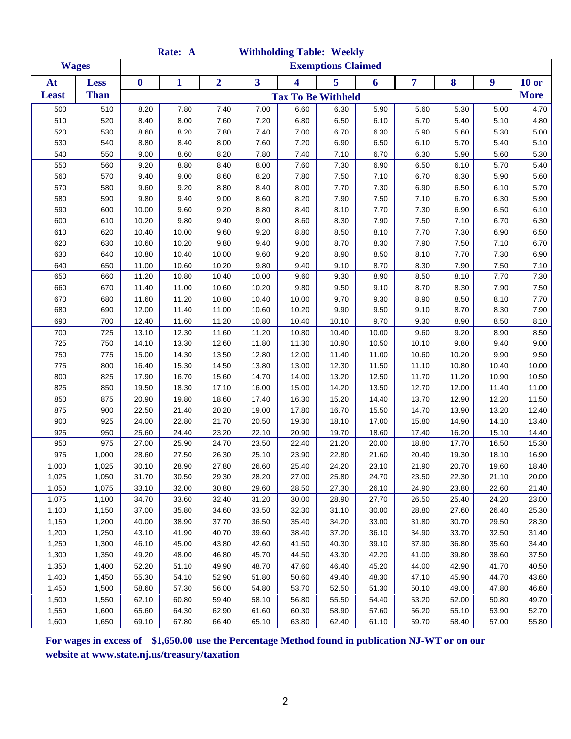|              |              |                  | Rate: A      |                         |                         | <b>Withholding Table: Weekly</b> |                           |       |       |       |                  |              |
|--------------|--------------|------------------|--------------|-------------------------|-------------------------|----------------------------------|---------------------------|-------|-------|-------|------------------|--------------|
|              | <b>Wages</b> |                  |              |                         |                         |                                  | <b>Exemptions Claimed</b> |       |       |       |                  |              |
| At           | <b>Less</b>  | $\boldsymbol{0}$ | $\mathbf{1}$ | $\overline{\mathbf{2}}$ | $\overline{\mathbf{3}}$ | 4                                | 5                         | 6     | 7     | 8     | $\boldsymbol{9}$ | <b>10 or</b> |
| <b>Least</b> | <b>Than</b>  |                  |              |                         |                         | <b>Tax To Be Withheld</b>        |                           |       |       |       |                  | <b>More</b>  |
| 500          | 510          | 8.20             | 7.80         | 7.40                    | 7.00                    | 6.60                             | 6.30                      | 5.90  | 5.60  | 5.30  | 5.00             | 4.70         |
| 510          | 520          | 8.40             | 8.00         | 7.60                    | 7.20                    | 6.80                             | 6.50                      | 6.10  | 5.70  | 5.40  | 5.10             | 4.80         |
| 520          | 530          | 8.60             | 8.20         | 7.80                    | 7.40                    | 7.00                             | 6.70                      | 6.30  | 5.90  | 5.60  | 5.30             | 5.00         |
| 530          | 540          | 8.80             | 8.40         | 8.00                    | 7.60                    | 7.20                             | 6.90                      | 6.50  | 6.10  | 5.70  | 5.40             | 5.10         |
| 540          | 550          | 9.00             | 8.60         | 8.20                    | 7.80                    | 7.40                             | 7.10                      | 6.70  | 6.30  | 5.90  | 5.60             | 5.30         |
| 550          | 560          | 9.20             | 8.80         | 8.40                    | 8.00                    | 7.60                             | 7.30                      | 6.90  | 6.50  | 6.10  | 5.70             | 5.40         |
| 560          | 570          | 9.40             | 9.00         | 8.60                    | 8.20                    | 7.80                             | 7.50                      | 7.10  | 6.70  | 6.30  | 5.90             | 5.60         |
| 570          | 580          | 9.60             | 9.20         | 8.80                    | 8.40                    | 8.00                             | 7.70                      | 7.30  | 6.90  | 6.50  | 6.10             | 5.70         |
| 580          | 590          | 9.80             | 9.40         | 9.00                    | 8.60                    | 8.20                             | 7.90                      | 7.50  | 7.10  | 6.70  | 6.30             | 5.90         |
| 590          | 600          | 10.00            | 9.60         | 9.20                    | 8.80                    | 8.40                             | 8.10                      | 7.70  | 7.30  | 6.90  | 6.50             | 6.10         |
| 600          | 610          | 10.20            | 9.80         | 9.40                    | 9.00                    | 8.60                             | 8.30                      | 7.90  | 7.50  | 7.10  | 6.70             | 6.30         |
| 610          | 620          | 10.40            | 10.00        | 9.60                    | 9.20                    | 8.80                             | 8.50                      | 8.10  | 7.70  | 7.30  | 6.90             | 6.50         |
| 620          | 630          | 10.60            | 10.20        | 9.80                    | 9.40                    | 9.00                             | 8.70                      | 8.30  | 7.90  | 7.50  | 7.10             | 6.70         |
| 630          | 640          | 10.80            | 10.40        | 10.00                   | 9.60                    | 9.20                             | 8.90                      | 8.50  | 8.10  | 7.70  | 7.30             | 6.90         |
| 640          | 650          | 11.00            | 10.60        | 10.20                   | 9.80                    | 9.40                             | 9.10                      | 8.70  | 8.30  | 7.90  | 7.50             | 7.10         |
| 650          | 660          | 11.20            | 10.80        | 10.40                   | 10.00                   | 9.60                             | 9.30                      | 8.90  | 8.50  | 8.10  | 7.70             | 7.30         |
| 660          | 670          | 11.40            | 11.00        | 10.60                   | 10.20                   | 9.80                             | 9.50                      | 9.10  | 8.70  | 8.30  | 7.90             | 7.50         |
| 670          | 680          | 11.60            | 11.20        | 10.80                   | 10.40                   | 10.00                            | 9.70                      | 9.30  | 8.90  | 8.50  | 8.10             | 7.70         |
| 680          | 690          | 12.00            | 11.40        | 11.00                   | 10.60                   | 10.20                            | 9.90                      | 9.50  | 9.10  | 8.70  | 8.30             | 7.90         |
| 690          | 700          | 12.40            | 11.60        | 11.20                   | 10.80                   | 10.40                            | 10.10                     | 9.70  | 9.30  | 8.90  | 8.50             | 8.10         |
| 700          | 725          | 13.10            | 12.30        | 11.60                   | 11.20                   | 10.80                            | 10.40                     | 10.00 | 9.60  | 9.20  | 8.90             | 8.50         |
| 725          | 750          | 14.10            | 13.30        | 12.60                   | 11.80                   | 11.30                            | 10.90                     | 10.50 | 10.10 | 9.80  | 9.40             | 9.00         |
| 750          | 775          | 15.00            | 14.30        | 13.50                   | 12.80                   | 12.00                            | 11.40                     | 11.00 | 10.60 | 10.20 | 9.90             | 9.50         |
| 775          | 800          | 16.40            | 15.30        | 14.50                   | 13.80                   | 13.00                            | 12.30                     | 11.50 | 11.10 | 10.80 | 10.40            | 10.00        |
| 800          | 825          | 17.90            | 16.70        | 15.60                   | 14.70                   | 14.00                            | 13.20                     | 12.50 | 11.70 | 11.20 | 10.90            | 10.50        |
| 825          | 850          | 19.50            | 18.30        | 17.10                   | 16.00                   | 15.00                            | 14.20                     | 13.50 | 12.70 | 12.00 | 11.40            | 11.00        |
| 850          | 875          | 20.90            | 19.80        | 18.60                   | 17.40                   | 16.30                            | 15.20                     | 14.40 | 13.70 | 12.90 | 12.20            | 11.50        |
| 875          | 900          | 22.50            | 21.40        | 20.20                   | 19.00                   | 17.80                            | 16.70                     | 15.50 | 14.70 | 13.90 | 13.20            | 12.40        |
| 900          | 925          | 24.00            | 22.80        | 21.70                   | 20.50                   | 19.30                            | 18.10                     | 17.00 | 15.80 | 14.90 | 14.10            | 13.40        |
| 925          | 950          | 25.60            | 24.40        | 23.20                   | 22.10                   | 20.90                            | 19.70                     | 18.60 | 17.40 | 16.20 | 15.10            | 14.40        |
| 950          | 975          | 27.00            | 25.90        | 24.70                   | 23.50                   | 22.40                            | 21.20                     | 20.00 | 18.80 | 17.70 | 16.50            | 15.30        |
| 975          | 1,000        | 28.60            | 27.50        | 26.30                   | 25.10                   | 23.90                            | 22.80                     | 21.60 | 20.40 | 19.30 | 18.10            | 16.90        |
| 1,000        | 1,025        | 30.10            | 28.90        | 27.80                   | 26.60                   | 25.40                            | 24.20                     | 23.10 | 21.90 | 20.70 | 19.60            | 18.40        |
| 1,025        | 1,050        | 31.70            | 30.50        | 29.30                   | 28.20                   | 27.00                            | 25.80                     | 24.70 | 23.50 | 22.30 | 21.10            | 20.00        |
| 1,050        | 1,075        | 33.10            | 32.00        | 30.80                   | 29.60                   | 28.50                            | 27.30                     | 26.10 | 24.90 | 23.80 | 22.60            | 21.40        |
| 1,075        | 1,100        | 34.70            | 33.60        | 32.40                   | 31.20                   | 30.00                            | 28.90                     | 27.70 | 26.50 | 25.40 | 24.20            | 23.00        |
| 1,100        | 1,150        | 37.00            | 35.80        | 34.60                   | 33.50                   | 32.30                            | 31.10                     | 30.00 | 28.80 | 27.60 | 26.40            | 25.30        |
| 1,150        | 1,200        | 40.00            | 38.90        | 37.70                   | 36.50                   | 35.40                            | 34.20                     | 33.00 | 31.80 | 30.70 | 29.50            | 28.30        |
| 1,200        | 1,250        | 43.10            | 41.90        | 40.70                   | 39.60                   | 38.40                            | 37.20                     | 36.10 | 34.90 | 33.70 | 32.50            | 31.40        |
| 1,250        | 1,300        | 46.10            | 45.00        | 43.80                   | 42.60                   | 41.50                            | 40.30                     | 39.10 | 37.90 | 36.80 | 35.60            | 34.40        |
| 1,300        | 1,350        | 49.20            | 48.00        | 46.80                   | 45.70                   | 44.50                            | 43.30                     | 42.20 | 41.00 | 39.80 | 38.60            | 37.50        |
| 1,350        | 1,400        | 52.20            | 51.10        | 49.90                   | 48.70                   | 47.60                            | 46.40                     | 45.20 | 44.00 | 42.90 | 41.70            | 40.50        |
| 1,400        | 1,450        | 55.30            | 54.10        | 52.90                   | 51.80                   | 50.60                            | 49.40                     | 48.30 | 47.10 | 45.90 | 44.70            | 43.60        |
| 1,450        | 1,500        | 58.60            | 57.30        | 56.00                   | 54.80                   | 53.70                            | 52.50                     | 51.30 | 50.10 | 49.00 | 47.80            | 46.60        |
| 1,500        | 1,550        | 62.10            | 60.80        | 59.40                   | 58.10                   | 56.80                            | 55.50                     | 54.40 | 53.20 | 52.00 | 50.80            | 49.70        |
| 1,550        | 1,600        | 65.60            | 64.30        | 62.90                   | 61.60                   | 60.30                            | 58.90                     | 57.60 | 56.20 | 55.10 | 53.90            | 52.70        |
| 1,600        | 1,650        | 69.10            | 67.80        | 66.40                   | 65.10                   | 63.80                            | 62.40                     | 61.10 | 59.70 | 58.40 | 57.00            | 55.80        |

**For wages in excess of \$1,650.00 use the Percentage Method found in publication NJ-WT or on our website at www.state.nj.us/treasury/taxation**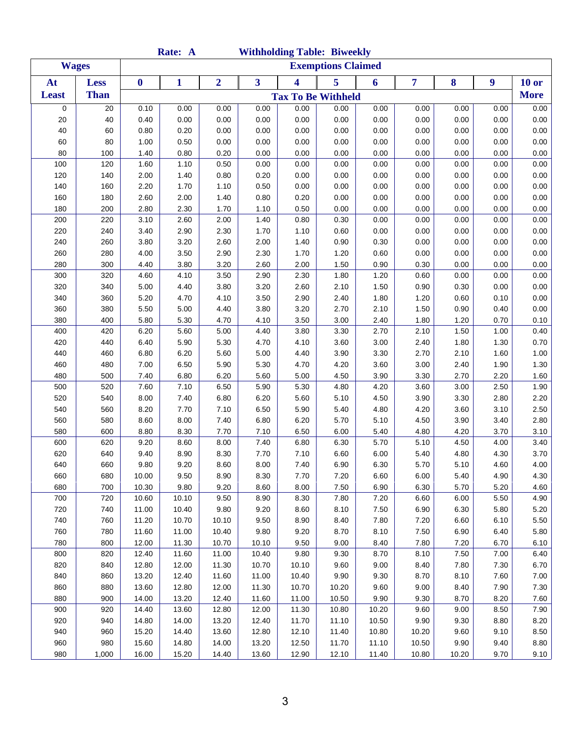|              |              |          | Rate: A      |                |       | <b>Withholding Table: Biweekly</b> |                           |       |       |       |      |              |
|--------------|--------------|----------|--------------|----------------|-------|------------------------------------|---------------------------|-------|-------|-------|------|--------------|
|              | <b>Wages</b> |          |              |                |       |                                    | <b>Exemptions Claimed</b> |       |       |       |      |              |
| At           | <b>Less</b>  | $\bf{0}$ | $\mathbf{1}$ | $\overline{2}$ | 3     | $\overline{\mathbf{4}}$            | 5                         | 6     | 7     | 8     | 9    | <b>10 or</b> |
| <b>Least</b> | <b>Than</b>  |          |              |                |       | <b>Tax To Be Withheld</b>          |                           |       |       |       |      | <b>More</b>  |
| 0            | 20           | 0.10     | 0.00         | 0.00           | 0.00  | 0.00                               | 0.00                      | 0.00  | 0.00  | 0.00  | 0.00 | 0.00         |
| 20           | 40           | 0.40     | 0.00         | 0.00           | 0.00  | 0.00                               | 0.00                      | 0.00  | 0.00  | 0.00  | 0.00 | 0.00         |
| 40           | 60           | 0.80     | 0.20         | 0.00           | 0.00  | 0.00                               | 0.00                      | 0.00  | 0.00  | 0.00  | 0.00 | 0.00         |
| 60           | 80           | 1.00     | 0.50         | 0.00           | 0.00  | 0.00                               | 0.00                      | 0.00  | 0.00  | 0.00  | 0.00 | 0.00         |
| 80           | 100          | 1.40     | 0.80         | 0.20           | 0.00  | 0.00                               | 0.00                      | 0.00  | 0.00  | 0.00  | 0.00 | 0.00         |
| 100          | 120          | 1.60     | 1.10         | 0.50           | 0.00  | 0.00                               | 0.00                      | 0.00  | 0.00  | 0.00  | 0.00 | 0.00         |
| 120          | 140          | 2.00     | 1.40         | 0.80           | 0.20  | 0.00                               | 0.00                      | 0.00  | 0.00  | 0.00  | 0.00 | 0.00         |
| 140          | 160          | 2.20     | 1.70         | 1.10           | 0.50  | 0.00                               | 0.00                      | 0.00  | 0.00  | 0.00  | 0.00 | 0.00         |
| 160          | 180          | 2.60     | 2.00         | 1.40           | 0.80  | 0.20                               | 0.00                      | 0.00  | 0.00  | 0.00  | 0.00 | 0.00         |
| 180          | 200          | 2.80     | 2.30         | 1.70           | 1.10  | 0.50                               | 0.00                      | 0.00  | 0.00  | 0.00  | 0.00 | 0.00         |
| 200          | 220          | 3.10     | 2.60         | 2.00           | 1.40  | 0.80                               | 0.30                      | 0.00  | 0.00  | 0.00  | 0.00 | 0.00         |
| 220          | 240          | 3.40     | 2.90         | 2.30           | 1.70  | 1.10                               | 0.60                      | 0.00  | 0.00  | 0.00  | 0.00 | 0.00         |
| 240          | 260          | 3.80     | 3.20         | 2.60           | 2.00  | 1.40                               | 0.90                      | 0.30  | 0.00  | 0.00  | 0.00 | 0.00         |
| 260          | 280          | 4.00     | 3.50         | 2.90           | 2.30  | 1.70                               | 1.20                      | 0.60  | 0.00  | 0.00  | 0.00 | 0.00         |
| 280          | 300          | 4.40     | 3.80         | 3.20           | 2.60  | 2.00                               | 1.50                      | 0.90  | 0.30  | 0.00  | 0.00 | 0.00         |
| 300          | 320          | 4.60     | 4.10         | 3.50           | 2.90  | 2.30                               | 1.80                      | 1.20  | 0.60  | 0.00  | 0.00 | 0.00         |
| 320          | 340          | 5.00     | 4.40         | 3.80           | 3.20  | 2.60                               | 2.10                      | 1.50  | 0.90  | 0.30  | 0.00 | 0.00         |
| 340          | 360          | 5.20     | 4.70         | 4.10           | 3.50  | 2.90                               | 2.40                      | 1.80  | 1.20  | 0.60  | 0.10 | 0.00         |
| 360          | 380          | 5.50     | 5.00         | 4.40           | 3.80  | 3.20                               | 2.70                      | 2.10  | 1.50  | 0.90  | 0.40 | 0.00         |
| 380          | 400          | 5.80     | 5.30         | 4.70           | 4.10  | 3.50                               | 3.00                      | 2.40  | 1.80  | 1.20  | 0.70 | 0.10         |
| 400          | 420          | 6.20     | 5.60         | 5.00           | 4.40  | 3.80                               | 3.30                      | 2.70  | 2.10  | 1.50  | 1.00 | 0.40         |
| 420          | 440          | 6.40     | 5.90         | 5.30           | 4.70  | 4.10                               | 3.60                      | 3.00  | 2.40  | 1.80  | 1.30 | 0.70         |
| 440          | 460          | 6.80     | 6.20         | 5.60           | 5.00  | 4.40                               | 3.90                      | 3.30  | 2.70  | 2.10  | 1.60 | 1.00         |
| 460          | 480          | 7.00     | 6.50         | 5.90           | 5.30  | 4.70                               | 4.20                      | 3.60  | 3.00  | 2.40  | 1.90 | 1.30         |
| 480          | 500          | 7.40     | 6.80         | 6.20           | 5.60  | 5.00                               | 4.50                      | 3.90  | 3.30  | 2.70  | 2.20 | 1.60         |
| 500          | 520          | 7.60     | 7.10         | 6.50           | 5.90  | 5.30                               | 4.80                      | 4.20  | 3.60  | 3.00  | 2.50 | 1.90         |
| 520          | 540          | 8.00     | 7.40         | 6.80           | 6.20  | 5.60                               | 5.10                      | 4.50  | 3.90  | 3.30  | 2.80 | 2.20         |
| 540          | 560          | 8.20     | 7.70         | 7.10           | 6.50  | 5.90                               | 5.40                      | 4.80  | 4.20  | 3.60  | 3.10 | 2.50         |
| 560          | 580          | 8.60     | 8.00         | 7.40           | 6.80  | 6.20                               | 5.70                      | 5.10  | 4.50  | 3.90  | 3.40 | 2.80         |
| 580          | 600          | 8.80     | 8.30         | 7.70           | 7.10  | 6.50                               | 6.00                      | 5.40  | 4.80  | 4.20  | 3.70 | 3.10         |
| 600          | 620          | 9.20     | 8.60         | 8.00           | 7.40  | 6.80                               | 6.30                      | 5.70  | 5.10  | 4.50  | 4.00 | 3.40         |
| 620          | 640          | 9.40     | 8.90         | 8.30           | 7.70  | 7.10                               | 6.60                      | 6.00  | 5.40  | 4.80  | 4.30 | 3.70         |
| 640          | 660          | 9.80     | 9.20         | 8.60           | 8.00  | 7.40                               | 6.90                      | 6.30  | 5.70  | 5.10  | 4.60 | 4.00         |
| 660          | 680          | 10.00    | 9.50         | 8.90           | 8.30  | 7.70                               | 7.20                      | 6.60  | 6.00  | 5.40  | 4.90 | 4.30         |
| 680          | 700          | 10.30    | 9.80         | 9.20           | 8.60  | 8.00                               | 7.50                      | 6.90  | 6.30  | 5.70  | 5.20 | 4.60         |
| 700          | 720          | 10.60    | 10.10        | 9.50           | 8.90  | 8.30                               | 7.80                      | 7.20  | 6.60  | 6.00  | 5.50 | 4.90         |
| 720          | 740          | 11.00    | 10.40        | 9.80           | 9.20  | 8.60                               | 8.10                      | 7.50  | 6.90  | 6.30  | 5.80 | 5.20         |
| 740          | 760          | 11.20    | 10.70        | 10.10          | 9.50  | 8.90                               | 8.40                      | 7.80  | 7.20  | 6.60  | 6.10 | 5.50         |
| 760          | 780          | 11.60    | 11.00        | 10.40          | 9.80  | 9.20                               | 8.70                      | 8.10  | 7.50  | 6.90  | 6.40 | 5.80         |
| 780          | 800          | 12.00    | 11.30        | 10.70          | 10.10 | 9.50                               | 9.00                      | 8.40  | 7.80  | 7.20  | 6.70 | 6.10         |
| 800          | 820          | 12.40    | 11.60        | 11.00          | 10.40 | 9.80                               | 9.30                      | 8.70  | 8.10  | 7.50  | 7.00 | 6.40         |
| 820          | 840          | 12.80    | 12.00        | 11.30          | 10.70 | 10.10                              | 9.60                      | 9.00  | 8.40  | 7.80  | 7.30 | 6.70         |
| 840          | 860          | 13.20    | 12.40        | 11.60          | 11.00 | 10.40                              | 9.90                      | 9.30  | 8.70  | 8.10  | 7.60 | 7.00         |
| 860          | 880          | 13.60    | 12.80        | 12.00          | 11.30 | 10.70                              | 10.20                     | 9.60  | 9.00  | 8.40  | 7.90 | 7.30         |
| 880          | 900          | 14.00    | 13.20        | 12.40          | 11.60 | 11.00                              | 10.50                     | 9.90  | 9.30  | 8.70  | 8.20 | 7.60         |
| 900          | 920          | 14.40    | 13.60        | 12.80          | 12.00 | 11.30                              | 10.80                     | 10.20 | 9.60  | 9.00  | 8.50 | 7.90         |
| 920          | 940          | 14.80    | 14.00        | 13.20          | 12.40 | 11.70                              | 11.10                     | 10.50 | 9.90  | 9.30  | 8.80 | 8.20         |
| 940          | 960          | 15.20    | 14.40        | 13.60          | 12.80 | 12.10                              | 11.40                     | 10.80 | 10.20 | 9.60  | 9.10 | 8.50         |
| 960          | 980          | 15.60    | 14.80        | 14.00          | 13.20 | 12.50                              | 11.70                     | 11.10 | 10.50 | 9.90  | 9.40 | 8.80         |
| 980          | 1,000        | 16.00    | 15.20        | 14.40          | 13.60 | 12.90                              | 12.10                     | 11.40 | 10.80 | 10.20 | 9.70 | 9.10         |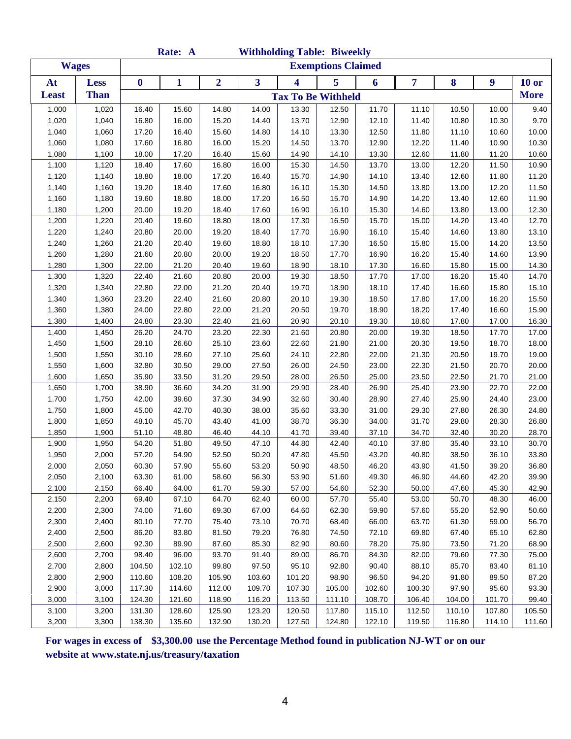|              |              |                  | Rate: A |                |        |        | <b>Withholding Table: Biweekly</b> |        |        |        |        |             |
|--------------|--------------|------------------|---------|----------------|--------|--------|------------------------------------|--------|--------|--------|--------|-------------|
|              | <b>Wages</b> |                  |         |                |        |        | <b>Exemptions Claimed</b>          |        |        |        |        |             |
| At           | <b>Less</b>  | $\boldsymbol{0}$ | 1       | $\overline{2}$ | 3      | 4      | 5                                  | 6      | 7      | 8      | 9      | $10$ or     |
| <b>Least</b> | <b>Than</b>  |                  |         |                |        |        | <b>Tax To Be Withheld</b>          |        |        |        |        | <b>More</b> |
| 1,000        | 1,020        | 16.40            | 15.60   | 14.80          | 14.00  | 13.30  | 12.50                              | 11.70  | 11.10  | 10.50  | 10.00  | 9.40        |
| 1,020        | 1,040        | 16.80            | 16.00   | 15.20          | 14.40  | 13.70  | 12.90                              | 12.10  | 11.40  | 10.80  | 10.30  | 9.70        |
| 1,040        | 1,060        | 17.20            | 16.40   | 15.60          | 14.80  | 14.10  | 13.30                              | 12.50  | 11.80  | 11.10  | 10.60  | 10.00       |
| 1,060        | 1,080        | 17.60            | 16.80   | 16.00          | 15.20  | 14.50  | 13.70                              | 12.90  | 12.20  | 11.40  | 10.90  | 10.30       |
| 1,080        | 1,100        | 18.00            | 17.20   | 16.40          | 15.60  | 14.90  | 14.10                              | 13.30  | 12.60  | 11.80  | 11.20  | 10.60       |
| 1,100        | 1,120        | 18.40            | 17.60   | 16.80          | 16.00  | 15.30  | 14.50                              | 13.70  | 13.00  | 12.20  | 11.50  | 10.90       |
| 1,120        | 1,140        | 18.80            | 18.00   | 17.20          | 16.40  | 15.70  | 14.90                              | 14.10  | 13.40  | 12.60  | 11.80  | 11.20       |
| 1,140        | 1,160        | 19.20            | 18.40   | 17.60          | 16.80  | 16.10  | 15.30                              | 14.50  | 13.80  | 13.00  | 12.20  | 11.50       |
| 1,160        | 1,180        | 19.60            | 18.80   | 18.00          | 17.20  | 16.50  | 15.70                              | 14.90  | 14.20  | 13.40  | 12.60  | 11.90       |
| 1,180        | 1,200        | 20.00            | 19.20   | 18.40          | 17.60  | 16.90  | 16.10                              | 15.30  | 14.60  | 13.80  | 13.00  | 12.30       |
| 1,200        | 1,220        | 20.40            | 19.60   | 18.80          | 18.00  | 17.30  | 16.50                              | 15.70  | 15.00  | 14.20  | 13.40  | 12.70       |
| 1,220        | 1,240        | 20.80            | 20.00   | 19.20          | 18.40  | 17.70  | 16.90                              | 16.10  | 15.40  | 14.60  | 13.80  | 13.10       |
| 1,240        | 1,260        | 21.20            | 20.40   | 19.60          | 18.80  | 18.10  | 17.30                              | 16.50  | 15.80  | 15.00  | 14.20  | 13.50       |
| 1,260        | 1,280        | 21.60            | 20.80   | 20.00          | 19.20  | 18.50  | 17.70                              | 16.90  | 16.20  | 15.40  | 14.60  | 13.90       |
| 1,280        | 1,300        | 22.00            | 21.20   | 20.40          | 19.60  | 18.90  | 18.10                              | 17.30  | 16.60  | 15.80  | 15.00  | 14.30       |
| 1,300        | 1,320        | 22.40            | 21.60   | 20.80          | 20.00  | 19.30  | 18.50                              | 17.70  | 17.00  | 16.20  | 15.40  | 14.70       |
| 1,320        | 1,340        | 22.80            | 22.00   | 21.20          | 20.40  | 19.70  | 18.90                              | 18.10  | 17.40  | 16.60  | 15.80  | 15.10       |
| 1,340        | 1,360        | 23.20            | 22.40   | 21.60          | 20.80  | 20.10  | 19.30                              | 18.50  | 17.80  | 17.00  | 16.20  | 15.50       |
| 1,360        | 1,380        | 24.00            | 22.80   | 22.00          | 21.20  | 20.50  | 19.70                              | 18.90  | 18.20  | 17.40  | 16.60  | 15.90       |
| 1,380        | 1,400        | 24.80            | 23.30   | 22.40          | 21.60  | 20.90  | 20.10                              | 19.30  | 18.60  | 17.80  | 17.00  | 16.30       |
| 1,400        | 1,450        | 26.20            | 24.70   | 23.20          | 22.30  | 21.60  | 20.80                              | 20.00  | 19.30  | 18.50  | 17.70  | 17.00       |
| 1,450        | 1,500        | 28.10            | 26.60   | 25.10          | 23.60  | 22.60  | 21.80                              | 21.00  | 20.30  | 19.50  | 18.70  | 18.00       |
| 1,500        | 1,550        | 30.10            | 28.60   | 27.10          | 25.60  | 24.10  | 22.80                              | 22.00  | 21.30  | 20.50  | 19.70  | 19.00       |
| 1,550        | 1,600        | 32.80            | 30.50   | 29.00          | 27.50  | 26.00  | 24.50                              | 23.00  | 22.30  | 21.50  | 20.70  | 20.00       |
| 1,600        | 1,650        | 35.90            | 33.50   | 31.20          | 29.50  | 28.00  | 26.50                              | 25.00  | 23.50  | 22.50  | 21.70  | 21.00       |
| 1,650        | 1,700        | 38.90            | 36.60   | 34.20          | 31.90  | 29.90  | 28.40                              | 26.90  | 25.40  | 23.90  | 22.70  | 22.00       |
| 1,700        | 1,750        | 42.00            | 39.60   | 37.30          | 34.90  | 32.60  | 30.40                              | 28.90  | 27.40  | 25.90  | 24.40  | 23.00       |
| 1,750        | 1,800        | 45.00            | 42.70   | 40.30          | 38.00  | 35.60  | 33.30                              | 31.00  | 29.30  | 27.80  | 26.30  | 24.80       |
| 1,800        | 1,850        | 48.10            | 45.70   | 43.40          | 41.00  | 38.70  | 36.30                              | 34.00  | 31.70  | 29.80  | 28.30  | 26.80       |
| 1,850        | 1,900        | 51.10            | 48.80   | 46.40          | 44.10  | 41.70  | 39.40                              | 37.10  | 34.70  | 32.40  | 30.20  | 28.70       |
| 1,900        | 1,950        | 54.20            | 51.80   | 49.50          | 47.10  | 44.80  | 42.40                              | 40.10  | 37.80  | 35.40  | 33.10  | 30.70       |
| 1,950        | 2,000        | 57.20            | 54.90   | 52.50          | 50.20  | 47.80  | 45.50                              | 43.20  | 40.80  | 38.50  | 36.10  | 33.80       |
| 2,000        | 2,050        | 60.30            | 57.90   | 55.60          | 53.20  | 50.90  | 48.50                              | 46.20  | 43.90  | 41.50  | 39.20  | 36.80       |
| 2,050        | 2,100        | 63.30            | 61.00   | 58.60          | 56.30  | 53.90  | 51.60                              | 49.30  | 46.90  | 44.60  | 42.20  | 39.90       |
| 2,100        | 2,150        | 66.40            | 64.00   | 61.70          | 59.30  | 57.00  | 54.60                              | 52.30  | 50.00  | 47.60  | 45.30  | 42.90       |
| 2,150        | 2,200        | 69.40            | 67.10   | 64.70          | 62.40  | 60.00  | 57.70                              | 55.40  | 53.00  | 50.70  | 48.30  | 46.00       |
| 2,200        | 2,300        | 74.00            | 71.60   | 69.30          | 67.00  | 64.60  | 62.30                              | 59.90  | 57.60  | 55.20  | 52.90  | 50.60       |
| 2,300        | 2,400        | 80.10            | 77.70   | 75.40          | 73.10  | 70.70  | 68.40                              | 66.00  | 63.70  | 61.30  | 59.00  | 56.70       |
| 2,400        | 2,500        | 86.20            | 83.80   | 81.50          | 79.20  | 76.80  | 74.50                              | 72.10  | 69.80  | 67.40  | 65.10  | 62.80       |
| 2,500        | 2,600        | 92.30            | 89.90   | 87.60          | 85.30  | 82.90  | 80.60                              | 78.20  | 75.90  | 73.50  | 71.20  | 68.90       |
| 2,600        | 2,700        | 98.40            | 96.00   | 93.70          | 91.40  | 89.00  | 86.70                              | 84.30  | 82.00  | 79.60  | 77.30  | 75.00       |
| 2,700        | 2,800        | 104.50           | 102.10  | 99.80          | 97.50  | 95.10  | 92.80                              | 90.40  | 88.10  | 85.70  | 83.40  | 81.10       |
| 2,800        | 2,900        | 110.60           | 108.20  | 105.90         | 103.60 | 101.20 | 98.90                              | 96.50  | 94.20  | 91.80  | 89.50  | 87.20       |
| 2,900        | 3,000        | 117.30           | 114.60  | 112.00         | 109.70 | 107.30 | 105.00                             | 102.60 | 100.30 | 97.90  | 95.60  | 93.30       |
| 3,000        | 3,100        | 124.30           | 121.60  | 118.90         | 116.20 | 113.50 | 111.10                             | 108.70 | 106.40 | 104.00 | 101.70 | 99.40       |
| 3,100        | 3,200        | 131.30           | 128.60  | 125.90         | 123.20 | 120.50 | 117.80                             | 115.10 | 112.50 | 110.10 | 107.80 | 105.50      |
| 3,200        | 3,300        | 138.30           | 135.60  | 132.90         | 130.20 | 127.50 | 124.80                             | 122.10 | 119.50 | 116.80 | 114.10 | 111.60      |

**For wages in excess of \$3,300.00 use the Percentage Method found in publication NJ-WT or on our website at www.state.nj.us/treasury/taxation**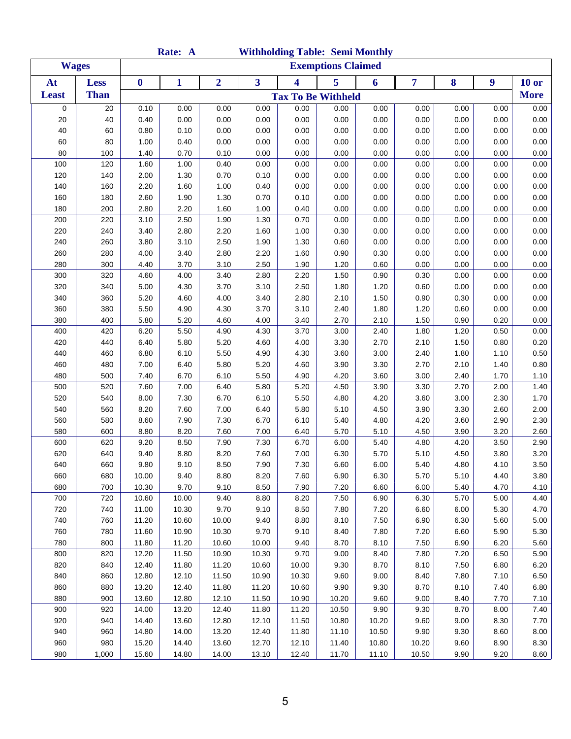|              |              |          | Rate: A      |                |       | <b>Withholding Table: Semi Monthly</b> |                           |       |       |      |      |              |
|--------------|--------------|----------|--------------|----------------|-------|----------------------------------------|---------------------------|-------|-------|------|------|--------------|
|              | <b>Wages</b> |          |              |                |       |                                        | <b>Exemptions Claimed</b> |       |       |      |      |              |
| At           | <b>Less</b>  | $\bf{0}$ | $\mathbf{1}$ | $\overline{2}$ | 3     | $\overline{\mathbf{4}}$                | 5                         | 6     | 7     | 8    | 9    | <b>10 or</b> |
| <b>Least</b> | <b>Than</b>  |          |              |                |       | <b>Tax To Be Withheld</b>              |                           |       |       |      |      | <b>More</b>  |
| 0            | 20           | 0.10     | 0.00         | 0.00           | 0.00  | 0.00                                   | 0.00                      | 0.00  | 0.00  | 0.00 | 0.00 | 0.00         |
| 20           | 40           | 0.40     | 0.00         | 0.00           | 0.00  | 0.00                                   | 0.00                      | 0.00  | 0.00  | 0.00 | 0.00 | 0.00         |
| 40           | 60           | 0.80     | 0.10         | 0.00           | 0.00  | 0.00                                   | 0.00                      | 0.00  | 0.00  | 0.00 | 0.00 | 0.00         |
| 60           | 80           | 1.00     | 0.40         | 0.00           | 0.00  | 0.00                                   | 0.00                      | 0.00  | 0.00  | 0.00 | 0.00 | 0.00         |
| 80           | 100          | 1.40     | 0.70         | 0.10           | 0.00  | 0.00                                   | 0.00                      | 0.00  | 0.00  | 0.00 | 0.00 | 0.00         |
| 100          | 120          | 1.60     | 1.00         | 0.40           | 0.00  | 0.00                                   | 0.00                      | 0.00  | 0.00  | 0.00 | 0.00 | 0.00         |
| 120          | 140          | 2.00     | 1.30         | 0.70           | 0.10  | 0.00                                   | 0.00                      | 0.00  | 0.00  | 0.00 | 0.00 | 0.00         |
| 140          | 160          | 2.20     | 1.60         | 1.00           | 0.40  | 0.00                                   | 0.00                      | 0.00  | 0.00  | 0.00 | 0.00 | 0.00         |
| 160          | 180          | 2.60     | 1.90         | 1.30           | 0.70  | 0.10                                   | 0.00                      | 0.00  | 0.00  | 0.00 | 0.00 | 0.00         |
| 180          | 200          | 2.80     | 2.20         | 1.60           | 1.00  | 0.40                                   | 0.00                      | 0.00  | 0.00  | 0.00 | 0.00 | 0.00         |
| 200          | 220          | 3.10     | 2.50         | 1.90           | 1.30  | 0.70                                   | 0.00                      | 0.00  | 0.00  | 0.00 | 0.00 | 0.00         |
| 220          | 240          | 3.40     | 2.80         | 2.20           | 1.60  | 1.00                                   | 0.30                      | 0.00  | 0.00  | 0.00 | 0.00 | 0.00         |
| 240          | 260          | 3.80     | 3.10         | 2.50           | 1.90  | 1.30                                   | 0.60                      | 0.00  | 0.00  | 0.00 | 0.00 | 0.00         |
| 260          | 280          | 4.00     | 3.40         | 2.80           | 2.20  | 1.60                                   | 0.90                      | 0.30  | 0.00  | 0.00 | 0.00 | 0.00         |
| 280          | 300          | 4.40     | 3.70         | 3.10           | 2.50  | 1.90                                   | 1.20                      | 0.60  | 0.00  | 0.00 | 0.00 | 0.00         |
| 300          | 320          | 4.60     | 4.00         | 3.40           | 2.80  | 2.20                                   | 1.50                      | 0.90  | 0.30  | 0.00 | 0.00 | 0.00         |
| 320          | 340          | 5.00     | 4.30         | 3.70           | 3.10  | 2.50                                   | 1.80                      | 1.20  | 0.60  | 0.00 | 0.00 | 0.00         |
| 340          | 360          | 5.20     | 4.60         | 4.00           | 3.40  | 2.80                                   | 2.10                      | 1.50  | 0.90  | 0.30 | 0.00 | 0.00         |
| 360          | 380          | 5.50     | 4.90         | 4.30           | 3.70  | 3.10                                   | 2.40                      | 1.80  | 1.20  | 0.60 | 0.00 | 0.00         |
| 380          | 400          | 5.80     | 5.20         | 4.60           | 4.00  | 3.40                                   | 2.70                      | 2.10  | 1.50  | 0.90 | 0.20 | 0.00         |
| 400          | 420          | 6.20     | 5.50         | 4.90           | 4.30  | 3.70                                   | 3.00                      | 2.40  | 1.80  | 1.20 | 0.50 | 0.00         |
| 420          | 440          | 6.40     | 5.80         | 5.20           | 4.60  | 4.00                                   | 3.30                      | 2.70  | 2.10  | 1.50 | 0.80 | 0.20         |
| 440          | 460          | 6.80     | 6.10         | 5.50           | 4.90  | 4.30                                   | 3.60                      | 3.00  | 2.40  | 1.80 | 1.10 | 0.50         |
| 460          | 480          | 7.00     | 6.40         | 5.80           | 5.20  | 4.60                                   | 3.90                      | 3.30  | 2.70  | 2.10 | 1.40 | 0.80         |
| 480          | 500          | 7.40     | 6.70         | 6.10           | 5.50  | 4.90                                   | 4.20                      | 3.60  | 3.00  | 2.40 | 1.70 | 1.10         |
| 500          | 520          | 7.60     | 7.00         | 6.40           | 5.80  | 5.20                                   | 4.50                      | 3.90  | 3.30  | 2.70 | 2.00 | 1.40         |
| 520          | 540          | 8.00     | 7.30         | 6.70           | 6.10  | 5.50                                   | 4.80                      | 4.20  | 3.60  | 3.00 | 2.30 | 1.70         |
| 540          | 560          | 8.20     | 7.60         | 7.00           | 6.40  | 5.80                                   | 5.10                      | 4.50  | 3.90  | 3.30 | 2.60 | 2.00         |
| 560          | 580          | 8.60     | 7.90         | 7.30           | 6.70  | 6.10                                   | 5.40                      | 4.80  | 4.20  | 3.60 | 2.90 | 2.30         |
| 580          | 600          | 8.80     | 8.20         | 7.60           | 7.00  | 6.40                                   | 5.70                      | 5.10  | 4.50  | 3.90 | 3.20 | 2.60         |
| 600          | 620          | 9.20     | 8.50         | 7.90           | 7.30  | 6.70                                   | 6.00                      | 5.40  | 4.80  | 4.20 | 3.50 | 2.90         |
| 620          | 640          | 9.40     | 8.80         | 8.20           | 7.60  | 7.00                                   | 6.30                      | 5.70  | 5.10  | 4.50 | 3.80 | 3.20         |
| 640          | 660          | 9.80     | 9.10         | 8.50           | 7.90  | 7.30                                   | 6.60                      | 6.00  | 5.40  | 4.80 | 4.10 | 3.50         |
| 660          | 680          | 10.00    | 9.40         | 8.80           | 8.20  | 7.60                                   | 6.90                      | 6.30  | 5.70  | 5.10 | 4.40 | 3.80         |
| 680          | 700          | 10.30    | 9.70         | 9.10           | 8.50  | 7.90                                   | 7.20                      | 6.60  | 6.00  | 5.40 | 4.70 | 4.10         |
| 700          | 720          | 10.60    | 10.00        | 9.40           | 8.80  | 8.20                                   | 7.50                      | 6.90  | 6.30  | 5.70 | 5.00 | 4.40         |
| 720          | 740          | 11.00    | 10.30        | 9.70           | 9.10  | 8.50                                   | 7.80                      | 7.20  | 6.60  | 6.00 | 5.30 | 4.70         |
| 740          | 760          | 11.20    | 10.60        | 10.00          | 9.40  | 8.80                                   | 8.10                      | 7.50  | 6.90  | 6.30 | 5.60 | 5.00         |
| 760          | 780          | 11.60    | 10.90        | 10.30          | 9.70  | 9.10                                   | 8.40                      | 7.80  | 7.20  | 6.60 | 5.90 | 5.30         |
| 780          | 800          | 11.80    | 11.20        | 10.60          | 10.00 | 9.40                                   | 8.70                      | 8.10  | 7.50  | 6.90 | 6.20 | 5.60         |
| 800          | 820          | 12.20    | 11.50        | 10.90          | 10.30 | 9.70                                   | 9.00                      | 8.40  | 7.80  | 7.20 | 6.50 | 5.90         |
| 820          | 840          | 12.40    | 11.80        | 11.20          | 10.60 | 10.00                                  | 9.30                      | 8.70  | 8.10  | 7.50 | 6.80 | 6.20         |
| 840          | 860          | 12.80    | 12.10        | 11.50          | 10.90 | 10.30                                  | 9.60                      | 9.00  | 8.40  | 7.80 | 7.10 | 6.50         |
| 860          | 880          | 13.20    | 12.40        | 11.80          | 11.20 | 10.60                                  | 9.90                      | 9.30  | 8.70  | 8.10 | 7.40 | 6.80         |
| 880          | 900          | 13.60    | 12.80        | 12.10          | 11.50 | 10.90                                  | 10.20                     | 9.60  | 9.00  | 8.40 | 7.70 | 7.10         |
| 900          | 920          | 14.00    | 13.20        | 12.40          | 11.80 | 11.20                                  | 10.50                     | 9.90  | 9.30  | 8.70 | 8.00 | 7.40         |
| 920          | 940          | 14.40    | 13.60        | 12.80          | 12.10 | 11.50                                  | 10.80                     | 10.20 | 9.60  | 9.00 | 8.30 | 7.70         |
| 940          | 960          | 14.80    | 14.00        | 13.20          | 12.40 | 11.80                                  | 11.10                     | 10.50 | 9.90  | 9.30 | 8.60 | 8.00         |
| 960          | 980          | 15.20    | 14.40        | 13.60          | 12.70 | 12.10                                  | 11.40                     | 10.80 | 10.20 | 9.60 | 8.90 | 8.30         |
| 980          | 1,000        | 15.60    | 14.80        | 14.00          | 13.10 | 12.40                                  | 11.70                     | 11.10 | 10.50 | 9.90 | 9.20 | 8.60         |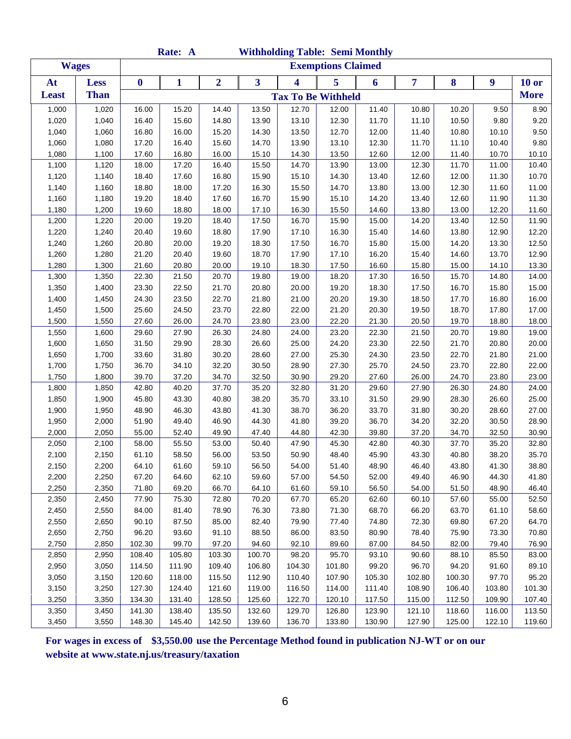|                |                |                  | Rate: A          |                  |                  |                  | <b>Withholding Table: Semi Monthly</b> |                  |                  |                  |                  |                  |
|----------------|----------------|------------------|------------------|------------------|------------------|------------------|----------------------------------------|------------------|------------------|------------------|------------------|------------------|
| <b>Wages</b>   |                |                  |                  |                  |                  |                  | <b>Exemptions Claimed</b>              |                  |                  |                  |                  |                  |
| At             | <b>Less</b>    | $\bf{0}$         | 1                | $\overline{2}$   | 3                | 4                | 5                                      | 6                | 7                | 8                | 9                | $10$ or          |
| <b>Least</b>   | <b>Than</b>    |                  |                  |                  |                  |                  | <b>Tax To Be Withheld</b>              |                  |                  |                  |                  | <b>More</b>      |
| 1,000          | 1,020          | 16.00            | 15.20            | 14.40            | 13.50            | 12.70            | 12.00                                  | 11.40            | 10.80            | 10.20            | 9.50             | 8.90             |
| 1,020          | 1,040          | 16.40            | 15.60            | 14.80            | 13.90            | 13.10            | 12.30                                  | 11.70            | 11.10            | 10.50            | 9.80             | 9.20             |
| 1,040          | 1,060          | 16.80            | 16.00            | 15.20            | 14.30            | 13.50            | 12.70                                  | 12.00            | 11.40            | 10.80            | 10.10            | 9.50             |
| 1,060          | 1,080          | 17.20            | 16.40            | 15.60            | 14.70            | 13.90            | 13.10                                  | 12.30            | 11.70            | 11.10            | 10.40            | 9.80             |
| 1,080          | 1,100          | 17.60            | 16.80            | 16.00            | 15.10            | 14.30            | 13.50                                  | 12.60            | 12.00            | 11.40            | 10.70            | 10.10            |
| 1,100          | 1,120          | 18.00            | 17.20            | 16.40            | 15.50            | 14.70            | 13.90                                  | 13.00            | 12.30            | 11.70            | 11.00            | 10.40            |
| 1,120          | 1,140          | 18.40            | 17.60            | 16.80            | 15.90            | 15.10            | 14.30                                  | 13.40            | 12.60            | 12.00            | 11.30            | 10.70            |
| 1,140          | 1,160          | 18.80            | 18.00            | 17.20            | 16.30            | 15.50            | 14.70                                  | 13.80            | 13.00            | 12.30            | 11.60            | 11.00            |
| 1,160          | 1,180          | 19.20            | 18.40            | 17.60            | 16.70            | 15.90            | 15.10                                  | 14.20            | 13.40            | 12.60            | 11.90            | 11.30            |
| 1,180          | 1,200          | 19.60            | 18.80            | 18.00            | 17.10            | 16.30            | 15.50                                  | 14.60            | 13.80            | 13.00            | 12.20            | 11.60            |
| 1,200          | 1,220          | 20.00            | 19.20            | 18.40            | 17.50            | 16.70            | 15.90                                  | 15.00            | 14.20            | 13.40            | 12.50            | 11.90            |
| 1,220          | 1,240          | 20.40            | 19.60            | 18.80            | 17.90            | 17.10            | 16.30                                  | 15.40            | 14.60            | 13.80            | 12.90            | 12.20            |
| 1,240          | 1,260          | 20.80            | 20.00            | 19.20            | 18.30            | 17.50            | 16.70                                  | 15.80            | 15.00            | 14.20            | 13.30            | 12.50            |
| 1,260          | 1,280          | 21.20            | 20.40            | 19.60            | 18.70            | 17.90            | 17.10                                  | 16.20            | 15.40            | 14.60            | 13.70            | 12.90            |
| 1,280          | 1,300          | 21.60            | 20.80            | 20.00            | 19.10            | 18.30            | 17.50                                  | 16.60            | 15.80            | 15.00            | 14.10            | 13.30            |
| 1,300          | 1,350          | 22.30            | 21.50            | 20.70            | 19.80            | 19.00            | 18.20                                  | 17.30            | 16.50            | 15.70            | 14.80            | 14.00            |
| 1,350          | 1,400          | 23.30            | 22.50            | 21.70            | 20.80            | 20.00            | 19.20                                  | 18.30            | 17.50            | 16.70            | 15.80            | 15.00            |
| 1,400          | 1,450          | 24.30            | 23.50            | 22.70            | 21.80            | 21.00            | 20.20                                  | 19.30            | 18.50            | 17.70            | 16.80            | 16.00            |
| 1,450          | 1,500          | 25.60            | 24.50            | 23.70            | 22.80            | 22.00            | 21.20                                  | 20.30            | 19.50            | 18.70            | 17.80            | 17.00            |
| 1,500          | 1,550          | 27.60            | 26.00            | 24.70            | 23.80            | 23.00            | 22.20                                  | 21.30            | 20.50            | 19.70            | 18.80            | 18.00            |
| 1,550          | 1,600          | 29.60            | 27.90            | 26.30            | 24.80            | 24.00            | 23.20                                  | 22.30            | 21.50            | 20.70            | 19.80            | 19.00            |
| 1,600          | 1,650          | 31.50            | 29.90            | 28.30            | 26.60            | 25.00            | 24.20                                  | 23.30            | 22.50            | 21.70            | 20.80            | 20.00            |
| 1,650          | 1,700          | 33.60            | 31.80            | 30.20            | 28.60            | 27.00            | 25.30                                  | 24.30            | 23.50            | 22.70            | 21.80            | 21.00            |
| 1,700          | 1,750          | 36.70            | 34.10            | 32.20            | 30.50            | 28.90            | 27.30                                  | 25.70            | 24.50            | 23.70            | 22.80            | 22.00            |
| 1,750          | 1,800          | 39.70            | 37.20            | 34.70            | 32.50            | 30.90            | 29.20                                  | 27.60            | 26.00            | 24.70            | 23.80            | 23.00            |
| 1,800          | 1,850          | 42.80            | 40.20            | 37.70            | 35.20            | 32.80            | 31.20                                  | 29.60            | 27.90            | 26.30            | 24.80            | 24.00            |
| 1,850          | 1,900          | 45.80            | 43.30            | 40.80            | 38.20            | 35.70            | 33.10                                  | 31.50            | 29.90            | 28.30            | 26.60            | 25.00            |
| 1,900          | 1,950          | 48.90            | 46.30            | 43.80            | 41.30            | 38.70            | 36.20                                  | 33.70            | 31.80            | 30.20            | 28.60            | 27.00            |
| 1,950          | 2,000          | 51.90            | 49.40            | 46.90            | 44.30            | 41.80            | 39.20                                  | 36.70            | 34.20            | 32.20            | 30.50            | 28.90            |
| 2,000          | 2,050          | 55.00            | 52.40            | 49.90            | 47.40            | 44.80            | 42.30                                  | 39.80            | 37.20            | 34.70            | 32.50            | 30.90            |
| 2,050          | 2,100          | 58.00            | 55.50            | 53.00            | 50.40            | 47.90            | 45.30                                  | 42.80            | 40.30            | 37.70            | 35.20            | 32.80            |
| 2,100          | 2,150          | 61.10            | 58.50            | 56.00            | 53.50            | 50.90            | 48.40                                  | 45.90            | 43.30            | 40.80            | 38.20            | 35.70            |
| 2,150          | 2,200          | 64.10            | 61.60            | 59.10            | 56.50            | 54.00            | 51.40                                  | 48.90            | 46.40            | 43.80            | 41.30            | 38.80            |
| 2,200          | 2,250          | 67.20            | 64.60            | 62.10            | 59.60            | 57.00            | 54.50                                  | 52.00            | 49.40            | 46.90            | 44.30            | 41.80            |
| 2,250          | 2,350          | 71.80            | 69.20            | 66.70            | 64.10            | 61.60            | 59.10                                  | 56.50            | 54.00            | 51.50            | 48.90            | 46.40            |
| 2,350          | 2,450          | 77.90            | 75.30            | 72.80            | 70.20            | 67.70            | 65.20                                  | 62.60            | 60.10            | 57.60            | 55.00            | 52.50            |
| 2,450          | 2,550          | 84.00            | 81.40            | 78.90            | 76.30            | 73.80            | 71.30                                  | 68.70            | 66.20            | 63.70            | 61.10            | 58.60            |
| 2,550          | 2,650          | 90.10            | 87.50            | 85.00            | 82.40            | 79.90            | 77.40                                  | 74.80            | 72.30            | 69.80            | 67.20            | 64.70            |
| 2,650          | 2,750          | 96.20            | 93.60            | 91.10            | 88.50            | 86.00            | 83.50                                  | 80.90            | 78.40            | 75.90            | 73.30            | 70.80            |
| 2,750          | 2,850          | 102.30           | 99.70            | 97.20            | 94.60            | 92.10            | 89.60                                  | 87.00            | 84.50            | 82.00            | 79.40            | 76.90            |
| 2,850          | 2,950          | 108.40           | 105.80           | 103.30           | 100.70           | 98.20            | 95.70                                  | 93.10            | 90.60            | 88.10            | 85.50            | 83.00            |
| 2,950          | 3,050          | 114.50           | 111.90           | 109.40           | 106.80           | 104.30           | 101.80                                 | 99.20            | 96.70            | 94.20            | 91.60            | 89.10            |
| 3,050          | 3,150          | 120.60           | 118.00           | 115.50           | 112.90           | 110.40           | 107.90                                 | 105.30           | 102.80           | 100.30           | 97.70            | 95.20            |
| 3,150          | 3,250          | 127.30           | 124.40           | 121.60           | 119.00           | 116.50           | 114.00                                 | 111.40           | 108.90           | 106.40           | 103.80           | 101.30           |
| 3,250          | 3,350          | 134.30<br>141.30 | 131.40<br>138.40 | 128.50<br>135.50 | 125.60<br>132.60 | 122.70<br>129.70 | 120.10<br>126.80                       | 117.50<br>123.90 | 115.00<br>121.10 | 112.50<br>118.60 | 109.90<br>116.00 | 107.40           |
| 3,350<br>3,450 | 3,450<br>3,550 | 148.30           | 145.40           | 142.50           | 139.60           | 136.70           | 133.80                                 | 130.90           | 127.90           | 125.00           | 122.10           | 113.50<br>119.60 |
|                |                |                  |                  |                  |                  |                  |                                        |                  |                  |                  |                  |                  |

**For wages in excess of \$3,550.00 use the Percentage Method found in publication NJ-WT or on our website at www.state.nj.us/treasury/taxation**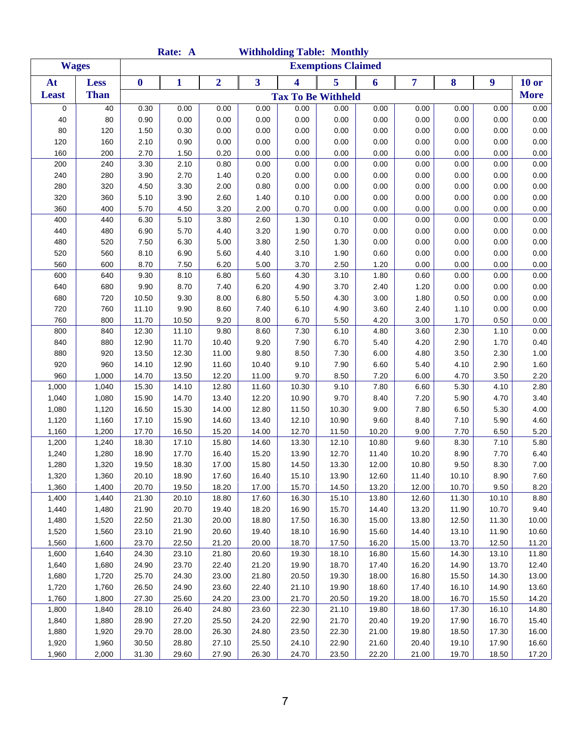|                |                |                  | Rate: A        |                |                         | <b>Withholding Table: Monthly</b> |                           |                |                |       |                |              |
|----------------|----------------|------------------|----------------|----------------|-------------------------|-----------------------------------|---------------------------|----------------|----------------|-------|----------------|--------------|
|                | <b>Wages</b>   |                  |                |                |                         |                                   | <b>Exemptions Claimed</b> |                |                |       |                |              |
| At             | <b>Less</b>    | $\boldsymbol{0}$ | $\mathbf{1}$   | $\overline{2}$ | $\overline{\mathbf{3}}$ | $\overline{\mathbf{4}}$           | 5                         | 6              | $\overline{7}$ | 8     | 9              | <b>10 or</b> |
| <b>Least</b>   | <b>Than</b>    |                  |                |                |                         | <b>Tax To Be Withheld</b>         |                           |                |                |       |                | <b>More</b>  |
| $\mathbf 0$    | 40             | 0.30             | 0.00           | 0.00           | 0.00                    | 0.00                              | 0.00                      | 0.00           | 0.00           | 0.00  | 0.00           | 0.00         |
| 40             | 80             | 0.90             | 0.00           | 0.00           | 0.00                    | 0.00                              | 0.00                      | 0.00           | 0.00           | 0.00  | 0.00           | 0.00         |
| 80             | 120            | 1.50             | 0.30           | 0.00           | 0.00                    | 0.00                              | 0.00                      | 0.00           | 0.00           | 0.00  | 0.00           | 0.00         |
| 120            | 160            | 2.10             | 0.90           | 0.00           | 0.00                    | 0.00                              | 0.00                      | 0.00           | 0.00           | 0.00  | 0.00           | 0.00         |
| 160            | 200            | 2.70             | 1.50           | 0.20           | 0.00                    | 0.00                              | 0.00                      | 0.00           | 0.00           | 0.00  | 0.00           | 0.00         |
| 200            | 240            | 3.30             | 2.10           | 0.80           | 0.00                    | 0.00                              | 0.00                      | 0.00           | 0.00           | 0.00  | 0.00           | 0.00         |
| 240            | 280            | 3.90             | 2.70           | 1.40           | 0.20                    | 0.00                              | 0.00                      | 0.00           | 0.00           | 0.00  | 0.00           | 0.00         |
| 280            | 320            | 4.50             | 3.30           | 2.00           | 0.80                    | 0.00                              | 0.00                      | 0.00           | 0.00           | 0.00  | 0.00           | 0.00         |
| 320            | 360            | 5.10             | 3.90           | 2.60           | 1.40                    | 0.10                              | 0.00                      | 0.00           | 0.00           | 0.00  | 0.00           | 0.00         |
| 360            | 400            | 5.70             | 4.50           | 3.20           | 2.00                    | 0.70                              | 0.00                      | 0.00           | 0.00           | 0.00  | 0.00           | 0.00         |
| 400            | 440            | 6.30             | 5.10           | 3.80           | 2.60                    | 1.30                              | 0.10                      | 0.00           | 0.00           | 0.00  | 0.00           | 0.00         |
| 440            | 480            | 6.90             | 5.70           | 4.40           | 3.20                    | 1.90                              | 0.70                      | 0.00           | 0.00           | 0.00  | 0.00           | 0.00         |
| 480            | 520            | 7.50             | 6.30           | 5.00           | 3.80                    | 2.50                              | 1.30                      | 0.00           | 0.00           | 0.00  | 0.00           | 0.00         |
| 520            | 560            | 8.10             | 6.90           | 5.60           | 4.40                    | 3.10                              | 1.90                      | 0.60           | 0.00           | 0.00  | 0.00           | 0.00         |
| 560            | 600            | 8.70             | 7.50           | 6.20           | 5.00                    | 3.70                              | 2.50                      | 1.20           | 0.00           | 0.00  | 0.00           | 0.00         |
| 600            | 640            | 9.30             | 8.10           | 6.80           | 5.60                    | 4.30                              | 3.10                      | 1.80           | 0.60           | 0.00  | 0.00           | 0.00         |
| 640            | 680            | 9.90             | 8.70           | 7.40           | 6.20                    | 4.90                              | 3.70                      | 2.40           | 1.20           | 0.00  | 0.00           | 0.00         |
| 680            | 720            | 10.50            | 9.30           | 8.00           | 6.80                    | 5.50                              | 4.30                      | 3.00           | 1.80           | 0.50  | 0.00           | 0.00         |
| 720            | 760            | 11.10            | 9.90           | 8.60           | 7.40                    | 6.10                              | 4.90                      | 3.60           | 2.40           | 1.10  | 0.00           | 0.00         |
| 760            | 800            | 11.70            | 10.50          | 9.20           | 8.00                    | 6.70                              | 5.50                      | 4.20           | 3.00           | 1.70  | 0.50           | 0.00         |
| 800            | 840            | 12.30            | 11.10          | 9.80           | 8.60                    | 7.30                              | 6.10                      | 4.80           | 3.60           | 2.30  | 1.10           | 0.00         |
| 840            | 880            | 12.90            | 11.70          | 10.40          | 9.20                    | 7.90                              | 6.70                      | 5.40           | 4.20           | 2.90  | 1.70           | 0.40         |
| 880            | 920            | 13.50            | 12.30          | 11.00          | 9.80                    | 8.50                              | 7.30                      | 6.00           | 4.80           | 3.50  | 2.30           | 1.00         |
| 920            | 960            | 14.10            | 12.90          | 11.60          | 10.40                   | 9.10                              | 7.90                      | 6.60           | 5.40           | 4.10  | 2.90           | 1.60         |
| 960            | 1,000          | 14.70            | 13.50          | 12.20          | 11.00                   | 9.70                              | 8.50                      | 7.20           | 6.00           | 4.70  | 3.50           | 2.20         |
| 1,000          | 1,040          | 15.30            | 14.10          | 12.80          | 11.60                   | 10.30                             | 9.10                      | 7.80           | 6.60           | 5.30  | 4.10           | 2.80         |
| 1,040          | 1,080          | 15.90            | 14.70          | 13.40          | 12.20                   | 10.90                             | 9.70                      | 8.40           | 7.20           | 5.90  | 4.70           | 3.40         |
| 1,080          | 1,120          | 16.50            | 15.30          | 14.00          | 12.80                   | 11.50                             | 10.30                     | 9.00           | 7.80           | 6.50  | 5.30           | 4.00         |
| 1,120          | 1,160          | 17.10            | 15.90          | 14.60          | 13.40                   | 12.10                             | 10.90                     | 9.60           | 8.40           | 7.10  | 5.90           | 4.60         |
| 1,160          | 1,200          | 17.70            | 16.50          | 15.20          | 14.00                   | 12.70                             | 11.50                     | 10.20          | 9.00           | 7.70  | 6.50           | 5.20         |
| 1,200          | 1,240          | 18.30            | 17.10          | 15.80          | 14.60                   | 13.30                             | 12.10                     | 10.80          | 9.60           | 8.30  | 7.10           | 5.80         |
| 1,240          | 1,280          | 18.90            | 17.70          | 16.40          | 15.20                   | 13.90                             | 12.70                     | 11.40          | 10.20          | 8.90  | 7.70           | 6.40         |
| 1,280          | 1,320          | 19.50            | 18.30          | 17.00          | 15.80                   | 14.50                             | 13.30                     | 12.00          | 10.80          | 9.50  | 8.30           | 7.00         |
| 1,320          | 1,360          | 20.10            | 18.90          | 17.60          | 16.40                   | 15.10                             | 13.90                     | 12.60          | 11.40          | 10.10 | 8.90           | 7.60         |
| 1,360          | 1,400          | 20.70            | 19.50          | 18.20          | 17.00                   | 15.70                             | 14.50                     | 13.20          | 12.00          | 10.70 | 9.50           | 8.20         |
| 1,400          | 1,440          | 21.30            | 20.10          | 18.80          | 17.60                   | 16.30                             | 15.10                     | 13.80          | 12.60          | 11.30 | 10.10          | 8.80         |
| 1,440          | 1,480          | 21.90            | 20.70          | 19.40          | 18.20                   | 16.90                             | 15.70                     | 14.40          | 13.20          | 11.90 | 10.70          | 9.40         |
| 1,480          | 1,520          | 22.50            | 21.30          | 20.00          | 18.80                   | 17.50                             | 16.30                     | 15.00          | 13.80          | 12.50 | 11.30          | 10.00        |
| 1,520          | 1,560          | 23.10            | 21.90          | 20.60          | 19.40                   | 18.10                             | 16.90                     | 15.60          | 14.40          | 13.10 | 11.90          | 10.60        |
| 1,560          | 1,600          | 23.70            | 22.50          | 21.20          | 20.00                   | 18.70                             | 17.50                     | 16.20          | 15.00          | 13.70 | 12.50          | 11.20        |
| 1,600          | 1,640          | 24.30            | 23.10          | 21.80          | 20.60                   | 19.30                             | 18.10                     | 16.80          | 15.60          | 14.30 | 13.10          | 11.80        |
| 1,640          | 1,680          | 24.90            | 23.70          | 22.40          | 21.20                   | 19.90                             | 18.70                     | 17.40          | 16.20          | 14.90 | 13.70          | 12.40        |
| 1,680          | 1,720          | 25.70            | 24.30          | 23.00          | 21.80                   | 20.50                             | 19.30                     | 18.00          | 16.80          | 15.50 | 14.30          | 13.00        |
| 1,720          | 1,760          | 26.50            | 24.90          | 23.60          | 22.40                   | 21.10                             | 19.90                     | 18.60          | 17.40          | 16.10 | 14.90          | 13.60        |
| 1,760          | 1,800          | 27.30            | 25.60          | 24.20          | 23.00                   | 21.70                             | 20.50                     | 19.20          | 18.00          | 16.70 | 15.50          | 14.20        |
| 1,800          | 1,840          | 28.10            | 26.40          | 24.80          | 23.60                   | 22.30                             | 21.10                     | 19.80          | 18.60          | 17.30 | 16.10          | 14.80        |
|                |                |                  |                | 25.50          | 24.20                   |                                   |                           |                | 19.20          | 17.90 | 16.70          |              |
| 1,840          | 1,880          | 28.90            | 27.20          |                |                         | 22.90                             | 21.70                     | 20.40          |                | 18.50 |                | 15.40        |
| 1,880<br>1,920 | 1,920          | 29.70            | 28.00<br>28.80 | 26.30<br>27.10 | 24.80<br>25.50          | 23.50<br>24.10                    | 22.30                     | 21.00<br>21.60 | 19.80<br>20.40 | 19.10 | 17.30<br>17.90 | 16.00        |
|                | 1,960<br>2,000 | 30.50            |                |                |                         |                                   | 22.90                     | 22.20          |                | 19.70 |                | 16.60        |
| 1,960          |                | 31.30            | 29.60          | 27.90          | 26.30                   | 24.70                             | 23.50                     |                | 21.00          |       | 18.50          | 17.20        |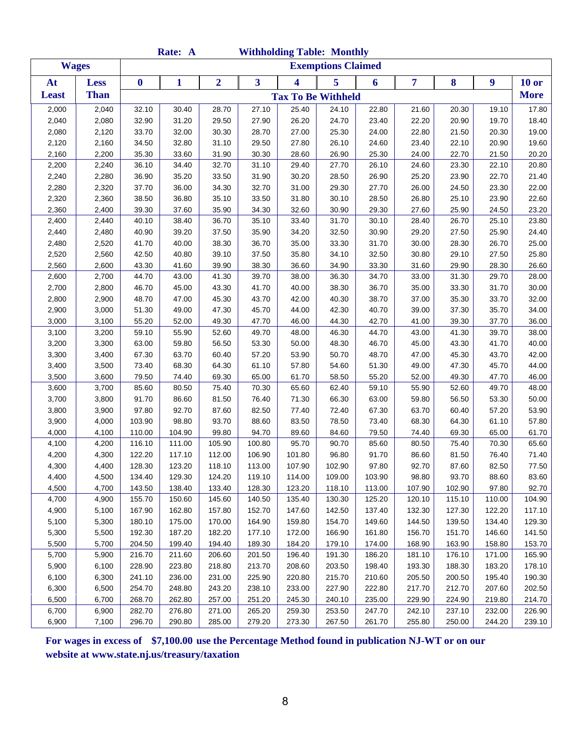|                |                |                  | Rate: A          |                  |                  |                  | <b>Withholding Table: Monthly</b> |                  |                  |                  |                  |                  |
|----------------|----------------|------------------|------------------|------------------|------------------|------------------|-----------------------------------|------------------|------------------|------------------|------------------|------------------|
| <b>Wages</b>   |                |                  |                  |                  |                  |                  | <b>Exemptions Claimed</b>         |                  |                  |                  |                  |                  |
| At             | <b>Less</b>    | $\boldsymbol{0}$ | 1                | $\overline{2}$   | 3                | 4                | 5                                 | 6                | 7                | 8                | $\boldsymbol{9}$ | <b>10 or</b>     |
| <b>Least</b>   | <b>Than</b>    |                  |                  |                  |                  |                  | <b>Tax To Be Withheld</b>         |                  |                  |                  |                  | <b>More</b>      |
| 2,000          | 2,040          | 32.10            | 30.40            | 28.70            | 27.10            | 25.40            | 24.10                             | 22.80            | 21.60            | 20.30            | 19.10            | 17.80            |
| 2,040          | 2,080          | 32.90            | 31.20            | 29.50            | 27.90            | 26.20            | 24.70                             | 23.40            | 22.20            | 20.90            | 19.70            | 18.40            |
| 2,080          | 2,120          | 33.70            | 32.00            | 30.30            | 28.70            | 27.00            | 25.30                             | 24.00            | 22.80            | 21.50            | 20.30            | 19.00            |
| 2,120          | 2,160          | 34.50            | 32.80            | 31.10            | 29.50            | 27.80            | 26.10                             | 24.60            | 23.40            | 22.10            | 20.90            | 19.60            |
| 2,160          | 2,200          | 35.30            | 33.60            | 31.90            | 30.30            | 28.60            | 26.90                             | 25.30            | 24.00            | 22.70            | 21.50            | 20.20            |
| 2,200          | 2,240          | 36.10            | 34.40            | 32.70            | 31.10            | 29.40            | 27.70                             | 26.10            | 24.60            | 23.30            | 22.10            | 20.80            |
| 2,240          | 2,280          | 36.90            | 35.20            | 33.50            | 31.90            | 30.20            | 28.50                             | 26.90            | 25.20            | 23.90            | 22.70            | 21.40            |
| 2,280          | 2,320          | 37.70            | 36.00            | 34.30            | 32.70            | 31.00            | 29.30                             | 27.70            | 26.00            | 24.50            | 23.30            | 22.00            |
| 2,320          | 2,360          | 38.50            | 36.80            | 35.10            | 33.50            | 31.80            | 30.10                             | 28.50            | 26.80            | 25.10            | 23.90            | 22.60            |
| 2,360          | 2,400          | 39.30            | 37.60            | 35.90            | 34.30            | 32.60            | 30.90                             | 29.30            | 27.60            | 25.90            | 24.50            | 23.20            |
| 2,400          | 2,440          | 40.10            | 38.40            | 36.70            | 35.10            | 33.40            | 31.70                             | 30.10            | 28.40            | 26.70            | 25.10            | 23.80            |
| 2,440          | 2,480          | 40.90            | 39.20            | 37.50            | 35.90            | 34.20            | 32.50                             | 30.90            | 29.20            | 27.50            | 25.90            | 24.40            |
| 2,480          | 2,520          | 41.70            | 40.00            | 38.30            | 36.70            | 35.00            | 33.30                             | 31.70            | 30.00            | 28.30            | 26.70            | 25.00            |
| 2,520          | 2,560          | 42.50            | 40.80            | 39.10            | 37.50            | 35.80            | 34.10                             | 32.50            | 30.80            | 29.10            | 27.50            | 25.80            |
| 2,560          | 2,600          | 43.30            | 41.60            | 39.90            | 38.30            | 36.60            | 34.90                             | 33.30            | 31.60            | 29.90            | 28.30            | 26.60            |
| 2,600          | 2,700          | 44.70            | 43.00            | 41.30            | 39.70            | 38.00            | 36.30                             | 34.70            | 33.00            | 31.30            | 29.70            | 28.00            |
| 2,700          | 2,800          | 46.70            | 45.00            | 43.30            | 41.70            | 40.00            | 38.30                             | 36.70            | 35.00            | 33.30            | 31.70            | 30.00            |
| 2,800          | 2,900          | 48.70            | 47.00            | 45.30            | 43.70            | 42.00            | 40.30                             | 38.70            | 37.00            | 35.30            | 33.70            | 32.00            |
| 2,900          | 3,000          | 51.30            | 49.00            | 47.30            | 45.70            | 44.00            | 42.30                             | 40.70            | 39.00            | 37.30            | 35.70            | 34.00            |
| 3,000          | 3,100          | 55.20            | 52.00            | 49.30            | 47.70            | 46.00            | 44.30                             | 42.70            | 41.00            | 39.30            | 37.70            | 36.00            |
| 3,100          | 3,200          | 59.10            | 55.90            | 52.60            | 49.70            | 48.00            | 46.30                             | 44.70            | 43.00            | 41.30            | 39.70            | 38.00            |
| 3,200          | 3,300          | 63.00            | 59.80            | 56.50            | 53.30            | 50.00            | 48.30                             | 46.70            | 45.00            | 43.30            | 41.70            | 40.00            |
| 3,300          | 3,400          | 67.30            | 63.70            | 60.40            | 57.20            | 53.90            | 50.70                             | 48.70            | 47.00            | 45.30            | 43.70            | 42.00            |
| 3,400          | 3,500          | 73.40            | 68.30            | 64.30            | 61.10            | 57.80            | 54.60                             | 51.30            | 49.00            | 47.30            | 45.70            | 44.00            |
| 3,500          | 3,600          | 79.50            | 74.40            | 69.30            | 65.00            | 61.70            | 58.50                             | 55.20            | 52.00            | 49.30            | 47.70            | 46.00            |
| 3,600          | 3,700          | 85.60            | 80.50            | 75.40            | 70.30            | 65.60            | 62.40                             | 59.10            | 55.90            | 52.60            | 49.70            | 48.00            |
| 3,700          | 3,800          | 91.70            | 86.60            | 81.50            | 76.40            | 71.30            | 66.30                             | 63.00            | 59.80            | 56.50            | 53.30            | 50.00            |
| 3,800          | 3,900          | 97.80            | 92.70            | 87.60            | 82.50            | 77.40            | 72.40                             | 67.30            | 63.70            | 60.40            | 57.20            | 53.90            |
| 3,900          | 4,000          | 103.90           | 98.80            | 93.70            | 88.60            | 83.50            | 78.50                             | 73.40            | 68.30            | 64.30            | 61.10            | 57.80            |
| 4,000          | 4,100          | 110.00           | 104.90           | 99.80            | 94.70            | 89.60            | 84.60                             | 79.50            | 74.40            | 69.30            | 65.00            | 61.70            |
| 4,100          | 4,200          | 116.10           | 111.00           | 105.90           | 100.80           | 95.70            | 90.70                             | 85.60            | 80.50            | 75.40            | 70.30            | 65.60            |
| 4,200          | 4,300          | 122.20           | 117.10           | 112.00           | 106.90           | 101.80           | 96.80                             | 91.70            | 86.60            | 81.50            | 76.40            | 71.40            |
| 4,300          | 4,400          | 128.30           | 123.20           | 118.10           | 113.00           | 107.90           | 102.90                            | 97.80            | 92.70            | 87.60            | 82.50            | 77.50            |
| 4,400          | 4,500          | 134.40           | 129.30           | 124.20           | 119.10           | 114.00           | 109.00                            | 103.90           | 98.80            | 93.70            | 88.60            | 83.60            |
| 4,500          | 4,700          | 143.50           | 138.40           | 133.40           | 128.30           | 123.20           | 118.10                            | 113.00           | 107.90           | 102.90           | 97.80            | 92.70            |
| 4,700          | 4,900          | 155.70           | 150.60           | 145.60           | 140.50           | 135.40           | 130.30                            | 125.20           | 120.10           | 115.10           | 110.00           | 104.90           |
| 4,900          | 5,100          | 167.90           | 162.80           | 157.80           | 152.70           | 147.60           | 142.50                            | 137.40           | 132.30           | 127.30           | 122.20           | 117.10           |
| 5,100          | 5,300          | 180.10           | 175.00           | 170.00           | 164.90           | 159.80           | 154.70                            | 149.60           | 144.50           | 139.50           | 134.40           | 129.30           |
| 5,300          | 5,500          | 192.30           | 187.20           | 182.20           | 177.10           | 172.00           | 166.90                            | 161.80           | 156.70           | 151.70           | 146.60           | 141.50           |
| 5,500          | 5,700          | 204.50           | 199.40           | 194.40           | 189.30           | 184.20           | 179.10                            | 174.00           | 168.90           | 163.90           | 158.80           | 153.70           |
| 5,700          | 5,900          | 216.70           | 211.60           | 206.60           | 201.50           | 196.40           | 191.30                            | 186.20           | 181.10           | 176.10           | 171.00           | 165.90           |
| 5,900          | 6,100          | 228.90           | 223.80           | 218.80           | 213.70           | 208.60           | 203.50                            | 198.40           | 193.30           | 188.30           | 183.20           | 178.10           |
| 6,100          | 6,300          | 241.10           | 236.00           | 231.00           | 225.90           | 220.80           | 215.70                            | 210.60           | 205.50           | 200.50           | 195.40           | 190.30           |
| 6,300          | 6,500          | 254.70           | 248.80           | 243.20           | 238.10           | 233.00           | 227.90                            | 222.80           | 217.70           | 212.70           | 207.60           | 202.50           |
| 6,500          | 6,700          | 268.70<br>282.70 | 262.80           | 257.00<br>271.00 | 251.20<br>265.20 | 245.30           | 240.10<br>253.50                  | 235.00<br>247.70 | 229.90<br>242.10 | 224.90<br>237.10 | 219.80           | 214.70           |
| 6,700<br>6,900 | 6,900<br>7,100 | 296.70           | 276.80<br>290.80 | 285.00           | 279.20           | 259.30<br>273.30 | 267.50                            | 261.70           | 255.80           | 250.00           | 232.00<br>244.20 | 226.90<br>239.10 |
|                |                |                  |                  |                  |                  |                  |                                   |                  |                  |                  |                  |                  |

**For wages in excess of \$7,100.00 use the Percentage Method found in publication NJ-WT or on our website at www.state.nj.us/treasury/taxation**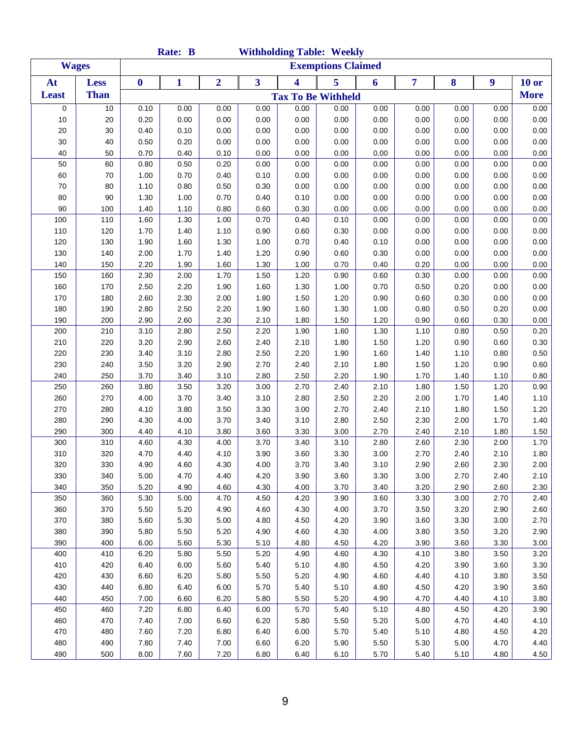|              |              |                  | Rate: B |                |                         |      | <b>Withholding Table: Weekly</b> |      |      |      |      |              |
|--------------|--------------|------------------|---------|----------------|-------------------------|------|----------------------------------|------|------|------|------|--------------|
|              | <b>Wages</b> |                  |         |                |                         |      | <b>Exemptions Claimed</b>        |      |      |      |      |              |
| At           | <b>Less</b>  | $\boldsymbol{0}$ | 1       | $\overline{2}$ | $\overline{\mathbf{3}}$ | 4    | 5                                | 6    | 7    | 8    | 9    | <b>10 or</b> |
| <b>Least</b> | <b>Than</b>  |                  |         |                |                         |      | <b>Tax To Be Withheld</b>        |      |      |      |      | <b>More</b>  |
| 0            | 10           | 0.10             | 0.00    | 0.00           | 0.00                    | 0.00 | 0.00                             | 0.00 | 0.00 | 0.00 | 0.00 | 0.00         |
| 10           | 20           | 0.20             | 0.00    | 0.00           | 0.00                    | 0.00 | 0.00                             | 0.00 | 0.00 | 0.00 | 0.00 | 0.00         |
| 20           | 30           | 0.40             | 0.10    | 0.00           | 0.00                    | 0.00 | 0.00                             | 0.00 | 0.00 | 0.00 | 0.00 | 0.00         |
| 30           | 40           | 0.50             | 0.20    | 0.00           | 0.00                    | 0.00 | 0.00                             | 0.00 | 0.00 | 0.00 | 0.00 | 0.00         |
| 40           | 50           | 0.70             | 0.40    | 0.10           | 0.00                    | 0.00 | 0.00                             | 0.00 | 0.00 | 0.00 | 0.00 | 0.00         |
| 50           | 60           | 0.80             | 0.50    | 0.20           | 0.00                    | 0.00 | 0.00                             | 0.00 | 0.00 | 0.00 | 0.00 | 0.00         |
| 60           | 70           | 1.00             | 0.70    | 0.40           | 0.10                    | 0.00 | 0.00                             | 0.00 | 0.00 | 0.00 | 0.00 | 0.00         |
| 70           | 80           | 1.10             | 0.80    | 0.50           | 0.30                    | 0.00 | 0.00                             | 0.00 | 0.00 | 0.00 | 0.00 | 0.00         |
| 80           | $90\,$       | 1.30             | 1.00    | 0.70           | 0.40                    | 0.10 | 0.00                             | 0.00 | 0.00 | 0.00 | 0.00 | 0.00         |
| 90           | 100          | 1.40             | 1.10    | 0.80           | 0.60                    | 0.30 | 0.00                             | 0.00 | 0.00 | 0.00 | 0.00 | 0.00         |
| 100          | 110          | 1.60             | 1.30    | 1.00           | 0.70                    | 0.40 | 0.10                             | 0.00 | 0.00 | 0.00 | 0.00 | 0.00         |
| 110          | 120          | 1.70             | 1.40    | 1.10           | 0.90                    | 0.60 | 0.30                             | 0.00 | 0.00 | 0.00 | 0.00 | 0.00         |
| 120          | 130          | 1.90             | 1.60    | 1.30           | 1.00                    | 0.70 | 0.40                             | 0.10 | 0.00 | 0.00 | 0.00 | 0.00         |
| 130          | 140          | 2.00             | 1.70    | 1.40           | 1.20                    | 0.90 | 0.60                             | 0.30 | 0.00 | 0.00 | 0.00 | 0.00         |
| 140          | 150          | 2.20             | 1.90    | 1.60           | 1.30                    | 1.00 | 0.70                             | 0.40 | 0.20 | 0.00 | 0.00 | 0.00         |
| 150          | 160          | 2.30             | 2.00    | 1.70           | 1.50                    | 1.20 | 0.90                             | 0.60 | 0.30 | 0.00 | 0.00 | 0.00         |
| 160          | 170          | 2.50             | 2.20    | 1.90           | 1.60                    | 1.30 | 1.00                             | 0.70 | 0.50 | 0.20 | 0.00 | 0.00         |
| 170          | 180          | 2.60             | 2.30    | 2.00           | 1.80                    | 1.50 | 1.20                             | 0.90 | 0.60 | 0.30 | 0.00 | 0.00         |
| 180          | 190          | 2.80             | 2.50    | 2.20           | 1.90                    | 1.60 | 1.30                             | 1.00 | 0.80 | 0.50 | 0.20 | 0.00         |
| 190          | 200          | 2.90             | 2.60    | 2.30           | 2.10                    | 1.80 | 1.50                             | 1.20 | 0.90 | 0.60 | 0.30 | 0.00         |
| 200          | 210          | 3.10             | 2.80    | 2.50           | 2.20                    | 1.90 | 1.60                             | 1.30 | 1.10 | 0.80 | 0.50 | 0.20         |
| 210          | 220          | 3.20             | 2.90    | 2.60           | 2.40                    | 2.10 | 1.80                             | 1.50 | 1.20 | 0.90 | 0.60 | 0.30         |
| 220          | 230          | 3.40             | 3.10    | 2.80           | 2.50                    | 2.20 | 1.90                             | 1.60 | 1.40 | 1.10 | 0.80 | 0.50         |
| 230          | 240          | 3.50             | 3.20    | 2.90           | 2.70                    | 2.40 | 2.10                             | 1.80 | 1.50 | 1.20 | 0.90 | 0.60         |
| 240          | 250          | 3.70             | 3.40    | 3.10           | 2.80                    | 2.50 | 2.20                             | 1.90 | 1.70 | 1.40 | 1.10 | 0.80         |
| 250          | 260          | 3.80             | 3.50    | 3.20           | 3.00                    | 2.70 | 2.40                             | 2.10 | 1.80 | 1.50 | 1.20 | 0.90         |
| 260          | 270          | 4.00             | 3.70    | 3.40           | 3.10                    | 2.80 | 2.50                             | 2.20 | 2.00 | 1.70 | 1.40 | 1.10         |
| 270          | 280          | 4.10             | 3.80    | 3.50           | 3.30                    | 3.00 | 2.70                             | 2.40 | 2.10 | 1.80 | 1.50 | 1.20         |
| 280          | 290          | 4.30             | 4.00    | 3.70           | 3.40                    | 3.10 | 2.80                             | 2.50 | 2.30 | 2.00 | 1.70 | 1.40         |
| 290          | 300          | 4.40             | 4.10    | 3.80           | 3.60                    | 3.30 | 3.00                             | 2.70 | 2.40 | 2.10 | 1.80 | 1.50         |
| 300          | 310          | 4.60             | 4.30    | 4.00           | 3.70                    | 3.40 | 3.10                             | 2.80 | 2.60 | 2.30 | 2.00 | 1.70         |
| 310          | 320          | 4.70             | 4.40    | 4.10           | 3.90                    | 3.60 | 3.30                             | 3.00 | 2.70 | 2.40 | 2.10 | 1.80         |
| 320          | 330          | 4.90             | 4.60    | 4.30           | 4.00                    | 3.70 | 3.40                             | 3.10 | 2.90 | 2.60 | 2.30 | 2.00         |
| 330          | 340          | 5.00             | 4.70    | 4.40           | 4.20                    | 3.90 | 3.60                             | 3.30 | 3.00 | 2.70 | 2.40 | 2.10         |
| 340          | 350          | 5.20             | 4.90    | 4.60           | 4.30                    | 4.00 | 3.70                             | 3.40 | 3.20 | 2.90 | 2.60 | 2.30         |
| 350          | 360          | 5.30             | 5.00    | 4.70           | 4.50                    | 4.20 | 3.90                             | 3.60 | 3.30 | 3.00 | 2.70 | 2.40         |
| 360          | 370          | 5.50             | 5.20    | 4.90           | 4.60                    | 4.30 | 4.00                             | 3.70 | 3.50 | 3.20 | 2.90 | 2.60         |
| 370          | 380          | 5.60             | 5.30    | 5.00           | 4.80                    | 4.50 | 4.20                             | 3.90 | 3.60 | 3.30 | 3.00 | 2.70         |
| 380          | 390          | 5.80             | 5.50    | 5.20           | 4.90                    | 4.60 | 4.30                             | 4.00 | 3.80 | 3.50 | 3.20 | 2.90         |
| 390          | 400          | 6.00             | 5.60    | 5.30           | 5.10                    | 4.80 | 4.50                             | 4.20 | 3.90 | 3.60 | 3.30 | 3.00         |
| 400          | 410          | 6.20             | 5.80    | 5.50           | 5.20                    | 4.90 | 4.60                             | 4.30 | 4.10 | 3.80 | 3.50 | 3.20         |
| 410          | 420          | 6.40             | 6.00    | 5.60           | 5.40                    | 5.10 | 4.80                             | 4.50 | 4.20 | 3.90 | 3.60 | 3.30         |
| 420          | 430          | 6.60             | 6.20    | 5.80           | 5.50                    | 5.20 | 4.90                             | 4.60 | 4.40 | 4.10 | 3.80 | 3.50         |
| 430          | 440          | 6.80             | 6.40    | 6.00           | 5.70                    | 5.40 | 5.10                             | 4.80 | 4.50 | 4.20 | 3.90 | 3.60         |
| 440          | 450          | 7.00             | 6.60    | 6.20           | 5.80                    | 5.50 | 5.20                             | 4.90 | 4.70 | 4.40 | 4.10 | 3.80         |
| 450          | 460          | 7.20             | 6.80    | 6.40           | 6.00                    | 5.70 | 5.40                             | 5.10 | 4.80 | 4.50 | 4.20 | 3.90         |
| 460          | 470          | 7.40             | 7.00    | 6.60           | 6.20                    | 5.80 | 5.50                             | 5.20 | 5.00 | 4.70 | 4.40 | 4.10         |
| 470          | 480          | 7.60             | 7.20    | 6.80           | 6.40                    | 6.00 | 5.70                             | 5.40 | 5.10 | 4.80 | 4.50 | 4.20         |
| 480          | 490          | 7.80             | 7.40    | 7.00           | 6.60                    | 6.20 | 5.90                             | 5.50 | 5.30 | 5.00 | 4.70 | 4.40         |
| 490          | 500          | 8.00             | 7.60    | 7.20           | 6.80                    | 6.40 | 6.10                             | 5.70 | 5.40 | 5.10 | 4.80 | 4.50         |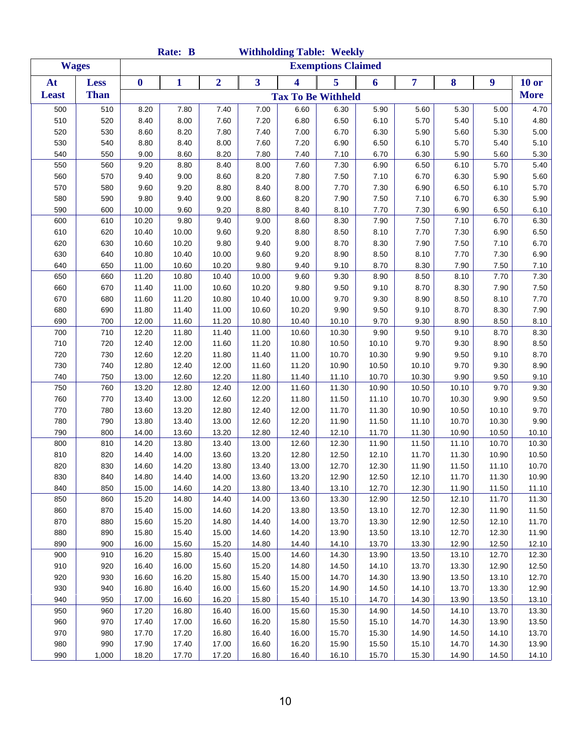|              |              |                  | Rate: B        |                |                | <b>Withholding Table: Weekly</b> |                           |                |                |                |                |                |
|--------------|--------------|------------------|----------------|----------------|----------------|----------------------------------|---------------------------|----------------|----------------|----------------|----------------|----------------|
|              | <b>Wages</b> |                  |                |                |                |                                  | <b>Exemptions Claimed</b> |                |                |                |                |                |
| At           | <b>Less</b>  | $\boldsymbol{0}$ | 1              | $\overline{2}$ | 3              | $\overline{\mathbf{4}}$          | 5                         | 6              | 7              | 8              | 9              | <b>10 or</b>   |
| <b>Least</b> | <b>Than</b>  |                  |                |                |                | <b>Tax To Be Withheld</b>        |                           |                |                |                |                | <b>More</b>    |
| 500          | 510          | 8.20             | 7.80           | 7.40           | 7.00           | 6.60                             | 6.30                      | 5.90           | 5.60           | 5.30           | 5.00           | 4.70           |
| 510          | 520          | 8.40             | 8.00           | 7.60           | 7.20           | 6.80                             | 6.50                      | 6.10           | 5.70           | 5.40           | 5.10           | 4.80           |
| 520          | 530          | 8.60             | 8.20           | 7.80           | 7.40           | 7.00                             | 6.70                      | 6.30           | 5.90           | 5.60           | 5.30           | 5.00           |
| 530          | 540          | 8.80             | 8.40           | 8.00           | 7.60           | 7.20                             | 6.90                      | 6.50           | 6.10           | 5.70           | 5.40           | 5.10           |
| 540          | 550          | 9.00             | 8.60           | 8.20           | 7.80           | 7.40                             | 7.10                      | 6.70           | 6.30           | 5.90           | 5.60           | 5.30           |
| 550          | 560          | 9.20             | 8.80           | 8.40           | 8.00           | 7.60                             | 7.30                      | 6.90           | 6.50           | 6.10           | 5.70           | 5.40           |
| 560          | 570          | 9.40             | 9.00           | 8.60           | 8.20           | 7.80                             | 7.50                      | 7.10           | 6.70           | 6.30           | 5.90           | 5.60           |
| 570          | 580          | 9.60             | 9.20           | 8.80           | 8.40           | 8.00                             | 7.70                      | 7.30           | 6.90           | 6.50           | 6.10           | 5.70           |
| 580          | 590          | 9.80             | 9.40           | 9.00           | 8.60           | 8.20                             | 7.90                      | 7.50           | 7.10           | 6.70           | 6.30           | 5.90           |
| 590          | 600          | 10.00            | 9.60           | 9.20           | 8.80           | 8.40                             | 8.10                      | 7.70           | 7.30           | 6.90           | 6.50           | 6.10           |
| 600          | 610          | 10.20            | 9.80           | 9.40           | 9.00           | 8.60                             | 8.30                      | 7.90           | 7.50           | 7.10           | 6.70           | 6.30           |
| 610          | 620          | 10.40            | 10.00          | 9.60           | 9.20           | 8.80                             | 8.50                      | 8.10           | 7.70           | 7.30           | 6.90           | 6.50           |
| 620          | 630          | 10.60            | 10.20          | 9.80           | 9.40           | 9.00                             | 8.70                      | 8.30           | 7.90           | 7.50           | 7.10           | 6.70           |
| 630          | 640          | 10.80            | 10.40          | 10.00          | 9.60           | 9.20                             | 8.90                      | 8.50           | 8.10           | 7.70           | 7.30           | 6.90           |
| 640          | 650          | 11.00            | 10.60          | 10.20          | 9.80           | 9.40                             | 9.10                      | 8.70           | 8.30           | 7.90           | 7.50           | 7.10           |
| 650          | 660          | 11.20            | 10.80          | 10.40          | 10.00          | 9.60                             | 9.30                      | 8.90           | 8.50           | 8.10           | 7.70           | 7.30           |
| 660          | 670          | 11.40            | 11.00          | 10.60          | 10.20          | 9.80                             | 9.50                      | 9.10           | 8.70           | 8.30           | 7.90           | 7.50           |
| 670          | 680          | 11.60            | 11.20          | 10.80          | 10.40          | 10.00                            | 9.70                      | 9.30           | 8.90           | 8.50           | 8.10           | 7.70           |
| 680          | 690          | 11.80            | 11.40          | 11.00          | 10.60          | 10.20                            | 9.90                      | 9.50           | 9.10           | 8.70           | 8.30           | 7.90           |
| 690          | 700          | 12.00            | 11.60          | 11.20          | 10.80          | 10.40                            | 10.10                     | 9.70           | 9.30           | 8.90           | 8.50           | 8.10           |
| 700          | 710          | 12.20            | 11.80          | 11.40          | 11.00          | 10.60                            | 10.30                     | 9.90           | 9.50           | 9.10           | 8.70           | 8.30           |
| 710          | 720          | 12.40            | 12.00          | 11.60          | 11.20          | 10.80                            | 10.50                     | 10.10          | 9.70           | 9.30           | 8.90           | 8.50           |
| 720          | 730          | 12.60            | 12.20          | 11.80          | 11.40          | 11.00                            | 10.70                     | 10.30          | 9.90           | 9.50           | 9.10           | 8.70           |
| 730          | 740          | 12.80            | 12.40          | 12.00          | 11.60          | 11.20                            | 10.90                     | 10.50          | 10.10          | 9.70           | 9.30           | 8.90           |
| 740          | 750          | 13.00            | 12.60          | 12.20          | 11.80          | 11.40                            | 11.10                     | 10.70          | 10.30          | 9.90           | 9.50           | 9.10           |
| 750          | 760          | 13.20            | 12.80          | 12.40          | 12.00          | 11.60                            | 11.30                     | 10.90          | 10.50          | 10.10          | 9.70           | 9.30           |
| 760          | 770          | 13.40            | 13.00          | 12.60          | 12.20          | 11.80                            | 11.50                     | 11.10          | 10.70          | 10.30          | 9.90           | 9.50           |
| 770          | 780          | 13.60            | 13.20          | 12.80          | 12.40          | 12.00                            | 11.70                     | 11.30          | 10.90          | 10.50          | 10.10          | 9.70           |
| 780          | 790          | 13.80            | 13.40          | 13.00          | 12.60          | 12.20                            | 11.90                     | 11.50          | 11.10          | 10.70          | 10.30          | 9.90           |
| 790          | 800          | 14.00            | 13.60          | 13.20          | 12.80          | 12.40                            | 12.10                     | 11.70          | 11.30          | 10.90          | 10.50          | 10.10          |
| 800          | 810          | 14.20            | 13.80          | 13.40          | 13.00          | 12.60                            | 12.30                     | 11.90          | 11.50          | 11.10          | 10.70          | 10.30          |
| 810          | 820          | 14.40            | 14.00          | 13.60          | 13.20          | 12.80                            | 12.50                     | 12.10          | 11.70          | 11.30          | 10.90          | 10.50          |
| 820          | 830          | 14.60            | 14.20          | 13.80          | 13.40          | 13.00                            | 12.70                     | 12.30          | 11.90          | 11.50          | 11.10          | 10.70          |
| 830          | 840          | 14.80            | 14.40          | 14.00          | 13.60          | 13.20                            | 12.90                     | 12.50          | 12.10          | 11.70          | 11.30          | 10.90          |
| 840          | 850          | 15.00            | 14.60          | 14.20          | 13.80          | 13.40                            | 13.10                     | 12.70          | 12.30          | 11.90          | 11.50          | 11.10          |
| 850          | 860          | 15.20            | 14.80          | 14.40          | 14.00          | 13.60                            | 13.30                     | 12.90          | 12.50          | 12.10          | 11.70          | 11.30          |
| 860          | 870          | 15.40            | 15.00          | 14.60          | 14.20          | 13.80                            | 13.50                     | 13.10          | 12.70          | 12.30          | 11.90          | 11.50          |
| 870          | 880          | 15.60            | 15.20          | 14.80          | 14.40          | 14.00                            | 13.70                     | 13.30          | 12.90          | 12.50          | 12.10          | 11.70          |
| 880          | 890          | 15.80            | 15.40          | 15.00          | 14.60          | 14.20                            | 13.90                     | 13.50          | 13.10          | 12.70          | 12.30          | 11.90          |
| 890          | 900          | 16.00            | 15.60          | 15.20          | 14.80          | 14.40                            | 14.10                     | 13.70          | 13.30          | 12.90          | 12.50          | 12.10          |
| 900          | 910          | 16.20            | 15.80          | 15.40          | 15.00          | 14.60                            | 14.30                     | 13.90          | 13.50          | 13.10          | 12.70          | 12.30          |
| 910          | 920          | 16.40            | 16.00          | 15.60          | 15.20          | 14.80                            | 14.50                     | 14.10          | 13.70          | 13.30          | 12.90          | 12.50          |
| 920          | 930          | 16.60            | 16.20          | 15.80          | 15.40          | 15.00                            | 14.70                     | 14.30          | 13.90          | 13.50          | 13.10          | 12.70          |
| 930          | 940          | 16.80            | 16.40          | 16.00          | 15.60          | 15.20                            | 14.90                     | 14.50          | 14.10          | 13.70          | 13.30          | 12.90          |
| 940          | 950          | 17.00            | 16.60          | 16.20          | 15.80          | 15.40                            | 15.10                     | 14.70          | 14.30          | 13.90          | 13.50          | 13.10          |
| 950<br>960   | 960<br>970   | 17.20            | 16.80<br>17.00 | 16.40          | 16.00<br>16.20 | 15.60                            | 15.30                     | 14.90          | 14.50<br>14.70 | 14.10          | 13.70<br>13.90 | 13.30          |
| 970          | 980          | 17.40<br>17.70   | 17.20          | 16.60<br>16.80 | 16.40          | 15.80<br>16.00                   | 15.50<br>15.70            | 15.10<br>15.30 | 14.90          | 14.30<br>14.50 | 14.10          | 13.50<br>13.70 |
| 980          | 990          | 17.90            | 17.40          | 17.00          | 16.60          | 16.20                            | 15.90                     | 15.50          | 15.10          | 14.70          | 14.30          | 13.90          |
| 990          | 1,000        | 18.20            | 17.70          | 17.20          | 16.80          | 16.40                            | 16.10                     | 15.70          | 15.30          | 14.90          | 14.50          | 14.10          |
|              |              |                  |                |                |                |                                  |                           |                |                |                |                |                |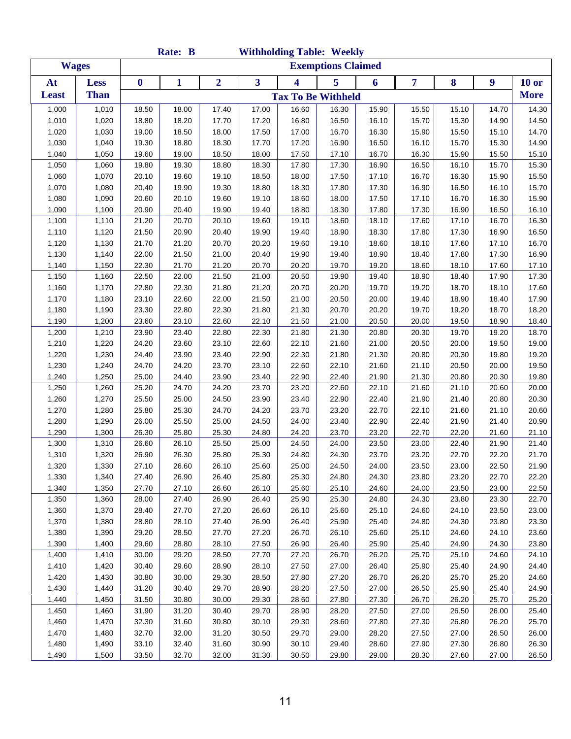|                |                |                  | Rate: B        |                |                | <b>Withholding Table: Weekly</b> |                           |                |                |                |                |                |
|----------------|----------------|------------------|----------------|----------------|----------------|----------------------------------|---------------------------|----------------|----------------|----------------|----------------|----------------|
|                | <b>Wages</b>   |                  |                |                |                |                                  | <b>Exemptions Claimed</b> |                |                |                |                |                |
| At             | <b>Less</b>    | $\boldsymbol{0}$ | $\mathbf{1}$   | $\overline{2}$ | 3              | 4                                | 5                         | 6              | 7              | 8              | 9              | $10$ or        |
| <b>Least</b>   | <b>Than</b>    |                  |                |                |                | <b>Tax To Be Withheld</b>        |                           |                |                |                |                | <b>More</b>    |
| 1,000          | 1,010          | 18.50            | 18.00          | 17.40          | 17.00          | 16.60                            | 16.30                     | 15.90          | 15.50          | 15.10          | 14.70          | 14.30          |
| 1,010          | 1,020          | 18.80            | 18.20          | 17.70          | 17.20          | 16.80                            | 16.50                     | 16.10          | 15.70          | 15.30          | 14.90          | 14.50          |
| 1,020          | 1,030          | 19.00            | 18.50          | 18.00          | 17.50          | 17.00                            | 16.70                     | 16.30          | 15.90          | 15.50          | 15.10          | 14.70          |
| 1,030          | 1,040          | 19.30            | 18.80          | 18.30          | 17.70          | 17.20                            | 16.90                     | 16.50          | 16.10          | 15.70          | 15.30          | 14.90          |
| 1,040          | 1,050          | 19.60            | 19.00          | 18.50          | 18.00          | 17.50                            | 17.10                     | 16.70          | 16.30          | 15.90          | 15.50          | 15.10          |
| 1,050          | 1,060          | 19.80            | 19.30          | 18.80          | 18.30          | 17.80                            | 17.30                     | 16.90          | 16.50          | 16.10          | 15.70          | 15.30          |
| 1,060          | 1,070          | 20.10            | 19.60          | 19.10          | 18.50          | 18.00                            | 17.50                     | 17.10          | 16.70          | 16.30          | 15.90          | 15.50          |
| 1,070          | 1,080          | 20.40            | 19.90          | 19.30          | 18.80          | 18.30                            | 17.80                     | 17.30          | 16.90          | 16.50          | 16.10          | 15.70          |
| 1,080          | 1,090          | 20.60            | 20.10          | 19.60          | 19.10          | 18.60                            | 18.00                     | 17.50          | 17.10          | 16.70          | 16.30          | 15.90          |
| 1,090          | 1,100          | 20.90            | 20.40          | 19.90          | 19.40          | 18.80                            | 18.30                     | 17.80          | 17.30          | 16.90          | 16.50          | 16.10          |
| 1,100          | 1,110          | 21.20            | 20.70          | 20.10          | 19.60          | 19.10                            | 18.60                     | 18.10          | 17.60          | 17.10          | 16.70          | 16.30          |
| 1,110          | 1,120          | 21.50            | 20.90          | 20.40          | 19.90          | 19.40                            | 18.90                     | 18.30          | 17.80          | 17.30          | 16.90          | 16.50          |
| 1,120          | 1,130          | 21.70            | 21.20          | 20.70          | 20.20          | 19.60                            | 19.10                     | 18.60          | 18.10          | 17.60          | 17.10          | 16.70          |
| 1,130          | 1,140          | 22.00            | 21.50          | 21.00          | 20.40          | 19.90                            | 19.40                     | 18.90          | 18.40          | 17.80          | 17.30          | 16.90          |
| 1,140          | 1,150          | 22.30            | 21.70          | 21.20          | 20.70          | 20.20                            | 19.70                     | 19.20          | 18.60          | 18.10          | 17.60          | 17.10          |
| 1,150          | 1,160          | 22.50            | 22.00          | 21.50          | 21.00          | 20.50                            | 19.90                     | 19.40          | 18.90          | 18.40          | 17.90          | 17.30          |
| 1,160          | 1,170          | 22.80            | 22.30          | 21.80          | 21.20          | 20.70                            | 20.20                     | 19.70          | 19.20          | 18.70          | 18.10          | 17.60          |
| 1,170          | 1,180          | 23.10            | 22.60          | 22.00          | 21.50          | 21.00                            | 20.50                     | 20.00          | 19.40          | 18.90          | 18.40          | 17.90          |
| 1,180          | 1,190          | 23.30            | 22.80          | 22.30          | 21.80          | 21.30                            | 20.70                     | 20.20          | 19.70          | 19.20          | 18.70          | 18.20          |
| 1,190          | 1,200          | 23.60            | 23.10          | 22.60          | 22.10          | 21.50                            | 21.00                     | 20.50          | 20.00          | 19.50          | 18.90          | 18.40          |
| 1,200          | 1,210          | 23.90            | 23.40          | 22.80          | 22.30          | 21.80                            | 21.30                     | 20.80          | 20.30          | 19.70          | 19.20          | 18.70          |
| 1,210          | 1,220          | 24.20            | 23.60          | 23.10          | 22.60          | 22.10                            | 21.60                     | 21.00          | 20.50          | 20.00          | 19.50          | 19.00          |
| 1,220          | 1,230          | 24.40            | 23.90          | 23.40          | 22.90          | 22.30                            | 21.80                     | 21.30          | 20.80          | 20.30          | 19.80          | 19.20          |
| 1,230          | 1,240          | 24.70            | 24.20          | 23.70          | 23.10          | 22.60                            | 22.10                     | 21.60          | 21.10          | 20.50          | 20.00          | 19.50          |
| 1,240          | 1,250          | 25.00            | 24.40          | 23.90          | 23.40          | 22.90                            | 22.40                     | 21.90          | 21.30          | 20.80          | 20.30          | 19.80          |
| 1,250          | 1,260          | 25.20            | 24.70          | 24.20          | 23.70          | 23.20                            | 22.60                     | 22.10          | 21.60          | 21.10          | 20.60          | 20.00          |
| 1,260          | 1,270          | 25.50            | 25.00          | 24.50          | 23.90          | 23.40                            | 22.90                     | 22.40          | 21.90          | 21.40          | 20.80          | 20.30          |
| 1,270          | 1,280          | 25.80            | 25.30          | 24.70          | 24.20          | 23.70                            | 23.20                     | 22.70          | 22.10          | 21.60          | 21.10          | 20.60          |
| 1,280          | 1,290          | 26.00            | 25.50          | 25.00          | 24.50          | 24.00                            | 23.40                     | 22.90          | 22.40          | 21.90          | 21.40          | 20.90          |
| 1,290          | 1,300          | 26.30            | 25.80          | 25.30          | 24.80          | 24.20                            | 23.70                     | 23.20          | 22.70          | 22.20          | 21.60          | 21.10          |
| 1,300          | 1,310          | 26.60            | 26.10          | 25.50          | 25.00          | 24.50                            | 24.00                     | 23.50          | 23.00          | 22.40          | 21.90          | 21.40          |
| 1,310          | 1,320          | 26.90            | 26.30          | 25.80          | 25.30          | 24.80                            | 24.30                     | 23.70          | 23.20          | 22.70          | 22.20          | 21.70          |
| 1,320          | 1,330          | 27.10            | 26.60          | 26.10          | 25.60          | 25.00                            | 24.50                     | 24.00          | 23.50          | 23.00          | 22.50          | 21.90          |
| 1,330          | 1,340          | 27.40            | 26.90          | 26.40          | 25.80          | 25.30                            | 24.80                     | 24.30          | 23.80          | 23.20          | 22.70          | 22.20          |
| 1,340          | 1,350          | 27.70            | 27.10          | 26.60<br>26.90 | 26.10          | 25.60                            | 25.10                     | 24.60          | 24.00          | 23.50<br>23.80 | 23.00          | 22.50<br>22.70 |
| 1,350<br>1,360 | 1,360<br>1,370 | 28.00<br>28.40   | 27.40<br>27.70 | 27.20          | 26.40<br>26.60 | 25.90<br>26.10                   | 25.30<br>25.60            | 24.80<br>25.10 | 24.30<br>24.60 | 24.10          | 23.30<br>23.50 | 23.00          |
| 1,370          | 1,380          | 28.80            | 28.10          | 27.40          | 26.90          | 26.40                            | 25.90                     | 25.40          | 24.80          | 24.30          | 23.80          | 23.30          |
| 1,380          | 1,390          | 29.20            | 28.50          | 27.70          | 27.20          | 26.70                            | 26.10                     | 25.60          | 25.10          | 24.60          | 24.10          | 23.60          |
| 1,390          | 1,400          | 29.60            | 28.80          | 28.10          | 27.50          | 26.90                            | 26.40                     | 25.90          | 25.40          | 24.90          | 24.30          | 23.80          |
| 1,400          | 1,410          | 30.00            | 29.20          | 28.50          | 27.70          | 27.20                            | 26.70                     | 26.20          | 25.70          | 25.10          | 24.60          | 24.10          |
| 1,410          | 1,420          | 30.40            | 29.60          | 28.90          | 28.10          | 27.50                            | 27.00                     | 26.40          | 25.90          | 25.40          | 24.90          | 24.40          |
| 1,420          | 1,430          | 30.80            | 30.00          | 29.30          | 28.50          | 27.80                            | 27.20                     | 26.70          | 26.20          | 25.70          | 25.20          | 24.60          |
| 1,430          | 1,440          | 31.20            | 30.40          | 29.70          | 28.90          | 28.20                            | 27.50                     | 27.00          | 26.50          | 25.90          | 25.40          | 24.90          |
| 1,440          | 1,450          | 31.50            | 30.80          | 30.00          | 29.30          | 28.60                            | 27.80                     | 27.30          | 26.70          | 26.20          | 25.70          | 25.20          |
| 1,450          | 1,460          | 31.90            | 31.20          | 30.40          | 29.70          | 28.90                            | 28.20                     | 27.50          | 27.00          | 26.50          | 26.00          | 25.40          |
| 1,460          | 1,470          | 32.30            | 31.60          | 30.80          | 30.10          | 29.30                            | 28.60                     | 27.80          | 27.30          | 26.80          | 26.20          | 25.70          |
| 1,470          | 1,480          | 32.70            | 32.00          | 31.20          | 30.50          | 29.70                            | 29.00                     | 28.20          | 27.50          | 27.00          | 26.50          | 26.00          |
| 1,480          | 1,490          | 33.10            | 32.40          | 31.60          | 30.90          | 30.10                            | 29.40                     | 28.60          | 27.90          | 27.30          | 26.80          | 26.30          |
| 1,490          | 1,500          | 33.50            | 32.70          | 32.00          | 31.30          | 30.50                            | 29.80                     | 29.00          | 28.30          | 27.60          | 27.00          | 26.50          |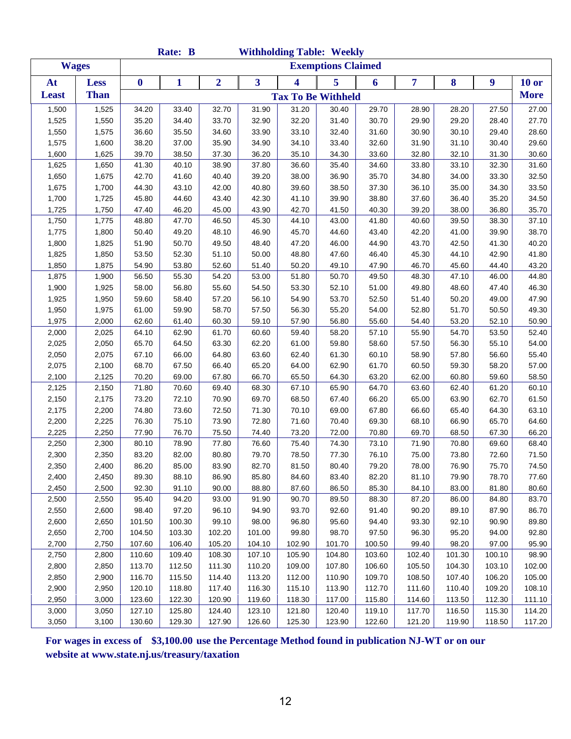|              |              |                  | Rate: B |                |        |        | <b>Withholding Table: Weekly</b> |        |        |        |                  |              |
|--------------|--------------|------------------|---------|----------------|--------|--------|----------------------------------|--------|--------|--------|------------------|--------------|
|              | <b>Wages</b> |                  |         |                |        |        | <b>Exemptions Claimed</b>        |        |        |        |                  |              |
| At           | <b>Less</b>  | $\boldsymbol{0}$ | 1       | $\overline{2}$ | 3      | 4      | 5                                | 6      | 7      | 8      | $\boldsymbol{9}$ | <b>10 or</b> |
| <b>Least</b> | <b>Than</b>  |                  |         |                |        |        | <b>Tax To Be Withheld</b>        |        |        |        |                  | <b>More</b>  |
| 1,500        | 1,525        | 34.20            | 33.40   | 32.70          | 31.90  | 31.20  | 30.40                            | 29.70  | 28.90  | 28.20  | 27.50            | 27.00        |
| 1,525        | 1,550        | 35.20            | 34.40   | 33.70          | 32.90  | 32.20  | 31.40                            | 30.70  | 29.90  | 29.20  | 28.40            | 27.70        |
| 1,550        | 1,575        | 36.60            | 35.50   | 34.60          | 33.90  | 33.10  | 32.40                            | 31.60  | 30.90  | 30.10  | 29.40            | 28.60        |
| 1,575        | 1,600        | 38.20            | 37.00   | 35.90          | 34.90  | 34.10  | 33.40                            | 32.60  | 31.90  | 31.10  | 30.40            | 29.60        |
| 1,600        | 1,625        | 39.70            | 38.50   | 37.30          | 36.20  | 35.10  | 34.30                            | 33.60  | 32.80  | 32.10  | 31.30            | 30.60        |
| 1,625        | 1,650        | 41.30            | 40.10   | 38.90          | 37.80  | 36.60  | 35.40                            | 34.60  | 33.80  | 33.10  | 32.30            | 31.60        |
| 1,650        | 1,675        | 42.70            | 41.60   | 40.40          | 39.20  | 38.00  | 36.90                            | 35.70  | 34.80  | 34.00  | 33.30            | 32.50        |
| 1,675        | 1,700        | 44.30            | 43.10   | 42.00          | 40.80  | 39.60  | 38.50                            | 37.30  | 36.10  | 35.00  | 34.30            | 33.50        |
| 1,700        | 1,725        | 45.80            | 44.60   | 43.40          | 42.30  | 41.10  | 39.90                            | 38.80  | 37.60  | 36.40  | 35.20            | 34.50        |
| 1,725        | 1,750        | 47.40            | 46.20   | 45.00          | 43.90  | 42.70  | 41.50                            | 40.30  | 39.20  | 38.00  | 36.80            | 35.70        |
| 1,750        | 1,775        | 48.80            | 47.70   | 46.50          | 45.30  | 44.10  | 43.00                            | 41.80  | 40.60  | 39.50  | 38.30            | 37.10        |
| 1,775        | 1,800        | 50.40            | 49.20   | 48.10          | 46.90  | 45.70  | 44.60                            | 43.40  | 42.20  | 41.00  | 39.90            | 38.70        |
| 1,800        | 1,825        | 51.90            | 50.70   | 49.50          | 48.40  | 47.20  | 46.00                            | 44.90  | 43.70  | 42.50  | 41.30            | 40.20        |
| 1,825        | 1,850        | 53.50            | 52.30   | 51.10          | 50.00  | 48.80  | 47.60                            | 46.40  | 45.30  | 44.10  | 42.90            | 41.80        |
| 1,850        | 1,875        | 54.90            | 53.80   | 52.60          | 51.40  | 50.20  | 49.10                            | 47.90  | 46.70  | 45.60  | 44.40            | 43.20        |
| 1,875        | 1,900        | 56.50            | 55.30   | 54.20          | 53.00  | 51.80  | 50.70                            | 49.50  | 48.30  | 47.10  | 46.00            | 44.80        |
| 1,900        | 1,925        | 58.00            | 56.80   | 55.60          | 54.50  | 53.30  | 52.10                            | 51.00  | 49.80  | 48.60  | 47.40            | 46.30        |
| 1,925        | 1,950        | 59.60            | 58.40   | 57.20          | 56.10  | 54.90  | 53.70                            | 52.50  | 51.40  | 50.20  | 49.00            | 47.90        |
| 1,950        | 1,975        | 61.00            | 59.90   | 58.70          | 57.50  | 56.30  | 55.20                            | 54.00  | 52.80  | 51.70  | 50.50            | 49.30        |
| 1,975        | 2,000        | 62.60            | 61.40   | 60.30          | 59.10  | 57.90  | 56.80                            | 55.60  | 54.40  | 53.20  | 52.10            | 50.90        |
| 2,000        | 2,025        | 64.10            | 62.90   | 61.70          | 60.60  | 59.40  | 58.20                            | 57.10  | 55.90  | 54.70  | 53.50            | 52.40        |
| 2,025        | 2,050        | 65.70            | 64.50   | 63.30          | 62.20  | 61.00  | 59.80                            | 58.60  | 57.50  | 56.30  | 55.10            | 54.00        |
| 2,050        | 2,075        | 67.10            | 66.00   | 64.80          | 63.60  | 62.40  | 61.30                            | 60.10  | 58.90  | 57.80  | 56.60            | 55.40        |
| 2,075        | 2,100        | 68.70            | 67.50   | 66.40          | 65.20  | 64.00  | 62.90                            | 61.70  | 60.50  | 59.30  | 58.20            | 57.00        |
| 2,100        | 2,125        | 70.20            | 69.00   | 67.80          | 66.70  | 65.50  | 64.30                            | 63.20  | 62.00  | 60.80  | 59.60            | 58.50        |
| 2,125        | 2,150        | 71.80            | 70.60   | 69.40          | 68.30  | 67.10  | 65.90                            | 64.70  | 63.60  | 62.40  | 61.20            | 60.10        |
| 2,150        | 2,175        | 73.20            | 72.10   | 70.90          | 69.70  | 68.50  | 67.40                            | 66.20  | 65.00  | 63.90  | 62.70            | 61.50        |
| 2,175        | 2,200        | 74.80            | 73.60   | 72.50          | 71.30  | 70.10  | 69.00                            | 67.80  | 66.60  | 65.40  | 64.30            | 63.10        |
| 2,200        | 2,225        | 76.30            | 75.10   | 73.90          | 72.80  | 71.60  | 70.40                            | 69.30  | 68.10  | 66.90  | 65.70            | 64.60        |
| 2,225        | 2,250        | 77.90            | 76.70   | 75.50          | 74.40  | 73.20  | 72.00                            | 70.80  | 69.70  | 68.50  | 67.30            | 66.20        |
| 2,250        | 2,300        | 80.10            | 78.90   | 77.80          | 76.60  | 75.40  | 74.30                            | 73.10  | 71.90  | 70.80  | 69.60            | 68.40        |
| 2,300        | 2,350        | 83.20            | 82.00   | 80.80          | 79.70  | 78.50  | 77.30                            | 76.10  | 75.00  | 73.80  | 72.60            | 71.50        |
| 2,350        | 2,400        | 86.20            | 85.00   | 83.90          | 82.70  | 81.50  | 80.40                            | 79.20  | 78.00  | 76.90  | 75.70            | 74.50        |
| 2,400        | 2,450        | 89.30            | 88.10   | 86.90          | 85.80  | 84.60  | 83.40                            | 82.20  | 81.10  | 79.90  | 78.70            | 77.60        |
| 2,450        | 2,500        | 92.30            | 91.10   | 90.00          | 88.80  | 87.60  | 86.50                            | 85.30  | 84.10  | 83.00  | 81.80            | 80.60        |
| 2,500        | 2,550        | 95.40            | 94.20   | 93.00          | 91.90  | 90.70  | 89.50                            | 88.30  | 87.20  | 86.00  | 84.80            | 83.70        |
| 2,550        | 2,600        | 98.40            | 97.20   | 96.10          | 94.90  | 93.70  | 92.60                            | 91.40  | 90.20  | 89.10  | 87.90            | 86.70        |
| 2,600        | 2,650        | 101.50           | 100.30  | 99.10          | 98.00  | 96.80  | 95.60                            | 94.40  | 93.30  | 92.10  | 90.90            | 89.80        |
| 2,650        | 2,700        | 104.50           | 103.30  | 102.20         | 101.00 | 99.80  | 98.70                            | 97.50  | 96.30  | 95.20  | 94.00            | 92.80        |
| 2,700        | 2,750        | 107.60           | 106.40  | 105.20         | 104.10 | 102.90 | 101.70                           | 100.50 | 99.40  | 98.20  | 97.00            | 95.90        |
| 2,750        | 2,800        | 110.60           | 109.40  | 108.30         | 107.10 | 105.90 | 104.80                           | 103.60 | 102.40 | 101.30 | 100.10           | 98.90        |
| 2,800        | 2,850        | 113.70           | 112.50  | 111.30         | 110.20 | 109.00 | 107.80                           | 106.60 | 105.50 | 104.30 | 103.10           | 102.00       |
| 2,850        | 2,900        | 116.70           | 115.50  | 114.40         | 113.20 | 112.00 | 110.90                           | 109.70 | 108.50 | 107.40 | 106.20           | 105.00       |
| 2,900        | 2,950        | 120.10           | 118.80  | 117.40         | 116.30 | 115.10 | 113.90                           | 112.70 | 111.60 | 110.40 | 109.20           | 108.10       |
| 2,950        | 3,000        | 123.60           | 122.30  | 120.90         | 119.60 | 118.30 | 117.00                           | 115.80 | 114.60 | 113.50 | 112.30           | 111.10       |
| 3,000        | 3,050        | 127.10           | 125.80  | 124.40         | 123.10 | 121.80 | 120.40                           | 119.10 | 117.70 | 116.50 | 115.30           | 114.20       |
| 3,050        | 3,100        | 130.60           | 129.30  | 127.90         | 126.60 | 125.30 | 123.90                           | 122.60 | 121.20 | 119.90 | 118.50           | 117.20       |

**For wages in excess of \$3,100.00 use the Percentage Method found in publication NJ-WT or on our website at www.state.nj.us/treasury/taxation**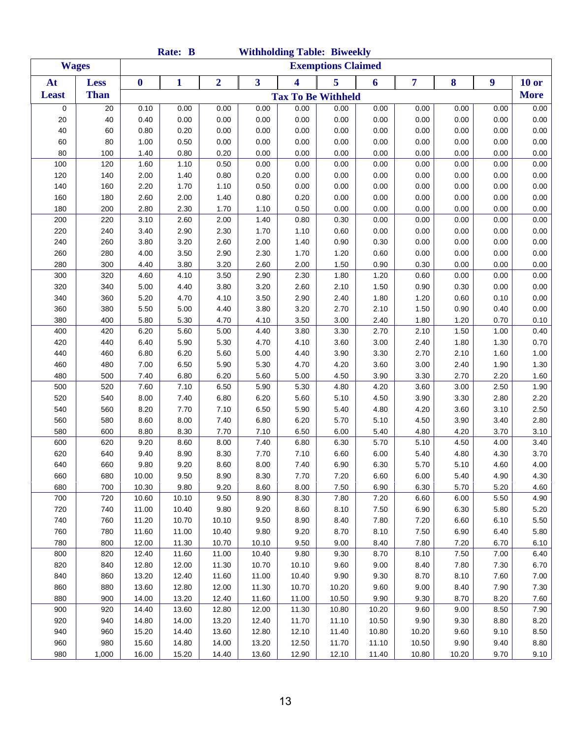|              |              |                | Rate: B        |                |                | <b>Withholding Table: Biweekly</b> |                           |                |              |              |              |              |
|--------------|--------------|----------------|----------------|----------------|----------------|------------------------------------|---------------------------|----------------|--------------|--------------|--------------|--------------|
|              | <b>Wages</b> |                |                |                |                |                                    | <b>Exemptions Claimed</b> |                |              |              |              |              |
| At           | <b>Less</b>  | $\bf{0}$       | $\mathbf{1}$   | $\overline{2}$ | 3              | $\overline{\mathbf{4}}$            | 5                         | 6              | 7            | 8            | 9            | <b>10 or</b> |
| <b>Least</b> | <b>Than</b>  |                |                |                |                | <b>Tax To Be Withheld</b>          |                           |                |              |              |              | <b>More</b>  |
| 0            | 20           | 0.10           | 0.00           | 0.00           | 0.00           | 0.00                               | 0.00                      | 0.00           | 0.00         | 0.00         | 0.00         | 0.00         |
| 20           | 40           | 0.40           | 0.00           | 0.00           | 0.00           | 0.00                               | 0.00                      | 0.00           | 0.00         | 0.00         | 0.00         | 0.00         |
| 40           | 60           | 0.80           | 0.20           | 0.00           | 0.00           | 0.00                               | 0.00                      | 0.00           | 0.00         | 0.00         | 0.00         | 0.00         |
| 60           | 80           | 1.00           | 0.50           | 0.00           | 0.00           | 0.00                               | 0.00                      | 0.00           | 0.00         | 0.00         | 0.00         | 0.00         |
| 80           | 100          | 1.40           | 0.80           | 0.20           | 0.00           | 0.00                               | 0.00                      | 0.00           | 0.00         | 0.00         | 0.00         | 0.00         |
| 100          | 120          | 1.60           | 1.10           | 0.50           | 0.00           | 0.00                               | 0.00                      | 0.00           | 0.00         | 0.00         | 0.00         | 0.00         |
| 120          | 140          | 2.00           | 1.40           | 0.80           | 0.20           | 0.00                               | 0.00                      | 0.00           | 0.00         | 0.00         | 0.00         | 0.00         |
| 140          | 160          | 2.20           | 1.70           | 1.10           | 0.50           | 0.00                               | 0.00                      | 0.00           | 0.00         | 0.00         | 0.00         | 0.00         |
| 160          | 180          | 2.60           | 2.00           | 1.40           | 0.80           | 0.20                               | 0.00                      | 0.00           | 0.00         | 0.00         | 0.00         | 0.00         |
| 180          | 200          | 2.80           | 2.30           | 1.70           | 1.10           | 0.50                               | 0.00                      | 0.00           | 0.00         | 0.00         | 0.00         | 0.00         |
| 200          | 220          | 3.10           | 2.60           | 2.00           | 1.40           | 0.80                               | 0.30                      | 0.00           | 0.00         | 0.00         | 0.00         | 0.00         |
| 220          | 240          | 3.40           | 2.90           | 2.30           | 1.70           | 1.10                               | 0.60                      | 0.00           | 0.00         | 0.00         | 0.00         | 0.00         |
| 240          | 260          | 3.80           | 3.20           | 2.60           | 2.00           | 1.40                               | 0.90                      | 0.30           | 0.00         | 0.00         | 0.00         | 0.00         |
| 260          | 280          | 4.00           | 3.50           | 2.90           | 2.30           | 1.70                               | 1.20                      | 0.60           | 0.00         | 0.00         | 0.00         | 0.00         |
| 280          | 300          | 4.40           | 3.80           | 3.20           | 2.60           | 2.00                               | 1.50                      | 0.90           | 0.30         | 0.00         | 0.00         | 0.00         |
| 300          | 320          | 4.60           | 4.10           | 3.50           | 2.90           | 2.30                               | 1.80                      | 1.20           | 0.60         | 0.00         | 0.00         | 0.00         |
| 320          | 340          | 5.00           | 4.40           | 3.80           | 3.20           | 2.60                               | 2.10                      | 1.50           | 0.90         | 0.30         | 0.00         | 0.00         |
| 340          | 360          | 5.20           | 4.70           | 4.10           | 3.50           | 2.90                               | 2.40                      | 1.80           | 1.20         | 0.60         | 0.10         | 0.00         |
| 360          | 380          | 5.50           | 5.00           | 4.40           | 3.80           | 3.20                               | 2.70                      | 2.10           | 1.50         | 0.90         | 0.40         | 0.00         |
| 380          | 400          | 5.80           | 5.30           | 4.70           | 4.10           | 3.50                               | 3.00                      | 2.40           | 1.80         | 1.20         | 0.70         | 0.10         |
| 400          | 420          | 6.20           | 5.60           | 5.00           | 4.40           | 3.80                               | 3.30                      | 2.70           | 2.10         | 1.50         | 1.00         | 0.40         |
| 420          | 440          | 6.40           | 5.90           | 5.30           | 4.70           | 4.10                               | 3.60                      | 3.00           | 2.40         | 1.80         | 1.30         | 0.70         |
| 440          | 460          | 6.80           | 6.20           | 5.60           | 5.00           | 4.40                               | 3.90                      | 3.30           | 2.70         | 2.10         | 1.60         | 1.00         |
| 460          | 480          | 7.00           | 6.50           | 5.90           | 5.30           | 4.70                               | 4.20                      | 3.60           | 3.00         | 2.40         | 1.90         | 1.30         |
| 480          | 500          | 7.40           | 6.80           | 6.20           | 5.60           | 5.00                               | 4.50                      | 3.90           | 3.30         | 2.70         | 2.20         | 1.60         |
| 500          | 520          | 7.60           | 7.10           | 6.50           | 5.90           | 5.30                               | 4.80                      | 4.20           | 3.60         | 3.00         | 2.50         | 1.90         |
| 520          | 540          | 8.00           | 7.40           | 6.80           | 6.20           | 5.60                               | 5.10                      | 4.50           | 3.90         | 3.30         | 2.80         | 2.20         |
| 540          | 560          | 8.20           | 7.70           | 7.10           | 6.50           | 5.90                               | 5.40                      | 4.80           | 4.20         | 3.60         | 3.10         | 2.50         |
| 560          | 580          | 8.60           | 8.00           | 7.40           | 6.80           | 6.20                               | 5.70                      | 5.10           | 4.50         | 3.90         | 3.40         | 2.80         |
| 580          | 600          | 8.80           | 8.30           | 7.70           | 7.10           | 6.50                               | 6.00                      | 5.40           | 4.80         | 4.20         | 3.70         | 3.10         |
| 600          | 620          | 9.20           | 8.60           | 8.00           | 7.40           | 6.80                               | 6.30                      | 5.70           | 5.10         | 4.50         | 4.00         | 3.40         |
| 620          | 640          | 9.40           | 8.90           | 8.30           | 7.70           | 7.10                               | 6.60                      | 6.00           | 5.40         | 4.80         | 4.30         | 3.70         |
| 640          | 660          | 9.80           | 9.20           | 8.60           | 8.00           | 7.40                               | 6.90                      | 6.30           | 5.70         | 5.10         | 4.60         | 4.00         |
| 660          | 680          | 10.00          | 9.50           | 8.90           | 8.30           | 7.70                               | 7.20                      | 6.60           | 6.00         | 5.40         | 4.90         | 4.30         |
| 680          | 700          | 10.30          | 9.80           | 9.20           | 8.60           | 8.00                               | 7.50                      | 6.90           | 6.30         | 5.70         | 5.20         | 4.60         |
| 700          | 720          | 10.60          | 10.10          | 9.50           | 8.90           | 8.30                               | 7.80                      | 7.20           | 6.60         | 6.00         | 5.50         | 4.90         |
| 720          | 740          | 11.00          | 10.40          | 9.80           | 9.20           | 8.60                               | 8.10                      | 7.50           | 6.90         | 6.30         | 5.80         | 5.20         |
| 740          | 760          | 11.20          | 10.70          | 10.10          | 9.50           | 8.90                               | 8.40                      | 7.80           | 7.20         | 6.60         | 6.10         | 5.50         |
| 760          | 780          | 11.60          | 11.00          | 10.40          | 9.80           | 9.20                               | 8.70                      | 8.10           | 7.50         | 6.90         | 6.40         | 5.80         |
| 780          | 800          | 12.00          | 11.30          | 10.70          | 10.10          | 9.50                               | 9.00                      | 8.40           | 7.80         | 7.20         | 6.70         | 6.10         |
| 800          | 820          | 12.40          | 11.60          | 11.00          | 10.40          | 9.80                               | 9.30                      | 8.70           | 8.10         | 7.50         | 7.00         | 6.40         |
| 820          | 840          | 12.80          | 12.00          | 11.30          | 10.70          | 10.10                              | 9.60                      | 9.00           | 8.40         | 7.80         | 7.30         | 6.70         |
| 840          | 860          | 13.20          | 12.40          | 11.60          | 11.00          | 10.40                              | 9.90                      | 9.30           | 8.70         | 8.10         | 7.60         | 7.00         |
| 860<br>880   | 880<br>900   | 13.60<br>14.00 | 12.80<br>13.20 | 12.00<br>12.40 | 11.30<br>11.60 | 10.70<br>11.00                     | 10.20                     | 9.60<br>9.90   | 9.00<br>9.30 | 8.40<br>8.70 | 7.90<br>8.20 | 7.30<br>7.60 |
| 900          | 920          |                |                | 12.80          | 12.00          |                                    | 10.50                     |                |              |              | 8.50         | 7.90         |
| 920          | 940          | 14.40<br>14.80 | 13.60<br>14.00 | 13.20          | 12.40          | 11.30<br>11.70                     | 10.80<br>11.10            | 10.20<br>10.50 | 9.60<br>9.90 | 9.00<br>9.30 | 8.80         | 8.20         |
| 940          | 960          | 15.20          | 14.40          | 13.60          | 12.80          | 12.10                              | 11.40                     | 10.80          | 10.20        | 9.60         | 9.10         | 8.50         |
| 960          | 980          | 15.60          | 14.80          | 14.00          | 13.20          | 12.50                              | 11.70                     | 11.10          | 10.50        | 9.90         | 9.40         | 8.80         |
| 980          | 1,000        | 16.00          | 15.20          | 14.40          | 13.60          | 12.90                              | 12.10                     | 11.40          | 10.80        | 10.20        | 9.70         | 9.10         |
|              |              |                |                |                |                |                                    |                           |                |              |              |              |              |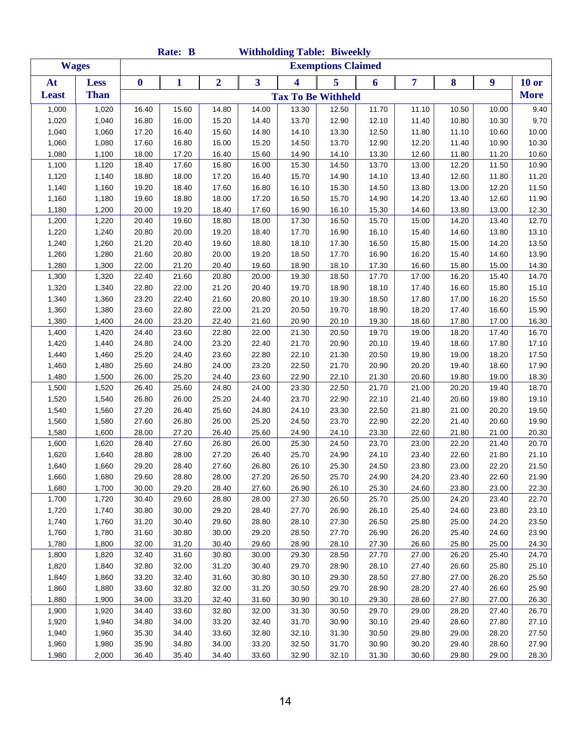|              |              |                  | Rate: B      |                |       | <b>Withholding Table: Biweekly</b> |                           |       |       |       |       |             |
|--------------|--------------|------------------|--------------|----------------|-------|------------------------------------|---------------------------|-------|-------|-------|-------|-------------|
|              | <b>Wages</b> |                  |              |                |       |                                    | <b>Exemptions Claimed</b> |       |       |       |       |             |
| At           | <b>Less</b>  | $\boldsymbol{0}$ | $\mathbf{1}$ | $\overline{2}$ | 3     | 4                                  | 5                         | 6     | 7     | 8     | 9     | $10$ or     |
| <b>Least</b> | <b>Than</b>  |                  |              |                |       | <b>Tax To Be Withheld</b>          |                           |       |       |       |       | <b>More</b> |
| 1,000        | 1,020        | 16.40            | 15.60        | 14.80          | 14.00 | 13.30                              | 12.50                     | 11.70 | 11.10 | 10.50 | 10.00 | 9.40        |
| 1,020        | 1,040        | 16.80            | 16.00        | 15.20          | 14.40 | 13.70                              | 12.90                     | 12.10 | 11.40 | 10.80 | 10.30 | 9.70        |
| 1,040        | 1,060        | 17.20            | 16.40        | 15.60          | 14.80 | 14.10                              | 13.30                     | 12.50 | 11.80 | 11.10 | 10.60 | 10.00       |
| 1,060        | 1,080        | 17.60            | 16.80        | 16.00          | 15.20 | 14.50                              | 13.70                     | 12.90 | 12.20 | 11.40 | 10.90 | 10.30       |
| 1,080        | 1,100        | 18.00            | 17.20        | 16.40          | 15.60 | 14.90                              | 14.10                     | 13.30 | 12.60 | 11.80 | 11.20 | 10.60       |
| 1,100        | 1,120        | 18.40            | 17.60        | 16.80          | 16.00 | 15.30                              | 14.50                     | 13.70 | 13.00 | 12.20 | 11.50 | 10.90       |
| 1,120        | 1,140        | 18.80            | 18.00        | 17.20          | 16.40 | 15.70                              | 14.90                     | 14.10 | 13.40 | 12.60 | 11.80 | 11.20       |
| 1,140        | 1,160        | 19.20            | 18.40        | 17.60          | 16.80 | 16.10                              | 15.30                     | 14.50 | 13.80 | 13.00 | 12.20 | 11.50       |
| 1,160        | 1,180        | 19.60            | 18.80        | 18.00          | 17.20 | 16.50                              | 15.70                     | 14.90 | 14.20 | 13.40 | 12.60 | 11.90       |
| 1,180        | 1,200        | 20.00            | 19.20        | 18.40          | 17.60 | 16.90                              | 16.10                     | 15.30 | 14.60 | 13.80 | 13.00 | 12.30       |
| 1,200        | 1,220        | 20.40            | 19.60        | 18.80          | 18.00 | 17.30                              | 16.50                     | 15.70 | 15.00 | 14.20 | 13.40 | 12.70       |
| 1,220        | 1,240        | 20.80            | 20.00        | 19.20          | 18.40 | 17.70                              | 16.90                     | 16.10 | 15.40 | 14.60 | 13.80 | 13.10       |
| 1,240        | 1,260        | 21.20            | 20.40        | 19.60          | 18.80 | 18.10                              | 17.30                     | 16.50 | 15.80 | 15.00 | 14.20 | 13.50       |
| 1,260        | 1,280        | 21.60            | 20.80        | 20.00          | 19.20 | 18.50                              | 17.70                     | 16.90 | 16.20 | 15.40 | 14.60 | 13.90       |
| 1,280        | 1,300        | 22.00            | 21.20        | 20.40          | 19.60 | 18.90                              | 18.10                     | 17.30 | 16.60 | 15.80 | 15.00 | 14.30       |
| 1,300        | 1,320        | 22.40            | 21.60        | 20.80          | 20.00 | 19.30                              | 18.50                     | 17.70 | 17.00 | 16.20 | 15.40 | 14.70       |
| 1,320        | 1,340        | 22.80            | 22.00        | 21.20          | 20.40 | 19.70                              | 18.90                     | 18.10 | 17.40 | 16.60 | 15.80 | 15.10       |
| 1,340        | 1,360        | 23.20            | 22.40        | 21.60          | 20.80 | 20.10                              | 19.30                     | 18.50 | 17.80 | 17.00 | 16.20 | 15.50       |
| 1,360        | 1,380        | 23.60            | 22.80        | 22.00          | 21.20 | 20.50                              | 19.70                     | 18.90 | 18.20 | 17.40 | 16.60 | 15.90       |
| 1,380        | 1,400        | 24.00            | 23.20        | 22.40          | 21.60 | 20.90                              | 20.10                     | 19.30 | 18.60 | 17.80 | 17.00 | 16.30       |
| 1,400        | 1,420        | 24.40            | 23.60        | 22.80          | 22.00 | 21.30                              | 20.50                     | 19.70 | 19.00 | 18.20 | 17.40 | 16.70       |
| 1,420        | 1,440        | 24.80            | 24.00        | 23.20          | 22.40 | 21.70                              | 20.90                     | 20.10 | 19.40 | 18.60 | 17.80 | 17.10       |
| 1,440        | 1,460        | 25.20            | 24.40        | 23.60          | 22.80 | 22.10                              | 21.30                     | 20.50 | 19.80 | 19.00 | 18.20 | 17.50       |
| 1,460        | 1,480        | 25.60            | 24.80        | 24.00          | 23.20 | 22.50                              | 21.70                     | 20.90 | 20.20 | 19.40 | 18.60 | 17.90       |
| 1,480        | 1,500        | 26.00            | 25.20        | 24.40          | 23.60 | 22.90                              | 22.10                     | 21.30 | 20.60 | 19.80 | 19.00 | 18.30       |
| 1,500        | 1,520        | 26.40            | 25.60        | 24.80          | 24.00 | 23.30                              | 22.50                     | 21.70 | 21.00 | 20.20 | 19.40 | 18.70       |
| 1,520        | 1,540        | 26.80            | 26.00        | 25.20          | 24.40 | 23.70                              | 22.90                     | 22.10 | 21.40 | 20.60 | 19.80 | 19.10       |
| 1,540        | 1,560        | 27.20            | 26.40        | 25.60          | 24.80 | 24.10                              | 23.30                     | 22.50 | 21.80 | 21.00 | 20.20 | 19.50       |
| 1,560        | 1,580        | 27.60            | 26.80        | 26.00          | 25.20 | 24.50                              | 23.70                     | 22.90 | 22.20 | 21.40 | 20.60 | 19.90       |
| 1,580        | 1,600        | 28.00            | 27.20        | 26.40          | 25.60 | 24.90                              | 24.10                     | 23.30 | 22.60 | 21.80 | 21.00 | 20.30       |
| 1,600        | 1,620        | 28.40            | 27.60        | 26.80          | 26.00 | 25.30                              | 24.50                     | 23.70 | 23.00 | 22.20 | 21.40 | 20.70       |
| 1,620        | 1,640        | 28.80            | 28.00        | 27.20          | 26.40 | 25.70                              | 24.90                     | 24.10 | 23.40 | 22.60 | 21.80 | 21.10       |
| 1,640        | 1,660        | 29.20            | 28.40        | 27.60          | 26.80 | 26.10                              | 25.30                     | 24.50 | 23.80 | 23.00 | 22.20 | 21.50       |
| 1,660        | 1,680        | 29.60            | 28.80        | 28.00          | 27.20 | 26.50                              | 25.70                     | 24.90 | 24.20 | 23.40 | 22.60 | 21.90       |
| 1,680        | 1,700        | 30.00            | 29.20        | 28.40          | 27.60 | 26.90                              | 26.10                     | 25.30 | 24.60 | 23.80 | 23.00 | 22.30       |
| 1,700        | 1,720        | 30.40            | 29.60        | 28.80          | 28.00 | 27.30                              | 26.50                     | 25.70 | 25.00 | 24.20 | 23.40 | 22.70       |
| 1,720        | 1,740        | 30.80            | 30.00        | 29.20          | 28.40 | 27.70                              | 26.90                     | 26.10 | 25.40 | 24.60 | 23.80 | 23.10       |
| 1,740        | 1,760        | 31.20            | 30.40        | 29.60          | 28.80 | 28.10                              | 27.30                     | 26.50 | 25.80 | 25.00 | 24.20 | 23.50       |
| 1,760        | 1,780        | 31.60            | 30.80        | 30.00          | 29.20 | 28.50                              | 27.70                     | 26.90 | 26.20 | 25.40 | 24.60 | 23.90       |
| 1,780        | 1,800        | 32.00            | 31.20        | 30.40          | 29.60 | 28.90                              | 28.10                     | 27.30 | 26.60 | 25.80 | 25.00 | 24.30       |
| 1,800        | 1,820        | 32.40            | 31.60        | 30.80          | 30.00 | 29.30                              | 28.50                     | 27.70 | 27.00 | 26.20 | 25.40 | 24.70       |
| 1,820        | 1,840        | 32.80            | 32.00        | 31.20          | 30.40 | 29.70                              | 28.90                     | 28.10 | 27.40 | 26.60 | 25.80 | 25.10       |
| 1,840        | 1,860        | 33.20            | 32.40        | 31.60          | 30.80 | 30.10                              | 29.30                     | 28.50 | 27.80 | 27.00 | 26.20 | 25.50       |
| 1,860        | 1,880        | 33.60            | 32.80        | 32.00          | 31.20 | 30.50                              | 29.70                     | 28.90 | 28.20 | 27.40 | 26.60 | 25.90       |
| 1,880        | 1,900        | 34.00            | 33.20        | 32.40          | 31.60 | 30.90                              | 30.10                     | 29.30 | 28.60 | 27.80 | 27.00 | 26.30       |
| 1,900        | 1,920        | 34.40            | 33.60        | 32.80          | 32.00 | 31.30                              | 30.50                     | 29.70 | 29.00 | 28.20 | 27.40 | 26.70       |
| 1,920        | 1,940        | 34.80            | 34.00        | 33.20          | 32.40 | 31.70                              | 30.90                     | 30.10 | 29.40 | 28.60 | 27.80 | 27.10       |
| 1,940        | 1,960        | 35.30            | 34.40        | 33.60          | 32.80 | 32.10                              | 31.30                     | 30.50 | 29.80 | 29.00 | 28.20 | 27.50       |
| 1,960        | 1,980        | 35.90            | 34.80        | 34.00          | 33.20 | 32.50                              | 31.70                     | 30.90 | 30.20 | 29.40 | 28.60 | 27.90       |
| 1,980        | 2,000        | 36.40            | 35.40        | 34.40          | 33.60 | 32.90                              | 32.10                     | 31.30 | 30.60 | 29.80 | 29.00 | 28.30       |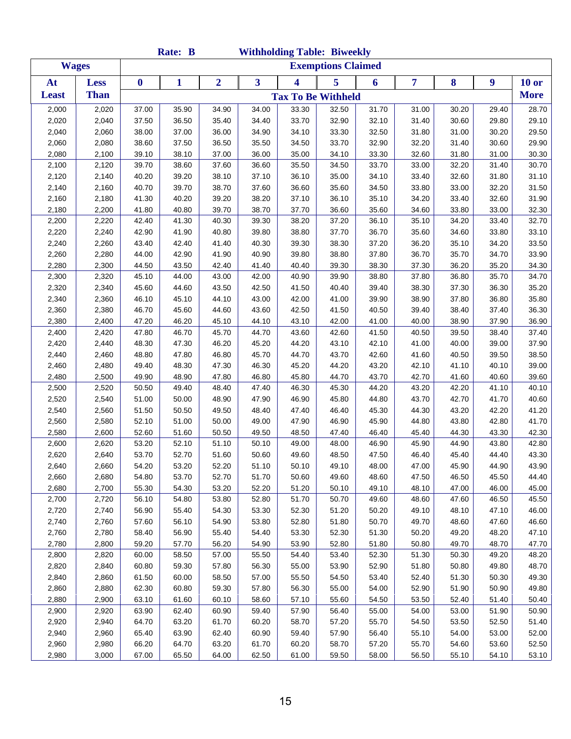|              |              |                  | Rate: B      |                |                         | <b>Withholding Table: Biweekly</b> |                           |       |       |       |       |             |
|--------------|--------------|------------------|--------------|----------------|-------------------------|------------------------------------|---------------------------|-------|-------|-------|-------|-------------|
|              | <b>Wages</b> |                  |              |                |                         |                                    | <b>Exemptions Claimed</b> |       |       |       |       |             |
| At           | Less         | $\boldsymbol{0}$ | $\mathbf{1}$ | $\overline{2}$ | $\overline{\mathbf{3}}$ | $\overline{\mathbf{4}}$            | 5                         | 6     | 7     | 8     | 9     | $10$ or     |
| <b>Least</b> | <b>Than</b>  |                  |              |                |                         | <b>Tax To Be Withheld</b>          |                           |       |       |       |       | <b>More</b> |
| 2,000        | 2,020        | 37.00            | 35.90        | 34.90          | 34.00                   | 33.30                              | 32.50                     | 31.70 | 31.00 | 30.20 | 29.40 | 28.70       |
| 2,020        | 2,040        | 37.50            | 36.50        | 35.40          | 34.40                   | 33.70                              | 32.90                     | 32.10 | 31.40 | 30.60 | 29.80 | 29.10       |
| 2,040        | 2,060        | 38.00            | 37.00        | 36.00          | 34.90                   | 34.10                              | 33.30                     | 32.50 | 31.80 | 31.00 | 30.20 | 29.50       |
| 2,060        | 2,080        | 38.60            | 37.50        | 36.50          | 35.50                   | 34.50                              | 33.70                     | 32.90 | 32.20 | 31.40 | 30.60 | 29.90       |
| 2,080        | 2,100        | 39.10            | 38.10        | 37.00          | 36.00                   | 35.00                              | 34.10                     | 33.30 | 32.60 | 31.80 | 31.00 | 30.30       |
| 2,100        | 2,120        | 39.70            | 38.60        | 37.60          | 36.60                   | 35.50                              | 34.50                     | 33.70 | 33.00 | 32.20 | 31.40 | 30.70       |
| 2,120        | 2,140        | 40.20            | 39.20        | 38.10          | 37.10                   | 36.10                              | 35.00                     | 34.10 | 33.40 | 32.60 | 31.80 | 31.10       |
| 2,140        | 2,160        | 40.70            | 39.70        | 38.70          | 37.60                   | 36.60                              | 35.60                     | 34.50 | 33.80 | 33.00 | 32.20 | 31.50       |
| 2,160        | 2,180        | 41.30            | 40.20        | 39.20          | 38.20                   | 37.10                              | 36.10                     | 35.10 | 34.20 | 33.40 | 32.60 | 31.90       |
| 2,180        | 2,200        | 41.80            | 40.80        | 39.70          | 38.70                   | 37.70                              | 36.60                     | 35.60 | 34.60 | 33.80 | 33.00 | 32.30       |
| 2,200        | 2,220        | 42.40            | 41.30        | 40.30          | 39.30                   | 38.20                              | 37.20                     | 36.10 | 35.10 | 34.20 | 33.40 | 32.70       |
| 2,220        | 2,240        | 42.90            | 41.90        | 40.80          | 39.80                   | 38.80                              | 37.70                     | 36.70 | 35.60 | 34.60 | 33.80 | 33.10       |
| 2,240        | 2,260        | 43.40            | 42.40        | 41.40          | 40.30                   | 39.30                              | 38.30                     | 37.20 | 36.20 | 35.10 | 34.20 | 33.50       |
| 2,260        | 2,280        | 44.00            | 42.90        | 41.90          | 40.90                   | 39.80                              | 38.80                     | 37.80 | 36.70 | 35.70 | 34.70 | 33.90       |
| 2,280        | 2,300        | 44.50            | 43.50        | 42.40          | 41.40                   | 40.40                              | 39.30                     | 38.30 | 37.30 | 36.20 | 35.20 | 34.30       |
| 2,300        | 2,320        | 45.10            | 44.00        | 43.00          | 42.00                   | 40.90                              | 39.90                     | 38.80 | 37.80 | 36.80 | 35.70 | 34.70       |
| 2,320        | 2,340        | 45.60            | 44.60        | 43.50          | 42.50                   | 41.50                              | 40.40                     | 39.40 | 38.30 | 37.30 | 36.30 | 35.20       |
| 2,340        | 2,360        | 46.10            | 45.10        | 44.10          | 43.00                   | 42.00                              | 41.00                     | 39.90 | 38.90 | 37.80 | 36.80 | 35.80       |
| 2,360        | 2,380        | 46.70            | 45.60        | 44.60          | 43.60                   | 42.50                              | 41.50                     | 40.50 | 39.40 | 38.40 | 37.40 | 36.30       |
| 2,380        | 2,400        | 47.20            | 46.20        | 45.10          | 44.10                   | 43.10                              | 42.00                     | 41.00 | 40.00 | 38.90 | 37.90 | 36.90       |
| 2,400        | 2,420        | 47.80            | 46.70        | 45.70          | 44.70                   | 43.60                              | 42.60                     | 41.50 | 40.50 | 39.50 | 38.40 | 37.40       |
| 2,420        | 2,440        | 48.30            | 47.30        | 46.20          | 45.20                   | 44.20                              | 43.10                     | 42.10 | 41.00 | 40.00 | 39.00 | 37.90       |
| 2,440        | 2,460        | 48.80            | 47.80        | 46.80          | 45.70                   | 44.70                              | 43.70                     | 42.60 | 41.60 | 40.50 | 39.50 | 38.50       |
| 2,460        | 2,480        | 49.40            | 48.30        | 47.30          | 46.30                   | 45.20                              | 44.20                     | 43.20 | 42.10 | 41.10 | 40.10 | 39.00       |
| 2,480        | 2,500        | 49.90            | 48.90        | 47.80          | 46.80                   | 45.80                              | 44.70                     | 43.70 | 42.70 | 41.60 | 40.60 | 39.60       |
| 2,500        | 2,520        | 50.50            | 49.40        | 48.40          | 47.40                   | 46.30                              | 45.30                     | 44.20 | 43.20 | 42.20 | 41.10 | 40.10       |
| 2,520        | 2,540        | 51.00            | 50.00        | 48.90          | 47.90                   | 46.90                              | 45.80                     | 44.80 | 43.70 | 42.70 | 41.70 | 40.60       |
| 2,540        | 2,560        | 51.50            | 50.50        | 49.50          | 48.40                   | 47.40                              | 46.40                     | 45.30 | 44.30 | 43.20 | 42.20 | 41.20       |
| 2,560        | 2,580        | 52.10            | 51.00        | 50.00          | 49.00                   | 47.90                              | 46.90                     | 45.90 | 44.80 | 43.80 | 42.80 | 41.70       |
| 2,580        | 2,600        | 52.60            | 51.60        | 50.50          | 49.50                   | 48.50                              | 47.40                     | 46.40 | 45.40 | 44.30 | 43.30 | 42.30       |
| 2,600        | 2,620        | 53.20            | 52.10        | 51.10          | 50.10                   | 49.00                              | 48.00                     | 46.90 | 45.90 | 44.90 | 43.80 | 42.80       |
| 2,620        | 2,640        | 53.70            | 52.70        | 51.60          | 50.60                   | 49.60                              | 48.50                     | 47.50 | 46.40 | 45.40 | 44.40 | 43.30       |
| 2,640        | 2,660        | 54.20            | 53.20        | 52.20          | 51.10                   | 50.10                              | 49.10                     | 48.00 | 47.00 | 45.90 | 44.90 | 43.90       |
| 2,660        | 2,680        | 54.80            | 53.70        | 52.70          | 51.70                   | 50.60                              | 49.60                     | 48.60 | 47.50 | 46.50 | 45.50 | 44.40       |
| 2,680        | 2,700        | 55.30            | 54.30        | 53.20          | 52.20                   | 51.20                              | 50.10                     | 49.10 | 48.10 | 47.00 | 46.00 | 45.00       |
| 2,700        | 2,720        | 56.10            | 54.80        | 53.80          | 52.80                   | 51.70                              | 50.70                     | 49.60 | 48.60 | 47.60 | 46.50 | 45.50       |
| 2,720        | 2,740        | 56.90            | 55.40        | 54.30          | 53.30                   | 52.30                              | 51.20                     | 50.20 | 49.10 | 48.10 | 47.10 | 46.00       |
| 2,740        | 2,760        | 57.60            | 56.10        | 54.90          | 53.80                   | 52.80                              | 51.80                     | 50.70 | 49.70 | 48.60 | 47.60 | 46.60       |
| 2,760        | 2,780        | 58.40            | 56.90        | 55.40          | 54.40                   | 53.30                              | 52.30                     | 51.30 | 50.20 | 49.20 | 48.20 | 47.10       |
| 2,780        | 2,800        | 59.20            | 57.70        | 56.20          | 54.90                   | 53.90                              | 52.80                     | 51.80 | 50.80 | 49.70 | 48.70 | 47.70       |
| 2,800        | 2,820        | 60.00            | 58.50        | 57.00          | 55.50                   | 54.40                              | 53.40                     | 52.30 | 51.30 | 50.30 | 49.20 | 48.20       |
| 2,820        | 2,840        | 60.80            | 59.30        | 57.80          | 56.30                   | 55.00                              | 53.90                     | 52.90 | 51.80 | 50.80 | 49.80 | 48.70       |
| 2,840        | 2,860        | 61.50            | 60.00        | 58.50          | 57.00                   | 55.50                              | 54.50                     | 53.40 | 52.40 | 51.30 | 50.30 | 49.30       |
| 2,860        | 2,880        | 62.30            | 60.80        | 59.30          | 57.80                   | 56.30                              | 55.00                     | 54.00 | 52.90 | 51.90 | 50.90 | 49.80       |
| 2,880        | 2,900        | 63.10            | 61.60        | 60.10          | 58.60                   | 57.10                              | 55.60                     | 54.50 | 53.50 | 52.40 | 51.40 | 50.40       |
| 2,900        | 2,920        | 63.90            | 62.40        | 60.90          | 59.40                   | 57.90                              | 56.40                     | 55.00 | 54.00 | 53.00 | 51.90 | 50.90       |
| 2,920        | 2,940        | 64.70            | 63.20        | 61.70          | 60.20                   | 58.70                              | 57.20                     | 55.70 | 54.50 | 53.50 | 52.50 | 51.40       |
| 2,940        | 2,960        | 65.40            | 63.90        | 62.40          | 60.90                   | 59.40                              | 57.90                     | 56.40 | 55.10 | 54.00 | 53.00 | 52.00       |
| 2,960        | 2,980        | 66.20            | 64.70        | 63.20          | 61.70                   | 60.20                              | 58.70                     | 57.20 | 55.70 | 54.60 | 53.60 | 52.50       |
| 2,980        | 3,000        | 67.00            | 65.50        | 64.00          | 62.50                   | 61.00                              | 59.50                     | 58.00 | 56.50 | 55.10 | 54.10 | 53.10       |
|              |              |                  |              |                |                         |                                    |                           |       |       |       |       |             |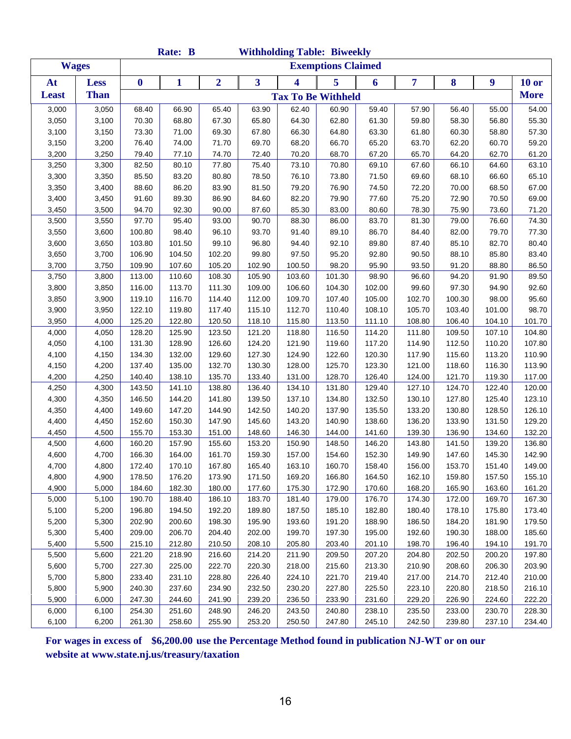|              |              |                  | Rate: B |                |        |        | <b>Withholding Table: Biweekly</b> |        |        |        |                  |              |
|--------------|--------------|------------------|---------|----------------|--------|--------|------------------------------------|--------|--------|--------|------------------|--------------|
|              | <b>Wages</b> |                  |         |                |        |        | <b>Exemptions Claimed</b>          |        |        |        |                  |              |
| At           | <b>Less</b>  | $\boldsymbol{0}$ | 1       | $\overline{2}$ | 3      | 4      | 5                                  | 6      | 7      | 8      | $\boldsymbol{9}$ | <b>10 or</b> |
| <b>Least</b> | <b>Than</b>  |                  |         |                |        |        | <b>Tax To Be Withheld</b>          |        |        |        |                  | <b>More</b>  |
| 3,000        | 3,050        | 68.40            | 66.90   | 65.40          | 63.90  | 62.40  | 60.90                              | 59.40  | 57.90  | 56.40  | 55.00            | 54.00        |
| 3,050        | 3,100        | 70.30            | 68.80   | 67.30          | 65.80  | 64.30  | 62.80                              | 61.30  | 59.80  | 58.30  | 56.80            | 55.30        |
| 3,100        | 3,150        | 73.30            | 71.00   | 69.30          | 67.80  | 66.30  | 64.80                              | 63.30  | 61.80  | 60.30  | 58.80            | 57.30        |
| 3,150        | 3,200        | 76.40            | 74.00   | 71.70          | 69.70  | 68.20  | 66.70                              | 65.20  | 63.70  | 62.20  | 60.70            | 59.20        |
| 3,200        | 3,250        | 79.40            | 77.10   | 74.70          | 72.40  | 70.20  | 68.70                              | 67.20  | 65.70  | 64.20  | 62.70            | 61.20        |
| 3,250        | 3,300        | 82.50            | 80.10   | 77.80          | 75.40  | 73.10  | 70.80                              | 69.10  | 67.60  | 66.10  | 64.60            | 63.10        |
| 3,300        | 3,350        | 85.50            | 83.20   | 80.80          | 78.50  | 76.10  | 73.80                              | 71.50  | 69.60  | 68.10  | 66.60            | 65.10        |
| 3,350        | 3,400        | 88.60            | 86.20   | 83.90          | 81.50  | 79.20  | 76.90                              | 74.50  | 72.20  | 70.00  | 68.50            | 67.00        |
| 3,400        | 3,450        | 91.60            | 89.30   | 86.90          | 84.60  | 82.20  | 79.90                              | 77.60  | 75.20  | 72.90  | 70.50            | 69.00        |
| 3,450        | 3,500        | 94.70            | 92.30   | 90.00          | 87.60  | 85.30  | 83.00                              | 80.60  | 78.30  | 75.90  | 73.60            | 71.20        |
| 3,500        | 3,550        | 97.70            | 95.40   | 93.00          | 90.70  | 88.30  | 86.00                              | 83.70  | 81.30  | 79.00  | 76.60            | 74.30        |
| 3,550        | 3,600        | 100.80           | 98.40   | 96.10          | 93.70  | 91.40  | 89.10                              | 86.70  | 84.40  | 82.00  | 79.70            | 77.30        |
| 3,600        | 3,650        | 103.80           | 101.50  | 99.10          | 96.80  | 94.40  | 92.10                              | 89.80  | 87.40  | 85.10  | 82.70            | 80.40        |
| 3,650        | 3,700        | 106.90           | 104.50  | 102.20         | 99.80  | 97.50  | 95.20                              | 92.80  | 90.50  | 88.10  | 85.80            | 83.40        |
| 3,700        | 3,750        | 109.90           | 107.60  | 105.20         | 102.90 | 100.50 | 98.20                              | 95.90  | 93.50  | 91.20  | 88.80            | 86.50        |
| 3,750        | 3,800        | 113.00           | 110.60  | 108.30         | 105.90 | 103.60 | 101.30                             | 98.90  | 96.60  | 94.20  | 91.90            | 89.50        |
| 3,800        | 3,850        | 116.00           | 113.70  | 111.30         | 109.00 | 106.60 | 104.30                             | 102.00 | 99.60  | 97.30  | 94.90            | 92.60        |
| 3,850        | 3,900        | 119.10           | 116.70  | 114.40         | 112.00 | 109.70 | 107.40                             | 105.00 | 102.70 | 100.30 | 98.00            | 95.60        |
| 3,900        | 3,950        | 122.10           | 119.80  | 117.40         | 115.10 | 112.70 | 110.40                             | 108.10 | 105.70 | 103.40 | 101.00           | 98.70        |
| 3,950        | 4,000        | 125.20           | 122.80  | 120.50         | 118.10 | 115.80 | 113.50                             | 111.10 | 108.80 | 106.40 | 104.10           | 101.70       |
| 4,000        | 4,050        | 128.20           | 125.90  | 123.50         | 121.20 | 118.80 | 116.50                             | 114.20 | 111.80 | 109.50 | 107.10           | 104.80       |
| 4,050        | 4,100        | 131.30           | 128.90  | 126.60         | 124.20 | 121.90 | 119.60                             | 117.20 | 114.90 | 112.50 | 110.20           | 107.80       |
| 4,100        | 4,150        | 134.30           | 132.00  | 129.60         | 127.30 | 124.90 | 122.60                             | 120.30 | 117.90 | 115.60 | 113.20           | 110.90       |
| 4,150        | 4,200        | 137.40           | 135.00  | 132.70         | 130.30 | 128.00 | 125.70                             | 123.30 | 121.00 | 118.60 | 116.30           | 113.90       |
| 4,200        | 4,250        | 140.40           | 138.10  | 135.70         | 133.40 | 131.00 | 128.70                             | 126.40 | 124.00 | 121.70 | 119.30           | 117.00       |
| 4,250        | 4,300        | 143.50           | 141.10  | 138.80         | 136.40 | 134.10 | 131.80                             | 129.40 | 127.10 | 124.70 | 122.40           | 120.00       |
| 4,300        | 4,350        | 146.50           | 144.20  | 141.80         | 139.50 | 137.10 | 134.80                             | 132.50 | 130.10 | 127.80 | 125.40           | 123.10       |
| 4,350        | 4,400        | 149.60           | 147.20  | 144.90         | 142.50 | 140.20 | 137.90                             | 135.50 | 133.20 | 130.80 | 128.50           | 126.10       |
| 4,400        | 4,450        | 152.60           | 150.30  | 147.90         | 145.60 | 143.20 | 140.90                             | 138.60 | 136.20 | 133.90 | 131.50           | 129.20       |
| 4,450        | 4,500        | 155.70           | 153.30  | 151.00         | 148.60 | 146.30 | 144.00                             | 141.60 | 139.30 | 136.90 | 134.60           | 132.20       |
| 4,500        | 4,600        | 160.20           | 157.90  | 155.60         | 153.20 | 150.90 | 148.50                             | 146.20 | 143.80 | 141.50 | 139.20           | 136.80       |
| 4,600        | 4,700        | 166.30           | 164.00  | 161.70         | 159.30 | 157.00 | 154.60                             | 152.30 | 149.90 | 147.60 | 145.30           | 142.90       |
| 4,700        | 4,800        | 172.40           | 170.10  | 167.80         | 165.40 | 163.10 | 160.70                             | 158.40 | 156.00 | 153.70 | 151.40           | 149.00       |
| 4,800        | 4,900        | 178.50           | 176.20  | 173.90         | 171.50 | 169.20 | 166.80                             | 164.50 | 162.10 | 159.80 | 157.50           | 155.10       |
| 4,900        | 5,000        | 184.60           | 182.30  | 180.00         | 177.60 | 175.30 | 172.90                             | 170.60 | 168.20 | 165.90 | 163.60           | 161.20       |
| 5,000        | 5,100        | 190.70           | 188.40  | 186.10         | 183.70 | 181.40 | 179.00                             | 176.70 | 174.30 | 172.00 | 169.70           | 167.30       |
| 5,100        | 5,200        | 196.80           | 194.50  | 192.20         | 189.80 | 187.50 | 185.10                             | 182.80 | 180.40 | 178.10 | 175.80           | 173.40       |
| 5,200        | 5,300        | 202.90           | 200.60  | 198.30         | 195.90 | 193.60 | 191.20                             | 188.90 | 186.50 | 184.20 | 181.90           | 179.50       |
| 5,300        | 5,400        | 209.00           | 206.70  | 204.40         | 202.00 | 199.70 | 197.30                             | 195.00 | 192.60 | 190.30 | 188.00           | 185.60       |
| 5,400        | 5,500        | 215.10           | 212.80  | 210.50         | 208.10 | 205.80 | 203.40                             | 201.10 | 198.70 | 196.40 | 194.10           | 191.70       |
| 5,500        | 5,600        | 221.20           | 218.90  | 216.60         | 214.20 | 211.90 | 209.50                             | 207.20 | 204.80 | 202.50 | 200.20           | 197.80       |
| 5,600        | 5,700        | 227.30           | 225.00  | 222.70         | 220.30 | 218.00 | 215.60                             | 213.30 | 210.90 | 208.60 | 206.30           | 203.90       |
| 5,700        | 5,800        | 233.40           | 231.10  | 228.80         | 226.40 | 224.10 | 221.70                             | 219.40 | 217.00 | 214.70 | 212.40           | 210.00       |
| 5,800        | 5,900        | 240.30           | 237.60  | 234.90         | 232.50 | 230.20 | 227.80                             | 225.50 | 223.10 | 220.80 | 218.50           | 216.10       |
| 5,900        | 6,000        | 247.30           | 244.60  | 241.90         | 239.20 | 236.50 | 233.90                             | 231.60 | 229.20 | 226.90 | 224.60           | 222.20       |
| 6,000        | 6,100        | 254.30           | 251.60  | 248.90         | 246.20 | 243.50 | 240.80                             | 238.10 | 235.50 | 233.00 | 230.70           | 228.30       |
| 6,100        | 6,200        | 261.30           | 258.60  | 255.90         | 253.20 | 250.50 | 247.80                             | 245.10 | 242.50 | 239.80 | 237.10           | 234.40       |

**For wages in excess of \$6,200.00 use the Percentage Method found in publication NJ-WT or on our website at www.state.nj.us/treasury/taxation**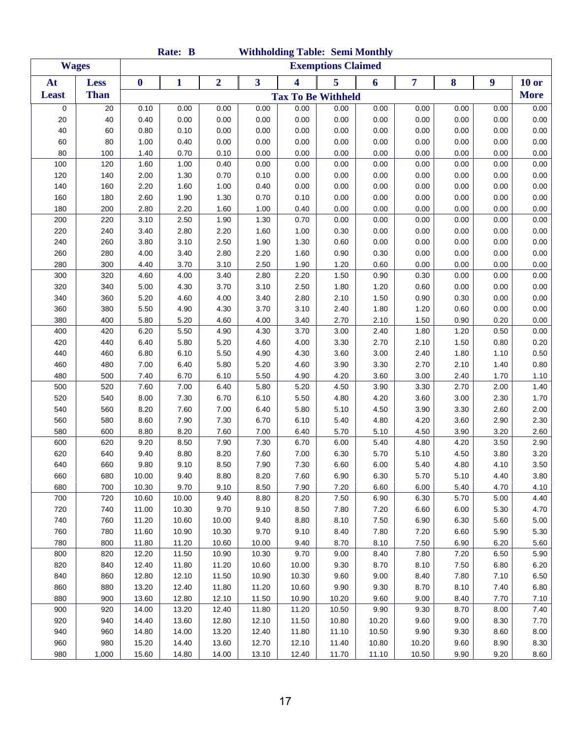|              |              |          | Rate: B      |                |       | <b>Withholding Table: Semi Monthly</b> |                           |       |       |      |      |              |
|--------------|--------------|----------|--------------|----------------|-------|----------------------------------------|---------------------------|-------|-------|------|------|--------------|
|              | <b>Wages</b> |          |              |                |       |                                        | <b>Exemptions Claimed</b> |       |       |      |      |              |
| At           | <b>Less</b>  | $\bf{0}$ | $\mathbf{1}$ | $\overline{2}$ | 3     | $\overline{\mathbf{4}}$                | 5                         | 6     | 7     | 8    | 9    | <b>10 or</b> |
| <b>Least</b> | <b>Than</b>  |          |              |                |       | <b>Tax To Be Withheld</b>              |                           |       |       |      |      | <b>More</b>  |
| 0            | 20           | 0.10     | 0.00         | 0.00           | 0.00  | 0.00                                   | 0.00                      | 0.00  | 0.00  | 0.00 | 0.00 | 0.00         |
| 20           | 40           | 0.40     | 0.00         | 0.00           | 0.00  | 0.00                                   | 0.00                      | 0.00  | 0.00  | 0.00 | 0.00 | 0.00         |
| 40           | 60           | 0.80     | 0.10         | 0.00           | 0.00  | 0.00                                   | 0.00                      | 0.00  | 0.00  | 0.00 | 0.00 | 0.00         |
| 60           | 80           | 1.00     | 0.40         | 0.00           | 0.00  | 0.00                                   | 0.00                      | 0.00  | 0.00  | 0.00 | 0.00 | 0.00         |
| 80           | 100          | 1.40     | 0.70         | 0.10           | 0.00  | 0.00                                   | 0.00                      | 0.00  | 0.00  | 0.00 | 0.00 | 0.00         |
| 100          | 120          | 1.60     | 1.00         | 0.40           | 0.00  | 0.00                                   | 0.00                      | 0.00  | 0.00  | 0.00 | 0.00 | 0.00         |
| 120          | 140          | 2.00     | 1.30         | 0.70           | 0.10  | 0.00                                   | 0.00                      | 0.00  | 0.00  | 0.00 | 0.00 | 0.00         |
| 140          | 160          | 2.20     | 1.60         | 1.00           | 0.40  | 0.00                                   | 0.00                      | 0.00  | 0.00  | 0.00 | 0.00 | 0.00         |
| 160          | 180          | 2.60     | 1.90         | 1.30           | 0.70  | 0.10                                   | 0.00                      | 0.00  | 0.00  | 0.00 | 0.00 | 0.00         |
| 180          | 200          | 2.80     | 2.20         | 1.60           | 1.00  | 0.40                                   | 0.00                      | 0.00  | 0.00  | 0.00 | 0.00 | 0.00         |
| 200          | 220          | 3.10     | 2.50         | 1.90           | 1.30  | 0.70                                   | 0.00                      | 0.00  | 0.00  | 0.00 | 0.00 | 0.00         |
| 220          | 240          | 3.40     | 2.80         | 2.20           | 1.60  | 1.00                                   | 0.30                      | 0.00  | 0.00  | 0.00 | 0.00 | 0.00         |
| 240          | 260          | 3.80     | 3.10         | 2.50           | 1.90  | 1.30                                   | 0.60                      | 0.00  | 0.00  | 0.00 | 0.00 | 0.00         |
| 260          | 280          | 4.00     | 3.40         | 2.80           | 2.20  | 1.60                                   | 0.90                      | 0.30  | 0.00  | 0.00 | 0.00 | 0.00         |
| 280          | 300          | 4.40     | 3.70         | 3.10           | 2.50  | 1.90                                   | 1.20                      | 0.60  | 0.00  | 0.00 | 0.00 | 0.00         |
| 300          | 320          | 4.60     | 4.00         | 3.40           | 2.80  | 2.20                                   | 1.50                      | 0.90  | 0.30  | 0.00 | 0.00 | 0.00         |
| 320          | 340          | 5.00     | 4.30         | 3.70           | 3.10  | 2.50                                   | 1.80                      | 1.20  | 0.60  | 0.00 | 0.00 | 0.00         |
| 340          | 360          | 5.20     | 4.60         | 4.00           | 3.40  | 2.80                                   | 2.10                      | 1.50  | 0.90  | 0.30 | 0.00 | 0.00         |
| 360          | 380          | 5.50     | 4.90         | 4.30           | 3.70  | 3.10                                   | 2.40                      | 1.80  | 1.20  | 0.60 | 0.00 | 0.00         |
| 380          | 400          | 5.80     | 5.20         | 4.60           | 4.00  | 3.40                                   | 2.70                      | 2.10  | 1.50  | 0.90 | 0.20 | 0.00         |
| 400          | 420          | 6.20     | 5.50         | 4.90           | 4.30  | 3.70                                   | 3.00                      | 2.40  | 1.80  | 1.20 | 0.50 | 0.00         |
| 420          | 440          | 6.40     | 5.80         | 5.20           | 4.60  | 4.00                                   | 3.30                      | 2.70  | 2.10  | 1.50 | 0.80 | 0.20         |
| 440          | 460          | 6.80     | 6.10         | 5.50           | 4.90  | 4.30                                   | 3.60                      | 3.00  | 2.40  | 1.80 | 1.10 | 0.50         |
| 460          | 480          | 7.00     | 6.40         | 5.80           | 5.20  | 4.60                                   | 3.90                      | 3.30  | 2.70  | 2.10 | 1.40 | 0.80         |
| 480          | 500          | 7.40     | 6.70         | 6.10           | 5.50  | 4.90                                   | 4.20                      | 3.60  | 3.00  | 2.40 | 1.70 | 1.10         |
| 500          | 520          | 7.60     | 7.00         | 6.40           | 5.80  | 5.20                                   | 4.50                      | 3.90  | 3.30  | 2.70 | 2.00 | 1.40         |
| 520          | 540          | 8.00     | 7.30         | 6.70           | 6.10  | 5.50                                   | 4.80                      | 4.20  | 3.60  | 3.00 | 2.30 | 1.70         |
| 540          | 560          | 8.20     | 7.60         | 7.00           | 6.40  | 5.80                                   | 5.10                      | 4.50  | 3.90  | 3.30 | 2.60 | 2.00         |
| 560          | 580          | 8.60     | 7.90         | 7.30           | 6.70  | 6.10                                   | 5.40                      | 4.80  | 4.20  | 3.60 | 2.90 | 2.30         |
| 580          | 600          | 8.80     | 8.20         | 7.60           | 7.00  | 6.40                                   | 5.70                      | 5.10  | 4.50  | 3.90 | 3.20 | 2.60         |
| 600          | 620          | 9.20     | 8.50         | 7.90           | 7.30  | 6.70                                   | 6.00                      | 5.40  | 4.80  | 4.20 | 3.50 | 2.90         |
| 620          | 640          | 9.40     | 8.80         | 8.20           | 7.60  | 7.00                                   | 6.30                      | 5.70  | 5.10  | 4.50 | 3.80 | 3.20         |
| 640          | 660          | 9.80     | 9.10         | 8.50           | 7.90  | 7.30                                   | 6.60                      | 6.00  | 5.40  | 4.80 | 4.10 | 3.50         |
| 660          | 680          | 10.00    | 9.40         | 8.80           | 8.20  | 7.60                                   | 6.90                      | 6.30  | 5.70  | 5.10 | 4.40 | 3.80         |
| 680          | 700          | 10.30    | 9.70         | 9.10           | 8.50  | 7.90                                   | 7.20                      | 6.60  | 6.00  | 5.40 | 4.70 | 4.10         |
| 700          | 720          | 10.60    | 10.00        | 9.40           | 8.80  | 8.20                                   | 7.50                      | 6.90  | 6.30  | 5.70 | 5.00 | 4.40         |
| 720          | 740          | 11.00    | 10.30        | 9.70           | 9.10  | 8.50                                   | 7.80                      | 7.20  | 6.60  | 6.00 | 5.30 | 4.70         |
| 740          | 760          | 11.20    | 10.60        | 10.00          | 9.40  | 8.80                                   | 8.10                      | 7.50  | 6.90  | 6.30 | 5.60 | 5.00         |
| 760          | 780          | 11.60    | 10.90        | 10.30          | 9.70  | 9.10                                   | 8.40                      | 7.80  | 7.20  | 6.60 | 5.90 | 5.30         |
| 780          | 800          | 11.80    | 11.20        | 10.60          | 10.00 | 9.40                                   | 8.70                      | 8.10  | 7.50  | 6.90 | 6.20 | 5.60         |
| 800          | 820          | 12.20    | 11.50        | 10.90          | 10.30 | 9.70                                   | 9.00                      | 8.40  | 7.80  | 7.20 | 6.50 | 5.90         |
| 820          | 840          | 12.40    | 11.80        | 11.20          | 10.60 | 10.00                                  | 9.30                      | 8.70  | 8.10  | 7.50 | 6.80 | 6.20         |
| 840          | 860          | 12.80    | 12.10        | 11.50          | 10.90 | 10.30                                  | 9.60                      | 9.00  | 8.40  | 7.80 | 7.10 | 6.50         |
| 860          | 880          | 13.20    | 12.40        | 11.80          | 11.20 | 10.60                                  | 9.90                      | 9.30  | 8.70  | 8.10 | 7.40 | 6.80         |
| 880          | 900          | 13.60    | 12.80        | 12.10          | 11.50 | 10.90                                  | 10.20                     | 9.60  | 9.00  | 8.40 | 7.70 | 7.10         |
| 900          | 920          | 14.00    | 13.20        | 12.40          | 11.80 | 11.20                                  | 10.50                     | 9.90  | 9.30  | 8.70 | 8.00 | 7.40         |
| 920          | 940          | 14.40    | 13.60        | 12.80          | 12.10 | 11.50                                  | 10.80                     | 10.20 | 9.60  | 9.00 | 8.30 | 7.70         |
| 940          | 960          | 14.80    | 14.00        | 13.20          | 12.40 | 11.80                                  | 11.10                     | 10.50 | 9.90  | 9.30 | 8.60 | 8.00         |
| 960          | 980          | 15.20    | 14.40        | 13.60          | 12.70 | 12.10                                  | 11.40                     | 10.80 | 10.20 | 9.60 | 8.90 | 8.30         |
| 980          | 1,000        | 15.60    | 14.80        | 14.00          | 13.10 | 12.40                                  | 11.70                     | 11.10 | 10.50 | 9.90 | 9.20 | 8.60         |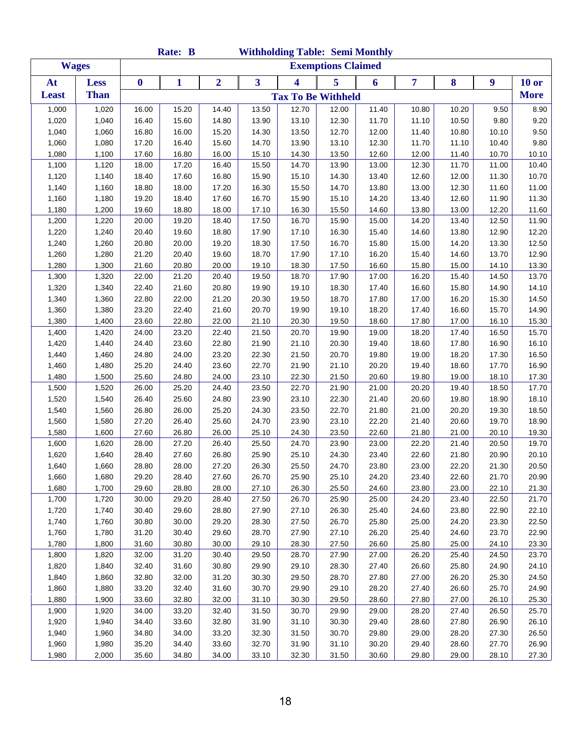|              |              |       |                  | Rate: B      |                |                         | <b>Withholding Table: Semi Monthly</b> |                           |       |       |       |       |             |
|--------------|--------------|-------|------------------|--------------|----------------|-------------------------|----------------------------------------|---------------------------|-------|-------|-------|-------|-------------|
|              | <b>Wages</b> |       |                  |              |                |                         |                                        | <b>Exemptions Claimed</b> |       |       |       |       |             |
| At           | <b>Less</b>  |       | $\boldsymbol{0}$ | $\mathbf{1}$ | $\overline{2}$ | $\overline{\mathbf{3}}$ | 4                                      | 5                         | 6     | 7     | 8     | 9     | $10$ or     |
| <b>Least</b> | <b>Than</b>  |       |                  |              |                |                         | <b>Tax To Be Withheld</b>              |                           |       |       |       |       | <b>More</b> |
| 1,000        |              | 1,020 | 16.00            | 15.20        | 14.40          | 13.50                   | 12.70                                  | 12.00                     | 11.40 | 10.80 | 10.20 | 9.50  | 8.90        |
| 1,020        |              | 1,040 | 16.40            | 15.60        | 14.80          | 13.90                   | 13.10                                  | 12.30                     | 11.70 | 11.10 | 10.50 | 9.80  | 9.20        |
| 1,040        |              | 1,060 | 16.80            | 16.00        | 15.20          | 14.30                   | 13.50                                  | 12.70                     | 12.00 | 11.40 | 10.80 | 10.10 | 9.50        |
| 1,060        |              | 1,080 | 17.20            | 16.40        | 15.60          | 14.70                   | 13.90                                  | 13.10                     | 12.30 | 11.70 | 11.10 | 10.40 | 9.80        |
| 1,080        |              | 1,100 | 17.60            | 16.80        | 16.00          | 15.10                   | 14.30                                  | 13.50                     | 12.60 | 12.00 | 11.40 | 10.70 | 10.10       |
| 1,100        |              | 1,120 | 18.00            | 17.20        | 16.40          | 15.50                   | 14.70                                  | 13.90                     | 13.00 | 12.30 | 11.70 | 11.00 | 10.40       |
| 1,120        |              | 1,140 | 18.40            | 17.60        | 16.80          | 15.90                   | 15.10                                  | 14.30                     | 13.40 | 12.60 | 12.00 | 11.30 | 10.70       |
| 1,140        |              | 1,160 | 18.80            | 18.00        | 17.20          | 16.30                   | 15.50                                  | 14.70                     | 13.80 | 13.00 | 12.30 | 11.60 | 11.00       |
| 1,160        |              | 1,180 | 19.20            | 18.40        | 17.60          | 16.70                   | 15.90                                  | 15.10                     | 14.20 | 13.40 | 12.60 | 11.90 | 11.30       |
| 1,180        |              | 1,200 | 19.60            | 18.80        | 18.00          | 17.10                   | 16.30                                  | 15.50                     | 14.60 | 13.80 | 13.00 | 12.20 | 11.60       |
| 1,200        |              | 1,220 | 20.00            | 19.20        | 18.40          | 17.50                   | 16.70                                  | 15.90                     | 15.00 | 14.20 | 13.40 | 12.50 | 11.90       |
| 1,220        |              | 1,240 | 20.40            | 19.60        | 18.80          | 17.90                   | 17.10                                  | 16.30                     | 15.40 | 14.60 | 13.80 | 12.90 | 12.20       |
| 1,240        |              | 1,260 | 20.80            | 20.00        | 19.20          | 18.30                   | 17.50                                  | 16.70                     | 15.80 | 15.00 | 14.20 | 13.30 | 12.50       |
| 1,260        |              | 1,280 | 21.20            | 20.40        | 19.60          | 18.70                   | 17.90                                  | 17.10                     | 16.20 | 15.40 | 14.60 | 13.70 | 12.90       |
| 1,280        |              | 1,300 | 21.60            | 20.80        | 20.00          | 19.10                   | 18.30                                  | 17.50                     | 16.60 | 15.80 | 15.00 | 14.10 | 13.30       |
| 1,300        |              | 1,320 | 22.00            | 21.20        | 20.40          | 19.50                   | 18.70                                  | 17.90                     | 17.00 | 16.20 | 15.40 | 14.50 | 13.70       |
| 1,320        |              | 1,340 | 22.40            | 21.60        | 20.80          | 19.90                   | 19.10                                  | 18.30                     | 17.40 | 16.60 | 15.80 | 14.90 | 14.10       |
| 1,340        |              | 1,360 | 22.80            | 22.00        | 21.20          | 20.30                   | 19.50                                  | 18.70                     | 17.80 | 17.00 | 16.20 | 15.30 | 14.50       |
| 1,360        |              | 1,380 | 23.20            | 22.40        | 21.60          | 20.70                   | 19.90                                  | 19.10                     | 18.20 | 17.40 | 16.60 | 15.70 | 14.90       |
| 1,380        |              | 1,400 | 23.60            | 22.80        | 22.00          | 21.10                   | 20.30                                  | 19.50                     | 18.60 | 17.80 | 17.00 | 16.10 | 15.30       |
| 1,400        |              | 1,420 | 24.00            | 23.20        | 22.40          | 21.50                   | 20.70                                  | 19.90                     | 19.00 | 18.20 | 17.40 | 16.50 | 15.70       |
| 1,420        |              | 1,440 | 24.40            | 23.60        | 22.80          | 21.90                   | 21.10                                  | 20.30                     | 19.40 | 18.60 | 17.80 | 16.90 | 16.10       |
| 1,440        |              | 1,460 | 24.80            | 24.00        | 23.20          | 22.30                   | 21.50                                  | 20.70                     | 19.80 | 19.00 | 18.20 | 17.30 | 16.50       |
| 1,460        |              | 1,480 | 25.20            | 24.40        | 23.60          | 22.70                   | 21.90                                  | 21.10                     | 20.20 | 19.40 | 18.60 | 17.70 | 16.90       |
| 1,480        |              | 1,500 | 25.60            | 24.80        | 24.00          | 23.10                   | 22.30                                  | 21.50                     | 20.60 | 19.80 | 19.00 | 18.10 | 17.30       |
| 1,500        |              | 1,520 | 26.00            | 25.20        | 24.40          | 23.50                   | 22.70                                  | 21.90                     | 21.00 | 20.20 | 19.40 | 18.50 | 17.70       |
| 1,520        |              | 1,540 | 26.40            | 25.60        | 24.80          | 23.90                   | 23.10                                  | 22.30                     | 21.40 | 20.60 | 19.80 | 18.90 | 18.10       |
| 1,540        |              | 1,560 | 26.80            | 26.00        | 25.20          | 24.30                   | 23.50                                  | 22.70                     | 21.80 | 21.00 | 20.20 | 19.30 | 18.50       |
| 1,560        |              | 1,580 | 27.20            | 26.40        | 25.60          | 24.70                   | 23.90                                  | 23.10                     | 22.20 | 21.40 | 20.60 | 19.70 | 18.90       |
| 1,580        |              | 1,600 | 27.60            | 26.80        | 26.00          | 25.10                   | 24.30                                  | 23.50                     | 22.60 | 21.80 | 21.00 | 20.10 | 19.30       |
| 1,600        |              | 1,620 | 28.00            | 27.20        | 26.40          | 25.50                   | 24.70                                  | 23.90                     | 23.00 | 22.20 | 21.40 | 20.50 | 19.70       |
| 1,620        |              | 1,640 | 28.40            | 27.60        | 26.80          | 25.90                   | 25.10                                  | 24.30                     | 23.40 | 22.60 | 21.80 | 20.90 | 20.10       |
| 1,640        |              | 1,660 | 28.80            | 28.00        | 27.20          | 26.30                   | 25.50                                  | 24.70                     | 23.80 | 23.00 | 22.20 | 21.30 | 20.50       |
| 1,660        |              | 1,680 | 29.20            | 28.40        | 27.60          | 26.70                   | 25.90                                  | 25.10                     | 24.20 | 23.40 | 22.60 | 21.70 | 20.90       |
| 1,680        |              | 1,700 | 29.60            | 28.80        | 28.00          | 27.10                   | 26.30                                  | 25.50                     | 24.60 | 23.80 | 23.00 | 22.10 | 21.30       |
| 1,700        |              | 1,720 | 30.00            | 29.20        | 28.40          | 27.50                   | 26.70                                  | 25.90                     | 25.00 | 24.20 | 23.40 | 22.50 | 21.70       |
| 1,720        |              | 1,740 | 30.40            | 29.60        | 28.80          | 27.90                   | 27.10                                  | 26.30                     | 25.40 | 24.60 | 23.80 | 22.90 | 22.10       |
| 1,740        |              | 1,760 | 30.80            | 30.00        | 29.20          | 28.30                   | 27.50                                  | 26.70                     | 25.80 | 25.00 | 24.20 | 23.30 | 22.50       |
| 1,760        |              | 1,780 | 31.20            | 30.40        | 29.60          | 28.70                   | 27.90                                  | 27.10                     | 26.20 | 25.40 | 24.60 | 23.70 | 22.90       |
| 1,780        |              | 1,800 | 31.60            | 30.80        | 30.00          | 29.10                   | 28.30                                  | 27.50                     | 26.60 | 25.80 | 25.00 | 24.10 | 23.30       |
| 1,800        |              | 1,820 | 32.00            | 31.20        | 30.40          | 29.50                   | 28.70                                  | 27.90                     | 27.00 | 26.20 | 25.40 | 24.50 | 23.70       |
| 1,820        |              | 1,840 | 32.40            | 31.60        | 30.80          | 29.90                   | 29.10                                  | 28.30                     | 27.40 | 26.60 | 25.80 | 24.90 | 24.10       |
| 1,840        |              | 1,860 | 32.80            | 32.00        | 31.20          | 30.30                   | 29.50                                  | 28.70                     | 27.80 | 27.00 | 26.20 | 25.30 | 24.50       |
| 1,860        |              | 1,880 | 33.20            | 32.40        | 31.60          | 30.70                   | 29.90                                  | 29.10                     | 28.20 | 27.40 | 26.60 | 25.70 | 24.90       |
| 1,880        |              | 1,900 | 33.60            | 32.80        | 32.00          | 31.10                   | 30.30                                  | 29.50                     | 28.60 | 27.80 | 27.00 | 26.10 | 25.30       |
| 1,900        |              | 1,920 | 34.00            | 33.20        | 32.40          | 31.50                   | 30.70                                  | 29.90                     | 29.00 | 28.20 | 27.40 | 26.50 | 25.70       |
| 1,920        |              | 1,940 | 34.40            | 33.60        | 32.80          | 31.90                   | 31.10                                  | 30.30                     | 29.40 | 28.60 | 27.80 | 26.90 | 26.10       |
| 1,940        |              | 1,960 | 34.80            | 34.00        | 33.20          | 32.30                   | 31.50                                  | 30.70                     | 29.80 | 29.00 | 28.20 | 27.30 | 26.50       |
| 1,960        |              | 1,980 | 35.20            | 34.40        | 33.60          | 32.70                   | 31.90                                  | 31.10                     | 30.20 | 29.40 | 28.60 | 27.70 | 26.90       |
| 1,980        |              | 2,000 | 35.60            | 34.80        | 34.00          | 33.10                   | 32.30                                  | 31.50                     | 30.60 | 29.80 | 29.00 | 28.10 | 27.30       |
|              |              |       |                  |              |                |                         |                                        |                           |       |       |       |       |             |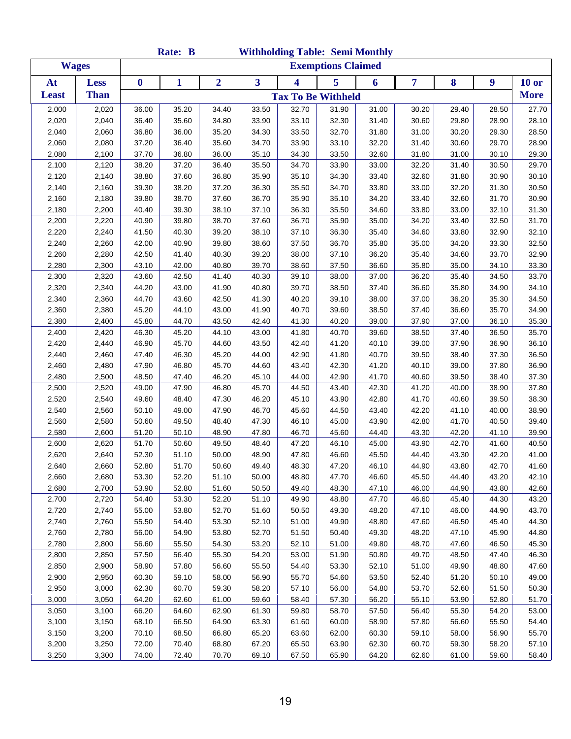| <b>Exemptions Claimed</b><br><b>Wages</b><br>5<br>$\overline{2}$<br>$\overline{\mathbf{3}}$<br>7<br>8<br>$\overline{\mathbf{4}}$<br>9<br>$10$ or<br>At<br>Less<br>$\boldsymbol{0}$<br>$\mathbf{1}$<br>6<br><b>Than</b><br><b>More</b><br><b>Least</b><br><b>Tax To Be Withheld</b><br>33.50<br>2,000<br>36.00<br>35.20<br>34.40<br>32.70<br>31.90<br>31.00<br>30.20<br>29.40<br>28.50<br>2,020<br>27.70<br>2,020<br>2,040<br>36.40<br>35.60<br>34.80<br>33.90<br>33.10<br>32.30<br>31.40<br>30.60<br>29.80<br>28.90<br>28.10<br>2,040<br>36.80<br>36.00<br>35.20<br>34.30<br>33.50<br>32.70<br>31.80<br>31.00<br>30.20<br>29.30<br>28.50<br>2,060<br>2,060<br>2,080<br>37.20<br>36.40<br>34.70<br>33.90<br>33.10<br>32.20<br>30.60<br>29.70<br>28.90<br>35.60<br>31.40<br>2,080<br>2,100<br>37.70<br>36.80<br>35.10<br>34.30<br>33.50<br>32.60<br>31.00<br>30.10<br>29.30<br>36.00<br>31.80<br>2,100<br>2,120<br>38.20<br>37.20<br>35.50<br>34.70<br>33.90<br>33.00<br>32.20<br>31.40<br>30.50<br>29.70<br>36.40<br>2,120<br>38.80<br>35.90<br>35.10<br>34.30<br>31.80<br>2,140<br>37.60<br>36.80<br>33.40<br>32.60<br>30.90<br>30.10<br>2,140<br>39.30<br>38.20<br>37.20<br>36.30<br>35.50<br>34.70<br>33.00<br>32.20<br>31.30<br>30.50<br>2,160<br>33.80<br>2,160<br>2,180<br>39.80<br>38.70<br>37.60<br>36.70<br>35.90<br>35.10<br>34.20<br>32.60<br>31.70<br>30.90<br>33.40<br>2,180<br>2,200<br>40.40<br>39.30<br>38.10<br>37.10<br>36.30<br>35.50<br>34.60<br>33.80<br>33.00<br>32.10<br>31.30<br>2,200<br>2,220<br>40.90<br>39.80<br>38.70<br>37.60<br>36.70<br>35.90<br>35.00<br>34.20<br>33.40<br>32.50<br>31.70<br>2,220<br>2,240<br>41.50<br>40.30<br>39.20<br>38.10<br>37.10<br>36.30<br>35.40<br>34.60<br>33.80<br>32.90<br>32.10<br>2,240<br>2,260<br>42.00<br>40.90<br>39.80<br>38.60<br>37.50<br>36.70<br>35.80<br>35.00<br>34.20<br>33.30<br>32.50<br>2,260<br>2,280<br>42.50<br>41.40<br>40.30<br>39.20<br>38.00<br>37.10<br>36.20<br>35.40<br>34.60<br>33.70<br>32.90<br>2,280<br>2,300<br>42.00<br>40.80<br>39.70<br>38.60<br>37.50<br>36.60<br>35.80<br>35.00<br>34.10<br>33.30<br>43.10<br>2,300<br>41.40<br>40.30<br>39.10<br>38.00<br>37.00<br>36.20<br>35.40<br>34.50<br>33.70<br>2,320<br>43.60<br>42.50<br>2,320<br>2,340<br>40.80<br>39.70<br>38.50<br>37.40<br>36.60<br>34.10<br>44.20<br>43.00<br>41.90<br>35.80<br>34.90<br>2,340<br>2,360<br>44.70<br>43.60<br>42.50<br>41.30<br>40.20<br>39.10<br>38.00<br>37.00<br>36.20<br>35.30<br>34.50<br>2,360<br>2,380<br>44.10<br>41.90<br>40.70<br>39.60<br>38.50<br>37.40<br>36.60<br>35.70<br>34.90<br>45.20<br>43.00<br>36.10<br>35.30<br>2,380<br>2,400<br>45.80<br>44.70<br>43.50<br>42.40<br>41.30<br>40.20<br>39.00<br>37.90<br>37.00<br>45.20<br>37.40<br>35.70<br>2,400<br>2,420<br>46.30<br>44.10<br>43.00<br>41.80<br>40.70<br>39.60<br>38.50<br>36.50<br>2,420<br>37.90<br>36.10<br>2,440<br>46.90<br>45.70<br>44.60<br>43.50<br>42.40<br>41.20<br>40.10<br>39.00<br>36.90<br>2,440<br>46.30<br>42.90<br>40.70<br>38.40<br>37.30<br>36.50<br>2,460<br>47.40<br>45.20<br>44.00<br>41.80<br>39.50<br>46.80<br>39.00<br>37.80<br>36.90<br>2,460<br>2,480<br>47.90<br>45.70<br>44.60<br>43.40<br>42.30<br>41.20<br>40.10<br>44.00<br>39.50<br>38.40<br>37.30<br>2,480<br>2,500<br>48.50<br>47.40<br>46.20<br>45.10<br>42.90<br>41.70<br>40.60<br>2,500<br>2,520<br>49.00<br>47.90<br>46.80<br>45.70<br>44.50<br>43.40<br>42.30<br>41.20<br>40.00<br>38.90<br>37.80<br>2,520<br>38.30<br>2,540<br>49.60<br>48.40<br>47.30<br>46.20<br>45.10<br>43.90<br>42.80<br>41.70<br>40.60<br>39.50<br>2,540<br>49.00<br>38.90<br>2,560<br>50.10<br>47.90<br>46.70<br>45.60<br>44.50<br>43.40<br>42.20<br>41.10<br>40.00<br>2,560<br>49.50<br>39.40<br>2,580<br>50.60<br>48.40<br>47.30<br>46.10<br>45.00<br>43.90<br>42.80<br>41.70<br>40.50<br>2,580<br>2,600<br>46.70<br>39.90<br>51.20<br>50.10<br>48.90<br>47.80<br>45.60<br>44.40<br>43.30<br>42.20<br>41.10<br>2,600<br>2,620<br>51.70<br>50.60<br>49.50<br>48.40<br>47.20<br>46.10<br>45.00<br>43.90<br>42.70<br>41.60<br>40.50<br>2,620<br>2,640<br>52.30<br>48.90<br>47.80<br>43.30<br>42.20<br>41.00<br>51.10<br>50.00<br>46.60<br>45.50<br>44.40<br>2,640<br>2,660<br>52.80<br>51.70<br>50.60<br>48.30<br>47.20<br>44.90<br>43.80<br>42.70<br>49.40<br>46.10<br>41.60<br>2,660<br>2,680<br>53.30<br>52.20<br>51.10<br>50.00<br>48.80<br>47.70<br>46.60<br>45.50<br>44.40<br>43.20<br>42.10<br>2,680<br>2,700<br>53.90<br>52.80<br>50.50<br>49.40<br>47.10<br>46.00<br>44.90<br>43.80<br>42.60<br>51.60<br>48.30<br>2,700<br>2,720<br>54.40<br>53.30<br>52.20<br>51.10<br>49.90<br>48.80<br>47.70<br>46.60<br>45.40<br>44.30<br>43.20<br>2,720<br>2,740<br>55.00<br>53.80<br>52.70<br>51.60<br>50.50<br>49.30<br>48.20<br>47.10<br>46.00<br>44.90<br>43.70<br>2,740<br>52.10<br>51.00<br>48.80<br>44.30<br>2,760<br>55.50<br>54.40<br>53.30<br>49.90<br>47.60<br>46.50<br>45.40<br>52.70<br>49.30<br>48.20<br>47.10<br>45.90<br>44.80<br>2,760<br>2,780<br>56.00<br>54.90<br>53.80<br>51.50<br>50.40<br>2,780<br>2,800<br>53.20<br>48.70<br>56.60<br>55.50<br>54.30<br>52.10<br>51.00<br>49.80<br>47.60<br>46.50<br>45.30<br>2,800<br>2,850<br>57.50<br>56.40<br>55.30<br>54.20<br>53.00<br>51.90<br>50.80<br>49.70<br>48.50<br>47.40<br>46.30<br>2,850<br>2,900<br>57.80<br>54.40<br>52.10<br>51.00<br>49.90<br>47.60<br>58.90<br>56.60<br>55.50<br>53.30<br>48.80<br>49.00<br>2,900<br>2,950<br>60.30<br>59.10<br>58.00<br>56.90<br>55.70<br>54.60<br>53.50<br>52.40<br>51.20<br>50.10<br>53.70<br>50.30<br>2,950<br>3,000<br>62.30<br>60.70<br>59.30<br>58.20<br>57.10<br>56.00<br>54.80<br>52.60<br>51.50<br>51.70<br>3,000<br>3,050<br>64.20<br>62.60<br>61.00<br>59.60<br>58.40<br>57.30<br>56.20<br>55.10<br>53.90<br>52.80<br>3,050<br>3,100<br>66.20<br>64.60<br>62.90<br>61.30<br>59.80<br>58.70<br>57.50<br>56.40<br>55.30<br>54.20<br>53.00<br>3,100<br>66.50<br>57.80<br>54.40<br>3,150<br>68.10<br>64.90<br>63.30<br>61.60<br>60.00<br>58.90<br>56.60<br>55.50<br>65.20<br>55.70<br>3,150<br>3,200<br>70.10<br>68.50<br>66.80<br>63.60<br>62.00<br>60.30<br>59.10<br>58.00<br>56.90<br>72.00<br>70.40<br>67.20<br>65.50<br>63.90<br>62.30<br>60.70<br>57.10<br>3,200<br>3,250<br>68.80<br>59.30<br>58.20<br>70.70<br>67.50<br>61.00<br>59.60 |       |       |       | Rate: B |       | <b>Withholding Table: Semi Monthly</b> |       |       |       |  |       |
|---------------------------------------------------------------------------------------------------------------------------------------------------------------------------------------------------------------------------------------------------------------------------------------------------------------------------------------------------------------------------------------------------------------------------------------------------------------------------------------------------------------------------------------------------------------------------------------------------------------------------------------------------------------------------------------------------------------------------------------------------------------------------------------------------------------------------------------------------------------------------------------------------------------------------------------------------------------------------------------------------------------------------------------------------------------------------------------------------------------------------------------------------------------------------------------------------------------------------------------------------------------------------------------------------------------------------------------------------------------------------------------------------------------------------------------------------------------------------------------------------------------------------------------------------------------------------------------------------------------------------------------------------------------------------------------------------------------------------------------------------------------------------------------------------------------------------------------------------------------------------------------------------------------------------------------------------------------------------------------------------------------------------------------------------------------------------------------------------------------------------------------------------------------------------------------------------------------------------------------------------------------------------------------------------------------------------------------------------------------------------------------------------------------------------------------------------------------------------------------------------------------------------------------------------------------------------------------------------------------------------------------------------------------------------------------------------------------------------------------------------------------------------------------------------------------------------------------------------------------------------------------------------------------------------------------------------------------------------------------------------------------------------------------------------------------------------------------------------------------------------------------------------------------------------------------------------------------------------------------------------------------------------------------------------------------------------------------------------------------------------------------------------------------------------------------------------------------------------------------------------------------------------------------------------------------------------------------------------------------------------------------------------------------------------------------------------------------------------------------------------------------------------------------------------------------------------------------------------------------------------------------------------------------------------------------------------------------------------------------------------------------------------------------------------------------------------------------------------------------------------------------------------------------------------------------------------------------------------------------------------------------------------------------------------------------------------------------------------------------------------------------------------------------------------------------------------------------------------------------------------------------------------------------------------------------------------------------------------------------------------------------------------------------------------------------------------------------------------------------------------------------------------------------------------------------------------------------------------------------------------------------------------------------------------------------------------------------------------------------------------------------------------------------------------------------------------------------------------------------------------------------------------------------------------------------------------------------------------------------------------------------------------------------------------------------------------------------------------------------------------------------------------------------------------------------------------------------------------------------------------------------------------------------------------------------------------------------------------------------------------------------------------------------------------------------------------------------------------------------------------------------------------------------------------------------------------------------------------------------------------------------------------------------------------------------------------------------------------------------------------------------------------------------------------------------------------------------------------------------------------------------------------------------------------------------------------------------------------------------------------------------------------------------------|-------|-------|-------|---------|-------|----------------------------------------|-------|-------|-------|--|-------|
|                                                                                                                                                                                                                                                                                                                                                                                                                                                                                                                                                                                                                                                                                                                                                                                                                                                                                                                                                                                                                                                                                                                                                                                                                                                                                                                                                                                                                                                                                                                                                                                                                                                                                                                                                                                                                                                                                                                                                                                                                                                                                                                                                                                                                                                                                                                                                                                                                                                                                                                                                                                                                                                                                                                                                                                                                                                                                                                                                                                                                                                                                                                                                                                                                                                                                                                                                                                                                                                                                                                                                                                                                                                                                                                                                                                                                                                                                                                                                                                                                                                                                                                                                                                                                                                                                                                                                                                                                                                                                                                                                                                                                                                                                                                                                                                                                                                                                                                                                                                                                                                                                                                                                                                                                                                                                                                                                                                                                                                                                                                                                                                                                                                                                                                                                                                                                                                                                                                                                                                                                                                                                                                                                                                                                                                                                             |       |       |       |         |       |                                        |       |       |       |  |       |
|                                                                                                                                                                                                                                                                                                                                                                                                                                                                                                                                                                                                                                                                                                                                                                                                                                                                                                                                                                                                                                                                                                                                                                                                                                                                                                                                                                                                                                                                                                                                                                                                                                                                                                                                                                                                                                                                                                                                                                                                                                                                                                                                                                                                                                                                                                                                                                                                                                                                                                                                                                                                                                                                                                                                                                                                                                                                                                                                                                                                                                                                                                                                                                                                                                                                                                                                                                                                                                                                                                                                                                                                                                                                                                                                                                                                                                                                                                                                                                                                                                                                                                                                                                                                                                                                                                                                                                                                                                                                                                                                                                                                                                                                                                                                                                                                                                                                                                                                                                                                                                                                                                                                                                                                                                                                                                                                                                                                                                                                                                                                                                                                                                                                                                                                                                                                                                                                                                                                                                                                                                                                                                                                                                                                                                                                                             |       |       |       |         |       |                                        |       |       |       |  |       |
|                                                                                                                                                                                                                                                                                                                                                                                                                                                                                                                                                                                                                                                                                                                                                                                                                                                                                                                                                                                                                                                                                                                                                                                                                                                                                                                                                                                                                                                                                                                                                                                                                                                                                                                                                                                                                                                                                                                                                                                                                                                                                                                                                                                                                                                                                                                                                                                                                                                                                                                                                                                                                                                                                                                                                                                                                                                                                                                                                                                                                                                                                                                                                                                                                                                                                                                                                                                                                                                                                                                                                                                                                                                                                                                                                                                                                                                                                                                                                                                                                                                                                                                                                                                                                                                                                                                                                                                                                                                                                                                                                                                                                                                                                                                                                                                                                                                                                                                                                                                                                                                                                                                                                                                                                                                                                                                                                                                                                                                                                                                                                                                                                                                                                                                                                                                                                                                                                                                                                                                                                                                                                                                                                                                                                                                                                             |       |       |       |         |       |                                        |       |       |       |  |       |
|                                                                                                                                                                                                                                                                                                                                                                                                                                                                                                                                                                                                                                                                                                                                                                                                                                                                                                                                                                                                                                                                                                                                                                                                                                                                                                                                                                                                                                                                                                                                                                                                                                                                                                                                                                                                                                                                                                                                                                                                                                                                                                                                                                                                                                                                                                                                                                                                                                                                                                                                                                                                                                                                                                                                                                                                                                                                                                                                                                                                                                                                                                                                                                                                                                                                                                                                                                                                                                                                                                                                                                                                                                                                                                                                                                                                                                                                                                                                                                                                                                                                                                                                                                                                                                                                                                                                                                                                                                                                                                                                                                                                                                                                                                                                                                                                                                                                                                                                                                                                                                                                                                                                                                                                                                                                                                                                                                                                                                                                                                                                                                                                                                                                                                                                                                                                                                                                                                                                                                                                                                                                                                                                                                                                                                                                                             |       |       |       |         |       |                                        |       |       |       |  |       |
|                                                                                                                                                                                                                                                                                                                                                                                                                                                                                                                                                                                                                                                                                                                                                                                                                                                                                                                                                                                                                                                                                                                                                                                                                                                                                                                                                                                                                                                                                                                                                                                                                                                                                                                                                                                                                                                                                                                                                                                                                                                                                                                                                                                                                                                                                                                                                                                                                                                                                                                                                                                                                                                                                                                                                                                                                                                                                                                                                                                                                                                                                                                                                                                                                                                                                                                                                                                                                                                                                                                                                                                                                                                                                                                                                                                                                                                                                                                                                                                                                                                                                                                                                                                                                                                                                                                                                                                                                                                                                                                                                                                                                                                                                                                                                                                                                                                                                                                                                                                                                                                                                                                                                                                                                                                                                                                                                                                                                                                                                                                                                                                                                                                                                                                                                                                                                                                                                                                                                                                                                                                                                                                                                                                                                                                                                             |       |       |       |         |       |                                        |       |       |       |  |       |
|                                                                                                                                                                                                                                                                                                                                                                                                                                                                                                                                                                                                                                                                                                                                                                                                                                                                                                                                                                                                                                                                                                                                                                                                                                                                                                                                                                                                                                                                                                                                                                                                                                                                                                                                                                                                                                                                                                                                                                                                                                                                                                                                                                                                                                                                                                                                                                                                                                                                                                                                                                                                                                                                                                                                                                                                                                                                                                                                                                                                                                                                                                                                                                                                                                                                                                                                                                                                                                                                                                                                                                                                                                                                                                                                                                                                                                                                                                                                                                                                                                                                                                                                                                                                                                                                                                                                                                                                                                                                                                                                                                                                                                                                                                                                                                                                                                                                                                                                                                                                                                                                                                                                                                                                                                                                                                                                                                                                                                                                                                                                                                                                                                                                                                                                                                                                                                                                                                                                                                                                                                                                                                                                                                                                                                                                                             |       |       |       |         |       |                                        |       |       |       |  |       |
|                                                                                                                                                                                                                                                                                                                                                                                                                                                                                                                                                                                                                                                                                                                                                                                                                                                                                                                                                                                                                                                                                                                                                                                                                                                                                                                                                                                                                                                                                                                                                                                                                                                                                                                                                                                                                                                                                                                                                                                                                                                                                                                                                                                                                                                                                                                                                                                                                                                                                                                                                                                                                                                                                                                                                                                                                                                                                                                                                                                                                                                                                                                                                                                                                                                                                                                                                                                                                                                                                                                                                                                                                                                                                                                                                                                                                                                                                                                                                                                                                                                                                                                                                                                                                                                                                                                                                                                                                                                                                                                                                                                                                                                                                                                                                                                                                                                                                                                                                                                                                                                                                                                                                                                                                                                                                                                                                                                                                                                                                                                                                                                                                                                                                                                                                                                                                                                                                                                                                                                                                                                                                                                                                                                                                                                                                             |       |       |       |         |       |                                        |       |       |       |  |       |
|                                                                                                                                                                                                                                                                                                                                                                                                                                                                                                                                                                                                                                                                                                                                                                                                                                                                                                                                                                                                                                                                                                                                                                                                                                                                                                                                                                                                                                                                                                                                                                                                                                                                                                                                                                                                                                                                                                                                                                                                                                                                                                                                                                                                                                                                                                                                                                                                                                                                                                                                                                                                                                                                                                                                                                                                                                                                                                                                                                                                                                                                                                                                                                                                                                                                                                                                                                                                                                                                                                                                                                                                                                                                                                                                                                                                                                                                                                                                                                                                                                                                                                                                                                                                                                                                                                                                                                                                                                                                                                                                                                                                                                                                                                                                                                                                                                                                                                                                                                                                                                                                                                                                                                                                                                                                                                                                                                                                                                                                                                                                                                                                                                                                                                                                                                                                                                                                                                                                                                                                                                                                                                                                                                                                                                                                                             |       |       |       |         |       |                                        |       |       |       |  |       |
|                                                                                                                                                                                                                                                                                                                                                                                                                                                                                                                                                                                                                                                                                                                                                                                                                                                                                                                                                                                                                                                                                                                                                                                                                                                                                                                                                                                                                                                                                                                                                                                                                                                                                                                                                                                                                                                                                                                                                                                                                                                                                                                                                                                                                                                                                                                                                                                                                                                                                                                                                                                                                                                                                                                                                                                                                                                                                                                                                                                                                                                                                                                                                                                                                                                                                                                                                                                                                                                                                                                                                                                                                                                                                                                                                                                                                                                                                                                                                                                                                                                                                                                                                                                                                                                                                                                                                                                                                                                                                                                                                                                                                                                                                                                                                                                                                                                                                                                                                                                                                                                                                                                                                                                                                                                                                                                                                                                                                                                                                                                                                                                                                                                                                                                                                                                                                                                                                                                                                                                                                                                                                                                                                                                                                                                                                             |       |       |       |         |       |                                        |       |       |       |  |       |
|                                                                                                                                                                                                                                                                                                                                                                                                                                                                                                                                                                                                                                                                                                                                                                                                                                                                                                                                                                                                                                                                                                                                                                                                                                                                                                                                                                                                                                                                                                                                                                                                                                                                                                                                                                                                                                                                                                                                                                                                                                                                                                                                                                                                                                                                                                                                                                                                                                                                                                                                                                                                                                                                                                                                                                                                                                                                                                                                                                                                                                                                                                                                                                                                                                                                                                                                                                                                                                                                                                                                                                                                                                                                                                                                                                                                                                                                                                                                                                                                                                                                                                                                                                                                                                                                                                                                                                                                                                                                                                                                                                                                                                                                                                                                                                                                                                                                                                                                                                                                                                                                                                                                                                                                                                                                                                                                                                                                                                                                                                                                                                                                                                                                                                                                                                                                                                                                                                                                                                                                                                                                                                                                                                                                                                                                                             |       |       |       |         |       |                                        |       |       |       |  |       |
|                                                                                                                                                                                                                                                                                                                                                                                                                                                                                                                                                                                                                                                                                                                                                                                                                                                                                                                                                                                                                                                                                                                                                                                                                                                                                                                                                                                                                                                                                                                                                                                                                                                                                                                                                                                                                                                                                                                                                                                                                                                                                                                                                                                                                                                                                                                                                                                                                                                                                                                                                                                                                                                                                                                                                                                                                                                                                                                                                                                                                                                                                                                                                                                                                                                                                                                                                                                                                                                                                                                                                                                                                                                                                                                                                                                                                                                                                                                                                                                                                                                                                                                                                                                                                                                                                                                                                                                                                                                                                                                                                                                                                                                                                                                                                                                                                                                                                                                                                                                                                                                                                                                                                                                                                                                                                                                                                                                                                                                                                                                                                                                                                                                                                                                                                                                                                                                                                                                                                                                                                                                                                                                                                                                                                                                                                             |       |       |       |         |       |                                        |       |       |       |  |       |
|                                                                                                                                                                                                                                                                                                                                                                                                                                                                                                                                                                                                                                                                                                                                                                                                                                                                                                                                                                                                                                                                                                                                                                                                                                                                                                                                                                                                                                                                                                                                                                                                                                                                                                                                                                                                                                                                                                                                                                                                                                                                                                                                                                                                                                                                                                                                                                                                                                                                                                                                                                                                                                                                                                                                                                                                                                                                                                                                                                                                                                                                                                                                                                                                                                                                                                                                                                                                                                                                                                                                                                                                                                                                                                                                                                                                                                                                                                                                                                                                                                                                                                                                                                                                                                                                                                                                                                                                                                                                                                                                                                                                                                                                                                                                                                                                                                                                                                                                                                                                                                                                                                                                                                                                                                                                                                                                                                                                                                                                                                                                                                                                                                                                                                                                                                                                                                                                                                                                                                                                                                                                                                                                                                                                                                                                                             |       |       |       |         |       |                                        |       |       |       |  |       |
|                                                                                                                                                                                                                                                                                                                                                                                                                                                                                                                                                                                                                                                                                                                                                                                                                                                                                                                                                                                                                                                                                                                                                                                                                                                                                                                                                                                                                                                                                                                                                                                                                                                                                                                                                                                                                                                                                                                                                                                                                                                                                                                                                                                                                                                                                                                                                                                                                                                                                                                                                                                                                                                                                                                                                                                                                                                                                                                                                                                                                                                                                                                                                                                                                                                                                                                                                                                                                                                                                                                                                                                                                                                                                                                                                                                                                                                                                                                                                                                                                                                                                                                                                                                                                                                                                                                                                                                                                                                                                                                                                                                                                                                                                                                                                                                                                                                                                                                                                                                                                                                                                                                                                                                                                                                                                                                                                                                                                                                                                                                                                                                                                                                                                                                                                                                                                                                                                                                                                                                                                                                                                                                                                                                                                                                                                             |       |       |       |         |       |                                        |       |       |       |  |       |
|                                                                                                                                                                                                                                                                                                                                                                                                                                                                                                                                                                                                                                                                                                                                                                                                                                                                                                                                                                                                                                                                                                                                                                                                                                                                                                                                                                                                                                                                                                                                                                                                                                                                                                                                                                                                                                                                                                                                                                                                                                                                                                                                                                                                                                                                                                                                                                                                                                                                                                                                                                                                                                                                                                                                                                                                                                                                                                                                                                                                                                                                                                                                                                                                                                                                                                                                                                                                                                                                                                                                                                                                                                                                                                                                                                                                                                                                                                                                                                                                                                                                                                                                                                                                                                                                                                                                                                                                                                                                                                                                                                                                                                                                                                                                                                                                                                                                                                                                                                                                                                                                                                                                                                                                                                                                                                                                                                                                                                                                                                                                                                                                                                                                                                                                                                                                                                                                                                                                                                                                                                                                                                                                                                                                                                                                                             |       |       |       |         |       |                                        |       |       |       |  |       |
|                                                                                                                                                                                                                                                                                                                                                                                                                                                                                                                                                                                                                                                                                                                                                                                                                                                                                                                                                                                                                                                                                                                                                                                                                                                                                                                                                                                                                                                                                                                                                                                                                                                                                                                                                                                                                                                                                                                                                                                                                                                                                                                                                                                                                                                                                                                                                                                                                                                                                                                                                                                                                                                                                                                                                                                                                                                                                                                                                                                                                                                                                                                                                                                                                                                                                                                                                                                                                                                                                                                                                                                                                                                                                                                                                                                                                                                                                                                                                                                                                                                                                                                                                                                                                                                                                                                                                                                                                                                                                                                                                                                                                                                                                                                                                                                                                                                                                                                                                                                                                                                                                                                                                                                                                                                                                                                                                                                                                                                                                                                                                                                                                                                                                                                                                                                                                                                                                                                                                                                                                                                                                                                                                                                                                                                                                             |       |       |       |         |       |                                        |       |       |       |  |       |
|                                                                                                                                                                                                                                                                                                                                                                                                                                                                                                                                                                                                                                                                                                                                                                                                                                                                                                                                                                                                                                                                                                                                                                                                                                                                                                                                                                                                                                                                                                                                                                                                                                                                                                                                                                                                                                                                                                                                                                                                                                                                                                                                                                                                                                                                                                                                                                                                                                                                                                                                                                                                                                                                                                                                                                                                                                                                                                                                                                                                                                                                                                                                                                                                                                                                                                                                                                                                                                                                                                                                                                                                                                                                                                                                                                                                                                                                                                                                                                                                                                                                                                                                                                                                                                                                                                                                                                                                                                                                                                                                                                                                                                                                                                                                                                                                                                                                                                                                                                                                                                                                                                                                                                                                                                                                                                                                                                                                                                                                                                                                                                                                                                                                                                                                                                                                                                                                                                                                                                                                                                                                                                                                                                                                                                                                                             |       |       |       |         |       |                                        |       |       |       |  |       |
|                                                                                                                                                                                                                                                                                                                                                                                                                                                                                                                                                                                                                                                                                                                                                                                                                                                                                                                                                                                                                                                                                                                                                                                                                                                                                                                                                                                                                                                                                                                                                                                                                                                                                                                                                                                                                                                                                                                                                                                                                                                                                                                                                                                                                                                                                                                                                                                                                                                                                                                                                                                                                                                                                                                                                                                                                                                                                                                                                                                                                                                                                                                                                                                                                                                                                                                                                                                                                                                                                                                                                                                                                                                                                                                                                                                                                                                                                                                                                                                                                                                                                                                                                                                                                                                                                                                                                                                                                                                                                                                                                                                                                                                                                                                                                                                                                                                                                                                                                                                                                                                                                                                                                                                                                                                                                                                                                                                                                                                                                                                                                                                                                                                                                                                                                                                                                                                                                                                                                                                                                                                                                                                                                                                                                                                                                             |       |       |       |         |       |                                        |       |       |       |  |       |
|                                                                                                                                                                                                                                                                                                                                                                                                                                                                                                                                                                                                                                                                                                                                                                                                                                                                                                                                                                                                                                                                                                                                                                                                                                                                                                                                                                                                                                                                                                                                                                                                                                                                                                                                                                                                                                                                                                                                                                                                                                                                                                                                                                                                                                                                                                                                                                                                                                                                                                                                                                                                                                                                                                                                                                                                                                                                                                                                                                                                                                                                                                                                                                                                                                                                                                                                                                                                                                                                                                                                                                                                                                                                                                                                                                                                                                                                                                                                                                                                                                                                                                                                                                                                                                                                                                                                                                                                                                                                                                                                                                                                                                                                                                                                                                                                                                                                                                                                                                                                                                                                                                                                                                                                                                                                                                                                                                                                                                                                                                                                                                                                                                                                                                                                                                                                                                                                                                                                                                                                                                                                                                                                                                                                                                                                                             |       |       |       |         |       |                                        |       |       |       |  |       |
|                                                                                                                                                                                                                                                                                                                                                                                                                                                                                                                                                                                                                                                                                                                                                                                                                                                                                                                                                                                                                                                                                                                                                                                                                                                                                                                                                                                                                                                                                                                                                                                                                                                                                                                                                                                                                                                                                                                                                                                                                                                                                                                                                                                                                                                                                                                                                                                                                                                                                                                                                                                                                                                                                                                                                                                                                                                                                                                                                                                                                                                                                                                                                                                                                                                                                                                                                                                                                                                                                                                                                                                                                                                                                                                                                                                                                                                                                                                                                                                                                                                                                                                                                                                                                                                                                                                                                                                                                                                                                                                                                                                                                                                                                                                                                                                                                                                                                                                                                                                                                                                                                                                                                                                                                                                                                                                                                                                                                                                                                                                                                                                                                                                                                                                                                                                                                                                                                                                                                                                                                                                                                                                                                                                                                                                                                             |       |       |       |         |       |                                        |       |       |       |  |       |
|                                                                                                                                                                                                                                                                                                                                                                                                                                                                                                                                                                                                                                                                                                                                                                                                                                                                                                                                                                                                                                                                                                                                                                                                                                                                                                                                                                                                                                                                                                                                                                                                                                                                                                                                                                                                                                                                                                                                                                                                                                                                                                                                                                                                                                                                                                                                                                                                                                                                                                                                                                                                                                                                                                                                                                                                                                                                                                                                                                                                                                                                                                                                                                                                                                                                                                                                                                                                                                                                                                                                                                                                                                                                                                                                                                                                                                                                                                                                                                                                                                                                                                                                                                                                                                                                                                                                                                                                                                                                                                                                                                                                                                                                                                                                                                                                                                                                                                                                                                                                                                                                                                                                                                                                                                                                                                                                                                                                                                                                                                                                                                                                                                                                                                                                                                                                                                                                                                                                                                                                                                                                                                                                                                                                                                                                                             |       |       |       |         |       |                                        |       |       |       |  |       |
|                                                                                                                                                                                                                                                                                                                                                                                                                                                                                                                                                                                                                                                                                                                                                                                                                                                                                                                                                                                                                                                                                                                                                                                                                                                                                                                                                                                                                                                                                                                                                                                                                                                                                                                                                                                                                                                                                                                                                                                                                                                                                                                                                                                                                                                                                                                                                                                                                                                                                                                                                                                                                                                                                                                                                                                                                                                                                                                                                                                                                                                                                                                                                                                                                                                                                                                                                                                                                                                                                                                                                                                                                                                                                                                                                                                                                                                                                                                                                                                                                                                                                                                                                                                                                                                                                                                                                                                                                                                                                                                                                                                                                                                                                                                                                                                                                                                                                                                                                                                                                                                                                                                                                                                                                                                                                                                                                                                                                                                                                                                                                                                                                                                                                                                                                                                                                                                                                                                                                                                                                                                                                                                                                                                                                                                                                             |       |       |       |         |       |                                        |       |       |       |  |       |
|                                                                                                                                                                                                                                                                                                                                                                                                                                                                                                                                                                                                                                                                                                                                                                                                                                                                                                                                                                                                                                                                                                                                                                                                                                                                                                                                                                                                                                                                                                                                                                                                                                                                                                                                                                                                                                                                                                                                                                                                                                                                                                                                                                                                                                                                                                                                                                                                                                                                                                                                                                                                                                                                                                                                                                                                                                                                                                                                                                                                                                                                                                                                                                                                                                                                                                                                                                                                                                                                                                                                                                                                                                                                                                                                                                                                                                                                                                                                                                                                                                                                                                                                                                                                                                                                                                                                                                                                                                                                                                                                                                                                                                                                                                                                                                                                                                                                                                                                                                                                                                                                                                                                                                                                                                                                                                                                                                                                                                                                                                                                                                                                                                                                                                                                                                                                                                                                                                                                                                                                                                                                                                                                                                                                                                                                                             |       |       |       |         |       |                                        |       |       |       |  |       |
|                                                                                                                                                                                                                                                                                                                                                                                                                                                                                                                                                                                                                                                                                                                                                                                                                                                                                                                                                                                                                                                                                                                                                                                                                                                                                                                                                                                                                                                                                                                                                                                                                                                                                                                                                                                                                                                                                                                                                                                                                                                                                                                                                                                                                                                                                                                                                                                                                                                                                                                                                                                                                                                                                                                                                                                                                                                                                                                                                                                                                                                                                                                                                                                                                                                                                                                                                                                                                                                                                                                                                                                                                                                                                                                                                                                                                                                                                                                                                                                                                                                                                                                                                                                                                                                                                                                                                                                                                                                                                                                                                                                                                                                                                                                                                                                                                                                                                                                                                                                                                                                                                                                                                                                                                                                                                                                                                                                                                                                                                                                                                                                                                                                                                                                                                                                                                                                                                                                                                                                                                                                                                                                                                                                                                                                                                             |       |       |       |         |       |                                        |       |       |       |  |       |
|                                                                                                                                                                                                                                                                                                                                                                                                                                                                                                                                                                                                                                                                                                                                                                                                                                                                                                                                                                                                                                                                                                                                                                                                                                                                                                                                                                                                                                                                                                                                                                                                                                                                                                                                                                                                                                                                                                                                                                                                                                                                                                                                                                                                                                                                                                                                                                                                                                                                                                                                                                                                                                                                                                                                                                                                                                                                                                                                                                                                                                                                                                                                                                                                                                                                                                                                                                                                                                                                                                                                                                                                                                                                                                                                                                                                                                                                                                                                                                                                                                                                                                                                                                                                                                                                                                                                                                                                                                                                                                                                                                                                                                                                                                                                                                                                                                                                                                                                                                                                                                                                                                                                                                                                                                                                                                                                                                                                                                                                                                                                                                                                                                                                                                                                                                                                                                                                                                                                                                                                                                                                                                                                                                                                                                                                                             |       |       |       |         |       |                                        |       |       |       |  |       |
|                                                                                                                                                                                                                                                                                                                                                                                                                                                                                                                                                                                                                                                                                                                                                                                                                                                                                                                                                                                                                                                                                                                                                                                                                                                                                                                                                                                                                                                                                                                                                                                                                                                                                                                                                                                                                                                                                                                                                                                                                                                                                                                                                                                                                                                                                                                                                                                                                                                                                                                                                                                                                                                                                                                                                                                                                                                                                                                                                                                                                                                                                                                                                                                                                                                                                                                                                                                                                                                                                                                                                                                                                                                                                                                                                                                                                                                                                                                                                                                                                                                                                                                                                                                                                                                                                                                                                                                                                                                                                                                                                                                                                                                                                                                                                                                                                                                                                                                                                                                                                                                                                                                                                                                                                                                                                                                                                                                                                                                                                                                                                                                                                                                                                                                                                                                                                                                                                                                                                                                                                                                                                                                                                                                                                                                                                             |       |       |       |         |       |                                        |       |       |       |  |       |
|                                                                                                                                                                                                                                                                                                                                                                                                                                                                                                                                                                                                                                                                                                                                                                                                                                                                                                                                                                                                                                                                                                                                                                                                                                                                                                                                                                                                                                                                                                                                                                                                                                                                                                                                                                                                                                                                                                                                                                                                                                                                                                                                                                                                                                                                                                                                                                                                                                                                                                                                                                                                                                                                                                                                                                                                                                                                                                                                                                                                                                                                                                                                                                                                                                                                                                                                                                                                                                                                                                                                                                                                                                                                                                                                                                                                                                                                                                                                                                                                                                                                                                                                                                                                                                                                                                                                                                                                                                                                                                                                                                                                                                                                                                                                                                                                                                                                                                                                                                                                                                                                                                                                                                                                                                                                                                                                                                                                                                                                                                                                                                                                                                                                                                                                                                                                                                                                                                                                                                                                                                                                                                                                                                                                                                                                                             |       |       |       |         |       |                                        |       |       |       |  |       |
|                                                                                                                                                                                                                                                                                                                                                                                                                                                                                                                                                                                                                                                                                                                                                                                                                                                                                                                                                                                                                                                                                                                                                                                                                                                                                                                                                                                                                                                                                                                                                                                                                                                                                                                                                                                                                                                                                                                                                                                                                                                                                                                                                                                                                                                                                                                                                                                                                                                                                                                                                                                                                                                                                                                                                                                                                                                                                                                                                                                                                                                                                                                                                                                                                                                                                                                                                                                                                                                                                                                                                                                                                                                                                                                                                                                                                                                                                                                                                                                                                                                                                                                                                                                                                                                                                                                                                                                                                                                                                                                                                                                                                                                                                                                                                                                                                                                                                                                                                                                                                                                                                                                                                                                                                                                                                                                                                                                                                                                                                                                                                                                                                                                                                                                                                                                                                                                                                                                                                                                                                                                                                                                                                                                                                                                                                             |       |       |       |         |       |                                        |       |       |       |  |       |
|                                                                                                                                                                                                                                                                                                                                                                                                                                                                                                                                                                                                                                                                                                                                                                                                                                                                                                                                                                                                                                                                                                                                                                                                                                                                                                                                                                                                                                                                                                                                                                                                                                                                                                                                                                                                                                                                                                                                                                                                                                                                                                                                                                                                                                                                                                                                                                                                                                                                                                                                                                                                                                                                                                                                                                                                                                                                                                                                                                                                                                                                                                                                                                                                                                                                                                                                                                                                                                                                                                                                                                                                                                                                                                                                                                                                                                                                                                                                                                                                                                                                                                                                                                                                                                                                                                                                                                                                                                                                                                                                                                                                                                                                                                                                                                                                                                                                                                                                                                                                                                                                                                                                                                                                                                                                                                                                                                                                                                                                                                                                                                                                                                                                                                                                                                                                                                                                                                                                                                                                                                                                                                                                                                                                                                                                                             |       |       |       |         |       |                                        |       |       |       |  |       |
|                                                                                                                                                                                                                                                                                                                                                                                                                                                                                                                                                                                                                                                                                                                                                                                                                                                                                                                                                                                                                                                                                                                                                                                                                                                                                                                                                                                                                                                                                                                                                                                                                                                                                                                                                                                                                                                                                                                                                                                                                                                                                                                                                                                                                                                                                                                                                                                                                                                                                                                                                                                                                                                                                                                                                                                                                                                                                                                                                                                                                                                                                                                                                                                                                                                                                                                                                                                                                                                                                                                                                                                                                                                                                                                                                                                                                                                                                                                                                                                                                                                                                                                                                                                                                                                                                                                                                                                                                                                                                                                                                                                                                                                                                                                                                                                                                                                                                                                                                                                                                                                                                                                                                                                                                                                                                                                                                                                                                                                                                                                                                                                                                                                                                                                                                                                                                                                                                                                                                                                                                                                                                                                                                                                                                                                                                             |       |       |       |         |       |                                        |       |       |       |  |       |
|                                                                                                                                                                                                                                                                                                                                                                                                                                                                                                                                                                                                                                                                                                                                                                                                                                                                                                                                                                                                                                                                                                                                                                                                                                                                                                                                                                                                                                                                                                                                                                                                                                                                                                                                                                                                                                                                                                                                                                                                                                                                                                                                                                                                                                                                                                                                                                                                                                                                                                                                                                                                                                                                                                                                                                                                                                                                                                                                                                                                                                                                                                                                                                                                                                                                                                                                                                                                                                                                                                                                                                                                                                                                                                                                                                                                                                                                                                                                                                                                                                                                                                                                                                                                                                                                                                                                                                                                                                                                                                                                                                                                                                                                                                                                                                                                                                                                                                                                                                                                                                                                                                                                                                                                                                                                                                                                                                                                                                                                                                                                                                                                                                                                                                                                                                                                                                                                                                                                                                                                                                                                                                                                                                                                                                                                                             |       |       |       |         |       |                                        |       |       |       |  |       |
|                                                                                                                                                                                                                                                                                                                                                                                                                                                                                                                                                                                                                                                                                                                                                                                                                                                                                                                                                                                                                                                                                                                                                                                                                                                                                                                                                                                                                                                                                                                                                                                                                                                                                                                                                                                                                                                                                                                                                                                                                                                                                                                                                                                                                                                                                                                                                                                                                                                                                                                                                                                                                                                                                                                                                                                                                                                                                                                                                                                                                                                                                                                                                                                                                                                                                                                                                                                                                                                                                                                                                                                                                                                                                                                                                                                                                                                                                                                                                                                                                                                                                                                                                                                                                                                                                                                                                                                                                                                                                                                                                                                                                                                                                                                                                                                                                                                                                                                                                                                                                                                                                                                                                                                                                                                                                                                                                                                                                                                                                                                                                                                                                                                                                                                                                                                                                                                                                                                                                                                                                                                                                                                                                                                                                                                                                             |       |       |       |         |       |                                        |       |       |       |  |       |
|                                                                                                                                                                                                                                                                                                                                                                                                                                                                                                                                                                                                                                                                                                                                                                                                                                                                                                                                                                                                                                                                                                                                                                                                                                                                                                                                                                                                                                                                                                                                                                                                                                                                                                                                                                                                                                                                                                                                                                                                                                                                                                                                                                                                                                                                                                                                                                                                                                                                                                                                                                                                                                                                                                                                                                                                                                                                                                                                                                                                                                                                                                                                                                                                                                                                                                                                                                                                                                                                                                                                                                                                                                                                                                                                                                                                                                                                                                                                                                                                                                                                                                                                                                                                                                                                                                                                                                                                                                                                                                                                                                                                                                                                                                                                                                                                                                                                                                                                                                                                                                                                                                                                                                                                                                                                                                                                                                                                                                                                                                                                                                                                                                                                                                                                                                                                                                                                                                                                                                                                                                                                                                                                                                                                                                                                                             |       |       |       |         |       |                                        |       |       |       |  |       |
|                                                                                                                                                                                                                                                                                                                                                                                                                                                                                                                                                                                                                                                                                                                                                                                                                                                                                                                                                                                                                                                                                                                                                                                                                                                                                                                                                                                                                                                                                                                                                                                                                                                                                                                                                                                                                                                                                                                                                                                                                                                                                                                                                                                                                                                                                                                                                                                                                                                                                                                                                                                                                                                                                                                                                                                                                                                                                                                                                                                                                                                                                                                                                                                                                                                                                                                                                                                                                                                                                                                                                                                                                                                                                                                                                                                                                                                                                                                                                                                                                                                                                                                                                                                                                                                                                                                                                                                                                                                                                                                                                                                                                                                                                                                                                                                                                                                                                                                                                                                                                                                                                                                                                                                                                                                                                                                                                                                                                                                                                                                                                                                                                                                                                                                                                                                                                                                                                                                                                                                                                                                                                                                                                                                                                                                                                             |       |       |       |         |       |                                        |       |       |       |  |       |
|                                                                                                                                                                                                                                                                                                                                                                                                                                                                                                                                                                                                                                                                                                                                                                                                                                                                                                                                                                                                                                                                                                                                                                                                                                                                                                                                                                                                                                                                                                                                                                                                                                                                                                                                                                                                                                                                                                                                                                                                                                                                                                                                                                                                                                                                                                                                                                                                                                                                                                                                                                                                                                                                                                                                                                                                                                                                                                                                                                                                                                                                                                                                                                                                                                                                                                                                                                                                                                                                                                                                                                                                                                                                                                                                                                                                                                                                                                                                                                                                                                                                                                                                                                                                                                                                                                                                                                                                                                                                                                                                                                                                                                                                                                                                                                                                                                                                                                                                                                                                                                                                                                                                                                                                                                                                                                                                                                                                                                                                                                                                                                                                                                                                                                                                                                                                                                                                                                                                                                                                                                                                                                                                                                                                                                                                                             |       |       |       |         |       |                                        |       |       |       |  |       |
|                                                                                                                                                                                                                                                                                                                                                                                                                                                                                                                                                                                                                                                                                                                                                                                                                                                                                                                                                                                                                                                                                                                                                                                                                                                                                                                                                                                                                                                                                                                                                                                                                                                                                                                                                                                                                                                                                                                                                                                                                                                                                                                                                                                                                                                                                                                                                                                                                                                                                                                                                                                                                                                                                                                                                                                                                                                                                                                                                                                                                                                                                                                                                                                                                                                                                                                                                                                                                                                                                                                                                                                                                                                                                                                                                                                                                                                                                                                                                                                                                                                                                                                                                                                                                                                                                                                                                                                                                                                                                                                                                                                                                                                                                                                                                                                                                                                                                                                                                                                                                                                                                                                                                                                                                                                                                                                                                                                                                                                                                                                                                                                                                                                                                                                                                                                                                                                                                                                                                                                                                                                                                                                                                                                                                                                                                             |       |       |       |         |       |                                        |       |       |       |  |       |
|                                                                                                                                                                                                                                                                                                                                                                                                                                                                                                                                                                                                                                                                                                                                                                                                                                                                                                                                                                                                                                                                                                                                                                                                                                                                                                                                                                                                                                                                                                                                                                                                                                                                                                                                                                                                                                                                                                                                                                                                                                                                                                                                                                                                                                                                                                                                                                                                                                                                                                                                                                                                                                                                                                                                                                                                                                                                                                                                                                                                                                                                                                                                                                                                                                                                                                                                                                                                                                                                                                                                                                                                                                                                                                                                                                                                                                                                                                                                                                                                                                                                                                                                                                                                                                                                                                                                                                                                                                                                                                                                                                                                                                                                                                                                                                                                                                                                                                                                                                                                                                                                                                                                                                                                                                                                                                                                                                                                                                                                                                                                                                                                                                                                                                                                                                                                                                                                                                                                                                                                                                                                                                                                                                                                                                                                                             |       |       |       |         |       |                                        |       |       |       |  |       |
|                                                                                                                                                                                                                                                                                                                                                                                                                                                                                                                                                                                                                                                                                                                                                                                                                                                                                                                                                                                                                                                                                                                                                                                                                                                                                                                                                                                                                                                                                                                                                                                                                                                                                                                                                                                                                                                                                                                                                                                                                                                                                                                                                                                                                                                                                                                                                                                                                                                                                                                                                                                                                                                                                                                                                                                                                                                                                                                                                                                                                                                                                                                                                                                                                                                                                                                                                                                                                                                                                                                                                                                                                                                                                                                                                                                                                                                                                                                                                                                                                                                                                                                                                                                                                                                                                                                                                                                                                                                                                                                                                                                                                                                                                                                                                                                                                                                                                                                                                                                                                                                                                                                                                                                                                                                                                                                                                                                                                                                                                                                                                                                                                                                                                                                                                                                                                                                                                                                                                                                                                                                                                                                                                                                                                                                                                             |       |       |       |         |       |                                        |       |       |       |  |       |
|                                                                                                                                                                                                                                                                                                                                                                                                                                                                                                                                                                                                                                                                                                                                                                                                                                                                                                                                                                                                                                                                                                                                                                                                                                                                                                                                                                                                                                                                                                                                                                                                                                                                                                                                                                                                                                                                                                                                                                                                                                                                                                                                                                                                                                                                                                                                                                                                                                                                                                                                                                                                                                                                                                                                                                                                                                                                                                                                                                                                                                                                                                                                                                                                                                                                                                                                                                                                                                                                                                                                                                                                                                                                                                                                                                                                                                                                                                                                                                                                                                                                                                                                                                                                                                                                                                                                                                                                                                                                                                                                                                                                                                                                                                                                                                                                                                                                                                                                                                                                                                                                                                                                                                                                                                                                                                                                                                                                                                                                                                                                                                                                                                                                                                                                                                                                                                                                                                                                                                                                                                                                                                                                                                                                                                                                                             |       |       |       |         |       |                                        |       |       |       |  |       |
|                                                                                                                                                                                                                                                                                                                                                                                                                                                                                                                                                                                                                                                                                                                                                                                                                                                                                                                                                                                                                                                                                                                                                                                                                                                                                                                                                                                                                                                                                                                                                                                                                                                                                                                                                                                                                                                                                                                                                                                                                                                                                                                                                                                                                                                                                                                                                                                                                                                                                                                                                                                                                                                                                                                                                                                                                                                                                                                                                                                                                                                                                                                                                                                                                                                                                                                                                                                                                                                                                                                                                                                                                                                                                                                                                                                                                                                                                                                                                                                                                                                                                                                                                                                                                                                                                                                                                                                                                                                                                                                                                                                                                                                                                                                                                                                                                                                                                                                                                                                                                                                                                                                                                                                                                                                                                                                                                                                                                                                                                                                                                                                                                                                                                                                                                                                                                                                                                                                                                                                                                                                                                                                                                                                                                                                                                             |       |       |       |         |       |                                        |       |       |       |  |       |
|                                                                                                                                                                                                                                                                                                                                                                                                                                                                                                                                                                                                                                                                                                                                                                                                                                                                                                                                                                                                                                                                                                                                                                                                                                                                                                                                                                                                                                                                                                                                                                                                                                                                                                                                                                                                                                                                                                                                                                                                                                                                                                                                                                                                                                                                                                                                                                                                                                                                                                                                                                                                                                                                                                                                                                                                                                                                                                                                                                                                                                                                                                                                                                                                                                                                                                                                                                                                                                                                                                                                                                                                                                                                                                                                                                                                                                                                                                                                                                                                                                                                                                                                                                                                                                                                                                                                                                                                                                                                                                                                                                                                                                                                                                                                                                                                                                                                                                                                                                                                                                                                                                                                                                                                                                                                                                                                                                                                                                                                                                                                                                                                                                                                                                                                                                                                                                                                                                                                                                                                                                                                                                                                                                                                                                                                                             |       |       |       |         |       |                                        |       |       |       |  |       |
|                                                                                                                                                                                                                                                                                                                                                                                                                                                                                                                                                                                                                                                                                                                                                                                                                                                                                                                                                                                                                                                                                                                                                                                                                                                                                                                                                                                                                                                                                                                                                                                                                                                                                                                                                                                                                                                                                                                                                                                                                                                                                                                                                                                                                                                                                                                                                                                                                                                                                                                                                                                                                                                                                                                                                                                                                                                                                                                                                                                                                                                                                                                                                                                                                                                                                                                                                                                                                                                                                                                                                                                                                                                                                                                                                                                                                                                                                                                                                                                                                                                                                                                                                                                                                                                                                                                                                                                                                                                                                                                                                                                                                                                                                                                                                                                                                                                                                                                                                                                                                                                                                                                                                                                                                                                                                                                                                                                                                                                                                                                                                                                                                                                                                                                                                                                                                                                                                                                                                                                                                                                                                                                                                                                                                                                                                             |       |       |       |         |       |                                        |       |       |       |  |       |
|                                                                                                                                                                                                                                                                                                                                                                                                                                                                                                                                                                                                                                                                                                                                                                                                                                                                                                                                                                                                                                                                                                                                                                                                                                                                                                                                                                                                                                                                                                                                                                                                                                                                                                                                                                                                                                                                                                                                                                                                                                                                                                                                                                                                                                                                                                                                                                                                                                                                                                                                                                                                                                                                                                                                                                                                                                                                                                                                                                                                                                                                                                                                                                                                                                                                                                                                                                                                                                                                                                                                                                                                                                                                                                                                                                                                                                                                                                                                                                                                                                                                                                                                                                                                                                                                                                                                                                                                                                                                                                                                                                                                                                                                                                                                                                                                                                                                                                                                                                                                                                                                                                                                                                                                                                                                                                                                                                                                                                                                                                                                                                                                                                                                                                                                                                                                                                                                                                                                                                                                                                                                                                                                                                                                                                                                                             |       |       |       |         |       |                                        |       |       |       |  |       |
|                                                                                                                                                                                                                                                                                                                                                                                                                                                                                                                                                                                                                                                                                                                                                                                                                                                                                                                                                                                                                                                                                                                                                                                                                                                                                                                                                                                                                                                                                                                                                                                                                                                                                                                                                                                                                                                                                                                                                                                                                                                                                                                                                                                                                                                                                                                                                                                                                                                                                                                                                                                                                                                                                                                                                                                                                                                                                                                                                                                                                                                                                                                                                                                                                                                                                                                                                                                                                                                                                                                                                                                                                                                                                                                                                                                                                                                                                                                                                                                                                                                                                                                                                                                                                                                                                                                                                                                                                                                                                                                                                                                                                                                                                                                                                                                                                                                                                                                                                                                                                                                                                                                                                                                                                                                                                                                                                                                                                                                                                                                                                                                                                                                                                                                                                                                                                                                                                                                                                                                                                                                                                                                                                                                                                                                                                             |       |       |       |         |       |                                        |       |       |       |  |       |
|                                                                                                                                                                                                                                                                                                                                                                                                                                                                                                                                                                                                                                                                                                                                                                                                                                                                                                                                                                                                                                                                                                                                                                                                                                                                                                                                                                                                                                                                                                                                                                                                                                                                                                                                                                                                                                                                                                                                                                                                                                                                                                                                                                                                                                                                                                                                                                                                                                                                                                                                                                                                                                                                                                                                                                                                                                                                                                                                                                                                                                                                                                                                                                                                                                                                                                                                                                                                                                                                                                                                                                                                                                                                                                                                                                                                                                                                                                                                                                                                                                                                                                                                                                                                                                                                                                                                                                                                                                                                                                                                                                                                                                                                                                                                                                                                                                                                                                                                                                                                                                                                                                                                                                                                                                                                                                                                                                                                                                                                                                                                                                                                                                                                                                                                                                                                                                                                                                                                                                                                                                                                                                                                                                                                                                                                                             |       |       |       |         |       |                                        |       |       |       |  |       |
|                                                                                                                                                                                                                                                                                                                                                                                                                                                                                                                                                                                                                                                                                                                                                                                                                                                                                                                                                                                                                                                                                                                                                                                                                                                                                                                                                                                                                                                                                                                                                                                                                                                                                                                                                                                                                                                                                                                                                                                                                                                                                                                                                                                                                                                                                                                                                                                                                                                                                                                                                                                                                                                                                                                                                                                                                                                                                                                                                                                                                                                                                                                                                                                                                                                                                                                                                                                                                                                                                                                                                                                                                                                                                                                                                                                                                                                                                                                                                                                                                                                                                                                                                                                                                                                                                                                                                                                                                                                                                                                                                                                                                                                                                                                                                                                                                                                                                                                                                                                                                                                                                                                                                                                                                                                                                                                                                                                                                                                                                                                                                                                                                                                                                                                                                                                                                                                                                                                                                                                                                                                                                                                                                                                                                                                                                             |       |       |       |         |       |                                        |       |       |       |  |       |
|                                                                                                                                                                                                                                                                                                                                                                                                                                                                                                                                                                                                                                                                                                                                                                                                                                                                                                                                                                                                                                                                                                                                                                                                                                                                                                                                                                                                                                                                                                                                                                                                                                                                                                                                                                                                                                                                                                                                                                                                                                                                                                                                                                                                                                                                                                                                                                                                                                                                                                                                                                                                                                                                                                                                                                                                                                                                                                                                                                                                                                                                                                                                                                                                                                                                                                                                                                                                                                                                                                                                                                                                                                                                                                                                                                                                                                                                                                                                                                                                                                                                                                                                                                                                                                                                                                                                                                                                                                                                                                                                                                                                                                                                                                                                                                                                                                                                                                                                                                                                                                                                                                                                                                                                                                                                                                                                                                                                                                                                                                                                                                                                                                                                                                                                                                                                                                                                                                                                                                                                                                                                                                                                                                                                                                                                                             |       |       |       |         |       |                                        |       |       |       |  |       |
|                                                                                                                                                                                                                                                                                                                                                                                                                                                                                                                                                                                                                                                                                                                                                                                                                                                                                                                                                                                                                                                                                                                                                                                                                                                                                                                                                                                                                                                                                                                                                                                                                                                                                                                                                                                                                                                                                                                                                                                                                                                                                                                                                                                                                                                                                                                                                                                                                                                                                                                                                                                                                                                                                                                                                                                                                                                                                                                                                                                                                                                                                                                                                                                                                                                                                                                                                                                                                                                                                                                                                                                                                                                                                                                                                                                                                                                                                                                                                                                                                                                                                                                                                                                                                                                                                                                                                                                                                                                                                                                                                                                                                                                                                                                                                                                                                                                                                                                                                                                                                                                                                                                                                                                                                                                                                                                                                                                                                                                                                                                                                                                                                                                                                                                                                                                                                                                                                                                                                                                                                                                                                                                                                                                                                                                                                             |       |       |       |         |       |                                        |       |       |       |  |       |
|                                                                                                                                                                                                                                                                                                                                                                                                                                                                                                                                                                                                                                                                                                                                                                                                                                                                                                                                                                                                                                                                                                                                                                                                                                                                                                                                                                                                                                                                                                                                                                                                                                                                                                                                                                                                                                                                                                                                                                                                                                                                                                                                                                                                                                                                                                                                                                                                                                                                                                                                                                                                                                                                                                                                                                                                                                                                                                                                                                                                                                                                                                                                                                                                                                                                                                                                                                                                                                                                                                                                                                                                                                                                                                                                                                                                                                                                                                                                                                                                                                                                                                                                                                                                                                                                                                                                                                                                                                                                                                                                                                                                                                                                                                                                                                                                                                                                                                                                                                                                                                                                                                                                                                                                                                                                                                                                                                                                                                                                                                                                                                                                                                                                                                                                                                                                                                                                                                                                                                                                                                                                                                                                                                                                                                                                                             |       |       |       |         |       |                                        |       |       |       |  |       |
|                                                                                                                                                                                                                                                                                                                                                                                                                                                                                                                                                                                                                                                                                                                                                                                                                                                                                                                                                                                                                                                                                                                                                                                                                                                                                                                                                                                                                                                                                                                                                                                                                                                                                                                                                                                                                                                                                                                                                                                                                                                                                                                                                                                                                                                                                                                                                                                                                                                                                                                                                                                                                                                                                                                                                                                                                                                                                                                                                                                                                                                                                                                                                                                                                                                                                                                                                                                                                                                                                                                                                                                                                                                                                                                                                                                                                                                                                                                                                                                                                                                                                                                                                                                                                                                                                                                                                                                                                                                                                                                                                                                                                                                                                                                                                                                                                                                                                                                                                                                                                                                                                                                                                                                                                                                                                                                                                                                                                                                                                                                                                                                                                                                                                                                                                                                                                                                                                                                                                                                                                                                                                                                                                                                                                                                                                             |       |       |       |         |       |                                        |       |       |       |  |       |
|                                                                                                                                                                                                                                                                                                                                                                                                                                                                                                                                                                                                                                                                                                                                                                                                                                                                                                                                                                                                                                                                                                                                                                                                                                                                                                                                                                                                                                                                                                                                                                                                                                                                                                                                                                                                                                                                                                                                                                                                                                                                                                                                                                                                                                                                                                                                                                                                                                                                                                                                                                                                                                                                                                                                                                                                                                                                                                                                                                                                                                                                                                                                                                                                                                                                                                                                                                                                                                                                                                                                                                                                                                                                                                                                                                                                                                                                                                                                                                                                                                                                                                                                                                                                                                                                                                                                                                                                                                                                                                                                                                                                                                                                                                                                                                                                                                                                                                                                                                                                                                                                                                                                                                                                                                                                                                                                                                                                                                                                                                                                                                                                                                                                                                                                                                                                                                                                                                                                                                                                                                                                                                                                                                                                                                                                                             |       |       |       |         |       |                                        |       |       |       |  |       |
|                                                                                                                                                                                                                                                                                                                                                                                                                                                                                                                                                                                                                                                                                                                                                                                                                                                                                                                                                                                                                                                                                                                                                                                                                                                                                                                                                                                                                                                                                                                                                                                                                                                                                                                                                                                                                                                                                                                                                                                                                                                                                                                                                                                                                                                                                                                                                                                                                                                                                                                                                                                                                                                                                                                                                                                                                                                                                                                                                                                                                                                                                                                                                                                                                                                                                                                                                                                                                                                                                                                                                                                                                                                                                                                                                                                                                                                                                                                                                                                                                                                                                                                                                                                                                                                                                                                                                                                                                                                                                                                                                                                                                                                                                                                                                                                                                                                                                                                                                                                                                                                                                                                                                                                                                                                                                                                                                                                                                                                                                                                                                                                                                                                                                                                                                                                                                                                                                                                                                                                                                                                                                                                                                                                                                                                                                             |       |       |       |         |       |                                        |       |       |       |  |       |
|                                                                                                                                                                                                                                                                                                                                                                                                                                                                                                                                                                                                                                                                                                                                                                                                                                                                                                                                                                                                                                                                                                                                                                                                                                                                                                                                                                                                                                                                                                                                                                                                                                                                                                                                                                                                                                                                                                                                                                                                                                                                                                                                                                                                                                                                                                                                                                                                                                                                                                                                                                                                                                                                                                                                                                                                                                                                                                                                                                                                                                                                                                                                                                                                                                                                                                                                                                                                                                                                                                                                                                                                                                                                                                                                                                                                                                                                                                                                                                                                                                                                                                                                                                                                                                                                                                                                                                                                                                                                                                                                                                                                                                                                                                                                                                                                                                                                                                                                                                                                                                                                                                                                                                                                                                                                                                                                                                                                                                                                                                                                                                                                                                                                                                                                                                                                                                                                                                                                                                                                                                                                                                                                                                                                                                                                                             |       |       |       |         |       |                                        |       |       |       |  |       |
|                                                                                                                                                                                                                                                                                                                                                                                                                                                                                                                                                                                                                                                                                                                                                                                                                                                                                                                                                                                                                                                                                                                                                                                                                                                                                                                                                                                                                                                                                                                                                                                                                                                                                                                                                                                                                                                                                                                                                                                                                                                                                                                                                                                                                                                                                                                                                                                                                                                                                                                                                                                                                                                                                                                                                                                                                                                                                                                                                                                                                                                                                                                                                                                                                                                                                                                                                                                                                                                                                                                                                                                                                                                                                                                                                                                                                                                                                                                                                                                                                                                                                                                                                                                                                                                                                                                                                                                                                                                                                                                                                                                                                                                                                                                                                                                                                                                                                                                                                                                                                                                                                                                                                                                                                                                                                                                                                                                                                                                                                                                                                                                                                                                                                                                                                                                                                                                                                                                                                                                                                                                                                                                                                                                                                                                                                             | 3,250 | 3,300 | 74.00 | 72.40   | 69.10 |                                        | 65.90 | 64.20 | 62.60 |  | 58.40 |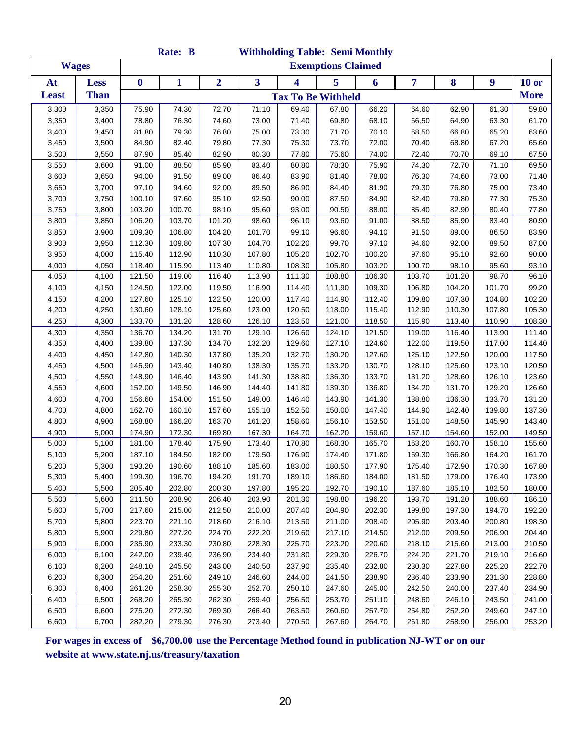|              |              |                  | Rate: B |                |        |        | <b>Withholding Table: Semi Monthly</b> |        |        |        |                  |              |
|--------------|--------------|------------------|---------|----------------|--------|--------|----------------------------------------|--------|--------|--------|------------------|--------------|
|              | <b>Wages</b> |                  |         |                |        |        | <b>Exemptions Claimed</b>              |        |        |        |                  |              |
| At           | Less         | $\boldsymbol{0}$ | 1       | $\overline{2}$ | 3      | 4      | 5                                      | 6      | 7      | 8      | $\boldsymbol{9}$ | <b>10 or</b> |
| <b>Least</b> | <b>Than</b>  |                  |         |                |        |        | <b>Tax To Be Withheld</b>              |        |        |        |                  | <b>More</b>  |
| 3,300        | 3,350        | 75.90            | 74.30   | 72.70          | 71.10  | 69.40  | 67.80                                  | 66.20  | 64.60  | 62.90  | 61.30            | 59.80        |
| 3,350        | 3,400        | 78.80            | 76.30   | 74.60          | 73.00  | 71.40  | 69.80                                  | 68.10  | 66.50  | 64.90  | 63.30            | 61.70        |
| 3,400        | 3,450        | 81.80            | 79.30   | 76.80          | 75.00  | 73.30  | 71.70                                  | 70.10  | 68.50  | 66.80  | 65.20            | 63.60        |
| 3,450        | 3,500        | 84.90            | 82.40   | 79.80          | 77.30  | 75.30  | 73.70                                  | 72.00  | 70.40  | 68.80  | 67.20            | 65.60        |
| 3,500        | 3,550        | 87.90            | 85.40   | 82.90          | 80.30  | 77.80  | 75.60                                  | 74.00  | 72.40  | 70.70  | 69.10            | 67.50        |
| 3,550        | 3,600        | 91.00            | 88.50   | 85.90          | 83.40  | 80.80  | 78.30                                  | 75.90  | 74.30  | 72.70  | 71.10            | 69.50        |
| 3,600        | 3,650        | 94.00            | 91.50   | 89.00          | 86.40  | 83.90  | 81.40                                  | 78.80  | 76.30  | 74.60  | 73.00            | 71.40        |
| 3,650        | 3,700        | 97.10            | 94.60   | 92.00          | 89.50  | 86.90  | 84.40                                  | 81.90  | 79.30  | 76.80  | 75.00            | 73.40        |
| 3,700        | 3,750        | 100.10           | 97.60   | 95.10          | 92.50  | 90.00  | 87.50                                  | 84.90  | 82.40  | 79.80  | 77.30            | 75.30        |
| 3,750        | 3,800        | 103.20           | 100.70  | 98.10          | 95.60  | 93.00  | 90.50                                  | 88.00  | 85.40  | 82.90  | 80.40            | 77.80        |
| 3,800        | 3,850        | 106.20           | 103.70  | 101.20         | 98.60  | 96.10  | 93.60                                  | 91.00  | 88.50  | 85.90  | 83.40            | 80.90        |
| 3,850        | 3,900        | 109.30           | 106.80  | 104.20         | 101.70 | 99.10  | 96.60                                  | 94.10  | 91.50  | 89.00  | 86.50            | 83.90        |
| 3,900        | 3,950        | 112.30           | 109.80  | 107.30         | 104.70 | 102.20 | 99.70                                  | 97.10  | 94.60  | 92.00  | 89.50            | 87.00        |
| 3,950        | 4,000        | 115.40           | 112.90  | 110.30         | 107.80 | 105.20 | 102.70                                 | 100.20 | 97.60  | 95.10  | 92.60            | 90.00        |
| 4,000        | 4,050        | 118.40           | 115.90  | 113.40         | 110.80 | 108.30 | 105.80                                 | 103.20 | 100.70 | 98.10  | 95.60            | 93.10        |
| 4,050        | 4,100        | 121.50           | 119.00  | 116.40         | 113.90 | 111.30 | 108.80                                 | 106.30 | 103.70 | 101.20 | 98.70            | 96.10        |
| 4,100        | 4,150        | 124.50           | 122.00  | 119.50         | 116.90 | 114.40 | 111.90                                 | 109.30 | 106.80 | 104.20 | 101.70           | 99.20        |
| 4,150        | 4,200        | 127.60           | 125.10  | 122.50         | 120.00 | 117.40 | 114.90                                 | 112.40 | 109.80 | 107.30 | 104.80           | 102.20       |
| 4,200        | 4,250        | 130.60           | 128.10  | 125.60         | 123.00 | 120.50 | 118.00                                 | 115.40 | 112.90 | 110.30 | 107.80           | 105.30       |
| 4,250        | 4,300        | 133.70           | 131.20  | 128.60         | 126.10 | 123.50 | 121.00                                 | 118.50 | 115.90 | 113.40 | 110.90           | 108.30       |
| 4,300        | 4,350        | 136.70           | 134.20  | 131.70         | 129.10 | 126.60 | 124.10                                 | 121.50 | 119.00 | 116.40 | 113.90           | 111.40       |
| 4,350        | 4,400        | 139.80           | 137.30  | 134.70         | 132.20 | 129.60 | 127.10                                 | 124.60 | 122.00 | 119.50 | 117.00           | 114.40       |
| 4,400        | 4,450        | 142.80           | 140.30  | 137.80         | 135.20 | 132.70 | 130.20                                 | 127.60 | 125.10 | 122.50 | 120.00           | 117.50       |
| 4,450        | 4,500        | 145.90           | 143.40  | 140.80         | 138.30 | 135.70 | 133.20                                 | 130.70 | 128.10 | 125.60 | 123.10           | 120.50       |
| 4,500        | 4,550        | 148.90           | 146.40  | 143.90         | 141.30 | 138.80 | 136.30                                 | 133.70 | 131.20 | 128.60 | 126.10           | 123.60       |
| 4,550        | 4,600        | 152.00           | 149.50  | 146.90         | 144.40 | 141.80 | 139.30                                 | 136.80 | 134.20 | 131.70 | 129.20           | 126.60       |
| 4,600        | 4,700        | 156.60           | 154.00  | 151.50         | 149.00 | 146.40 | 143.90                                 | 141.30 | 138.80 | 136.30 | 133.70           | 131.20       |
| 4,700        | 4,800        | 162.70           | 160.10  | 157.60         | 155.10 | 152.50 | 150.00                                 | 147.40 | 144.90 | 142.40 | 139.80           | 137.30       |
| 4,800        | 4,900        | 168.80           | 166.20  | 163.70         | 161.20 | 158.60 | 156.10                                 | 153.50 | 151.00 | 148.50 | 145.90           | 143.40       |
| 4,900        | 5,000        | 174.90           | 172.30  | 169.80         | 167.30 | 164.70 | 162.20                                 | 159.60 | 157.10 | 154.60 | 152.00           | 149.50       |
| 5,000        | 5,100        | 181.00           | 178.40  | 175.90         | 173.40 | 170.80 | 168.30                                 | 165.70 | 163.20 | 160.70 | 158.10           | 155.60       |
| 5,100        | 5,200        | 187.10           | 184.50  | 182.00         | 179.50 | 176.90 | 174.40                                 | 171.80 | 169.30 | 166.80 | 164.20           | 161.70       |
| 5,200        | 5,300        | 193.20           | 190.60  | 188.10         | 185.60 | 183.00 | 180.50                                 | 177.90 | 175.40 | 172.90 | 170.30           | 167.80       |
| 5,300        | 5,400        | 199.30           | 196.70  | 194.20         | 191.70 | 189.10 | 186.60                                 | 184.00 | 181.50 | 179.00 | 176.40           | 173.90       |
| 5,400        | 5,500        | 205.40           | 202.80  | 200.30         | 197.80 | 195.20 | 192.70                                 | 190.10 | 187.60 | 185.10 | 182.50           | 180.00       |
| 5,500        | 5,600        | 211.50           | 208.90  | 206.40         | 203.90 | 201.30 | 198.80                                 | 196.20 | 193.70 | 191.20 | 188.60           | 186.10       |
| 5,600        | 5,700        | 217.60           | 215.00  | 212.50         | 210.00 | 207.40 | 204.90                                 | 202.30 | 199.80 | 197.30 | 194.70           | 192.20       |
| 5,700        | 5,800        | 223.70           | 221.10  | 218.60         | 216.10 | 213.50 | 211.00                                 | 208.40 | 205.90 | 203.40 | 200.80           | 198.30       |
| 5,800        | 5,900        | 229.80           | 227.20  | 224.70         | 222.20 | 219.60 | 217.10                                 | 214.50 | 212.00 | 209.50 | 206.90           | 204.40       |
| 5,900        | 6,000        | 235.90           | 233.30  | 230.80         | 228.30 | 225.70 | 223.20                                 | 220.60 | 218.10 | 215.60 | 213.00           | 210.50       |
| 6,000        | 6,100        | 242.00           | 239.40  | 236.90         | 234.40 | 231.80 | 229.30                                 | 226.70 | 224.20 | 221.70 | 219.10           | 216.60       |
| 6,100        | 6,200        | 248.10           | 245.50  | 243.00         | 240.50 | 237.90 | 235.40                                 | 232.80 | 230.30 | 227.80 | 225.20           | 222.70       |
| 6,200        | 6,300        | 254.20           | 251.60  | 249.10         | 246.60 | 244.00 | 241.50                                 | 238.90 | 236.40 | 233.90 | 231.30           | 228.80       |
| 6,300        | 6,400        | 261.20           | 258.30  | 255.30         | 252.70 | 250.10 | 247.60                                 | 245.00 | 242.50 | 240.00 | 237.40           | 234.90       |
| 6,400        | 6,500        | 268.20           | 265.30  | 262.30         | 259.40 | 256.50 | 253.70                                 | 251.10 | 248.60 | 246.10 | 243.50           | 241.00       |
| 6,500        | 6,600        | 275.20           | 272.30  | 269.30         | 266.40 | 263.50 | 260.60                                 | 257.70 | 254.80 | 252.20 | 249.60           | 247.10       |
| 6,600        | 6,700        | 282.20           | 279.30  | 276.30         | 273.40 | 270.50 | 267.60                                 | 264.70 | 261.80 | 258.90 | 256.00           | 253.20       |

**For wages in excess of \$6,700.00 use the Percentage Method found in publication NJ-WT or on our website at www.state.nj.us/treasury/taxation**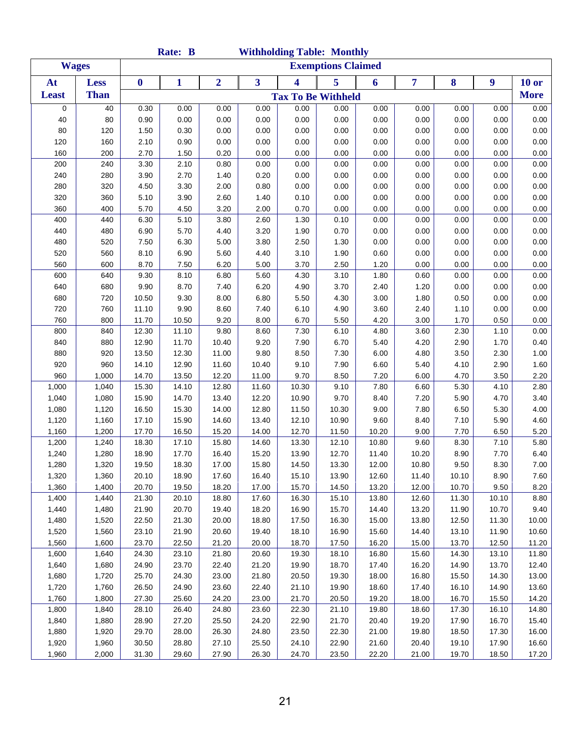|              |              |          | Rate: B |                |       | <b>Withholding Table: Monthly</b> |                           |       |       |       |       |              |
|--------------|--------------|----------|---------|----------------|-------|-----------------------------------|---------------------------|-------|-------|-------|-------|--------------|
|              | <b>Wages</b> |          |         |                |       |                                   | <b>Exemptions Claimed</b> |       |       |       |       |              |
| At           | <b>Less</b>  | $\bf{0}$ | 1       | $\overline{2}$ | 3     | $\overline{\mathbf{4}}$           | 5                         | 6     | 7     | 8     | 9     | <b>10 or</b> |
| <b>Least</b> | <b>Than</b>  |          |         |                |       | <b>Tax To Be Withheld</b>         |                           |       |       |       |       | <b>More</b>  |
| 0            | 40           | 0.30     | 0.00    | 0.00           | 0.00  | 0.00                              | 0.00                      | 0.00  | 0.00  | 0.00  | 0.00  | 0.00         |
| 40           | 80           | 0.90     | 0.00    | 0.00           | 0.00  | 0.00                              | 0.00                      | 0.00  | 0.00  | 0.00  | 0.00  | 0.00         |
| 80           | 120          | 1.50     | 0.30    | 0.00           | 0.00  | 0.00                              | 0.00                      | 0.00  | 0.00  | 0.00  | 0.00  | $0.00\,$     |
| 120          | 160          | 2.10     | 0.90    | 0.00           | 0.00  | 0.00                              | 0.00                      | 0.00  | 0.00  | 0.00  | 0.00  | 0.00         |
| 160          | 200          | 2.70     | 1.50    | 0.20           | 0.00  | 0.00                              | 0.00                      | 0.00  | 0.00  | 0.00  | 0.00  | 0.00         |
| 200          | 240          | 3.30     | 2.10    | 0.80           | 0.00  | 0.00                              | 0.00                      | 0.00  | 0.00  | 0.00  | 0.00  | 0.00         |
| 240          | 280          | 3.90     | 2.70    | 1.40           | 0.20  | 0.00                              | 0.00                      | 0.00  | 0.00  | 0.00  | 0.00  | 0.00         |
| 280          | 320          | 4.50     | 3.30    | 2.00           | 0.80  | 0.00                              | 0.00                      | 0.00  | 0.00  | 0.00  | 0.00  | 0.00         |
| 320          | 360          | 5.10     | 3.90    | 2.60           | 1.40  | 0.10                              | 0.00                      | 0.00  | 0.00  | 0.00  | 0.00  | 0.00         |
| 360          | 400          | 5.70     | 4.50    | 3.20           | 2.00  | 0.70                              | 0.00                      | 0.00  | 0.00  | 0.00  | 0.00  | 0.00         |
| 400          | 440          | 6.30     | 5.10    | 3.80           | 2.60  | 1.30                              | 0.10                      | 0.00  | 0.00  | 0.00  | 0.00  | 0.00         |
| 440          | 480          | 6.90     | 5.70    | 4.40           | 3.20  | 1.90                              | 0.70                      | 0.00  | 0.00  | 0.00  | 0.00  | 0.00         |
| 480          | 520          | 7.50     | 6.30    | 5.00           | 3.80  | 2.50                              | 1.30                      | 0.00  | 0.00  | 0.00  | 0.00  | 0.00         |
| 520          | 560          | 8.10     | 6.90    | 5.60           | 4.40  | 3.10                              | 1.90                      | 0.60  | 0.00  | 0.00  | 0.00  | 0.00         |
| 560          | 600          | 8.70     | 7.50    | 6.20           | 5.00  | 3.70                              | 2.50                      | 1.20  | 0.00  | 0.00  | 0.00  | 0.00         |
| 600          | 640          | 9.30     | 8.10    | 6.80           | 5.60  | 4.30                              | 3.10                      | 1.80  | 0.60  | 0.00  | 0.00  | 0.00         |
| 640          | 680          | 9.90     | 8.70    | 7.40           | 6.20  | 4.90                              | 3.70                      | 2.40  | 1.20  | 0.00  | 0.00  | 0.00         |
| 680          | 720          | 10.50    | 9.30    | 8.00           | 6.80  | 5.50                              | 4.30                      | 3.00  | 1.80  | 0.50  | 0.00  | 0.00         |
| 720          | 760          | 11.10    | 9.90    | 8.60           | 7.40  | 6.10                              | 4.90                      | 3.60  | 2.40  | 1.10  | 0.00  | 0.00         |
| 760          | 800          | 11.70    | 10.50   | 9.20           | 8.00  | 6.70                              | 5.50                      | 4.20  | 3.00  | 1.70  | 0.50  | 0.00         |
| 800          | 840          | 12.30    | 11.10   | 9.80           | 8.60  | 7.30                              | 6.10                      | 4.80  | 3.60  | 2.30  | 1.10  | 0.00         |
| 840          | 880          | 12.90    | 11.70   | 10.40          | 9.20  | 7.90                              | 6.70                      | 5.40  | 4.20  | 2.90  | 1.70  | 0.40         |
| 880          | 920          | 13.50    | 12.30   | 11.00          | 9.80  | 8.50                              | 7.30                      | 6.00  | 4.80  | 3.50  | 2.30  | 1.00         |
| 920          | 960          | 14.10    | 12.90   | 11.60          | 10.40 | 9.10                              | 7.90                      | 6.60  | 5.40  | 4.10  | 2.90  | 1.60         |
| 960          | 1,000        | 14.70    | 13.50   | 12.20          | 11.00 | 9.70                              | 8.50                      | 7.20  | 6.00  | 4.70  | 3.50  | 2.20         |
| 1,000        | 1,040        | 15.30    | 14.10   | 12.80          | 11.60 | 10.30                             | 9.10                      | 7.80  | 6.60  | 5.30  | 4.10  | 2.80         |
| 1,040        | 1,080        | 15.90    | 14.70   | 13.40          | 12.20 | 10.90                             | 9.70                      | 8.40  | 7.20  | 5.90  | 4.70  | 3.40         |
| 1,080        | 1,120        | 16.50    | 15.30   | 14.00          | 12.80 | 11.50                             | 10.30                     | 9.00  | 7.80  | 6.50  | 5.30  | 4.00         |
| 1,120        | 1,160        | 17.10    | 15.90   | 14.60          | 13.40 | 12.10                             | 10.90                     | 9.60  | 8.40  | 7.10  | 5.90  | 4.60         |
| 1,160        | 1,200        | 17.70    | 16.50   | 15.20          | 14.00 | 12.70                             | 11.50                     | 10.20 | 9.00  | 7.70  | 6.50  | 5.20         |
| 1,200        | 1,240        | 18.30    | 17.10   | 15.80          | 14.60 | 13.30                             | 12.10                     | 10.80 | 9.60  | 8.30  | 7.10  | 5.80         |
| 1,240        | 1,280        | 18.90    | 17.70   | 16.40          | 15.20 | 13.90                             | 12.70                     | 11.40 | 10.20 | 8.90  | 7.70  | 6.40         |
| 1,280        | 1,320        | 19.50    | 18.30   | 17.00          | 15.80 | 14.50                             | 13.30                     | 12.00 | 10.80 | 9.50  | 8.30  | 7.00         |
| 1,320        | 1,360        | 20.10    | 18.90   | 17.60          | 16.40 | 15.10                             | 13.90                     | 12.60 | 11.40 | 10.10 | 8.90  | 7.60         |
| 1,360        | 1,400        | 20.70    | 19.50   | 18.20          | 17.00 | 15.70                             | 14.50                     | 13.20 | 12.00 | 10.70 | 9.50  | 8.20         |
| 1,400        | 1,440        | 21.30    | 20.10   | 18.80          | 17.60 | 16.30                             | 15.10                     | 13.80 | 12.60 | 11.30 | 10.10 | 8.80         |
| 1,440        | 1,480        | 21.90    | 20.70   | 19.40          | 18.20 | 16.90                             | 15.70                     | 14.40 | 13.20 | 11.90 | 10.70 | 9.40         |
| 1,480        | 1,520        | 22.50    | 21.30   | 20.00          | 18.80 | 17.50                             | 16.30                     | 15.00 | 13.80 | 12.50 | 11.30 | 10.00        |
| 1,520        | 1,560        | 23.10    | 21.90   | 20.60          | 19.40 | 18.10                             | 16.90                     | 15.60 | 14.40 | 13.10 | 11.90 | 10.60        |
| 1,560        | 1,600        | 23.70    | 22.50   | 21.20          | 20.00 | 18.70                             | 17.50                     | 16.20 | 15.00 | 13.70 | 12.50 | 11.20        |
| 1,600        | 1,640        | 24.30    | 23.10   | 21.80          | 20.60 | 19.30                             | 18.10                     | 16.80 | 15.60 | 14.30 | 13.10 | 11.80        |
| 1,640        | 1,680        | 24.90    | 23.70   | 22.40          | 21.20 | 19.90                             | 18.70                     | 17.40 | 16.20 | 14.90 | 13.70 | 12.40        |
| 1,680        | 1,720        | 25.70    | 24.30   | 23.00          | 21.80 | 20.50                             | 19.30                     | 18.00 | 16.80 | 15.50 | 14.30 | 13.00        |
| 1,720        | 1,760        | 26.50    | 24.90   | 23.60          | 22.40 | 21.10                             | 19.90                     | 18.60 | 17.40 | 16.10 | 14.90 | 13.60        |
| 1,760        | 1,800        | 27.30    | 25.60   | 24.20          | 23.00 | 21.70                             | 20.50                     | 19.20 | 18.00 | 16.70 | 15.50 | 14.20        |
| 1,800        | 1,840        | 28.10    | 26.40   | 24.80          | 23.60 | 22.30                             | 21.10                     | 19.80 | 18.60 | 17.30 | 16.10 | 14.80        |
| 1,840        | 1,880        | 28.90    | 27.20   | 25.50          | 24.20 | 22.90                             | 21.70                     | 20.40 | 19.20 | 17.90 | 16.70 | 15.40        |
| 1,880        | 1,920        | 29.70    | 28.00   | 26.30          | 24.80 | 23.50                             | 22.30                     | 21.00 | 19.80 | 18.50 | 17.30 | 16.00        |
| 1,920        | 1,960        | 30.50    | 28.80   | 27.10          | 25.50 | 24.10                             | 22.90                     | 21.60 | 20.40 | 19.10 | 17.90 | 16.60        |
| 1,960        | 2,000        | 31.30    | 29.60   | 27.90          | 26.30 | 24.70                             | 23.50                     | 22.20 | 21.00 | 19.70 | 18.50 | 17.20        |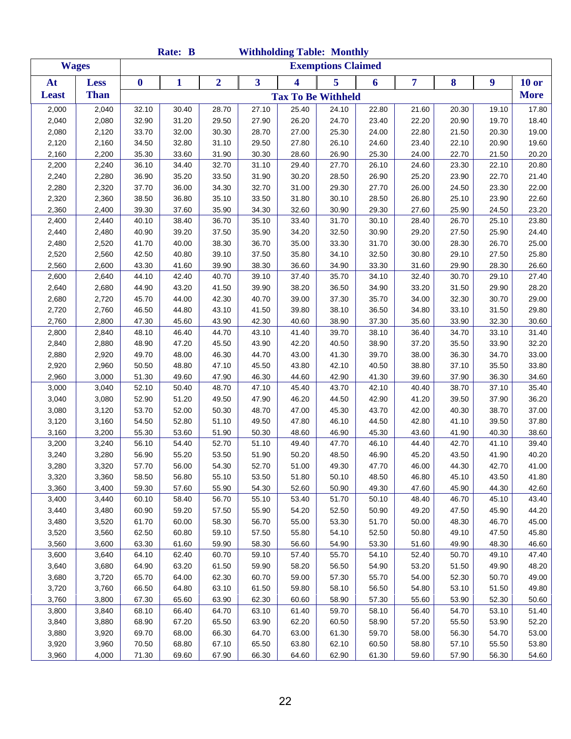|              |              |                  | Rate: B      |                |                         | <b>Withholding Table: Monthly</b> |                           |       |       |       |       |             |
|--------------|--------------|------------------|--------------|----------------|-------------------------|-----------------------------------|---------------------------|-------|-------|-------|-------|-------------|
|              | <b>Wages</b> |                  |              |                |                         |                                   | <b>Exemptions Claimed</b> |       |       |       |       |             |
| At           | Less         | $\boldsymbol{0}$ | $\mathbf{1}$ | $\overline{2}$ | $\overline{\mathbf{3}}$ | $\overline{\mathbf{4}}$           | 5                         | 6     | 7     | 8     | 9     | $10$ or     |
| <b>Least</b> | <b>Than</b>  |                  |              |                |                         | <b>Tax To Be Withheld</b>         |                           |       |       |       |       | <b>More</b> |
| 2,000        | 2,040        | 32.10            | 30.40        | 28.70          | 27.10                   | 25.40                             | 24.10                     | 22.80 | 21.60 | 20.30 | 19.10 | 17.80       |
| 2,040        | 2,080        | 32.90            | 31.20        | 29.50          | 27.90                   | 26.20                             | 24.70                     | 23.40 | 22.20 | 20.90 | 19.70 | 18.40       |
| 2,080        | 2,120        | 33.70            | 32.00        | 30.30          | 28.70                   | 27.00                             | 25.30                     | 24.00 | 22.80 | 21.50 | 20.30 | 19.00       |
| 2,120        | 2,160        | 34.50            | 32.80        | 31.10          | 29.50                   | 27.80                             | 26.10                     | 24.60 | 23.40 | 22.10 | 20.90 | 19.60       |
| 2,160        | 2,200        | 35.30            | 33.60        | 31.90          | 30.30                   | 28.60                             | 26.90                     | 25.30 | 24.00 | 22.70 | 21.50 | 20.20       |
| 2,200        | 2,240        | 36.10            | 34.40        | 32.70          | 31.10                   | 29.40                             | 27.70                     | 26.10 | 24.60 | 23.30 | 22.10 | 20.80       |
| 2,240        | 2,280        | 36.90            | 35.20        | 33.50          | 31.90                   | 30.20                             | 28.50                     | 26.90 | 25.20 | 23.90 | 22.70 | 21.40       |
| 2,280        | 2,320        | 37.70            | 36.00        | 34.30          | 32.70                   | 31.00                             | 29.30                     | 27.70 | 26.00 | 24.50 | 23.30 | 22.00       |
| 2,320        | 2,360        | 38.50            | 36.80        | 35.10          | 33.50                   | 31.80                             | 30.10                     | 28.50 | 26.80 | 25.10 | 23.90 | 22.60       |
| 2,360        | 2,400        | 39.30            | 37.60        | 35.90          | 34.30                   | 32.60                             | 30.90                     | 29.30 | 27.60 | 25.90 | 24.50 | 23.20       |
| 2,400        | 2,440        | 40.10            | 38.40        | 36.70          | 35.10                   | 33.40                             | 31.70                     | 30.10 | 28.40 | 26.70 | 25.10 | 23.80       |
| 2,440        | 2,480        | 40.90            | 39.20        | 37.50          | 35.90                   | 34.20                             | 32.50                     | 30.90 | 29.20 | 27.50 | 25.90 | 24.40       |
| 2,480        | 2,520        | 41.70            | 40.00        | 38.30          | 36.70                   | 35.00                             | 33.30                     | 31.70 | 30.00 | 28.30 | 26.70 | 25.00       |
| 2,520        | 2,560        | 42.50            | 40.80        | 39.10          | 37.50                   | 35.80                             | 34.10                     | 32.50 | 30.80 | 29.10 | 27.50 | 25.80       |
| 2,560        | 2,600        | 43.30            | 41.60        | 39.90          | 38.30                   | 36.60                             | 34.90                     | 33.30 | 31.60 | 29.90 | 28.30 | 26.60       |
| 2,600        | 2,640        | 44.10            | 42.40        | 40.70          | 39.10                   | 37.40                             | 35.70                     | 34.10 | 32.40 | 30.70 | 29.10 | 27.40       |
| 2,640        | 2,680        | 44.90            | 43.20        | 41.50          | 39.90                   | 38.20                             | 36.50                     | 34.90 | 33.20 | 31.50 | 29.90 | 28.20       |
| 2,680        | 2,720        | 45.70            | 44.00        | 42.30          | 40.70                   | 39.00                             | 37.30                     | 35.70 | 34.00 | 32.30 | 30.70 | 29.00       |
| 2,720        | 2,760        | 46.50            | 44.80        | 43.10          | 41.50                   | 39.80                             | 38.10                     | 36.50 | 34.80 | 33.10 | 31.50 | 29.80       |
| 2,760        | 2,800        | 47.30            | 45.60        | 43.90          | 42.30                   | 40.60                             | 38.90                     | 37.30 | 35.60 | 33.90 | 32.30 | 30.60       |
| 2,800        | 2,840        | 48.10            | 46.40        | 44.70          | 43.10                   | 41.40                             | 39.70                     | 38.10 | 36.40 | 34.70 | 33.10 | 31.40       |
| 2,840        | 2,880        | 48.90            | 47.20        | 45.50          | 43.90                   | 42.20                             | 40.50                     | 38.90 | 37.20 | 35.50 | 33.90 | 32.20       |
| 2,880        | 2,920        | 49.70            | 48.00        | 46.30          | 44.70                   | 43.00                             | 41.30                     | 39.70 | 38.00 | 36.30 | 34.70 | 33.00       |
| 2,920        | 2,960        | 50.50            | 48.80        | 47.10          | 45.50                   | 43.80                             | 42.10                     | 40.50 | 38.80 | 37.10 | 35.50 | 33.80       |
| 2,960        | 3,000        | 51.30            | 49.60        | 47.90          | 46.30                   | 44.60                             | 42.90                     | 41.30 | 39.60 | 37.90 | 36.30 | 34.60       |
| 3,000        | 3,040        | 52.10            | 50.40        | 48.70          | 47.10                   | 45.40                             | 43.70                     | 42.10 | 40.40 | 38.70 | 37.10 | 35.40       |
| 3,040        | 3,080        | 52.90            | 51.20        | 49.50          | 47.90                   | 46.20                             | 44.50                     | 42.90 | 41.20 | 39.50 | 37.90 | 36.20       |
| 3,080        | 3,120        | 53.70            | 52.00        | 50.30          | 48.70                   | 47.00                             | 45.30                     | 43.70 | 42.00 | 40.30 | 38.70 | 37.00       |
| 3,120        | 3,160        | 54.50            | 52.80        | 51.10          | 49.50                   | 47.80                             | 46.10                     | 44.50 | 42.80 | 41.10 | 39.50 | 37.80       |
| 3,160        | 3,200        | 55.30            | 53.60        | 51.90          | 50.30                   | 48.60                             | 46.90                     | 45.30 | 43.60 | 41.90 | 40.30 | 38.60       |
| 3,200        | 3,240        | 56.10            | 54.40        | 52.70          | 51.10                   | 49.40                             | 47.70                     | 46.10 | 44.40 | 42.70 | 41.10 | 39.40       |
| 3,240        | 3,280        | 56.90            | 55.20        | 53.50          | 51.90                   | 50.20                             | 48.50                     | 46.90 | 45.20 | 43.50 | 41.90 | 40.20       |
| 3,280        | 3,320        | 57.70            | 56.00        | 54.30          | 52.70                   | 51.00                             | 49.30                     | 47.70 | 46.00 | 44.30 | 42.70 | 41.00       |
| 3,320        | 3,360        | 58.50            | 56.80        | 55.10          | 53.50                   | 51.80                             | 50.10                     | 48.50 | 46.80 | 45.10 | 43.50 | 41.80       |
| 3,360        | 3,400        | 59.30            | 57.60        | 55.90          | 54.30                   | 52.60                             | 50.90                     | 49.30 | 47.60 | 45.90 | 44.30 | 42.60       |
| 3,400        | 3,440        | 60.10            | 58.40        | 56.70          | 55.10                   | 53.40                             | 51.70                     | 50.10 | 48.40 | 46.70 | 45.10 | 43.40       |
| 3,440        | 3,480        | 60.90            | 59.20        | 57.50          | 55.90                   | 54.20                             | 52.50                     | 50.90 | 49.20 | 47.50 | 45.90 | 44.20       |
| 3,480        | 3,520        | 61.70            | 60.00        | 58.30          | 56.70                   | 55.00                             | 53.30                     | 51.70 | 50.00 | 48.30 | 46.70 | 45.00       |
| 3,520        | 3,560        | 62.50            | 60.80        | 59.10          | 57.50                   | 55.80                             | 54.10                     | 52.50 | 50.80 | 49.10 | 47.50 | 45.80       |
| 3,560        | 3,600        | 63.30            | 61.60        | 59.90          | 58.30                   | 56.60                             | 54.90                     | 53.30 | 51.60 | 49.90 | 48.30 | 46.60       |
| 3,600        | 3,640        | 64.10            | 62.40        | 60.70          | 59.10                   | 57.40                             | 55.70                     | 54.10 | 52.40 | 50.70 | 49.10 | 47.40       |
| 3,640        | 3,680        | 64.90            | 63.20        | 61.50          | 59.90                   | 58.20                             | 56.50                     | 54.90 | 53.20 | 51.50 | 49.90 | 48.20       |
| 3,680        | 3,720        | 65.70            | 64.00        | 62.30          | 60.70                   | 59.00                             | 57.30                     | 55.70 | 54.00 | 52.30 | 50.70 | 49.00       |
| 3,720        | 3,760        | 66.50            | 64.80        | 63.10          | 61.50                   | 59.80                             | 58.10                     | 56.50 | 54.80 | 53.10 | 51.50 | 49.80       |
| 3,760        | 3,800        | 67.30            | 65.60        | 63.90          | 62.30                   | 60.60                             | 58.90                     | 57.30 | 55.60 | 53.90 | 52.30 | 50.60       |
| 3,800        | 3,840        | 68.10            | 66.40        | 64.70          | 63.10                   | 61.40                             | 59.70                     | 58.10 | 56.40 | 54.70 | 53.10 | 51.40       |
| 3,840        | 3,880        | 68.90            | 67.20        | 65.50          | 63.90                   | 62.20                             | 60.50                     | 58.90 | 57.20 | 55.50 | 53.90 | 52.20       |
| 3,880        | 3,920        | 69.70            | 68.00        | 66.30          | 64.70                   | 63.00                             | 61.30                     | 59.70 | 58.00 | 56.30 | 54.70 | 53.00       |
| 3,920        | 3,960        | 70.50            | 68.80        | 67.10          | 65.50                   | 63.80                             | 62.10                     | 60.50 | 58.80 | 57.10 | 55.50 | 53.80       |
| 3,960        | 4,000        | 71.30            | 69.60        | 67.90          | 66.30                   | 64.60                             | 62.90                     | 61.30 | 59.60 | 57.90 | 56.30 | 54.60       |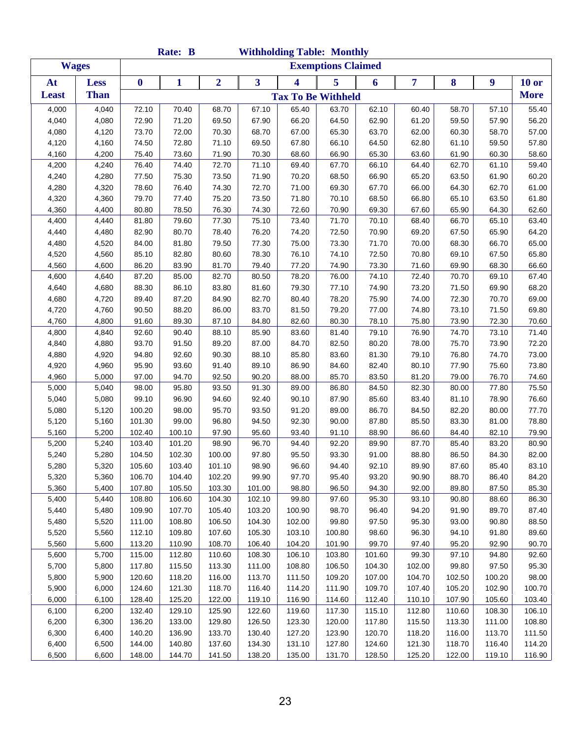|                |                |                  | Rate: B          |                  |                         | <b>Withholding Table: Monthly</b> |                           |                  |                  |                  |                  |                  |
|----------------|----------------|------------------|------------------|------------------|-------------------------|-----------------------------------|---------------------------|------------------|------------------|------------------|------------------|------------------|
|                | <b>Wages</b>   |                  |                  |                  |                         |                                   | <b>Exemptions Claimed</b> |                  |                  |                  |                  |                  |
| At             | <b>Less</b>    | $\boldsymbol{0}$ | $\mathbf{1}$     | $\overline{2}$   | $\overline{\mathbf{3}}$ | 4                                 | 5                         | 6                | 7                | 8                | 9                | $10$ or          |
| <b>Least</b>   | <b>Than</b>    |                  |                  |                  |                         | <b>Tax To Be Withheld</b>         |                           |                  |                  |                  |                  | <b>More</b>      |
| 4,000          | 4,040          | 72.10            | 70.40            | 68.70            | 67.10                   | 65.40                             | 63.70                     | 62.10            | 60.40            | 58.70            | 57.10            | 55.40            |
| 4,040          | 4,080          | 72.90            | 71.20            | 69.50            | 67.90                   | 66.20                             | 64.50                     | 62.90            | 61.20            | 59.50            | 57.90            | 56.20            |
| 4,080          | 4,120          | 73.70            | 72.00            | 70.30            | 68.70                   | 67.00                             | 65.30                     | 63.70            | 62.00            | 60.30            | 58.70            | 57.00            |
| 4,120          | 4,160          | 74.50            | 72.80            | 71.10            | 69.50                   | 67.80                             | 66.10                     | 64.50            | 62.80            | 61.10            | 59.50            | 57.80            |
| 4,160          | 4,200          | 75.40            | 73.60            | 71.90            | 70.30                   | 68.60                             | 66.90                     | 65.30            | 63.60            | 61.90            | 60.30            | 58.60            |
| 4,200          | 4,240          | 76.40            | 74.40            | 72.70            | 71.10                   | 69.40                             | 67.70                     | 66.10            | 64.40            | 62.70            | 61.10            | 59.40            |
| 4,240          | 4,280          | 77.50            | 75.30            | 73.50            | 71.90                   | 70.20                             | 68.50                     | 66.90            | 65.20            | 63.50            | 61.90            | 60.20            |
| 4,280          | 4,320          | 78.60            | 76.40            | 74.30            | 72.70                   | 71.00                             | 69.30                     | 67.70            | 66.00            | 64.30            | 62.70            | 61.00            |
| 4,320          | 4,360          | 79.70            | 77.40            | 75.20            | 73.50                   | 71.80                             | 70.10                     | 68.50            | 66.80            | 65.10            | 63.50            | 61.80            |
| 4,360          | 4,400          | 80.80            | 78.50            | 76.30            | 74.30                   | 72.60                             | 70.90                     | 69.30            | 67.60            | 65.90            | 64.30            | 62.60            |
| 4,400          | 4,440          | 81.80            | 79.60            | 77.30            | 75.10                   | 73.40                             | 71.70                     | 70.10            | 68.40            | 66.70            | 65.10            | 63.40            |
| 4,440          | 4,480          | 82.90            | 80.70            | 78.40            | 76.20                   | 74.20                             | 72.50                     | 70.90            | 69.20            | 67.50            | 65.90            | 64.20            |
| 4,480          | 4,520          | 84.00            | 81.80            | 79.50            | 77.30                   | 75.00                             | 73.30                     | 71.70            | 70.00            | 68.30            | 66.70            | 65.00            |
| 4,520          | 4,560          | 85.10            | 82.80            | 80.60            | 78.30                   | 76.10                             | 74.10                     | 72.50            | 70.80            | 69.10            | 67.50            | 65.80            |
| 4,560          | 4,600          | 86.20            | 83.90            | 81.70            | 79.40                   | 77.20                             | 74.90                     | 73.30            | 71.60            | 69.90            | 68.30            | 66.60            |
| 4,600          | 4,640          | 87.20            | 85.00            | 82.70            | 80.50                   | 78.20                             | 76.00                     | 74.10            | 72.40            | 70.70            | 69.10            | 67.40            |
| 4,640          | 4,680          | 88.30            | 86.10            | 83.80            | 81.60                   | 79.30                             | 77.10                     | 74.90            | 73.20            | 71.50            | 69.90            | 68.20            |
| 4,680          | 4,720          | 89.40            | 87.20            | 84.90            | 82.70                   | 80.40                             | 78.20                     | 75.90            | 74.00            | 72.30            | 70.70            | 69.00            |
| 4,720          | 4,760          | 90.50            | 88.20            | 86.00            | 83.70                   | 81.50                             | 79.20                     | 77.00            | 74.80            | 73.10            | 71.50            | 69.80            |
| 4,760          | 4,800          | 91.60            | 89.30            | 87.10            | 84.80                   | 82.60                             | 80.30                     | 78.10            | 75.80            | 73.90            | 72.30            | 70.60            |
| 4,800          | 4,840          | 92.60            | 90.40            | 88.10            | 85.90                   | 83.60                             | 81.40                     | 79.10            | 76.90            | 74.70            | 73.10            | 71.40            |
| 4,840          | 4,880          | 93.70            | 91.50            | 89.20            | 87.00                   | 84.70                             | 82.50                     | 80.20            | 78.00            | 75.70            | 73.90            | 72.20            |
| 4,880          | 4,920          | 94.80            | 92.60            | 90.30            | 88.10                   | 85.80                             | 83.60                     | 81.30            | 79.10            | 76.80            | 74.70            | 73.00            |
| 4,920          | 4,960          | 95.90            | 93.60            | 91.40            | 89.10                   | 86.90                             | 84.60                     | 82.40            | 80.10            | 77.90            | 75.60            | 73.80            |
| 4,960          | 5,000          | 97.00            | 94.70            | 92.50            | 90.20                   | 88.00                             | 85.70                     | 83.50            | 81.20            | 79.00            | 76.70            | 74.60            |
| 5,000          | 5,040          | 98.00            | 95.80            | 93.50            | 91.30                   | 89.00                             | 86.80                     | 84.50            | 82.30            | 80.00            | 77.80            | 75.50            |
| 5,040          | 5,080          | 99.10            | 96.90            | 94.60            | 92.40                   | 90.10                             | 87.90                     | 85.60            | 83.40            | 81.10            | 78.90            | 76.60            |
| 5,080          | 5,120          | 100.20           | 98.00            | 95.70            | 93.50                   | 91.20                             | 89.00                     | 86.70            | 84.50            | 82.20            | 80.00            | 77.70            |
| 5,120          | 5,160          | 101.30           | 99.00            | 96.80            | 94.50                   | 92.30                             | 90.00                     | 87.80            | 85.50            | 83.30            | 81.00            | 78.80            |
| 5,160          | 5,200          | 102.40           | 100.10           | 97.90            | 95.60                   | 93.40                             | 91.10                     | 88.90            | 86.60            | 84.40            | 82.10            | 79.90            |
| 5,200          | 5,240          | 103.40           | 101.20           | 98.90            | 96.70                   | 94.40                             | 92.20                     | 89.90            | 87.70            | 85.40            | 83.20            | 80.90            |
| 5,240          | 5,280          | 104.50           | 102.30           | 100.00           | 97.80                   | 95.50                             | 93.30                     | 91.00            | 88.80            | 86.50            | 84.30            | 82.00            |
| 5,280          | 5,320          | 105.60           | 103.40           | 101.10           | 98.90                   | 96.60                             | 94.40                     | 92.10            | 89.90            | 87.60            | 85.40            | 83.10            |
| 5,320          | 5,360          | 106.70           | 104.40           | 102.20           | 99.90                   | 97.70                             | 95.40                     | 93.20            | 90.90            | 88.70            | 86.40            | 84.20            |
| 5,360          | 5,400          | 107.80           | 105.50           | 103.30           | 101.00                  | 98.80                             | 96.50                     | 94.30            | 92.00            | 89.80            | 87.50            | 85.30            |
| 5,400          | 5,440          | 108.80           | 106.60           | 104.30           | 102.10                  | 99.80                             | 97.60                     | 95.30            | 93.10            | 90.80            | 88.60            | 86.30            |
| 5,440          | 5,480          | 109.90           | 107.70           | 105.40           | 103.20                  | 100.90                            | 98.70                     | 96.40            | 94.20            | 91.90            | 89.70            | 87.40            |
| 5,480          | 5,520          | 111.00           | 108.80           | 106.50           | 104.30                  | 102.00                            | 99.80                     | 97.50            | 95.30            | 93.00            | 90.80            | 88.50            |
| 5,520          | 5,560          | 112.10           | 109.80           | 107.60           | 105.30                  | 103.10                            | 100.80                    | 98.60            | 96.30            | 94.10            | 91.80            | 89.60            |
| 5,560          | 5,600          | 113.20           | 110.90           | 108.70           | 106.40                  | 104.20                            | 101.90                    | 99.70            | 97.40            | 95.20            | 92.90            | 90.70            |
| 5,600          | 5,700          | 115.00           | 112.80           | 110.60           | 108.30                  | 106.10                            | 103.80                    | 101.60           | 99.30            | 97.10            | 94.80            | 92.60            |
| 5,700          | 5,800          | 117.80           | 115.50           | 113.30           | 111.00                  | 108.80                            | 106.50                    | 104.30           | 102.00           | 99.80            | 97.50<br>100.20  | 95.30            |
| 5,800          | 5,900          | 120.60           | 118.20           | 116.00           | 113.70                  | 111.50                            | 109.20                    | 107.00           | 104.70           | 102.50           |                  | 98.00            |
| 5,900          | 6,000          | 124.60           | 121.30<br>125.20 | 118.70           | 116.40                  | 114.20                            | 111.90                    | 109.70           | 107.40           | 105.20<br>107.90 | 102.90<br>105.60 | 100.70<br>103.40 |
| 6,000<br>6,100 | 6,100<br>6,200 | 128.40<br>132.40 | 129.10           | 122.00<br>125.90 | 119.10<br>122.60        | 116.90<br>119.60                  | 114.60<br>117.30          | 112.40<br>115.10 | 110.10<br>112.80 | 110.60           | 108.30           | 106.10           |
| 6,200          | 6,300          | 136.20           | 133.00           | 129.80           | 126.50                  | 123.30                            | 120.00                    | 117.80           | 115.50           | 113.30           | 111.00           | 108.80           |
| 6,300          | 6,400          | 140.20           | 136.90           | 133.70           | 130.40                  | 127.20                            | 123.90                    | 120.70           | 118.20           | 116.00           | 113.70           | 111.50           |
| 6,400          | 6,500          | 144.00           | 140.80           | 137.60           | 134.30                  | 131.10                            | 127.80                    | 124.60           | 121.30           | 118.70           | 116.40           | 114.20           |
| 6,500          | 6,600          | 148.00           | 144.70           | 141.50           | 138.20                  | 135.00                            | 131.70                    | 128.50           | 125.20           | 122.00           | 119.10           | 116.90           |
|                |                |                  |                  |                  |                         |                                   |                           |                  |                  |                  |                  |                  |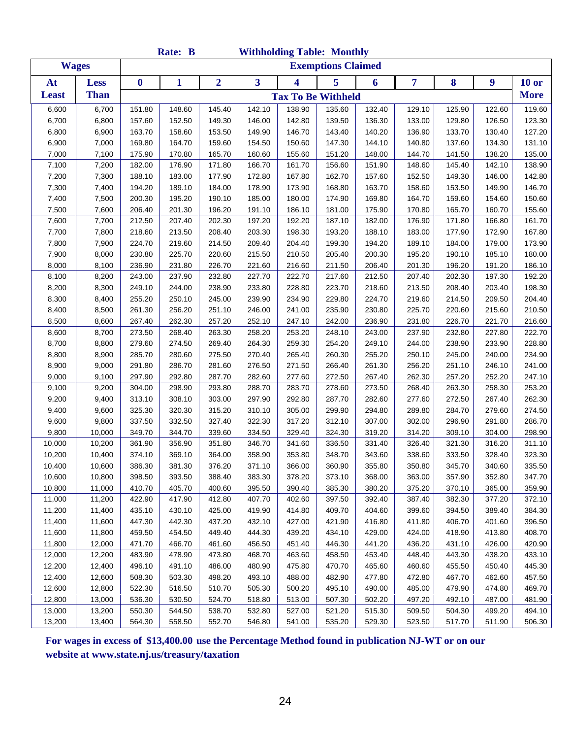|              |              |                  | Rate: B |                |        |        | <b>Withholding Table: Monthly</b> |        |        |        |                  |             |
|--------------|--------------|------------------|---------|----------------|--------|--------|-----------------------------------|--------|--------|--------|------------------|-------------|
|              | <b>Wages</b> |                  |         |                |        |        | <b>Exemptions Claimed</b>         |        |        |        |                  |             |
| At           | <b>Less</b>  | $\boldsymbol{0}$ | 1       | $\overline{2}$ | 3      | 4      | 5                                 | 6      | 7      | 8      | $\boldsymbol{9}$ | $10$ or     |
| <b>Least</b> | <b>Than</b>  |                  |         |                |        |        | <b>Tax To Be Withheld</b>         |        |        |        |                  | <b>More</b> |
| 6,600        | 6,700        | 151.80           | 148.60  | 145.40         | 142.10 | 138.90 | 135.60                            | 132.40 | 129.10 | 125.90 | 122.60           | 119.60      |
| 6,700        | 6,800        | 157.60           | 152.50  | 149.30         | 146.00 | 142.80 | 139.50                            | 136.30 | 133.00 | 129.80 | 126.50           | 123.30      |
| 6,800        | 6,900        | 163.70           | 158.60  | 153.50         | 149.90 | 146.70 | 143.40                            | 140.20 | 136.90 | 133.70 | 130.40           | 127.20      |
| 6,900        | 7,000        | 169.80           | 164.70  | 159.60         | 154.50 | 150.60 | 147.30                            | 144.10 | 140.80 | 137.60 | 134.30           | 131.10      |
| 7,000        | 7,100        | 175.90           | 170.80  | 165.70         | 160.60 | 155.60 | 151.20                            | 148.00 | 144.70 | 141.50 | 138.20           | 135.00      |
| 7,100        | 7,200        | 182.00           | 176.90  | 171.80         | 166.70 | 161.70 | 156.60                            | 151.90 | 148.60 | 145.40 | 142.10           | 138.90      |
| 7,200        | 7,300        | 188.10           | 183.00  | 177.90         | 172.80 | 167.80 | 162.70                            | 157.60 | 152.50 | 149.30 | 146.00           | 142.80      |
| 7,300        | 7,400        | 194.20           | 189.10  | 184.00         | 178.90 | 173.90 | 168.80                            | 163.70 | 158.60 | 153.50 | 149.90           | 146.70      |
| 7,400        | 7,500        | 200.30           | 195.20  | 190.10         | 185.00 | 180.00 | 174.90                            | 169.80 | 164.70 | 159.60 | 154.60           | 150.60      |
| 7,500        | 7,600        | 206.40           | 201.30  | 196.20         | 191.10 | 186.10 | 181.00                            | 175.90 | 170.80 | 165.70 | 160.70           | 155.60      |
| 7,600        | 7,700        | 212.50           | 207.40  | 202.30         | 197.20 | 192.20 | 187.10                            | 182.00 | 176.90 | 171.80 | 166.80           | 161.70      |
| 7,700        | 7,800        | 218.60           | 213.50  | 208.40         | 203.30 | 198.30 | 193.20                            | 188.10 | 183.00 | 177.90 | 172.90           | 167.80      |
| 7,800        | 7,900        | 224.70           | 219.60  | 214.50         | 209.40 | 204.40 | 199.30                            | 194.20 | 189.10 | 184.00 | 179.00           | 173.90      |
| 7,900        | 8,000        | 230.80           | 225.70  | 220.60         | 215.50 | 210.50 | 205.40                            | 200.30 | 195.20 | 190.10 | 185.10           | 180.00      |
| 8,000        | 8,100        | 236.90           | 231.80  | 226.70         | 221.60 | 216.60 | 211.50                            | 206.40 | 201.30 | 196.20 | 191.20           | 186.10      |
| 8,100        | 8,200        | 243.00           | 237.90  | 232.80         | 227.70 | 222.70 | 217.60                            | 212.50 | 207.40 | 202.30 | 197.30           | 192.20      |
| 8,200        | 8,300        | 249.10           | 244.00  | 238.90         | 233.80 | 228.80 | 223.70                            | 218.60 | 213.50 | 208.40 | 203.40           | 198.30      |
| 8,300        | 8,400        | 255.20           | 250.10  | 245.00         | 239.90 | 234.90 | 229.80                            | 224.70 | 219.60 | 214.50 | 209.50           | 204.40      |
| 8,400        | 8,500        | 261.30           | 256.20  | 251.10         | 246.00 | 241.00 | 235.90                            | 230.80 | 225.70 | 220.60 | 215.60           | 210.50      |
| 8,500        | 8,600        | 267.40           | 262.30  | 257.20         | 252.10 | 247.10 | 242.00                            | 236.90 | 231.80 | 226.70 | 221.70           | 216.60      |
| 8,600        | 8,700        | 273.50           | 268.40  | 263.30         | 258.20 | 253.20 | 248.10                            | 243.00 | 237.90 | 232.80 | 227.80           | 222.70      |
| 8,700        | 8,800        | 279.60           | 274.50  | 269.40         | 264.30 | 259.30 | 254.20                            | 249.10 | 244.00 | 238.90 | 233.90           | 228.80      |
| 8,800        | 8,900        | 285.70           | 280.60  | 275.50         | 270.40 | 265.40 | 260.30                            | 255.20 | 250.10 | 245.00 | 240.00           | 234.90      |
| 8,900        | 9,000        | 291.80           | 286.70  | 281.60         | 276.50 | 271.50 | 266.40                            | 261.30 | 256.20 | 251.10 | 246.10           | 241.00      |
| 9,000        | 9,100        | 297.90           | 292.80  | 287.70         | 282.60 | 277.60 | 272.50                            | 267.40 | 262.30 | 257.20 | 252.20           | 247.10      |
| 9,100        | 9,200        | 304.00           | 298.90  | 293.80         | 288.70 | 283.70 | 278.60                            | 273.50 | 268.40 | 263.30 | 258.30           | 253.20      |
| 9,200        | 9,400        | 313.10           | 308.10  | 303.00         | 297.90 | 292.80 | 287.70                            | 282.60 | 277.60 | 272.50 | 267.40           | 262.30      |
| 9,400        | 9,600        | 325.30           | 320.30  | 315.20         | 310.10 | 305.00 | 299.90                            | 294.80 | 289.80 | 284.70 | 279.60           | 274.50      |
| 9,600        | 9,800        | 337.50           | 332.50  | 327.40         | 322.30 | 317.20 | 312.10                            | 307.00 | 302.00 | 296.90 | 291.80           | 286.70      |
| 9,800        | 10,000       | 349.70           | 344.70  | 339.60         | 334.50 | 329.40 | 324.30                            | 319.20 | 314.20 | 309.10 | 304.00           | 298.90      |
| 10,000       | 10,200       | 361.90           | 356.90  | 351.80         | 346.70 | 341.60 | 336.50                            | 331.40 | 326.40 | 321.30 | 316.20           | 311.10      |
| 10,200       | 10,400       | 374.10           | 369.10  | 364.00         | 358.90 | 353.80 | 348.70                            | 343.60 | 338.60 | 333.50 | 328.40           | 323.30      |
| 10,400       | 10,600       | 386.30           | 381.30  | 376.20         | 371.10 | 366.00 | 360.90                            | 355.80 | 350.80 | 345.70 | 340.60           | 335.50      |
| 10,600       | 10,800       | 398.50           | 393.50  | 388.40         | 383.30 | 378.20 | 373.10                            | 368.00 | 363.00 | 357.90 | 352.80           | 347.70      |
| 10,800       | 11,000       | 410.70           | 405.70  | 400.60         | 395.50 | 390.40 | 385.30                            | 380.20 | 375.20 | 370.10 | 365.00           | 359.90      |
| 11,000       | 11,200       | 422.90           | 417.90  | 412.80         | 407.70 | 402.60 | 397.50                            | 392.40 | 387.40 | 382.30 | 377.20           | 372.10      |
| 11,200       | 11,400       | 435.10           | 430.10  | 425.00         | 419.90 | 414.80 | 409.70                            | 404.60 | 399.60 | 394.50 | 389.40           | 384.30      |
| 11,400       | 11,600       | 447.30           | 442.30  | 437.20         | 432.10 | 427.00 | 421.90                            | 416.80 | 411.80 | 406.70 | 401.60           | 396.50      |
| 11,600       | 11,800       | 459.50           | 454.50  | 449.40         | 444.30 | 439.20 | 434.10                            | 429.00 | 424.00 | 418.90 | 413.80           | 408.70      |
| 11,800       | 12,000       | 471.70           | 466.70  | 461.60         | 456.50 | 451.40 | 446.30                            | 441.20 | 436.20 | 431.10 | 426.00           | 420.90      |
| 12,000       | 12,200       | 483.90           | 478.90  | 473.80         | 468.70 | 463.60 | 458.50                            | 453.40 | 448.40 | 443.30 | 438.20           | 433.10      |
| 12,200       | 12,400       | 496.10           | 491.10  | 486.00         | 480.90 | 475.80 | 470.70                            | 465.60 | 460.60 | 455.50 | 450.40           | 445.30      |
| 12,400       | 12,600       | 508.30           | 503.30  | 498.20         | 493.10 | 488.00 | 482.90                            | 477.80 | 472.80 | 467.70 | 462.60           | 457.50      |
| 12,600       | 12,800       | 522.30           | 516.50  | 510.70         | 505.30 | 500.20 | 495.10                            | 490.00 | 485.00 | 479.90 | 474.80           | 469.70      |
| 12,800       | 13,000       | 536.30           | 530.50  | 524.70         | 518.80 | 513.00 | 507.30                            | 502.20 | 497.20 | 492.10 | 487.00           | 481.90      |
| 13,000       | 13,200       | 550.30           | 544.50  | 538.70         | 532.80 | 527.00 | 521.20                            | 515.30 | 509.50 | 504.30 | 499.20           | 494.10      |
| 13,200       | 13,400       | 564.30           | 558.50  | 552.70         | 546.80 | 541.00 | 535.20                            | 529.30 | 523.50 | 517.70 | 511.90           | 506.30      |

**For wages in excess of \$13,400.00 use the Percentage Method found in publication NJ-WT or on our website at www.state.nj.us/treasury/taxation**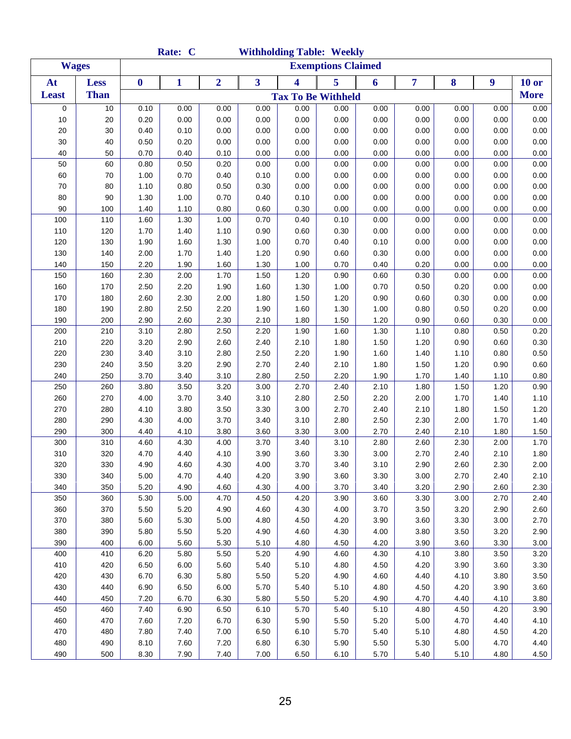|              |              |                  | Rate: C |                |                         |      | <b>Withholding Table: Weekly</b> |      |      |      |      |              |
|--------------|--------------|------------------|---------|----------------|-------------------------|------|----------------------------------|------|------|------|------|--------------|
|              | <b>Wages</b> |                  |         |                |                         |      | <b>Exemptions Claimed</b>        |      |      |      |      |              |
| At           | <b>Less</b>  | $\boldsymbol{0}$ | 1       | $\overline{2}$ | $\overline{\mathbf{3}}$ | 4    | 5                                | 6    | 7    | 8    | 9    | <b>10 or</b> |
| <b>Least</b> | <b>Than</b>  |                  |         |                |                         |      | <b>Tax To Be Withheld</b>        |      |      |      |      | <b>More</b>  |
| 0            | 10           | 0.10             | 0.00    | 0.00           | 0.00                    | 0.00 | 0.00                             | 0.00 | 0.00 | 0.00 | 0.00 | 0.00         |
| 10           | 20           | 0.20             | 0.00    | 0.00           | 0.00                    | 0.00 | 0.00                             | 0.00 | 0.00 | 0.00 | 0.00 | 0.00         |
| 20           | 30           | 0.40             | 0.10    | 0.00           | 0.00                    | 0.00 | 0.00                             | 0.00 | 0.00 | 0.00 | 0.00 | 0.00         |
| 30           | 40           | 0.50             | 0.20    | 0.00           | 0.00                    | 0.00 | 0.00                             | 0.00 | 0.00 | 0.00 | 0.00 | 0.00         |
| 40           | 50           | 0.70             | 0.40    | 0.10           | 0.00                    | 0.00 | 0.00                             | 0.00 | 0.00 | 0.00 | 0.00 | 0.00         |
| 50           | 60           | 0.80             | 0.50    | 0.20           | 0.00                    | 0.00 | 0.00                             | 0.00 | 0.00 | 0.00 | 0.00 | 0.00         |
| 60           | 70           | 1.00             | 0.70    | 0.40           | 0.10                    | 0.00 | 0.00                             | 0.00 | 0.00 | 0.00 | 0.00 | 0.00         |
| 70           | 80           | 1.10             | 0.80    | 0.50           | 0.30                    | 0.00 | 0.00                             | 0.00 | 0.00 | 0.00 | 0.00 | 0.00         |
| 80           | $90\,$       | 1.30             | 1.00    | 0.70           | 0.40                    | 0.10 | 0.00                             | 0.00 | 0.00 | 0.00 | 0.00 | 0.00         |
| 90           | 100          | 1.40             | 1.10    | 0.80           | 0.60                    | 0.30 | 0.00                             | 0.00 | 0.00 | 0.00 | 0.00 | 0.00         |
| 100          | 110          | 1.60             | 1.30    | 1.00           | 0.70                    | 0.40 | 0.10                             | 0.00 | 0.00 | 0.00 | 0.00 | 0.00         |
| 110          | 120          | 1.70             | 1.40    | 1.10           | 0.90                    | 0.60 | 0.30                             | 0.00 | 0.00 | 0.00 | 0.00 | 0.00         |
| 120          | 130          | 1.90             | 1.60    | 1.30           | 1.00                    | 0.70 | 0.40                             | 0.10 | 0.00 | 0.00 | 0.00 | 0.00         |
| 130          | 140          | 2.00             | 1.70    | 1.40           | 1.20                    | 0.90 | 0.60                             | 0.30 | 0.00 | 0.00 | 0.00 | 0.00         |
| 140          | 150          | 2.20             | 1.90    | 1.60           | 1.30                    | 1.00 | 0.70                             | 0.40 | 0.20 | 0.00 | 0.00 | 0.00         |
| 150          | 160          | 2.30             | 2.00    | 1.70           | 1.50                    | 1.20 | 0.90                             | 0.60 | 0.30 | 0.00 | 0.00 | 0.00         |
| 160          | 170          | 2.50             | 2.20    | 1.90           | 1.60                    | 1.30 | 1.00                             | 0.70 | 0.50 | 0.20 | 0.00 | 0.00         |
| 170          | 180          | 2.60             | 2.30    | 2.00           | 1.80                    | 1.50 | 1.20                             | 0.90 | 0.60 | 0.30 | 0.00 | 0.00         |
| 180          | 190          | 2.80             | 2.50    | 2.20           | 1.90                    | 1.60 | 1.30                             | 1.00 | 0.80 | 0.50 | 0.20 | 0.00         |
| 190          | 200          | 2.90             | 2.60    | 2.30           | 2.10                    | 1.80 | 1.50                             | 1.20 | 0.90 | 0.60 | 0.30 | 0.00         |
| 200          | 210          | 3.10             | 2.80    | 2.50           | 2.20                    | 1.90 | 1.60                             | 1.30 | 1.10 | 0.80 | 0.50 | 0.20         |
| 210          | 220          | 3.20             | 2.90    | 2.60           | 2.40                    | 2.10 | 1.80                             | 1.50 | 1.20 | 0.90 | 0.60 | 0.30         |
| 220          | 230          | 3.40             | 3.10    | 2.80           | 2.50                    | 2.20 | 1.90                             | 1.60 | 1.40 | 1.10 | 0.80 | $0.50\,$     |
| 230          | 240          | 3.50             | 3.20    | 2.90           | 2.70                    | 2.40 | 2.10                             | 1.80 | 1.50 | 1.20 | 0.90 | 0.60         |
| 240          | 250          | 3.70             | 3.40    | 3.10           | 2.80                    | 2.50 | 2.20                             | 1.90 | 1.70 | 1.40 | 1.10 | 0.80         |
| 250          | 260          | 3.80             | 3.50    | 3.20           | 3.00                    | 2.70 | 2.40                             | 2.10 | 1.80 | 1.50 | 1.20 | 0.90         |
| 260          | 270          | 4.00             | 3.70    | 3.40           | 3.10                    | 2.80 | 2.50                             | 2.20 | 2.00 | 1.70 | 1.40 | 1.10         |
| 270          | 280          | 4.10             | 3.80    | 3.50           | 3.30                    | 3.00 | 2.70                             | 2.40 | 2.10 | 1.80 | 1.50 | 1.20         |
| 280          | 290          | 4.30             | 4.00    | 3.70           | 3.40                    | 3.10 | 2.80                             | 2.50 | 2.30 | 2.00 | 1.70 | 1.40         |
| 290          | 300          | 4.40             | 4.10    | 3.80           | 3.60                    | 3.30 | 3.00                             | 2.70 | 2.40 | 2.10 | 1.80 | 1.50         |
| 300          | 310          | 4.60             | 4.30    | 4.00           | 3.70                    | 3.40 | 3.10                             | 2.80 | 2.60 | 2.30 | 2.00 | 1.70         |
| 310          | 320          | 4.70             | 4.40    | 4.10           | 3.90                    | 3.60 | 3.30                             | 3.00 | 2.70 | 2.40 | 2.10 | 1.80         |
| 320          | 330          | 4.90             | 4.60    | 4.30           | 4.00                    | 3.70 | 3.40                             | 3.10 | 2.90 | 2.60 | 2.30 | 2.00         |
| 330          | 340          | 5.00             | 4.70    | 4.40           | 4.20                    | 3.90 | 3.60                             | 3.30 | 3.00 | 2.70 | 2.40 | 2.10         |
| 340          | 350          | 5.20             | 4.90    | 4.60           | 4.30                    | 4.00 | 3.70                             | 3.40 | 3.20 | 2.90 | 2.60 | 2.30         |
| 350          | 360          | 5.30             | 5.00    | 4.70           | 4.50                    | 4.20 | 3.90                             | 3.60 | 3.30 | 3.00 | 2.70 | 2.40         |
| 360          | 370          | 5.50             | 5.20    | 4.90           | 4.60                    | 4.30 | 4.00                             | 3.70 | 3.50 | 3.20 | 2.90 | 2.60         |
| 370          | 380          | 5.60             | 5.30    | 5.00           | 4.80                    | 4.50 | 4.20                             | 3.90 | 3.60 | 3.30 | 3.00 | 2.70         |
| 380          | 390          | 5.80             | 5.50    | 5.20           | 4.90                    | 4.60 | 4.30                             | 4.00 | 3.80 | 3.50 | 3.20 | 2.90         |
| 390          | 400          | 6.00             | 5.60    | 5.30           | 5.10                    | 4.80 | 4.50                             | 4.20 | 3.90 | 3.60 | 3.30 | 3.00         |
| 400          | 410          | 6.20             | 5.80    | 5.50           | 5.20                    | 4.90 | 4.60                             | 4.30 | 4.10 | 3.80 | 3.50 | 3.20         |
| 410          | 420          | 6.50             | 6.00    | 5.60           | 5.40                    | 5.10 | 4.80                             | 4.50 | 4.20 | 3.90 | 3.60 | 3.30         |
| 420          | 430          | 6.70             | 6.30    | 5.80           | 5.50                    | 5.20 | 4.90                             | 4.60 | 4.40 | 4.10 | 3.80 | 3.50         |
| 430          | 440          | 6.90             | 6.50    | 6.00           | 5.70                    | 5.40 | 5.10                             | 4.80 | 4.50 | 4.20 | 3.90 | 3.60         |
| 440          | 450          | 7.20             | 6.70    | 6.30           | 5.80                    | 5.50 | 5.20                             | 4.90 | 4.70 | 4.40 | 4.10 | 3.80         |
| 450          | 460          | 7.40             | 6.90    | 6.50           | 6.10                    | 5.70 | 5.40                             | 5.10 | 4.80 | 4.50 | 4.20 | 3.90         |
| 460          | 470          | 7.60             | 7.20    | 6.70           | 6.30                    | 5.90 | 5.50                             | 5.20 | 5.00 | 4.70 | 4.40 | 4.10         |
| 470          | 480          | 7.80             | 7.40    | 7.00           | 6.50                    | 6.10 | 5.70                             | 5.40 | 5.10 | 4.80 | 4.50 | 4.20         |
| 480          | 490          | 8.10             | 7.60    | 7.20           | 6.80                    | 6.30 | 5.90                             | 5.50 | 5.30 | 5.00 | 4.70 | 4.40         |
| 490          | 500          | 8.30             | 7.90    | 7.40           | 7.00                    | 6.50 | 6.10                             | 5.70 | 5.40 | 5.10 | 4.80 | 4.50         |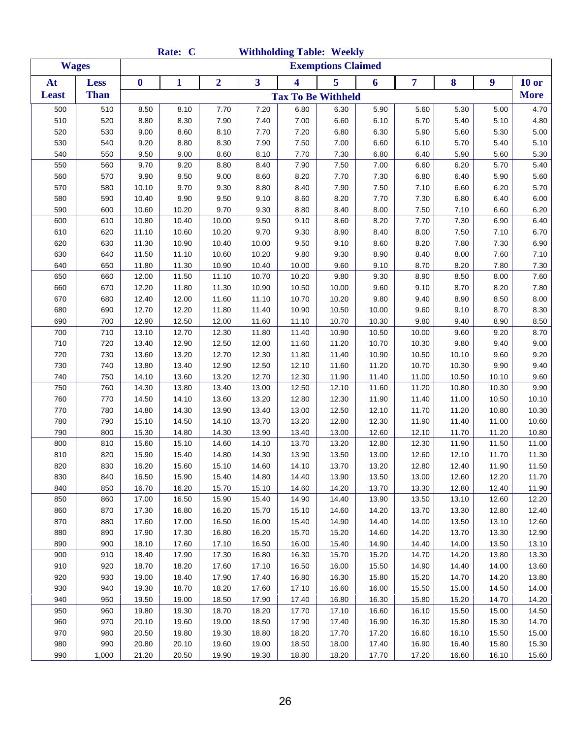|              |              |                  | Rate: C        |                |                | <b>Withholding Table: Weekly</b> |                           |                |                |                |                |                |
|--------------|--------------|------------------|----------------|----------------|----------------|----------------------------------|---------------------------|----------------|----------------|----------------|----------------|----------------|
|              | <b>Wages</b> |                  |                |                |                |                                  | <b>Exemptions Claimed</b> |                |                |                |                |                |
| At           | <b>Less</b>  | $\boldsymbol{0}$ | 1              | $\overline{2}$ | 3              | $\overline{\mathbf{4}}$          | 5                         | 6              | 7              | 8              | 9              | $10$ or        |
| <b>Least</b> | <b>Than</b>  |                  |                |                |                | <b>Tax To Be Withheld</b>        |                           |                |                |                |                | <b>More</b>    |
| 500          | 510          | 8.50             | 8.10           | 7.70           | 7.20           | 6.80                             | 6.30                      | 5.90           | 5.60           | 5.30           | 5.00           | 4.70           |
| 510          | 520          | 8.80             | 8.30           | 7.90           | 7.40           | 7.00                             | 6.60                      | 6.10           | 5.70           | 5.40           | 5.10           | 4.80           |
| 520          | 530          | 9.00             | 8.60           | 8.10           | 7.70           | 7.20                             | 6.80                      | 6.30           | 5.90           | 5.60           | 5.30           | 5.00           |
| 530          | 540          | 9.20             | 8.80           | 8.30           | 7.90           | 7.50                             | 7.00                      | 6.60           | 6.10           | 5.70           | 5.40           | 5.10           |
| 540          | 550          | 9.50             | 9.00           | 8.60           | 8.10           | 7.70                             | 7.30                      | 6.80           | 6.40           | 5.90           | 5.60           | 5.30           |
| 550          | 560          | 9.70             | 9.20           | 8.80           | 8.40           | 7.90                             | 7.50                      | 7.00           | 6.60           | 6.20           | 5.70           | 5.40           |
| 560          | 570          | 9.90             | 9.50           | 9.00           | 8.60           | 8.20                             | 7.70                      | 7.30           | 6.80           | 6.40           | 5.90           | 5.60           |
| 570          | 580          | 10.10            | 9.70           | 9.30           | 8.80           | 8.40                             | 7.90                      | 7.50           | 7.10           | 6.60           | 6.20           | 5.70           |
| 580          | 590          | 10.40            | 9.90           | 9.50           | 9.10           | 8.60                             | 8.20                      | 7.70           | 7.30           | 6.80           | 6.40           | 6.00           |
| 590          | 600          | 10.60            | 10.20          | 9.70           | 9.30           | 8.80                             | 8.40                      | 8.00           | 7.50           | 7.10           | 6.60           | 6.20           |
| 600          | 610          | 10.80            | 10.40          | 10.00          | 9.50           | 9.10                             | 8.60                      | 8.20           | 7.70           | 7.30           | 6.90           | 6.40           |
| 610          | 620          | 11.10            | 10.60          | 10.20          | 9.70           | 9.30                             | 8.90                      | 8.40           | 8.00           | 7.50           | 7.10           | 6.70           |
| 620          | 630          | 11.30            | 10.90          | 10.40          | 10.00          | 9.50                             | 9.10                      | 8.60           | 8.20           | 7.80           | 7.30           | 6.90           |
| 630          | 640          | 11.50            | 11.10          | 10.60          | 10.20          | 9.80                             | 9.30                      | 8.90           | 8.40           | 8.00           | 7.60           | 7.10           |
| 640          | 650          | 11.80            | 11.30          | 10.90          | 10.40          | 10.00                            | 9.60                      | 9.10           | 8.70           | 8.20           | 7.80           | 7.30           |
| 650          | 660          | 12.00            | 11.50          | 11.10          | 10.70          | 10.20                            | 9.80                      | 9.30           | 8.90           | 8.50           | 8.00           | 7.60           |
| 660          | 670          | 12.20            | 11.80          | 11.30          | 10.90          | 10.50                            | 10.00                     | 9.60           | 9.10           | 8.70           | 8.20           | 7.80           |
| 670          | 680          | 12.40            | 12.00          | 11.60          | 11.10          | 10.70                            | 10.20                     | 9.80           | 9.40           | 8.90           | 8.50           | 8.00           |
| 680          | 690          | 12.70            | 12.20          | 11.80          | 11.40          | 10.90                            | 10.50                     | 10.00          | 9.60           | 9.10           | 8.70           | 8.30           |
| 690          | 700          | 12.90            | 12.50          | 12.00          | 11.60          | 11.10                            | 10.70                     | 10.30          | 9.80           | 9.40           | 8.90           | 8.50           |
| 700          | 710          | 13.10            | 12.70          | 12.30          | 11.80          | 11.40                            | 10.90                     | 10.50          | 10.00          | 9.60           | 9.20           | 8.70           |
| 710          | 720          | 13.40            | 12.90          | 12.50          | 12.00          | 11.60                            | 11.20                     | 10.70          | 10.30          | 9.80           | 9.40           | 9.00           |
| 720          | 730          | 13.60            | 13.20          | 12.70          | 12.30          | 11.80                            | 11.40                     | 10.90          | 10.50          | 10.10          | 9.60           | 9.20           |
| 730          | 740          | 13.80            | 13.40          | 12.90          | 12.50          | 12.10                            | 11.60                     | 11.20          | 10.70          | 10.30          | 9.90           | 9.40           |
| 740          | 750          | 14.10            | 13.60          | 13.20          | 12.70          | 12.30                            | 11.90                     | 11.40          | 11.00          | 10.50          | 10.10          | 9.60           |
| 750          | 760          | 14.30            | 13.80          | 13.40          | 13.00          | 12.50                            | 12.10                     | 11.60          | 11.20          | 10.80          | 10.30          | 9.90           |
| 760          | 770          | 14.50            | 14.10          | 13.60          | 13.20          | 12.80                            | 12.30                     | 11.90          | 11.40          | 11.00          | 10.50          | 10.10          |
| 770          | 780          | 14.80            | 14.30          | 13.90          | 13.40          | 13.00                            | 12.50                     | 12.10          | 11.70          | 11.20          | 10.80          | 10.30          |
| 780          | 790          | 15.10            | 14.50          | 14.10          | 13.70          | 13.20                            | 12.80                     | 12.30          | 11.90          | 11.40          | 11.00          | 10.60          |
| 790          | 800          | 15.30            | 14.80          | 14.30          | 13.90          | 13.40                            | 13.00                     | 12.60          | 12.10          | 11.70          | 11.20          | 10.80          |
| 800          | 810          | 15.60            | 15.10          | 14.60          | 14.10          | 13.70                            | 13.20                     | 12.80          | 12.30          | 11.90          | 11.50          | 11.00          |
| 810          | 820          | 15.90            | 15.40          | 14.80          | 14.30          | 13.90                            | 13.50                     | 13.00          | 12.60          | 12.10          | 11.70          | 11.30          |
| 820          | 830          | 16.20            | 15.60          | 15.10          | 14.60          | 14.10                            | 13.70                     | 13.20          | 12.80          | 12.40          | 11.90          | 11.50          |
| 830          | 840          | 16.50            | 15.90          | 15.40          | 14.80          | 14.40                            | 13.90                     | 13.50          | 13.00          | 12.60          | 12.20          | 11.70          |
| 840          | 850          | 16.70            | 16.20          | 15.70          | 15.10          | 14.60                            | 14.20                     | 13.70          | 13.30          | 12.80          | 12.40          | 11.90          |
| 850          | 860          | 17.00            | 16.50          | 15.90          | 15.40          | 14.90                            | 14.40                     | 13.90          | 13.50          | 13.10          | 12.60          | 12.20          |
| 860          | 870          | 17.30            | 16.80          | 16.20          | 15.70          | 15.10                            | 14.60                     | 14.20          | 13.70          | 13.30          | 12.80          | 12.40          |
| 870          | 880          | 17.60            | 17.00          | 16.50          | 16.00          | 15.40                            | 14.90                     | 14.40          | 14.00          | 13.50          | 13.10          | 12.60          |
| 880          | 890          | 17.90            | 17.30          | 16.80          | 16.20          | 15.70                            | 15.20                     | 14.60          | 14.20          | 13.70          | 13.30          | 12.90          |
| 890          | 900          | 18.10            | 17.60          | 17.10          | 16.50          | 16.00                            | 15.40                     | 14.90          | 14.40          | 14.00          | 13.50          | 13.10          |
| 900          | 910          | 18.40            | 17.90          | 17.30          | 16.80          | 16.30                            | 15.70                     | 15.20          | 14.70          | 14.20          | 13.80          | 13.30          |
| 910          | 920          | 18.70            | 18.20          | 17.60          | 17.10          | 16.50                            | 16.00                     | 15.50          | 14.90          | 14.40          | 14.00          | 13.60          |
| 920          | 930          | 19.00            | 18.40          | 17.90          | 17.40          | 16.80                            | 16.30                     | 15.80          | 15.20          | 14.70          | 14.20          | 13.80          |
| 930          | 940          | 19.30            | 18.70          | 18.20          | 17.60          | 17.10                            | 16.60                     | 16.00          | 15.50          | 15.00          | 14.50          | 14.00          |
| 940          | 950          | 19.50            | 19.00          | 18.50          | 17.90          | 17.40                            | 16.80                     | 16.30          | 15.80          | 15.20          | 14.70          | 14.20          |
| 950<br>960   | 960<br>970   | 19.80            | 19.30<br>19.60 | 18.70<br>19.00 | 18.20<br>18.50 | 17.70<br>17.90                   | 17.10                     | 16.60          | 16.10          | 15.50          | 15.00<br>15.30 | 14.50<br>14.70 |
| 970          | 980          | 20.10<br>20.50   | 19.80          | 19.30          | 18.80          | 18.20                            | 17.40<br>17.70            | 16.90<br>17.20 | 16.30<br>16.60 | 15.80<br>16.10 | 15.50          | 15.00          |
| 980          | 990          | 20.80            | 20.10          | 19.60          | 19.00          | 18.50                            | 18.00                     | 17.40          | 16.90          | 16.40          | 15.80          | 15.30          |
| 990          | 1,000        | 21.20            | 20.50          | 19.90          | 19.30          | 18.80                            | 18.20                     | 17.70          | 17.20          | 16.60          | 16.10          | 15.60          |
|              |              |                  |                |                |                |                                  |                           |                |                |                |                |                |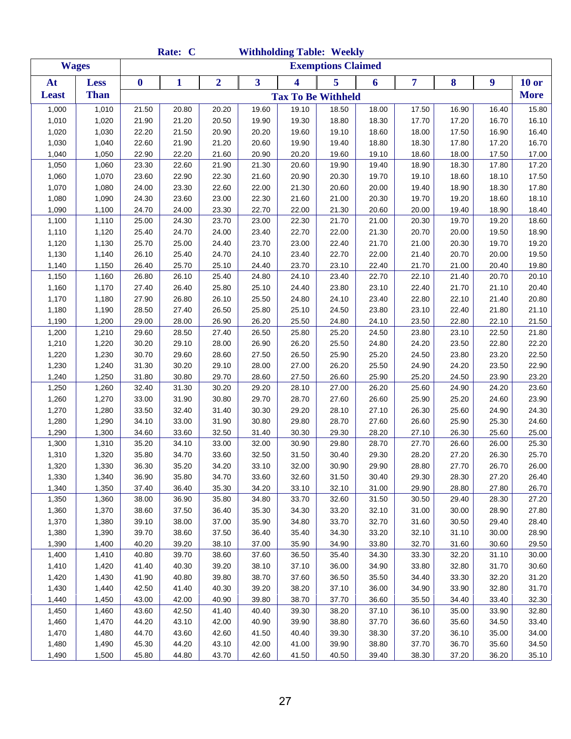|                |              |                |                  | Rate: C        |                |                         | <b>Withholding Table: Weekly</b> |                           |                |                |                |                |                |
|----------------|--------------|----------------|------------------|----------------|----------------|-------------------------|----------------------------------|---------------------------|----------------|----------------|----------------|----------------|----------------|
|                | <b>Wages</b> |                |                  |                |                |                         |                                  | <b>Exemptions Claimed</b> |                |                |                |                |                |
| At             | <b>Less</b>  |                | $\boldsymbol{0}$ | $\mathbf{1}$   | $\overline{2}$ | $\overline{\mathbf{3}}$ | 4                                | 5                         | 6              | 7              | 8              | 9              | $10$ or        |
| <b>Least</b>   | <b>Than</b>  |                |                  |                |                |                         | <b>Tax To Be Withheld</b>        |                           |                |                |                |                | <b>More</b>    |
| 1,000          |              | 1,010          | 21.50            | 20.80          | 20.20          | 19.60                   | 19.10                            | 18.50                     | 18.00          | 17.50          | 16.90          | 16.40          | 15.80          |
| 1,010          |              | 1,020          | 21.90            | 21.20          | 20.50          | 19.90                   | 19.30                            | 18.80                     | 18.30          | 17.70          | 17.20          | 16.70          | 16.10          |
| 1,020          |              | 1,030          | 22.20            | 21.50          | 20.90          | 20.20                   | 19.60                            | 19.10                     | 18.60          | 18.00          | 17.50          | 16.90          | 16.40          |
| 1,030          |              | 1,040          | 22.60            | 21.90          | 21.20          | 20.60                   | 19.90                            | 19.40                     | 18.80          | 18.30          | 17.80          | 17.20          | 16.70          |
| 1,040          |              | 1,050          | 22.90            | 22.20          | 21.60          | 20.90                   | 20.20                            | 19.60                     | 19.10          | 18.60          | 18.00          | 17.50          | 17.00          |
| 1,050          |              | 1,060          | 23.30            | 22.60          | 21.90          | 21.30                   | 20.60                            | 19.90                     | 19.40          | 18.90          | 18.30          | 17.80          | 17.20          |
| 1,060          |              | 1,070          | 23.60            | 22.90          | 22.30          | 21.60                   | 20.90                            | 20.30                     | 19.70          | 19.10          | 18.60          | 18.10          | 17.50          |
| 1,070          |              | 1,080          | 24.00            | 23.30          | 22.60          | 22.00                   | 21.30                            | 20.60                     | 20.00          | 19.40          | 18.90          | 18.30          | 17.80          |
| 1,080          |              | 1,090          | 24.30            | 23.60          | 23.00          | 22.30                   | 21.60                            | 21.00                     | 20.30          | 19.70          | 19.20          | 18.60          | 18.10          |
| 1,090          |              | 1,100          | 24.70            | 24.00          | 23.30          | 22.70                   | 22.00                            | 21.30                     | 20.60          | 20.00          | 19.40          | 18.90          | 18.40          |
| 1,100          |              | 1,110          | 25.00            | 24.30          | 23.70          | 23.00                   | 22.30                            | 21.70                     | 21.00          | 20.30          | 19.70          | 19.20          | 18.60          |
| 1,110          |              | 1,120          | 25.40            | 24.70          | 24.00          | 23.40                   | 22.70                            | 22.00                     | 21.30          | 20.70          | 20.00          | 19.50          | 18.90          |
| 1,120          |              | 1,130          | 25.70            | 25.00          | 24.40          | 23.70                   | 23.00                            | 22.40                     | 21.70          | 21.00          | 20.30          | 19.70          | 19.20          |
| 1,130          |              | 1,140          | 26.10            | 25.40          | 24.70          | 24.10                   | 23.40                            | 22.70                     | 22.00          | 21.40          | 20.70          | 20.00          | 19.50          |
| 1,140          |              | 1,150          | 26.40            | 25.70          | 25.10          | 24.40                   | 23.70                            | 23.10                     | 22.40          | 21.70          | 21.00          | 20.40          | 19.80          |
| 1,150          |              | 1,160          | 26.80            | 26.10          | 25.40          | 24.80                   | 24.10                            | 23.40                     | 22.70          | 22.10          | 21.40          | 20.70          | 20.10          |
| 1,160          |              | 1,170          | 27.40            | 26.40          | 25.80          | 25.10                   | 24.40                            | 23.80                     | 23.10          | 22.40          | 21.70          | 21.10          | 20.40          |
| 1,170          |              | 1,180          | 27.90            | 26.80          | 26.10          | 25.50                   | 24.80                            | 24.10                     | 23.40          | 22.80          | 22.10          | 21.40          | 20.80          |
| 1,180          |              | 1,190          | 28.50            | 27.40          | 26.50          | 25.80                   | 25.10                            | 24.50                     | 23.80          | 23.10          | 22.40          | 21.80          | 21.10          |
| 1,190          |              | 1,200          | 29.00            | 28.00          | 26.90          | 26.20                   | 25.50                            | 24.80                     | 24.10          | 23.50          | 22.80          | 22.10          | 21.50          |
| 1,200          |              | 1,210          | 29.60            | 28.50          | 27.40          | 26.50                   | 25.80                            | 25.20                     | 24.50          | 23.80          | 23.10          | 22.50          | 21.80          |
| 1,210          |              | 1,220          | 30.20            | 29.10          | 28.00          | 26.90                   | 26.20                            | 25.50                     | 24.80          | 24.20          | 23.50          | 22.80          | 22.20          |
| 1,220          |              | 1,230          | 30.70            | 29.60          | 28.60          | 27.50                   | 26.50                            | 25.90                     | 25.20          | 24.50          | 23.80          | 23.20          | 22.50          |
| 1,230          |              | 1,240          | 31.30            | 30.20          | 29.10          | 28.00                   | 27.00                            | 26.20                     | 25.50          | 24.90          | 24.20          | 23.50          | 22.90          |
| 1,240          |              | 1,250          | 31.80            | 30.80          | 29.70          | 28.60                   | 27.50                            | 26.60                     | 25.90          | 25.20          | 24.50          | 23.90          | 23.20          |
| 1,250          |              | 1,260          | 32.40            | 31.30          | 30.20          | 29.20                   | 28.10                            | 27.00                     | 26.20          | 25.60          | 24.90          | 24.20          | 23.60          |
| 1,260          |              | 1,270          | 33.00            | 31.90          | 30.80          | 29.70                   | 28.70                            | 27.60                     | 26.60          | 25.90          | 25.20          | 24.60          | 23.90          |
| 1,270          |              | 1,280          | 33.50            | 32.40          | 31.40          | 30.30                   | 29.20                            | 28.10                     | 27.10          | 26.30          | 25.60          | 24.90          | 24.30          |
| 1,280          |              | 1,290          | 34.10            | 33.00          | 31.90          | 30.80                   | 29.80                            | 28.70                     | 27.60          | 26.60          | 25.90          | 25.30          | 24.60          |
| 1,290          |              | 1,300          | 34.60            | 33.60          | 32.50          | 31.40                   | 30.30                            | 29.30                     | 28.20          | 27.10          | 26.30          | 25.60          | 25.00          |
| 1,300          |              | 1,310          | 35.20            | 34.10          | 33.00          | 32.00                   | 30.90                            | 29.80                     | 28.70          | 27.70          | 26.60          | 26.00          | 25.30          |
| 1,310          |              | 1,320          | 35.80            | 34.70          | 33.60          | 32.50                   | 31.50                            | 30.40                     | 29.30          | 28.20          | 27.20          | 26.30          | 25.70          |
| 1,320          |              | 1,330          | 36.30            | 35.20          | 34.20          | 33.10                   | 32.00                            | 30.90                     | 29.90          | 28.80          | 27.70          | 26.70          | 26.00          |
| 1,330          |              | 1,340          | 36.90            | 35.80          | 34.70          | 33.60                   | 32.60                            | 31.50                     | 30.40          | 29.30          | 28.30          | 27.20          | 26.40          |
| 1,340          |              | 1,350          | 37.40            | 36.40          | 35.30          | 34.20                   | 33.10                            | 32.10                     | 31.00          | 29.90          | 28.80          | 27.80          | 26.70          |
| 1,350          |              | 1,360          | 38.00            | 36.90          | 35.80          | 34.80                   | 33.70                            | 32.60                     | 31.50          | 30.50          | 29.40          | 28.30          | 27.20          |
| 1,360          |              | 1,370          | 38.60            | 37.50          | 36.40          | 35.30                   | 34.30                            | 33.20                     | 32.10          | 31.00          | 30.00          | 28.90          | 27.80          |
| 1,370          |              | 1,380          | 39.10            | 38.00          | 37.00          | 35.90                   | 34.80                            | 33.70                     | 32.70          | 31.60          | 30.50          | 29.40          | 28.40          |
| 1,380          |              | 1,390          | 39.70            | 38.60          | 37.50          | 36.40                   | 35.40                            | 34.30                     | 33.20          | 32.10          | 31.10          | 30.00          | 28.90          |
| 1,390          |              | 1,400          | 40.20            | 39.20          | 38.10          | 37.00                   | 35.90                            | 34.90                     | 33.80          | 32.70          | 31.60          | 30.60          | 29.50          |
| 1,400          |              | 1,410          | 40.80            | 39.70          | 38.60          | 37.60                   | 36.50                            | 35.40                     | 34.30          | 33.30          | 32.20          | 31.10          | 30.00          |
| 1,410          |              | 1,420          | 41.40            | 40.30          | 39.20          | 38.10                   | 37.10                            | 36.00                     | 34.90          | 33.80          | 32.80          | 31.70          | 30.60          |
| 1,420          |              | 1,430          | 41.90            | 40.80          | 39.80          | 38.70                   | 37.60                            | 36.50                     | 35.50          | 34.40          | 33.30          | 32.20          | 31.20          |
| 1,430          |              | 1,440          | 42.50            | 41.40          | 40.30          | 39.20                   | 38.20                            | 37.10                     | 36.00          | 34.90          | 33.90          | 32.80          | 31.70          |
| 1,440          |              | 1,450          | 43.00            | 42.00          | 40.90          | 39.80                   | 38.70                            | 37.70                     | 36.60          | 35.50          | 34.40          | 33.40          | 32.30          |
| 1,450          |              | 1,460          | 43.60            | 42.50<br>43.10 | 41.40          | 40.40<br>40.90          | 39.30<br>39.90                   | 38.20<br>38.80            | 37.10          | 36.10          | 35.00          | 33.90          | 32.80<br>33.40 |
| 1,460<br>1,470 |              | 1,470<br>1,480 | 44.20<br>44.70   | 43.60          | 42.00<br>42.60 | 41.50                   | 40.40                            | 39.30                     | 37.70<br>38.30 | 36.60<br>37.20 | 35.60<br>36.10 | 34.50<br>35.00 | 34.00          |
| 1,480          |              | 1,490          | 45.30            | 44.20          | 43.10          | 42.00                   | 41.00                            | 39.90                     | 38.80          | 37.70          | 36.70          | 35.60          | 34.50          |
| 1,490          |              | 1,500          | 45.80            | 44.80          | 43.70          | 42.60                   | 41.50                            | 40.50                     | 39.40          | 38.30          | 37.20          | 36.20          | 35.10          |
|                |              |                |                  |                |                |                         |                                  |                           |                |                |                |                |                |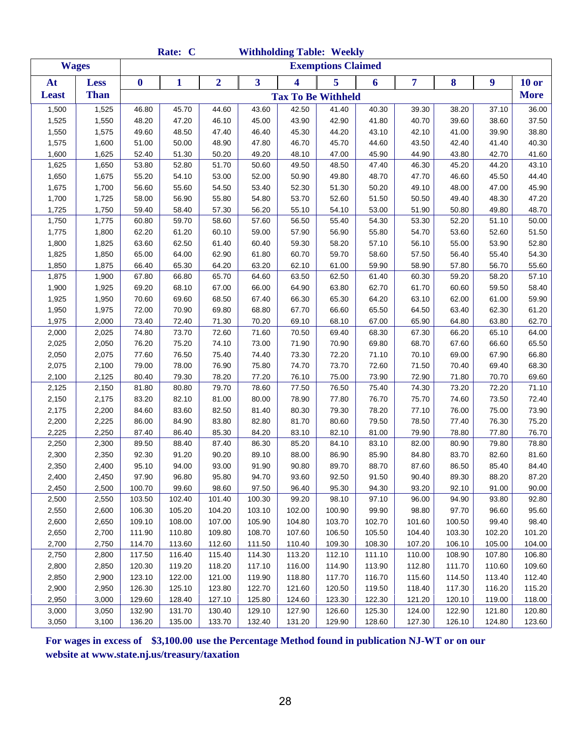|                |                |                  | Rate: C        |                |                |                | <b>Withholding Table: Weekly</b> |                |                |                |                |                |
|----------------|----------------|------------------|----------------|----------------|----------------|----------------|----------------------------------|----------------|----------------|----------------|----------------|----------------|
|                | <b>Wages</b>   |                  |                |                |                |                | <b>Exemptions Claimed</b>        |                |                |                |                |                |
| At             | <b>Less</b>    | $\bf{0}$         | 1              | $\overline{2}$ | 3              | 4              | 5                                | 6              | 7              | 8              | 9              | $10$ or        |
| <b>Least</b>   | <b>Than</b>    |                  |                |                |                |                | <b>Tax To Be Withheld</b>        |                |                |                |                | <b>More</b>    |
| 1,500          | 1,525          | 46.80            | 45.70          | 44.60          | 43.60          | 42.50          | 41.40                            | 40.30          | 39.30          | 38.20          | 37.10          | 36.00          |
| 1,525          | 1,550          | 48.20            | 47.20          | 46.10          | 45.00          | 43.90          | 42.90                            | 41.80          | 40.70          | 39.60          | 38.60          | 37.50          |
| 1,550          | 1,575          | 49.60            | 48.50          | 47.40          | 46.40          | 45.30          | 44.20                            | 43.10          | 42.10          | 41.00          | 39.90          | 38.80          |
| 1,575          | 1,600          | 51.00            | 50.00          | 48.90          | 47.80          | 46.70          | 45.70                            | 44.60          | 43.50          | 42.40          | 41.40          | 40.30          |
| 1,600          | 1,625          | 52.40            | 51.30          | 50.20          | 49.20          | 48.10          | 47.00                            | 45.90          | 44.90          | 43.80          | 42.70          | 41.60          |
| 1,625          | 1,650          | 53.80            | 52.80          | 51.70          | 50.60          | 49.50          | 48.50                            | 47.40          | 46.30          | 45.20          | 44.20          | 43.10          |
| 1,650          | 1,675          | 55.20            | 54.10          | 53.00          | 52.00          | 50.90          | 49.80                            | 48.70          | 47.70          | 46.60          | 45.50          | 44.40          |
| 1,675          | 1,700          | 56.60            | 55.60          | 54.50          | 53.40          | 52.30          | 51.30                            | 50.20          | 49.10          | 48.00          | 47.00          | 45.90          |
| 1,700          | 1,725          | 58.00            | 56.90          | 55.80          | 54.80          | 53.70          | 52.60                            | 51.50          | 50.50          | 49.40          | 48.30          | 47.20          |
| 1,725          | 1,750          | 59.40            | 58.40          | 57.30          | 56.20          | 55.10          | 54.10                            | 53.00          | 51.90          | 50.80          | 49.80          | 48.70          |
| 1,750          | 1,775          | 60.80            | 59.70          | 58.60          | 57.60          | 56.50          | 55.40                            | 54.30          | 53.30          | 52.20          | 51.10          | 50.00          |
| 1,775          | 1,800          | 62.20            | 61.20          | 60.10          | 59.00          | 57.90          | 56.90                            | 55.80          | 54.70          | 53.60          | 52.60          | 51.50          |
| 1,800          | 1,825          | 63.60            | 62.50          | 61.40          | 60.40          | 59.30          | 58.20                            | 57.10          | 56.10          | 55.00          | 53.90          | 52.80          |
| 1,825          | 1,850          | 65.00            | 64.00          | 62.90          | 61.80          | 60.70          | 59.70                            | 58.60          | 57.50          | 56.40          | 55.40          | 54.30          |
| 1,850          | 1,875          | 66.40            | 65.30          | 64.20          | 63.20          | 62.10          | 61.00                            | 59.90          | 58.90          | 57.80          | 56.70          | 55.60          |
| 1,875          | 1,900          | 67.80            | 66.80          | 65.70          | 64.60          | 63.50          | 62.50                            | 61.40          | 60.30          | 59.20          | 58.20          | 57.10          |
| 1,900          | 1,925          | 69.20            | 68.10          | 67.00          | 66.00          | 64.90          | 63.80                            | 62.70          | 61.70          | 60.60          | 59.50          | 58.40          |
| 1,925          | 1,950          | 70.60            | 69.60          | 68.50          | 67.40          | 66.30          | 65.30                            | 64.20          | 63.10          | 62.00          | 61.00          | 59.90          |
| 1,950          | 1,975          | 72.00            | 70.90          | 69.80          | 68.80          | 67.70          | 66.60                            | 65.50          | 64.50          | 63.40          | 62.30          | 61.20          |
| 1,975          | 2,000          | 73.40            | 72.40          | 71.30          | 70.20          | 69.10          | 68.10                            | 67.00          | 65.90          | 64.80          | 63.80          | 62.70          |
| 2,000          | 2,025          | 74.80            | 73.70          | 72.60          | 71.60          | 70.50          | 69.40                            | 68.30          | 67.30          | 66.20          | 65.10          | 64.00          |
| 2,025          | 2,050          | 76.20            | 75.20          | 74.10          | 73.00          | 71.90          | 70.90                            | 69.80          | 68.70          | 67.60          | 66.60          | 65.50          |
| 2,050          | 2,075          | 77.60            | 76.50          | 75.40          | 74.40          | 73.30          | 72.20                            | 71.10          | 70.10          | 69.00          | 67.90          | 66.80          |
| 2,075          | 2,100          | 79.00            | 78.00          | 76.90          | 75.80          | 74.70          | 73.70                            | 72.60          | 71.50          | 70.40          | 69.40          | 68.30          |
| 2,100          | 2,125          | 80.40            | 79.30          | 78.20          | 77.20          | 76.10          | 75.00                            | 73.90          | 72.90          | 71.80          | 70.70          | 69.60          |
| 2,125          | 2,150          | 81.80            | 80.80          | 79.70          | 78.60          | 77.50          | 76.50                            | 75.40          | 74.30          | 73.20          | 72.20          | 71.10          |
| 2,150          | 2,175          | 83.20            | 82.10          | 81.00          | 80.00          | 78.90          | 77.80                            | 76.70          | 75.70          | 74.60          | 73.50          | 72.40          |
| 2,175          | 2,200          | 84.60            | 83.60          | 82.50          | 81.40          | 80.30          | 79.30                            | 78.20          | 77.10          | 76.00          | 75.00          | 73.90          |
| 2,200          | 2,225          | 86.00            | 84.90          | 83.80          | 82.80          | 81.70          | 80.60                            | 79.50          | 78.50          | 77.40          | 76.30          | 75.20          |
| 2,225          | 2,250          | 87.40            | 86.40          | 85.30          | 84.20          | 83.10          | 82.10                            | 81.00          | 79.90          | 78.80          | 77.80          | 76.70          |
| 2,250          | 2,300          | 89.50            | 88.40          | 87.40          | 86.30          | 85.20          | 84.10                            | 83.10          | 82.00          | 80.90          | 79.80          | 78.80          |
| 2,300          | 2,350          | 92.30            | 91.20          | 90.20          | 89.10          | 88.00          | 86.90                            | 85.90          | 84.80          | 83.70          | 82.60          | 81.60          |
| 2,350          | 2,400          | 95.10            | 94.00          | 93.00          | 91.90          | 90.80          | 89.70                            | 88.70          | 87.60          | 86.50          | 85.40          | 84.40          |
| 2,400<br>2,450 | 2,450<br>2,500 | 97.90            | 96.80<br>99.60 | 95.80<br>98.60 | 94.70<br>97.50 | 93.60          | 92.50                            | 91.50<br>94.30 | 90.40<br>93.20 | 89.30<br>92.10 | 88.20<br>91.00 | 87.20<br>90.00 |
| 2,500          | 2,550          | 100.70<br>103.50 | 102.40         | 101.40         | 100.30         | 96.40<br>99.20 | 95.30<br>98.10                   | 97.10          | 96.00          | 94.90          | 93.80          | 92.80          |
| 2,550          | 2,600          | 106.30           | 105.20         | 104.20         | 103.10         | 102.00         | 100.90                           | 99.90          | 98.80          | 97.70          | 96.60          | 95.60          |
| 2,600          | 2,650          | 109.10           | 108.00         | 107.00         | 105.90         | 104.80         | 103.70                           | 102.70         | 101.60         | 100.50         | 99.40          | 98.40          |
| 2,650          | 2,700          | 111.90           | 110.80         | 109.80         | 108.70         | 107.60         | 106.50                           | 105.50         | 104.40         | 103.30         | 102.20         | 101.20         |
| 2,700          | 2,750          | 114.70           | 113.60         | 112.60         | 111.50         | 110.40         | 109.30                           | 108.30         | 107.20         | 106.10         | 105.00         | 104.00         |
| 2,750          | 2,800          | 117.50           | 116.40         | 115.40         | 114.30         | 113.20         | 112.10                           | 111.10         | 110.00         | 108.90         | 107.80         | 106.80         |
| 2,800          | 2,850          | 120.30           | 119.20         | 118.20         | 117.10         | 116.00         | 114.90                           | 113.90         | 112.80         | 111.70         | 110.60         | 109.60         |
| 2,850          | 2,900          | 123.10           | 122.00         | 121.00         | 119.90         | 118.80         | 117.70                           | 116.70         | 115.60         | 114.50         | 113.40         | 112.40         |
| 2,900          | 2,950          | 126.30           | 125.10         | 123.80         | 122.70         | 121.60         | 120.50                           | 119.50         | 118.40         | 117.30         | 116.20         | 115.20         |
| 2,950          | 3,000          | 129.60           | 128.40         | 127.10         | 125.80         | 124.60         | 123.30                           | 122.30         | 121.20         | 120.10         | 119.00         | 118.00         |
| 3,000          | 3,050          | 132.90           | 131.70         | 130.40         | 129.10         | 127.90         | 126.60                           | 125.30         | 124.00         | 122.90         | 121.80         | 120.80         |
| 3,050          | 3,100          | 136.20           | 135.00         | 133.70         | 132.40         | 131.20         | 129.90                           | 128.60         | 127.30         | 126.10         | 124.80         | 123.60         |

**For wages in excess of \$3,100.00 use the Percentage Method found in publication NJ-WT or on our website at www.state.nj.us/treasury/taxation**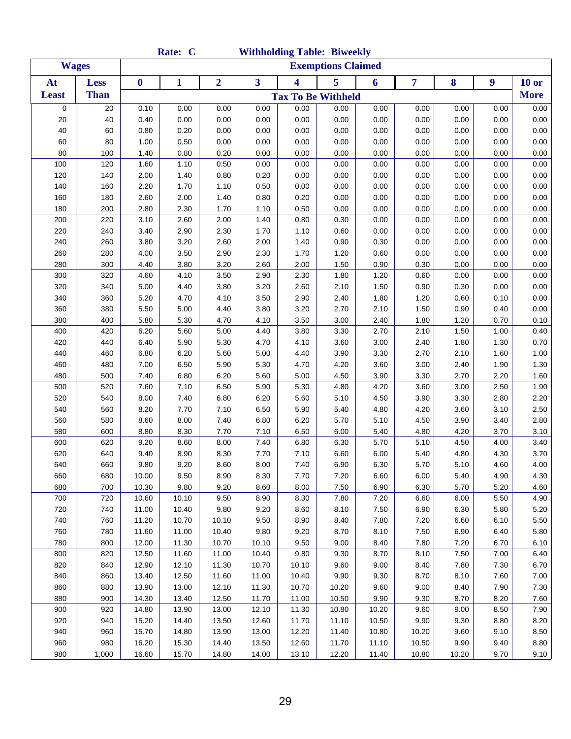|              |             |                  | Rate: C        |                |                         |                | <b>Withholding Table: Biweekly</b> |              |              |              |              |              |
|--------------|-------------|------------------|----------------|----------------|-------------------------|----------------|------------------------------------|--------------|--------------|--------------|--------------|--------------|
| <b>Wages</b> |             |                  |                |                |                         |                | <b>Exemptions Claimed</b>          |              |              |              |              |              |
| At           | <b>Less</b> | $\boldsymbol{0}$ | 1              | $\overline{2}$ | $\overline{\mathbf{3}}$ | 4              | 5                                  | 6            | 7            | 8            | 9            | <b>10 or</b> |
| <b>Least</b> | <b>Than</b> |                  |                |                |                         |                | <b>Tax To Be Withheld</b>          |              |              |              |              | <b>More</b>  |
| 0            | 20          | 0.10             | 0.00           | 0.00           | 0.00                    | 0.00           | 0.00                               | 0.00         | 0.00         | 0.00         | 0.00         | 0.00         |
| 20           | 40          | 0.40             | 0.00           | 0.00           | 0.00                    | 0.00           | 0.00                               | 0.00         | 0.00         | 0.00         | 0.00         | 0.00         |
| 40           | 60          | 0.80             | 0.20           | 0.00           | 0.00                    | 0.00           | 0.00                               | 0.00         | 0.00         | 0.00         | 0.00         | 0.00         |
| 60           | 80          | 1.00             | 0.50           | 0.00           | 0.00                    | 0.00           | 0.00                               | 0.00         | 0.00         | 0.00         | 0.00         | 0.00         |
| 80           | 100         | 1.40             | 0.80           | 0.20           | 0.00                    | 0.00           | 0.00                               | 0.00         | 0.00         | 0.00         | 0.00         | 0.00         |
| 100          | 120         | 1.60             | 1.10           | 0.50           | 0.00                    | 0.00           | 0.00                               | 0.00         | 0.00         | 0.00         | 0.00         | 0.00         |
| 120          | 140         | 2.00             | 1.40           | 0.80           | 0.20                    | 0.00           | 0.00                               | 0.00         | 0.00         | 0.00         | 0.00         | 0.00         |
| 140          | 160         | 2.20             | 1.70           | 1.10           | 0.50                    | 0.00           | 0.00                               | 0.00         | 0.00         | 0.00         | 0.00         | 0.00         |
| 160          | 180         | 2.60             | 2.00           | 1.40           | 0.80                    | 0.20           | 0.00                               | 0.00         | 0.00         | 0.00         | 0.00         | 0.00         |
| 180          | 200         | 2.80             | 2.30           | 1.70           | 1.10                    | 0.50           | 0.00                               | 0.00         | 0.00         | 0.00         | 0.00         | 0.00         |
| 200          | 220         | 3.10             | 2.60           | 2.00           | 1.40                    | 0.80           | 0.30                               | 0.00         | 0.00         | 0.00         | 0.00         | 0.00         |
| 220          | 240         | 3.40             | 2.90           | 2.30           | 1.70                    | 1.10           | 0.60                               | 0.00         | 0.00         | 0.00         | 0.00         | 0.00         |
| 240          | 260         | 3.80             | 3.20           | 2.60           | 2.00                    | 1.40           | 0.90                               | 0.30         | 0.00         | 0.00         | 0.00         | 0.00         |
| 260          | 280         | 4.00             | 3.50           | 2.90           | 2.30                    | 1.70           | 1.20                               | 0.60         | 0.00         | 0.00         | 0.00         | 0.00         |
| 280          | 300         | 4.40             | 3.80           | 3.20           | 2.60                    | 2.00           | 1.50                               | 0.90         | 0.30         | 0.00         | 0.00         | 0.00         |
| 300          | 320         | 4.60             | 4.10           | 3.50           | 2.90                    | 2.30           | 1.80                               | 1.20         | 0.60         | 0.00         | 0.00         | 0.00         |
| 320          | 340         | 5.00             | 4.40           | 3.80           | 3.20                    | 2.60           | 2.10                               | 1.50         | 0.90         | 0.30         | 0.00         | 0.00         |
| 340          | 360         | 5.20             | 4.70           | 4.10           | 3.50                    | 2.90           | 2.40                               | 1.80         | 1.20         | 0.60         | 0.10         | 0.00         |
| 360          | 380         | 5.50             | 5.00           | 4.40           | 3.80                    | 3.20           | 2.70                               | 2.10         | 1.50         | 0.90         | 0.40         | 0.00         |
| 380          | 400         | 5.80             | 5.30           | 4.70           | 4.10                    | 3.50           | 3.00                               | 2.40         | 1.80         | 1.20         | 0.70         | 0.10         |
| 400          | 420         | 6.20             | 5.60           | 5.00           | 4.40                    | 3.80           | 3.30                               | 2.70         | 2.10         | 1.50         | 1.00         | 0.40         |
| 420          | 440         | 6.40             | 5.90           | 5.30           | 4.70                    | 4.10           | 3.60                               | 3.00         | 2.40         | 1.80         | 1.30         | 0.70         |
| 440          | 460         | 6.80             | 6.20           | 5.60           | 5.00                    | 4.40           | 3.90                               | 3.30         | 2.70         | 2.10         | 1.60         | 1.00         |
| 460          | 480         | 7.00             | 6.50           | 5.90           | 5.30                    | 4.70           | 4.20                               | 3.60         | 3.00         | 2.40         | 1.90         | 1.30         |
| 480          | 500         | 7.40             | 6.80           | 6.20           | 5.60                    | 5.00           | 4.50                               | 3.90         | 3.30         | 2.70         | 2.20         | 1.60         |
| 500          | 520         | 7.60             | 7.10           | 6.50           | 5.90                    | 5.30           | 4.80                               | 4.20         | 3.60         | 3.00         | 2.50         | 1.90         |
| 520          | 540         | 8.00             | 7.40           | 6.80           | 6.20                    | 5.60           | 5.10                               | 4.50         | 3.90         | 3.30         | 2.80         | 2.20         |
| 540          | 560         | 8.20             | 7.70           | 7.10           | 6.50                    | 5.90           | 5.40                               | 4.80         | 4.20         | 3.60         | 3.10         | 2.50         |
| 560          | 580         | 8.60             | 8.00           | 7.40           | 6.80                    | 6.20           | 5.70                               | 5.10         | 4.50         | 3.90         | 3.40         | 2.80         |
| 580          | 600         | 8.80             | 8.30           | 7.70           | 7.10                    | 6.50           | 6.00                               | 5.40         | 4.80         | 4.20         | 3.70         | 3.10         |
| 600          | 620         | 9.20             | 8.60           | 8.00           | 7.40                    | 6.80           | 6.30                               | 5.70         | 5.10         | 4.50         | 4.00         | 3.40         |
| 620          | 640         | 9.40             | 8.90           | 8.30           | 7.70                    | 7.10           | 6.60                               | 6.00         | 5.40         | 4.80         | 4.30         | 3.70         |
| 640          | 660         | 9.80             | 9.20           | 8.60           | 8.00                    | 7.40           | 6.90                               | 6.30         | 5.70         | 5.10         | 4.60         | 4.00         |
| 660          | 680         | 10.00            | 9.50           | 8.90           | 8.30                    | 7.70           | 7.20                               | 6.60         | 6.00         | 5.40         | 4.90         | 4.30         |
| 680          | 700         | 10.30            | 9.80           | 9.20           | 8.60                    | 8.00           | 7.50                               | 6.90         | 6.30         | 5.70         | 5.20         | 4.60         |
| 700          | 720         | 10.60            | 10.10          | 9.50           | 8.90                    | 8.30           | 7.80                               | 7.20         | 6.60         | 6.00         | 5.50         | 4.90         |
| 720          | 740         | 11.00            | 10.40          | 9.80           | 9.20                    | 8.60           | 8.10                               | 7.50         | 6.90         | 6.30         | 5.80         | 5.20         |
| 740          | 760         | 11.20            | 10.70          | 10.10          | 9.50                    | 8.90           | 8.40                               | 7.80         | 7.20         | 6.60         | 6.10         | 5.50         |
| 760          | 780         | 11.60            | 11.00          | 10.40          | 9.80                    | 9.20           | 8.70                               | 8.10         | 7.50         | 6.90         | 6.40         | 5.80         |
| 780          | 800         | 12.00            | 11.30          | 10.70          | 10.10                   | 9.50           | 9.00                               | 8.40         | 7.80         | 7.20         | 6.70         | 6.10         |
| 800          | 820         | 12.50            | 11.60          | 11.00          | 10.40                   | 9.80           | 9.30                               | 8.70         | 8.10         | 7.50         | 7.00         | 6.40         |
| 820          | 840<br>860  | 12.90<br>13.40   | 12.10<br>12.50 | 11.30          | 10.70<br>11.00          | 10.10          | 9.60                               | 9.00<br>9.30 | 8.40<br>8.70 | 7.80         | 7.30<br>7.60 | 6.70<br>7.00 |
| 840<br>860   | 880         | 13.90            | 13.00          | 11.60<br>12.10 | 11.30                   | 10.40<br>10.70 | 9.90<br>10.20                      | 9.60         | 9.00         | 8.10<br>8.40 | 7.90         | 7.30         |
| 880          | 900         | 14.30            | 13.40          | 12.50          | 11.70                   | 11.00          | 10.50                              | 9.90         | 9.30         | 8.70         | 8.20         | 7.60         |
| 900          | 920         | 14.80            | 13.90          | 13.00          | 12.10                   | 11.30          | 10.80                              | 10.20        | 9.60         | 9.00         | 8.50         | 7.90         |
| 920          | 940         | 15.20            | 14.40          | 13.50          | 12.60                   | 11.70          | 11.10                              | 10.50        | 9.90         | 9.30         | 8.80         | 8.20         |
| 940          | 960         | 15.70            | 14.80          | 13.90          | 13.00                   | 12.20          | 11.40                              | 10.80        | 10.20        | 9.60         | 9.10         | 8.50         |
| 960          | 980         | 16.20            | 15.30          | 14.40          | 13.50                   | 12.60          | 11.70                              | 11.10        | 10.50        | 9.90         | 9.40         | 8.80         |
| 980          | 1,000       | 16.60            | 15.70          | 14.80          | 14.00                   | 13.10          | 12.20                              | 11.40        | 10.80        | 10.20        | 9.70         | 9.10         |
|              |             |                  |                |                |                         |                |                                    |              |              |              |              |              |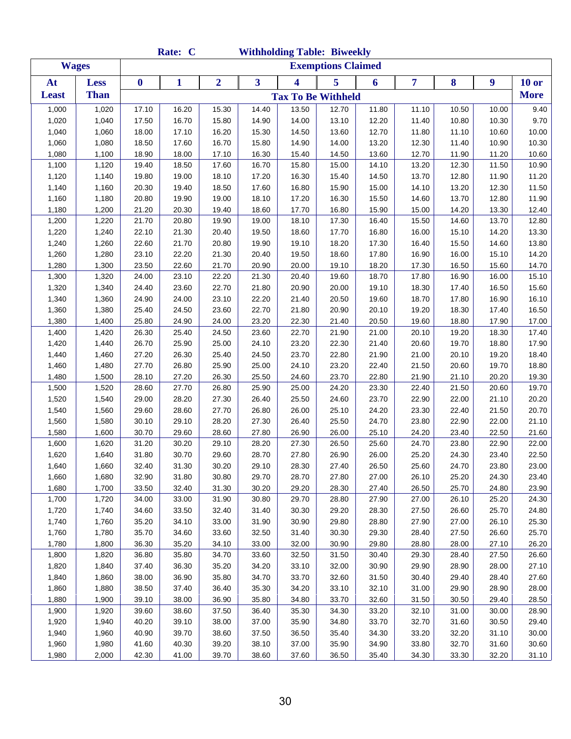|              |              |                  | Rate: C      |                |                         | <b>Withholding Table: Biweekly</b> |                           |       |       |       |       |             |
|--------------|--------------|------------------|--------------|----------------|-------------------------|------------------------------------|---------------------------|-------|-------|-------|-------|-------------|
|              | <b>Wages</b> |                  |              |                |                         |                                    | <b>Exemptions Claimed</b> |       |       |       |       |             |
| At           | <b>Less</b>  | $\boldsymbol{0}$ | $\mathbf{1}$ | $\overline{2}$ | $\overline{\mathbf{3}}$ | 4                                  | 5                         | 6     | 7     | 8     | 9     | $10$ or     |
| <b>Least</b> | <b>Than</b>  |                  |              |                |                         | <b>Tax To Be Withheld</b>          |                           |       |       |       |       | <b>More</b> |
| 1,000        | 1,020        | 17.10            | 16.20        | 15.30          | 14.40                   | 13.50                              | 12.70                     | 11.80 | 11.10 | 10.50 | 10.00 | 9.40        |
| 1,020        | 1,040        | 17.50            | 16.70        | 15.80          | 14.90                   | 14.00                              | 13.10                     | 12.20 | 11.40 | 10.80 | 10.30 | 9.70        |
| 1,040        | 1,060        | 18.00            | 17.10        | 16.20          | 15.30                   | 14.50                              | 13.60                     | 12.70 | 11.80 | 11.10 | 10.60 | 10.00       |
| 1,060        | 1,080        | 18.50            | 17.60        | 16.70          | 15.80                   | 14.90                              | 14.00                     | 13.20 | 12.30 | 11.40 | 10.90 | 10.30       |
| 1,080        | 1,100        | 18.90            | 18.00        | 17.10          | 16.30                   | 15.40                              | 14.50                     | 13.60 | 12.70 | 11.90 | 11.20 | 10.60       |
| 1,100        | 1,120        | 19.40            | 18.50        | 17.60          | 16.70                   | 15.80                              | 15.00                     | 14.10 | 13.20 | 12.30 | 11.50 | 10.90       |
| 1,120        | 1,140        | 19.80            | 19.00        | 18.10          | 17.20                   | 16.30                              | 15.40                     | 14.50 | 13.70 | 12.80 | 11.90 | 11.20       |
| 1,140        | 1,160        | 20.30            | 19.40        | 18.50          | 17.60                   | 16.80                              | 15.90                     | 15.00 | 14.10 | 13.20 | 12.30 | 11.50       |
| 1,160        | 1,180        | 20.80            | 19.90        | 19.00          | 18.10                   | 17.20                              | 16.30                     | 15.50 | 14.60 | 13.70 | 12.80 | 11.90       |
| 1,180        | 1,200        | 21.20            | 20.30        | 19.40          | 18.60                   | 17.70                              | 16.80                     | 15.90 | 15.00 | 14.20 | 13.30 | 12.40       |
| 1,200        | 1,220        | 21.70            | 20.80        | 19.90          | 19.00                   | 18.10                              | 17.30                     | 16.40 | 15.50 | 14.60 | 13.70 | 12.80       |
| 1,220        | 1,240        | 22.10            | 21.30        | 20.40          | 19.50                   | 18.60                              | 17.70                     | 16.80 | 16.00 | 15.10 | 14.20 | 13.30       |
| 1,240        | 1,260        | 22.60            | 21.70        | 20.80          | 19.90                   | 19.10                              | 18.20                     | 17.30 | 16.40 | 15.50 | 14.60 | 13.80       |
| 1,260        | 1,280        | 23.10            | 22.20        | 21.30          | 20.40                   | 19.50                              | 18.60                     | 17.80 | 16.90 | 16.00 | 15.10 | 14.20       |
| 1,280        | 1,300        | 23.50            | 22.60        | 21.70          | 20.90                   | 20.00                              | 19.10                     | 18.20 | 17.30 | 16.50 | 15.60 | 14.70       |
| 1,300        | 1,320        | 24.00            | 23.10        | 22.20          | 21.30                   | 20.40                              | 19.60                     | 18.70 | 17.80 | 16.90 | 16.00 | 15.10       |
| 1,320        | 1,340        | 24.40            | 23.60        | 22.70          | 21.80                   | 20.90                              | 20.00                     | 19.10 | 18.30 | 17.40 | 16.50 | 15.60       |
| 1,340        | 1,360        | 24.90            | 24.00        | 23.10          | 22.20                   | 21.40                              | 20.50                     | 19.60 | 18.70 | 17.80 | 16.90 | 16.10       |
| 1,360        | 1,380        | 25.40            | 24.50        | 23.60          | 22.70                   | 21.80                              | 20.90                     | 20.10 | 19.20 | 18.30 | 17.40 | 16.50       |
| 1,380        | 1,400        | 25.80            | 24.90        | 24.00          | 23.20                   | 22.30                              | 21.40                     | 20.50 | 19.60 | 18.80 | 17.90 | 17.00       |
| 1,400        | 1,420        | 26.30            | 25.40        | 24.50          | 23.60                   | 22.70                              | 21.90                     | 21.00 | 20.10 | 19.20 | 18.30 | 17.40       |
| 1,420        | 1,440        | 26.70            | 25.90        | 25.00          | 24.10                   | 23.20                              | 22.30                     | 21.40 | 20.60 | 19.70 | 18.80 | 17.90       |
| 1,440        | 1,460        | 27.20            | 26.30        | 25.40          | 24.50                   | 23.70                              | 22.80                     | 21.90 | 21.00 | 20.10 | 19.20 | 18.40       |
| 1,460        | 1,480        | 27.70            | 26.80        | 25.90          | 25.00                   | 24.10                              | 23.20                     | 22.40 | 21.50 | 20.60 | 19.70 | 18.80       |
| 1,480        | 1,500        | 28.10            | 27.20        | 26.30          | 25.50                   | 24.60                              | 23.70                     | 22.80 | 21.90 | 21.10 | 20.20 | 19.30       |
| 1,500        | 1,520        | 28.60            | 27.70        | 26.80          | 25.90                   | 25.00                              | 24.20                     | 23.30 | 22.40 | 21.50 | 20.60 | 19.70       |
| 1,520        | 1,540        | 29.00            | 28.20        | 27.30          | 26.40                   | 25.50                              | 24.60                     | 23.70 | 22.90 | 22.00 | 21.10 | 20.20       |
| 1,540        | 1,560        | 29.60            | 28.60        | 27.70          | 26.80                   | 26.00                              | 25.10                     | 24.20 | 23.30 | 22.40 | 21.50 | 20.70       |
| 1,560        | 1,580        | 30.10            | 29.10        | 28.20          | 27.30                   | 26.40                              | 25.50                     | 24.70 | 23.80 | 22.90 | 22.00 | 21.10       |
| 1,580        | 1,600        | 30.70            | 29.60        | 28.60          | 27.80                   | 26.90                              | 26.00                     | 25.10 | 24.20 | 23.40 | 22.50 | 21.60       |
| 1,600        | 1,620        | 31.20            | 30.20        | 29.10          | 28.20                   | 27.30                              | 26.50                     | 25.60 | 24.70 | 23.80 | 22.90 | 22.00       |
| 1,620        | 1,640        | 31.80            | 30.70        | 29.60          | 28.70                   | 27.80                              | 26.90                     | 26.00 | 25.20 | 24.30 | 23.40 | 22.50       |
| 1,640        | 1,660        | 32.40            | 31.30        | 30.20          | 29.10                   | 28.30                              | 27.40                     | 26.50 | 25.60 | 24.70 | 23.80 | 23.00       |
| 1,660        | 1,680        | 32.90            | 31.80        | 30.80          | 29.70                   | 28.70                              | 27.80                     | 27.00 | 26.10 | 25.20 | 24.30 | 23.40       |
| 1,680        | 1,700        | 33.50            | 32.40        | 31.30          | 30.20                   | 29.20                              | 28.30                     | 27.40 | 26.50 | 25.70 | 24.80 | 23.90       |
| 1,700        | 1,720        | 34.00            | 33.00        | 31.90          | 30.80                   | 29.70                              | 28.80                     | 27.90 | 27.00 | 26.10 | 25.20 | 24.30       |
| 1,720        | 1,740        | 34.60            | 33.50        | 32.40          | 31.40                   | 30.30                              | 29.20                     | 28.30 | 27.50 | 26.60 | 25.70 | 24.80       |
| 1,740        | 1,760        | 35.20            | 34.10        | 33.00          | 31.90                   | 30.90                              | 29.80                     | 28.80 | 27.90 | 27.00 | 26.10 | 25.30       |
| 1,760        | 1,780        | 35.70            | 34.60        | 33.60          | 32.50                   | 31.40                              | 30.30                     | 29.30 | 28.40 | 27.50 | 26.60 | 25.70       |
| 1,780        | 1,800        | 36.30            | 35.20        | 34.10          | 33.00                   | 32.00                              | 30.90                     | 29.80 | 28.80 | 28.00 | 27.10 | 26.20       |
| 1,800        | 1,820        | 36.80            | 35.80        | 34.70          | 33.60                   | 32.50                              | 31.50                     | 30.40 | 29.30 | 28.40 | 27.50 | 26.60       |
| 1,820        | 1,840        | 37.40            | 36.30        | 35.20          | 34.20                   | 33.10                              | 32.00                     | 30.90 | 29.90 | 28.90 | 28.00 | 27.10       |
| 1,840        | 1,860        | 38.00            | 36.90        | 35.80          | 34.70                   | 33.70                              | 32.60                     | 31.50 | 30.40 | 29.40 | 28.40 | 27.60       |
| 1,860        | 1,880        | 38.50            | 37.40        | 36.40          | 35.30                   | 34.20                              | 33.10                     | 32.10 | 31.00 | 29.90 | 28.90 | 28.00       |
| 1,880        | 1,900        | 39.10            | 38.00        | 36.90          | 35.80                   | 34.80                              | 33.70                     | 32.60 | 31.50 | 30.50 | 29.40 | 28.50       |
| 1,900        | 1,920        | 39.60            | 38.60        | 37.50          | 36.40                   | 35.30                              | 34.30                     | 33.20 | 32.10 | 31.00 | 30.00 | 28.90       |
| 1,920        | 1,940        | 40.20            | 39.10        | 38.00          | 37.00                   | 35.90                              | 34.80                     | 33.70 | 32.70 | 31.60 | 30.50 | 29.40       |
| 1,940        | 1,960        | 40.90            | 39.70        | 38.60          | 37.50                   | 36.50                              | 35.40                     | 34.30 | 33.20 | 32.20 | 31.10 | 30.00       |
| 1,960        | 1,980        | 41.60            | 40.30        | 39.20          | 38.10                   | 37.00                              | 35.90                     | 34.90 | 33.80 | 32.70 | 31.60 | 30.60       |
| 1,980        | 2,000        | 42.30            | 41.00        | 39.70          | 38.60                   | 37.60                              | 36.50                     | 35.40 | 34.30 | 33.30 | 32.20 | 31.10       |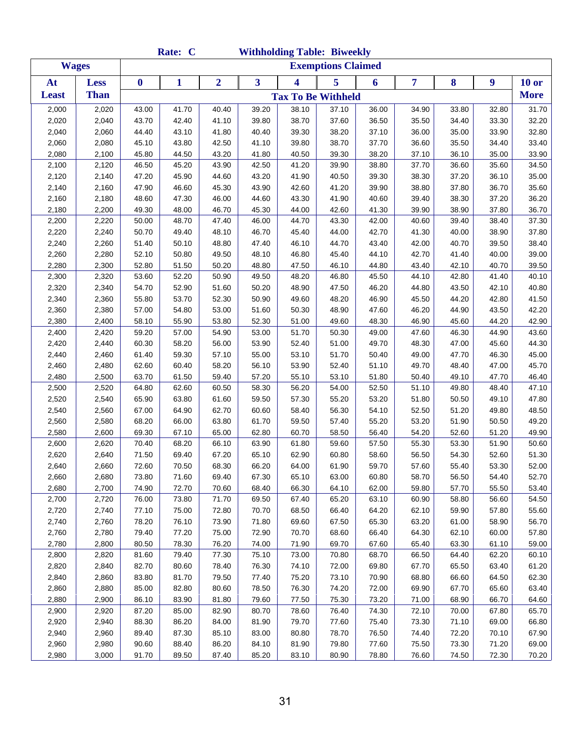|                |                |                  | Rate: C        |                |                | <b>Withholding Table: Biweekly</b> |                           |                |                |                |                |                |
|----------------|----------------|------------------|----------------|----------------|----------------|------------------------------------|---------------------------|----------------|----------------|----------------|----------------|----------------|
| <b>Wages</b>   |                |                  |                |                |                |                                    | <b>Exemptions Claimed</b> |                |                |                |                |                |
| At             | Less           | $\boldsymbol{0}$ | 1              | $\overline{2}$ | 3              | $\overline{\mathbf{4}}$            | 5                         | 6              | 7              | 8              | 9              | $10$ or        |
| <b>Least</b>   | <b>Than</b>    |                  |                |                |                | <b>Tax To Be Withheld</b>          |                           |                |                |                |                | <b>More</b>    |
| 2,000          | 2,020          | 43.00            | 41.70          | 40.40          | 39.20          | 38.10                              | 37.10                     | 36.00          | 34.90          | 33.80          | 32.80          | 31.70          |
| 2,020          | 2,040          | 43.70            | 42.40          | 41.10          | 39.80          | 38.70                              | 37.60                     | 36.50          | 35.50          | 34.40          | 33.30          | 32.20          |
| 2,040          | 2,060          | 44.40            | 43.10          | 41.80          | 40.40          | 39.30                              | 38.20                     | 37.10          | 36.00          | 35.00          | 33.90          | 32.80          |
| 2,060          | 2,080          | 45.10            | 43.80          | 42.50          | 41.10          | 39.80                              | 38.70                     | 37.70          | 36.60          | 35.50          | 34.40          | 33.40          |
| 2,080          | 2,100          | 45.80            | 44.50          | 43.20          | 41.80          | 40.50                              | 39.30                     | 38.20          | 37.10          | 36.10          | 35.00          | 33.90          |
| 2,100          | 2,120          | 46.50            | 45.20          | 43.90          | 42.50          | 41.20                              | 39.90                     | 38.80          | 37.70          | 36.60          | 35.60          | 34.50          |
| 2,120          | 2,140          | 47.20            | 45.90          | 44.60          | 43.20          | 41.90                              | 40.50                     | 39.30          | 38.30          | 37.20          | 36.10          | 35.00          |
| 2,140          | 2,160          | 47.90            | 46.60          | 45.30          | 43.90          | 42.60                              | 41.20                     | 39.90          | 38.80          | 37.80          | 36.70          | 35.60          |
| 2,160          | 2,180          | 48.60            | 47.30          | 46.00          | 44.60          | 43.30                              | 41.90                     | 40.60          | 39.40          | 38.30          | 37.20          | 36.20          |
| 2,180          | 2,200          | 49.30            | 48.00          | 46.70          | 45.30          | 44.00                              | 42.60                     | 41.30          | 39.90          | 38.90          | 37.80          | 36.70          |
| 2,200          | 2,220          | 50.00            | 48.70          | 47.40          | 46.00          | 44.70                              | 43.30                     | 42.00          | 40.60          | 39.40          | 38.40          | 37.30          |
| 2,220          | 2,240          | 50.70            | 49.40          | 48.10          | 46.70          | 45.40                              | 44.00                     | 42.70          | 41.30          | 40.00          | 38.90          | 37.80          |
| 2,240          | 2,260          | 51.40            | 50.10          | 48.80          | 47.40          | 46.10                              | 44.70                     | 43.40          | 42.00          | 40.70          | 39.50          | 38.40          |
| 2,260          | 2,280          | 52.10            | 50.80          | 49.50          | 48.10          | 46.80                              | 45.40                     | 44.10          | 42.70          | 41.40          | 40.00          | 39.00          |
| 2,280          | 2,300          | 52.80            | 51.50          | 50.20          | 48.80          | 47.50                              | 46.10                     | 44.80          | 43.40          | 42.10          | 40.70          | 39.50          |
| 2,300          | 2,320          | 53.60            | 52.20          | 50.90          | 49.50          | 48.20                              | 46.80                     | 45.50          | 44.10          | 42.80          | 41.40          | 40.10          |
| 2,320          | 2,340          | 54.70            | 52.90          | 51.60          | 50.20          | 48.90                              | 47.50                     | 46.20          | 44.80          | 43.50          | 42.10          | 40.80          |
| 2,340          | 2,360          | 55.80            | 53.70          | 52.30          | 50.90          | 49.60                              | 48.20                     | 46.90          | 45.50          | 44.20          | 42.80          | 41.50          |
| 2,360          | 2,380          | 57.00            | 54.80          | 53.00          | 51.60          | 50.30                              | 48.90                     | 47.60          | 46.20          | 44.90          | 43.50          | 42.20          |
| 2,380          | 2,400          | 58.10            | 55.90          | 53.80          | 52.30          | 51.00                              | 49.60                     | 48.30          | 46.90          | 45.60          | 44.20          | 42.90          |
| 2,400          | 2,420          | 59.20            | 57.00          | 54.90          | 53.00          | 51.70                              | 50.30                     | 49.00          | 47.60          | 46.30          | 44.90          | 43.60          |
| 2,420<br>2,440 | 2,440          | 60.30<br>61.40   | 58.20<br>59.30 | 56.00<br>57.10 | 53.90<br>55.00 | 52.40<br>53.10                     | 51.00<br>51.70            | 49.70<br>50.40 | 48.30<br>49.00 | 47.00<br>47.70 | 45.60<br>46.30 | 44.30<br>45.00 |
| 2,460          | 2,460<br>2,480 | 62.60            | 60.40          | 58.20          | 56.10          | 53.90                              | 52.40                     | 51.10          | 49.70          | 48.40          | 47.00          | 45.70          |
| 2,480          | 2,500          | 63.70            | 61.50          | 59.40          | 57.20          | 55.10                              | 53.10                     | 51.80          | 50.40          | 49.10          | 47.70          | 46.40          |
| 2,500          | 2,520          | 64.80            | 62.60          | 60.50          | 58.30          | 56.20                              | 54.00                     | 52.50          | 51.10          | 49.80          | 48.40          | 47.10          |
| 2,520          | 2,540          | 65.90            | 63.80          | 61.60          | 59.50          | 57.30                              | 55.20                     | 53.20          | 51.80          | 50.50          | 49.10          | 47.80          |
| 2,540          | 2,560          | 67.00            | 64.90          | 62.70          | 60.60          | 58.40                              | 56.30                     | 54.10          | 52.50          | 51.20          | 49.80          | 48.50          |
| 2,560          | 2,580          | 68.20            | 66.00          | 63.80          | 61.70          | 59.50                              | 57.40                     | 55.20          | 53.20          | 51.90          | 50.50          | 49.20          |
| 2,580          | 2,600          | 69.30            | 67.10          | 65.00          | 62.80          | 60.70                              | 58.50                     | 56.40          | 54.20          | 52.60          | 51.20          | 49.90          |
| 2,600          | 2,620          | 70.40            | 68.20          | 66.10          | 63.90          | 61.80                              | 59.60                     | 57.50          | 55.30          | 53.30          | 51.90          | 50.60          |
| 2,620          | 2,640          | 71.50            | 69.40          | 67.20          | 65.10          | 62.90                              | 60.80                     | 58.60          | 56.50          | 54.30          | 52.60          | 51.30          |
| 2,640          | 2,660          | 72.60            | 70.50          | 68.30          | 66.20          | 64.00                              | 61.90                     | 59.70          | 57.60          | 55.40          | 53.30          | 52.00          |
| 2,660          | 2,680          | 73.80            | 71.60          | 69.40          | 67.30          | 65.10                              | 63.00                     | 60.80          | 58.70          | 56.50          | 54.40          | 52.70          |
| 2,680          | 2,700          | 74.90            | 72.70          | 70.60          | 68.40          | 66.30                              | 64.10                     | 62.00          | 59.80          | 57.70          | 55.50          | 53.40          |
| 2,700          | 2,720          | 76.00            | 73.80          | 71.70          | 69.50          | 67.40                              | 65.20                     | 63.10          | 60.90          | 58.80          | 56.60          | 54.50          |
| 2,720          | 2,740          | 77.10            | 75.00          | 72.80          | 70.70          | 68.50                              | 66.40                     | 64.20          | 62.10          | 59.90          | 57.80          | 55.60          |
| 2,740          | 2,760          | 78.20            | 76.10          | 73.90          | 71.80          | 69.60                              | 67.50                     | 65.30          | 63.20          | 61.00          | 58.90          | 56.70          |
| 2,760          | 2,780          | 79.40            | 77.20          | 75.00          | 72.90          | 70.70                              | 68.60                     | 66.40          | 64.30          | 62.10          | 60.00          | 57.80          |
| 2,780          | 2,800          | 80.50            | 78.30          | 76.20          | 74.00          | 71.90                              | 69.70                     | 67.60          | 65.40          | 63.30          | 61.10          | 59.00          |
| 2,800          | 2,820          | 81.60            | 79.40          | 77.30          | 75.10          | 73.00                              | 70.80                     | 68.70          | 66.50          | 64.40          | 62.20          | 60.10          |
| 2,820          | 2,840          | 82.70            | 80.60          | 78.40          | 76.30          | 74.10                              | 72.00                     | 69.80          | 67.70          | 65.50          | 63.40          | 61.20          |
| 2,840          | 2,860          | 83.80            | 81.70          | 79.50          | 77.40          | 75.20                              | 73.10                     | 70.90          | 68.80          | 66.60          | 64.50          | 62.30          |
| 2,860          | 2,880<br>2,900 | 85.00            | 82.80          | 80.60          | 78.50          | 76.30<br>77.50                     | 74.20<br>75.30            | 72.00<br>73.20 | 69.90          | 67.70<br>68.90 | 65.60<br>66.70 | 63.40          |
| 2,880<br>2,900 | 2,920          | 86.10<br>87.20   | 83.90<br>85.00 | 81.80<br>82.90 | 79.60<br>80.70 | 78.60                              | 76.40                     | 74.30          | 71.00<br>72.10 | 70.00          | 67.80          | 64.60<br>65.70 |
| 2,920          | 2,940          | 88.30            | 86.20          | 84.00          | 81.90          | 79.70                              | 77.60                     | 75.40          | 73.30          | 71.10          | 69.00          | 66.80          |
| 2,940          | 2,960          | 89.40            | 87.30          | 85.10          | 83.00          | 80.80                              | 78.70                     | 76.50          | 74.40          | 72.20          | 70.10          | 67.90          |
| 2,960          | 2,980          | 90.60            | 88.40          | 86.20          | 84.10          | 81.90                              | 79.80                     | 77.60          | 75.50          | 73.30          | 71.20          | 69.00          |
| 2,980          | 3,000          | 91.70            | 89.50          | 87.40          | 85.20          | 83.10                              | 80.90                     | 78.80          | 76.60          | 74.50          | 72.30          | 70.20          |
|                |                |                  |                |                |                |                                    |                           |                |                |                |                |                |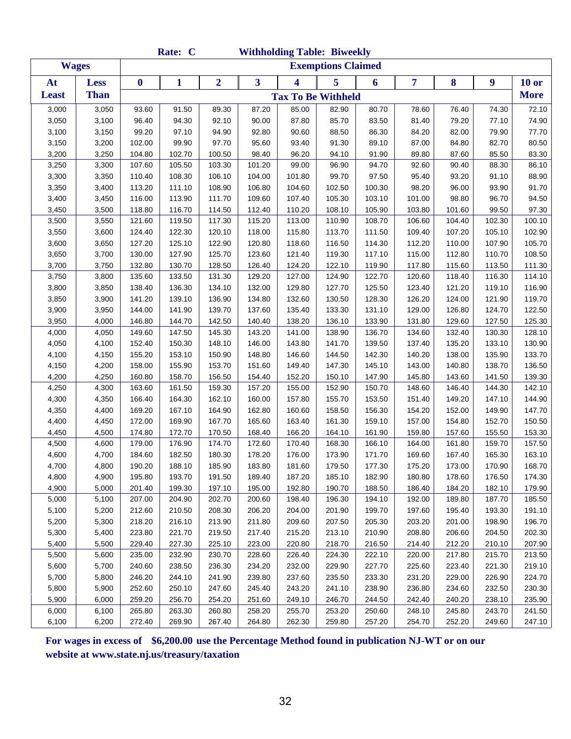|              |              |                  | Rate: C |                |        |        | <b>Withholding Table: Biweekly</b> |        |        |        |                  |              |
|--------------|--------------|------------------|---------|----------------|--------|--------|------------------------------------|--------|--------|--------|------------------|--------------|
|              | <b>Wages</b> |                  |         |                |        |        | <b>Exemptions Claimed</b>          |        |        |        |                  |              |
| At           | <b>Less</b>  | $\boldsymbol{0}$ | 1       | $\overline{2}$ | 3      | 4      | 5                                  | 6      | 7      | 8      | $\boldsymbol{9}$ | <b>10 or</b> |
| <b>Least</b> | <b>Than</b>  |                  |         |                |        |        | <b>Tax To Be Withheld</b>          |        |        |        |                  | <b>More</b>  |
| 3,000        | 3,050        | 93.60            | 91.50   | 89.30          | 87.20  | 85.00  | 82.90                              | 80.70  | 78.60  | 76.40  | 74.30            | 72.10        |
| 3,050        | 3,100        | 96.40            | 94.30   | 92.10          | 90.00  | 87.80  | 85.70                              | 83.50  | 81.40  | 79.20  | 77.10            | 74.90        |
| 3,100        | 3,150        | 99.20            | 97.10   | 94.90          | 92.80  | 90.60  | 88.50                              | 86.30  | 84.20  | 82.00  | 79.90            | 77.70        |
| 3,150        | 3,200        | 102.00           | 99.90   | 97.70          | 95.60  | 93.40  | 91.30                              | 89.10  | 87.00  | 84.80  | 82.70            | 80.50        |
| 3,200        | 3,250        | 104.80           | 102.70  | 100.50         | 98.40  | 96.20  | 94.10                              | 91.90  | 89.80  | 87.60  | 85.50            | 83.30        |
| 3,250        | 3,300        | 107.60           | 105.50  | 103.30         | 101.20 | 99.00  | 96.90                              | 94.70  | 92.60  | 90.40  | 88.30            | 86.10        |
| 3,300        | 3,350        | 110.40           | 108.30  | 106.10         | 104.00 | 101.80 | 99.70                              | 97.50  | 95.40  | 93.20  | 91.10            | 88.90        |
| 3,350        | 3,400        | 113.20           | 111.10  | 108.90         | 106.80 | 104.60 | 102.50                             | 100.30 | 98.20  | 96.00  | 93.90            | 91.70        |
| 3,400        | 3,450        | 116.00           | 113.90  | 111.70         | 109.60 | 107.40 | 105.30                             | 103.10 | 101.00 | 98.80  | 96.70            | 94.50        |
| 3,450        | 3,500        | 118.80           | 116.70  | 114.50         | 112.40 | 110.20 | 108.10                             | 105.90 | 103.80 | 101.60 | 99.50            | 97.30        |
| 3,500        | 3,550        | 121.60           | 119.50  | 117.30         | 115.20 | 113.00 | 110.90                             | 108.70 | 106.60 | 104.40 | 102.30           | 100.10       |
| 3,550        | 3,600        | 124.40           | 122.30  | 120.10         | 118.00 | 115.80 | 113.70                             | 111.50 | 109.40 | 107.20 | 105.10           | 102.90       |
| 3,600        | 3,650        | 127.20           | 125.10  | 122.90         | 120.80 | 118.60 | 116.50                             | 114.30 | 112.20 | 110.00 | 107.90           | 105.70       |
| 3,650        | 3,700        | 130.00           | 127.90  | 125.70         | 123.60 | 121.40 | 119.30                             | 117.10 | 115.00 | 112.80 | 110.70           | 108.50       |
| 3,700        | 3,750        | 132.80           | 130.70  | 128.50         | 126.40 | 124.20 | 122.10                             | 119.90 | 117.80 | 115.60 | 113.50           | 111.30       |
| 3,750        | 3,800        | 135.60           | 133.50  | 131.30         | 129.20 | 127.00 | 124.90                             | 122.70 | 120.60 | 118.40 | 116.30           | 114.10       |
| 3,800        | 3,850        | 138.40           | 136.30  | 134.10         | 132.00 | 129.80 | 127.70                             | 125.50 | 123.40 | 121.20 | 119.10           | 116.90       |
| 3,850        | 3,900        | 141.20           | 139.10  | 136.90         | 134.80 | 132.60 | 130.50                             | 128.30 | 126.20 | 124.00 | 121.90           | 119.70       |
| 3,900        | 3,950        | 144.00           | 141.90  | 139.70         | 137.60 | 135.40 | 133.30                             | 131.10 | 129.00 | 126.80 | 124.70           | 122.50       |
| 3,950        | 4,000        | 146.80           | 144.70  | 142.50         | 140.40 | 138.20 | 136.10                             | 133.90 | 131.80 | 129.60 | 127.50           | 125.30       |
| 4,000        | 4,050        | 149.60           | 147.50  | 145.30         | 143.20 | 141.00 | 138.90                             | 136.70 | 134.60 | 132.40 | 130.30           | 128.10       |
| 4,050        | 4,100        | 152.40           | 150.30  | 148.10         | 146.00 | 143.80 | 141.70                             | 139.50 | 137.40 | 135.20 | 133.10           | 130.90       |
| 4,100        | 4,150        | 155.20           | 153.10  | 150.90         | 148.80 | 146.60 | 144.50                             | 142.30 | 140.20 | 138.00 | 135.90           | 133.70       |
| 4,150        | 4,200        | 158.00           | 155.90  | 153.70         | 151.60 | 149.40 | 147.30                             | 145.10 | 143.00 | 140.80 | 138.70           | 136.50       |
| 4,200        | 4,250        | 160.80           | 158.70  | 156.50         | 154.40 | 152.20 | 150.10                             | 147.90 | 145.80 | 143.60 | 141.50           | 139.30       |
| 4,250        | 4,300        | 163.60           | 161.50  | 159.30         | 157.20 | 155.00 | 152.90                             | 150.70 | 148.60 | 146.40 | 144.30           | 142.10       |
| 4,300        | 4,350        | 166.40           | 164.30  | 162.10         | 160.00 | 157.80 | 155.70                             | 153.50 | 151.40 | 149.20 | 147.10           | 144.90       |
| 4,350        | 4,400        | 169.20           | 167.10  | 164.90         | 162.80 | 160.60 | 158.50                             | 156.30 | 154.20 | 152.00 | 149.90           | 147.70       |
| 4,400        | 4,450        | 172.00           | 169.90  | 167.70         | 165.60 | 163.40 | 161.30                             | 159.10 | 157.00 | 154.80 | 152.70           | 150.50       |
| 4,450        | 4,500        | 174.80           | 172.70  | 170.50         | 168.40 | 166.20 | 164.10                             | 161.90 | 159.80 | 157.60 | 155.50           | 153.30       |
| 4,500        | 4,600        | 179.00           | 176.90  | 174.70         | 172.60 | 170.40 | 168.30                             | 166.10 | 164.00 | 161.80 | 159.70           | 157.50       |
| 4,600        | 4,700        | 184.60           | 182.50  | 180.30         | 178.20 | 176.00 | 173.90                             | 171.70 | 169.60 | 167.40 | 165.30           | 163.10       |
| 4,700        | 4,800        | 190.20           | 188.10  | 185.90         | 183.80 | 181.60 | 179.50                             | 177.30 | 175.20 | 173.00 | 170.90           | 168.70       |
| 4,800        | 4,900        | 195.80           | 193.70  | 191.50         | 189.40 | 187.20 | 185.10                             | 182.90 | 180.80 | 178.60 | 176.50           | 174.30       |
| 4,900        | 5,000        | 201.40           | 199.30  | 197.10         | 195.00 | 192.80 | 190.70                             | 188.50 | 186.40 | 184.20 | 182.10           | 179.90       |
| 5,000        | 5,100        | 207.00           | 204.90  | 202.70         | 200.60 | 198.40 | 196.30                             | 194.10 | 192.00 | 189.80 | 187.70           | 185.50       |
| 5,100        | 5,200        | 212.60           | 210.50  | 208.30         | 206.20 | 204.00 | 201.90                             | 199.70 | 197.60 | 195.40 | 193.30           | 191.10       |
| 5,200        | 5,300        | 218.20           | 216.10  | 213.90         | 211.80 | 209.60 | 207.50                             | 205.30 | 203.20 | 201.00 | 198.90           | 196.70       |
| 5,300        | 5,400        | 223.80           | 221.70  | 219.50         | 217.40 | 215.20 | 213.10                             | 210.90 | 208.80 | 206.60 | 204.50           | 202.30       |
| 5,400        | 5,500        | 229.40           | 227.30  | 225.10         | 223.00 | 220.80 | 218.70                             | 216.50 | 214.40 | 212.20 | 210.10           | 207.90       |
| 5,500        | 5,600        | 235.00           | 232.90  | 230.70         | 228.60 | 226.40 | 224.30                             | 222.10 | 220.00 | 217.80 | 215.70           | 213.50       |
| 5,600        | 5,700        | 240.60           | 238.50  | 236.30         | 234.20 | 232.00 | 229.90                             | 227.70 | 225.60 | 223.40 | 221.30           | 219.10       |
| 5,700        | 5,800        | 246.20           | 244.10  | 241.90         | 239.80 | 237.60 | 235.50                             | 233.30 | 231.20 | 229.00 | 226.90           | 224.70       |
| 5,800        | 5,900        | 252.60           | 250.10  | 247.60         | 245.40 | 243.20 | 241.10                             | 238.90 | 236.80 | 234.60 | 232.50           | 230.30       |
| 5,900        | 6,000        | 259.20           | 256.70  | 254.20         | 251.60 | 249.10 | 246.70                             | 244.50 | 242.40 | 240.20 | 238.10           | 235.90       |
| 6,000        | 6,100        | 265.80           | 263.30  | 260.80         | 258.20 | 255.70 | 253.20                             | 250.60 | 248.10 | 245.80 | 243.70           | 241.50       |
| 6,100        | 6,200        | 272.40           | 269.90  | 267.40         | 264.80 | 262.30 | 259.80                             | 257.20 | 254.70 | 252.20 | 249.60           | 247.10       |

**For wages in excess of \$6,200.00 use the Percentage Method found in publication NJ-WT or on our website at www.state.nj.us/treasury/taxation**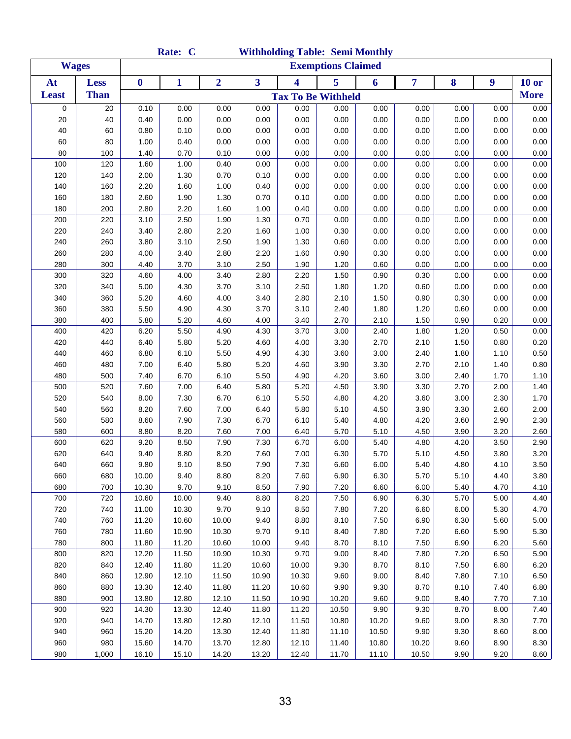|              |              |                  | Rate: C |                |                         |       | <b>Withholding Table: Semi Monthly</b> |       |       |      |      |              |
|--------------|--------------|------------------|---------|----------------|-------------------------|-------|----------------------------------------|-------|-------|------|------|--------------|
|              | <b>Wages</b> |                  |         |                |                         |       | <b>Exemptions Claimed</b>              |       |       |      |      |              |
| At           | <b>Less</b>  | $\boldsymbol{0}$ | 1       | $\overline{2}$ | $\overline{\mathbf{3}}$ | 4     | 5                                      | 6     | 7     | 8    | 9    | <b>10 or</b> |
| <b>Least</b> | <b>Than</b>  |                  |         |                |                         |       | <b>Tax To Be Withheld</b>              |       |       |      |      | <b>More</b>  |
| 0            | 20           | 0.10             | 0.00    | 0.00           | 0.00                    | 0.00  | 0.00                                   | 0.00  | 0.00  | 0.00 | 0.00 | 0.00         |
| 20           | 40           | 0.40             | 0.00    | 0.00           | 0.00                    | 0.00  | 0.00                                   | 0.00  | 0.00  | 0.00 | 0.00 | 0.00         |
| 40           | 60           | 0.80             | 0.10    | 0.00           | 0.00                    | 0.00  | 0.00                                   | 0.00  | 0.00  | 0.00 | 0.00 | 0.00         |
| 60           | 80           | 1.00             | 0.40    | 0.00           | 0.00                    | 0.00  | 0.00                                   | 0.00  | 0.00  | 0.00 | 0.00 | 0.00         |
| 80           | 100          | 1.40             | 0.70    | 0.10           | 0.00                    | 0.00  | 0.00                                   | 0.00  | 0.00  | 0.00 | 0.00 | 0.00         |
| 100          | 120          | 1.60             | 1.00    | 0.40           | 0.00                    | 0.00  | 0.00                                   | 0.00  | 0.00  | 0.00 | 0.00 | 0.00         |
| 120          | 140          | 2.00             | 1.30    | 0.70           | 0.10                    | 0.00  | 0.00                                   | 0.00  | 0.00  | 0.00 | 0.00 | 0.00         |
| 140          | 160          | 2.20             | 1.60    | 1.00           | 0.40                    | 0.00  | 0.00                                   | 0.00  | 0.00  | 0.00 | 0.00 | 0.00         |
| 160          | 180          | 2.60             | 1.90    | 1.30           | 0.70                    | 0.10  | 0.00                                   | 0.00  | 0.00  | 0.00 | 0.00 | 0.00         |
| 180          | 200          | 2.80             | 2.20    | 1.60           | 1.00                    | 0.40  | 0.00                                   | 0.00  | 0.00  | 0.00 | 0.00 | 0.00         |
| 200          | 220          | 3.10             | 2.50    | 1.90           | 1.30                    | 0.70  | 0.00                                   | 0.00  | 0.00  | 0.00 | 0.00 | 0.00         |
| 220          | 240          | 3.40             | 2.80    | 2.20           | 1.60                    | 1.00  | 0.30                                   | 0.00  | 0.00  | 0.00 | 0.00 | 0.00         |
| 240          | 260          | 3.80             | 3.10    | 2.50           | 1.90                    | 1.30  | 0.60                                   | 0.00  | 0.00  | 0.00 | 0.00 | 0.00         |
| 260          | 280          | 4.00             | 3.40    | 2.80           | 2.20                    | 1.60  | 0.90                                   | 0.30  | 0.00  | 0.00 | 0.00 | 0.00         |
| 280          | 300          | 4.40             | 3.70    | 3.10           | 2.50                    | 1.90  | 1.20                                   | 0.60  | 0.00  | 0.00 | 0.00 | 0.00         |
| 300          | 320          | 4.60             | 4.00    | 3.40           | 2.80                    | 2.20  | 1.50                                   | 0.90  | 0.30  | 0.00 | 0.00 | 0.00         |
| 320          | 340          | 5.00             | 4.30    | 3.70           | 3.10                    | 2.50  | 1.80                                   | 1.20  | 0.60  | 0.00 | 0.00 | 0.00         |
| 340          | 360          | 5.20             | 4.60    | 4.00           | 3.40                    | 2.80  | 2.10                                   | 1.50  | 0.90  | 0.30 | 0.00 | 0.00         |
| 360          | 380          | 5.50             | 4.90    | 4.30           | 3.70                    | 3.10  | 2.40                                   | 1.80  | 1.20  | 0.60 | 0.00 | 0.00         |
| 380          | 400          | 5.80             | 5.20    | 4.60           | 4.00                    | 3.40  | 2.70                                   | 2.10  | 1.50  | 0.90 | 0.20 | 0.00         |
| 400          | 420          | 6.20             | 5.50    | 4.90           | 4.30                    | 3.70  | 3.00                                   | 2.40  | 1.80  | 1.20 | 0.50 | 0.00         |
| 420          | 440          | 6.40             | 5.80    | 5.20           | 4.60                    | 4.00  | 3.30                                   | 2.70  | 2.10  | 1.50 | 0.80 | 0.20         |
| 440          | 460          | 6.80             | 6.10    | 5.50           | 4.90                    | 4.30  | 3.60                                   | 3.00  | 2.40  | 1.80 | 1.10 | 0.50         |
| 460          | 480          | 7.00             | 6.40    | 5.80           | 5.20                    | 4.60  | 3.90                                   | 3.30  | 2.70  | 2.10 | 1.40 | 0.80         |
| 480          | 500          | 7.40             | 6.70    | 6.10           | 5.50                    | 4.90  | 4.20                                   | 3.60  | 3.00  | 2.40 | 1.70 | 1.10         |
| 500          | 520          | 7.60             | 7.00    | 6.40           | 5.80                    | 5.20  | 4.50                                   | 3.90  | 3.30  | 2.70 | 2.00 | 1.40         |
| 520          | 540          | 8.00             | 7.30    | 6.70           | 6.10                    | 5.50  | 4.80                                   | 4.20  | 3.60  | 3.00 | 2.30 | 1.70         |
| 540          | 560          | 8.20             | 7.60    | 7.00           | 6.40                    | 5.80  | 5.10                                   | 4.50  | 3.90  | 3.30 | 2.60 | 2.00         |
| 560          | 580          | 8.60             | 7.90    | 7.30           | 6.70                    | 6.10  | 5.40                                   | 4.80  | 4.20  | 3.60 | 2.90 | 2.30         |
| 580          | 600          | 8.80             | 8.20    | 7.60           | 7.00                    | 6.40  | 5.70                                   | 5.10  | 4.50  | 3.90 | 3.20 | 2.60         |
| 600          | 620          | 9.20             | 8.50    | 7.90           | 7.30                    | 6.70  | 6.00                                   | 5.40  | 4.80  | 4.20 | 3.50 | 2.90         |
| 620          | 640          | 9.40             | 8.80    | 8.20           | 7.60                    | 7.00  | 6.30                                   | 5.70  | 5.10  | 4.50 | 3.80 | 3.20         |
| 640          | 660          | 9.80             | 9.10    | 8.50           | 7.90                    | 7.30  | 6.60                                   | 6.00  | 5.40  | 4.80 | 4.10 | 3.50         |
| 660          | 680          | 10.00            | 9.40    | 8.80           | 8.20                    | 7.60  | 6.90                                   | 6.30  | 5.70  | 5.10 | 4.40 | 3.80         |
| 680          | 700          | 10.30            | 9.70    | 9.10           | 8.50                    | 7.90  | 7.20                                   | 6.60  | 6.00  | 5.40 | 4.70 | 4.10         |
| 700          | 720          | 10.60            | 10.00   | 9.40           | 8.80                    | 8.20  | 7.50                                   | 6.90  | 6.30  | 5.70 | 5.00 | 4.40         |
| 720          | 740          | 11.00            | 10.30   | 9.70           | 9.10                    | 8.50  | 7.80                                   | 7.20  | 6.60  | 6.00 | 5.30 | 4.70         |
| 740          | 760          | 11.20            | 10.60   | 10.00          | 9.40                    | 8.80  | 8.10                                   | 7.50  | 6.90  | 6.30 | 5.60 | 5.00         |
| 760          | 780          | 11.60            | 10.90   | 10.30          | 9.70                    | 9.10  | 8.40                                   | 7.80  | 7.20  | 6.60 | 5.90 | 5.30         |
| 780          | 800          | 11.80            | 11.20   | 10.60          | 10.00                   | 9.40  | 8.70                                   | 8.10  | 7.50  | 6.90 | 6.20 | 5.60         |
| 800          | 820          | 12.20            | 11.50   | 10.90          | 10.30                   | 9.70  | 9.00                                   | 8.40  | 7.80  | 7.20 | 6.50 | 5.90         |
| 820          | 840          | 12.40            | 11.80   | 11.20          | 10.60                   | 10.00 | 9.30                                   | 8.70  | 8.10  | 7.50 | 6.80 | 6.20         |
| 840          | 860          | 12.90            | 12.10   | 11.50          | 10.90                   | 10.30 | 9.60                                   | 9.00  | 8.40  | 7.80 | 7.10 | 6.50         |
| 860          | 880          | 13.30            | 12.40   | 11.80          | 11.20                   | 10.60 | 9.90                                   | 9.30  | 8.70  | 8.10 | 7.40 | 6.80         |
| 880          | 900          | 13.80            | 12.80   | 12.10          | 11.50                   | 10.90 | 10.20                                  | 9.60  | 9.00  | 8.40 | 7.70 | 7.10         |
| 900          | 920          | 14.30            | 13.30   | 12.40          | 11.80                   | 11.20 | 10.50                                  | 9.90  | 9.30  | 8.70 | 8.00 | 7.40         |
| 920          | 940          | 14.70            | 13.80   | 12.80          | 12.10                   | 11.50 | 10.80                                  | 10.20 | 9.60  | 9.00 | 8.30 | 7.70         |
| 940          | 960          | 15.20            | 14.20   | 13.30          | 12.40                   | 11.80 | 11.10                                  | 10.50 | 9.90  | 9.30 | 8.60 | 8.00         |
| 960          | 980          | 15.60            | 14.70   | 13.70          | 12.80                   | 12.10 | 11.40                                  | 10.80 | 10.20 | 9.60 | 8.90 | 8.30         |
| 980          | 1,000        | 16.10            | 15.10   | 14.20          | 13.20                   | 12.40 | 11.70                                  | 11.10 | 10.50 | 9.90 | 9.20 | 8.60         |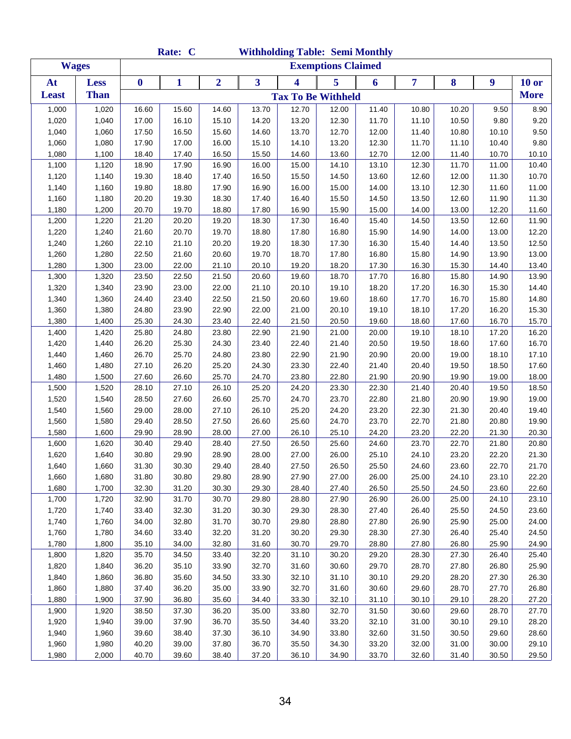|              |              |                  | Rate: C      |                |                         | <b>Withholding Table: Semi Monthly</b> |                           |       |       |       |       |             |
|--------------|--------------|------------------|--------------|----------------|-------------------------|----------------------------------------|---------------------------|-------|-------|-------|-------|-------------|
|              | <b>Wages</b> |                  |              |                |                         |                                        | <b>Exemptions Claimed</b> |       |       |       |       |             |
| At           | <b>Less</b>  | $\boldsymbol{0}$ | $\mathbf{1}$ | $\overline{2}$ | $\overline{\mathbf{3}}$ | 4                                      | 5                         | 6     | 7     | 8     | 9     | $10$ or     |
| <b>Least</b> | <b>Than</b>  |                  |              |                |                         | <b>Tax To Be Withheld</b>              |                           |       |       |       |       | <b>More</b> |
| 1,000        | 1,020        | 16.60            | 15.60        | 14.60          | 13.70                   | 12.70                                  | 12.00                     | 11.40 | 10.80 | 10.20 | 9.50  | 8.90        |
| 1,020        | 1,040        | 17.00            | 16.10        | 15.10          | 14.20                   | 13.20                                  | 12.30                     | 11.70 | 11.10 | 10.50 | 9.80  | 9.20        |
| 1,040        | 1,060        | 17.50            | 16.50        | 15.60          | 14.60                   | 13.70                                  | 12.70                     | 12.00 | 11.40 | 10.80 | 10.10 | 9.50        |
| 1,060        | 1,080        | 17.90            | 17.00        | 16.00          | 15.10                   | 14.10                                  | 13.20                     | 12.30 | 11.70 | 11.10 | 10.40 | 9.80        |
| 1,080        | 1,100        | 18.40            | 17.40        | 16.50          | 15.50                   | 14.60                                  | 13.60                     | 12.70 | 12.00 | 11.40 | 10.70 | 10.10       |
| 1,100        | 1,120        | 18.90            | 17.90        | 16.90          | 16.00                   | 15.00                                  | 14.10                     | 13.10 | 12.30 | 11.70 | 11.00 | 10.40       |
| 1,120        | 1,140        | 19.30            | 18.40        | 17.40          | 16.50                   | 15.50                                  | 14.50                     | 13.60 | 12.60 | 12.00 | 11.30 | 10.70       |
| 1,140        | 1,160        | 19.80            | 18.80        | 17.90          | 16.90                   | 16.00                                  | 15.00                     | 14.00 | 13.10 | 12.30 | 11.60 | 11.00       |
| 1,160        | 1,180        | 20.20            | 19.30        | 18.30          | 17.40                   | 16.40                                  | 15.50                     | 14.50 | 13.50 | 12.60 | 11.90 | 11.30       |
| 1,180        | 1,200        | 20.70            | 19.70        | 18.80          | 17.80                   | 16.90                                  | 15.90                     | 15.00 | 14.00 | 13.00 | 12.20 | 11.60       |
| 1,200        | 1,220        | 21.20            | 20.20        | 19.20          | 18.30                   | 17.30                                  | 16.40                     | 15.40 | 14.50 | 13.50 | 12.60 | 11.90       |
| 1,220        | 1,240        | 21.60            | 20.70        | 19.70          | 18.80                   | 17.80                                  | 16.80                     | 15.90 | 14.90 | 14.00 | 13.00 | 12.20       |
| 1,240        | 1,260        | 22.10            | 21.10        | 20.20          | 19.20                   | 18.30                                  | 17.30                     | 16.30 | 15.40 | 14.40 | 13.50 | 12.50       |
| 1,260        | 1,280        | 22.50            | 21.60        | 20.60          | 19.70                   | 18.70                                  | 17.80                     | 16.80 | 15.80 | 14.90 | 13.90 | 13.00       |
| 1,280        | 1,300        | 23.00            | 22.00        | 21.10          | 20.10                   | 19.20                                  | 18.20                     | 17.30 | 16.30 | 15.30 | 14.40 | 13.40       |
| 1,300        | 1,320        | 23.50            | 22.50        | 21.50          | 20.60                   | 19.60                                  | 18.70                     | 17.70 | 16.80 | 15.80 | 14.90 | 13.90       |
| 1,320        | 1,340        | 23.90            | 23.00        | 22.00          | 21.10                   | 20.10                                  | 19.10                     | 18.20 | 17.20 | 16.30 | 15.30 | 14.40       |
| 1,340        | 1,360        | 24.40            | 23.40        | 22.50          | 21.50                   | 20.60                                  | 19.60                     | 18.60 | 17.70 | 16.70 | 15.80 | 14.80       |
| 1,360        | 1,380        | 24.80            | 23.90        | 22.90          | 22.00                   | 21.00                                  | 20.10                     | 19.10 | 18.10 | 17.20 | 16.20 | 15.30       |
| 1,380        | 1,400        | 25.30            | 24.30        | 23.40          | 22.40                   | 21.50                                  | 20.50                     | 19.60 | 18.60 | 17.60 | 16.70 | 15.70       |
| 1,400        | 1,420        | 25.80            | 24.80        | 23.80          | 22.90                   | 21.90                                  | 21.00                     | 20.00 | 19.10 | 18.10 | 17.20 | 16.20       |
| 1,420        | 1,440        | 26.20            | 25.30        | 24.30          | 23.40                   | 22.40                                  | 21.40                     | 20.50 | 19.50 | 18.60 | 17.60 | 16.70       |
| 1,440        | 1,460        | 26.70            | 25.70        | 24.80          | 23.80                   | 22.90                                  | 21.90                     | 20.90 | 20.00 | 19.00 | 18.10 | 17.10       |
| 1,460        | 1,480        | 27.10            | 26.20        | 25.20          | 24.30                   | 23.30                                  | 22.40                     | 21.40 | 20.40 | 19.50 | 18.50 | 17.60       |
| 1,480        | 1,500        | 27.60            | 26.60        | 25.70          | 24.70                   | 23.80                                  | 22.80                     | 21.90 | 20.90 | 19.90 | 19.00 | 18.00       |
| 1,500        | 1,520        | 28.10            | 27.10        | 26.10          | 25.20                   | 24.20                                  | 23.30                     | 22.30 | 21.40 | 20.40 | 19.50 | 18.50       |
| 1,520        | 1,540        | 28.50            | 27.60        | 26.60          | 25.70                   | 24.70                                  | 23.70                     | 22.80 | 21.80 | 20.90 | 19.90 | 19.00       |
| 1,540        | 1,560        | 29.00            | 28.00        | 27.10          | 26.10                   | 25.20                                  | 24.20                     | 23.20 | 22.30 | 21.30 | 20.40 | 19.40       |
| 1,560        | 1,580        | 29.40            | 28.50        | 27.50          | 26.60                   | 25.60                                  | 24.70                     | 23.70 | 22.70 | 21.80 | 20.80 | 19.90       |
| 1,580        | 1,600        | 29.90            | 28.90        | 28.00          | 27.00                   | 26.10                                  | 25.10                     | 24.20 | 23.20 | 22.20 | 21.30 | 20.30       |
| 1,600        | 1,620        | 30.40            | 29.40        | 28.40          | 27.50                   | 26.50                                  | 25.60                     | 24.60 | 23.70 | 22.70 | 21.80 | 20.80       |
| 1,620        | 1,640        | 30.80            | 29.90        | 28.90          | 28.00                   | 27.00                                  | 26.00                     | 25.10 | 24.10 | 23.20 | 22.20 | 21.30       |
| 1,640        | 1,660        | 31.30            | 30.30        | 29.40          | 28.40                   | 27.50                                  | 26.50                     | 25.50 | 24.60 | 23.60 | 22.70 | 21.70       |
| 1,660        | 1,680        | 31.80            | 30.80        | 29.80          | 28.90                   | 27.90                                  | 27.00                     | 26.00 | 25.00 | 24.10 | 23.10 | 22.20       |
| 1,680        | 1,700        | 32.30            | 31.20        | 30.30          | 29.30                   | 28.40                                  | 27.40                     | 26.50 | 25.50 | 24.50 | 23.60 | 22.60       |
| 1,700        | 1,720        | 32.90            | 31.70        | 30.70          | 29.80                   | 28.80                                  | 27.90                     | 26.90 | 26.00 | 25.00 | 24.10 | 23.10       |
| 1,720        | 1,740        | 33.40            | 32.30        | 31.20          | 30.30                   | 29.30                                  | 28.30                     | 27.40 | 26.40 | 25.50 | 24.50 | 23.60       |
| 1,740        | 1,760        | 34.00            | 32.80        | 31.70          | 30.70                   | 29.80                                  | 28.80                     | 27.80 | 26.90 | 25.90 | 25.00 | 24.00       |
| 1,760        | 1,780        | 34.60            | 33.40        | 32.20          | 31.20                   | 30.20                                  | 29.30                     | 28.30 | 27.30 | 26.40 | 25.40 | 24.50       |
| 1,780        | 1,800        | 35.10            | 34.00        | 32.80          | 31.60                   | 30.70                                  | 29.70                     | 28.80 | 27.80 | 26.80 | 25.90 | 24.90       |
| 1,800        | 1,820        | 35.70            | 34.50        | 33.40          | 32.20                   | 31.10                                  | 30.20                     | 29.20 | 28.30 | 27.30 | 26.40 | 25.40       |
| 1,820        | 1,840        | 36.20            | 35.10        | 33.90          | 32.70                   | 31.60                                  | 30.60                     | 29.70 | 28.70 | 27.80 | 26.80 | 25.90       |
| 1,840        | 1,860        | 36.80            | 35.60        | 34.50          | 33.30                   | 32.10                                  | 31.10                     | 30.10 | 29.20 | 28.20 | 27.30 | 26.30       |
| 1,860        | 1,880        | 37.40            | 36.20        | 35.00          | 33.90                   | 32.70                                  | 31.60                     | 30.60 | 29.60 | 28.70 | 27.70 | 26.80       |
| 1,880        | 1,900        | 37.90            | 36.80        | 35.60          | 34.40                   | 33.30                                  | 32.10                     | 31.10 | 30.10 | 29.10 | 28.20 | 27.20       |
| 1,900        | 1,920        | 38.50            | 37.30        | 36.20          | 35.00                   | 33.80                                  | 32.70                     | 31.50 | 30.60 | 29.60 | 28.70 | 27.70       |
| 1,920        | 1,940        | 39.00            | 37.90        | 36.70          | 35.50                   | 34.40                                  | 33.20                     | 32.10 | 31.00 | 30.10 | 29.10 | 28.20       |
| 1,940        | 1,960        | 39.60            | 38.40        | 37.30          | 36.10                   | 34.90                                  | 33.80                     | 32.60 | 31.50 | 30.50 | 29.60 | 28.60       |
| 1,960        | 1,980        | 40.20            | 39.00        | 37.80          | 36.70                   | 35.50                                  | 34.30                     | 33.20 | 32.00 | 31.00 | 30.00 | 29.10       |
| 1,980        | 2,000        | 40.70            | 39.60        | 38.40          | 37.20                   | 36.10                                  | 34.90                     | 33.70 | 32.60 | 31.40 | 30.50 | 29.50       |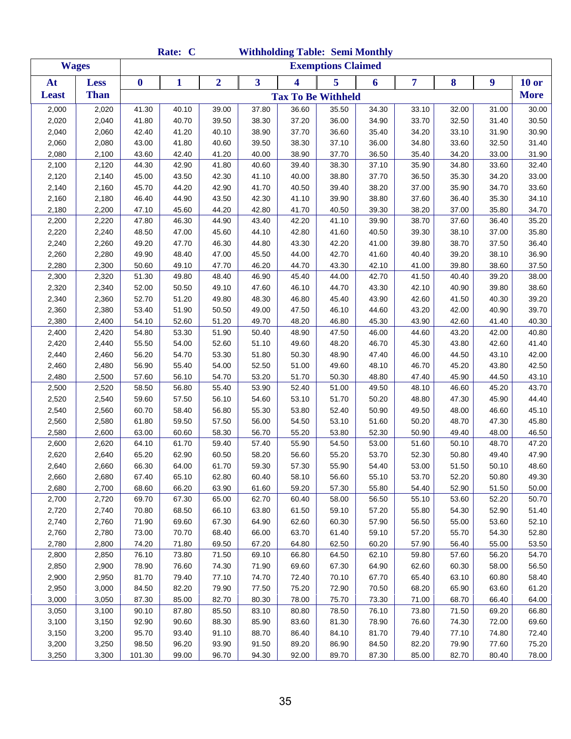|              |              |                  | Rate: C      |                |                         | <b>Withholding Table: Semi Monthly</b> |                           |       |       |       |       |             |
|--------------|--------------|------------------|--------------|----------------|-------------------------|----------------------------------------|---------------------------|-------|-------|-------|-------|-------------|
|              | <b>Wages</b> |                  |              |                |                         |                                        | <b>Exemptions Claimed</b> |       |       |       |       |             |
| At           | <b>Less</b>  | $\boldsymbol{0}$ | $\mathbf{1}$ | $\overline{2}$ | $\overline{\mathbf{3}}$ | 4                                      | 5                         | 6     | 7     | 8     | 9     | $10$ or     |
| <b>Least</b> | <b>Than</b>  |                  |              |                |                         | <b>Tax To Be Withheld</b>              |                           |       |       |       |       | <b>More</b> |
| 2,000        | 2,020        | 41.30            | 40.10        | 39.00          | 37.80                   | 36.60                                  | 35.50                     | 34.30 | 33.10 | 32.00 | 31.00 | 30.00       |
| 2,020        | 2,040        | 41.80            | 40.70        | 39.50          | 38.30                   | 37.20                                  | 36.00                     | 34.90 | 33.70 | 32.50 | 31.40 | 30.50       |
| 2,040        | 2,060        | 42.40            | 41.20        | 40.10          | 38.90                   | 37.70                                  | 36.60                     | 35.40 | 34.20 | 33.10 | 31.90 | 30.90       |
| 2,060        | 2,080        | 43.00            | 41.80        | 40.60          | 39.50                   | 38.30                                  | 37.10                     | 36.00 | 34.80 | 33.60 | 32.50 | 31.40       |
| 2,080        | 2,100        | 43.60            | 42.40        | 41.20          | 40.00                   | 38.90                                  | 37.70                     | 36.50 | 35.40 | 34.20 | 33.00 | 31.90       |
| 2,100        | 2,120        | 44.30            | 42.90        | 41.80          | 40.60                   | 39.40                                  | 38.30                     | 37.10 | 35.90 | 34.80 | 33.60 | 32.40       |
| 2,120        | 2,140        | 45.00            | 43.50        | 42.30          | 41.10                   | 40.00                                  | 38.80                     | 37.70 | 36.50 | 35.30 | 34.20 | 33.00       |
| 2,140        | 2,160        | 45.70            | 44.20        | 42.90          | 41.70                   | 40.50                                  | 39.40                     | 38.20 | 37.00 | 35.90 | 34.70 | 33.60       |
| 2,160        | 2,180        | 46.40            | 44.90        | 43.50          | 42.30                   | 41.10                                  | 39.90                     | 38.80 | 37.60 | 36.40 | 35.30 | 34.10       |
| 2,180        | 2,200        | 47.10            | 45.60        | 44.20          | 42.80                   | 41.70                                  | 40.50                     | 39.30 | 38.20 | 37.00 | 35.80 | 34.70       |
| 2,200        | 2,220        | 47.80            | 46.30        | 44.90          | 43.40                   | 42.20                                  | 41.10                     | 39.90 | 38.70 | 37.60 | 36.40 | 35.20       |
| 2,220        | 2,240        | 48.50            | 47.00        | 45.60          | 44.10                   | 42.80                                  | 41.60                     | 40.50 | 39.30 | 38.10 | 37.00 | 35.80       |
| 2,240        | 2,260        | 49.20            | 47.70        | 46.30          | 44.80                   | 43.30                                  | 42.20                     | 41.00 | 39.80 | 38.70 | 37.50 | 36.40       |
| 2,260        | 2,280        | 49.90            | 48.40        | 47.00          | 45.50                   | 44.00                                  | 42.70                     | 41.60 | 40.40 | 39.20 | 38.10 | 36.90       |
| 2,280        | 2,300        | 50.60            | 49.10        | 47.70          | 46.20                   | 44.70                                  | 43.30                     | 42.10 | 41.00 | 39.80 | 38.60 | 37.50       |
| 2,300        | 2,320        | 51.30            | 49.80        | 48.40          | 46.90                   | 45.40                                  | 44.00                     | 42.70 | 41.50 | 40.40 | 39.20 | 38.00       |
| 2,320        | 2,340        | 52.00            | 50.50        | 49.10          | 47.60                   | 46.10                                  | 44.70                     | 43.30 | 42.10 | 40.90 | 39.80 | 38.60       |
| 2,340        | 2,360        | 52.70            | 51.20        | 49.80          | 48.30                   | 46.80                                  | 45.40                     | 43.90 | 42.60 | 41.50 | 40.30 | 39.20       |
| 2,360        | 2,380        | 53.40            | 51.90        | 50.50          | 49.00                   | 47.50                                  | 46.10                     | 44.60 | 43.20 | 42.00 | 40.90 | 39.70       |
| 2,380        | 2,400        | 54.10            | 52.60        | 51.20          | 49.70                   | 48.20                                  | 46.80                     | 45.30 | 43.90 | 42.60 | 41.40 | 40.30       |
| 2,400        | 2,420        | 54.80            | 53.30        | 51.90          | 50.40                   | 48.90                                  | 47.50                     | 46.00 | 44.60 | 43.20 | 42.00 | 40.80       |
| 2,420        | 2,440        | 55.50            | 54.00        | 52.60          | 51.10                   | 49.60                                  | 48.20                     | 46.70 | 45.30 | 43.80 | 42.60 | 41.40       |
| 2,440        | 2,460        | 56.20            | 54.70        | 53.30          | 51.80                   | 50.30                                  | 48.90                     | 47.40 | 46.00 | 44.50 | 43.10 | 42.00       |
| 2,460        | 2,480        | 56.90            | 55.40        | 54.00          | 52.50                   | 51.00                                  | 49.60                     | 48.10 | 46.70 | 45.20 | 43.80 | 42.50       |
| 2,480        | 2,500        | 57.60            | 56.10        | 54.70          | 53.20                   | 51.70                                  | 50.30                     | 48.80 | 47.40 | 45.90 | 44.50 | 43.10       |
| 2,500        | 2,520        | 58.50            | 56.80        | 55.40          | 53.90                   | 52.40                                  | 51.00                     | 49.50 | 48.10 | 46.60 | 45.20 | 43.70       |
| 2,520        | 2,540        | 59.60            | 57.50        | 56.10          | 54.60                   | 53.10                                  | 51.70                     | 50.20 | 48.80 | 47.30 | 45.90 | 44.40       |
| 2,540        | 2,560        | 60.70            | 58.40        | 56.80          | 55.30                   | 53.80                                  | 52.40                     | 50.90 | 49.50 | 48.00 | 46.60 | 45.10       |
| 2,560        | 2,580        | 61.80            | 59.50        | 57.50          | 56.00                   | 54.50                                  | 53.10                     | 51.60 | 50.20 | 48.70 | 47.30 | 45.80       |
| 2,580        | 2,600        | 63.00            | 60.60        | 58.30          | 56.70                   | 55.20                                  | 53.80                     | 52.30 | 50.90 | 49.40 | 48.00 | 46.50       |
| 2,600        | 2,620        | 64.10            | 61.70        | 59.40          | 57.40                   | 55.90                                  | 54.50                     | 53.00 | 51.60 | 50.10 | 48.70 | 47.20       |
| 2,620        | 2,640        | 65.20            | 62.90        | 60.50          | 58.20                   | 56.60                                  | 55.20                     | 53.70 | 52.30 | 50.80 | 49.40 | 47.90       |
| 2,640        | 2,660        | 66.30            | 64.00        | 61.70          | 59.30                   | 57.30                                  | 55.90                     | 54.40 | 53.00 | 51.50 | 50.10 | 48.60       |
| 2,660        | 2,680        | 67.40            | 65.10        | 62.80          | 60.40                   | 58.10                                  | 56.60                     | 55.10 | 53.70 | 52.20 | 50.80 | 49.30       |
| 2,680        | 2,700        | 68.60            | 66.20        | 63.90          | 61.60                   | 59.20                                  | 57.30                     | 55.80 | 54.40 | 52.90 | 51.50 | 50.00       |
| 2,700        | 2,720        | 69.70            | 67.30        | 65.00          | 62.70                   | 60.40                                  | 58.00                     | 56.50 | 55.10 | 53.60 | 52.20 | 50.70       |
| 2,720        | 2,740        | 70.80            | 68.50        | 66.10          | 63.80                   | 61.50                                  | 59.10                     | 57.20 | 55.80 | 54.30 | 52.90 | 51.40       |
| 2,740        | 2,760        | 71.90            | 69.60        | 67.30          | 64.90                   | 62.60                                  | 60.30                     | 57.90 | 56.50 | 55.00 | 53.60 | 52.10       |
| 2,760        | 2,780        | 73.00            | 70.70        | 68.40          | 66.00                   | 63.70                                  | 61.40                     | 59.10 | 57.20 | 55.70 | 54.30 | 52.80       |
| 2,780        | 2,800        | 74.20            | 71.80        | 69.50          | 67.20                   | 64.80                                  | 62.50                     | 60.20 | 57.90 | 56.40 | 55.00 | 53.50       |
| 2,800        | 2,850        | 76.10            | 73.80        | 71.50          | 69.10                   | 66.80                                  | 64.50                     | 62.10 | 59.80 | 57.60 | 56.20 | 54.70       |
| 2,850        | 2,900        | 78.90            | 76.60        | 74.30          | 71.90                   | 69.60                                  | 67.30                     | 64.90 | 62.60 | 60.30 | 58.00 | 56.50       |
| 2,900        | 2,950        | 81.70            | 79.40        | 77.10          | 74.70                   | 72.40                                  | 70.10                     | 67.70 | 65.40 | 63.10 | 60.80 | 58.40       |
| 2,950        | 3,000        | 84.50            | 82.20        | 79.90          | 77.50                   | 75.20                                  | 72.90                     | 70.50 | 68.20 | 65.90 | 63.60 | 61.20       |
| 3,000        | 3,050        | 87.30            | 85.00        | 82.70          | 80.30                   | 78.00                                  | 75.70                     | 73.30 | 71.00 | 68.70 | 66.40 | 64.00       |
| 3,050        | 3,100        | 90.10            | 87.80        | 85.50          | 83.10                   | 80.80                                  | 78.50                     | 76.10 | 73.80 | 71.50 | 69.20 | 66.80       |
| 3,100        | 3,150        | 92.90            | 90.60        | 88.30          | 85.90                   | 83.60                                  | 81.30                     | 78.90 | 76.60 | 74.30 | 72.00 | 69.60       |
| 3,150        | 3,200        | 95.70            | 93.40        | 91.10          | 88.70                   | 86.40                                  | 84.10                     | 81.70 | 79.40 | 77.10 | 74.80 | 72.40       |
| 3,200        | 3,250        | 98.50            | 96.20        | 93.90          | 91.50                   | 89.20                                  | 86.90                     | 84.50 | 82.20 | 79.90 | 77.60 | 75.20       |
| 3,250        | 3,300        | 101.30           | 99.00        | 96.70          | 94.30                   | 92.00                                  | 89.70                     | 87.30 | 85.00 | 82.70 | 80.40 | 78.00       |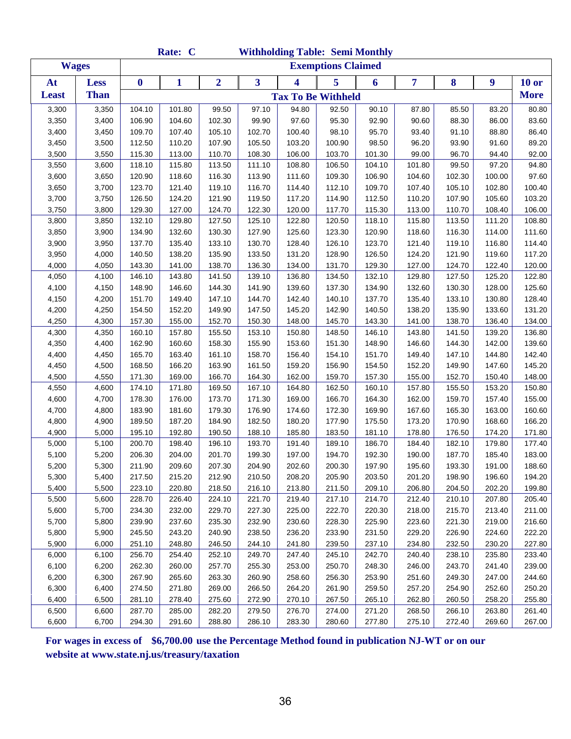|                |                |                  | Rate: C          |                  |                  |                  | <b>Withholding Table: Semi Monthly</b> |                  |                  |                  |                  |                  |
|----------------|----------------|------------------|------------------|------------------|------------------|------------------|----------------------------------------|------------------|------------------|------------------|------------------|------------------|
|                | <b>Wages</b>   |                  |                  |                  |                  |                  | <b>Exemptions Claimed</b>              |                  |                  |                  |                  |                  |
| At             | <b>Less</b>    | $\bf{0}$         | 1                | $\overline{2}$   | 3                | 4                | 5                                      | 6                | 7                | 8                | 9                | $10$ or          |
| <b>Least</b>   | <b>Than</b>    |                  |                  |                  |                  |                  | <b>Tax To Be Withheld</b>              |                  |                  |                  |                  | <b>More</b>      |
| 3,300          | 3,350          | 104.10           | 101.80           | 99.50            | 97.10            | 94.80            | 92.50                                  | 90.10            | 87.80            | 85.50            | 83.20            | 80.80            |
| 3,350          | 3,400          | 106.90           | 104.60           | 102.30           | 99.90            | 97.60            | 95.30                                  | 92.90            | 90.60            | 88.30            | 86.00            | 83.60            |
| 3,400          | 3,450          | 109.70           | 107.40           | 105.10           | 102.70           | 100.40           | 98.10                                  | 95.70            | 93.40            | 91.10            | 88.80            | 86.40            |
| 3,450          | 3,500          | 112.50           | 110.20           | 107.90           | 105.50           | 103.20           | 100.90                                 | 98.50            | 96.20            | 93.90            | 91.60            | 89.20            |
| 3,500          | 3,550          | 115.30           | 113.00           | 110.70           | 108.30           | 106.00           | 103.70                                 | 101.30           | 99.00            | 96.70            | 94.40            | 92.00            |
| 3,550          | 3,600          | 118.10           | 115.80           | 113.50           | 111.10           | 108.80           | 106.50                                 | 104.10           | 101.80           | 99.50            | 97.20            | 94.80            |
| 3,600          | 3,650          | 120.90           | 118.60           | 116.30           | 113.90           | 111.60           | 109.30                                 | 106.90           | 104.60           | 102.30           | 100.00           | 97.60            |
| 3,650          | 3,700          | 123.70           | 121.40           | 119.10           | 116.70           | 114.40           | 112.10                                 | 109.70           | 107.40           | 105.10           | 102.80           | 100.40           |
| 3,700          | 3,750          | 126.50           | 124.20           | 121.90           | 119.50           | 117.20           | 114.90                                 | 112.50           | 110.20           | 107.90           | 105.60           | 103.20           |
| 3,750          | 3,800          | 129.30           | 127.00           | 124.70           | 122.30           | 120.00           | 117.70                                 | 115.30           | 113.00           | 110.70           | 108.40           | 106.00           |
| 3,800          | 3,850          | 132.10           | 129.80           | 127.50           | 125.10           | 122.80           | 120.50                                 | 118.10           | 115.80           | 113.50           | 111.20           | 108.80           |
| 3,850          | 3,900          | 134.90           | 132.60           | 130.30           | 127.90           | 125.60           | 123.30                                 | 120.90           | 118.60           | 116.30           | 114.00           | 111.60           |
| 3,900          | 3,950          | 137.70           | 135.40           | 133.10           | 130.70           | 128.40           | 126.10                                 | 123.70           | 121.40           | 119.10           | 116.80           | 114.40           |
| 3,950          | 4,000          | 140.50           | 138.20           | 135.90           | 133.50           | 131.20           | 128.90                                 | 126.50           | 124.20           | 121.90           | 119.60           | 117.20           |
| 4,000          | 4,050          | 143.30           | 141.00           | 138.70           | 136.30           | 134.00           | 131.70                                 | 129.30           | 127.00           | 124.70           | 122.40           | 120.00           |
| 4,050          | 4,100          | 146.10           | 143.80           | 141.50           | 139.10           | 136.80           | 134.50                                 | 132.10           | 129.80           | 127.50           | 125.20           | 122.80           |
| 4,100          | 4,150          | 148.90           | 146.60           | 144.30           | 141.90           | 139.60           | 137.30                                 | 134.90           | 132.60           | 130.30           | 128.00           | 125.60           |
| 4,150          | 4,200          | 151.70           | 149.40           | 147.10           | 144.70           | 142.40           | 140.10                                 | 137.70           | 135.40           | 133.10           | 130.80           | 128.40           |
| 4,200          | 4,250          | 154.50           | 152.20           | 149.90           | 147.50           | 145.20           | 142.90                                 | 140.50           | 138.20           | 135.90           | 133.60           | 131.20           |
| 4,250          | 4,300          | 157.30           | 155.00           | 152.70           | 150.30           | 148.00           | 145.70                                 | 143.30           | 141.00           | 138.70           | 136.40           | 134.00           |
| 4,300          | 4,350          | 160.10           | 157.80           | 155.50           | 153.10           | 150.80           | 148.50                                 | 146.10           | 143.80           | 141.50           | 139.20           | 136.80           |
| 4,350          | 4,400          | 162.90           | 160.60           | 158.30           | 155.90           | 153.60           | 151.30                                 | 148.90           | 146.60           | 144.30           | 142.00           | 139.60           |
| 4,400          | 4,450          | 165.70           | 163.40           | 161.10           | 158.70           | 156.40           | 154.10                                 | 151.70           | 149.40           | 147.10           | 144.80           | 142.40           |
| 4,450          | 4,500          | 168.50           | 166.20           | 163.90           | 161.50           | 159.20           | 156.90                                 | 154.50           | 152.20           | 149.90           | 147.60           | 145.20           |
| 4,500          | 4,550          | 171.30           | 169.00           | 166.70           | 164.30           | 162.00           | 159.70                                 | 157.30           | 155.00           | 152.70           | 150.40           | 148.00           |
| 4,550          | 4,600          | 174.10           | 171.80           | 169.50           | 167.10           | 164.80           | 162.50                                 | 160.10           | 157.80           | 155.50           | 153.20           | 150.80           |
| 4,600          | 4,700          | 178.30           | 176.00           | 173.70           | 171.30           | 169.00           | 166.70                                 | 164.30           | 162.00           | 159.70           | 157.40           | 155.00           |
| 4,700          | 4,800          | 183.90           | 181.60           | 179.30           | 176.90           | 174.60           | 172.30                                 | 169.90           | 167.60           | 165.30           | 163.00           | 160.60           |
| 4,800          | 4,900          | 189.50           | 187.20           | 184.90           | 182.50           | 180.20           | 177.90                                 | 175.50           | 173.20           | 170.90           | 168.60           | 166.20           |
| 4,900          | 5,000          | 195.10           | 192.80           | 190.50           | 188.10           | 185.80           | 183.50                                 | 181.10           | 178.80           | 176.50           | 174.20           | 171.80           |
| 5,000          | 5,100          | 200.70           | 198.40           | 196.10           | 193.70           | 191.40           | 189.10                                 | 186.70           | 184.40           | 182.10           | 179.80           | 177.40           |
| 5,100          | 5,200          | 206.30           | 204.00           | 201.70           | 199.30           | 197.00           | 194.70                                 | 192.30           | 190.00           | 187.70           | 185.40           | 183.00           |
| 5,200          | 5,300          | 211.90           | 209.60           | 207.30           | 204.90           | 202.60           | 200.30                                 | 197.90           | 195.60           | 193.30           | 191.00           | 188.60           |
| 5,300          | 5,400          | 217.50           | 215.20<br>220.80 | 212.90           | 210.50           | 208.20           | 205.90                                 | 203.50           | 201.20<br>206.80 | 198.90           | 196.60           | 194.20           |
| 5,400          | 5,500          | 223.10           |                  | 218.50           | 216.10           | 213.80           | 211.50                                 | 209.10           |                  | 204.50           | 202.20           | 199.80           |
| 5,500          | 5,600          | 228.70           | 226.40           | 224.10<br>229.70 | 221.70           | 219.40           | 217.10                                 | 214.70           | 212.40           | 210.10           | 207.80           | 205.40           |
| 5,600<br>5,700 | 5,700          | 234.30           | 232.00<br>237.60 | 235.30           | 227.30           | 225.00           | 222.70                                 | 220.30<br>225.90 | 218.00<br>223.60 | 215.70           | 213.40           | 211.00<br>216.60 |
| 5,800          | 5,800<br>5,900 | 239.90           |                  | 240.90           | 232.90           | 230.60           | 228.30<br>233.90                       | 231.50           | 229.20           | 221.30<br>226.90 | 219.00<br>224.60 |                  |
| 5,900          |                | 245.50<br>251.10 | 243.20<br>248.80 | 246.50           | 238.50<br>244.10 | 236.20           |                                        | 237.10           | 234.80           | 232.50           |                  | 222.20<br>227.80 |
| 6,000          | 6,000<br>6,100 | 256.70           | 254.40           | 252.10           | 249.70           | 241.80<br>247.40 | 239.50<br>245.10                       | 242.70           | 240.40           | 238.10           | 230.20<br>235.80 | 233.40           |
| 6,100          | 6,200          | 262.30           | 260.00           | 257.70           | 255.30           | 253.00           | 250.70                                 | 248.30           | 246.00           | 243.70           | 241.40           | 239.00           |
| 6,200          | 6,300          | 267.90           | 265.60           | 263.30           | 260.90           | 258.60           | 256.30                                 | 253.90           | 251.60           | 249.30           | 247.00           | 244.60           |
| 6,300          | 6,400          | 274.50           | 271.80           | 269.00           | 266.50           | 264.20           | 261.90                                 | 259.50           | 257.20           | 254.90           | 252.60           | 250.20           |
| 6,400          | 6,500          | 281.10           | 278.40           | 275.60           | 272.90           | 270.10           | 267.50                                 | 265.10           | 262.80           | 260.50           | 258.20           | 255.80           |
| 6,500          | 6,600          | 287.70           | 285.00           | 282.20           | 279.50           | 276.70           | 274.00                                 | 271.20           | 268.50           | 266.10           | 263.80           | 261.40           |
| 6,600          | 6,700          | 294.30           | 291.60           | 288.80           | 286.10           | 283.30           | 280.60                                 | 277.80           | 275.10           | 272.40           | 269.60           | 267.00           |

**For wages in excess of \$6,700.00 use the Percentage Method found in publication NJ-WT or on our website at www.state.nj.us/treasury/taxation**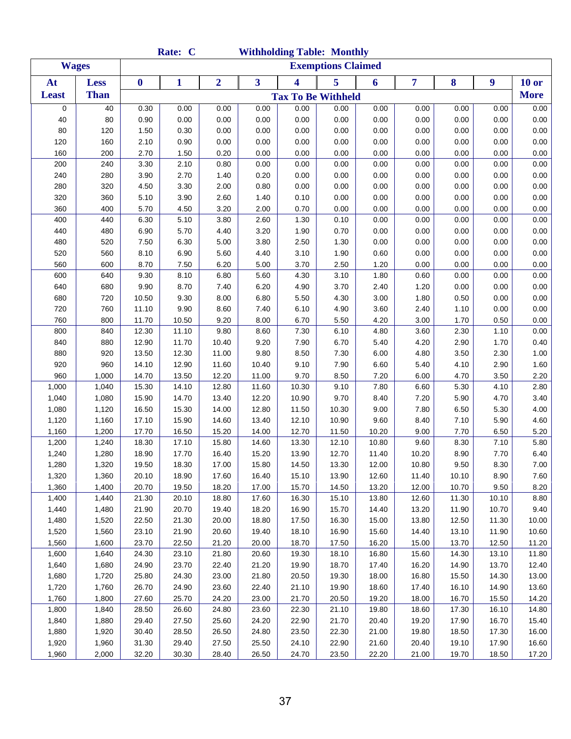|                |                |                | Rate: C        |                |                | <b>Withholding Table: Monthly</b> |                           |                |                |                |                |                |
|----------------|----------------|----------------|----------------|----------------|----------------|-----------------------------------|---------------------------|----------------|----------------|----------------|----------------|----------------|
| <b>Wages</b>   |                |                |                |                |                |                                   | <b>Exemptions Claimed</b> |                |                |                |                |                |
| At             | <b>Less</b>    | $\bf{0}$       | 1              | $\overline{2}$ | 3              | $\overline{\mathbf{4}}$           | 5                         | 6              | 7              | 8              | 9              | <b>10 or</b>   |
| <b>Least</b>   | <b>Than</b>    |                |                |                |                | <b>Tax To Be Withheld</b>         |                           |                |                |                |                | <b>More</b>    |
| 0              | 40             | 0.30           | 0.00           | 0.00           | 0.00           | 0.00                              | 0.00                      | 0.00           | 0.00           | 0.00           | 0.00           | 0.00           |
| 40             | 80             | 0.90           | 0.00           | 0.00           | 0.00           | 0.00                              | 0.00                      | 0.00           | 0.00           | 0.00           | 0.00           | 0.00           |
| 80             | 120            | 1.50           | 0.30           | 0.00           | 0.00           | 0.00                              | 0.00                      | 0.00           | 0.00           | 0.00           | 0.00           | $0.00\,$       |
| 120            | 160            | 2.10           | 0.90           | 0.00           | 0.00           | 0.00                              | 0.00                      | 0.00           | 0.00           | 0.00           | 0.00           | 0.00           |
| 160            | 200            | 2.70           | 1.50           | 0.20           | 0.00           | 0.00                              | 0.00                      | 0.00           | 0.00           | 0.00           | 0.00           | 0.00           |
| 200            | 240            | 3.30           | 2.10           | 0.80           | 0.00           | 0.00                              | 0.00                      | 0.00           | 0.00           | 0.00           | 0.00           | 0.00           |
| 240            | 280            | 3.90           | 2.70           | 1.40           | 0.20           | 0.00                              | 0.00                      | 0.00           | 0.00           | 0.00           | 0.00           | 0.00           |
| 280            | 320            | 4.50           | 3.30           | 2.00           | 0.80           | 0.00                              | 0.00                      | 0.00           | 0.00           | 0.00           | 0.00           | 0.00           |
| 320            | 360            | 5.10           | 3.90           | 2.60           | 1.40           | 0.10                              | 0.00                      | 0.00           | 0.00           | 0.00           | 0.00           | 0.00           |
| 360            | 400            | 5.70           | 4.50           | 3.20           | 2.00           | 0.70                              | 0.00                      | 0.00           | 0.00           | 0.00           | 0.00           | 0.00           |
| 400            | 440            | 6.30           | 5.10           | 3.80           | 2.60           | 1.30                              | 0.10                      | 0.00           | 0.00           | 0.00           | 0.00           | 0.00           |
| 440            | 480            | 6.90           | 5.70           | 4.40           | 3.20           | 1.90                              | 0.70                      | 0.00           | 0.00           | 0.00           | 0.00           | 0.00           |
| 480            | 520            | 7.50           | 6.30           | 5.00           | 3.80           | 2.50                              | 1.30                      | 0.00           | 0.00           | 0.00           | 0.00           | 0.00           |
| 520            | 560            | 8.10           | 6.90           | 5.60           | 4.40           | 3.10                              | 1.90                      | 0.60           | 0.00           | 0.00           | 0.00           | 0.00           |
| 560            | 600            | 8.70           | 7.50           | 6.20           | 5.00           | 3.70                              | 2.50                      | 1.20           | 0.00           | 0.00           | 0.00           | 0.00           |
| 600            | 640            | 9.30           | 8.10           | 6.80           | 5.60           | 4.30                              | 3.10                      | 1.80           | 0.60           | 0.00           | 0.00           | 0.00           |
| 640            | 680            | 9.90           | 8.70           | 7.40           | 6.20           | 4.90                              | 3.70                      | 2.40           | 1.20           | 0.00           | 0.00           | 0.00           |
| 680            | 720            | 10.50          | 9.30           | 8.00           | 6.80           | 5.50                              | 4.30                      | 3.00           | 1.80           | 0.50           | 0.00           | 0.00           |
| 720            | 760            | 11.10          | 9.90           | 8.60           | 7.40           | 6.10                              | 4.90                      | 3.60           | 2.40           | 1.10           | 0.00           | 0.00           |
| 760            | 800            | 11.70          | 10.50          | 9.20           | 8.00           | 6.70                              | 5.50                      | 4.20           | 3.00           | 1.70           | 0.50           | 0.00           |
| 800            | 840            | 12.30          | 11.10          | 9.80           | 8.60           | 7.30                              | 6.10                      | 4.80           | 3.60           | 2.30           | 1.10           | 0.00           |
| 840            | 880            | 12.90          | 11.70          | 10.40          | 9.20           | 7.90                              | 6.70                      | 5.40           | 4.20           | 2.90           | 1.70           | 0.40           |
| 880            | 920            | 13.50          | 12.30          | 11.00          | 9.80           | 8.50                              | 7.30                      | 6.00           | 4.80           | 3.50           | 2.30           | 1.00           |
| 920            | 960            | 14.10          | 12.90          | 11.60          | 10.40          | 9.10                              | 7.90                      | 6.60           | 5.40           | 4.10           | 2.90           | 1.60           |
| 960            | 1,000          | 14.70          | 13.50          | 12.20          | 11.00          | 9.70                              | 8.50                      | 7.20           | 6.00           | 4.70           | 3.50           | 2.20           |
| 1,000          | 1,040          | 15.30          | 14.10          | 12.80          | 11.60          | 10.30                             | 9.10                      | 7.80           | 6.60           | 5.30           | 4.10           | 2.80           |
| 1,040          | 1,080          | 15.90          | 14.70          | 13.40          | 12.20          | 10.90                             | 9.70                      | 8.40           | 7.20           | 5.90           | 4.70           | 3.40           |
| 1,080          | 1,120          | 16.50          | 15.30          | 14.00          | 12.80          | 11.50                             | 10.30                     | 9.00           | 7.80           | 6.50           | 5.30           | 4.00           |
| 1,120          | 1,160          | 17.10          | 15.90          | 14.60          | 13.40          | 12.10                             | 10.90                     | 9.60           | 8.40           | 7.10           | 5.90           | 4.60           |
| 1,160          | 1,200          | 17.70          | 16.50          | 15.20          | 14.00          | 12.70                             | 11.50                     | 10.20          | 9.00           | 7.70           | 6.50           | 5.20           |
| 1,200          | 1,240          | 18.30          | 17.10          | 15.80          | 14.60          | 13.30                             | 12.10                     | 10.80          | 9.60           | 8.30           | 7.10           | 5.80           |
| 1,240          | 1,280          | 18.90          | 17.70          | 16.40          | 15.20          | 13.90                             | 12.70                     | 11.40          | 10.20          | 8.90           | 7.70           | 6.40           |
| 1,280          | 1,320          | 19.50          | 18.30          | 17.00          | 15.80          | 14.50                             | 13.30                     | 12.00          | 10.80          | 9.50           | 8.30           | 7.00           |
| 1,320          | 1,360          | 20.10          | 18.90          | 17.60          | 16.40          | 15.10                             | 13.90                     | 12.60          | 11.40          | 10.10          | 8.90           | 7.60           |
| 1,360          | 1,400          | 20.70          | 19.50          | 18.20          | 17.00          | 15.70                             | 14.50                     | 13.20          | 12.00          | 10.70          | 9.50           | 8.20           |
| 1,400          | 1,440          | 21.30          | 20.10          | 18.80          | 17.60          | 16.30                             | 15.10                     | 13.80          | 12.60          | 11.30          | 10.10          | 8.80           |
| 1,440          | 1,480          | 21.90          | 20.70          | 19.40          | 18.20          | 16.90                             | 15.70                     | 14.40          | 13.20          | 11.90          | 10.70          | 9.40           |
| 1,480          | 1,520          | 22.50          | 21.30          | 20.00          | 18.80          | 17.50                             | 16.30                     | 15.00          | 13.80          | 12.50          | 11.30          | 10.00          |
| 1,520          | 1,560          | 23.10          | 21.90          | 20.60          | 19.40          | 18.10                             | 16.90                     | 15.60          | 14.40          | 13.10          | 11.90          | 10.60          |
| 1,560          | 1,600          | 23.70          | 22.50          | 21.20          | 20.00          | 18.70                             | 17.50                     | 16.20          | 15.00          | 13.70          | 12.50          | 11.20          |
| 1,600          | 1,640          | 24.30          | 23.10          | 21.80          | 20.60          | 19.30                             | 18.10                     | 16.80          | 15.60          | 14.30          | 13.10          | 11.80          |
| 1,640          | 1,680          | 24.90          | 23.70          | 22.40<br>23.00 | 21.20<br>21.80 | 19.90<br>20.50                    | 18.70                     | 17.40          | 16.20<br>16.80 | 14.90          | 13.70<br>14.30 | 12.40<br>13.00 |
| 1,680          | 1,720          | 25.80<br>26.70 | 24.30<br>24.90 | 23.60          | 22.40          | 21.10                             | 19.30                     | 18.00          |                | 15.50<br>16.10 | 14.90          |                |
| 1,720<br>1,760 | 1,760          | 27.60          | 25.70          | 24.20          | 23.00          | 21.70                             | 19.90                     | 18.60<br>19.20 | 17.40<br>18.00 | 16.70          | 15.50          | 13.60<br>14.20 |
|                | 1,800          |                |                | 24.80          |                |                                   | 20.50                     |                |                | 17.30          | 16.10          |                |
| 1,800<br>1,840 | 1,840<br>1,880 | 28.50<br>29.40 | 26.60<br>27.50 | 25.60          | 23.60<br>24.20 | 22.30<br>22.90                    | 21.10<br>21.70            | 19.80<br>20.40 | 18.60<br>19.20 | 17.90          | 16.70          | 14.80<br>15.40 |
| 1,880          | 1,920          | 30.40          | 28.50          | 26.50          | 24.80          | 23.50                             | 22.30                     | 21.00          | 19.80          | 18.50          | 17.30          | 16.00          |
| 1,920          | 1,960          | 31.30          | 29.40          | 27.50          | 25.50          | 24.10                             | 22.90                     | 21.60          | 20.40          | 19.10          | 17.90          | 16.60          |
| 1,960          | 2,000          | 32.20          | 30.30          | 28.40          | 26.50          | 24.70                             | 23.50                     | 22.20          | 21.00          | 19.70          | 18.50          | 17.20          |
|                |                |                |                |                |                |                                   |                           |                |                |                |                |                |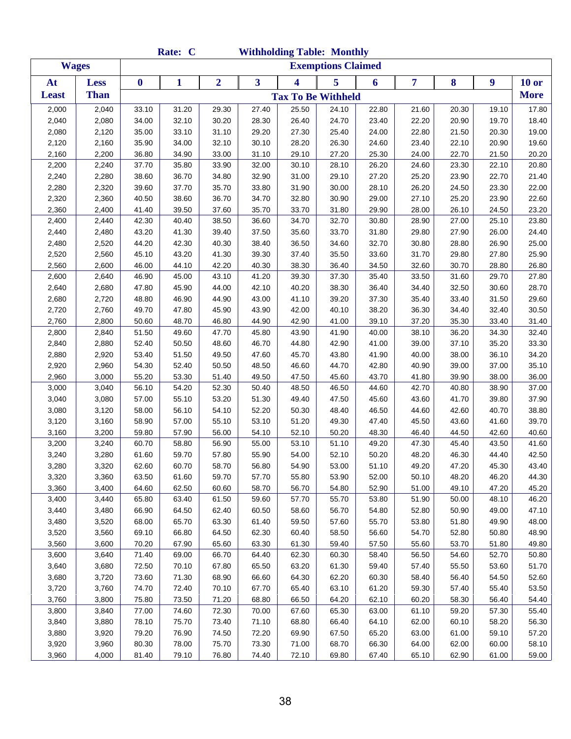| <b>Exemptions Claimed</b><br><b>Wages</b><br>$\overline{2}$<br>$\overline{\mathbf{3}}$<br>5<br>4<br>7<br>8<br>9<br>$10$ or<br>At<br><b>Less</b><br>$\boldsymbol{0}$<br>$\mathbf{1}$<br>6<br><b>Than</b><br><b>More</b><br><b>Least</b><br><b>Tax To Be Withheld</b><br>27.40<br>2,000<br>2,040<br>33.10<br>31.20<br>29.30<br>25.50<br>24.10<br>22.80<br>21.60<br>20.30<br>17.80<br>19.10<br>2,040<br>2,080<br>34.00<br>32.10<br>30.20<br>28.30<br>26.40<br>24.70<br>23.40<br>22.20<br>20.90<br>19.70<br>18.40<br>2,080<br>2,120<br>35.00<br>33.10<br>31.10<br>29.20<br>27.30<br>25.40<br>24.00<br>22.80<br>21.50<br>20.30<br>19.00<br>2,120<br>2,160<br>35.90<br>34.00<br>32.10<br>30.10<br>28.20<br>26.30<br>24.60<br>23.40<br>22.10<br>20.90<br>19.60<br>2,160<br>2,200<br>36.80<br>34.90<br>33.00<br>31.10<br>29.10<br>27.20<br>25.30<br>24.00<br>22.70<br>21.50<br>20.20<br>2,200<br>37.70<br>35.80<br>32.00<br>30.10<br>28.10<br>26.20<br>24.60<br>23.30<br>22.10<br>2,240<br>33.90<br>20.80<br>2,240<br>2,280<br>38.60<br>36.70<br>34.80<br>32.90<br>31.00<br>29.10<br>27.20<br>25.20<br>23.90<br>22.70<br>21.40<br>2,280<br>2,320<br>39.60<br>37.70<br>35.70<br>31.90<br>30.00<br>28.10<br>26.20<br>23.30<br>22.00<br>33.80<br>24.50<br>2,320<br>2,360<br>40.50<br>38.60<br>36.70<br>34.70<br>32.80<br>30.90<br>29.00<br>27.10<br>25.20<br>23.90<br>22.60<br>2,360<br>35.70<br>2,400<br>41.40<br>39.50<br>37.60<br>33.70<br>31.80<br>29.90<br>28.00<br>26.10<br>24.50<br>23.20<br>2,400<br>42.30<br>40.40<br>38.50<br>36.60<br>34.70<br>32.70<br>30.80<br>28.90<br>27.00<br>25.10<br>23.80<br>2,440<br>2,440<br>2,480<br>43.20<br>41.30<br>39.40<br>37.50<br>35.60<br>33.70<br>31.80<br>29.80<br>27.90<br>26.00<br>24.40<br>2,480<br>2,520<br>44.20<br>42.30<br>40.30<br>38.40<br>36.50<br>34.60<br>32.70<br>30.80<br>28.80<br>26.90<br>25.00<br>2,520<br>2,560<br>45.10<br>43.20<br>41.30<br>39.30<br>37.40<br>35.50<br>33.60<br>31.70<br>29.80<br>27.80<br>25.90<br>2,560<br>2,600<br>44.10<br>42.20<br>40.30<br>38.30<br>36.40<br>34.50<br>32.60<br>30.70<br>28.80<br>26.80<br>46.00<br>2,600<br>41.20<br>39.30<br>37.30<br>29.70<br>2,640<br>46.90<br>45.00<br>43.10<br>35.40<br>33.50<br>31.60<br>27.80<br>2,640<br>2,680<br>47.80<br>45.90<br>44.00<br>42.10<br>40.20<br>38.30<br>36.40<br>34.40<br>32.50<br>30.60<br>28.70<br>2,680<br>2,720<br>46.90<br>44.90<br>43.00<br>41.10<br>39.20<br>37.30<br>35.40<br>33.40<br>31.50<br>29.60<br>48.80<br>2,720<br>2,760<br>49.70<br>47.80<br>45.90<br>43.90<br>42.00<br>40.10<br>38.20<br>36.30<br>34.40<br>32.40<br>30.50<br>2,760<br>50.60<br>48.70<br>44.90<br>42.90<br>39.10<br>37.20<br>35.30<br>33.40<br>31.40<br>2,800<br>46.80<br>41.00<br>34.30<br>2,800<br>2,840<br>51.50<br>49.60<br>47.70<br>45.80<br>43.90<br>41.90<br>40.00<br>38.10<br>36.20<br>32.40<br>2,840<br>52.40<br>44.80<br>41.00<br>37.10<br>35.20<br>33.30<br>2,880<br>50.50<br>48.60<br>46.70<br>42.90<br>39.00<br>2,880<br>53.40<br>49.50<br>41.90<br>38.00<br>36.10<br>34.20<br>2,920<br>51.50<br>47.60<br>45.70<br>43.80<br>40.00<br>2,920<br>2,960<br>54.30<br>52.40<br>50.50<br>48.50<br>39.00<br>37.00<br>35.10<br>46.60<br>44.70<br>42.80<br>40.90<br>2,960<br>3,000<br>55.20<br>53.30<br>51.40<br>47.50<br>45.60<br>41.80<br>39.90<br>38.00<br>36.00<br>49.50<br>43.70<br>3,000<br>3,040<br>56.10<br>54.20<br>52.30<br>50.40<br>48.50<br>46.50<br>44.60<br>42.70<br>40.80<br>38.90<br>37.00<br>3,040<br>57.00<br>55.10<br>47.50<br>37.90<br>3,080<br>53.20<br>51.30<br>49.40<br>45.60<br>43.60<br>41.70<br>39.80<br>3,080<br>44.60<br>42.60<br>38.80<br>3,120<br>58.00<br>56.10<br>54.10<br>52.20<br>50.30<br>48.40<br>46.50<br>40.70<br>3,120<br>58.90<br>55.10<br>49.30<br>43.60<br>39.70<br>3,160<br>57.00<br>53.10<br>51.20<br>47.40<br>45.50<br>41.60<br>59.80<br>57.90<br>56.00<br>52.10<br>50.20<br>40.60<br>3,160<br>3,200<br>54.10<br>48.30<br>46.40<br>44.50<br>42.60<br>41.60<br>3,200<br>3,240<br>60.70<br>58.80<br>56.90<br>55.00<br>53.10<br>51.10<br>49.20<br>47.30<br>45.40<br>43.50<br>3,240<br>3,280<br>59.70<br>57.80<br>55.90<br>54.00<br>50.20<br>48.20<br>46.30<br>44.40<br>42.50<br>61.60<br>52.10<br>3,280<br>3,320<br>62.60<br>60.70<br>58.70<br>56.80<br>54.90<br>53.00<br>51.10<br>49.20<br>47.20<br>45.30<br>43.40<br>3,320<br>3,360<br>63.50<br>61.60<br>59.70<br>57.70<br>55.80<br>53.90<br>52.00<br>50.10<br>48.20<br>46.20<br>44.30<br>3,360<br>3,400<br>62.50<br>58.70<br>56.70<br>54.80<br>52.90<br>51.00<br>47.20<br>45.20<br>64.60<br>60.60<br>49.10<br>3,400<br>3,440<br>65.80<br>63.40<br>61.50<br>59.60<br>57.70<br>55.70<br>53.80<br>51.90<br>50.00<br>48.10<br>46.20<br>3,440<br>3,480<br>66.90<br>64.50<br>62.40<br>60.50<br>58.60<br>56.70<br>54.80<br>52.80<br>50.90<br>49.00<br>47.10<br>3,480<br>3,520<br>65.70<br>61.40<br>59.50<br>53.80<br>49.90<br>48.00<br>68.00<br>63.30<br>57.60<br>55.70<br>51.80<br>60.40<br>54.70<br>48.90<br>3,520<br>3,560<br>69.10<br>66.80<br>64.50<br>62.30<br>58.50<br>56.60<br>52.80<br>50.80<br>3,560<br>3,600<br>70.20<br>67.90<br>55.60<br>49.80<br>65.60<br>63.30<br>61.30<br>59.40<br>57.50<br>53.70<br>51.80<br>3,600<br>3,640<br>71.40<br>69.00<br>66.70<br>64.40<br>62.30<br>60.30<br>58.40<br>56.50<br>54.60<br>52.70<br>50.80<br>3,640<br>67.80<br>63.20<br>59.40<br>57.40<br>51.70<br>3,680<br>72.50<br>70.10<br>65.50<br>61.30<br>55.50<br>53.60<br>3,680<br>64.30<br>3,720<br>73.60<br>71.30<br>68.90<br>66.60<br>62.20<br>60.30<br>58.40<br>56.40<br>54.50<br>52.60<br>74.70<br>57.40<br>53.50<br>3,720<br>3,760<br>72.40<br>70.10<br>67.70<br>65.40<br>63.10<br>61.20<br>59.30<br>55.40<br>3,760<br>71.20<br>64.20<br>54.40<br>3,800<br>75.80<br>73.50<br>68.80<br>66.50<br>62.10<br>60.20<br>58.30<br>56.40<br>3,800<br>3,840<br>77.00<br>74.60<br>72.30<br>70.00<br>67.60<br>65.30<br>63.00<br>61.10<br>59.20<br>57.30<br>55.40<br>3,840<br>75.70<br>71.10<br>64.10<br>3,880<br>78.10<br>73.40<br>68.80<br>66.40<br>62.00<br>60.10<br>58.20<br>56.30<br>79.20<br>72.20<br>67.50<br>65.20<br>57.20<br>3,880<br>3,920<br>76.90<br>74.50<br>69.90<br>63.00<br>61.00<br>59.10<br>80.30<br>78.00<br>75.70<br>73.30<br>71.00<br>68.70<br>66.30<br>64.00<br>3,920<br>3,960<br>62.00<br>60.00<br>58.10<br>4,000<br>81.40<br>79.10<br>76.80<br>74.40<br>72.10<br>69.80<br>67.40<br>65.10<br>62.90<br>61.00<br>59.00<br>3,960 |  |  | Rate: C |  | <b>Withholding Table: Monthly</b> |  |  |  |
|---------------------------------------------------------------------------------------------------------------------------------------------------------------------------------------------------------------------------------------------------------------------------------------------------------------------------------------------------------------------------------------------------------------------------------------------------------------------------------------------------------------------------------------------------------------------------------------------------------------------------------------------------------------------------------------------------------------------------------------------------------------------------------------------------------------------------------------------------------------------------------------------------------------------------------------------------------------------------------------------------------------------------------------------------------------------------------------------------------------------------------------------------------------------------------------------------------------------------------------------------------------------------------------------------------------------------------------------------------------------------------------------------------------------------------------------------------------------------------------------------------------------------------------------------------------------------------------------------------------------------------------------------------------------------------------------------------------------------------------------------------------------------------------------------------------------------------------------------------------------------------------------------------------------------------------------------------------------------------------------------------------------------------------------------------------------------------------------------------------------------------------------------------------------------------------------------------------------------------------------------------------------------------------------------------------------------------------------------------------------------------------------------------------------------------------------------------------------------------------------------------------------------------------------------------------------------------------------------------------------------------------------------------------------------------------------------------------------------------------------------------------------------------------------------------------------------------------------------------------------------------------------------------------------------------------------------------------------------------------------------------------------------------------------------------------------------------------------------------------------------------------------------------------------------------------------------------------------------------------------------------------------------------------------------------------------------------------------------------------------------------------------------------------------------------------------------------------------------------------------------------------------------------------------------------------------------------------------------------------------------------------------------------------------------------------------------------------------------------------------------------------------------------------------------------------------------------------------------------------------------------------------------------------------------------------------------------------------------------------------------------------------------------------------------------------------------------------------------------------------------------------------------------------------------------------------------------------------------------------------------------------------------------------------------------------------------------------------------------------------------------------------------------------------------------------------------------------------------------------------------------------------------------------------------------------------------------------------------------------------------------------------------------------------------------------------------------------------------------------------------------------------------------------------------------------------------------------------------------------------------------------------------------------------------------------------------------------------------------------------------------------------------------------------------------------------------------------------------------------------------------------------------------------------------------------------------------------------------------------------------------------------------------------------------------------------------------------------------------------------------------------------------------------------------------------------------------------------------------------------------------------------------------------------------------------------------------------------------------------------------------------------------------------------------------------------------------------------------------------------------------------------------------------------------------------------------------------------------------------------------------------------------------------------------------------------------------------------------------------------------------------------------------------------------------------------------------------------------------------------------------------------------------------------------------------------------------------------------------------------------------------------------------------------------------------------------------------------------------------|--|--|---------|--|-----------------------------------|--|--|--|
|                                                                                                                                                                                                                                                                                                                                                                                                                                                                                                                                                                                                                                                                                                                                                                                                                                                                                                                                                                                                                                                                                                                                                                                                                                                                                                                                                                                                                                                                                                                                                                                                                                                                                                                                                                                                                                                                                                                                                                                                                                                                                                                                                                                                                                                                                                                                                                                                                                                                                                                                                                                                                                                                                                                                                                                                                                                                                                                                                                                                                                                                                                                                                                                                                                                                                                                                                                                                                                                                                                                                                                                                                                                                                                                                                                                                                                                                                                                                                                                                                                                                                                                                                                                                                                                                                                                                                                                                                                                                                                                                                                                                                                                                                                                                                                                                                                                                                                                                                                                                                                                                                                                                                                                                                                                                                                                                                                                                                                                                                                                                                                                                                                                                                                                                                                                                                                                                                                                                                                                                                                                                                                                                                                                                                                                                                                                                                               |  |  |         |  |                                   |  |  |  |
|                                                                                                                                                                                                                                                                                                                                                                                                                                                                                                                                                                                                                                                                                                                                                                                                                                                                                                                                                                                                                                                                                                                                                                                                                                                                                                                                                                                                                                                                                                                                                                                                                                                                                                                                                                                                                                                                                                                                                                                                                                                                                                                                                                                                                                                                                                                                                                                                                                                                                                                                                                                                                                                                                                                                                                                                                                                                                                                                                                                                                                                                                                                                                                                                                                                                                                                                                                                                                                                                                                                                                                                                                                                                                                                                                                                                                                                                                                                                                                                                                                                                                                                                                                                                                                                                                                                                                                                                                                                                                                                                                                                                                                                                                                                                                                                                                                                                                                                                                                                                                                                                                                                                                                                                                                                                                                                                                                                                                                                                                                                                                                                                                                                                                                                                                                                                                                                                                                                                                                                                                                                                                                                                                                                                                                                                                                                                                               |  |  |         |  |                                   |  |  |  |
|                                                                                                                                                                                                                                                                                                                                                                                                                                                                                                                                                                                                                                                                                                                                                                                                                                                                                                                                                                                                                                                                                                                                                                                                                                                                                                                                                                                                                                                                                                                                                                                                                                                                                                                                                                                                                                                                                                                                                                                                                                                                                                                                                                                                                                                                                                                                                                                                                                                                                                                                                                                                                                                                                                                                                                                                                                                                                                                                                                                                                                                                                                                                                                                                                                                                                                                                                                                                                                                                                                                                                                                                                                                                                                                                                                                                                                                                                                                                                                                                                                                                                                                                                                                                                                                                                                                                                                                                                                                                                                                                                                                                                                                                                                                                                                                                                                                                                                                                                                                                                                                                                                                                                                                                                                                                                                                                                                                                                                                                                                                                                                                                                                                                                                                                                                                                                                                                                                                                                                                                                                                                                                                                                                                                                                                                                                                                                               |  |  |         |  |                                   |  |  |  |
|                                                                                                                                                                                                                                                                                                                                                                                                                                                                                                                                                                                                                                                                                                                                                                                                                                                                                                                                                                                                                                                                                                                                                                                                                                                                                                                                                                                                                                                                                                                                                                                                                                                                                                                                                                                                                                                                                                                                                                                                                                                                                                                                                                                                                                                                                                                                                                                                                                                                                                                                                                                                                                                                                                                                                                                                                                                                                                                                                                                                                                                                                                                                                                                                                                                                                                                                                                                                                                                                                                                                                                                                                                                                                                                                                                                                                                                                                                                                                                                                                                                                                                                                                                                                                                                                                                                                                                                                                                                                                                                                                                                                                                                                                                                                                                                                                                                                                                                                                                                                                                                                                                                                                                                                                                                                                                                                                                                                                                                                                                                                                                                                                                                                                                                                                                                                                                                                                                                                                                                                                                                                                                                                                                                                                                                                                                                                                               |  |  |         |  |                                   |  |  |  |
|                                                                                                                                                                                                                                                                                                                                                                                                                                                                                                                                                                                                                                                                                                                                                                                                                                                                                                                                                                                                                                                                                                                                                                                                                                                                                                                                                                                                                                                                                                                                                                                                                                                                                                                                                                                                                                                                                                                                                                                                                                                                                                                                                                                                                                                                                                                                                                                                                                                                                                                                                                                                                                                                                                                                                                                                                                                                                                                                                                                                                                                                                                                                                                                                                                                                                                                                                                                                                                                                                                                                                                                                                                                                                                                                                                                                                                                                                                                                                                                                                                                                                                                                                                                                                                                                                                                                                                                                                                                                                                                                                                                                                                                                                                                                                                                                                                                                                                                                                                                                                                                                                                                                                                                                                                                                                                                                                                                                                                                                                                                                                                                                                                                                                                                                                                                                                                                                                                                                                                                                                                                                                                                                                                                                                                                                                                                                                               |  |  |         |  |                                   |  |  |  |
|                                                                                                                                                                                                                                                                                                                                                                                                                                                                                                                                                                                                                                                                                                                                                                                                                                                                                                                                                                                                                                                                                                                                                                                                                                                                                                                                                                                                                                                                                                                                                                                                                                                                                                                                                                                                                                                                                                                                                                                                                                                                                                                                                                                                                                                                                                                                                                                                                                                                                                                                                                                                                                                                                                                                                                                                                                                                                                                                                                                                                                                                                                                                                                                                                                                                                                                                                                                                                                                                                                                                                                                                                                                                                                                                                                                                                                                                                                                                                                                                                                                                                                                                                                                                                                                                                                                                                                                                                                                                                                                                                                                                                                                                                                                                                                                                                                                                                                                                                                                                                                                                                                                                                                                                                                                                                                                                                                                                                                                                                                                                                                                                                                                                                                                                                                                                                                                                                                                                                                                                                                                                                                                                                                                                                                                                                                                                                               |  |  |         |  |                                   |  |  |  |
|                                                                                                                                                                                                                                                                                                                                                                                                                                                                                                                                                                                                                                                                                                                                                                                                                                                                                                                                                                                                                                                                                                                                                                                                                                                                                                                                                                                                                                                                                                                                                                                                                                                                                                                                                                                                                                                                                                                                                                                                                                                                                                                                                                                                                                                                                                                                                                                                                                                                                                                                                                                                                                                                                                                                                                                                                                                                                                                                                                                                                                                                                                                                                                                                                                                                                                                                                                                                                                                                                                                                                                                                                                                                                                                                                                                                                                                                                                                                                                                                                                                                                                                                                                                                                                                                                                                                                                                                                                                                                                                                                                                                                                                                                                                                                                                                                                                                                                                                                                                                                                                                                                                                                                                                                                                                                                                                                                                                                                                                                                                                                                                                                                                                                                                                                                                                                                                                                                                                                                                                                                                                                                                                                                                                                                                                                                                                                               |  |  |         |  |                                   |  |  |  |
|                                                                                                                                                                                                                                                                                                                                                                                                                                                                                                                                                                                                                                                                                                                                                                                                                                                                                                                                                                                                                                                                                                                                                                                                                                                                                                                                                                                                                                                                                                                                                                                                                                                                                                                                                                                                                                                                                                                                                                                                                                                                                                                                                                                                                                                                                                                                                                                                                                                                                                                                                                                                                                                                                                                                                                                                                                                                                                                                                                                                                                                                                                                                                                                                                                                                                                                                                                                                                                                                                                                                                                                                                                                                                                                                                                                                                                                                                                                                                                                                                                                                                                                                                                                                                                                                                                                                                                                                                                                                                                                                                                                                                                                                                                                                                                                                                                                                                                                                                                                                                                                                                                                                                                                                                                                                                                                                                                                                                                                                                                                                                                                                                                                                                                                                                                                                                                                                                                                                                                                                                                                                                                                                                                                                                                                                                                                                                               |  |  |         |  |                                   |  |  |  |
|                                                                                                                                                                                                                                                                                                                                                                                                                                                                                                                                                                                                                                                                                                                                                                                                                                                                                                                                                                                                                                                                                                                                                                                                                                                                                                                                                                                                                                                                                                                                                                                                                                                                                                                                                                                                                                                                                                                                                                                                                                                                                                                                                                                                                                                                                                                                                                                                                                                                                                                                                                                                                                                                                                                                                                                                                                                                                                                                                                                                                                                                                                                                                                                                                                                                                                                                                                                                                                                                                                                                                                                                                                                                                                                                                                                                                                                                                                                                                                                                                                                                                                                                                                                                                                                                                                                                                                                                                                                                                                                                                                                                                                                                                                                                                                                                                                                                                                                                                                                                                                                                                                                                                                                                                                                                                                                                                                                                                                                                                                                                                                                                                                                                                                                                                                                                                                                                                                                                                                                                                                                                                                                                                                                                                                                                                                                                                               |  |  |         |  |                                   |  |  |  |
|                                                                                                                                                                                                                                                                                                                                                                                                                                                                                                                                                                                                                                                                                                                                                                                                                                                                                                                                                                                                                                                                                                                                                                                                                                                                                                                                                                                                                                                                                                                                                                                                                                                                                                                                                                                                                                                                                                                                                                                                                                                                                                                                                                                                                                                                                                                                                                                                                                                                                                                                                                                                                                                                                                                                                                                                                                                                                                                                                                                                                                                                                                                                                                                                                                                                                                                                                                                                                                                                                                                                                                                                                                                                                                                                                                                                                                                                                                                                                                                                                                                                                                                                                                                                                                                                                                                                                                                                                                                                                                                                                                                                                                                                                                                                                                                                                                                                                                                                                                                                                                                                                                                                                                                                                                                                                                                                                                                                                                                                                                                                                                                                                                                                                                                                                                                                                                                                                                                                                                                                                                                                                                                                                                                                                                                                                                                                                               |  |  |         |  |                                   |  |  |  |
|                                                                                                                                                                                                                                                                                                                                                                                                                                                                                                                                                                                                                                                                                                                                                                                                                                                                                                                                                                                                                                                                                                                                                                                                                                                                                                                                                                                                                                                                                                                                                                                                                                                                                                                                                                                                                                                                                                                                                                                                                                                                                                                                                                                                                                                                                                                                                                                                                                                                                                                                                                                                                                                                                                                                                                                                                                                                                                                                                                                                                                                                                                                                                                                                                                                                                                                                                                                                                                                                                                                                                                                                                                                                                                                                                                                                                                                                                                                                                                                                                                                                                                                                                                                                                                                                                                                                                                                                                                                                                                                                                                                                                                                                                                                                                                                                                                                                                                                                                                                                                                                                                                                                                                                                                                                                                                                                                                                                                                                                                                                                                                                                                                                                                                                                                                                                                                                                                                                                                                                                                                                                                                                                                                                                                                                                                                                                                               |  |  |         |  |                                   |  |  |  |
|                                                                                                                                                                                                                                                                                                                                                                                                                                                                                                                                                                                                                                                                                                                                                                                                                                                                                                                                                                                                                                                                                                                                                                                                                                                                                                                                                                                                                                                                                                                                                                                                                                                                                                                                                                                                                                                                                                                                                                                                                                                                                                                                                                                                                                                                                                                                                                                                                                                                                                                                                                                                                                                                                                                                                                                                                                                                                                                                                                                                                                                                                                                                                                                                                                                                                                                                                                                                                                                                                                                                                                                                                                                                                                                                                                                                                                                                                                                                                                                                                                                                                                                                                                                                                                                                                                                                                                                                                                                                                                                                                                                                                                                                                                                                                                                                                                                                                                                                                                                                                                                                                                                                                                                                                                                                                                                                                                                                                                                                                                                                                                                                                                                                                                                                                                                                                                                                                                                                                                                                                                                                                                                                                                                                                                                                                                                                                               |  |  |         |  |                                   |  |  |  |
|                                                                                                                                                                                                                                                                                                                                                                                                                                                                                                                                                                                                                                                                                                                                                                                                                                                                                                                                                                                                                                                                                                                                                                                                                                                                                                                                                                                                                                                                                                                                                                                                                                                                                                                                                                                                                                                                                                                                                                                                                                                                                                                                                                                                                                                                                                                                                                                                                                                                                                                                                                                                                                                                                                                                                                                                                                                                                                                                                                                                                                                                                                                                                                                                                                                                                                                                                                                                                                                                                                                                                                                                                                                                                                                                                                                                                                                                                                                                                                                                                                                                                                                                                                                                                                                                                                                                                                                                                                                                                                                                                                                                                                                                                                                                                                                                                                                                                                                                                                                                                                                                                                                                                                                                                                                                                                                                                                                                                                                                                                                                                                                                                                                                                                                                                                                                                                                                                                                                                                                                                                                                                                                                                                                                                                                                                                                                                               |  |  |         |  |                                   |  |  |  |
|                                                                                                                                                                                                                                                                                                                                                                                                                                                                                                                                                                                                                                                                                                                                                                                                                                                                                                                                                                                                                                                                                                                                                                                                                                                                                                                                                                                                                                                                                                                                                                                                                                                                                                                                                                                                                                                                                                                                                                                                                                                                                                                                                                                                                                                                                                                                                                                                                                                                                                                                                                                                                                                                                                                                                                                                                                                                                                                                                                                                                                                                                                                                                                                                                                                                                                                                                                                                                                                                                                                                                                                                                                                                                                                                                                                                                                                                                                                                                                                                                                                                                                                                                                                                                                                                                                                                                                                                                                                                                                                                                                                                                                                                                                                                                                                                                                                                                                                                                                                                                                                                                                                                                                                                                                                                                                                                                                                                                                                                                                                                                                                                                                                                                                                                                                                                                                                                                                                                                                                                                                                                                                                                                                                                                                                                                                                                                               |  |  |         |  |                                   |  |  |  |
|                                                                                                                                                                                                                                                                                                                                                                                                                                                                                                                                                                                                                                                                                                                                                                                                                                                                                                                                                                                                                                                                                                                                                                                                                                                                                                                                                                                                                                                                                                                                                                                                                                                                                                                                                                                                                                                                                                                                                                                                                                                                                                                                                                                                                                                                                                                                                                                                                                                                                                                                                                                                                                                                                                                                                                                                                                                                                                                                                                                                                                                                                                                                                                                                                                                                                                                                                                                                                                                                                                                                                                                                                                                                                                                                                                                                                                                                                                                                                                                                                                                                                                                                                                                                                                                                                                                                                                                                                                                                                                                                                                                                                                                                                                                                                                                                                                                                                                                                                                                                                                                                                                                                                                                                                                                                                                                                                                                                                                                                                                                                                                                                                                                                                                                                                                                                                                                                                                                                                                                                                                                                                                                                                                                                                                                                                                                                                               |  |  |         |  |                                   |  |  |  |
|                                                                                                                                                                                                                                                                                                                                                                                                                                                                                                                                                                                                                                                                                                                                                                                                                                                                                                                                                                                                                                                                                                                                                                                                                                                                                                                                                                                                                                                                                                                                                                                                                                                                                                                                                                                                                                                                                                                                                                                                                                                                                                                                                                                                                                                                                                                                                                                                                                                                                                                                                                                                                                                                                                                                                                                                                                                                                                                                                                                                                                                                                                                                                                                                                                                                                                                                                                                                                                                                                                                                                                                                                                                                                                                                                                                                                                                                                                                                                                                                                                                                                                                                                                                                                                                                                                                                                                                                                                                                                                                                                                                                                                                                                                                                                                                                                                                                                                                                                                                                                                                                                                                                                                                                                                                                                                                                                                                                                                                                                                                                                                                                                                                                                                                                                                                                                                                                                                                                                                                                                                                                                                                                                                                                                                                                                                                                                               |  |  |         |  |                                   |  |  |  |
|                                                                                                                                                                                                                                                                                                                                                                                                                                                                                                                                                                                                                                                                                                                                                                                                                                                                                                                                                                                                                                                                                                                                                                                                                                                                                                                                                                                                                                                                                                                                                                                                                                                                                                                                                                                                                                                                                                                                                                                                                                                                                                                                                                                                                                                                                                                                                                                                                                                                                                                                                                                                                                                                                                                                                                                                                                                                                                                                                                                                                                                                                                                                                                                                                                                                                                                                                                                                                                                                                                                                                                                                                                                                                                                                                                                                                                                                                                                                                                                                                                                                                                                                                                                                                                                                                                                                                                                                                                                                                                                                                                                                                                                                                                                                                                                                                                                                                                                                                                                                                                                                                                                                                                                                                                                                                                                                                                                                                                                                                                                                                                                                                                                                                                                                                                                                                                                                                                                                                                                                                                                                                                                                                                                                                                                                                                                                                               |  |  |         |  |                                   |  |  |  |
|                                                                                                                                                                                                                                                                                                                                                                                                                                                                                                                                                                                                                                                                                                                                                                                                                                                                                                                                                                                                                                                                                                                                                                                                                                                                                                                                                                                                                                                                                                                                                                                                                                                                                                                                                                                                                                                                                                                                                                                                                                                                                                                                                                                                                                                                                                                                                                                                                                                                                                                                                                                                                                                                                                                                                                                                                                                                                                                                                                                                                                                                                                                                                                                                                                                                                                                                                                                                                                                                                                                                                                                                                                                                                                                                                                                                                                                                                                                                                                                                                                                                                                                                                                                                                                                                                                                                                                                                                                                                                                                                                                                                                                                                                                                                                                                                                                                                                                                                                                                                                                                                                                                                                                                                                                                                                                                                                                                                                                                                                                                                                                                                                                                                                                                                                                                                                                                                                                                                                                                                                                                                                                                                                                                                                                                                                                                                                               |  |  |         |  |                                   |  |  |  |
|                                                                                                                                                                                                                                                                                                                                                                                                                                                                                                                                                                                                                                                                                                                                                                                                                                                                                                                                                                                                                                                                                                                                                                                                                                                                                                                                                                                                                                                                                                                                                                                                                                                                                                                                                                                                                                                                                                                                                                                                                                                                                                                                                                                                                                                                                                                                                                                                                                                                                                                                                                                                                                                                                                                                                                                                                                                                                                                                                                                                                                                                                                                                                                                                                                                                                                                                                                                                                                                                                                                                                                                                                                                                                                                                                                                                                                                                                                                                                                                                                                                                                                                                                                                                                                                                                                                                                                                                                                                                                                                                                                                                                                                                                                                                                                                                                                                                                                                                                                                                                                                                                                                                                                                                                                                                                                                                                                                                                                                                                                                                                                                                                                                                                                                                                                                                                                                                                                                                                                                                                                                                                                                                                                                                                                                                                                                                                               |  |  |         |  |                                   |  |  |  |
|                                                                                                                                                                                                                                                                                                                                                                                                                                                                                                                                                                                                                                                                                                                                                                                                                                                                                                                                                                                                                                                                                                                                                                                                                                                                                                                                                                                                                                                                                                                                                                                                                                                                                                                                                                                                                                                                                                                                                                                                                                                                                                                                                                                                                                                                                                                                                                                                                                                                                                                                                                                                                                                                                                                                                                                                                                                                                                                                                                                                                                                                                                                                                                                                                                                                                                                                                                                                                                                                                                                                                                                                                                                                                                                                                                                                                                                                                                                                                                                                                                                                                                                                                                                                                                                                                                                                                                                                                                                                                                                                                                                                                                                                                                                                                                                                                                                                                                                                                                                                                                                                                                                                                                                                                                                                                                                                                                                                                                                                                                                                                                                                                                                                                                                                                                                                                                                                                                                                                                                                                                                                                                                                                                                                                                                                                                                                                               |  |  |         |  |                                   |  |  |  |
|                                                                                                                                                                                                                                                                                                                                                                                                                                                                                                                                                                                                                                                                                                                                                                                                                                                                                                                                                                                                                                                                                                                                                                                                                                                                                                                                                                                                                                                                                                                                                                                                                                                                                                                                                                                                                                                                                                                                                                                                                                                                                                                                                                                                                                                                                                                                                                                                                                                                                                                                                                                                                                                                                                                                                                                                                                                                                                                                                                                                                                                                                                                                                                                                                                                                                                                                                                                                                                                                                                                                                                                                                                                                                                                                                                                                                                                                                                                                                                                                                                                                                                                                                                                                                                                                                                                                                                                                                                                                                                                                                                                                                                                                                                                                                                                                                                                                                                                                                                                                                                                                                                                                                                                                                                                                                                                                                                                                                                                                                                                                                                                                                                                                                                                                                                                                                                                                                                                                                                                                                                                                                                                                                                                                                                                                                                                                                               |  |  |         |  |                                   |  |  |  |
|                                                                                                                                                                                                                                                                                                                                                                                                                                                                                                                                                                                                                                                                                                                                                                                                                                                                                                                                                                                                                                                                                                                                                                                                                                                                                                                                                                                                                                                                                                                                                                                                                                                                                                                                                                                                                                                                                                                                                                                                                                                                                                                                                                                                                                                                                                                                                                                                                                                                                                                                                                                                                                                                                                                                                                                                                                                                                                                                                                                                                                                                                                                                                                                                                                                                                                                                                                                                                                                                                                                                                                                                                                                                                                                                                                                                                                                                                                                                                                                                                                                                                                                                                                                                                                                                                                                                                                                                                                                                                                                                                                                                                                                                                                                                                                                                                                                                                                                                                                                                                                                                                                                                                                                                                                                                                                                                                                                                                                                                                                                                                                                                                                                                                                                                                                                                                                                                                                                                                                                                                                                                                                                                                                                                                                                                                                                                                               |  |  |         |  |                                   |  |  |  |
|                                                                                                                                                                                                                                                                                                                                                                                                                                                                                                                                                                                                                                                                                                                                                                                                                                                                                                                                                                                                                                                                                                                                                                                                                                                                                                                                                                                                                                                                                                                                                                                                                                                                                                                                                                                                                                                                                                                                                                                                                                                                                                                                                                                                                                                                                                                                                                                                                                                                                                                                                                                                                                                                                                                                                                                                                                                                                                                                                                                                                                                                                                                                                                                                                                                                                                                                                                                                                                                                                                                                                                                                                                                                                                                                                                                                                                                                                                                                                                                                                                                                                                                                                                                                                                                                                                                                                                                                                                                                                                                                                                                                                                                                                                                                                                                                                                                                                                                                                                                                                                                                                                                                                                                                                                                                                                                                                                                                                                                                                                                                                                                                                                                                                                                                                                                                                                                                                                                                                                                                                                                                                                                                                                                                                                                                                                                                                               |  |  |         |  |                                   |  |  |  |
|                                                                                                                                                                                                                                                                                                                                                                                                                                                                                                                                                                                                                                                                                                                                                                                                                                                                                                                                                                                                                                                                                                                                                                                                                                                                                                                                                                                                                                                                                                                                                                                                                                                                                                                                                                                                                                                                                                                                                                                                                                                                                                                                                                                                                                                                                                                                                                                                                                                                                                                                                                                                                                                                                                                                                                                                                                                                                                                                                                                                                                                                                                                                                                                                                                                                                                                                                                                                                                                                                                                                                                                                                                                                                                                                                                                                                                                                                                                                                                                                                                                                                                                                                                                                                                                                                                                                                                                                                                                                                                                                                                                                                                                                                                                                                                                                                                                                                                                                                                                                                                                                                                                                                                                                                                                                                                                                                                                                                                                                                                                                                                                                                                                                                                                                                                                                                                                                                                                                                                                                                                                                                                                                                                                                                                                                                                                                                               |  |  |         |  |                                   |  |  |  |
|                                                                                                                                                                                                                                                                                                                                                                                                                                                                                                                                                                                                                                                                                                                                                                                                                                                                                                                                                                                                                                                                                                                                                                                                                                                                                                                                                                                                                                                                                                                                                                                                                                                                                                                                                                                                                                                                                                                                                                                                                                                                                                                                                                                                                                                                                                                                                                                                                                                                                                                                                                                                                                                                                                                                                                                                                                                                                                                                                                                                                                                                                                                                                                                                                                                                                                                                                                                                                                                                                                                                                                                                                                                                                                                                                                                                                                                                                                                                                                                                                                                                                                                                                                                                                                                                                                                                                                                                                                                                                                                                                                                                                                                                                                                                                                                                                                                                                                                                                                                                                                                                                                                                                                                                                                                                                                                                                                                                                                                                                                                                                                                                                                                                                                                                                                                                                                                                                                                                                                                                                                                                                                                                                                                                                                                                                                                                                               |  |  |         |  |                                   |  |  |  |
|                                                                                                                                                                                                                                                                                                                                                                                                                                                                                                                                                                                                                                                                                                                                                                                                                                                                                                                                                                                                                                                                                                                                                                                                                                                                                                                                                                                                                                                                                                                                                                                                                                                                                                                                                                                                                                                                                                                                                                                                                                                                                                                                                                                                                                                                                                                                                                                                                                                                                                                                                                                                                                                                                                                                                                                                                                                                                                                                                                                                                                                                                                                                                                                                                                                                                                                                                                                                                                                                                                                                                                                                                                                                                                                                                                                                                                                                                                                                                                                                                                                                                                                                                                                                                                                                                                                                                                                                                                                                                                                                                                                                                                                                                                                                                                                                                                                                                                                                                                                                                                                                                                                                                                                                                                                                                                                                                                                                                                                                                                                                                                                                                                                                                                                                                                                                                                                                                                                                                                                                                                                                                                                                                                                                                                                                                                                                                               |  |  |         |  |                                   |  |  |  |
|                                                                                                                                                                                                                                                                                                                                                                                                                                                                                                                                                                                                                                                                                                                                                                                                                                                                                                                                                                                                                                                                                                                                                                                                                                                                                                                                                                                                                                                                                                                                                                                                                                                                                                                                                                                                                                                                                                                                                                                                                                                                                                                                                                                                                                                                                                                                                                                                                                                                                                                                                                                                                                                                                                                                                                                                                                                                                                                                                                                                                                                                                                                                                                                                                                                                                                                                                                                                                                                                                                                                                                                                                                                                                                                                                                                                                                                                                                                                                                                                                                                                                                                                                                                                                                                                                                                                                                                                                                                                                                                                                                                                                                                                                                                                                                                                                                                                                                                                                                                                                                                                                                                                                                                                                                                                                                                                                                                                                                                                                                                                                                                                                                                                                                                                                                                                                                                                                                                                                                                                                                                                                                                                                                                                                                                                                                                                                               |  |  |         |  |                                   |  |  |  |
|                                                                                                                                                                                                                                                                                                                                                                                                                                                                                                                                                                                                                                                                                                                                                                                                                                                                                                                                                                                                                                                                                                                                                                                                                                                                                                                                                                                                                                                                                                                                                                                                                                                                                                                                                                                                                                                                                                                                                                                                                                                                                                                                                                                                                                                                                                                                                                                                                                                                                                                                                                                                                                                                                                                                                                                                                                                                                                                                                                                                                                                                                                                                                                                                                                                                                                                                                                                                                                                                                                                                                                                                                                                                                                                                                                                                                                                                                                                                                                                                                                                                                                                                                                                                                                                                                                                                                                                                                                                                                                                                                                                                                                                                                                                                                                                                                                                                                                                                                                                                                                                                                                                                                                                                                                                                                                                                                                                                                                                                                                                                                                                                                                                                                                                                                                                                                                                                                                                                                                                                                                                                                                                                                                                                                                                                                                                                                               |  |  |         |  |                                   |  |  |  |
|                                                                                                                                                                                                                                                                                                                                                                                                                                                                                                                                                                                                                                                                                                                                                                                                                                                                                                                                                                                                                                                                                                                                                                                                                                                                                                                                                                                                                                                                                                                                                                                                                                                                                                                                                                                                                                                                                                                                                                                                                                                                                                                                                                                                                                                                                                                                                                                                                                                                                                                                                                                                                                                                                                                                                                                                                                                                                                                                                                                                                                                                                                                                                                                                                                                                                                                                                                                                                                                                                                                                                                                                                                                                                                                                                                                                                                                                                                                                                                                                                                                                                                                                                                                                                                                                                                                                                                                                                                                                                                                                                                                                                                                                                                                                                                                                                                                                                                                                                                                                                                                                                                                                                                                                                                                                                                                                                                                                                                                                                                                                                                                                                                                                                                                                                                                                                                                                                                                                                                                                                                                                                                                                                                                                                                                                                                                                                               |  |  |         |  |                                   |  |  |  |
|                                                                                                                                                                                                                                                                                                                                                                                                                                                                                                                                                                                                                                                                                                                                                                                                                                                                                                                                                                                                                                                                                                                                                                                                                                                                                                                                                                                                                                                                                                                                                                                                                                                                                                                                                                                                                                                                                                                                                                                                                                                                                                                                                                                                                                                                                                                                                                                                                                                                                                                                                                                                                                                                                                                                                                                                                                                                                                                                                                                                                                                                                                                                                                                                                                                                                                                                                                                                                                                                                                                                                                                                                                                                                                                                                                                                                                                                                                                                                                                                                                                                                                                                                                                                                                                                                                                                                                                                                                                                                                                                                                                                                                                                                                                                                                                                                                                                                                                                                                                                                                                                                                                                                                                                                                                                                                                                                                                                                                                                                                                                                                                                                                                                                                                                                                                                                                                                                                                                                                                                                                                                                                                                                                                                                                                                                                                                                               |  |  |         |  |                                   |  |  |  |
|                                                                                                                                                                                                                                                                                                                                                                                                                                                                                                                                                                                                                                                                                                                                                                                                                                                                                                                                                                                                                                                                                                                                                                                                                                                                                                                                                                                                                                                                                                                                                                                                                                                                                                                                                                                                                                                                                                                                                                                                                                                                                                                                                                                                                                                                                                                                                                                                                                                                                                                                                                                                                                                                                                                                                                                                                                                                                                                                                                                                                                                                                                                                                                                                                                                                                                                                                                                                                                                                                                                                                                                                                                                                                                                                                                                                                                                                                                                                                                                                                                                                                                                                                                                                                                                                                                                                                                                                                                                                                                                                                                                                                                                                                                                                                                                                                                                                                                                                                                                                                                                                                                                                                                                                                                                                                                                                                                                                                                                                                                                                                                                                                                                                                                                                                                                                                                                                                                                                                                                                                                                                                                                                                                                                                                                                                                                                                               |  |  |         |  |                                   |  |  |  |
|                                                                                                                                                                                                                                                                                                                                                                                                                                                                                                                                                                                                                                                                                                                                                                                                                                                                                                                                                                                                                                                                                                                                                                                                                                                                                                                                                                                                                                                                                                                                                                                                                                                                                                                                                                                                                                                                                                                                                                                                                                                                                                                                                                                                                                                                                                                                                                                                                                                                                                                                                                                                                                                                                                                                                                                                                                                                                                                                                                                                                                                                                                                                                                                                                                                                                                                                                                                                                                                                                                                                                                                                                                                                                                                                                                                                                                                                                                                                                                                                                                                                                                                                                                                                                                                                                                                                                                                                                                                                                                                                                                                                                                                                                                                                                                                                                                                                                                                                                                                                                                                                                                                                                                                                                                                                                                                                                                                                                                                                                                                                                                                                                                                                                                                                                                                                                                                                                                                                                                                                                                                                                                                                                                                                                                                                                                                                                               |  |  |         |  |                                   |  |  |  |
|                                                                                                                                                                                                                                                                                                                                                                                                                                                                                                                                                                                                                                                                                                                                                                                                                                                                                                                                                                                                                                                                                                                                                                                                                                                                                                                                                                                                                                                                                                                                                                                                                                                                                                                                                                                                                                                                                                                                                                                                                                                                                                                                                                                                                                                                                                                                                                                                                                                                                                                                                                                                                                                                                                                                                                                                                                                                                                                                                                                                                                                                                                                                                                                                                                                                                                                                                                                                                                                                                                                                                                                                                                                                                                                                                                                                                                                                                                                                                                                                                                                                                                                                                                                                                                                                                                                                                                                                                                                                                                                                                                                                                                                                                                                                                                                                                                                                                                                                                                                                                                                                                                                                                                                                                                                                                                                                                                                                                                                                                                                                                                                                                                                                                                                                                                                                                                                                                                                                                                                                                                                                                                                                                                                                                                                                                                                                                               |  |  |         |  |                                   |  |  |  |
|                                                                                                                                                                                                                                                                                                                                                                                                                                                                                                                                                                                                                                                                                                                                                                                                                                                                                                                                                                                                                                                                                                                                                                                                                                                                                                                                                                                                                                                                                                                                                                                                                                                                                                                                                                                                                                                                                                                                                                                                                                                                                                                                                                                                                                                                                                                                                                                                                                                                                                                                                                                                                                                                                                                                                                                                                                                                                                                                                                                                                                                                                                                                                                                                                                                                                                                                                                                                                                                                                                                                                                                                                                                                                                                                                                                                                                                                                                                                                                                                                                                                                                                                                                                                                                                                                                                                                                                                                                                                                                                                                                                                                                                                                                                                                                                                                                                                                                                                                                                                                                                                                                                                                                                                                                                                                                                                                                                                                                                                                                                                                                                                                                                                                                                                                                                                                                                                                                                                                                                                                                                                                                                                                                                                                                                                                                                                                               |  |  |         |  |                                   |  |  |  |
|                                                                                                                                                                                                                                                                                                                                                                                                                                                                                                                                                                                                                                                                                                                                                                                                                                                                                                                                                                                                                                                                                                                                                                                                                                                                                                                                                                                                                                                                                                                                                                                                                                                                                                                                                                                                                                                                                                                                                                                                                                                                                                                                                                                                                                                                                                                                                                                                                                                                                                                                                                                                                                                                                                                                                                                                                                                                                                                                                                                                                                                                                                                                                                                                                                                                                                                                                                                                                                                                                                                                                                                                                                                                                                                                                                                                                                                                                                                                                                                                                                                                                                                                                                                                                                                                                                                                                                                                                                                                                                                                                                                                                                                                                                                                                                                                                                                                                                                                                                                                                                                                                                                                                                                                                                                                                                                                                                                                                                                                                                                                                                                                                                                                                                                                                                                                                                                                                                                                                                                                                                                                                                                                                                                                                                                                                                                                                               |  |  |         |  |                                   |  |  |  |
|                                                                                                                                                                                                                                                                                                                                                                                                                                                                                                                                                                                                                                                                                                                                                                                                                                                                                                                                                                                                                                                                                                                                                                                                                                                                                                                                                                                                                                                                                                                                                                                                                                                                                                                                                                                                                                                                                                                                                                                                                                                                                                                                                                                                                                                                                                                                                                                                                                                                                                                                                                                                                                                                                                                                                                                                                                                                                                                                                                                                                                                                                                                                                                                                                                                                                                                                                                                                                                                                                                                                                                                                                                                                                                                                                                                                                                                                                                                                                                                                                                                                                                                                                                                                                                                                                                                                                                                                                                                                                                                                                                                                                                                                                                                                                                                                                                                                                                                                                                                                                                                                                                                                                                                                                                                                                                                                                                                                                                                                                                                                                                                                                                                                                                                                                                                                                                                                                                                                                                                                                                                                                                                                                                                                                                                                                                                                                               |  |  |         |  |                                   |  |  |  |
|                                                                                                                                                                                                                                                                                                                                                                                                                                                                                                                                                                                                                                                                                                                                                                                                                                                                                                                                                                                                                                                                                                                                                                                                                                                                                                                                                                                                                                                                                                                                                                                                                                                                                                                                                                                                                                                                                                                                                                                                                                                                                                                                                                                                                                                                                                                                                                                                                                                                                                                                                                                                                                                                                                                                                                                                                                                                                                                                                                                                                                                                                                                                                                                                                                                                                                                                                                                                                                                                                                                                                                                                                                                                                                                                                                                                                                                                                                                                                                                                                                                                                                                                                                                                                                                                                                                                                                                                                                                                                                                                                                                                                                                                                                                                                                                                                                                                                                                                                                                                                                                                                                                                                                                                                                                                                                                                                                                                                                                                                                                                                                                                                                                                                                                                                                                                                                                                                                                                                                                                                                                                                                                                                                                                                                                                                                                                                               |  |  |         |  |                                   |  |  |  |
|                                                                                                                                                                                                                                                                                                                                                                                                                                                                                                                                                                                                                                                                                                                                                                                                                                                                                                                                                                                                                                                                                                                                                                                                                                                                                                                                                                                                                                                                                                                                                                                                                                                                                                                                                                                                                                                                                                                                                                                                                                                                                                                                                                                                                                                                                                                                                                                                                                                                                                                                                                                                                                                                                                                                                                                                                                                                                                                                                                                                                                                                                                                                                                                                                                                                                                                                                                                                                                                                                                                                                                                                                                                                                                                                                                                                                                                                                                                                                                                                                                                                                                                                                                                                                                                                                                                                                                                                                                                                                                                                                                                                                                                                                                                                                                                                                                                                                                                                                                                                                                                                                                                                                                                                                                                                                                                                                                                                                                                                                                                                                                                                                                                                                                                                                                                                                                                                                                                                                                                                                                                                                                                                                                                                                                                                                                                                                               |  |  |         |  |                                   |  |  |  |
|                                                                                                                                                                                                                                                                                                                                                                                                                                                                                                                                                                                                                                                                                                                                                                                                                                                                                                                                                                                                                                                                                                                                                                                                                                                                                                                                                                                                                                                                                                                                                                                                                                                                                                                                                                                                                                                                                                                                                                                                                                                                                                                                                                                                                                                                                                                                                                                                                                                                                                                                                                                                                                                                                                                                                                                                                                                                                                                                                                                                                                                                                                                                                                                                                                                                                                                                                                                                                                                                                                                                                                                                                                                                                                                                                                                                                                                                                                                                                                                                                                                                                                                                                                                                                                                                                                                                                                                                                                                                                                                                                                                                                                                                                                                                                                                                                                                                                                                                                                                                                                                                                                                                                                                                                                                                                                                                                                                                                                                                                                                                                                                                                                                                                                                                                                                                                                                                                                                                                                                                                                                                                                                                                                                                                                                                                                                                                               |  |  |         |  |                                   |  |  |  |
|                                                                                                                                                                                                                                                                                                                                                                                                                                                                                                                                                                                                                                                                                                                                                                                                                                                                                                                                                                                                                                                                                                                                                                                                                                                                                                                                                                                                                                                                                                                                                                                                                                                                                                                                                                                                                                                                                                                                                                                                                                                                                                                                                                                                                                                                                                                                                                                                                                                                                                                                                                                                                                                                                                                                                                                                                                                                                                                                                                                                                                                                                                                                                                                                                                                                                                                                                                                                                                                                                                                                                                                                                                                                                                                                                                                                                                                                                                                                                                                                                                                                                                                                                                                                                                                                                                                                                                                                                                                                                                                                                                                                                                                                                                                                                                                                                                                                                                                                                                                                                                                                                                                                                                                                                                                                                                                                                                                                                                                                                                                                                                                                                                                                                                                                                                                                                                                                                                                                                                                                                                                                                                                                                                                                                                                                                                                                                               |  |  |         |  |                                   |  |  |  |
|                                                                                                                                                                                                                                                                                                                                                                                                                                                                                                                                                                                                                                                                                                                                                                                                                                                                                                                                                                                                                                                                                                                                                                                                                                                                                                                                                                                                                                                                                                                                                                                                                                                                                                                                                                                                                                                                                                                                                                                                                                                                                                                                                                                                                                                                                                                                                                                                                                                                                                                                                                                                                                                                                                                                                                                                                                                                                                                                                                                                                                                                                                                                                                                                                                                                                                                                                                                                                                                                                                                                                                                                                                                                                                                                                                                                                                                                                                                                                                                                                                                                                                                                                                                                                                                                                                                                                                                                                                                                                                                                                                                                                                                                                                                                                                                                                                                                                                                                                                                                                                                                                                                                                                                                                                                                                                                                                                                                                                                                                                                                                                                                                                                                                                                                                                                                                                                                                                                                                                                                                                                                                                                                                                                                                                                                                                                                                               |  |  |         |  |                                   |  |  |  |
|                                                                                                                                                                                                                                                                                                                                                                                                                                                                                                                                                                                                                                                                                                                                                                                                                                                                                                                                                                                                                                                                                                                                                                                                                                                                                                                                                                                                                                                                                                                                                                                                                                                                                                                                                                                                                                                                                                                                                                                                                                                                                                                                                                                                                                                                                                                                                                                                                                                                                                                                                                                                                                                                                                                                                                                                                                                                                                                                                                                                                                                                                                                                                                                                                                                                                                                                                                                                                                                                                                                                                                                                                                                                                                                                                                                                                                                                                                                                                                                                                                                                                                                                                                                                                                                                                                                                                                                                                                                                                                                                                                                                                                                                                                                                                                                                                                                                                                                                                                                                                                                                                                                                                                                                                                                                                                                                                                                                                                                                                                                                                                                                                                                                                                                                                                                                                                                                                                                                                                                                                                                                                                                                                                                                                                                                                                                                                               |  |  |         |  |                                   |  |  |  |
|                                                                                                                                                                                                                                                                                                                                                                                                                                                                                                                                                                                                                                                                                                                                                                                                                                                                                                                                                                                                                                                                                                                                                                                                                                                                                                                                                                                                                                                                                                                                                                                                                                                                                                                                                                                                                                                                                                                                                                                                                                                                                                                                                                                                                                                                                                                                                                                                                                                                                                                                                                                                                                                                                                                                                                                                                                                                                                                                                                                                                                                                                                                                                                                                                                                                                                                                                                                                                                                                                                                                                                                                                                                                                                                                                                                                                                                                                                                                                                                                                                                                                                                                                                                                                                                                                                                                                                                                                                                                                                                                                                                                                                                                                                                                                                                                                                                                                                                                                                                                                                                                                                                                                                                                                                                                                                                                                                                                                                                                                                                                                                                                                                                                                                                                                                                                                                                                                                                                                                                                                                                                                                                                                                                                                                                                                                                                                               |  |  |         |  |                                   |  |  |  |
|                                                                                                                                                                                                                                                                                                                                                                                                                                                                                                                                                                                                                                                                                                                                                                                                                                                                                                                                                                                                                                                                                                                                                                                                                                                                                                                                                                                                                                                                                                                                                                                                                                                                                                                                                                                                                                                                                                                                                                                                                                                                                                                                                                                                                                                                                                                                                                                                                                                                                                                                                                                                                                                                                                                                                                                                                                                                                                                                                                                                                                                                                                                                                                                                                                                                                                                                                                                                                                                                                                                                                                                                                                                                                                                                                                                                                                                                                                                                                                                                                                                                                                                                                                                                                                                                                                                                                                                                                                                                                                                                                                                                                                                                                                                                                                                                                                                                                                                                                                                                                                                                                                                                                                                                                                                                                                                                                                                                                                                                                                                                                                                                                                                                                                                                                                                                                                                                                                                                                                                                                                                                                                                                                                                                                                                                                                                                                               |  |  |         |  |                                   |  |  |  |
|                                                                                                                                                                                                                                                                                                                                                                                                                                                                                                                                                                                                                                                                                                                                                                                                                                                                                                                                                                                                                                                                                                                                                                                                                                                                                                                                                                                                                                                                                                                                                                                                                                                                                                                                                                                                                                                                                                                                                                                                                                                                                                                                                                                                                                                                                                                                                                                                                                                                                                                                                                                                                                                                                                                                                                                                                                                                                                                                                                                                                                                                                                                                                                                                                                                                                                                                                                                                                                                                                                                                                                                                                                                                                                                                                                                                                                                                                                                                                                                                                                                                                                                                                                                                                                                                                                                                                                                                                                                                                                                                                                                                                                                                                                                                                                                                                                                                                                                                                                                                                                                                                                                                                                                                                                                                                                                                                                                                                                                                                                                                                                                                                                                                                                                                                                                                                                                                                                                                                                                                                                                                                                                                                                                                                                                                                                                                                               |  |  |         |  |                                   |  |  |  |
|                                                                                                                                                                                                                                                                                                                                                                                                                                                                                                                                                                                                                                                                                                                                                                                                                                                                                                                                                                                                                                                                                                                                                                                                                                                                                                                                                                                                                                                                                                                                                                                                                                                                                                                                                                                                                                                                                                                                                                                                                                                                                                                                                                                                                                                                                                                                                                                                                                                                                                                                                                                                                                                                                                                                                                                                                                                                                                                                                                                                                                                                                                                                                                                                                                                                                                                                                                                                                                                                                                                                                                                                                                                                                                                                                                                                                                                                                                                                                                                                                                                                                                                                                                                                                                                                                                                                                                                                                                                                                                                                                                                                                                                                                                                                                                                                                                                                                                                                                                                                                                                                                                                                                                                                                                                                                                                                                                                                                                                                                                                                                                                                                                                                                                                                                                                                                                                                                                                                                                                                                                                                                                                                                                                                                                                                                                                                                               |  |  |         |  |                                   |  |  |  |
|                                                                                                                                                                                                                                                                                                                                                                                                                                                                                                                                                                                                                                                                                                                                                                                                                                                                                                                                                                                                                                                                                                                                                                                                                                                                                                                                                                                                                                                                                                                                                                                                                                                                                                                                                                                                                                                                                                                                                                                                                                                                                                                                                                                                                                                                                                                                                                                                                                                                                                                                                                                                                                                                                                                                                                                                                                                                                                                                                                                                                                                                                                                                                                                                                                                                                                                                                                                                                                                                                                                                                                                                                                                                                                                                                                                                                                                                                                                                                                                                                                                                                                                                                                                                                                                                                                                                                                                                                                                                                                                                                                                                                                                                                                                                                                                                                                                                                                                                                                                                                                                                                                                                                                                                                                                                                                                                                                                                                                                                                                                                                                                                                                                                                                                                                                                                                                                                                                                                                                                                                                                                                                                                                                                                                                                                                                                                                               |  |  |         |  |                                   |  |  |  |
|                                                                                                                                                                                                                                                                                                                                                                                                                                                                                                                                                                                                                                                                                                                                                                                                                                                                                                                                                                                                                                                                                                                                                                                                                                                                                                                                                                                                                                                                                                                                                                                                                                                                                                                                                                                                                                                                                                                                                                                                                                                                                                                                                                                                                                                                                                                                                                                                                                                                                                                                                                                                                                                                                                                                                                                                                                                                                                                                                                                                                                                                                                                                                                                                                                                                                                                                                                                                                                                                                                                                                                                                                                                                                                                                                                                                                                                                                                                                                                                                                                                                                                                                                                                                                                                                                                                                                                                                                                                                                                                                                                                                                                                                                                                                                                                                                                                                                                                                                                                                                                                                                                                                                                                                                                                                                                                                                                                                                                                                                                                                                                                                                                                                                                                                                                                                                                                                                                                                                                                                                                                                                                                                                                                                                                                                                                                                                               |  |  |         |  |                                   |  |  |  |
|                                                                                                                                                                                                                                                                                                                                                                                                                                                                                                                                                                                                                                                                                                                                                                                                                                                                                                                                                                                                                                                                                                                                                                                                                                                                                                                                                                                                                                                                                                                                                                                                                                                                                                                                                                                                                                                                                                                                                                                                                                                                                                                                                                                                                                                                                                                                                                                                                                                                                                                                                                                                                                                                                                                                                                                                                                                                                                                                                                                                                                                                                                                                                                                                                                                                                                                                                                                                                                                                                                                                                                                                                                                                                                                                                                                                                                                                                                                                                                                                                                                                                                                                                                                                                                                                                                                                                                                                                                                                                                                                                                                                                                                                                                                                                                                                                                                                                                                                                                                                                                                                                                                                                                                                                                                                                                                                                                                                                                                                                                                                                                                                                                                                                                                                                                                                                                                                                                                                                                                                                                                                                                                                                                                                                                                                                                                                                               |  |  |         |  |                                   |  |  |  |
|                                                                                                                                                                                                                                                                                                                                                                                                                                                                                                                                                                                                                                                                                                                                                                                                                                                                                                                                                                                                                                                                                                                                                                                                                                                                                                                                                                                                                                                                                                                                                                                                                                                                                                                                                                                                                                                                                                                                                                                                                                                                                                                                                                                                                                                                                                                                                                                                                                                                                                                                                                                                                                                                                                                                                                                                                                                                                                                                                                                                                                                                                                                                                                                                                                                                                                                                                                                                                                                                                                                                                                                                                                                                                                                                                                                                                                                                                                                                                                                                                                                                                                                                                                                                                                                                                                                                                                                                                                                                                                                                                                                                                                                                                                                                                                                                                                                                                                                                                                                                                                                                                                                                                                                                                                                                                                                                                                                                                                                                                                                                                                                                                                                                                                                                                                                                                                                                                                                                                                                                                                                                                                                                                                                                                                                                                                                                                               |  |  |         |  |                                   |  |  |  |
|                                                                                                                                                                                                                                                                                                                                                                                                                                                                                                                                                                                                                                                                                                                                                                                                                                                                                                                                                                                                                                                                                                                                                                                                                                                                                                                                                                                                                                                                                                                                                                                                                                                                                                                                                                                                                                                                                                                                                                                                                                                                                                                                                                                                                                                                                                                                                                                                                                                                                                                                                                                                                                                                                                                                                                                                                                                                                                                                                                                                                                                                                                                                                                                                                                                                                                                                                                                                                                                                                                                                                                                                                                                                                                                                                                                                                                                                                                                                                                                                                                                                                                                                                                                                                                                                                                                                                                                                                                                                                                                                                                                                                                                                                                                                                                                                                                                                                                                                                                                                                                                                                                                                                                                                                                                                                                                                                                                                                                                                                                                                                                                                                                                                                                                                                                                                                                                                                                                                                                                                                                                                                                                                                                                                                                                                                                                                                               |  |  |         |  |                                   |  |  |  |
|                                                                                                                                                                                                                                                                                                                                                                                                                                                                                                                                                                                                                                                                                                                                                                                                                                                                                                                                                                                                                                                                                                                                                                                                                                                                                                                                                                                                                                                                                                                                                                                                                                                                                                                                                                                                                                                                                                                                                                                                                                                                                                                                                                                                                                                                                                                                                                                                                                                                                                                                                                                                                                                                                                                                                                                                                                                                                                                                                                                                                                                                                                                                                                                                                                                                                                                                                                                                                                                                                                                                                                                                                                                                                                                                                                                                                                                                                                                                                                                                                                                                                                                                                                                                                                                                                                                                                                                                                                                                                                                                                                                                                                                                                                                                                                                                                                                                                                                                                                                                                                                                                                                                                                                                                                                                                                                                                                                                                                                                                                                                                                                                                                                                                                                                                                                                                                                                                                                                                                                                                                                                                                                                                                                                                                                                                                                                                               |  |  |         |  |                                   |  |  |  |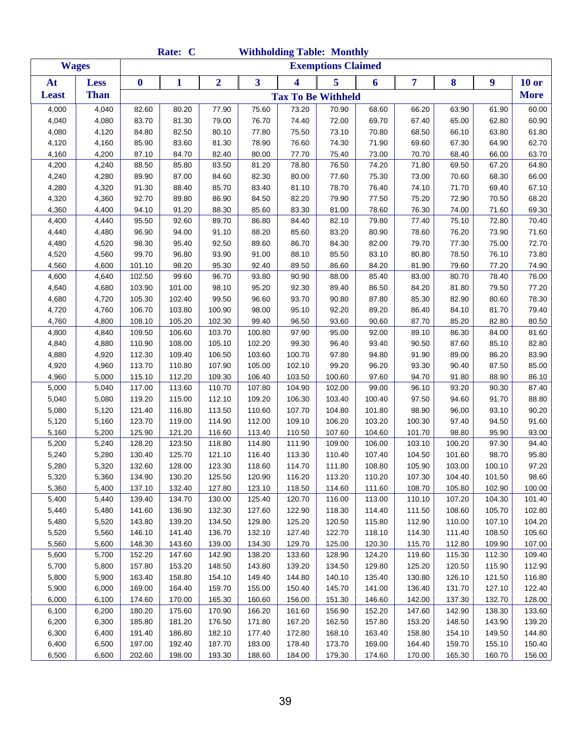|                |                |                  | Rate: C          |                  |                         |                           | <b>Withholding Table: Monthly</b> |                 |                |                |                |                |
|----------------|----------------|------------------|------------------|------------------|-------------------------|---------------------------|-----------------------------------|-----------------|----------------|----------------|----------------|----------------|
|                | <b>Wages</b>   |                  |                  |                  |                         |                           | <b>Exemptions Claimed</b>         |                 |                |                |                |                |
| At             | <b>Less</b>    | $\boldsymbol{0}$ | $\mathbf{1}$     | $\overline{2}$   | $\overline{\mathbf{3}}$ | 4                         | 5                                 | 6               | 7              | 8              | 9              | $10$ or        |
| <b>Least</b>   | <b>Than</b>    |                  |                  |                  |                         | <b>Tax To Be Withheld</b> |                                   |                 |                |                |                | <b>More</b>    |
| 4,000          | 4,040          | 82.60            | 80.20            | 77.90            | 75.60                   | 73.20                     | 70.90                             | 68.60           | 66.20          | 63.90          | 61.90          | 60.00          |
| 4,040          | 4,080          | 83.70            | 81.30            | 79.00            | 76.70                   | 74.40                     | 72.00                             | 69.70           | 67.40          | 65.00          | 62.80          | 60.90          |
| 4,080          | 4,120          | 84.80            | 82.50            | 80.10            | 77.80                   | 75.50                     | 73.10                             | 70.80           | 68.50          | 66.10          | 63.80          | 61.80          |
| 4,120          | 4,160          | 85.90            | 83.60            | 81.30            | 78.90                   | 76.60                     | 74.30                             | 71.90           | 69.60          | 67.30          | 64.90          | 62.70          |
| 4,160          | 4,200          | 87.10            | 84.70            | 82.40            | 80.00                   | 77.70                     | 75.40                             | 73.00           | 70.70          | 68.40          | 66.00          | 63.70          |
| 4,200          | 4,240          | 88.50            | 85.80            | 83.50            | 81.20                   | 78.80                     | 76.50                             | 74.20           | 71.80          | 69.50          | 67.20          | 64.80          |
| 4,240          | 4,280          | 89.90            | 87.00            | 84.60            | 82.30                   | 80.00                     | 77.60                             | 75.30           | 73.00          | 70.60          | 68.30          | 66.00          |
| 4,280          | 4,320          | 91.30            | 88.40            | 85.70            | 83.40                   | 81.10                     | 78.70                             | 76.40           | 74.10          | 71.70          | 69.40          | 67.10          |
| 4,320          | 4,360          | 92.70            | 89.80            | 86.90            | 84.50                   | 82.20                     | 79.90                             | 77.50           | 75.20          | 72.90          | 70.50          | 68.20          |
| 4,360          | 4,400          | 94.10            | 91.20            | 88.30            | 85.60                   | 83.30                     | 81.00                             | 78.60           | 76.30          | 74.00          | 71.60          | 69.30          |
| 4,400          | 4,440          | 95.50            | 92.60            | 89.70            | 86.80                   | 84.40                     | 82.10                             | 79.80           | 77.40          | 75.10          | 72.80          | 70.40          |
| 4,440          | 4,480          | 96.90            | 94.00            | 91.10            | 88.20                   | 85.60                     | 83.20                             | 80.90           | 78.60          | 76.20          | 73.90          | 71.60          |
| 4,480          | 4,520          | 98.30            | 95.40            | 92.50            | 89.60                   | 86.70                     | 84.30                             | 82.00           | 79.70          | 77.30          | 75.00          | 72.70          |
| 4,520          | 4,560          | 99.70            | 96.80            | 93.90            | 91.00                   | 88.10                     | 85.50                             | 83.10           | 80.80          | 78.50          | 76.10          | 73.80          |
| 4,560          | 4,600          | 101.10           | 98.20            | 95.30            | 92.40                   | 89.50                     | 86.60                             | 84.20           | 81.90          | 79.60          | 77.20          | 74.90          |
| 4,600          | 4,640          | 102.50           | 99.60            | 96.70            | 93.80                   | 90.90                     | 88.00                             | 85.40           | 83.00          | 80.70          | 78.40          | 76.00          |
| 4,640          | 4,680          | 103.90           | 101.00           | 98.10            | 95.20                   | 92.30                     | 89.40                             | 86.50           | 84.20          | 81.80          | 79.50          | 77.20          |
| 4,680          | 4,720          | 105.30           | 102.40           | 99.50            | 96.60                   | 93.70                     | 90.80                             | 87.80           | 85.30          | 82.90          | 80.60          | 78.30          |
| 4,720          | 4,760          | 106.70           | 103.80           | 100.90           | 98.00                   | 95.10                     | 92.20                             | 89.20           | 86.40          | 84.10          | 81.70          | 79.40          |
| 4,760          | 4,800          | 108.10           | 105.20           | 102.30           | 99.40                   | 96.50                     | 93.60                             | 90.60           | 87.70          | 85.20          | 82.80          | 80.50          |
| 4,800          | 4,840          | 109.50           | 106.60           | 103.70           | 100.80                  | 97.90                     | 95.00                             | 92.00           | 89.10          | 86.30          | 84.00          | 81.60          |
| 4,840          | 4,880          | 110.90           | 108.00           | 105.10           | 102.20                  | 99.30                     | 96.40                             | 93.40           | 90.50          | 87.60          | 85.10          | 82.80          |
| 4,880          | 4,920          | 112.30           | 109.40           | 106.50           | 103.60                  | 100.70                    | 97.80                             | 94.80           | 91.90          | 89.00          | 86.20          | 83.90          |
| 4,920          | 4,960          | 113.70           | 110.80           | 107.90           | 105.00                  | 102.10                    | 99.20                             | 96.20           | 93.30          | 90.40          | 87.50          | 85.00          |
| 4,960          | 5,000          | 115.10           | 112.20           | 109.30           | 106.40                  | 103.50                    | 100.60                            | 97.60           | 94.70          | 91.80          | 88.90          | 86.10          |
| 5,000<br>5,040 | 5,040<br>5,080 | 117.00<br>119.20 | 113.60<br>115.00 | 110.70<br>112.10 | 107.80<br>109.20        | 104.90<br>106.30          | 102.00<br>103.40                  | 99.00<br>100.40 | 96.10<br>97.50 | 93.20<br>94.60 | 90.30<br>91.70 | 87.40<br>88.80 |
| 5,080          | 5,120          | 121.40           | 116.80           | 113.50           | 110.60                  | 107.70                    | 104.80                            | 101.80          | 98.90          | 96.00          | 93.10          | 90.20          |
| 5,120          | 5,160          | 123.70           | 119.00           | 114.90           | 112.00                  | 109.10                    | 106.20                            | 103.20          | 100.30         | 97.40          | 94.50          | 91.60          |
| 5,160          | 5,200          | 125.90           | 121.20           | 116.60           | 113.40                  | 110.50                    | 107.60                            | 104.60          | 101.70         | 98.80          | 95.90          | 93.00          |
| 5,200          | 5,240          | 128.20           | 123.50           | 118.80           | 114.80                  | 111.90                    | 109.00                            | 106.00          | 103.10         | 100.20         | 97.30          | 94.40          |
| 5,240          | 5,280          | 130.40           | 125.70           | 121.10           | 116.40                  | 113.30                    | 110.40                            | 107.40          | 104.50         | 101.60         | 98.70          | 95.80          |
| 5,280          | 5,320          | 132.60           | 128.00           | 123.30           | 118.60                  | 114.70                    | 111.80                            | 108.80          | 105.90         | 103.00         | 100.10         | 97.20          |
| 5,320          | 5,360          | 134.90           | 130.20           | 125.50           | 120.90                  | 116.20                    | 113.20                            | 110.20          | 107.30         | 104.40         | 101.50         | 98.60          |
| 5,360          | 5,400          | 137.10           | 132.40           | 127.80           | 123.10                  | 118.50                    | 114.60                            | 111.60          | 108.70         | 105.80         | 102.90         | 100.00         |
| 5,400          | 5,440          | 139.40           | 134.70           | 130.00           | 125.40                  | 120.70                    | 116.00                            | 113.00          | 110.10         | 107.20         | 104.30         | 101.40         |
| 5,440          | 5,480          | 141.60           | 136.90           | 132.30           | 127.60                  | 122.90                    | 118.30                            | 114.40          | 111.50         | 108.60         | 105.70         | 102.80         |
| 5,480          | 5,520          | 143.80           | 139.20           | 134.50           | 129.80                  | 125.20                    | 120.50                            | 115.80          | 112.90         | 110.00         | 107.10         | 104.20         |
| 5,520          | 5,560          | 146.10           | 141.40           | 136.70           | 132.10                  | 127.40                    | 122.70                            | 118.10          | 114.30         | 111.40         | 108.50         | 105.60         |
| 5,560          | 5,600          | 148.30           | 143.60           | 139.00           | 134.30                  | 129.70                    | 125.00                            | 120.30          | 115.70         | 112.80         | 109.90         | 107.00         |
| 5,600          | 5,700          | 152.20           | 147.60           | 142.90           | 138.20                  | 133.60                    | 128.90                            | 124.20          | 119.60         | 115.30         | 112.30         | 109.40         |
| 5,700          | 5,800          | 157.80           | 153.20           | 148.50           | 143.80                  | 139.20                    | 134.50                            | 129.80          | 125.20         | 120.50         | 115.90         | 112.90         |
| 5,800          | 5,900          | 163.40           | 158.80           | 154.10           | 149.40                  | 144.80                    | 140.10                            | 135.40          | 130.80         | 126.10         | 121.50         | 116.80         |
| 5,900          | 6,000          | 169.00           | 164.40           | 159.70           | 155.00                  | 150.40                    | 145.70                            | 141.00          | 136.40         | 131.70         | 127.10         | 122.40         |
| 6,000          | 6,100          | 174.60           | 170.00           | 165.30           | 160.60                  | 156.00                    | 151.30                            | 146.60          | 142.00         | 137.30         | 132.70         | 128.00         |
| 6,100          | 6,200          | 180.20           | 175.60           | 170.90           | 166.20                  | 161.60                    | 156.90                            | 152.20          | 147.60         | 142.90         | 138.30         | 133.60         |
| 6,200          | 6,300          | 185.80           | 181.20           | 176.50           | 171.80                  | 167.20                    | 162.50                            | 157.80          | 153.20         | 148.50         | 143.90         | 139.20         |
| 6,300          | 6,400          | 191.40           | 186.80           | 182.10           | 177.40                  | 172.80                    | 168.10                            | 163.40          | 158.80         | 154.10         | 149.50         | 144.80         |
| 6,400          | 6,500          | 197.00           | 192.40           | 187.70           | 183.00                  | 178.40                    | 173.70                            | 169.00          | 164.40         | 159.70         | 155.10         | 150.40         |
| 6,500          | 6,600          | 202.60           | 198.00           | 193.30           | 188.60                  | 184.00                    | 179.30                            | 174.60          | 170.00         | 165.30         | 160.70         | 156.00         |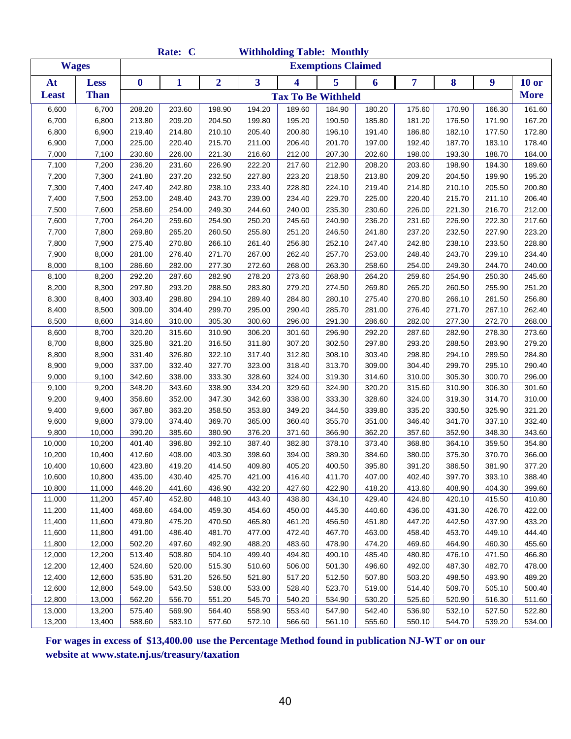|                  |                  |                  | Rate: C          |                  |                  |                  | <b>Withholding Table: Monthly</b> |                  |                  |                  |                  |                  |
|------------------|------------------|------------------|------------------|------------------|------------------|------------------|-----------------------------------|------------------|------------------|------------------|------------------|------------------|
|                  | <b>Wages</b>     |                  |                  |                  |                  |                  | <b>Exemptions Claimed</b>         |                  |                  |                  |                  |                  |
| At               | <b>Less</b>      | $\bf{0}$         | 1                | $\overline{2}$   | 3                | 4                | 5                                 | 6                | 7                | 8                | 9                | $10$ or          |
| <b>Least</b>     | <b>Than</b>      |                  |                  |                  |                  |                  | <b>Tax To Be Withheld</b>         |                  |                  |                  |                  | <b>More</b>      |
| 6,600            | 6,700            | 208.20           | 203.60           | 198.90           | 194.20           | 189.60           | 184.90                            | 180.20           | 175.60           | 170.90           | 166.30           | 161.60           |
| 6,700            | 6,800            | 213.80           | 209.20           | 204.50           | 199.80           | 195.20           | 190.50                            | 185.80           | 181.20           | 176.50           | 171.90           | 167.20           |
| 6,800            | 6,900            | 219.40           | 214.80           | 210.10           | 205.40           | 200.80           | 196.10                            | 191.40           | 186.80           | 182.10           | 177.50           | 172.80           |
| 6,900            | 7,000            | 225.00           | 220.40           | 215.70           | 211.00           | 206.40           | 201.70                            | 197.00           | 192.40           | 187.70           | 183.10           | 178.40           |
| 7,000            | 7,100            | 230.60           | 226.00           | 221.30           | 216.60           | 212.00           | 207.30                            | 202.60           | 198.00           | 193.30           | 188.70           | 184.00           |
| 7,100            | 7,200            | 236.20           | 231.60           | 226.90           | 222.20           | 217.60           | 212.90                            | 208.20           | 203.60           | 198.90           | 194.30           | 189.60           |
| 7,200            | 7,300            | 241.80           | 237.20           | 232.50           | 227.80           | 223.20           | 218.50                            | 213.80           | 209.20           | 204.50           | 199.90           | 195.20           |
| 7,300            | 7,400            | 247.40           | 242.80           | 238.10           | 233.40           | 228.80           | 224.10                            | 219.40           | 214.80           | 210.10           | 205.50           | 200.80           |
| 7,400            | 7,500            | 253.00           | 248.40           | 243.70           | 239.00           | 234.40           | 229.70                            | 225.00           | 220.40           | 215.70           | 211.10           | 206.40           |
| 7,500            | 7,600            | 258.60           | 254.00           | 249.30           | 244.60           | 240.00           | 235.30                            | 230.60           | 226.00           | 221.30           | 216.70           | 212.00           |
| 7,600            | 7,700            | 264.20           | 259.60           | 254.90           | 250.20           | 245.60           | 240.90                            | 236.20           | 231.60           | 226.90           | 222.30           | 217.60           |
| 7,700            | 7,800            | 269.80           | 265.20           | 260.50           | 255.80           | 251.20           | 246.50                            | 241.80           | 237.20           | 232.50           | 227.90           | 223.20           |
| 7,800            | 7,900            | 275.40           | 270.80           | 266.10           | 261.40           | 256.80           | 252.10                            | 247.40           | 242.80           | 238.10           | 233.50           | 228.80           |
| 7,900            | 8,000            | 281.00           | 276.40           | 271.70           | 267.00           | 262.40           | 257.70                            | 253.00           | 248.40           | 243.70           | 239.10           | 234.40           |
| 8,000            | 8,100            | 286.60           | 282.00           | 277.30           | 272.60           | 268.00           | 263.30                            | 258.60           | 254.00           | 249.30           | 244.70           | 240.00           |
| 8,100            | 8,200            | 292.20           | 287.60           | 282.90           | 278.20           | 273.60           | 268.90                            | 264.20           | 259.60           | 254.90           | 250.30           | 245.60           |
| 8,200            | 8,300            | 297.80           | 293.20           | 288.50           | 283.80           | 279.20           | 274.50                            | 269.80           | 265.20           | 260.50           | 255.90           | 251.20           |
| 8,300            | 8,400            | 303.40           | 298.80           | 294.10           | 289.40           | 284.80           | 280.10                            | 275.40           | 270.80           | 266.10           | 261.50           | 256.80           |
| 8,400            | 8,500            | 309.00           | 304.40           | 299.70           | 295.00           | 290.40           | 285.70                            | 281.00           | 276.40           | 271.70           | 267.10           | 262.40           |
| 8,500            | 8,600            | 314.60           | 310.00           | 305.30           | 300.60           | 296.00           | 291.30                            | 286.60           | 282.00           | 277.30           | 272.70           | 268.00           |
| 8,600            | 8,700            | 320.20           | 315.60           | 310.90           | 306.20           | 301.60           | 296.90                            | 292.20           | 287.60           | 282.90           | 278.30           | 273.60           |
| 8,700            | 8,800            | 325.80           | 321.20           | 316.50           | 311.80           | 307.20           | 302.50                            | 297.80           | 293.20           | 288.50           | 283.90           | 279.20           |
| 8,800            | 8,900            | 331.40           | 326.80           | 322.10           | 317.40           | 312.80           | 308.10                            | 303.40           | 298.80           | 294.10           | 289.50           | 284.80           |
| 8,900            | 9,000            | 337.00           | 332.40           | 327.70           | 323.00           | 318.40           | 313.70                            | 309.00           | 304.40           | 299.70           | 295.10           | 290.40           |
| 9,000            | 9,100            | 342.60           | 338.00           | 333.30           | 328.60           | 324.00           | 319.30                            | 314.60           | 310.00           | 305.30           | 300.70           | 296.00           |
| 9,100            | 9,200            | 348.20           | 343.60           | 338.90           | 334.20           | 329.60           | 324.90                            | 320.20           | 315.60           | 310.90           | 306.30           | 301.60           |
| 9,200            | 9,400            | 356.60           | 352.00           | 347.30           | 342.60           | 338.00           | 333.30                            | 328.60           | 324.00           | 319.30           | 314.70           | 310.00           |
| 9,400            | 9,600            | 367.80           | 363.20           | 358.50           | 353.80           | 349.20           | 344.50                            | 339.80           | 335.20           | 330.50           | 325.90           | 321.20           |
| 9,600            | 9,800            | 379.00           | 374.40           | 369.70           | 365.00           | 360.40           | 355.70                            | 351.00           | 346.40           | 341.70           | 337.10           | 332.40           |
| 9,800            | 10,000           | 390.20           | 385.60           | 380.90           | 376.20           | 371.60           | 366.90                            | 362.20           | 357.60           | 352.90           | 348.30           | 343.60           |
| 10,000           | 10,200           | 401.40           | 396.80           | 392.10           | 387.40           | 382.80           | 378.10                            | 373.40           | 368.80           | 364.10           | 359.50           | 354.80           |
| 10,200           | 10,400           | 412.60           | 408.00           | 403.30           | 398.60           | 394.00           | 389.30                            | 384.60           | 380.00           | 375.30           | 370.70           | 366.00           |
| 10,400           | 10,600           | 423.80           | 419.20           | 414.50           | 409.80           | 405.20           | 400.50                            | 395.80           | 391.20           | 386.50           | 381.90           | 377.20           |
| 10,600           | 10,800           | 435.00           | 430.40           | 425.70           | 421.00           | 416.40           | 411.70                            | 407.00           | 402.40           | 397.70           | 393.10           | 388.40           |
| 10,800           | 11,000           | 446.20           | 441.60           | 436.90           | 432.20           | 427.60           | 422.90                            | 418.20           | 413.60           | 408.90           | 404.30           | 399.60           |
| 11,000           | 11,200           | 457.40           | 452.80           | 448.10           | 443.40           | 438.80           | 434.10                            | 429.40           | 424.80           | 420.10           | 415.50           | 410.80           |
| 11,200           | 11,400           | 468.60           | 464.00           | 459.30           | 454.60           | 450.00           | 445.30                            | 440.60           | 436.00           | 431.30           | 426.70           | 422.00           |
| 11,400           | 11,600           | 479.80           | 475.20           | 470.50           | 465.80           | 461.20           | 456.50                            | 451.80           | 447.20           | 442.50           | 437.90           | 433.20           |
| 11,600           | 11,800           | 491.00           | 486.40           | 481.70           | 477.00           | 472.40           | 467.70                            | 463.00           | 458.40           | 453.70           | 449.10           | 444.40           |
| 11,800           | 12,000           | 502.20           | 497.60           | 492.90           | 488.20           | 483.60           | 478.90                            | 474.20           | 469.60           | 464.90           | 460.30           | 455.60           |
| 12,000           | 12,200           | 513.40           | 508.80           | 504.10           | 499.40           | 494.80           | 490.10                            | 485.40           | 480.80           | 476.10           | 471.50           | 466.80           |
| 12,200<br>12,400 | 12,400<br>12,600 | 524.60<br>535.80 | 520.00<br>531.20 | 515.30<br>526.50 | 510.60<br>521.80 | 506.00<br>517.20 | 501.30<br>512.50                  | 496.60<br>507.80 | 492.00<br>503.20 | 487.30<br>498.50 | 482.70<br>493.90 | 478.00<br>489.20 |
| 12,600           | 12,800           | 549.00           | 543.50           | 538.00           | 533.00           | 528.40           | 523.70                            | 519.00           | 514.40           | 509.70           | 505.10           | 500.40           |
| 12,800           | 13,000           | 562.20           | 556.70           | 551.20           | 545.70           | 540.20           | 534.90                            | 530.20           | 525.60           | 520.90           | 516.30           | 511.60           |
| 13,000           | 13,200           | 575.40           | 569.90           | 564.40           | 558.90           | 553.40           | 547.90                            | 542.40           | 536.90           | 532.10           | 527.50           | 522.80           |
| 13,200           | 13,400           | 588.60           | 583.10           | 577.60           | 572.10           | 566.60           | 561.10                            | 555.60           | 550.10           | 544.70           | 539.20           | 534.00           |
|                  |                  |                  |                  |                  |                  |                  |                                   |                  |                  |                  |                  |                  |

**For wages in excess of \$13,400.00 use the Percentage Method found in publication NJ-WT or on our website at www.state.nj.us/treasury/taxation**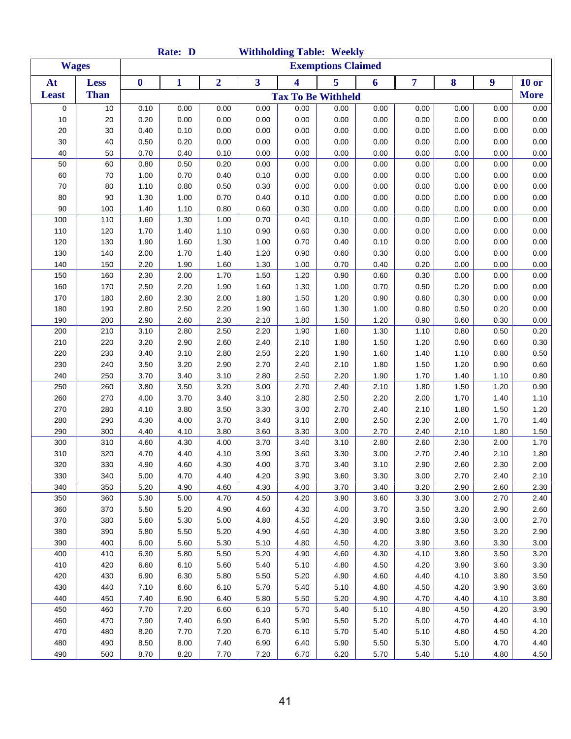|              |              |          | Rate: D      |                |      | <b>Withholding Table: Weekly</b> |                           |      |      |      |      |              |
|--------------|--------------|----------|--------------|----------------|------|----------------------------------|---------------------------|------|------|------|------|--------------|
|              | <b>Wages</b> |          |              |                |      |                                  | <b>Exemptions Claimed</b> |      |      |      |      |              |
| At           | <b>Less</b>  | $\bf{0}$ | $\mathbf{1}$ | $\overline{2}$ | 3    | $\overline{\mathbf{4}}$          | 5                         | 6    | 7    | 8    | 9    | <b>10 or</b> |
| <b>Least</b> | <b>Than</b>  |          |              |                |      | <b>Tax To Be Withheld</b>        |                           |      |      |      |      | <b>More</b>  |
| 0            | 10           | 0.10     | 0.00         | 0.00           | 0.00 | 0.00                             | 0.00                      | 0.00 | 0.00 | 0.00 | 0.00 | 0.00         |
| 10           | 20           | 0.20     | 0.00         | 0.00           | 0.00 | 0.00                             | 0.00                      | 0.00 | 0.00 | 0.00 | 0.00 | 0.00         |
| 20           | 30           | 0.40     | 0.10         | 0.00           | 0.00 | 0.00                             | 0.00                      | 0.00 | 0.00 | 0.00 | 0.00 | $0.00\,$     |
| 30           | 40           | 0.50     | 0.20         | 0.00           | 0.00 | 0.00                             | 0.00                      | 0.00 | 0.00 | 0.00 | 0.00 | 0.00         |
| 40           | 50           | 0.70     | 0.40         | 0.10           | 0.00 | 0.00                             | 0.00                      | 0.00 | 0.00 | 0.00 | 0.00 | 0.00         |
| 50           | 60           | 0.80     | 0.50         | 0.20           | 0.00 | 0.00                             | 0.00                      | 0.00 | 0.00 | 0.00 | 0.00 | 0.00         |
| 60           | 70           | 1.00     | 0.70         | 0.40           | 0.10 | 0.00                             | 0.00                      | 0.00 | 0.00 | 0.00 | 0.00 | 0.00         |
| 70           | 80           | 1.10     | 0.80         | 0.50           | 0.30 | 0.00                             | 0.00                      | 0.00 | 0.00 | 0.00 | 0.00 | 0.00         |
| 80           | 90           | 1.30     | 1.00         | 0.70           | 0.40 | 0.10                             | 0.00                      | 0.00 | 0.00 | 0.00 | 0.00 | 0.00         |
| 90           | 100          | 1.40     | 1.10         | 0.80           | 0.60 | 0.30                             | 0.00                      | 0.00 | 0.00 | 0.00 | 0.00 | 0.00         |
| 100          | 110          | 1.60     | 1.30         | 1.00           | 0.70 | 0.40                             | 0.10                      | 0.00 | 0.00 | 0.00 | 0.00 | 0.00         |
| 110          | 120          | 1.70     | 1.40         | 1.10           | 0.90 | 0.60                             | 0.30                      | 0.00 | 0.00 | 0.00 | 0.00 | 0.00         |
| 120          | 130          | 1.90     | 1.60         | 1.30           | 1.00 | 0.70                             | 0.40                      | 0.10 | 0.00 | 0.00 | 0.00 | 0.00         |
| 130          | 140          | 2.00     | 1.70         | 1.40           | 1.20 | 0.90                             | 0.60                      | 0.30 | 0.00 | 0.00 | 0.00 | 0.00         |
| 140          | 150          | 2.20     | 1.90         | 1.60           | 1.30 | 1.00                             | 0.70                      | 0.40 | 0.20 | 0.00 | 0.00 | 0.00         |
| 150          | 160          | 2.30     | 2.00         | 1.70           | 1.50 | 1.20                             | 0.90                      | 0.60 | 0.30 | 0.00 | 0.00 | 0.00         |
| 160          | 170          | 2.50     | 2.20         | 1.90           | 1.60 | 1.30                             | 1.00                      | 0.70 | 0.50 | 0.20 | 0.00 | 0.00         |
| 170          | 180          | 2.60     | 2.30         | 2.00           | 1.80 | 1.50                             | 1.20                      | 0.90 | 0.60 | 0.30 | 0.00 | 0.00         |
| 180          | 190          | 2.80     | 2.50         | 2.20           | 1.90 | 1.60                             | 1.30                      | 1.00 | 0.80 | 0.50 | 0.20 | 0.00         |
| 190          | 200          | 2.90     | 2.60         | 2.30           | 2.10 | 1.80                             | 1.50                      | 1.20 | 0.90 | 0.60 | 0.30 | 0.00         |
| 200          | 210          | 3.10     | 2.80         | 2.50           | 2.20 | 1.90                             | 1.60                      | 1.30 | 1.10 | 0.80 | 0.50 | 0.20         |
| 210          | 220          | 3.20     | 2.90         | 2.60           | 2.40 | 2.10                             | 1.80                      | 1.50 | 1.20 | 0.90 | 0.60 | 0.30         |
| 220          | 230          | 3.40     | 3.10         | 2.80           | 2.50 | 2.20                             | 1.90                      | 1.60 | 1.40 | 1.10 | 0.80 | 0.50         |
| 230          | 240          | 3.50     | 3.20         | 2.90           | 2.70 | 2.40                             | 2.10                      | 1.80 | 1.50 | 1.20 | 0.90 | 0.60         |
| 240          | 250          | 3.70     | 3.40         | 3.10           | 2.80 | 2.50                             | 2.20                      | 1.90 | 1.70 | 1.40 | 1.10 | 0.80         |
| 250          | 260          | 3.80     | 3.50         | 3.20           | 3.00 | 2.70                             | 2.40                      | 2.10 | 1.80 | 1.50 | 1.20 | 0.90         |
| 260          | 270          | 4.00     | 3.70         | 3.40           | 3.10 | 2.80                             | 2.50                      | 2.20 | 2.00 | 1.70 | 1.40 | 1.10         |
| 270          | 280          | 4.10     | 3.80         | 3.50           | 3.30 | 3.00                             | 2.70                      | 2.40 | 2.10 | 1.80 | 1.50 | 1.20         |
| 280          | 290          | 4.30     | 4.00         | 3.70           | 3.40 | 3.10                             | 2.80                      | 2.50 | 2.30 | 2.00 | 1.70 | 1.40         |
| 290          | 300          | 4.40     | 4.10         | 3.80           | 3.60 | 3.30                             | 3.00                      | 2.70 | 2.40 | 2.10 | 1.80 | 1.50         |
| 300          | 310          | 4.60     | 4.30         | 4.00           | 3.70 | 3.40                             | 3.10                      | 2.80 | 2.60 | 2.30 | 2.00 | 1.70         |
| 310          | 320          | 4.70     | 4.40         | 4.10           | 3.90 | 3.60                             | 3.30                      | 3.00 | 2.70 | 2.40 | 2.10 | 1.80         |
| 320          | 330          | 4.90     | 4.60         | 4.30           | 4.00 | 3.70                             | 3.40                      | 3.10 | 2.90 | 2.60 | 2.30 | 2.00         |
| 330          | 340          | 5.00     | 4.70         | 4.40           | 4.20 | 3.90                             | 3.60                      | 3.30 | 3.00 | 2.70 | 2.40 | 2.10         |
| 340          | 350          | 5.20     | 4.90         | 4.60           | 4.30 | 4.00                             | 3.70                      | 3.40 | 3.20 | 2.90 | 2.60 | 2.30         |
| 350          | 360          | 5.30     | 5.00         | 4.70           | 4.50 | 4.20                             | 3.90                      | 3.60 | 3.30 | 3.00 | 2.70 | 2.40         |
| 360          | 370          | 5.50     | 5.20         | 4.90           | 4.60 | 4.30                             | 4.00                      | 3.70 | 3.50 | 3.20 | 2.90 | 2.60         |
| 370          | 380          | 5.60     | 5.30         | 5.00           | 4.80 | 4.50                             | 4.20                      | 3.90 | 3.60 | 3.30 | 3.00 | 2.70         |
| 380          | 390          | 5.80     | 5.50         | 5.20           | 4.90 | 4.60                             | 4.30                      | 4.00 | 3.80 | 3.50 | 3.20 | 2.90         |
| 390          | 400          | 6.00     | 5.60         | 5.30           | 5.10 | 4.80                             | 4.50                      | 4.20 | 3.90 | 3.60 | 3.30 | 3.00         |
| 400          | 410          | 6.30     | 5.80         | 5.50           | 5.20 | 4.90                             | 4.60                      | 4.30 | 4.10 | 3.80 | 3.50 | 3.20         |
| 410          | 420          | 6.60     | 6.10         | 5.60           | 5.40 | 5.10                             | 4.80                      | 4.50 | 4.20 | 3.90 | 3.60 | 3.30         |
| 420          | 430          | 6.90     | 6.30         | 5.80           | 5.50 | 5.20                             | 4.90                      | 4.60 | 4.40 | 4.10 | 3.80 | 3.50         |
| 430          | 440          | 7.10     | 6.60         | 6.10           | 5.70 | 5.40                             | 5.10                      | 4.80 | 4.50 | 4.20 | 3.90 | 3.60         |
| 440          | 450          | 7.40     | 6.90         | 6.40           | 5.80 | 5.50                             | 5.20                      | 4.90 | 4.70 | 4.40 | 4.10 | 3.80         |
| 450          | 460          | 7.70     | 7.20         | 6.60           | 6.10 | 5.70                             | 5.40                      | 5.10 | 4.80 | 4.50 | 4.20 | 3.90         |
| 460          | 470          | 7.90     | 7.40         | 6.90           | 6.40 | 5.90                             | 5.50                      | 5.20 | 5.00 | 4.70 | 4.40 | 4.10         |
| 470          | 480          | 8.20     | 7.70         | 7.20           | 6.70 | 6.10                             | 5.70                      | 5.40 | 5.10 | 4.80 | 4.50 | 4.20         |
| 480          | 490          | 8.50     | 8.00         | 7.40           | 6.90 | 6.40                             | 5.90                      | 5.50 | 5.30 | 5.00 | 4.70 | 4.40         |
| 490          | 500          | 8.70     | 8.20         | 7.70           | 7.20 | 6.70                             | 6.20                      | 5.70 | 5.40 | 5.10 | 4.80 | 4.50         |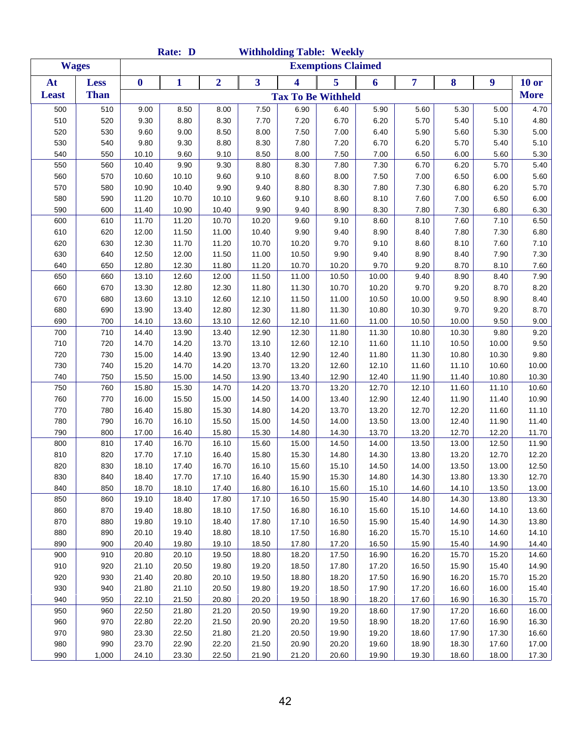|              |              |                | Rate: D        |                |                | <b>Withholding Table: Weekly</b> |                           |                |                |                |                |                |
|--------------|--------------|----------------|----------------|----------------|----------------|----------------------------------|---------------------------|----------------|----------------|----------------|----------------|----------------|
|              | <b>Wages</b> |                |                |                |                |                                  | <b>Exemptions Claimed</b> |                |                |                |                |                |
| At           | <b>Less</b>  | $\bf{0}$       | 1              | $\overline{2}$ | 3              | $\overline{\mathbf{4}}$          | 5                         | 6              | 7              | 8              | 9              | $10$ or        |
| <b>Least</b> | <b>Than</b>  |                |                |                |                | <b>Tax To Be Withheld</b>        |                           |                |                |                |                | <b>More</b>    |
| 500          | 510          | 9.00           | 8.50           | 8.00           | 7.50           | 6.90                             | 6.40                      | 5.90           | 5.60           | 5.30           | 5.00           | 4.70           |
| 510          | 520          | 9.30           | 8.80           | 8.30           | 7.70           | 7.20                             | 6.70                      | 6.20           | 5.70           | 5.40           | 5.10           | 4.80           |
| 520          | 530          | 9.60           | 9.00           | 8.50           | 8.00           | 7.50                             | 7.00                      | 6.40           | 5.90           | 5.60           | 5.30           | 5.00           |
| 530          | 540          | 9.80           | 9.30           | 8.80           | 8.30           | 7.80                             | 7.20                      | 6.70           | 6.20           | 5.70           | 5.40           | 5.10           |
| 540          | 550          | 10.10          | 9.60           | 9.10           | 8.50           | 8.00                             | 7.50                      | 7.00           | 6.50           | 6.00           | 5.60           | 5.30           |
| 550          | 560          | 10.40          | 9.90           | 9.30           | 8.80           | 8.30                             | 7.80                      | 7.30           | 6.70           | 6.20           | 5.70           | 5.40           |
| 560          | 570          | 10.60          | 10.10          | 9.60           | 9.10           | 8.60                             | 8.00                      | 7.50           | 7.00           | 6.50           | 6.00           | 5.60           |
| 570          | 580          | 10.90          | 10.40          | 9.90           | 9.40           | 8.80                             | 8.30                      | 7.80           | 7.30           | 6.80           | 6.20           | 5.70           |
| 580          | 590          | 11.20          | 10.70          | 10.10          | 9.60           | 9.10                             | 8.60                      | 8.10           | 7.60           | 7.00           | 6.50           | 6.00           |
| 590          | 600          | 11.40          | 10.90          | 10.40          | 9.90           | 9.40                             | 8.90                      | 8.30           | 7.80           | 7.30           | 6.80           | 6.30           |
| 600          | 610          | 11.70          | 11.20          | 10.70          | 10.20          | 9.60                             | 9.10                      | 8.60           | 8.10           | 7.60           | 7.10           | 6.50           |
| 610          | 620          | 12.00          | 11.50          | 11.00          | 10.40          | 9.90                             | 9.40                      | 8.90           | 8.40           | 7.80           | 7.30           | 6.80           |
| 620          | 630          | 12.30          | 11.70          | 11.20          | 10.70          | 10.20                            | 9.70                      | 9.10           | 8.60           | 8.10           | 7.60           | 7.10           |
| 630          | 640          | 12.50          | 12.00          | 11.50          | 11.00          | 10.50                            | 9.90                      | 9.40           | 8.90           | 8.40           | 7.90           | 7.30           |
| 640          | 650          | 12.80          | 12.30          | 11.80          | 11.20          | 10.70                            | 10.20                     | 9.70           | 9.20           | 8.70           | 8.10           | 7.60           |
| 650          | 660          | 13.10          | 12.60          | 12.00          | 11.50          | 11.00                            | 10.50                     | 10.00          | 9.40           | 8.90           | 8.40           | 7.90           |
| 660          | 670          | 13.30          | 12.80          | 12.30          | 11.80          | 11.30                            | 10.70                     | 10.20          | 9.70           | 9.20           | 8.70           | 8.20           |
| 670          | 680          | 13.60          | 13.10          | 12.60          | 12.10          | 11.50                            | 11.00                     | 10.50          | 10.00          | 9.50           | 8.90           | 8.40           |
| 680          | 690          | 13.90          | 13.40          | 12.80          | 12.30          | 11.80                            | 11.30                     | 10.80          | 10.30          | 9.70           | 9.20           | 8.70           |
| 690          | 700          | 14.10          | 13.60          | 13.10          | 12.60          | 12.10                            | 11.60                     | 11.00          | 10.50          | 10.00          | 9.50           | 9.00           |
| 700          | 710          | 14.40          | 13.90          | 13.40          | 12.90          | 12.30                            | 11.80                     | 11.30          | 10.80          | 10.30          | 9.80           | 9.20           |
| 710          | 720          | 14.70          | 14.20          | 13.70          | 13.10          | 12.60                            | 12.10                     | 11.60          | 11.10          | 10.50          | 10.00          | 9.50           |
| 720          | 730          | 15.00          | 14.40          | 13.90          | 13.40          | 12.90                            | 12.40                     | 11.80          | 11.30          | 10.80          | 10.30          | 9.80           |
| 730          | 740          | 15.20          | 14.70          | 14.20          | 13.70          | 13.20                            | 12.60                     | 12.10          | 11.60          | 11.10          | 10.60          | 10.00          |
| 740          | 750          | 15.50          | 15.00          | 14.50          | 13.90          | 13.40                            | 12.90                     | 12.40          | 11.90          | 11.40          | 10.80          | 10.30          |
| 750          | 760          | 15.80          | 15.30          | 14.70          | 14.20          | 13.70                            | 13.20                     | 12.70          | 12.10          | 11.60          | 11.10          | 10.60          |
| 760          | 770          | 16.00          | 15.50          | 15.00          | 14.50          | 14.00                            | 13.40                     | 12.90          | 12.40          | 11.90          | 11.40          | 10.90          |
| 770          | 780          | 16.40          | 15.80          | 15.30          | 14.80          | 14.20                            | 13.70                     | 13.20          | 12.70          | 12.20          | 11.60          | 11.10          |
| 780          | 790          | 16.70          | 16.10          | 15.50          | 15.00          | 14.50                            | 14.00                     | 13.50          | 13.00          | 12.40          | 11.90          | 11.40          |
| 790          | 800          | 17.00          | 16.40          | 15.80          | 15.30          | 14.80                            | 14.30                     | 13.70          | 13.20          | 12.70          | 12.20          | 11.70          |
| 800          | 810          | 17.40          | 16.70          | 16.10          | 15.60          | 15.00                            | 14.50                     | 14.00          | 13.50          | 13.00          | 12.50          | 11.90          |
| 810          | 820          | 17.70          | 17.10          | 16.40          | 15.80          | 15.30                            | 14.80                     | 14.30          | 13.80          | 13.20          | 12.70          | 12.20          |
| 820          | 830          | 18.10          | 17.40          | 16.70          | 16.10          | 15.60                            | 15.10                     | 14.50          | 14.00          | 13.50          | 13.00          | 12.50          |
| 830          | 840          | 18.40          | 17.70          | 17.10          | 16.40          | 15.90                            | 15.30                     | 14.80          | 14.30          | 13.80          | 13.30          | 12.70          |
| 840          | 850          | 18.70          | 18.10          | 17.40          | 16.80          | 16.10                            | 15.60                     | 15.10          | 14.60          | 14.10          | 13.50          | 13.00          |
| 850          | 860          | 19.10          | 18.40          | 17.80          | 17.10          | 16.50                            | 15.90                     | 15.40          | 14.80          | 14.30          | 13.80          | 13.30          |
| 860          | 870          | 19.40          | 18.80          | 18.10          | 17.50          | 16.80                            | 16.10                     | 15.60          | 15.10          | 14.60          | 14.10          | 13.60          |
| 870          | 880          | 19.80          | 19.10          | 18.40          | 17.80          | 17.10                            | 16.50                     | 15.90          | 15.40          | 14.90          | 14.30          | 13.80          |
| 880          | 890          | 20.10          | 19.40          | 18.80          | 18.10          | 17.50                            | 16.80                     | 16.20          | 15.70          | 15.10          | 14.60          | 14.10          |
| 890          | 900          | 20.40          | 19.80          | 19.10          | 18.50          | 17.80                            | 17.20                     | 16.50          | 15.90          | 15.40          | 14.90          | 14.40          |
| 900          | 910          | 20.80          | 20.10          | 19.50          | 18.80          | 18.20                            | 17.50                     | 16.90          | 16.20          | 15.70          | 15.20          | 14.60          |
| 910          | 920          | 21.10          | 20.50          | 19.80          | 19.20          | 18.50                            | 17.80                     | 17.20          | 16.50          | 15.90          | 15.40          | 14.90          |
| 920          | 930          | 21.40          | 20.80          | 20.10          | 19.50          | 18.80                            | 18.20                     | 17.50          | 16.90          | 16.20          | 15.70          | 15.20          |
| 930          | 940          | 21.80          | 21.10          | 20.50          | 19.80          | 19.20                            | 18.50                     | 17.90          | 17.20          | 16.60          | 16.00          | 15.40          |
| 940          | 950          | 22.10          | 21.50          | 20.80          | 20.20          | 19.50                            | 18.90                     | 18.20          | 17.60          | 16.90          | 16.30          | 15.70          |
| 950<br>960   | 960<br>970   | 22.50          | 21.80          | 21.20          | 20.50          | 19.90                            | 19.20                     | 18.60          | 17.90          | 17.20<br>17.60 | 16.60<br>16.90 | 16.00<br>16.30 |
| 970          | 980          | 22.80<br>23.30 | 22.20<br>22.50 | 21.50<br>21.80 | 20.90<br>21.20 | 20.20<br>20.50                   | 19.50<br>19.90            | 18.90<br>19.20 | 18.20<br>18.60 | 17.90          | 17.30          | 16.60          |
| 980          | 990          | 23.70          | 22.90          | 22.20          | 21.50          | 20.90                            | 20.20                     | 19.60          | 18.90          | 18.30          | 17.60          | 17.00          |
| 990          | 1,000        | 24.10          | 23.30          | 22.50          | 21.90          | 21.20                            | 20.60                     | 19.90          | 19.30          | 18.60          | 18.00          | 17.30          |
|              |              |                |                |                |                |                                  |                           |                |                |                |                |                |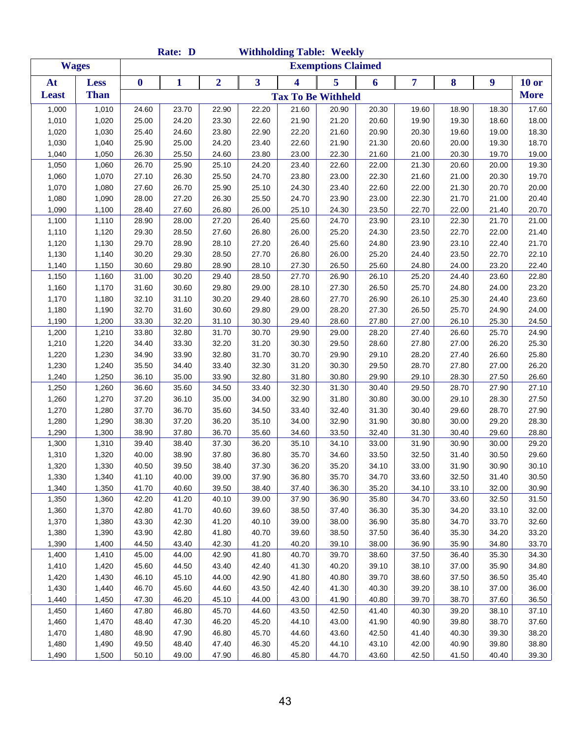|              |              |                  | Rate: D      |                |                         | <b>Withholding Table: Weekly</b> |                           |       |       |       |       |             |
|--------------|--------------|------------------|--------------|----------------|-------------------------|----------------------------------|---------------------------|-------|-------|-------|-------|-------------|
|              | <b>Wages</b> |                  |              |                |                         |                                  | <b>Exemptions Claimed</b> |       |       |       |       |             |
| At           | <b>Less</b>  | $\boldsymbol{0}$ | $\mathbf{1}$ | $\overline{2}$ | $\overline{\mathbf{3}}$ | 4                                | 5                         | 6     | 7     | 8     | 9     | $10$ or     |
| <b>Least</b> | <b>Than</b>  |                  |              |                |                         | <b>Tax To Be Withheld</b>        |                           |       |       |       |       | <b>More</b> |
| 1,000        | 1,010        | 24.60            | 23.70        | 22.90          | 22.20                   | 21.60                            | 20.90                     | 20.30 | 19.60 | 18.90 | 18.30 | 17.60       |
| 1,010        | 1,020        | 25.00            | 24.20        | 23.30          | 22.60                   | 21.90                            | 21.20                     | 20.60 | 19.90 | 19.30 | 18.60 | 18.00       |
| 1,020        | 1,030        | 25.40            | 24.60        | 23.80          | 22.90                   | 22.20                            | 21.60                     | 20.90 | 20.30 | 19.60 | 19.00 | 18.30       |
| 1,030        | 1,040        | 25.90            | 25.00        | 24.20          | 23.40                   | 22.60                            | 21.90                     | 21.30 | 20.60 | 20.00 | 19.30 | 18.70       |
| 1,040        | 1,050        | 26.30            | 25.50        | 24.60          | 23.80                   | 23.00                            | 22.30                     | 21.60 | 21.00 | 20.30 | 19.70 | 19.00       |
| 1,050        | 1,060        | 26.70            | 25.90        | 25.10          | 24.20                   | 23.40                            | 22.60                     | 22.00 | 21.30 | 20.60 | 20.00 | 19.30       |
| 1,060        | 1,070        | 27.10            | 26.30        | 25.50          | 24.70                   | 23.80                            | 23.00                     | 22.30 | 21.60 | 21.00 | 20.30 | 19.70       |
| 1,070        | 1,080        | 27.60            | 26.70        | 25.90          | 25.10                   | 24.30                            | 23.40                     | 22.60 | 22.00 | 21.30 | 20.70 | 20.00       |
| 1,080        | 1,090        | 28.00            | 27.20        | 26.30          | 25.50                   | 24.70                            | 23.90                     | 23.00 | 22.30 | 21.70 | 21.00 | 20.40       |
| 1,090        | 1,100        | 28.40            | 27.60        | 26.80          | 26.00                   | 25.10                            | 24.30                     | 23.50 | 22.70 | 22.00 | 21.40 | 20.70       |
| 1,100        | 1,110        | 28.90            | 28.00        | 27.20          | 26.40                   | 25.60                            | 24.70                     | 23.90 | 23.10 | 22.30 | 21.70 | 21.00       |
| 1,110        | 1,120        | 29.30            | 28.50        | 27.60          | 26.80                   | 26.00                            | 25.20                     | 24.30 | 23.50 | 22.70 | 22.00 | 21.40       |
| 1,120        | 1,130        | 29.70            | 28.90        | 28.10          | 27.20                   | 26.40                            | 25.60                     | 24.80 | 23.90 | 23.10 | 22.40 | 21.70       |
| 1,130        | 1,140        | 30.20            | 29.30        | 28.50          | 27.70                   | 26.80                            | 26.00                     | 25.20 | 24.40 | 23.50 | 22.70 | 22.10       |
| 1,140        | 1,150        | 30.60            | 29.80        | 28.90          | 28.10                   | 27.30                            | 26.50                     | 25.60 | 24.80 | 24.00 | 23.20 | 22.40       |
| 1,150        | 1,160        | 31.00            | 30.20        | 29.40          | 28.50                   | 27.70                            | 26.90                     | 26.10 | 25.20 | 24.40 | 23.60 | 22.80       |
| 1,160        | 1,170        | 31.60            | 30.60        | 29.80          | 29.00                   | 28.10                            | 27.30                     | 26.50 | 25.70 | 24.80 | 24.00 | 23.20       |
| 1,170        | 1,180        | 32.10            | 31.10        | 30.20          | 29.40                   | 28.60                            | 27.70                     | 26.90 | 26.10 | 25.30 | 24.40 | 23.60       |
| 1,180        | 1,190        | 32.70            | 31.60        | 30.60          | 29.80                   | 29.00                            | 28.20                     | 27.30 | 26.50 | 25.70 | 24.90 | 24.00       |
| 1,190        | 1,200        | 33.30            | 32.20        | 31.10          | 30.30                   | 29.40                            | 28.60                     | 27.80 | 27.00 | 26.10 | 25.30 | 24.50       |
| 1,200        | 1,210        | 33.80            | 32.80        | 31.70          | 30.70                   | 29.90                            | 29.00                     | 28.20 | 27.40 | 26.60 | 25.70 | 24.90       |
| 1,210        | 1,220        | 34.40            | 33.30        | 32.20          | 31.20                   | 30.30                            | 29.50                     | 28.60 | 27.80 | 27.00 | 26.20 | 25.30       |
| 1,220        | 1,230        | 34.90            | 33.90        | 32.80          | 31.70                   | 30.70                            | 29.90                     | 29.10 | 28.20 | 27.40 | 26.60 | 25.80       |
| 1,230        | 1,240        | 35.50            | 34.40        | 33.40          | 32.30                   | 31.20                            | 30.30                     | 29.50 | 28.70 | 27.80 | 27.00 | 26.20       |
| 1,240        | 1,250        | 36.10            | 35.00        | 33.90          | 32.80                   | 31.80                            | 30.80                     | 29.90 | 29.10 | 28.30 | 27.50 | 26.60       |
| 1,250        | 1,260        | 36.60            | 35.60        | 34.50          | 33.40                   | 32.30                            | 31.30                     | 30.40 | 29.50 | 28.70 | 27.90 | 27.10       |
| 1,260        | 1,270        | 37.20            | 36.10        | 35.00          | 34.00                   | 32.90                            | 31.80                     | 30.80 | 30.00 | 29.10 | 28.30 | 27.50       |
| 1,270        | 1,280        | 37.70            | 36.70        | 35.60          | 34.50                   | 33.40                            | 32.40                     | 31.30 | 30.40 | 29.60 | 28.70 | 27.90       |
| 1,280        | 1,290        | 38.30            | 37.20        | 36.20          | 35.10                   | 34.00                            | 32.90                     | 31.90 | 30.80 | 30.00 | 29.20 | 28.30       |
| 1,290        | 1,300        | 38.90            | 37.80        | 36.70          | 35.60                   | 34.60                            | 33.50                     | 32.40 | 31.30 | 30.40 | 29.60 | 28.80       |
| 1,300        | 1,310        | 39.40            | 38.40        | 37.30          | 36.20                   | 35.10                            | 34.10                     | 33.00 | 31.90 | 30.90 | 30.00 | 29.20       |
| 1,310        | 1,320        | 40.00            | 38.90        | 37.80          | 36.80                   | 35.70                            | 34.60                     | 33.50 | 32.50 | 31.40 | 30.50 | 29.60       |
| 1,320        | 1,330        | 40.50            | 39.50        | 38.40          | 37.30                   | 36.20                            | 35.20                     | 34.10 | 33.00 | 31.90 | 30.90 | 30.10       |
| 1,330        | 1,340        | 41.10            | 40.00        | 39.00          | 37.90                   | 36.80                            | 35.70                     | 34.70 | 33.60 | 32.50 | 31.40 | 30.50       |
| 1,340        | 1,350        | 41.70            | 40.60        | 39.50          | 38.40                   | 37.40                            | 36.30                     | 35.20 | 34.10 | 33.10 | 32.00 | 30.90       |
| 1,350        | 1,360        | 42.20            | 41.20        | 40.10          | 39.00                   | 37.90                            | 36.90                     | 35.80 | 34.70 | 33.60 | 32.50 | 31.50       |
| 1,360        | 1,370        | 42.80            | 41.70        | 40.60          | 39.60                   | 38.50                            | 37.40                     | 36.30 | 35.30 | 34.20 | 33.10 | 32.00       |
| 1,370        | 1,380        | 43.30            | 42.30        | 41.20          | 40.10                   | 39.00                            | 38.00                     | 36.90 | 35.80 | 34.70 | 33.70 | 32.60       |
| 1,380        | 1,390        | 43.90            | 42.80        | 41.80          | 40.70                   | 39.60                            | 38.50                     | 37.50 | 36.40 | 35.30 | 34.20 | 33.20       |
| 1,390        | 1,400        | 44.50            | 43.40        | 42.30          | 41.20                   | 40.20                            | 39.10                     | 38.00 | 36.90 | 35.90 | 34.80 | 33.70       |
| 1,400        | 1,410        | 45.00            | 44.00        | 42.90          | 41.80                   | 40.70                            | 39.70                     | 38.60 | 37.50 | 36.40 | 35.30 | 34.30       |
| 1,410        | 1,420        | 45.60            | 44.50        | 43.40          | 42.40                   | 41.30                            | 40.20                     | 39.10 | 38.10 | 37.00 | 35.90 | 34.80       |
| 1,420        | 1,430        | 46.10            | 45.10        | 44.00          | 42.90                   | 41.80                            | 40.80                     | 39.70 | 38.60 | 37.50 | 36.50 | 35.40       |
| 1,430        | 1,440        | 46.70            | 45.60        | 44.60          | 43.50                   | 42.40                            | 41.30                     | 40.30 | 39.20 | 38.10 | 37.00 | 36.00       |
| 1,440        | 1,450        | 47.30            | 46.20        | 45.10          | 44.00                   | 43.00                            | 41.90                     | 40.80 | 39.70 | 38.70 | 37.60 | 36.50       |
| 1,450        | 1,460        | 47.80            | 46.80        | 45.70          | 44.60                   | 43.50                            | 42.50                     | 41.40 | 40.30 | 39.20 | 38.10 | 37.10       |
| 1,460        | 1,470        | 48.40            | 47.30        | 46.20          | 45.20                   | 44.10                            | 43.00                     | 41.90 | 40.90 | 39.80 | 38.70 | 37.60       |
| 1,470        | 1,480        | 48.90            | 47.90        | 46.80          | 45.70                   | 44.60                            | 43.60                     | 42.50 | 41.40 | 40.30 | 39.30 | 38.20       |
| 1,480        | 1,490        | 49.50            | 48.40        | 47.40          | 46.30                   | 45.20                            | 44.10                     | 43.10 | 42.00 | 40.90 | 39.80 | 38.80       |
| 1,490        | 1,500        | 50.10            | 49.00        | 47.90          | 46.80                   | 45.80                            | 44.70                     | 43.60 | 42.50 | 41.50 | 40.40 | 39.30       |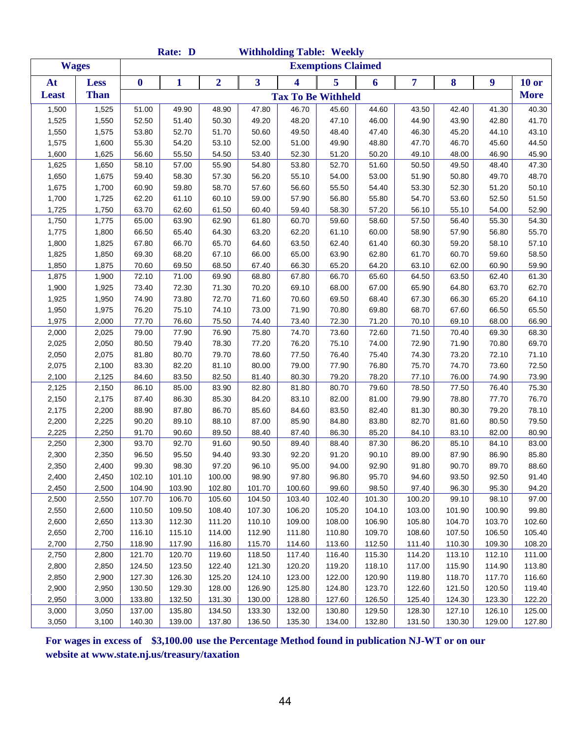|                |                |                  | Rate: D          |                  |                  |                  | <b>Withholding Table: Weekly</b> |                  |                  |                  |                  |                  |
|----------------|----------------|------------------|------------------|------------------|------------------|------------------|----------------------------------|------------------|------------------|------------------|------------------|------------------|
|                | <b>Wages</b>   |                  |                  |                  |                  |                  | <b>Exemptions Claimed</b>        |                  |                  |                  |                  |                  |
| At             | <b>Less</b>    | $\boldsymbol{0}$ | 1                | $\overline{2}$   | 3                | 4                | 5                                | 6                | 7                | 8                | $\boldsymbol{9}$ | <b>10 or</b>     |
| <b>Least</b>   | <b>Than</b>    |                  |                  |                  |                  |                  | <b>Tax To Be Withheld</b>        |                  |                  |                  |                  | <b>More</b>      |
| 1,500          | 1,525          | 51.00            | 49.90            | 48.90            | 47.80            | 46.70            | 45.60                            | 44.60            | 43.50            | 42.40            | 41.30            | 40.30            |
| 1,525          | 1,550          | 52.50            | 51.40            | 50.30            | 49.20            | 48.20            | 47.10                            | 46.00            | 44.90            | 43.90            | 42.80            | 41.70            |
| 1,550          | 1,575          | 53.80            | 52.70            | 51.70            | 50.60            | 49.50            | 48.40                            | 47.40            | 46.30            | 45.20            | 44.10            | 43.10            |
| 1,575          | 1,600          | 55.30            | 54.20            | 53.10            | 52.00            | 51.00            | 49.90                            | 48.80            | 47.70            | 46.70            | 45.60            | 44.50            |
| 1,600          | 1,625          | 56.60            | 55.50            | 54.50            | 53.40            | 52.30            | 51.20                            | 50.20            | 49.10            | 48.00            | 46.90            | 45.90            |
| 1,625          | 1,650          | 58.10            | 57.00            | 55.90            | 54.80            | 53.80            | 52.70                            | 51.60            | 50.50            | 49.50            | 48.40            | 47.30            |
| 1,650          | 1,675          | 59.40            | 58.30            | 57.30            | 56.20            | 55.10            | 54.00                            | 53.00            | 51.90            | 50.80            | 49.70            | 48.70            |
| 1,675          | 1,700          | 60.90            | 59.80            | 58.70            | 57.60            | 56.60            | 55.50                            | 54.40            | 53.30            | 52.30            | 51.20            | 50.10            |
| 1,700          | 1,725          | 62.20            | 61.10            | 60.10            | 59.00            | 57.90            | 56.80                            | 55.80            | 54.70            | 53.60            | 52.50            | 51.50            |
| 1,725          | 1,750          | 63.70            | 62.60            | 61.50            | 60.40            | 59.40            | 58.30                            | 57.20            | 56.10            | 55.10            | 54.00            | 52.90            |
| 1,750          | 1,775          | 65.00            | 63.90            | 62.90            | 61.80            | 60.70            | 59.60                            | 58.60            | 57.50            | 56.40            | 55.30            | 54.30            |
| 1,775          | 1,800          | 66.50            | 65.40            | 64.30            | 63.20            | 62.20            | 61.10                            | 60.00            | 58.90            | 57.90            | 56.80            | 55.70            |
| 1,800          | 1,825          | 67.80            | 66.70            | 65.70            | 64.60            | 63.50            | 62.40                            | 61.40            | 60.30            | 59.20            | 58.10            | 57.10            |
| 1,825          | 1,850          | 69.30            | 68.20            | 67.10            | 66.00            | 65.00            | 63.90                            | 62.80            | 61.70            | 60.70            | 59.60            | 58.50            |
| 1,850          | 1,875          | 70.60            | 69.50            | 68.50            | 67.40            | 66.30            | 65.20                            | 64.20            | 63.10            | 62.00            | 60.90            | 59.90            |
| 1,875          | 1,900          | 72.10            | 71.00            | 69.90            | 68.80            | 67.80            | 66.70                            | 65.60            | 64.50            | 63.50            | 62.40            | 61.30            |
| 1,900          | 1,925          | 73.40            | 72.30            | 71.30            | 70.20            | 69.10            | 68.00                            | 67.00            | 65.90            | 64.80            | 63.70            | 62.70            |
| 1,925          | 1,950          | 74.90            | 73.80            | 72.70            | 71.60            | 70.60            | 69.50                            | 68.40            | 67.30            | 66.30            | 65.20            | 64.10            |
| 1,950          | 1,975          | 76.20            | 75.10            | 74.10            | 73.00            | 71.90            | 70.80                            | 69.80            | 68.70            | 67.60            | 66.50            | 65.50            |
| 1,975          | 2,000          | 77.70            | 76.60            | 75.50            | 74.40            | 73.40            | 72.30                            | 71.20            | 70.10            | 69.10            | 68.00            | 66.90            |
| 2,000          | 2,025          | 79.00            | 77.90            | 76.90            | 75.80            | 74.70            | 73.60                            | 72.60            | 71.50            | 70.40            | 69.30            | 68.30            |
| 2,025          | 2,050          | 80.50            | 79.40            | 78.30            | 77.20            | 76.20            | 75.10                            | 74.00            | 72.90            | 71.90            | 70.80            | 69.70            |
| 2,050          | 2,075          | 81.80            | 80.70            | 79.70            | 78.60            | 77.50            | 76.40                            | 75.40            | 74.30            | 73.20            | 72.10            | 71.10            |
| 2,075          | 2,100          | 83.30            | 82.20            | 81.10            | 80.00            | 79.00            | 77.90                            | 76.80            | 75.70            | 74.70            | 73.60            | 72.50            |
| 2,100          | 2,125          | 84.60            | 83.50            | 82.50            | 81.40            | 80.30            | 79.20                            | 78.20            | 77.10            | 76.00            | 74.90            | 73.90            |
| 2,125          | 2,150          | 86.10            | 85.00            | 83.90            | 82.80            | 81.80            | 80.70                            | 79.60            | 78.50            | 77.50            | 76.40            | 75.30            |
| 2,150          | 2,175          | 87.40            | 86.30            | 85.30            | 84.20            | 83.10            | 82.00                            | 81.00            | 79.90            | 78.80            | 77.70            | 76.70            |
| 2,175          | 2,200          | 88.90            | 87.80            | 86.70            | 85.60            | 84.60            | 83.50                            | 82.40            | 81.30            | 80.30            | 79.20            | 78.10            |
| 2,200          | 2,225          | 90.20            | 89.10            | 88.10            | 87.00            | 85.90            | 84.80                            | 83.80            | 82.70            | 81.60            | 80.50            | 79.50            |
| 2,225          | 2,250          | 91.70            | 90.60            | 89.50            | 88.40            | 87.40            | 86.30                            | 85.20            | 84.10            | 83.10            | 82.00            | 80.90            |
| 2,250          | 2,300          | 93.70            | 92.70            | 91.60            | 90.50            | 89.40            | 88.40                            | 87.30            | 86.20            | 85.10            | 84.10            | 83.00            |
| 2,300          | 2,350          | 96.50            | 95.50            | 94.40            | 93.30            | 92.20            | 91.20                            | 90.10            | 89.00            | 87.90            | 86.90            | 85.80            |
| 2,350          | 2,400          | 99.30            | 98.30            | 97.20            | 96.10            | 95.00            | 94.00                            | 92.90            | 91.80            | 90.70            | 89.70            | 88.60            |
| 2,400          | 2,450          | 102.10           | 101.10           | 100.00           | 98.90            | 97.80<br>100.60  | 96.80                            | 95.70            | 94.60            | 93.50            | 92.50            | 91.40            |
| 2,450          | 2,500          | 104.90           | 103.90           | 102.80           | 101.70           |                  | 99.60                            | 98.50            | 97.40            | 96.30            | 95.30            | 94.20            |
| 2,500          | 2,550          | 107.70           | 106.70           | 105.60<br>108.40 | 104.50           | 103.40           | 102.40                           | 101.30           | 100.20           | 99.10            | 98.10            | 97.00<br>99.80   |
| 2,550<br>2,600 | 2,600          | 110.50           | 109.50           | 111.20           | 107.30           | 106.20           | 105.20<br>108.00                 | 104.10<br>106.90 | 103.00<br>105.80 | 101.90<br>104.70 | 100.90<br>103.70 |                  |
|                | 2,650          | 113.30           | 112.30           | 114.00           | 110.10<br>112.90 | 109.00           | 110.80                           | 109.70           | 108.60           | 107.50           | 106.50           | 102.60<br>105.40 |
| 2,650<br>2,700 | 2,700<br>2,750 | 116.10<br>118.90 | 115.10<br>117.90 | 116.80           | 115.70           | 111.80<br>114.60 | 113.60                           | 112.50           | 111.40           | 110.30           | 109.30           | 108.20           |
| 2,750          | 2,800          | 121.70           | 120.70           | 119.60           | 118.50           | 117.40           | 116.40                           | 115.30           | 114.20           | 113.10           | 112.10           | 111.00           |
| 2,800          | 2,850          | 124.50           | 123.50           | 122.40           | 121.30           | 120.20           | 119.20                           | 118.10           | 117.00           | 115.90           | 114.90           | 113.80           |
| 2,850          | 2,900          | 127.30           | 126.30           | 125.20           | 124.10           | 123.00           | 122.00                           | 120.90           | 119.80           | 118.70           | 117.70           | 116.60           |
| 2,900          | 2,950          | 130.50           | 129.30           | 128.00           | 126.90           | 125.80           | 124.80                           | 123.70           | 122.60           | 121.50           | 120.50           | 119.40           |
| 2,950          | 3,000          | 133.80           | 132.50           | 131.30           | 130.00           | 128.80           | 127.60                           | 126.50           | 125.40           | 124.30           | 123.30           | 122.20           |
| 3,000          | 3,050          | 137.00           | 135.80           | 134.50           | 133.30           | 132.00           | 130.80                           | 129.50           | 128.30           | 127.10           | 126.10           | 125.00           |
| 3,050          | 3,100          | 140.30           | 139.00           | 137.80           | 136.50           | 135.30           | 134.00                           | 132.80           | 131.50           | 130.30           | 129.00           | 127.80           |

**For wages in excess of \$3,100.00 use the Percentage Method found in publication NJ-WT or on our website at www.state.nj.us/treasury/taxation**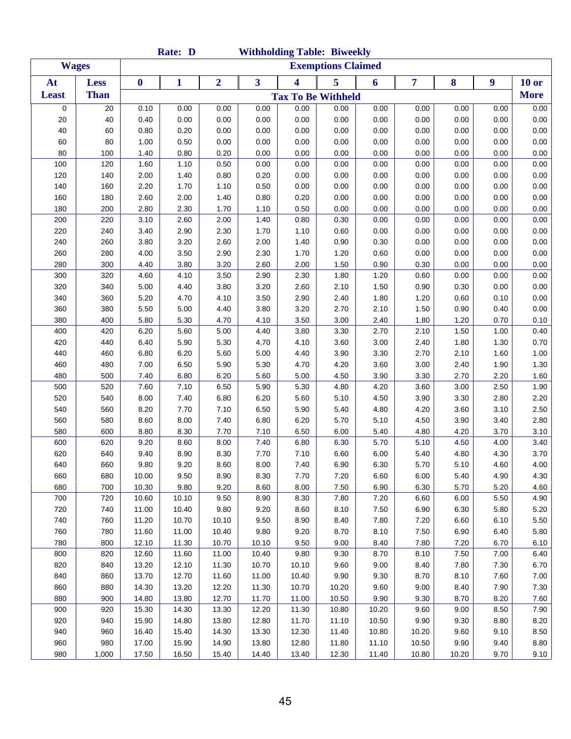|              |              |                | Rate: D        |                |                | <b>Withholding Table: Biweekly</b> |                           |                |              |              |              |              |
|--------------|--------------|----------------|----------------|----------------|----------------|------------------------------------|---------------------------|----------------|--------------|--------------|--------------|--------------|
|              | <b>Wages</b> |                |                |                |                |                                    | <b>Exemptions Claimed</b> |                |              |              |              |              |
| At           | <b>Less</b>  | $\bf{0}$       | $\mathbf{1}$   | $\overline{2}$ | 3              | $\overline{\mathbf{4}}$            | 5                         | 6              | 7            | 8            | 9            | <b>10 or</b> |
| <b>Least</b> | <b>Than</b>  |                |                |                |                | <b>Tax To Be Withheld</b>          |                           |                |              |              |              | <b>More</b>  |
| 0            | 20           | 0.10           | 0.00           | 0.00           | 0.00           | 0.00                               | 0.00                      | 0.00           | 0.00         | 0.00         | 0.00         | 0.00         |
| 20           | 40           | 0.40           | 0.00           | 0.00           | 0.00           | 0.00                               | 0.00                      | 0.00           | 0.00         | 0.00         | 0.00         | 0.00         |
| 40           | 60           | 0.80           | 0.20           | 0.00           | 0.00           | 0.00                               | 0.00                      | 0.00           | 0.00         | 0.00         | 0.00         | 0.00         |
| 60           | 80           | 1.00           | 0.50           | 0.00           | 0.00           | 0.00                               | 0.00                      | 0.00           | 0.00         | 0.00         | 0.00         | 0.00         |
| 80           | 100          | 1.40           | 0.80           | 0.20           | 0.00           | 0.00                               | 0.00                      | 0.00           | 0.00         | 0.00         | 0.00         | 0.00         |
| 100          | 120          | 1.60           | 1.10           | 0.50           | 0.00           | 0.00                               | 0.00                      | 0.00           | 0.00         | 0.00         | 0.00         | 0.00         |
| 120          | 140          | 2.00           | 1.40           | 0.80           | 0.20           | 0.00                               | 0.00                      | 0.00           | 0.00         | 0.00         | 0.00         | 0.00         |
| 140          | 160          | 2.20           | 1.70           | 1.10           | 0.50           | 0.00                               | 0.00                      | 0.00           | 0.00         | 0.00         | 0.00         | 0.00         |
| 160          | 180          | 2.60           | 2.00           | 1.40           | 0.80           | 0.20                               | 0.00                      | 0.00           | 0.00         | 0.00         | 0.00         | 0.00         |
| 180          | 200          | 2.80           | 2.30           | 1.70           | 1.10           | 0.50                               | 0.00                      | 0.00           | 0.00         | 0.00         | 0.00         | 0.00         |
| 200          | 220          | 3.10           | 2.60           | 2.00           | 1.40           | 0.80                               | 0.30                      | 0.00           | 0.00         | 0.00         | 0.00         | 0.00         |
| 220          | 240          | 3.40           | 2.90           | 2.30           | 1.70           | 1.10                               | 0.60                      | 0.00           | 0.00         | 0.00         | 0.00         | 0.00         |
| 240          | 260          | 3.80           | 3.20           | 2.60           | 2.00           | 1.40                               | 0.90                      | 0.30           | 0.00         | 0.00         | 0.00         | 0.00         |
| 260          | 280          | 4.00           | 3.50           | 2.90           | 2.30           | 1.70                               | 1.20                      | 0.60           | 0.00         | 0.00         | 0.00         | 0.00         |
| 280          | 300          | 4.40           | 3.80           | 3.20           | 2.60           | 2.00                               | 1.50                      | 0.90           | 0.30         | 0.00         | 0.00         | 0.00         |
| 300          | 320          | 4.60           | 4.10           | 3.50           | 2.90           | 2.30                               | 1.80                      | 1.20           | 0.60         | 0.00         | 0.00         | 0.00         |
| 320          | 340          | 5.00           | 4.40           | 3.80           | 3.20           | 2.60                               | 2.10                      | 1.50           | 0.90         | 0.30         | 0.00         | 0.00         |
| 340          | 360          | 5.20           | 4.70           | 4.10           | 3.50           | 2.90                               | 2.40                      | 1.80           | 1.20         | 0.60         | 0.10         | 0.00         |
| 360          | 380          | 5.50           | 5.00           | 4.40           | 3.80           | 3.20                               | 2.70                      | 2.10           | 1.50         | 0.90         | 0.40         | 0.00         |
| 380          | 400          | 5.80           | 5.30           | 4.70           | 4.10           | 3.50                               | 3.00                      | 2.40           | 1.80         | 1.20         | 0.70         | 0.10         |
| 400          | 420          | 6.20           | 5.60           | 5.00           | 4.40           | 3.80                               | 3.30                      | 2.70           | 2.10         | 1.50         | 1.00         | 0.40         |
| 420          | 440          | 6.40           | 5.90           | 5.30           | 4.70           | 4.10                               | 3.60                      | 3.00           | 2.40         | 1.80         | 1.30         | 0.70         |
| 440          | 460          | 6.80           | 6.20           | 5.60           | 5.00           | 4.40                               | 3.90                      | 3.30           | 2.70         | 2.10         | 1.60         | 1.00         |
| 460          | 480          | 7.00           | 6.50           | 5.90           | 5.30           | 4.70                               | 4.20                      | 3.60           | 3.00         | 2.40         | 1.90         | 1.30         |
| 480          | 500          | 7.40           | 6.80           | 6.20           | 5.60           | 5.00                               | 4.50                      | 3.90           | 3.30         | 2.70         | 2.20         | 1.60         |
| 500          | 520          | 7.60           | 7.10           | 6.50           | 5.90           | 5.30                               | 4.80                      | 4.20           | 3.60         | 3.00         | 2.50         | 1.90         |
| 520          | 540          | 8.00           | 7.40           | 6.80           | 6.20           | 5.60                               | 5.10                      | 4.50           | 3.90         | 3.30         | 2.80         | 2.20         |
| 540          | 560          | 8.20           | 7.70           | 7.10           | 6.50           | 5.90                               | 5.40                      | 4.80           | 4.20         | 3.60         | 3.10         | 2.50         |
| 560          | 580          | 8.60           | 8.00           | 7.40           | 6.80           | 6.20                               | 5.70                      | 5.10           | 4.50         | 3.90         | 3.40         | 2.80         |
| 580          | 600          | 8.80           | 8.30           | 7.70           | 7.10           | 6.50                               | 6.00                      | 5.40           | 4.80         | 4.20         | 3.70         | 3.10         |
| 600          | 620          | 9.20           | 8.60           | 8.00           | 7.40           | 6.80                               | 6.30                      | 5.70           | 5.10         | 4.50         | 4.00         | 3.40         |
| 620          | 640          | 9.40           | 8.90           | 8.30           | 7.70           | 7.10                               | 6.60                      | 6.00           | 5.40         | 4.80         | 4.30         | 3.70         |
| 640          | 660          | 9.80           | 9.20           | 8.60           | 8.00           | 7.40                               | 6.90                      | 6.30           | 5.70         | 5.10         | 4.60         | 4.00         |
| 660          | 680          | 10.00          | 9.50           | 8.90           | 8.30           | 7.70                               | 7.20                      | 6.60           | 6.00         | 5.40         | 4.90         | 4.30         |
| 680          | 700          | 10.30          | 9.80           | 9.20           | 8.60           | 8.00                               | 7.50                      | 6.90           | 6.30         | 5.70         | 5.20         | 4.60         |
| 700          | 720          | 10.60          | 10.10          | 9.50           | 8.90           | 8.30                               | 7.80                      | 7.20           | 6.60         | 6.00         | 5.50         | 4.90         |
| 720          | 740          | 11.00          | 10.40          | 9.80           | 9.20           | 8.60                               | 8.10                      | 7.50           | 6.90         | 6.30         | 5.80         | 5.20         |
| 740          | 760          | 11.20          | 10.70          | 10.10          | 9.50           | 8.90                               | 8.40                      | 7.80           | 7.20         | 6.60         | 6.10         | 5.50         |
| 760          | 780          | 11.60          | 11.00          | 10.40          | 9.80           | 9.20                               | 8.70                      | 8.10           | 7.50         | 6.90         | 6.40         | 5.80         |
| 780          | 800          | 12.10          | 11.30          | 10.70          | 10.10          | 9.50                               | 9.00                      | 8.40           | 7.80         | 7.20         | 6.70         | 6.10         |
| 800          | 820          | 12.60          | 11.60          | 11.00          | 10.40          | 9.80                               | 9.30                      | 8.70           | 8.10         | 7.50         | 7.00         | 6.40         |
| 820          | 840          | 13.20          | 12.10          | 11.30          | 10.70          | 10.10                              | 9.60                      | 9.00           | 8.40         | 7.80         | 7.30         | 6.70         |
| 840          | 860          | 13.70          | 12.70          | 11.60          | 11.00          | 10.40                              | 9.90                      | 9.30           | 8.70         | 8.10         | 7.60         | 7.00         |
| 860<br>880   | 880<br>900   | 14.30<br>14.80 | 13.20<br>13.80 | 12.20<br>12.70 | 11.30<br>11.70 | 10.70<br>11.00                     | 10.20                     | 9.60<br>9.90   | 9.00<br>9.30 | 8.40<br>8.70 | 7.90<br>8.20 | 7.30<br>7.60 |
| 900          | 920          |                |                | 13.30          | 12.20          |                                    | 10.50                     |                |              |              | 8.50         | 7.90         |
| 920          | 940          | 15.30          | 14.30          | 13.80          | 12.80          | 11.30                              | 10.80                     | 10.20          | 9.60<br>9.90 | 9.00<br>9.30 | 8.80         | 8.20         |
| 940          | 960          | 15.90<br>16.40 | 14.80<br>15.40 | 14.30          | 13.30          | 11.70<br>12.30                     | 11.10<br>11.40            | 10.50<br>10.80 | 10.20        | 9.60         | 9.10         | 8.50         |
| 960          | 980          | 17.00          | 15.90          | 14.90          | 13.80          | 12.80                              | 11.80                     | 11.10          | 10.50        | 9.90         | 9.40         | 8.80         |
| 980          | 1,000        | 17.50          | 16.50          | 15.40          | 14.40          | 13.40                              | 12.30                     | 11.40          | 10.80        | 10.20        | 9.70         | 9.10         |
|              |              |                |                |                |                |                                    |                           |                |              |              |              |              |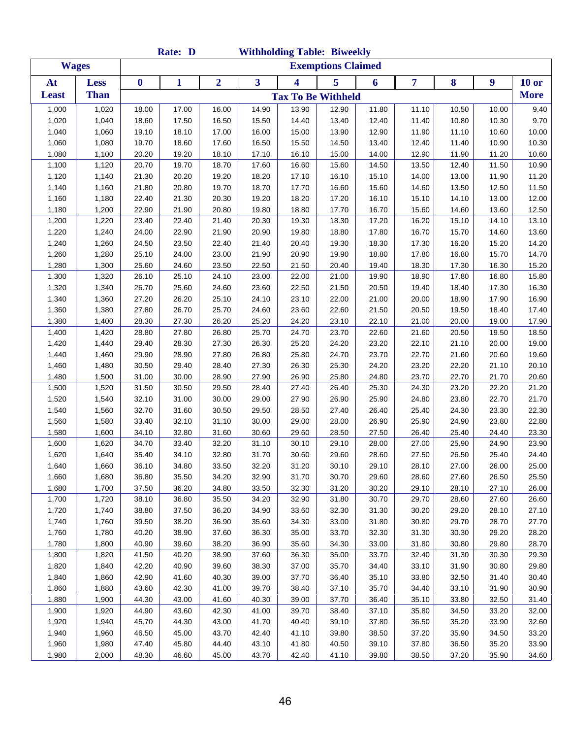|                |                |                  | Rate: D        |                |                         | <b>Withholding Table: Biweekly</b> |                           |                |                |                |                |                |
|----------------|----------------|------------------|----------------|----------------|-------------------------|------------------------------------|---------------------------|----------------|----------------|----------------|----------------|----------------|
|                | <b>Wages</b>   |                  |                |                |                         |                                    | <b>Exemptions Claimed</b> |                |                |                |                |                |
| At             | <b>Less</b>    | $\boldsymbol{0}$ | $\mathbf{1}$   | $\overline{2}$ | $\overline{\mathbf{3}}$ | 4                                  | 5                         | 6              | 7              | 8              | 9              | $10$ or        |
| <b>Least</b>   | <b>Than</b>    |                  |                |                |                         | <b>Tax To Be Withheld</b>          |                           |                |                |                |                | <b>More</b>    |
| 1,000          | 1,020          | 18.00            | 17.00          | 16.00          | 14.90                   | 13.90                              | 12.90                     | 11.80          | 11.10          | 10.50          | 10.00          | 9.40           |
| 1,020          | 1,040          | 18.60            | 17.50          | 16.50          | 15.50                   | 14.40                              | 13.40                     | 12.40          | 11.40          | 10.80          | 10.30          | 9.70           |
| 1,040          | 1,060          | 19.10            | 18.10          | 17.00          | 16.00                   | 15.00                              | 13.90                     | 12.90          | 11.90          | 11.10          | 10.60          | 10.00          |
| 1,060          | 1,080          | 19.70            | 18.60          | 17.60          | 16.50                   | 15.50                              | 14.50                     | 13.40          | 12.40          | 11.40          | 10.90          | 10.30          |
| 1,080          | 1,100          | 20.20            | 19.20          | 18.10          | 17.10                   | 16.10                              | 15.00                     | 14.00          | 12.90          | 11.90          | 11.20          | 10.60          |
| 1,100          | 1,120          | 20.70            | 19.70          | 18.70          | 17.60                   | 16.60                              | 15.60                     | 14.50          | 13.50          | 12.40          | 11.50          | 10.90          |
| 1,120          | 1,140          | 21.30            | 20.20          | 19.20          | 18.20                   | 17.10                              | 16.10                     | 15.10          | 14.00          | 13.00          | 11.90          | 11.20          |
| 1,140          | 1,160          | 21.80            | 20.80          | 19.70          | 18.70                   | 17.70                              | 16.60                     | 15.60          | 14.60          | 13.50          | 12.50          | 11.50          |
| 1,160          | 1,180          | 22.40            | 21.30          | 20.30          | 19.20                   | 18.20                              | 17.20                     | 16.10          | 15.10          | 14.10          | 13.00          | 12.00          |
| 1,180          | 1,200          | 22.90            | 21.90          | 20.80          | 19.80                   | 18.80                              | 17.70                     | 16.70          | 15.60          | 14.60          | 13.60          | 12.50          |
| 1,200          | 1,220          | 23.40            | 22.40          | 21.40          | 20.30                   | 19.30                              | 18.30                     | 17.20          | 16.20          | 15.10          | 14.10          | 13.10          |
| 1,220          | 1,240          | 24.00            | 22.90          | 21.90          | 20.90                   | 19.80                              | 18.80                     | 17.80          | 16.70          | 15.70          | 14.60          | 13.60          |
| 1,240          | 1,260          | 24.50            | 23.50          | 22.40          | 21.40                   | 20.40                              | 19.30                     | 18.30          | 17.30          | 16.20          | 15.20          | 14.20          |
| 1,260          | 1,280          | 25.10            | 24.00          | 23.00          | 21.90                   | 20.90                              | 19.90                     | 18.80          | 17.80          | 16.80          | 15.70          | 14.70          |
| 1,280          | 1,300          | 25.60            | 24.60          | 23.50          | 22.50                   | 21.50                              | 20.40                     | 19.40          | 18.30          | 17.30          | 16.30          | 15.20          |
| 1,300          | 1,320          | 26.10            | 25.10          | 24.10          | 23.00                   | 22.00                              | 21.00                     | 19.90          | 18.90          | 17.80          | 16.80          | 15.80          |
| 1,320          | 1,340          | 26.70            | 25.60          | 24.60          | 23.60                   | 22.50                              | 21.50                     | 20.50          | 19.40          | 18.40          | 17.30          | 16.30          |
| 1,340          | 1,360          | 27.20            | 26.20          | 25.10          | 24.10                   | 23.10                              | 22.00                     | 21.00          | 20.00          | 18.90          | 17.90          | 16.90          |
| 1,360          | 1,380          | 27.80            | 26.70          | 25.70          | 24.60                   | 23.60                              | 22.60                     | 21.50          | 20.50          | 19.50          | 18.40          | 17.40          |
| 1,380          | 1,400          | 28.30            | 27.30          | 26.20          | 25.20                   | 24.20                              | 23.10                     | 22.10          | 21.00          | 20.00          | 19.00          | 17.90          |
| 1,400          | 1,420          | 28.80            | 27.80          | 26.80          | 25.70                   | 24.70                              | 23.70                     | 22.60          | 21.60          | 20.50          | 19.50          | 18.50          |
| 1,420          | 1,440          | 29.40            | 28.30          | 27.30          | 26.30                   | 25.20                              | 24.20                     | 23.20          | 22.10          | 21.10          | 20.00          | 19.00          |
| 1,440          | 1,460          | 29.90            | 28.90          | 27.80          | 26.80                   | 25.80                              | 24.70                     | 23.70          | 22.70          | 21.60          | 20.60          | 19.60          |
| 1,460<br>1,480 | 1,480<br>1,500 | 30.50<br>31.00   | 29.40<br>30.00 | 28.40<br>28.90 | 27.30<br>27.90          | 26.30<br>26.90                     | 25.30<br>25.80            | 24.20<br>24.80 | 23.20<br>23.70 | 22.20<br>22.70 | 21.10<br>21.70 | 20.10<br>20.60 |
| 1,500          | 1,520          | 31.50            | 30.50          | 29.50          | 28.40                   | 27.40                              | 26.40                     | 25.30          | 24.30          | 23.20          | 22.20          | 21.20          |
| 1,520          | 1,540          | 32.10            | 31.00          | 30.00          | 29.00                   | 27.90                              | 26.90                     | 25.90          | 24.80          | 23.80          | 22.70          | 21.70          |
| 1,540          | 1,560          | 32.70            | 31.60          | 30.50          | 29.50                   | 28.50                              | 27.40                     | 26.40          | 25.40          | 24.30          | 23.30          | 22.30          |
| 1,560          | 1,580          | 33.40            | 32.10          | 31.10          | 30.00                   | 29.00                              | 28.00                     | 26.90          | 25.90          | 24.90          | 23.80          | 22.80          |
| 1,580          | 1,600          | 34.10            | 32.80          | 31.60          | 30.60                   | 29.60                              | 28.50                     | 27.50          | 26.40          | 25.40          | 24.40          | 23.30          |
| 1,600          | 1,620          | 34.70            | 33.40          | 32.20          | 31.10                   | 30.10                              | 29.10                     | 28.00          | 27.00          | 25.90          | 24.90          | 23.90          |
| 1,620          | 1,640          | 35.40            | 34.10          | 32.80          | 31.70                   | 30.60                              | 29.60                     | 28.60          | 27.50          | 26.50          | 25.40          | 24.40          |
| 1,640          | 1,660          | 36.10            | 34.80          | 33.50          | 32.20                   | 31.20                              | 30.10                     | 29.10          | 28.10          | 27.00          | 26.00          | 25.00          |
| 1,660          | 1,680          | 36.80            | 35.50          | 34.20          | 32.90                   | 31.70                              | 30.70                     | 29.60          | 28.60          | 27.60          | 26.50          | 25.50          |
| 1,680          | 1,700          | 37.50            | 36.20          | 34.80          | 33.50                   | 32.30                              | 31.20                     | 30.20          | 29.10          | 28.10          | 27.10          | 26.00          |
| 1,700          | 1,720          | 38.10            | 36.80          | 35.50          | 34.20                   | 32.90                              | 31.80                     | 30.70          | 29.70          | 28.60          | 27.60          | 26.60          |
| 1,720          | 1,740          | 38.80            | 37.50          | 36.20          | 34.90                   | 33.60                              | 32.30                     | 31.30          | 30.20          | 29.20          | 28.10          | 27.10          |
| 1,740          | 1,760          | 39.50            | 38.20          | 36.90          | 35.60                   | 34.30                              | 33.00                     | 31.80          | 30.80          | 29.70          | 28.70          | 27.70          |
| 1,760          | 1,780          | 40.20            | 38.90          | 37.60          | 36.30                   | 35.00                              | 33.70                     | 32.30          | 31.30          | 30.30          | 29.20          | 28.20          |
| 1,780          | 1,800          | 40.90            | 39.60          | 38.20          | 36.90                   | 35.60                              | 34.30                     | 33.00          | 31.80          | 30.80          | 29.80          | 28.70          |
| 1,800          | 1,820          | 41.50            | 40.20          | 38.90          | 37.60                   | 36.30                              | 35.00                     | 33.70          | 32.40          | 31.30          | 30.30          | 29.30          |
| 1,820          | 1,840          | 42.20            | 40.90          | 39.60          | 38.30                   | 37.00                              | 35.70                     | 34.40          | 33.10          | 31.90          | 30.80          | 29.80          |
| 1,840          | 1,860          | 42.90            | 41.60          | 40.30          | 39.00                   | 37.70                              | 36.40                     | 35.10          | 33.80          | 32.50          | 31.40          | 30.40          |
| 1,860          | 1,880          | 43.60            | 42.30          | 41.00          | 39.70                   | 38.40                              | 37.10                     | 35.70          | 34.40          | 33.10          | 31.90          | 30.90          |
| 1,880          | 1,900          | 44.30            | 43.00          | 41.60          | 40.30                   | 39.00                              | 37.70                     | 36.40          | 35.10          | 33.80          | 32.50          | 31.40          |
| 1,900          | 1,920          | 44.90            | 43.60          | 42.30          | 41.00                   | 39.70                              | 38.40                     | 37.10          | 35.80          | 34.50          | 33.20          | 32.00          |
| 1,920          | 1,940          | 45.70            | 44.30          | 43.00          | 41.70                   | 40.40                              | 39.10                     | 37.80          | 36.50          | 35.20          | 33.90          | 32.60          |
| 1,940          | 1,960          | 46.50            | 45.00          | 43.70          | 42.40                   | 41.10                              | 39.80                     | 38.50          | 37.20          | 35.90          | 34.50          | 33.20          |
| 1,960          | 1,980          | 47.40            | 45.80          | 44.40          | 43.10                   | 41.80                              | 40.50                     | 39.10          | 37.80          | 36.50          | 35.20          | 33.90          |
| 1,980          | 2,000          | 48.30            | 46.60          | 45.00          | 43.70                   | 42.40                              | 41.10                     | 39.80          | 38.50          | 37.20          | 35.90          | 34.60          |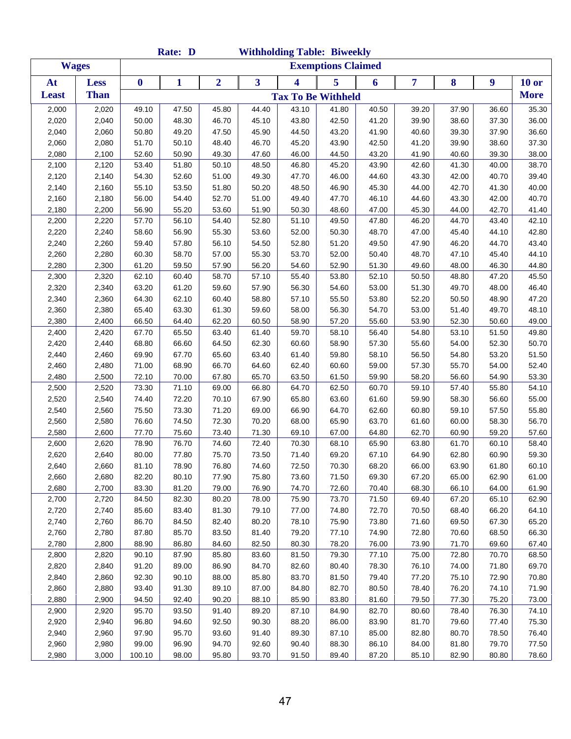|                |                |                  | Rate: D        |                |                |                         | <b>Withholding Table: Biweekly</b> |                |                |                |                |                |
|----------------|----------------|------------------|----------------|----------------|----------------|-------------------------|------------------------------------|----------------|----------------|----------------|----------------|----------------|
|                | <b>Wages</b>   |                  |                |                |                |                         | <b>Exemptions Claimed</b>          |                |                |                |                |                |
| At             | Less           | $\boldsymbol{0}$ | 1              | $\overline{2}$ | 3              | $\overline{\mathbf{4}}$ | 5                                  | 6              | 7              | 8              | 9              | $10$ or        |
| <b>Least</b>   | <b>Than</b>    |                  |                |                |                |                         | <b>Tax To Be Withheld</b>          |                |                |                |                | <b>More</b>    |
| 2,000          | 2,020          | 49.10            | 47.50          | 45.80          | 44.40          | 43.10                   | 41.80                              | 40.50          | 39.20          | 37.90          | 36.60          | 35.30          |
| 2,020          | 2,040          | 50.00            | 48.30          | 46.70          | 45.10          | 43.80                   | 42.50                              | 41.20          | 39.90          | 38.60          | 37.30          | 36.00          |
| 2,040          | 2,060          | 50.80            | 49.20          | 47.50          | 45.90          | 44.50                   | 43.20                              | 41.90          | 40.60          | 39.30          | 37.90          | 36.60          |
| 2,060          | 2,080          | 51.70            | 50.10          | 48.40          | 46.70          | 45.20                   | 43.90                              | 42.50          | 41.20          | 39.90          | 38.60          | 37.30          |
| 2,080          | 2,100          | 52.60            | 50.90          | 49.30          | 47.60          | 46.00                   | 44.50                              | 43.20          | 41.90          | 40.60          | 39.30          | 38.00          |
| 2,100          | 2,120          | 53.40            | 51.80          | 50.10          | 48.50          | 46.80                   | 45.20                              | 43.90          | 42.60          | 41.30          | 40.00          | 38.70          |
| 2,120          | 2,140          | 54.30            | 52.60          | 51.00          | 49.30          | 47.70                   | 46.00                              | 44.60          | 43.30          | 42.00          | 40.70          | 39.40          |
| 2,140          | 2,160          | 55.10            | 53.50          | 51.80          | 50.20          | 48.50                   | 46.90                              | 45.30          | 44.00          | 42.70          | 41.30          | 40.00          |
| 2,160          | 2,180          | 56.00            | 54.40          | 52.70          | 51.00          | 49.40                   | 47.70                              | 46.10          | 44.60          | 43.30          | 42.00          | 40.70          |
| 2,180          | 2,200          | 56.90            | 55.20          | 53.60          | 51.90          | 50.30                   | 48.60                              | 47.00          | 45.30          | 44.00          | 42.70          | 41.40          |
| 2,200          | 2,220          | 57.70            | 56.10          | 54.40          | 52.80          | 51.10                   | 49.50                              | 47.80          | 46.20          | 44.70          | 43.40          | 42.10          |
| 2,220          | 2,240          | 58.60            | 56.90          | 55.30          | 53.60          | 52.00                   | 50.30                              | 48.70          | 47.00          | 45.40          | 44.10          | 42.80          |
| 2,240          | 2,260          | 59.40            | 57.80          | 56.10          | 54.50          | 52.80                   | 51.20                              | 49.50          | 47.90          | 46.20          | 44.70          | 43.40          |
| 2,260          | 2,280          | 60.30            | 58.70          | 57.00          | 55.30          | 53.70                   | 52.00                              | 50.40          | 48.70          | 47.10          | 45.40          | 44.10          |
| 2,280          | 2,300          | 61.20            | 59.50          | 57.90          | 56.20          | 54.60                   | 52.90                              | 51.30          | 49.60          | 48.00          | 46.30          | 44.80          |
| 2,300          | 2,320          | 62.10            | 60.40          | 58.70          | 57.10          | 55.40                   | 53.80                              | 52.10          | 50.50          | 48.80          | 47.20          | 45.50          |
| 2,320          | 2,340          | 63.20            | 61.20          | 59.60          | 57.90          | 56.30                   | 54.60                              | 53.00          | 51.30          | 49.70          | 48.00          | 46.40          |
| 2,340          | 2,360          | 64.30            | 62.10          | 60.40          | 58.80          | 57.10                   | 55.50                              | 53.80          | 52.20          | 50.50          | 48.90          | 47.20          |
| 2,360          | 2,380          | 65.40            | 63.30          | 61.30          | 59.60          | 58.00                   | 56.30                              | 54.70          | 53.00          | 51.40          | 49.70          | 48.10          |
| 2,380          | 2,400          | 66.50            | 64.40          | 62.20          | 60.50          | 58.90                   | 57.20                              | 55.60          | 53.90          | 52.30          | 50.60          | 49.00          |
| 2,400          | 2,420          | 67.70            | 65.50          | 63.40          | 61.40          | 59.70                   | 58.10                              | 56.40          | 54.80          | 53.10          | 51.50          | 49.80          |
| 2,420          | 2,440          | 68.80            | 66.60          | 64.50          | 62.30          | 60.60                   | 58.90                              | 57.30          | 55.60          | 54.00          | 52.30          | 50.70          |
| 2,440          | 2,460          | 69.90            | 67.70          | 65.60          | 63.40          | 61.40                   | 59.80                              | 58.10          | 56.50          | 54.80          | 53.20          | 51.50          |
| 2,460          | 2,480          | 71.00            | 68.90          | 66.70          | 64.60          | 62.40                   | 60.60                              | 59.00          | 57.30          | 55.70          | 54.00          | 52.40          |
| 2,480          | 2,500          | 72.10            | 70.00          | 67.80          | 65.70          | 63.50                   | 61.50                              | 59.90          | 58.20          | 56.60          | 54.90          | 53.30          |
| 2,500          | 2,520          | 73.30            | 71.10          | 69.00          | 66.80          | 64.70                   | 62.50                              | 60.70          | 59.10          | 57.40          | 55.80          | 54.10          |
| 2,520          | 2,540          | 74.40            | 72.20          | 70.10          | 67.90          | 65.80                   | 63.60                              | 61.60          | 59.90          | 58.30          | 56.60          | 55.00          |
| 2,540          | 2,560          | 75.50            | 73.30          | 71.20          | 69.00          | 66.90                   | 64.70                              | 62.60          | 60.80          | 59.10          | 57.50          | 55.80          |
| 2,560<br>2,580 | 2,580<br>2,600 | 76.60<br>77.70   | 74.50<br>75.60 | 72.30<br>73.40 | 70.20<br>71.30 | 68.00<br>69.10          | 65.90<br>67.00                     | 63.70<br>64.80 | 61.60<br>62.70 | 60.00<br>60.90 | 58.30<br>59.20 | 56.70<br>57.60 |
| 2,600          | 2,620          | 78.90            | 76.70          | 74.60          | 72.40          | 70.30                   | 68.10                              | 65.90          | 63.80          | 61.70          | 60.10          | 58.40          |
| 2,620          | 2,640          | 80.00            | 77.80          | 75.70          | 73.50          | 71.40                   | 69.20                              | 67.10          | 64.90          | 62.80          | 60.90          | 59.30          |
| 2,640          | 2,660          | 81.10            | 78.90          | 76.80          | 74.60          | 72.50                   | 70.30                              | 68.20          | 66.00          | 63.90          | 61.80          | 60.10          |
| 2,660          | 2,680          | 82.20            | 80.10          | 77.90          | 75.80          | 73.60                   | 71.50                              | 69.30          | 67.20          | 65.00          | 62.90          | 61.00          |
| 2,680          | 2,700          | 83.30            | 81.20          | 79.00          | 76.90          | 74.70                   | 72.60                              | 70.40          | 68.30          | 66.10          | 64.00          | 61.90          |
| 2,700          | 2,720          | 84.50            | 82.30          | 80.20          | 78.00          | 75.90                   | 73.70                              | 71.50          | 69.40          | 67.20          | 65.10          | 62.90          |
| 2,720          | 2,740          | 85.60            | 83.40          | 81.30          | 79.10          | 77.00                   | 74.80                              | 72.70          | 70.50          | 68.40          | 66.20          | 64.10          |
| 2,740          | 2,760          | 86.70            | 84.50          | 82.40          | 80.20          | 78.10                   | 75.90                              | 73.80          | 71.60          | 69.50          | 67.30          | 65.20          |
| 2,760          | 2,780          | 87.80            | 85.70          | 83.50          | 81.40          | 79.20                   | 77.10                              | 74.90          | 72.80          | 70.60          | 68.50          | 66.30          |
| 2,780          | 2,800          | 88.90            | 86.80          | 84.60          | 82.50          | 80.30                   | 78.20                              | 76.00          | 73.90          | 71.70          | 69.60          | 67.40          |
| 2,800          | 2,820          | 90.10            | 87.90          | 85.80          | 83.60          | 81.50                   | 79.30                              | 77.10          | 75.00          | 72.80          | 70.70          | 68.50          |
| 2,820          | 2,840          | 91.20            | 89.00          | 86.90          | 84.70          | 82.60                   | 80.40                              | 78.30          | 76.10          | 74.00          | 71.80          | 69.70          |
| 2,840          | 2,860          | 92.30            | 90.10          | 88.00          | 85.80          | 83.70                   | 81.50                              | 79.40          | 77.20          | 75.10          | 72.90          | 70.80          |
| 2,860          | 2,880          | 93.40            | 91.30          | 89.10          | 87.00          | 84.80                   | 82.70                              | 80.50          | 78.40          | 76.20          | 74.10          | 71.90          |
| 2,880          | 2,900          | 94.50            | 92.40          | 90.20          | 88.10          | 85.90                   | 83.80                              | 81.60          | 79.50          | 77.30          | 75.20          | 73.00          |
| 2,900          | 2,920          | 95.70            | 93.50          | 91.40          | 89.20          | 87.10                   | 84.90                              | 82.70          | 80.60          | 78.40          | 76.30          | 74.10          |
| 2,920          | 2,940          | 96.80            | 94.60          | 92.50          | 90.30          | 88.20                   | 86.00                              | 83.90          | 81.70          | 79.60          | 77.40          | 75.30          |
| 2,940          | 2,960          | 97.90            | 95.70          | 93.60          | 91.40          | 89.30                   | 87.10                              | 85.00          | 82.80          | 80.70          | 78.50          | 76.40          |
| 2,960          | 2,980          | 99.00            | 96.90          | 94.70          | 92.60          | 90.40                   | 88.30                              | 86.10          | 84.00          | 81.80          | 79.70          | 77.50          |
| 2,980          | 3,000          | 100.10           | 98.00          | 95.80          | 93.70          | 91.50                   | 89.40                              | 87.20          | 85.10          | 82.90          | 80.80          | 78.60          |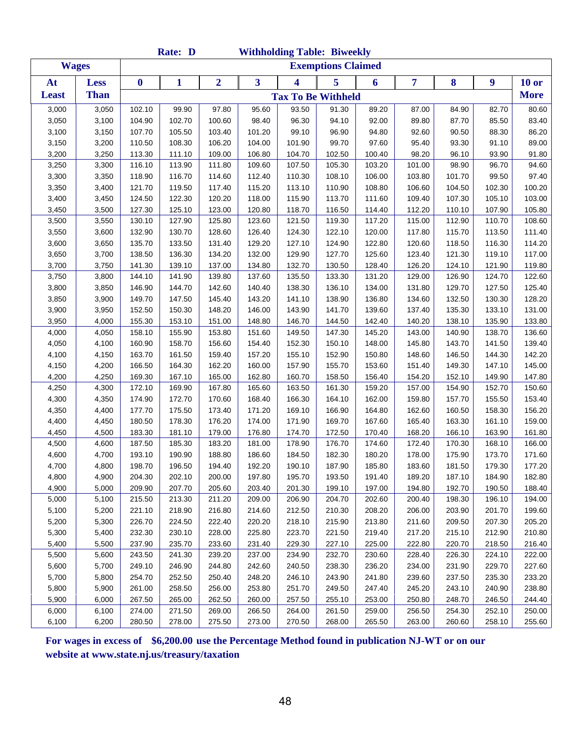|              |             |                  | Rate: D      |                |                         | <b>Withholding Table: Biweekly</b> |                           |        |        |        |        |             |
|--------------|-------------|------------------|--------------|----------------|-------------------------|------------------------------------|---------------------------|--------|--------|--------|--------|-------------|
| <b>Wages</b> |             |                  |              |                |                         |                                    | <b>Exemptions Claimed</b> |        |        |        |        |             |
| At           | <b>Less</b> | $\boldsymbol{0}$ | $\mathbf{1}$ | $\overline{2}$ | $\overline{\mathbf{3}}$ | 4                                  | 5                         | 6      | 7      | 8      | 9      | $10$ or     |
| <b>Least</b> | <b>Than</b> |                  |              |                |                         | <b>Tax To Be Withheld</b>          |                           |        |        |        |        | <b>More</b> |
| 3,000        | 3,050       | 102.10           | 99.90        | 97.80          | 95.60                   | 93.50                              | 91.30                     | 89.20  | 87.00  | 84.90  | 82.70  | 80.60       |
| 3,050        | 3,100       | 104.90           | 102.70       | 100.60         | 98.40                   | 96.30                              | 94.10                     | 92.00  | 89.80  | 87.70  | 85.50  | 83.40       |
| 3,100        | 3,150       | 107.70           | 105.50       | 103.40         | 101.20                  | 99.10                              | 96.90                     | 94.80  | 92.60  | 90.50  | 88.30  | 86.20       |
| 3,150        | 3,200       | 110.50           | 108.30       | 106.20         | 104.00                  | 101.90                             | 99.70                     | 97.60  | 95.40  | 93.30  | 91.10  | 89.00       |
| 3,200        | 3,250       | 113.30           | 111.10       | 109.00         | 106.80                  | 104.70                             | 102.50                    | 100.40 | 98.20  | 96.10  | 93.90  | 91.80       |
| 3,250        | 3,300       | 116.10           | 113.90       | 111.80         | 109.60                  | 107.50                             | 105.30                    | 103.20 | 101.00 | 98.90  | 96.70  | 94.60       |
| 3,300        | 3,350       | 118.90           | 116.70       | 114.60         | 112.40                  | 110.30                             | 108.10                    | 106.00 | 103.80 | 101.70 | 99.50  | 97.40       |
| 3,350        | 3,400       | 121.70           | 119.50       | 117.40         | 115.20                  | 113.10                             | 110.90                    | 108.80 | 106.60 | 104.50 | 102.30 | 100.20      |
| 3,400        | 3,450       | 124.50           | 122.30       | 120.20         | 118.00                  | 115.90                             | 113.70                    | 111.60 | 109.40 | 107.30 | 105.10 | 103.00      |
| 3,450        | 3,500       | 127.30           | 125.10       | 123.00         | 120.80                  | 118.70                             | 116.50                    | 114.40 | 112.20 | 110.10 | 107.90 | 105.80      |
| 3,500        | 3,550       | 130.10           | 127.90       | 125.80         | 123.60                  | 121.50                             | 119.30                    | 117.20 | 115.00 | 112.90 | 110.70 | 108.60      |
| 3,550        | 3,600       | 132.90           | 130.70       | 128.60         | 126.40                  | 124.30                             | 122.10                    | 120.00 | 117.80 | 115.70 | 113.50 | 111.40      |
| 3,600        | 3,650       | 135.70           | 133.50       | 131.40         | 129.20                  | 127.10                             | 124.90                    | 122.80 | 120.60 | 118.50 | 116.30 | 114.20      |
| 3,650        | 3,700       | 138.50           | 136.30       | 134.20         | 132.00                  | 129.90                             | 127.70                    | 125.60 | 123.40 | 121.30 | 119.10 | 117.00      |
| 3,700        | 3,750       | 141.30           | 139.10       | 137.00         | 134.80                  | 132.70                             | 130.50                    | 128.40 | 126.20 | 124.10 | 121.90 | 119.80      |
| 3,750        | 3,800       | 144.10           | 141.90       | 139.80         | 137.60                  | 135.50                             | 133.30                    | 131.20 | 129.00 | 126.90 | 124.70 | 122.60      |
| 3,800        | 3,850       | 146.90           | 144.70       | 142.60         | 140.40                  | 138.30                             | 136.10                    | 134.00 | 131.80 | 129.70 | 127.50 | 125.40      |
| 3,850        | 3,900       | 149.70           | 147.50       | 145.40         | 143.20                  | 141.10                             | 138.90                    | 136.80 | 134.60 | 132.50 | 130.30 | 128.20      |
| 3,900        | 3,950       | 152.50           | 150.30       | 148.20         | 146.00                  | 143.90                             | 141.70                    | 139.60 | 137.40 | 135.30 | 133.10 | 131.00      |
| 3,950        | 4,000       | 155.30           | 153.10       | 151.00         | 148.80                  | 146.70                             | 144.50                    | 142.40 | 140.20 | 138.10 | 135.90 | 133.80      |
| 4,000        | 4,050       | 158.10           | 155.90       | 153.80         | 151.60                  | 149.50                             | 147.30                    | 145.20 | 143.00 | 140.90 | 138.70 | 136.60      |
| 4,050        | 4,100       | 160.90           | 158.70       | 156.60         | 154.40                  | 152.30                             | 150.10                    | 148.00 | 145.80 | 143.70 | 141.50 | 139.40      |
| 4,100        | 4,150       | 163.70           | 161.50       | 159.40         | 157.20                  | 155.10                             | 152.90                    | 150.80 | 148.60 | 146.50 | 144.30 | 142.20      |
| 4,150        | 4,200       | 166.50           | 164.30       | 162.20         | 160.00                  | 157.90                             | 155.70                    | 153.60 | 151.40 | 149.30 | 147.10 | 145.00      |
| 4,200        | 4,250       | 169.30           | 167.10       | 165.00         | 162.80                  | 160.70                             | 158.50                    | 156.40 | 154.20 | 152.10 | 149.90 | 147.80      |
| 4,250        | 4,300       | 172.10           | 169.90       | 167.80         | 165.60                  | 163.50                             | 161.30                    | 159.20 | 157.00 | 154.90 | 152.70 | 150.60      |
| 4,300        | 4,350       | 174.90           | 172.70       | 170.60         | 168.40                  | 166.30                             | 164.10                    | 162.00 | 159.80 | 157.70 | 155.50 | 153.40      |
| 4,350        | 4,400       | 177.70           | 175.50       | 173.40         | 171.20                  | 169.10                             | 166.90                    | 164.80 | 162.60 | 160.50 | 158.30 | 156.20      |
| 4,400        | 4,450       | 180.50           | 178.30       | 176.20         | 174.00                  | 171.90                             | 169.70                    | 167.60 | 165.40 | 163.30 | 161.10 | 159.00      |
| 4,450        | 4,500       | 183.30           | 181.10       | 179.00         | 176.80                  | 174.70                             | 172.50                    | 170.40 | 168.20 | 166.10 | 163.90 | 161.80      |
| 4,500        | 4,600       | 187.50           | 185.30       | 183.20         | 181.00                  | 178.90                             | 176.70                    | 174.60 | 172.40 | 170.30 | 168.10 | 166.00      |
| 4,600        | 4,700       | 193.10           | 190.90       | 188.80         | 186.60                  | 184.50                             | 182.30                    | 180.20 | 178.00 | 175.90 | 173.70 | 171.60      |
| 4,700        | 4,800       | 198.70           | 196.50       | 194.40         | 192.20                  | 190.10                             | 187.90                    | 185.80 | 183.60 | 181.50 | 179.30 | 177.20      |
| 4,800        | 4,900       | 204.30           | 202.10       | 200.00         | 197.80                  | 195.70                             | 193.50                    | 191.40 | 189.20 | 187.10 | 184.90 | 182.80      |
| 4,900        | 5,000       | 209.90           | 207.70       | 205.60         | 203.40                  | 201.30                             | 199.10                    | 197.00 | 194.80 | 192.70 | 190.50 | 188.40      |
| 5,000        | 5,100       | 215.50           | 213.30       | 211.20         | 209.00                  | 206.90                             | 204.70                    | 202.60 | 200.40 | 198.30 | 196.10 | 194.00      |
| 5,100        | 5,200       | 221.10           | 218.90       | 216.80         | 214.60                  | 212.50                             | 210.30                    | 208.20 | 206.00 | 203.90 | 201.70 | 199.60      |
| 5,200        | 5,300       | 226.70           | 224.50       | 222.40         | 220.20                  | 218.10                             | 215.90                    | 213.80 | 211.60 | 209.50 | 207.30 | 205.20      |
| 5,300        | 5,400       | 232.30           | 230.10       | 228.00         | 225.80                  | 223.70                             | 221.50                    | 219.40 | 217.20 | 215.10 | 212.90 | 210.80      |
| 5,400        | 5,500       | 237.90           | 235.70       | 233.60         | 231.40                  | 229.30                             | 227.10                    | 225.00 | 222.80 | 220.70 | 218.50 | 216.40      |
| 5,500        | 5,600       | 243.50           | 241.30       | 239.20         | 237.00                  | 234.90                             | 232.70                    | 230.60 | 228.40 | 226.30 | 224.10 | 222.00      |
| 5,600        | 5,700       | 249.10           | 246.90       | 244.80         | 242.60                  | 240.50                             | 238.30                    | 236.20 | 234.00 | 231.90 | 229.70 | 227.60      |
| 5,700        | 5,800       | 254.70           | 252.50       | 250.40         | 248.20                  | 246.10                             | 243.90                    | 241.80 | 239.60 | 237.50 | 235.30 | 233.20      |
| 5,800        | 5,900       | 261.00           | 258.50       | 256.00         | 253.80                  | 251.70                             | 249.50                    | 247.40 | 245.20 | 243.10 | 240.90 | 238.80      |
| 5,900        | 6,000       | 267.50           | 265.00       | 262.50         | 260.00                  | 257.50                             | 255.10                    | 253.00 | 250.80 | 248.70 | 246.50 | 244.40      |
| 6,000        | 6,100       | 274.00           | 271.50       | 269.00         | 266.50                  | 264.00                             | 261.50                    | 259.00 | 256.50 | 254.30 | 252.10 | 250.00      |
| 6,100        | 6,200       | 280.50           | 278.00       | 275.50         | 273.00                  | 270.50                             | 268.00                    | 265.50 | 263.00 | 260.60 | 258.10 | 255.60      |

**For wages in excess of \$6,200.00 use the Percentage Method found in publication NJ-WT or on our website at www.state.nj.us/treasury/taxation**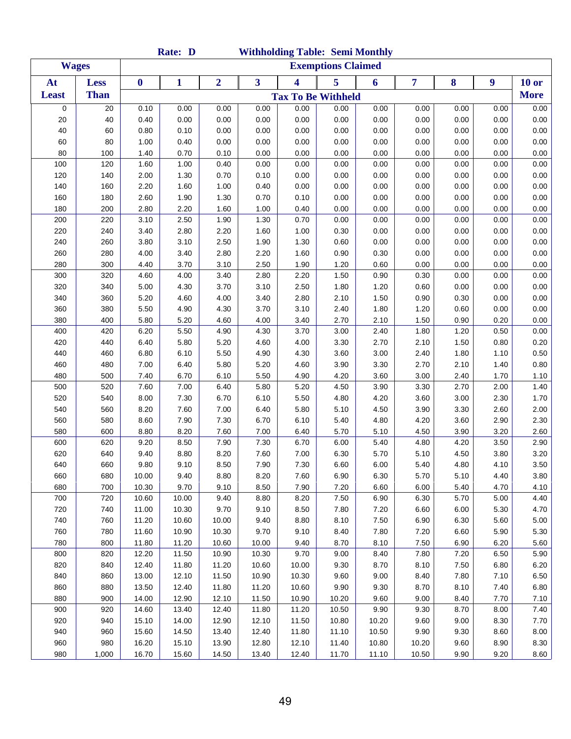|              |              |          | Rate: D      |                |       | <b>Withholding Table: Semi Monthly</b> |                           |       |       |      |      |              |
|--------------|--------------|----------|--------------|----------------|-------|----------------------------------------|---------------------------|-------|-------|------|------|--------------|
|              | <b>Wages</b> |          |              |                |       |                                        | <b>Exemptions Claimed</b> |       |       |      |      |              |
| At           | <b>Less</b>  | $\bf{0}$ | $\mathbf{1}$ | $\overline{2}$ | 3     | $\overline{\mathbf{4}}$                | 5                         | 6     | 7     | 8    | 9    | <b>10 or</b> |
| <b>Least</b> | <b>Than</b>  |          |              |                |       | <b>Tax To Be Withheld</b>              |                           |       |       |      |      | <b>More</b>  |
| 0            | 20           | 0.10     | 0.00         | 0.00           | 0.00  | 0.00                                   | 0.00                      | 0.00  | 0.00  | 0.00 | 0.00 | 0.00         |
| 20           | 40           | 0.40     | 0.00         | 0.00           | 0.00  | 0.00                                   | 0.00                      | 0.00  | 0.00  | 0.00 | 0.00 | 0.00         |
| 40           | 60           | 0.80     | 0.10         | 0.00           | 0.00  | 0.00                                   | 0.00                      | 0.00  | 0.00  | 0.00 | 0.00 | 0.00         |
| 60           | 80           | 1.00     | 0.40         | 0.00           | 0.00  | 0.00                                   | 0.00                      | 0.00  | 0.00  | 0.00 | 0.00 | 0.00         |
| 80           | 100          | 1.40     | 0.70         | 0.10           | 0.00  | 0.00                                   | 0.00                      | 0.00  | 0.00  | 0.00 | 0.00 | 0.00         |
| 100          | 120          | 1.60     | 1.00         | 0.40           | 0.00  | 0.00                                   | 0.00                      | 0.00  | 0.00  | 0.00 | 0.00 | 0.00         |
| 120          | 140          | 2.00     | 1.30         | 0.70           | 0.10  | 0.00                                   | 0.00                      | 0.00  | 0.00  | 0.00 | 0.00 | 0.00         |
| 140          | 160          | 2.20     | 1.60         | 1.00           | 0.40  | 0.00                                   | 0.00                      | 0.00  | 0.00  | 0.00 | 0.00 | 0.00         |
| 160          | 180          | 2.60     | 1.90         | 1.30           | 0.70  | 0.10                                   | 0.00                      | 0.00  | 0.00  | 0.00 | 0.00 | 0.00         |
| 180          | 200          | 2.80     | 2.20         | 1.60           | 1.00  | 0.40                                   | 0.00                      | 0.00  | 0.00  | 0.00 | 0.00 | 0.00         |
| 200          | 220          | 3.10     | 2.50         | 1.90           | 1.30  | 0.70                                   | 0.00                      | 0.00  | 0.00  | 0.00 | 0.00 | 0.00         |
| 220          | 240          | 3.40     | 2.80         | 2.20           | 1.60  | 1.00                                   | 0.30                      | 0.00  | 0.00  | 0.00 | 0.00 | 0.00         |
| 240          | 260          | 3.80     | 3.10         | 2.50           | 1.90  | 1.30                                   | 0.60                      | 0.00  | 0.00  | 0.00 | 0.00 | 0.00         |
| 260          | 280          | 4.00     | 3.40         | 2.80           | 2.20  | 1.60                                   | 0.90                      | 0.30  | 0.00  | 0.00 | 0.00 | 0.00         |
| 280          | 300          | 4.40     | 3.70         | 3.10           | 2.50  | 1.90                                   | 1.20                      | 0.60  | 0.00  | 0.00 | 0.00 | 0.00         |
| 300          | 320          | 4.60     | 4.00         | 3.40           | 2.80  | 2.20                                   | 1.50                      | 0.90  | 0.30  | 0.00 | 0.00 | 0.00         |
| 320          | 340          | 5.00     | 4.30         | 3.70           | 3.10  | 2.50                                   | 1.80                      | 1.20  | 0.60  | 0.00 | 0.00 | 0.00         |
| 340          | 360          | 5.20     | 4.60         | 4.00           | 3.40  | 2.80                                   | 2.10                      | 1.50  | 0.90  | 0.30 | 0.00 | 0.00         |
| 360          | 380          | 5.50     | 4.90         | 4.30           | 3.70  | 3.10                                   | 2.40                      | 1.80  | 1.20  | 0.60 | 0.00 | 0.00         |
| 380          | 400          | 5.80     | 5.20         | 4.60           | 4.00  | 3.40                                   | 2.70                      | 2.10  | 1.50  | 0.90 | 0.20 | 0.00         |
| 400          | 420          | 6.20     | 5.50         | 4.90           | 4.30  | 3.70                                   | 3.00                      | 2.40  | 1.80  | 1.20 | 0.50 | 0.00         |
| 420          | 440          | 6.40     | 5.80         | 5.20           | 4.60  | 4.00                                   | 3.30                      | 2.70  | 2.10  | 1.50 | 0.80 | 0.20         |
| 440          | 460          | 6.80     | 6.10         | 5.50           | 4.90  | 4.30                                   | 3.60                      | 3.00  | 2.40  | 1.80 | 1.10 | 0.50         |
| 460          | 480          | 7.00     | 6.40         | 5.80           | 5.20  | 4.60                                   | 3.90                      | 3.30  | 2.70  | 2.10 | 1.40 | 0.80         |
| 480          | 500          | 7.40     | 6.70         | 6.10           | 5.50  | 4.90                                   | 4.20                      | 3.60  | 3.00  | 2.40 | 1.70 | 1.10         |
| 500          | 520          | 7.60     | 7.00         | 6.40           | 5.80  | 5.20                                   | 4.50                      | 3.90  | 3.30  | 2.70 | 2.00 | 1.40         |
| 520          | 540          | 8.00     | 7.30         | 6.70           | 6.10  | 5.50                                   | 4.80                      | 4.20  | 3.60  | 3.00 | 2.30 | 1.70         |
| 540          | 560          | 8.20     | 7.60         | 7.00           | 6.40  | 5.80                                   | 5.10                      | 4.50  | 3.90  | 3.30 | 2.60 | 2.00         |
| 560          | 580          | 8.60     | 7.90         | 7.30           | 6.70  | 6.10                                   | 5.40                      | 4.80  | 4.20  | 3.60 | 2.90 | 2.30         |
| 580          | 600          | 8.80     | 8.20         | 7.60           | 7.00  | 6.40                                   | 5.70                      | 5.10  | 4.50  | 3.90 | 3.20 | 2.60         |
| 600          | 620          | 9.20     | 8.50         | 7.90           | 7.30  | 6.70                                   | 6.00                      | 5.40  | 4.80  | 4.20 | 3.50 | 2.90         |
| 620          | 640          | 9.40     | 8.80         | 8.20           | 7.60  | 7.00                                   | 6.30                      | 5.70  | 5.10  | 4.50 | 3.80 | 3.20         |
| 640          | 660          | 9.80     | 9.10         | 8.50           | 7.90  | 7.30                                   | 6.60                      | 6.00  | 5.40  | 4.80 | 4.10 | 3.50         |
| 660          | 680          | 10.00    | 9.40         | 8.80           | 8.20  | 7.60                                   | 6.90                      | 6.30  | 5.70  | 5.10 | 4.40 | 3.80         |
| 680          | 700          | 10.30    | 9.70         | 9.10           | 8.50  | 7.90                                   | 7.20                      | 6.60  | 6.00  | 5.40 | 4.70 | 4.10         |
| 700          | 720          | 10.60    | 10.00        | 9.40           | 8.80  | 8.20                                   | 7.50                      | 6.90  | 6.30  | 5.70 | 5.00 | 4.40         |
| 720          | 740          | 11.00    | 10.30        | 9.70           | 9.10  | 8.50                                   | 7.80                      | 7.20  | 6.60  | 6.00 | 5.30 | 4.70         |
| 740          | 760          | 11.20    | 10.60        | 10.00          | 9.40  | 8.80                                   | 8.10                      | 7.50  | 6.90  | 6.30 | 5.60 | 5.00         |
| 760          | 780          | 11.60    | 10.90        | 10.30          | 9.70  | 9.10                                   | 8.40                      | 7.80  | 7.20  | 6.60 | 5.90 | 5.30         |
| 780          | 800          | 11.80    | 11.20        | 10.60          | 10.00 | 9.40                                   | 8.70                      | 8.10  | 7.50  | 6.90 | 6.20 | 5.60         |
| 800          | 820          | 12.20    | 11.50        | 10.90          | 10.30 | 9.70                                   | 9.00                      | 8.40  | 7.80  | 7.20 | 6.50 | 5.90         |
| 820          | 840          | 12.40    | 11.80        | 11.20          | 10.60 | 10.00                                  | 9.30                      | 8.70  | 8.10  | 7.50 | 6.80 | 6.20         |
| 840          | 860          | 13.00    | 12.10        | 11.50          | 10.90 | 10.30                                  | 9.60                      | 9.00  | 8.40  | 7.80 | 7.10 | 6.50         |
| 860          | 880          | 13.50    | 12.40        | 11.80          | 11.20 | 10.60                                  | 9.90                      | 9.30  | 8.70  | 8.10 | 7.40 | 6.80         |
| 880          | 900          | 14.00    | 12.90        | 12.10          | 11.50 | 10.90                                  | 10.20                     | 9.60  | 9.00  | 8.40 | 7.70 | 7.10         |
| 900          | 920          | 14.60    | 13.40        | 12.40          | 11.80 | 11.20                                  | 10.50                     | 9.90  | 9.30  | 8.70 | 8.00 | 7.40         |
| 920          | 940          | 15.10    | 14.00        | 12.90          | 12.10 | 11.50                                  | 10.80                     | 10.20 | 9.60  | 9.00 | 8.30 | 7.70         |
| 940          | 960          | 15.60    | 14.50        | 13.40          | 12.40 | 11.80                                  | 11.10                     | 10.50 | 9.90  | 9.30 | 8.60 | 8.00         |
| 960          | 980          | 16.20    | 15.10        | 13.90          | 12.80 | 12.10                                  | 11.40                     | 10.80 | 10.20 | 9.60 | 8.90 | 8.30         |
| 980          | 1,000        | 16.70    | 15.60        | 14.50          | 13.40 | 12.40                                  | 11.70                     | 11.10 | 10.50 | 9.90 | 9.20 | 8.60         |
|              |              |          |              |                |       |                                        |                           |       |       |      |      |              |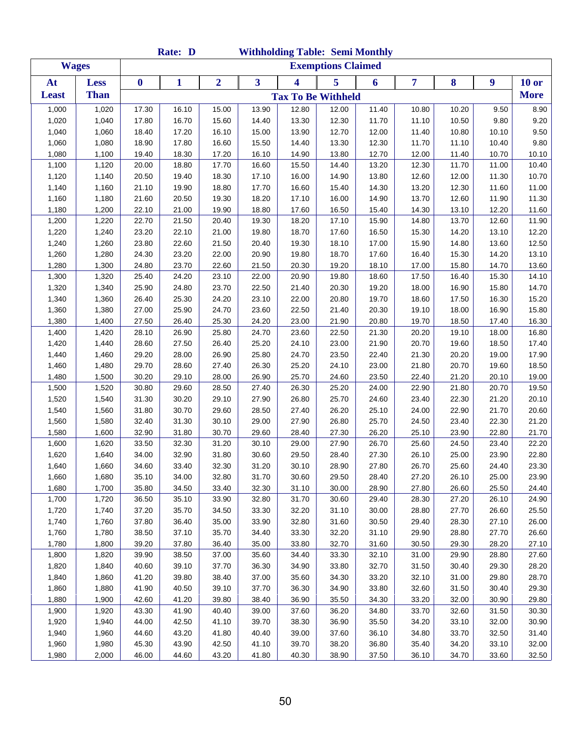|              |              |                  | Rate: D      |                |                         | <b>Withholding Table: Semi Monthly</b> |                           |       |       |       |       |             |
|--------------|--------------|------------------|--------------|----------------|-------------------------|----------------------------------------|---------------------------|-------|-------|-------|-------|-------------|
|              | <b>Wages</b> |                  |              |                |                         |                                        | <b>Exemptions Claimed</b> |       |       |       |       |             |
| At           | <b>Less</b>  | $\boldsymbol{0}$ | $\mathbf{1}$ | $\overline{2}$ | $\overline{\mathbf{3}}$ | 4                                      | 5                         | 6     | 7     | 8     | 9     | $10$ or     |
| <b>Least</b> | <b>Than</b>  |                  |              |                |                         | <b>Tax To Be Withheld</b>              |                           |       |       |       |       | <b>More</b> |
| 1,000        | 1,020        | 17.30            | 16.10        | 15.00          | 13.90                   | 12.80                                  | 12.00                     | 11.40 | 10.80 | 10.20 | 9.50  | 8.90        |
| 1,020        | 1,040        | 17.80            | 16.70        | 15.60          | 14.40                   | 13.30                                  | 12.30                     | 11.70 | 11.10 | 10.50 | 9.80  | 9.20        |
| 1,040        | 1,060        | 18.40            | 17.20        | 16.10          | 15.00                   | 13.90                                  | 12.70                     | 12.00 | 11.40 | 10.80 | 10.10 | 9.50        |
| 1,060        | 1,080        | 18.90            | 17.80        | 16.60          | 15.50                   | 14.40                                  | 13.30                     | 12.30 | 11.70 | 11.10 | 10.40 | 9.80        |
| 1,080        | 1,100        | 19.40            | 18.30        | 17.20          | 16.10                   | 14.90                                  | 13.80                     | 12.70 | 12.00 | 11.40 | 10.70 | 10.10       |
| 1,100        | 1,120        | 20.00            | 18.80        | 17.70          | 16.60                   | 15.50                                  | 14.40                     | 13.20 | 12.30 | 11.70 | 11.00 | 10.40       |
| 1,120        | 1,140        | 20.50            | 19.40        | 18.30          | 17.10                   | 16.00                                  | 14.90                     | 13.80 | 12.60 | 12.00 | 11.30 | 10.70       |
| 1,140        | 1,160        | 21.10            | 19.90        | 18.80          | 17.70                   | 16.60                                  | 15.40                     | 14.30 | 13.20 | 12.30 | 11.60 | 11.00       |
| 1,160        | 1,180        | 21.60            | 20.50        | 19.30          | 18.20                   | 17.10                                  | 16.00                     | 14.90 | 13.70 | 12.60 | 11.90 | 11.30       |
| 1,180        | 1,200        | 22.10            | 21.00        | 19.90          | 18.80                   | 17.60                                  | 16.50                     | 15.40 | 14.30 | 13.10 | 12.20 | 11.60       |
| 1,200        | 1,220        | 22.70            | 21.50        | 20.40          | 19.30                   | 18.20                                  | 17.10                     | 15.90 | 14.80 | 13.70 | 12.60 | 11.90       |
| 1,220        | 1,240        | 23.20            | 22.10        | 21.00          | 19.80                   | 18.70                                  | 17.60                     | 16.50 | 15.30 | 14.20 | 13.10 | 12.20       |
| 1,240        | 1,260        | 23.80            | 22.60        | 21.50          | 20.40                   | 19.30                                  | 18.10                     | 17.00 | 15.90 | 14.80 | 13.60 | 12.50       |
| 1,260        | 1,280        | 24.30            | 23.20        | 22.00          | 20.90                   | 19.80                                  | 18.70                     | 17.60 | 16.40 | 15.30 | 14.20 | 13.10       |
| 1,280        | 1,300        | 24.80            | 23.70        | 22.60          | 21.50                   | 20.30                                  | 19.20                     | 18.10 | 17.00 | 15.80 | 14.70 | 13.60       |
| 1,300        | 1,320        | 25.40            | 24.20        | 23.10          | 22.00                   | 20.90                                  | 19.80                     | 18.60 | 17.50 | 16.40 | 15.30 | 14.10       |
| 1,320        | 1,340        | 25.90            | 24.80        | 23.70          | 22.50                   | 21.40                                  | 20.30                     | 19.20 | 18.00 | 16.90 | 15.80 | 14.70       |
| 1,340        | 1,360        | 26.40            | 25.30        | 24.20          | 23.10                   | 22.00                                  | 20.80                     | 19.70 | 18.60 | 17.50 | 16.30 | 15.20       |
| 1,360        | 1,380        | 27.00            | 25.90        | 24.70          | 23.60                   | 22.50                                  | 21.40                     | 20.30 | 19.10 | 18.00 | 16.90 | 15.80       |
| 1,380        | 1,400        | 27.50            | 26.40        | 25.30          | 24.20                   | 23.00                                  | 21.90                     | 20.80 | 19.70 | 18.50 | 17.40 | 16.30       |
| 1,400        | 1,420        | 28.10            | 26.90        | 25.80          | 24.70                   | 23.60                                  | 22.50                     | 21.30 | 20.20 | 19.10 | 18.00 | 16.80       |
| 1,420        | 1,440        | 28.60            | 27.50        | 26.40          | 25.20                   | 24.10                                  | 23.00                     | 21.90 | 20.70 | 19.60 | 18.50 | 17.40       |
| 1,440        | 1,460        | 29.20            | 28.00        | 26.90          | 25.80                   | 24.70                                  | 23.50                     | 22.40 | 21.30 | 20.20 | 19.00 | 17.90       |
| 1,460        | 1,480        | 29.70            | 28.60        | 27.40          | 26.30                   | 25.20                                  | 24.10                     | 23.00 | 21.80 | 20.70 | 19.60 | 18.50       |
| 1,480        | 1,500        | 30.20            | 29.10        | 28.00          | 26.90                   | 25.70                                  | 24.60                     | 23.50 | 22.40 | 21.20 | 20.10 | 19.00       |
| 1,500        | 1,520        | 30.80            | 29.60        | 28.50          | 27.40                   | 26.30                                  | 25.20                     | 24.00 | 22.90 | 21.80 | 20.70 | 19.50       |
| 1,520        | 1,540        | 31.30            | 30.20        | 29.10          | 27.90                   | 26.80                                  | 25.70                     | 24.60 | 23.40 | 22.30 | 21.20 | 20.10       |
| 1,540        | 1,560        | 31.80            | 30.70        | 29.60          | 28.50                   | 27.40                                  | 26.20                     | 25.10 | 24.00 | 22.90 | 21.70 | 20.60       |
| 1,560        | 1,580        | 32.40            | 31.30        | 30.10          | 29.00                   | 27.90                                  | 26.80                     | 25.70 | 24.50 | 23.40 | 22.30 | 21.20       |
| 1,580        | 1,600        | 32.90            | 31.80        | 30.70          | 29.60                   | 28.40                                  | 27.30                     | 26.20 | 25.10 | 23.90 | 22.80 | 21.70       |
| 1,600        | 1,620        | 33.50            | 32.30        | 31.20          | 30.10                   | 29.00                                  | 27.90                     | 26.70 | 25.60 | 24.50 | 23.40 | 22.20       |
| 1,620        | 1,640        | 34.00            | 32.90        | 31.80          | 30.60                   | 29.50                                  | 28.40                     | 27.30 | 26.10 | 25.00 | 23.90 | 22.80       |
| 1,640        | 1,660        | 34.60            | 33.40        | 32.30          | 31.20                   | 30.10                                  | 28.90                     | 27.80 | 26.70 | 25.60 | 24.40 | 23.30       |
| 1,660        | 1,680        | 35.10            | 34.00        | 32.80          | 31.70                   | 30.60                                  | 29.50                     | 28.40 | 27.20 | 26.10 | 25.00 | 23.90       |
| 1,680        | 1,700        | 35.80            | 34.50        | 33.40          | 32.30                   | 31.10                                  | 30.00                     | 28.90 | 27.80 | 26.60 | 25.50 | 24.40       |
| 1,700        | 1,720        | 36.50            | 35.10        | 33.90          | 32.80                   | 31.70                                  | 30.60                     | 29.40 | 28.30 | 27.20 | 26.10 | 24.90       |
| 1,720        | 1,740        | 37.20            | 35.70        | 34.50          | 33.30                   | 32.20                                  | 31.10                     | 30.00 | 28.80 | 27.70 | 26.60 | 25.50       |
| 1,740        | 1,760        | 37.80            | 36.40        | 35.00          | 33.90                   | 32.80                                  | 31.60                     | 30.50 | 29.40 | 28.30 | 27.10 | 26.00       |
| 1,760        | 1,780        | 38.50            | 37.10        | 35.70          | 34.40                   | 33.30                                  | 32.20                     | 31.10 | 29.90 | 28.80 | 27.70 | 26.60       |
| 1,780        | 1,800        | 39.20            | 37.80        | 36.40          | 35.00                   | 33.80                                  | 32.70                     | 31.60 | 30.50 | 29.30 | 28.20 | 27.10       |
| 1,800        | 1,820        | 39.90            | 38.50        | 37.00          | 35.60                   | 34.40                                  | 33.30                     | 32.10 | 31.00 | 29.90 | 28.80 | 27.60       |
| 1,820        | 1,840        | 40.60            | 39.10        | 37.70          | 36.30                   | 34.90                                  | 33.80                     | 32.70 | 31.50 | 30.40 | 29.30 | 28.20       |
| 1,840        | 1,860        | 41.20            | 39.80        | 38.40          | 37.00                   | 35.60                                  | 34.30                     | 33.20 | 32.10 | 31.00 | 29.80 | 28.70       |
| 1,860        | 1,880        | 41.90            | 40.50        | 39.10          | 37.70                   | 36.30                                  | 34.90                     | 33.80 | 32.60 | 31.50 | 30.40 | 29.30       |
| 1,880        | 1,900        | 42.60            | 41.20        | 39.80          | 38.40                   | 36.90                                  | 35.50                     | 34.30 | 33.20 | 32.00 | 30.90 | 29.80       |
| 1,900        | 1,920        | 43.30            | 41.90        | 40.40          | 39.00                   | 37.60                                  | 36.20                     | 34.80 | 33.70 | 32.60 | 31.50 | 30.30       |
| 1,920        | 1,940        | 44.00            | 42.50        | 41.10          | 39.70                   | 38.30                                  | 36.90                     | 35.50 | 34.20 | 33.10 | 32.00 | 30.90       |
| 1,940        | 1,960        | 44.60            | 43.20        | 41.80          | 40.40                   | 39.00                                  | 37.60                     | 36.10 | 34.80 | 33.70 | 32.50 | 31.40       |
| 1,960        | 1,980        | 45.30            | 43.90        | 42.50          | 41.10                   | 39.70                                  | 38.20                     | 36.80 | 35.40 | 34.20 | 33.10 | 32.00       |
| 1,980        | 2,000        | 46.00            | 44.60        | 43.20          | 41.80                   | 40.30                                  | 38.90                     | 37.50 | 36.10 | 34.70 | 33.60 | 32.50       |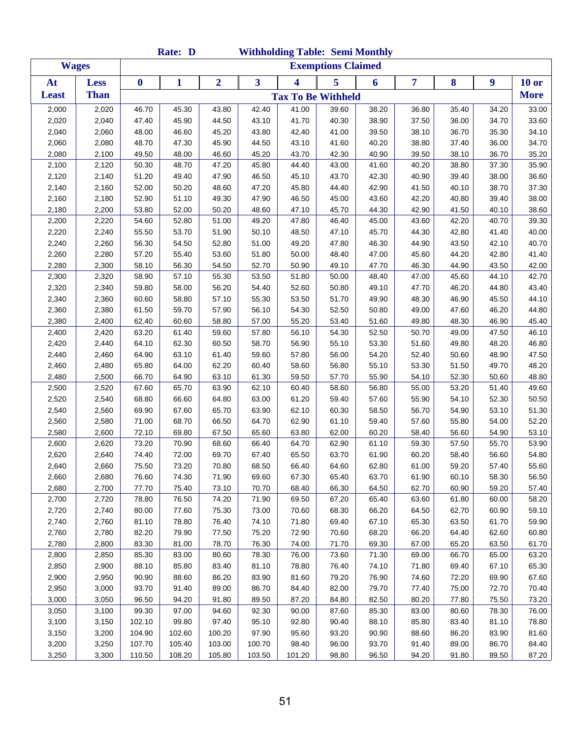|                |                |                  | Rate: D        |                |                | <b>Withholding Table: Semi Monthly</b> |                           |                |                |                |                |                |
|----------------|----------------|------------------|----------------|----------------|----------------|----------------------------------------|---------------------------|----------------|----------------|----------------|----------------|----------------|
| <b>Wages</b>   |                |                  |                |                |                |                                        | <b>Exemptions Claimed</b> |                |                |                |                |                |
| At             | Less           | $\boldsymbol{0}$ | 1              | $\overline{2}$ | 3              | $\overline{\mathbf{4}}$                | 5                         | 6              | 7              | 8              | 9              | $10$ or        |
| <b>Least</b>   | <b>Than</b>    |                  |                |                |                | <b>Tax To Be Withheld</b>              |                           |                |                |                |                | <b>More</b>    |
| 2,000          | 2,020          | 46.70            | 45.30          | 43.80          | 42.40          | 41.00                                  | 39.60                     | 38.20          | 36.80          | 35.40          | 34.20          | 33.00          |
| 2,020          | 2,040          | 47.40            | 45.90          | 44.50          | 43.10          | 41.70                                  | 40.30                     | 38.90          | 37.50          | 36.00          | 34.70          | 33.60          |
| 2,040          | 2,060          | 48.00            | 46.60          | 45.20          | 43.80          | 42.40                                  | 41.00                     | 39.50          | 38.10          | 36.70          | 35.30          | 34.10          |
| 2,060          | 2,080          | 48.70            | 47.30          | 45.90          | 44.50          | 43.10                                  | 41.60                     | 40.20          | 38.80          | 37.40          | 36.00          | 34.70          |
| 2,080          | 2,100          | 49.50            | 48.00          | 46.60          | 45.20          | 43.70                                  | 42.30                     | 40.90          | 39.50          | 38.10          | 36.70          | 35.20          |
| 2,100          | 2,120          | 50.30            | 48.70          | 47.20          | 45.80          | 44.40                                  | 43.00                     | 41.60          | 40.20          | 38.80          | 37.30          | 35.90          |
| 2,120          | 2,140          | 51.20            | 49.40          | 47.90          | 46.50          | 45.10                                  | 43.70                     | 42.30          | 40.90          | 39.40          | 38.00          | 36.60          |
| 2,140          | 2,160          | 52.00            | 50.20          | 48.60          | 47.20          | 45.80                                  | 44.40                     | 42.90          | 41.50          | 40.10          | 38.70          | 37.30          |
| 2,160          | 2,180          | 52.90            | 51.10          | 49.30          | 47.90          | 46.50                                  | 45.00                     | 43.60          | 42.20          | 40.80          | 39.40          | 38.00          |
| 2,180          | 2,200          | 53.80            | 52.00          | 50.20          | 48.60          | 47.10                                  | 45.70                     | 44.30          | 42.90          | 41.50          | 40.10          | 38.60          |
| 2,200          | 2,220          | 54.60            | 52.80          | 51.00          | 49.20          | 47.80                                  | 46.40                     | 45.00          | 43.60          | 42.20          | 40.70          | 39.30          |
| 2,220          | 2,240          | 55.50            | 53.70          | 51.90          | 50.10          | 48.50                                  | 47.10                     | 45.70          | 44.30          | 42.80          | 41.40          | 40.00          |
| 2,240          | 2,260          | 56.30            | 54.50          | 52.80          | 51.00          | 49.20                                  | 47.80                     | 46.30          | 44.90          | 43.50          | 42.10          | 40.70          |
| 2,260          | 2,280          | 57.20            | 55.40          | 53.60          | 51.80          | 50.00                                  | 48.40                     | 47.00          | 45.60          | 44.20          | 42.80          | 41.40          |
| 2,280          | 2,300          | 58.10            | 56.30          | 54.50          | 52.70          | 50.90                                  | 49.10                     | 47.70          | 46.30          | 44.90          | 43.50          | 42.00          |
| 2,300          | 2,320          | 58.90            | 57.10          | 55.30          | 53.50          | 51.80                                  | 50.00                     | 48.40          | 47.00          | 45.60          | 44.10          | 42.70          |
| 2,320          | 2,340          | 59.80            | 58.00          | 56.20          | 54.40          | 52.60                                  | 50.80                     | 49.10          | 47.70          | 46.20          | 44.80          | 43.40          |
| 2,340          | 2,360          | 60.60            | 58.80          | 57.10          | 55.30          | 53.50                                  | 51.70                     | 49.90          | 48.30          | 46.90          | 45.50          | 44.10          |
| 2,360          | 2,380          | 61.50            | 59.70          | 57.90          | 56.10          | 54.30                                  | 52.50                     | 50.80          | 49.00          | 47.60          | 46.20          | 44.80          |
| 2,380          | 2,400          | 62.40            | 60.60          | 58.80          | 57.00          | 55.20                                  | 53.40                     | 51.60          | 49.80          | 48.30          | 46.90          | 45.40          |
| 2,400          | 2,420          | 63.20            | 61.40          | 59.60          | 57.80          | 56.10                                  | 54.30                     | 52.50          | 50.70          | 49.00          | 47.50          | 46.10          |
| 2,420          | 2,440          | 64.10            | 62.30          | 60.50          | 58.70          | 56.90                                  | 55.10                     | 53.30          | 51.60          | 49.80          | 48.20          | 46.80          |
| 2,440          | 2,460          | 64.90            | 63.10          | 61.40          | 59.60          | 57.80                                  | 56.00                     | 54.20          | 52.40          | 50.60          | 48.90          | 47.50          |
| 2,460          | 2,480          | 65.80            | 64.00          | 62.20          | 60.40          | 58.60                                  | 56.80                     | 55.10          | 53.30          | 51.50          | 49.70          | 48.20          |
| 2,480          | 2,500          | 66.70            | 64.90          | 63.10          | 61.30          | 59.50                                  | 57.70                     | 55.90          | 54.10          | 52.30          | 50.60          | 48.80          |
| 2,500          | 2,520          | 67.60            | 65.70          | 63.90          | 62.10          | 60.40                                  | 58.60                     | 56.80          | 55.00          | 53.20          | 51.40          | 49.60          |
| 2,520          | 2,540          | 68.80            | 66.60          | 64.80          | 63.00          | 61.20                                  | 59.40                     | 57.60          | 55.90          | 54.10          | 52.30          | 50.50          |
| 2,540          | 2,560          | 69.90            | 67.60          | 65.70          | 63.90          | 62.10                                  | 60.30                     | 58.50          | 56.70          | 54.90          | 53.10          | 51.30          |
| 2,560          | 2,580          | 71.00            | 68.70          | 66.50          | 64.70          | 62.90                                  | 61.10                     | 59.40          | 57.60          | 55.80          | 54.00          | 52.20          |
| 2,580          | 2,600          | 72.10            | 69.80          | 67.50          | 65.60          | 63.80                                  | 62.00                     | 60.20          | 58.40          | 56.60          | 54.90          | 53.10          |
| 2,600          | 2,620          | 73.20            | 70.90          | 68.60          | 66.40          | 64.70                                  | 62.90                     | 61.10          | 59.30          | 57.50          | 55.70          | 53.90          |
| 2,620          | 2,640          | 74.40            | 72.00          | 69.70          | 67.40          | 65.50                                  | 63.70                     | 61.90          | 60.20          | 58.40          | 56.60          | 54.80          |
| 2,640          | 2,660          | 75.50            | 73.20          | 70.80          | 68.50          | 66.40                                  | 64.60                     | 62.80          | 61.00          | 59.20          | 57.40          | 55.60          |
| 2,660          | 2,680          | 76.60            | 74.30          | 71.90          | 69.60          | 67.30                                  | 65.40                     | 63.70          | 61.90          | 60.10          | 58.30          | 56.50          |
| 2,680          | 2,700          | 77.70            | 75.40          | 73.10          | 70.70          | 68.40                                  | 66.30                     | 64.50          | 62.70          | 60.90          | 59.20          | 57.40          |
| 2,700          | 2,720          | 78.80            | 76.50          | 74.20          | 71.90          | 69.50                                  | 67.20                     | 65.40          | 63.60          | 61.80          | 60.00          | 58.20          |
| 2,720          | 2,740          | 80.00            | 77.60          | 75.30          | 73.00          | 70.60                                  | 68.30                     | 66.20          | 64.50          | 62.70          | 60.90          | 59.10          |
| 2,740          | 2,760          | 81.10            | 78.80          | 76.40          | 74.10          | 71.80                                  | 69.40                     | 67.10          | 65.30          | 63.50          | 61.70          | 59.90          |
| 2,760          | 2,780          | 82.20            | 79.90          | 77.50          | 75.20          | 72.90                                  | 70.60                     | 68.20          | 66.20          | 64.40          | 62.60          | 60.80          |
| 2,780          | 2,800          | 83.30            | 81.00          | 78.70<br>80.60 | 76.30<br>78.30 | 74.00                                  | 71.70                     | 69.30          | 67.00          | 65.20<br>66.70 | 63.50<br>65.00 | 61.70          |
| 2,800<br>2,850 | 2,850<br>2,900 | 85.30<br>88.10   | 83.00<br>85.80 | 83.40          | 81.10          | 76.00<br>78.80                         | 73.60<br>76.40            | 71.30<br>74.10 | 69.00<br>71.80 | 69.40          | 67.10          | 63.20<br>65.30 |
| 2,900          | 2,950          | 90.90            | 88.60          | 86.20          | 83.90          | 81.60                                  | 79.20                     | 76.90          | 74.60          | 72.20          | 69.90          | 67.60          |
| 2,950          | 3,000          | 93.70            | 91.40          | 89.00          | 86.70          | 84.40                                  | 82.00                     | 79.70          | 77.40          | 75.00          | 72.70          | 70.40          |
| 3,000          | 3,050          | 96.50            | 94.20          | 91.80          | 89.50          | 87.20                                  | 84.80                     | 82.50          | 80.20          | 77.80          | 75.50          | 73.20          |
| 3,050          | 3,100          | 99.30            | 97.00          | 94.60          | 92.30          | 90.00                                  | 87.60                     | 85.30          | 83.00          | 80.60          | 78.30          | 76.00          |
| 3,100          | 3,150          | 102.10           | 99.80          | 97.40          | 95.10          | 92.80                                  | 90.40                     | 88.10          | 85.80          | 83.40          | 81.10          | 78.80          |
| 3,150          | 3,200          | 104.90           | 102.60         | 100.20         | 97.90          | 95.60                                  | 93.20                     | 90.90          | 88.60          | 86.20          | 83.90          | 81.60          |
| 3,200          | 3,250          | 107.70           | 105.40         | 103.00         | 100.70         | 98.40                                  | 96.00                     | 93.70          | 91.40          | 89.00          | 86.70          | 84.40          |
| 3,250          | 3,300          | 110.50           | 108.20         | 105.80         | 103.50         | 101.20                                 | 98.80                     | 96.50          | 94.20          | 91.80          | 89.50          | 87.20          |
|                |                |                  |                |                |                |                                        |                           |                |                |                |                |                |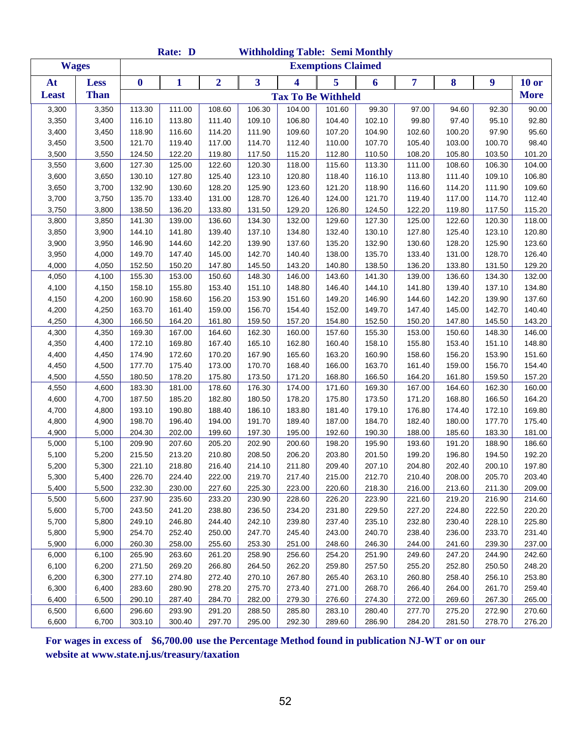|              |              |                  | Rate: D |                |        |        | <b>Withholding Table: Semi Monthly</b> |        |        |        |                  |              |
|--------------|--------------|------------------|---------|----------------|--------|--------|----------------------------------------|--------|--------|--------|------------------|--------------|
|              | <b>Wages</b> |                  |         |                |        |        | <b>Exemptions Claimed</b>              |        |        |        |                  |              |
| At           | <b>Less</b>  | $\boldsymbol{0}$ | 1       | $\overline{2}$ | 3      | 4      | 5                                      | 6      | 7      | 8      | $\boldsymbol{9}$ | <b>10 or</b> |
| <b>Least</b> | <b>Than</b>  |                  |         |                |        |        | <b>Tax To Be Withheld</b>              |        |        |        |                  | <b>More</b>  |
| 3,300        | 3,350        | 113.30           | 111.00  | 108.60         | 106.30 | 104.00 | 101.60                                 | 99.30  | 97.00  | 94.60  | 92.30            | 90.00        |
| 3,350        | 3,400        | 116.10           | 113.80  | 111.40         | 109.10 | 106.80 | 104.40                                 | 102.10 | 99.80  | 97.40  | 95.10            | 92.80        |
| 3,400        | 3,450        | 118.90           | 116.60  | 114.20         | 111.90 | 109.60 | 107.20                                 | 104.90 | 102.60 | 100.20 | 97.90            | 95.60        |
| 3,450        | 3,500        | 121.70           | 119.40  | 117.00         | 114.70 | 112.40 | 110.00                                 | 107.70 | 105.40 | 103.00 | 100.70           | 98.40        |
| 3,500        | 3,550        | 124.50           | 122.20  | 119.80         | 117.50 | 115.20 | 112.80                                 | 110.50 | 108.20 | 105.80 | 103.50           | 101.20       |
| 3,550        | 3,600        | 127.30           | 125.00  | 122.60         | 120.30 | 118.00 | 115.60                                 | 113.30 | 111.00 | 108.60 | 106.30           | 104.00       |
| 3,600        | 3,650        | 130.10           | 127.80  | 125.40         | 123.10 | 120.80 | 118.40                                 | 116.10 | 113.80 | 111.40 | 109.10           | 106.80       |
| 3,650        | 3,700        | 132.90           | 130.60  | 128.20         | 125.90 | 123.60 | 121.20                                 | 118.90 | 116.60 | 114.20 | 111.90           | 109.60       |
| 3,700        | 3,750        | 135.70           | 133.40  | 131.00         | 128.70 | 126.40 | 124.00                                 | 121.70 | 119.40 | 117.00 | 114.70           | 112.40       |
| 3,750        | 3,800        | 138.50           | 136.20  | 133.80         | 131.50 | 129.20 | 126.80                                 | 124.50 | 122.20 | 119.80 | 117.50           | 115.20       |
| 3,800        | 3,850        | 141.30           | 139.00  | 136.60         | 134.30 | 132.00 | 129.60                                 | 127.30 | 125.00 | 122.60 | 120.30           | 118.00       |
| 3,850        | 3,900        | 144.10           | 141.80  | 139.40         | 137.10 | 134.80 | 132.40                                 | 130.10 | 127.80 | 125.40 | 123.10           | 120.80       |
| 3,900        | 3,950        | 146.90           | 144.60  | 142.20         | 139.90 | 137.60 | 135.20                                 | 132.90 | 130.60 | 128.20 | 125.90           | 123.60       |
| 3,950        | 4,000        | 149.70           | 147.40  | 145.00         | 142.70 | 140.40 | 138.00                                 | 135.70 | 133.40 | 131.00 | 128.70           | 126.40       |
| 4,000        | 4,050        | 152.50           | 150.20  | 147.80         | 145.50 | 143.20 | 140.80                                 | 138.50 | 136.20 | 133.80 | 131.50           | 129.20       |
| 4,050        | 4,100        | 155.30           | 153.00  | 150.60         | 148.30 | 146.00 | 143.60                                 | 141.30 | 139.00 | 136.60 | 134.30           | 132.00       |
| 4,100        | 4,150        | 158.10           | 155.80  | 153.40         | 151.10 | 148.80 | 146.40                                 | 144.10 | 141.80 | 139.40 | 137.10           | 134.80       |
| 4,150        | 4,200        | 160.90           | 158.60  | 156.20         | 153.90 | 151.60 | 149.20                                 | 146.90 | 144.60 | 142.20 | 139.90           | 137.60       |
| 4,200        | 4,250        | 163.70           | 161.40  | 159.00         | 156.70 | 154.40 | 152.00                                 | 149.70 | 147.40 | 145.00 | 142.70           | 140.40       |
| 4,250        | 4,300        | 166.50           | 164.20  | 161.80         | 159.50 | 157.20 | 154.80                                 | 152.50 | 150.20 | 147.80 | 145.50           | 143.20       |
| 4,300        | 4,350        | 169.30           | 167.00  | 164.60         | 162.30 | 160.00 | 157.60                                 | 155.30 | 153.00 | 150.60 | 148.30           | 146.00       |
| 4,350        | 4,400        | 172.10           | 169.80  | 167.40         | 165.10 | 162.80 | 160.40                                 | 158.10 | 155.80 | 153.40 | 151.10           | 148.80       |
| 4,400        | 4,450        | 174.90           | 172.60  | 170.20         | 167.90 | 165.60 | 163.20                                 | 160.90 | 158.60 | 156.20 | 153.90           | 151.60       |
| 4,450        | 4,500        | 177.70           | 175.40  | 173.00         | 170.70 | 168.40 | 166.00                                 | 163.70 | 161.40 | 159.00 | 156.70           | 154.40       |
| 4,500        | 4,550        | 180.50           | 178.20  | 175.80         | 173.50 | 171.20 | 168.80                                 | 166.50 | 164.20 | 161.80 | 159.50           | 157.20       |
| 4,550        | 4,600        | 183.30           | 181.00  | 178.60         | 176.30 | 174.00 | 171.60                                 | 169.30 | 167.00 | 164.60 | 162.30           | 160.00       |
| 4,600        | 4,700        | 187.50           | 185.20  | 182.80         | 180.50 | 178.20 | 175.80                                 | 173.50 | 171.20 | 168.80 | 166.50           | 164.20       |
| 4,700        | 4,800        | 193.10           | 190.80  | 188.40         | 186.10 | 183.80 | 181.40                                 | 179.10 | 176.80 | 174.40 | 172.10           | 169.80       |
| 4,800        | 4,900        | 198.70           | 196.40  | 194.00         | 191.70 | 189.40 | 187.00                                 | 184.70 | 182.40 | 180.00 | 177.70           | 175.40       |
| 4,900        | 5,000        | 204.30           | 202.00  | 199.60         | 197.30 | 195.00 | 192.60                                 | 190.30 | 188.00 | 185.60 | 183.30           | 181.00       |
| 5,000        | 5,100        | 209.90           | 207.60  | 205.20         | 202.90 | 200.60 | 198.20                                 | 195.90 | 193.60 | 191.20 | 188.90           | 186.60       |
| 5,100        | 5,200        | 215.50           | 213.20  | 210.80         | 208.50 | 206.20 | 203.80                                 | 201.50 | 199.20 | 196.80 | 194.50           | 192.20       |
| 5,200        | 5,300        | 221.10           | 218.80  | 216.40         | 214.10 | 211.80 | 209.40                                 | 207.10 | 204.80 | 202.40 | 200.10           | 197.80       |
| 5,300        | 5,400        | 226.70           | 224.40  | 222.00         | 219.70 | 217.40 | 215.00                                 | 212.70 | 210.40 | 208.00 | 205.70           | 203.40       |
| 5,400        | 5,500        | 232.30           | 230.00  | 227.60         | 225.30 | 223.00 | 220.60                                 | 218.30 | 216.00 | 213.60 | 211.30           | 209.00       |
| 5,500        | 5,600        | 237.90           | 235.60  | 233.20         | 230.90 | 228.60 | 226.20                                 | 223.90 | 221.60 | 219.20 | 216.90           | 214.60       |
| 5,600        | 5,700        | 243.50           | 241.20  | 238.80         | 236.50 | 234.20 | 231.80                                 | 229.50 | 227.20 | 224.80 | 222.50           | 220.20       |
| 5,700        | 5,800        | 249.10           | 246.80  | 244.40         | 242.10 | 239.80 | 237.40                                 | 235.10 | 232.80 | 230.40 | 228.10           | 225.80       |
| 5,800        | 5,900        | 254.70           | 252.40  | 250.00         | 247.70 | 245.40 | 243.00                                 | 240.70 | 238.40 | 236.00 | 233.70           | 231.40       |
| 5,900        | 6,000        | 260.30           | 258.00  | 255.60         | 253.30 | 251.00 | 248.60                                 | 246.30 | 244.00 | 241.60 | 239.30           | 237.00       |
| 6,000        | 6,100        | 265.90           | 263.60  | 261.20         | 258.90 | 256.60 | 254.20                                 | 251.90 | 249.60 | 247.20 | 244.90           | 242.60       |
| 6,100        | 6,200        | 271.50           | 269.20  | 266.80         | 264.50 | 262.20 | 259.80                                 | 257.50 | 255.20 | 252.80 | 250.50           | 248.20       |
| 6,200        | 6,300        | 277.10           | 274.80  | 272.40         | 270.10 | 267.80 | 265.40                                 | 263.10 | 260.80 | 258.40 | 256.10           | 253.80       |
| 6,300        | 6,400        | 283.60           | 280.90  | 278.20         | 275.70 | 273.40 | 271.00                                 | 268.70 | 266.40 | 264.00 | 261.70           | 259.40       |
| 6,400        | 6,500        | 290.10           | 287.40  | 284.70         | 282.00 | 279.30 | 276.60                                 | 274.30 | 272.00 | 269.60 | 267.30           | 265.00       |
| 6,500        | 6,600        | 296.60           | 293.90  | 291.20         | 288.50 | 285.80 | 283.10                                 | 280.40 | 277.70 | 275.20 | 272.90           | 270.60       |
| 6,600        | 6,700        | 303.10           | 300.40  | 297.70         | 295.00 | 292.30 | 289.60                                 | 286.90 | 284.20 | 281.50 | 278.70           | 276.20       |

**For wages in excess of \$6,700.00 use the Percentage Method found in publication NJ-WT or on our website at www.state.nj.us/treasury/taxation**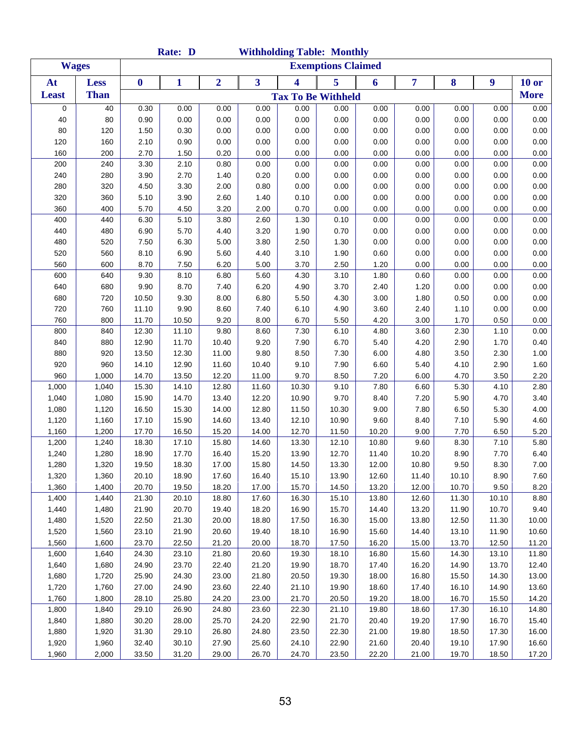|              |              |                  | Rate: D |                |       | <b>Withholding Table: Monthly</b> |                           |       |       |       |       |             |
|--------------|--------------|------------------|---------|----------------|-------|-----------------------------------|---------------------------|-------|-------|-------|-------|-------------|
|              | <b>Wages</b> |                  |         |                |       |                                   | <b>Exemptions Claimed</b> |       |       |       |       |             |
| At           | <b>Less</b>  | $\boldsymbol{0}$ | 1       | $\overline{2}$ | 3     | 4                                 | 5                         | 6     | 7     | 8     | 9     | $10$ or     |
| <b>Least</b> | <b>Than</b>  |                  |         |                |       | <b>Tax To Be Withheld</b>         |                           |       |       |       |       | <b>More</b> |
| 0            | 40           | 0.30             | 0.00    | 0.00           | 0.00  | 0.00                              | 0.00                      | 0.00  | 0.00  | 0.00  | 0.00  | 0.00        |
| 40           | 80           | 0.90             | 0.00    | 0.00           | 0.00  | 0.00                              | 0.00                      | 0.00  | 0.00  | 0.00  | 0.00  | 0.00        |
| 80           | 120          | 1.50             | 0.30    | 0.00           | 0.00  | 0.00                              | 0.00                      | 0.00  | 0.00  | 0.00  | 0.00  | 0.00        |
| 120          | 160          | 2.10             | 0.90    | 0.00           | 0.00  | 0.00                              | 0.00                      | 0.00  | 0.00  | 0.00  | 0.00  | 0.00        |
| 160          | 200          | 2.70             | 1.50    | 0.20           | 0.00  | 0.00                              | 0.00                      | 0.00  | 0.00  | 0.00  | 0.00  | 0.00        |
| 200          | 240          | 3.30             | 2.10    | 0.80           | 0.00  | 0.00                              | 0.00                      | 0.00  | 0.00  | 0.00  | 0.00  | 0.00        |
| 240          | 280          | 3.90             | 2.70    | 1.40           | 0.20  | 0.00                              | 0.00                      | 0.00  | 0.00  | 0.00  | 0.00  | 0.00        |
| 280          | 320          | 4.50             | 3.30    | 2.00           | 0.80  | 0.00                              | 0.00                      | 0.00  | 0.00  | 0.00  | 0.00  | 0.00        |
| 320          | 360          | 5.10             | 3.90    | 2.60           | 1.40  | 0.10                              | 0.00                      | 0.00  | 0.00  | 0.00  | 0.00  | 0.00        |
| 360          | 400          | 5.70             | 4.50    | 3.20           | 2.00  | 0.70                              | 0.00                      | 0.00  | 0.00  | 0.00  | 0.00  | 0.00        |
| 400          | 440          | 6.30             | 5.10    | 3.80           | 2.60  | 1.30                              | 0.10                      | 0.00  | 0.00  | 0.00  | 0.00  | 0.00        |
| 440          | 480          | 6.90             | 5.70    | 4.40           | 3.20  | 1.90                              | 0.70                      | 0.00  | 0.00  | 0.00  | 0.00  | 0.00        |
| 480          | 520          | 7.50             | 6.30    | 5.00           | 3.80  | 2.50                              | 1.30                      | 0.00  | 0.00  | 0.00  | 0.00  | 0.00        |
| 520          | 560          | 8.10             | 6.90    | 5.60           | 4.40  | 3.10                              | 1.90                      | 0.60  | 0.00  | 0.00  | 0.00  | 0.00        |
| 560          | 600          | 8.70             | 7.50    | 6.20           | 5.00  | 3.70                              | 2.50                      | 1.20  | 0.00  | 0.00  | 0.00  | 0.00        |
| 600          | 640          | 9.30             | 8.10    | 6.80           | 5.60  | 4.30                              | 3.10                      | 1.80  | 0.60  | 0.00  | 0.00  | 0.00        |
| 640          | 680          | 9.90             | 8.70    | 7.40           | 6.20  | 4.90                              | 3.70                      | 2.40  | 1.20  | 0.00  | 0.00  | 0.00        |
| 680          | 720          | 10.50            | 9.30    | 8.00           | 6.80  | 5.50                              | 4.30                      | 3.00  | 1.80  | 0.50  | 0.00  | 0.00        |
| 720          | 760          | 11.10            | 9.90    | 8.60           | 7.40  | 6.10                              | 4.90                      | 3.60  | 2.40  | 1.10  | 0.00  | 0.00        |
| 760          | 800          | 11.70            | 10.50   | 9.20           | 8.00  | 6.70                              | 5.50                      | 4.20  | 3.00  | 1.70  | 0.50  | 0.00        |
| 800          | 840          | 12.30            | 11.10   | 9.80           | 8.60  | 7.30                              | 6.10                      | 4.80  | 3.60  | 2.30  | 1.10  | 0.00        |
| 840          | 880          | 12.90            | 11.70   | 10.40          | 9.20  | 7.90                              | 6.70                      | 5.40  | 4.20  | 2.90  | 1.70  | 0.40        |
| 880          | 920          | 13.50            | 12.30   | 11.00          | 9.80  | 8.50                              | 7.30                      | 6.00  | 4.80  | 3.50  | 2.30  | 1.00        |
| 920          | 960          | 14.10            | 12.90   | 11.60          | 10.40 | 9.10                              | 7.90                      | 6.60  | 5.40  | 4.10  | 2.90  | 1.60        |
| 960          | 1,000        | 14.70            | 13.50   | 12.20          | 11.00 | 9.70                              | 8.50                      | 7.20  | 6.00  | 4.70  | 3.50  | 2.20        |
| 1,000        | 1,040        | 15.30            | 14.10   | 12.80          | 11.60 | 10.30                             | 9.10                      | 7.80  | 6.60  | 5.30  | 4.10  | 2.80        |
| 1,040        | 1,080        | 15.90            | 14.70   | 13.40          | 12.20 | 10.90                             | 9.70                      | 8.40  | 7.20  | 5.90  | 4.70  | 3.40        |
| 1,080        | 1,120        | 16.50            | 15.30   | 14.00          | 12.80 | 11.50                             | 10.30                     | 9.00  | 7.80  | 6.50  | 5.30  | 4.00        |
| 1,120        | 1,160        | 17.10            | 15.90   | 14.60          | 13.40 | 12.10                             | 10.90                     | 9.60  | 8.40  | 7.10  | 5.90  | 4.60        |
| 1,160        | 1,200        | 17.70            | 16.50   | 15.20          | 14.00 | 12.70                             | 11.50                     | 10.20 | 9.00  | 7.70  | 6.50  | 5.20        |
| 1,200        | 1,240        | 18.30            | 17.10   | 15.80          | 14.60 | 13.30                             | 12.10                     | 10.80 | 9.60  | 8.30  | 7.10  | 5.80        |
| 1,240        | 1,280        | 18.90            | 17.70   | 16.40          | 15.20 | 13.90                             | 12.70                     | 11.40 | 10.20 | 8.90  | 7.70  | 6.40        |
| 1,280        | 1,320        | 19.50            | 18.30   | 17.00          | 15.80 | 14.50                             | 13.30                     | 12.00 | 10.80 | 9.50  | 8.30  | 7.00        |
| 1,320        | 1,360        | 20.10            | 18.90   | 17.60          | 16.40 | 15.10                             | 13.90                     | 12.60 | 11.40 | 10.10 | 8.90  | 7.60        |
| 1,360        | 1,400        | 20.70            | 19.50   | 18.20          | 17.00 | 15.70                             | 14.50                     | 13.20 | 12.00 | 10.70 | 9.50  | 8.20        |
| 1,400        | 1,440        | 21.30            | 20.10   | 18.80          | 17.60 | 16.30                             | 15.10                     | 13.80 | 12.60 | 11.30 | 10.10 | 8.80        |
| 1,440        | 1,480        | 21.90            | 20.70   | 19.40          | 18.20 | 16.90                             | 15.70                     | 14.40 | 13.20 | 11.90 | 10.70 | 9.40        |
| 1,480        | 1,520        | 22.50            | 21.30   | 20.00          | 18.80 | 17.50                             | 16.30                     | 15.00 | 13.80 | 12.50 | 11.30 | 10.00       |
| 1,520        | 1,560        | 23.10            | 21.90   | 20.60          | 19.40 | 18.10                             | 16.90                     | 15.60 | 14.40 | 13.10 | 11.90 | 10.60       |
| 1,560        | 1,600        | 23.70            | 22.50   | 21.20          | 20.00 | 18.70                             | 17.50                     | 16.20 | 15.00 | 13.70 | 12.50 | 11.20       |
| 1,600        | 1,640        | 24.30            | 23.10   | 21.80          | 20.60 | 19.30                             | 18.10                     | 16.80 | 15.60 | 14.30 | 13.10 | 11.80       |
| 1,640        | 1,680        | 24.90            | 23.70   | 22.40          | 21.20 | 19.90                             | 18.70                     | 17.40 | 16.20 | 14.90 | 13.70 | 12.40       |
| 1,680        | 1,720        | 25.90            | 24.30   | 23.00          | 21.80 | 20.50                             | 19.30                     | 18.00 | 16.80 | 15.50 | 14.30 | 13.00       |
| 1,720        | 1,760        | 27.00            | 24.90   | 23.60          | 22.40 | 21.10                             | 19.90                     | 18.60 | 17.40 | 16.10 | 14.90 | 13.60       |
| 1,760        | 1,800        | 28.10            | 25.80   | 24.20          | 23.00 | 21.70                             | 20.50                     | 19.20 | 18.00 | 16.70 | 15.50 | 14.20       |
| 1,800        | 1,840        | 29.10            | 26.90   | 24.80          | 23.60 | 22.30                             | 21.10                     | 19.80 | 18.60 | 17.30 | 16.10 | 14.80       |
| 1,840        | 1,880        | 30.20            | 28.00   | 25.70          | 24.20 | 22.90                             | 21.70                     | 20.40 | 19.20 | 17.90 | 16.70 | 15.40       |
| 1,880        | 1,920        | 31.30            | 29.10   | 26.80          | 24.80 | 23.50                             | 22.30                     | 21.00 | 19.80 | 18.50 | 17.30 | 16.00       |
| 1,920        | 1,960        | 32.40            | 30.10   | 27.90          | 25.60 | 24.10                             | 22.90                     | 21.60 | 20.40 | 19.10 | 17.90 | 16.60       |
| 1,960        | 2,000        | 33.50            | 31.20   | 29.00          | 26.70 | 24.70                             | 23.50                     | 22.20 | 21.00 | 19.70 | 18.50 | 17.20       |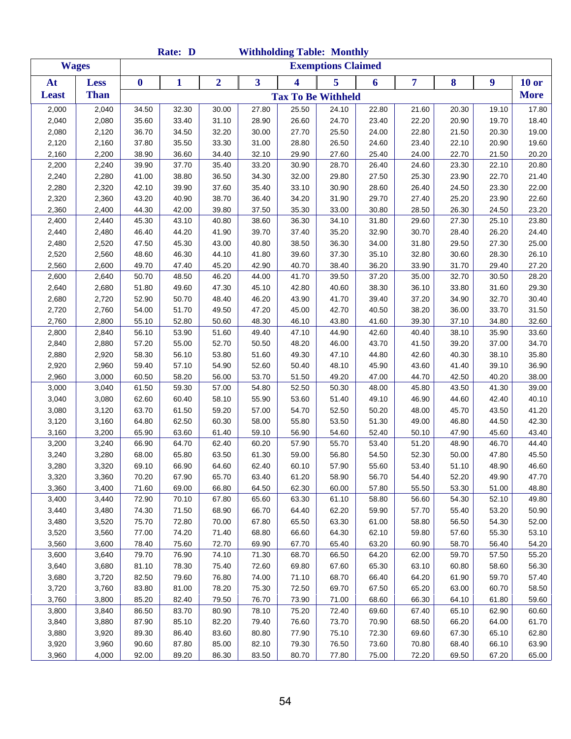|                |                |                  | Rate: D        |                |                         | <b>Withholding Table: Monthly</b> |                           |                |                |                |                |                |
|----------------|----------------|------------------|----------------|----------------|-------------------------|-----------------------------------|---------------------------|----------------|----------------|----------------|----------------|----------------|
|                | <b>Wages</b>   |                  |                |                |                         |                                   | <b>Exemptions Claimed</b> |                |                |                |                |                |
| At             | Less           | $\boldsymbol{0}$ | $\mathbf{1}$   | $\overline{2}$ | $\overline{\mathbf{3}}$ | $\overline{\mathbf{4}}$           | 5                         | 6              | 7              | 8              | 9              | $10$ or        |
| <b>Least</b>   | <b>Than</b>    |                  |                |                |                         | <b>Tax To Be Withheld</b>         |                           |                |                |                |                | <b>More</b>    |
| 2,000          | 2,040          | 34.50            | 32.30          | 30.00          | 27.80                   | 25.50                             | 24.10                     | 22.80          | 21.60          | 20.30          | 19.10          | 17.80          |
| 2,040          | 2,080          | 35.60            | 33.40          | 31.10          | 28.90                   | 26.60                             | 24.70                     | 23.40          | 22.20          | 20.90          | 19.70          | 18.40          |
| 2,080          | 2,120          | 36.70            | 34.50          | 32.20          | 30.00                   | 27.70                             | 25.50                     | 24.00          | 22.80          | 21.50          | 20.30          | 19.00          |
| 2,120          | 2,160          | 37.80            | 35.50          | 33.30          | 31.00                   | 28.80                             | 26.50                     | 24.60          | 23.40          | 22.10          | 20.90          | 19.60          |
| 2,160          | 2,200          | 38.90            | 36.60          | 34.40          | 32.10                   | 29.90                             | 27.60                     | 25.40          | 24.00          | 22.70          | 21.50          | 20.20          |
| 2,200          | 2,240          | 39.90            | 37.70          | 35.40          | 33.20                   | 30.90                             | 28.70                     | 26.40          | 24.60          | 23.30          | 22.10          | 20.80          |
| 2,240          | 2,280          | 41.00            | 38.80          | 36.50          | 34.30                   | 32.00                             | 29.80                     | 27.50          | 25.30          | 23.90          | 22.70          | 21.40          |
| 2,280          | 2,320          | 42.10            | 39.90          | 37.60          | 35.40                   | 33.10                             | 30.90                     | 28.60          | 26.40          | 24.50          | 23.30          | 22.00          |
| 2,320          | 2,360          | 43.20            | 40.90          | 38.70          | 36.40                   | 34.20                             | 31.90                     | 29.70          | 27.40          | 25.20          | 23.90          | 22.60          |
| 2,360          | 2,400          | 44.30            | 42.00          | 39.80          | 37.50                   | 35.30                             | 33.00                     | 30.80          | 28.50          | 26.30          | 24.50          | 23.20          |
| 2,400          | 2,440          | 45.30            | 43.10          | 40.80          | 38.60                   | 36.30                             | 34.10                     | 31.80          | 29.60          | 27.30          | 25.10          | 23.80          |
| 2,440          | 2,480          | 46.40            | 44.20          | 41.90          | 39.70                   | 37.40                             | 35.20                     | 32.90          | 30.70          | 28.40          | 26.20          | 24.40          |
| 2,480          | 2,520          | 47.50            | 45.30          | 43.00          | 40.80                   | 38.50                             | 36.30                     | 34.00          | 31.80          | 29.50          | 27.30          | 25.00          |
| 2,520          | 2,560          | 48.60            | 46.30          | 44.10          | 41.80                   | 39.60                             | 37.30                     | 35.10          | 32.80          | 30.60          | 28.30          | 26.10          |
| 2,560          | 2,600          | 49.70            | 47.40          | 45.20          | 42.90                   | 40.70                             | 38.40                     | 36.20          | 33.90          | 31.70          | 29.40          | 27.20          |
| 2,600          | 2,640          | 50.70            | 48.50          | 46.20          | 44.00                   | 41.70                             | 39.50                     | 37.20          | 35.00          | 32.70          | 30.50          | 28.20          |
| 2,640          | 2,680          | 51.80            | 49.60          | 47.30          | 45.10                   | 42.80                             | 40.60                     | 38.30          | 36.10          | 33.80          | 31.60          | 29.30          |
| 2,680          | 2,720          | 52.90            | 50.70          | 48.40          | 46.20                   | 43.90                             | 41.70                     | 39.40          | 37.20          | 34.90          | 32.70          | 30.40          |
| 2,720          | 2,760          | 54.00            | 51.70          | 49.50          | 47.20                   | 45.00                             | 42.70                     | 40.50          | 38.20          | 36.00          | 33.70          | 31.50          |
| 2,760          | 2,800          | 55.10            | 52.80          | 50.60          | 48.30                   | 46.10                             | 43.80                     | 41.60          | 39.30          | 37.10          | 34.80          | 32.60          |
| 2,800          | 2,840          | 56.10            | 53.90          | 51.60          | 49.40                   | 47.10                             | 44.90                     | 42.60          | 40.40          | 38.10          | 35.90          | 33.60          |
| 2,840          | 2,880          | 57.20            | 55.00          | 52.70          | 50.50                   | 48.20                             | 46.00                     | 43.70          | 41.50          | 39.20          | 37.00          | 34.70          |
| 2,880          | 2,920          | 58.30            | 56.10          | 53.80          | 51.60                   | 49.30                             | 47.10                     | 44.80          | 42.60          | 40.30          | 38.10          | 35.80          |
| 2,920          | 2,960          | 59.40            | 57.10          | 54.90          | 52.60                   | 50.40                             | 48.10                     | 45.90          | 43.60          | 41.40          | 39.10          | 36.90          |
| 2,960          | 3,000          | 60.50            | 58.20          | 56.00          | 53.70                   | 51.50                             | 49.20                     | 47.00          | 44.70          | 42.50          | 40.20          | 38.00          |
| 3,000          | 3,040          | 61.50            | 59.30          | 57.00          | 54.80                   | 52.50                             | 50.30                     | 48.00          | 45.80          | 43.50          | 41.30          | 39.00          |
| 3,040          | 3,080          | 62.60            | 60.40          | 58.10          | 55.90                   | 53.60                             | 51.40                     | 49.10          | 46.90          | 44.60          | 42.40          | 40.10          |
| 3,080          | 3,120          | 63.70            | 61.50          | 59.20          | 57.00                   | 54.70                             | 52.50                     | 50.20          | 48.00          | 45.70          | 43.50          | 41.20          |
| 3,120          | 3,160          | 64.80            | 62.50          | 60.30          | 58.00                   | 55.80                             | 53.50                     | 51.30          | 49.00          | 46.80          | 44.50          | 42.30          |
| 3,160          | 3,200          | 65.90            | 63.60          | 61.40          | 59.10                   | 56.90                             | 54.60                     | 52.40          | 50.10          | 47.90          | 45.60          | 43.40          |
| 3,200          | 3,240          | 66.90            | 64.70          | 62.40          | 60.20                   | 57.90                             | 55.70                     | 53.40          | 51.20          | 48.90          | 46.70          | 44.40          |
| 3,240          | 3,280          | 68.00            | 65.80          | 63.50          | 61.30                   | 59.00                             | 56.80                     | 54.50          | 52.30          | 50.00          | 47.80          | 45.50          |
| 3,280          | 3,320          | 69.10            | 66.90          | 64.60          | 62.40                   | 60.10                             | 57.90                     | 55.60          | 53.40          | 51.10          | 48.90          | 46.60          |
| 3,320          | 3,360          | 70.20            | 67.90          | 65.70          | 63.40                   | 61.20                             | 58.90                     | 56.70          | 54.40          | 52.20          | 49.90          | 47.70          |
| 3,360          | 3,400          | 71.60            | 69.00          | 66.80          | 64.50                   | 62.30                             | 60.00                     | 57.80          | 55.50          | 53.30          | 51.00          | 48.80          |
| 3,400          | 3,440          | 72.90            | 70.10          | 67.80          | 65.60                   | 63.30                             | 61.10                     | 58.80          | 56.60          | 54.30          | 52.10          | 49.80          |
| 3,440          | 3,480          | 74.30            | 71.50          | 68.90          | 66.70                   | 64.40                             | 62.20                     | 59.90          | 57.70          | 55.40          | 53.20          | 50.90          |
| 3,480          | 3,520          | 75.70            | 72.80          | 70.00          | 67.80                   | 65.50                             | 63.30                     | 61.00          | 58.80          | 56.50          | 54.30          | 52.00          |
| 3,520          | 3,560          | 77.00            | 74.20          | 71.40          | 68.80                   | 66.60                             | 64.30                     | 62.10          | 59.80          | 57.60          | 55.30          | 53.10          |
| 3,560          | 3,600          | 78.40            | 75.60          | 72.70          | 69.90                   | 67.70                             | 65.40                     | 63.20          | 60.90          | 58.70          | 56.40          | 54.20          |
| 3,600          | 3,640          | 79.70            | 76.90          | 74.10          | 71.30                   | 68.70                             | 66.50                     | 64.20          | 62.00          | 59.70          | 57.50          | 55.20          |
| 3,640          | 3,680          | 81.10            | 78.30          | 75.40          | 72.60                   | 69.80                             | 67.60                     | 65.30          | 63.10          | 60.80          | 58.60          | 56.30          |
| 3,680          | 3,720          | 82.50            | 79.60          | 76.80          | 74.00                   | 71.10                             | 68.70                     | 66.40          | 64.20          | 61.90          | 59.70          | 57.40          |
| 3,720          | 3,760          | 83.80            | 81.00          | 78.20          | 75.30                   | 72.50                             | 69.70                     | 67.50          | 65.20          | 63.00          | 60.70          | 58.50          |
| 3,760          | 3,800          | 85.20            | 82.40          | 79.50          | 76.70                   | 73.90                             | 71.00                     | 68.60          | 66.30          | 64.10          | 61.80          | 59.60          |
| 3,800<br>3,840 | 3,840          | 86.50            | 83.70<br>85.10 | 80.90<br>82.20 | 78.10<br>79.40          | 75.20<br>76.60                    | 72.40<br>73.70            | 69.60<br>70.90 | 67.40          | 65.10<br>66.20 | 62.90          | 60.60<br>61.70 |
| 3,880          | 3,880<br>3,920 | 87.90<br>89.30   | 86.40          | 83.60          | 80.80                   | 77.90                             | 75.10                     | 72.30          | 68.50<br>69.60 | 67.30          | 64.00<br>65.10 | 62.80          |
| 3,920          | 3,960          | 90.60            | 87.80          | 85.00          | 82.10                   | 79.30                             | 76.50                     | 73.60          | 70.80          | 68.40          | 66.10          | 63.90          |
| 3,960          | 4,000          | 92.00            | 89.20          | 86.30          | 83.50                   | 80.70                             | 77.80                     | 75.00          | 72.20          | 69.50          | 67.20          | 65.00          |
|                |                |                  |                |                |                         |                                   |                           |                |                |                |                |                |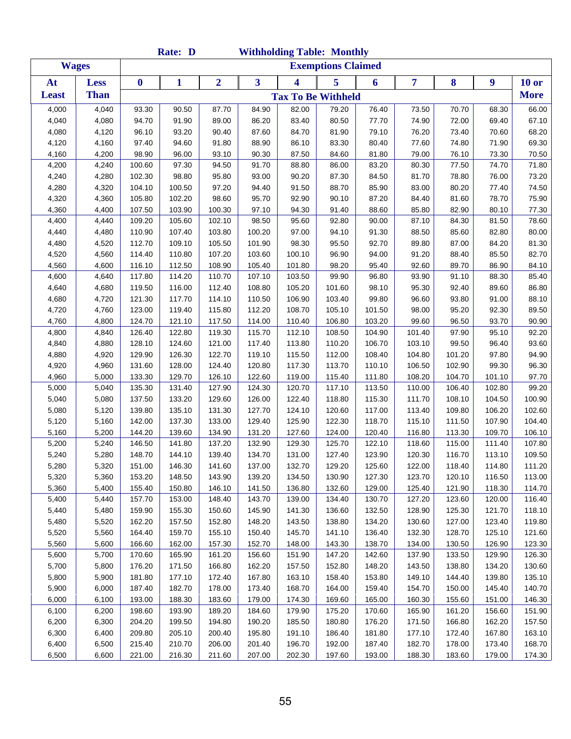|                |                |                  | Rate: D          |                  |                         | <b>Withholding Table: Monthly</b> |                           |                  |                  |                  |                  |                  |
|----------------|----------------|------------------|------------------|------------------|-------------------------|-----------------------------------|---------------------------|------------------|------------------|------------------|------------------|------------------|
| <b>Wages</b>   |                |                  |                  |                  |                         |                                   | <b>Exemptions Claimed</b> |                  |                  |                  |                  |                  |
| At             | <b>Less</b>    | $\boldsymbol{0}$ | $\mathbf{1}$     | $\overline{2}$   | $\overline{\mathbf{3}}$ | 4                                 | 5                         | 6                | 7                | 8                | 9                | $10$ or          |
| <b>Least</b>   | <b>Than</b>    |                  |                  |                  |                         | <b>Tax To Be Withheld</b>         |                           |                  |                  |                  |                  | <b>More</b>      |
| 4,000          | 4,040          | 93.30            | 90.50            | 87.70            | 84.90                   | 82.00                             | 79.20                     | 76.40            | 73.50            | 70.70            | 68.30            | 66.00            |
| 4,040          | 4,080          | 94.70            | 91.90            | 89.00            | 86.20                   | 83.40                             | 80.50                     | 77.70            | 74.90            | 72.00            | 69.40            | 67.10            |
| 4,080          | 4,120          | 96.10            | 93.20            | 90.40            | 87.60                   | 84.70                             | 81.90                     | 79.10            | 76.20            | 73.40            | 70.60            | 68.20            |
| 4,120          | 4,160          | 97.40            | 94.60            | 91.80            | 88.90                   | 86.10                             | 83.30                     | 80.40            | 77.60            | 74.80            | 71.90            | 69.30            |
| 4,160          | 4,200          | 98.90            | 96.00            | 93.10            | 90.30                   | 87.50                             | 84.60                     | 81.80            | 79.00            | 76.10            | 73.30            | 70.50            |
| 4,200          | 4,240          | 100.60           | 97.30            | 94.50            | 91.70                   | 88.80                             | 86.00                     | 83.20            | 80.30            | 77.50            | 74.70            | 71.80            |
| 4,240          | 4,280          | 102.30           | 98.80            | 95.80            | 93.00                   | 90.20                             | 87.30                     | 84.50            | 81.70            | 78.80            | 76.00            | 73.20            |
| 4,280          | 4,320          | 104.10           | 100.50           | 97.20            | 94.40                   | 91.50                             | 88.70                     | 85.90            | 83.00            | 80.20            | 77.40            | 74.50            |
| 4,320          | 4,360          | 105.80           | 102.20           | 98.60            | 95.70                   | 92.90                             | 90.10                     | 87.20            | 84.40            | 81.60            | 78.70            | 75.90            |
| 4,360          | 4,400          | 107.50           | 103.90           | 100.30           | 97.10                   | 94.30                             | 91.40                     | 88.60            | 85.80            | 82.90            | 80.10            | 77.30            |
| 4,400          | 4,440          | 109.20           | 105.60           | 102.10           | 98.50                   | 95.60                             | 92.80                     | 90.00            | 87.10            | 84.30            | 81.50            | 78.60            |
| 4,440          | 4,480          | 110.90           | 107.40           | 103.80           | 100.20                  | 97.00                             | 94.10                     | 91.30            | 88.50            | 85.60            | 82.80            | 80.00            |
| 4,480          | 4,520          | 112.70           | 109.10           | 105.50           | 101.90                  | 98.30                             | 95.50                     | 92.70            | 89.80            | 87.00            | 84.20            | 81.30            |
| 4,520          | 4,560          | 114.40           | 110.80           | 107.20           | 103.60                  | 100.10                            | 96.90                     | 94.00            | 91.20            | 88.40            | 85.50            | 82.70            |
| 4,560          | 4,600          | 116.10           | 112.50           | 108.90           | 105.40                  | 101.80                            | 98.20                     | 95.40            | 92.60            | 89.70            | 86.90            | 84.10            |
| 4,600          | 4,640          | 117.80           | 114.20           | 110.70           | 107.10                  | 103.50                            | 99.90                     | 96.80            | 93.90            | 91.10            | 88.30            | 85.40            |
| 4,640          | 4,680          | 119.50           | 116.00           | 112.40           | 108.80                  | 105.20                            | 101.60                    | 98.10            | 95.30            | 92.40            | 89.60            | 86.80            |
| 4,680          | 4,720          | 121.30           | 117.70           | 114.10           | 110.50                  | 106.90                            | 103.40                    | 99.80            | 96.60            | 93.80            | 91.00            | 88.10            |
| 4,720          | 4,760          | 123.00           | 119.40           | 115.80           | 112.20                  | 108.70                            | 105.10                    | 101.50           | 98.00            | 95.20            | 92.30            | 89.50            |
| 4,760          | 4,800          | 124.70           | 121.10           | 117.50           | 114.00                  | 110.40                            | 106.80                    | 103.20           | 99.60            | 96.50            | 93.70            | 90.90            |
| 4,800          | 4,840          | 126.40<br>128.10 | 122.80           | 119.30           | 115.70                  | 112.10                            | 108.50                    | 104.90<br>106.70 | 101.40           | 97.90            | 95.10            | 92.20            |
| 4,840          | 4,880          |                  | 124.60           | 121.00           | 117.40                  | 113.80                            | 110.20                    |                  | 103.10           | 99.50            | 96.40            | 93.60            |
| 4,880<br>4,920 | 4,920<br>4,960 | 129.90<br>131.60 | 126.30<br>128.00 | 122.70<br>124.40 | 119.10<br>120.80        | 115.50<br>117.30                  | 112.00<br>113.70          | 108.40<br>110.10 | 104.80<br>106.50 | 101.20<br>102.90 | 97.80<br>99.30   | 94.90<br>96.30   |
| 4,960          | 5,000          | 133.30           | 129.70           | 126.10           | 122.60                  | 119.00                            | 115.40                    | 111.80           | 108.20           | 104.70           | 101.10           | 97.70            |
| 5,000          | 5,040          | 135.30           | 131.40           | 127.90           | 124.30                  | 120.70                            | 117.10                    | 113.50           | 110.00           | 106.40           | 102.80           | 99.20            |
| 5,040          | 5,080          | 137.50           | 133.20           | 129.60           | 126.00                  | 122.40                            | 118.80                    | 115.30           | 111.70           | 108.10           | 104.50           | 100.90           |
| 5,080          | 5,120          | 139.80           | 135.10           | 131.30           | 127.70                  | 124.10                            | 120.60                    | 117.00           | 113.40           | 109.80           | 106.20           | 102.60           |
| 5,120          | 5,160          | 142.00           | 137.30           | 133.00           | 129.40                  | 125.90                            | 122.30                    | 118.70           | 115.10           | 111.50           | 107.90           | 104.40           |
| 5,160          | 5,200          | 144.20           | 139.60           | 134.90           | 131.20                  | 127.60                            | 124.00                    | 120.40           | 116.80           | 113.30           | 109.70           | 106.10           |
| 5,200          | 5,240          | 146.50           | 141.80           | 137.20           | 132.90                  | 129.30                            | 125.70                    | 122.10           | 118.60           | 115.00           | 111.40           | 107.80           |
| 5,240          | 5,280          | 148.70           | 144.10           | 139.40           | 134.70                  | 131.00                            | 127.40                    | 123.90           | 120.30           | 116.70           | 113.10           | 109.50           |
| 5,280          | 5,320          | 151.00           | 146.30           | 141.60           | 137.00                  | 132.70                            | 129.20                    | 125.60           | 122.00           | 118.40           | 114.80           | 111.20           |
| 5,320          | 5,360          | 153.20           | 148.50           | 143.90           | 139.20                  | 134.50                            | 130.90                    | 127.30           | 123.70           | 120.10           | 116.50           | 113.00           |
| 5,360          | 5,400          | 155.40           | 150.80           | 146.10           | 141.50                  | 136.80                            | 132.60                    | 129.00           | 125.40           | 121.90           | 118.30           | 114.70           |
| 5,400          | 5,440          | 157.70           | 153.00           | 148.40           | 143.70                  | 139.00                            | 134.40                    | 130.70           | 127.20           | 123.60           | 120.00           | 116.40           |
| 5,440          | 5,480          | 159.90           | 155.30           | 150.60           | 145.90                  | 141.30                            | 136.60                    | 132.50           | 128.90           | 125.30           | 121.70           | 118.10           |
| 5,480          | 5,520          | 162.20           | 157.50           | 152.80           | 148.20                  | 143.50                            | 138.80                    | 134.20           | 130.60           | 127.00           | 123.40           | 119.80           |
| 5,520          | 5,560          | 164.40           | 159.70           | 155.10           | 150.40                  | 145.70                            | 141.10                    | 136.40           | 132.30           | 128.70           | 125.10           | 121.60           |
| 5,560          | 5,600          | 166.60           | 162.00           | 157.30           | 152.70                  | 148.00                            | 143.30                    | 138.70           | 134.00           | 130.50           | 126.90           | 123.30           |
| 5,600          | 5,700          | 170.60           | 165.90           | 161.20           | 156.60                  | 151.90                            | 147.20                    | 142.60           | 137.90           | 133.50           | 129.90           | 126.30           |
| 5,700          | 5,800          | 176.20           | 171.50           | 166.80           | 162.20                  | 157.50                            | 152.80                    | 148.20           | 143.50           | 138.80           | 134.20           | 130.60           |
| 5,800          | 5,900          | 181.80           | 177.10           | 172.40           | 167.80                  | 163.10                            | 158.40                    | 153.80           | 149.10           | 144.40           | 139.80           | 135.10           |
| 5,900          | 6,000          | 187.40           | 182.70           | 178.00           | 173.40                  | 168.70                            | 164.00                    | 159.40           | 154.70           | 150.00           | 145.40           | 140.70           |
| 6,000          | 6,100          | 193.00           | 188.30           | 183.60           | 179.00                  | 174.30                            | 169.60                    | 165.00           | 160.30           | 155.60           | 151.00           | 146.30           |
| 6,100<br>6,200 | 6,200          | 198.60<br>204.20 | 193.90<br>199.50 | 189.20<br>194.80 | 184.60<br>190.20        | 179.90                            | 175.20<br>180.80          | 170.60<br>176.20 | 165.90<br>171.50 | 161.20           | 156.60<br>162.20 | 151.90           |
| 6,300          | 6,300<br>6,400 | 209.80           | 205.10           | 200.40           | 195.80                  | 185.50<br>191.10                  | 186.40                    | 181.80           | 177.10           | 166.80<br>172.40 | 167.80           | 157.50<br>163.10 |
| 6,400          | 6,500          | 215.40           | 210.70           | 206.00           | 201.40                  | 196.70                            | 192.00                    | 187.40           | 182.70           | 178.00           | 173.40           | 168.70           |
| 6,500          | 6,600          | 221.00           | 216.30           | 211.60           | 207.00                  | 202.30                            | 197.60                    | 193.00           | 188.30           | 183.60           | 179.00           | 174.30           |
|                |                |                  |                  |                  |                         |                                   |                           |                  |                  |                  |                  |                  |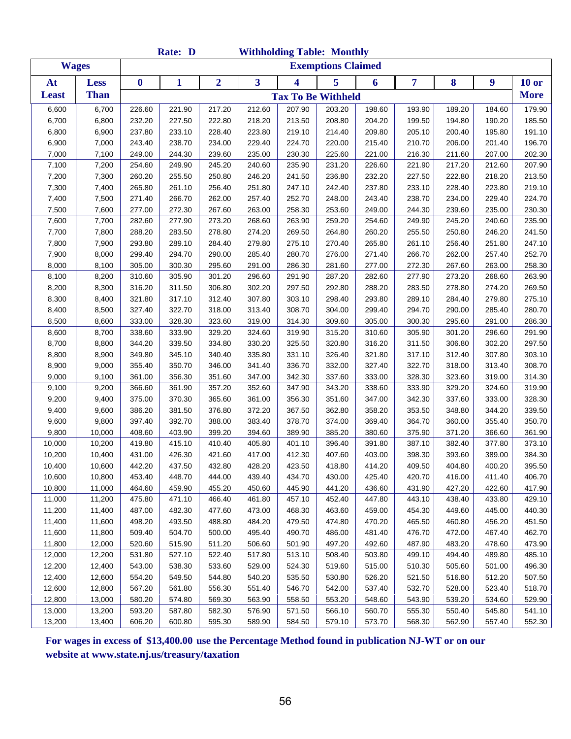|              |              |                  | Rate: D |                |        |        | <b>Withholding Table: Monthly</b> |        |        |        |                  |             |
|--------------|--------------|------------------|---------|----------------|--------|--------|-----------------------------------|--------|--------|--------|------------------|-------------|
|              | <b>Wages</b> |                  |         |                |        |        | <b>Exemptions Claimed</b>         |        |        |        |                  |             |
| At           | <b>Less</b>  | $\boldsymbol{0}$ | 1       | $\overline{2}$ | 3      | 4      | 5                                 | 6      | 7      | 8      | $\boldsymbol{9}$ | $10$ or     |
| <b>Least</b> | <b>Than</b>  |                  |         |                |        |        | <b>Tax To Be Withheld</b>         |        |        |        |                  | <b>More</b> |
| 6,600        | 6,700        | 226.60           | 221.90  | 217.20         | 212.60 | 207.90 | 203.20                            | 198.60 | 193.90 | 189.20 | 184.60           | 179.90      |
| 6,700        | 6,800        | 232.20           | 227.50  | 222.80         | 218.20 | 213.50 | 208.80                            | 204.20 | 199.50 | 194.80 | 190.20           | 185.50      |
| 6,800        | 6,900        | 237.80           | 233.10  | 228.40         | 223.80 | 219.10 | 214.40                            | 209.80 | 205.10 | 200.40 | 195.80           | 191.10      |
| 6,900        | 7,000        | 243.40           | 238.70  | 234.00         | 229.40 | 224.70 | 220.00                            | 215.40 | 210.70 | 206.00 | 201.40           | 196.70      |
| 7,000        | 7,100        | 249.00           | 244.30  | 239.60         | 235.00 | 230.30 | 225.60                            | 221.00 | 216.30 | 211.60 | 207.00           | 202.30      |
| 7,100        | 7,200        | 254.60           | 249.90  | 245.20         | 240.60 | 235.90 | 231.20                            | 226.60 | 221.90 | 217.20 | 212.60           | 207.90      |
| 7,200        | 7,300        | 260.20           | 255.50  | 250.80         | 246.20 | 241.50 | 236.80                            | 232.20 | 227.50 | 222.80 | 218.20           | 213.50      |
| 7,300        | 7,400        | 265.80           | 261.10  | 256.40         | 251.80 | 247.10 | 242.40                            | 237.80 | 233.10 | 228.40 | 223.80           | 219.10      |
| 7,400        | 7,500        | 271.40           | 266.70  | 262.00         | 257.40 | 252.70 | 248.00                            | 243.40 | 238.70 | 234.00 | 229.40           | 224.70      |
| 7,500        | 7,600        | 277.00           | 272.30  | 267.60         | 263.00 | 258.30 | 253.60                            | 249.00 | 244.30 | 239.60 | 235.00           | 230.30      |
| 7,600        | 7,700        | 282.60           | 277.90  | 273.20         | 268.60 | 263.90 | 259.20                            | 254.60 | 249.90 | 245.20 | 240.60           | 235.90      |
| 7,700        | 7,800        | 288.20           | 283.50  | 278.80         | 274.20 | 269.50 | 264.80                            | 260.20 | 255.50 | 250.80 | 246.20           | 241.50      |
| 7,800        | 7,900        | 293.80           | 289.10  | 284.40         | 279.80 | 275.10 | 270.40                            | 265.80 | 261.10 | 256.40 | 251.80           | 247.10      |
| 7,900        | 8,000        | 299.40           | 294.70  | 290.00         | 285.40 | 280.70 | 276.00                            | 271.40 | 266.70 | 262.00 | 257.40           | 252.70      |
| 8,000        | 8,100        | 305.00           | 300.30  | 295.60         | 291.00 | 286.30 | 281.60                            | 277.00 | 272.30 | 267.60 | 263.00           | 258.30      |
| 8,100        | 8,200        | 310.60           | 305.90  | 301.20         | 296.60 | 291.90 | 287.20                            | 282.60 | 277.90 | 273.20 | 268.60           | 263.90      |
| 8,200        | 8,300        | 316.20           | 311.50  | 306.80         | 302.20 | 297.50 | 292.80                            | 288.20 | 283.50 | 278.80 | 274.20           | 269.50      |
| 8,300        | 8,400        | 321.80           | 317.10  | 312.40         | 307.80 | 303.10 | 298.40                            | 293.80 | 289.10 | 284.40 | 279.80           | 275.10      |
| 8,400        | 8,500        | 327.40           | 322.70  | 318.00         | 313.40 | 308.70 | 304.00                            | 299.40 | 294.70 | 290.00 | 285.40           | 280.70      |
| 8,500        | 8,600        | 333.00           | 328.30  | 323.60         | 319.00 | 314.30 | 309.60                            | 305.00 | 300.30 | 295.60 | 291.00           | 286.30      |
| 8,600        | 8,700        | 338.60           | 333.90  | 329.20         | 324.60 | 319.90 | 315.20                            | 310.60 | 305.90 | 301.20 | 296.60           | 291.90      |
| 8,700        | 8,800        | 344.20           | 339.50  | 334.80         | 330.20 | 325.50 | 320.80                            | 316.20 | 311.50 | 306.80 | 302.20           | 297.50      |
| 8,800        | 8,900        | 349.80           | 345.10  | 340.40         | 335.80 | 331.10 | 326.40                            | 321.80 | 317.10 | 312.40 | 307.80           | 303.10      |
| 8,900        | 9,000        | 355.40           | 350.70  | 346.00         | 341.40 | 336.70 | 332.00                            | 327.40 | 322.70 | 318.00 | 313.40           | 308.70      |
| 9,000        | 9,100        | 361.00           | 356.30  | 351.60         | 347.00 | 342.30 | 337.60                            | 333.00 | 328.30 | 323.60 | 319.00           | 314.30      |
| 9,100        | 9,200        | 366.60           | 361.90  | 357.20         | 352.60 | 347.90 | 343.20                            | 338.60 | 333.90 | 329.20 | 324.60           | 319.90      |
| 9,200        | 9,400        | 375.00           | 370.30  | 365.60         | 361.00 | 356.30 | 351.60                            | 347.00 | 342.30 | 337.60 | 333.00           | 328.30      |
| 9,400        | 9,600        | 386.20           | 381.50  | 376.80         | 372.20 | 367.50 | 362.80                            | 358.20 | 353.50 | 348.80 | 344.20           | 339.50      |
| 9,600        | 9,800        | 397.40           | 392.70  | 388.00         | 383.40 | 378.70 | 374.00                            | 369.40 | 364.70 | 360.00 | 355.40           | 350.70      |
| 9,800        | 10,000       | 408.60           | 403.90  | 399.20         | 394.60 | 389.90 | 385.20                            | 380.60 | 375.90 | 371.20 | 366.60           | 361.90      |
| 10,000       | 10,200       | 419.80           | 415.10  | 410.40         | 405.80 | 401.10 | 396.40                            | 391.80 | 387.10 | 382.40 | 377.80           | 373.10      |
| 10,200       | 10,400       | 431.00           | 426.30  | 421.60         | 417.00 | 412.30 | 407.60                            | 403.00 | 398.30 | 393.60 | 389.00           | 384.30      |
| 10,400       | 10,600       | 442.20           | 437.50  | 432.80         | 428.20 | 423.50 | 418.80                            | 414.20 | 409.50 | 404.80 | 400.20           | 395.50      |
| 10,600       | 10,800       | 453.40           | 448.70  | 444.00         | 439.40 | 434.70 | 430.00                            | 425.40 | 420.70 | 416.00 | 411.40           | 406.70      |
| 10,800       | 11,000       | 464.60           | 459.90  | 455.20         | 450.60 | 445.90 | 441.20                            | 436.60 | 431.90 | 427.20 | 422.60           | 417.90      |
| 11,000       | 11,200       | 475.80           | 471.10  | 466.40         | 461.80 | 457.10 | 452.40                            | 447.80 | 443.10 | 438.40 | 433.80           | 429.10      |
| 11,200       | 11,400       | 487.00           | 482.30  | 477.60         | 473.00 | 468.30 | 463.60                            | 459.00 | 454.30 | 449.60 | 445.00           | 440.30      |
| 11,400       | 11,600       | 498.20           | 493.50  | 488.80         | 484.20 | 479.50 | 474.80                            | 470.20 | 465.50 | 460.80 | 456.20           | 451.50      |
| 11,600       | 11,800       | 509.40           | 504.70  | 500.00         | 495.40 | 490.70 | 486.00                            | 481.40 | 476.70 | 472.00 | 467.40           | 462.70      |
| 11,800       | 12,000       | 520.60           | 515.90  | 511.20         | 506.60 | 501.90 | 497.20                            | 492.60 | 487.90 | 483.20 | 478.60           | 473.90      |
| 12,000       | 12,200       | 531.80           | 527.10  | 522.40         | 517.80 | 513.10 | 508.40                            | 503.80 | 499.10 | 494.40 | 489.80           | 485.10      |
| 12,200       | 12,400       | 543.00           | 538.30  | 533.60         | 529.00 | 524.30 | 519.60                            | 515.00 | 510.30 | 505.60 | 501.00           | 496.30      |
| 12,400       | 12,600       | 554.20           | 549.50  | 544.80         | 540.20 | 535.50 | 530.80                            | 526.20 | 521.50 | 516.80 | 512.20           | 507.50      |
| 12,600       | 12,800       | 567.20           | 561.80  | 556.30         | 551.40 | 546.70 | 542.00                            | 537.40 | 532.70 | 528.00 | 523.40           | 518.70      |
| 12,800       | 13,000       | 580.20           | 574.80  | 569.30         | 563.90 | 558.50 | 553.20                            | 548.60 | 543.90 | 539.20 | 534.60           | 529.90      |
| 13,000       | 13,200       | 593.20           | 587.80  | 582.30         | 576.90 | 571.50 | 566.10                            | 560.70 | 555.30 | 550.40 | 545.80           | 541.10      |
| 13,200       | 13,400       | 606.20           | 600.80  | 595.30         | 589.90 | 584.50 | 579.10                            | 573.70 | 568.30 | 562.90 | 557.40           | 552.30      |

**For wages in excess of \$13,400.00 use the Percentage Method found in publication NJ-WT or on our website at www.state.nj.us/treasury/taxation**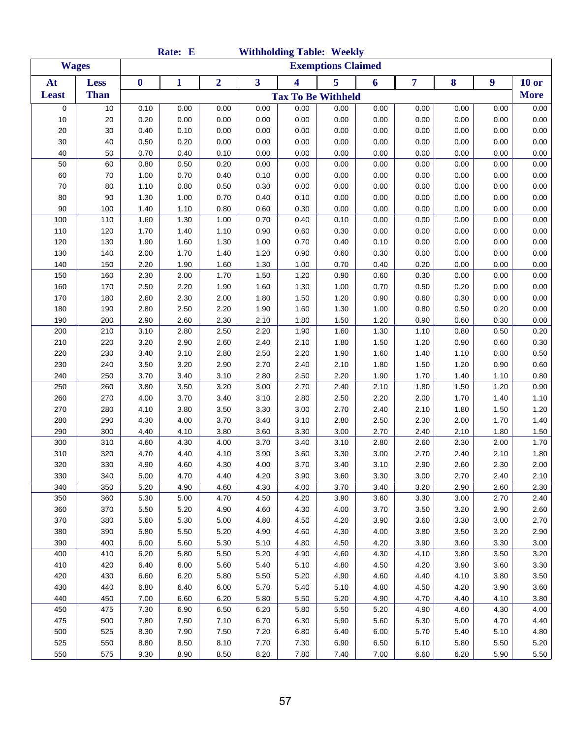|              |              |                  | Rate: E |                |                         |      | <b>Withholding Table: Weekly</b> |      |      |      |      |              |
|--------------|--------------|------------------|---------|----------------|-------------------------|------|----------------------------------|------|------|------|------|--------------|
|              | <b>Wages</b> |                  |         |                |                         |      | <b>Exemptions Claimed</b>        |      |      |      |      |              |
| At           | <b>Less</b>  | $\boldsymbol{0}$ | 1       | $\overline{2}$ | $\overline{\mathbf{3}}$ | 4    | 5                                | 6    | 7    | 8    | 9    | <b>10 or</b> |
| <b>Least</b> | <b>Than</b>  |                  |         |                |                         |      | <b>Tax To Be Withheld</b>        |      |      |      |      | <b>More</b>  |
| 0            | 10           | 0.10             | 0.00    | 0.00           | 0.00                    | 0.00 | 0.00                             | 0.00 | 0.00 | 0.00 | 0.00 | 0.00         |
| 10           | 20           | 0.20             | 0.00    | 0.00           | 0.00                    | 0.00 | 0.00                             | 0.00 | 0.00 | 0.00 | 0.00 | 0.00         |
| 20           | 30           | 0.40             | 0.10    | 0.00           | 0.00                    | 0.00 | 0.00                             | 0.00 | 0.00 | 0.00 | 0.00 | 0.00         |
| 30           | 40           | 0.50             | 0.20    | 0.00           | 0.00                    | 0.00 | 0.00                             | 0.00 | 0.00 | 0.00 | 0.00 | 0.00         |
| 40           | 50           | 0.70             | 0.40    | 0.10           | 0.00                    | 0.00 | 0.00                             | 0.00 | 0.00 | 0.00 | 0.00 | 0.00         |
| 50           | 60           | 0.80             | 0.50    | 0.20           | 0.00                    | 0.00 | 0.00                             | 0.00 | 0.00 | 0.00 | 0.00 | 0.00         |
| 60           | 70           | 1.00             | 0.70    | 0.40           | 0.10                    | 0.00 | 0.00                             | 0.00 | 0.00 | 0.00 | 0.00 | 0.00         |
| 70           | 80           | 1.10             | 0.80    | 0.50           | 0.30                    | 0.00 | 0.00                             | 0.00 | 0.00 | 0.00 | 0.00 | 0.00         |
| 80           | $90\,$       | 1.30             | 1.00    | 0.70           | 0.40                    | 0.10 | 0.00                             | 0.00 | 0.00 | 0.00 | 0.00 | 0.00         |
| 90           | 100          | 1.40             | 1.10    | 0.80           | 0.60                    | 0.30 | 0.00                             | 0.00 | 0.00 | 0.00 | 0.00 | 0.00         |
| 100          | 110          | 1.60             | 1.30    | 1.00           | 0.70                    | 0.40 | 0.10                             | 0.00 | 0.00 | 0.00 | 0.00 | 0.00         |
| 110          | 120          | 1.70             | 1.40    | 1.10           | 0.90                    | 0.60 | 0.30                             | 0.00 | 0.00 | 0.00 | 0.00 | 0.00         |
| 120          | 130          | 1.90             | 1.60    | 1.30           | 1.00                    | 0.70 | 0.40                             | 0.10 | 0.00 | 0.00 | 0.00 | 0.00         |
| 130          | 140          | 2.00             | 1.70    | 1.40           | 1.20                    | 0.90 | 0.60                             | 0.30 | 0.00 | 0.00 | 0.00 | 0.00         |
| 140          | 150          | 2.20             | 1.90    | 1.60           | 1.30                    | 1.00 | 0.70                             | 0.40 | 0.20 | 0.00 | 0.00 | 0.00         |
| 150          | 160          | 2.30             | 2.00    | 1.70           | 1.50                    | 1.20 | 0.90                             | 0.60 | 0.30 | 0.00 | 0.00 | 0.00         |
| 160          | 170          | 2.50             | 2.20    | 1.90           | 1.60                    | 1.30 | 1.00                             | 0.70 | 0.50 | 0.20 | 0.00 | 0.00         |
| 170          | 180          | 2.60             | 2.30    | 2.00           | 1.80                    | 1.50 | 1.20                             | 0.90 | 0.60 | 0.30 | 0.00 | 0.00         |
| 180          | 190          | 2.80             | 2.50    | 2.20           | 1.90                    | 1.60 | 1.30                             | 1.00 | 0.80 | 0.50 | 0.20 | 0.00         |
| 190          | 200          | 2.90             | 2.60    | 2.30           | 2.10                    | 1.80 | 1.50                             | 1.20 | 0.90 | 0.60 | 0.30 | 0.00         |
| 200          | 210          | 3.10             | 2.80    | 2.50           | 2.20                    | 1.90 | 1.60                             | 1.30 | 1.10 | 0.80 | 0.50 | 0.20         |
| 210          | 220          | 3.20             | 2.90    | 2.60           | 2.40                    | 2.10 | 1.80                             | 1.50 | 1.20 | 0.90 | 0.60 | 0.30         |
| 220          | 230          | 3.40             | 3.10    | 2.80           | 2.50                    | 2.20 | 1.90                             | 1.60 | 1.40 | 1.10 | 0.80 | $0.50\,$     |
| 230          | 240          | 3.50             | 3.20    | 2.90           | 2.70                    | 2.40 | 2.10                             | 1.80 | 1.50 | 1.20 | 0.90 | 0.60         |
| 240          | 250          | 3.70             | 3.40    | 3.10           | 2.80                    | 2.50 | 2.20                             | 1.90 | 1.70 | 1.40 | 1.10 | 0.80         |
| 250          | 260          | 3.80             | 3.50    | 3.20           | 3.00                    | 2.70 | 2.40                             | 2.10 | 1.80 | 1.50 | 1.20 | 0.90         |
| 260          | 270          | 4.00             | 3.70    | 3.40           | 3.10                    | 2.80 | 2.50                             | 2.20 | 2.00 | 1.70 | 1.40 | 1.10         |
| 270          | 280          | 4.10             | 3.80    | 3.50           | 3.30                    | 3.00 | 2.70                             | 2.40 | 2.10 | 1.80 | 1.50 | 1.20         |
| 280          | 290          | 4.30             | 4.00    | 3.70           | 3.40                    | 3.10 | 2.80                             | 2.50 | 2.30 | 2.00 | 1.70 | 1.40         |
| 290          | 300          | 4.40             | 4.10    | 3.80           | 3.60                    | 3.30 | 3.00                             | 2.70 | 2.40 | 2.10 | 1.80 | 1.50         |
| 300          | 310          | 4.60             | 4.30    | 4.00           | 3.70                    | 3.40 | 3.10                             | 2.80 | 2.60 | 2.30 | 2.00 | 1.70         |
| 310          | 320          | 4.70             | 4.40    | 4.10           | 3.90                    | 3.60 | 3.30                             | 3.00 | 2.70 | 2.40 | 2.10 | 1.80         |
| 320          | 330          | 4.90             | 4.60    | 4.30           | 4.00                    | 3.70 | 3.40                             | 3.10 | 2.90 | 2.60 | 2.30 | 2.00         |
| 330          | 340          | 5.00             | 4.70    | 4.40           | 4.20                    | 3.90 | 3.60                             | 3.30 | 3.00 | 2.70 | 2.40 | 2.10         |
| 340          | 350          | 5.20             | 4.90    | 4.60           | 4.30                    | 4.00 | 3.70                             | 3.40 | 3.20 | 2.90 | 2.60 | 2.30         |
| 350          | 360          | 5.30             | 5.00    | 4.70           | 4.50                    | 4.20 | 3.90                             | 3.60 | 3.30 | 3.00 | 2.70 | 2.40         |
| 360          | 370          | 5.50             | 5.20    | 4.90           | 4.60                    | 4.30 | 4.00                             | 3.70 | 3.50 | 3.20 | 2.90 | 2.60         |
| 370          | 380          | 5.60             | 5.30    | 5.00           | 4.80                    | 4.50 | 4.20                             | 3.90 | 3.60 | 3.30 | 3.00 | 2.70         |
| 380          | 390          | 5.80             | 5.50    | 5.20           | 4.90                    | 4.60 | 4.30                             | 4.00 | 3.80 | 3.50 | 3.20 | 2.90         |
| 390          | 400          | 6.00             | 5.60    | 5.30           | 5.10                    | 4.80 | 4.50                             | 4.20 | 3.90 | 3.60 | 3.30 | 3.00         |
| 400          | 410          | 6.20             | 5.80    | 5.50           | 5.20                    | 4.90 | 4.60                             | 4.30 | 4.10 | 3.80 | 3.50 | 3.20         |
| 410          | 420          | 6.40             | 6.00    | 5.60           | 5.40                    | 5.10 | 4.80                             | 4.50 | 4.20 | 3.90 | 3.60 | 3.30         |
| 420          | 430          | 6.60             | 6.20    | 5.80           | 5.50                    | 5.20 | 4.90                             | 4.60 | 4.40 | 4.10 | 3.80 | 3.50         |
| 430          | 440          | 6.80             | 6.40    | 6.00           | 5.70                    | 5.40 | 5.10                             | 4.80 | 4.50 | 4.20 | 3.90 | 3.60         |
| 440          | 450          | 7.00             | 6.60    | 6.20           | 5.80                    | 5.50 | 5.20                             | 4.90 | 4.70 | 4.40 | 4.10 | 3.80         |
| 450          | 475          | 7.30             | 6.90    | 6.50           | 6.20                    | 5.80 | 5.50                             | 5.20 | 4.90 | 4.60 | 4.30 | 4.00         |
| 475          | 500          | 7.80             | 7.50    | 7.10           | 6.70                    | 6.30 | 5.90                             | 5.60 | 5.30 | 5.00 | 4.70 | 4.40         |
| 500          | 525          | 8.30             | 7.90    | 7.50           | 7.20                    | 6.80 | 6.40                             | 6.00 | 5.70 | 5.40 | 5.10 | 4.80         |
| 525          | 550          | 8.80             | 8.50    | 8.10           | 7.70                    | 7.30 | 6.90                             | 6.50 | 6.10 | 5.80 | 5.50 | 5.20         |
| 550          | 575          | 9.30             | 8.90    | 8.50           | 8.20                    | 7.80 | 7.40                             | 7.00 | 6.60 | 6.20 | 5.90 | 5.50         |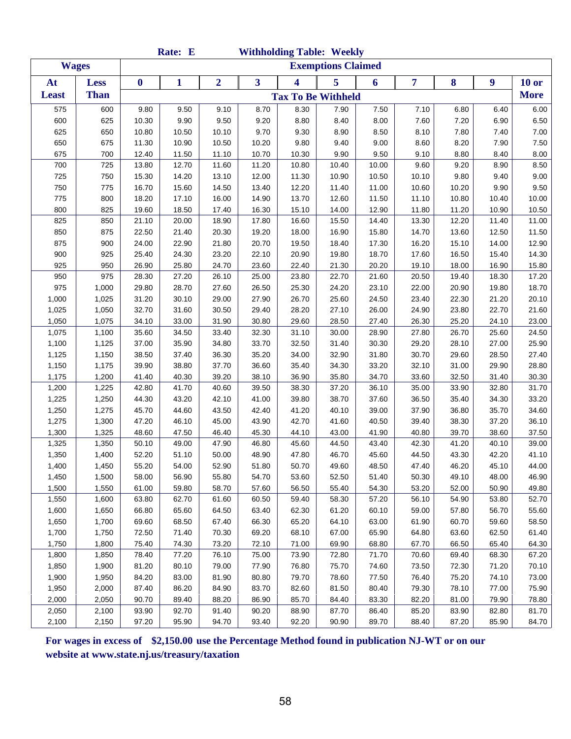|                |                |                  | Rate: E        |                         |                         | <b>Withholding Table: Weekly</b> |                           |                |                |                |                  |                |
|----------------|----------------|------------------|----------------|-------------------------|-------------------------|----------------------------------|---------------------------|----------------|----------------|----------------|------------------|----------------|
| <b>Wages</b>   |                |                  |                |                         |                         |                                  | <b>Exemptions Claimed</b> |                |                |                |                  |                |
| At             | <b>Less</b>    | $\boldsymbol{0}$ | 1              | $\overline{\mathbf{2}}$ | $\overline{\mathbf{3}}$ | 4                                | 5                         | 6              | 7              | 8              | $\boldsymbol{9}$ | <b>10 or</b>   |
| <b>Least</b>   | <b>Than</b>    |                  |                |                         |                         | <b>Tax To Be Withheld</b>        |                           |                |                |                |                  | <b>More</b>    |
| 575            | 600            | 9.80             | 9.50           | 9.10                    | 8.70                    | 8.30                             | 7.90                      | 7.50           | 7.10           | 6.80           | 6.40             | 6.00           |
| 600            | 625            | 10.30            | 9.90           | 9.50                    | 9.20                    | 8.80                             | 8.40                      | 8.00           | 7.60           | 7.20           | 6.90             | 6.50           |
| 625            | 650            | 10.80            | 10.50          | 10.10                   | 9.70                    | 9.30                             | 8.90                      | 8.50           | 8.10           | 7.80           | 7.40             | 7.00           |
| 650            | 675            | 11.30            | 10.90          | 10.50                   | 10.20                   | 9.80                             | 9.40                      | 9.00           | 8.60           | 8.20           | 7.90             | 7.50           |
| 675            | 700            | 12.40            | 11.50          | 11.10                   | 10.70                   | 10.30                            | 9.90                      | 9.50           | 9.10           | 8.80           | 8.40             | 8.00           |
| 700            | 725            | 13.80            | 12.70          | 11.60                   | 11.20                   | 10.80                            | 10.40                     | 10.00          | 9.60           | 9.20           | 8.90             | 8.50           |
| 725            | 750            | 15.30            | 14.20          | 13.10                   | 12.00                   | 11.30                            | 10.90                     | 10.50          | 10.10          | 9.80           | 9.40             | 9.00           |
| 750            | 775            | 16.70            | 15.60          | 14.50                   | 13.40                   | 12.20                            | 11.40                     | 11.00          | 10.60          | 10.20          | 9.90             | 9.50           |
| 775            | 800            | 18.20            | 17.10          | 16.00                   | 14.90                   | 13.70                            | 12.60                     | 11.50          | 11.10          | 10.80          | 10.40            | 10.00          |
| 800            | 825            | 19.60            | 18.50          | 17.40                   | 16.30                   | 15.10                            | 14.00                     | 12.90          | 11.80          | 11.20          | 10.90            | 10.50          |
| 825            | 850            | 21.10            | 20.00          | 18.90                   | 17.80                   | 16.60                            | 15.50                     | 14.40          | 13.30          | 12.20          | 11.40            | 11.00          |
| 850            | 875            | 22.50            | 21.40          | 20.30                   | 19.20                   | 18.00                            | 16.90                     | 15.80          | 14.70          | 13.60          | 12.50            | 11.50          |
| 875            | 900            | 24.00            | 22.90          | 21.80                   | 20.70                   | 19.50                            | 18.40                     | 17.30          | 16.20          | 15.10          | 14.00            | 12.90          |
| 900            | 925            | 25.40            | 24.30          | 23.20                   | 22.10                   | 20.90                            | 19.80                     | 18.70          | 17.60          | 16.50          | 15.40            | 14.30          |
| 925            | 950            | 26.90            | 25.80          | 24.70                   | 23.60                   | 22.40                            | 21.30                     | 20.20          | 19.10          | 18.00          | 16.90            | 15.80          |
| 950            | 975            | 28.30            | 27.20          | 26.10                   | 25.00                   | 23.80                            | 22.70                     | 21.60          | 20.50          | 19.40          | 18.30            | 17.20          |
| 975            | 1,000          | 29.80            | 28.70          | 27.60                   | 26.50                   | 25.30                            | 24.20                     | 23.10          | 22.00          | 20.90          | 19.80            | 18.70          |
| 1,000          | 1,025          | 31.20            | 30.10          | 29.00                   | 27.90                   | 26.70                            | 25.60                     | 24.50          | 23.40          | 22.30          | 21.20            | 20.10          |
| 1,025          | 1,050          | 32.70            | 31.60          | 30.50                   | 29.40                   | 28.20                            | 27.10                     | 26.00          | 24.90          | 23.80          | 22.70            | 21.60          |
| 1,050          | 1,075          | 34.10            | 33.00          | 31.90                   | 30.80                   | 29.60                            | 28.50                     | 27.40          | 26.30          | 25.20          | 24.10            | 23.00          |
| 1,075          | 1,100          | 35.60            | 34.50          | 33.40                   | 32.30                   | 31.10                            | 30.00                     | 28.90          | 27.80          | 26.70          | 25.60            | 24.50          |
| 1,100          | 1,125          | 37.00            | 35.90          | 34.80                   | 33.70                   | 32.50                            | 31.40                     | 30.30          | 29.20          | 28.10          | 27.00            | 25.90          |
| 1,125          | 1,150          | 38.50            | 37.40          | 36.30                   | 35.20                   | 34.00                            | 32.90                     | 31.80          | 30.70          | 29.60          | 28.50            | 27.40          |
| 1,150          | 1,175          | 39.90            | 38.80          | 37.70                   | 36.60                   | 35.40                            | 34.30                     | 33.20          | 32.10          | 31.00          | 29.90            | 28.80          |
| 1,175          | 1,200          | 41.40            | 40.30          | 39.20                   | 38.10                   | 36.90                            | 35.80                     | 34.70          | 33.60          | 32.50          | 31.40            | 30.30          |
| 1,200          | 1,225          | 42.80            | 41.70          | 40.60                   | 39.50                   | 38.30                            | 37.20                     | 36.10          | 35.00          | 33.90          | 32.80            | 31.70          |
| 1,225          | 1,250          | 44.30            | 43.20          | 42.10                   | 41.00                   | 39.80                            | 38.70                     | 37.60          | 36.50          | 35.40          | 34.30            | 33.20          |
| 1,250          | 1,275          | 45.70            | 44.60          | 43.50                   | 42.40                   | 41.20                            | 40.10                     | 39.00          | 37.90          | 36.80          | 35.70            | 34.60          |
| 1,275          | 1,300          | 47.20            | 46.10          | 45.00                   | 43.90                   | 42.70                            | 41.60                     | 40.50          | 39.40          | 38.30          | 37.20            | 36.10          |
| 1,300          | 1,325          | 48.60            | 47.50          | 46.40                   | 45.30                   | 44.10                            | 43.00                     | 41.90          | 40.80          | 39.70          | 38.60            | 37.50          |
| 1,325          | 1,350          | 50.10            | 49.00          | 47.90                   | 46.80                   | 45.60                            | 44.50                     | 43.40          | 42.30          | 41.20          | 40.10            | 39.00          |
| 1,350          | 1,400          | 52.20            | 51.10          | 50.00                   | 48.90                   | 47.80                            | 46.70                     | 45.60          | 44.50          | 43.30          | 42.20            | 41.10          |
| 1,400          | 1,450          | 55.20            | 54.00          | 52.90                   | 51.80                   | 50.70                            | 49.60                     | 48.50          | 47.40          | 46.20          | 45.10            | 44.00          |
| 1,450          | 1,500          | 58.00            | 56.90          | 55.80                   | 54.70                   | 53.60                            | 52.50                     | 51.40          | 50.30          | 49.10          | 48.00            | 46.90          |
| 1,500          | 1,550          | 61.00            | 59.80          | 58.70                   | 57.60                   | 56.50                            | 55.40                     | 54.30          | 53.20          | 52.00          | 50.90            | 49.80          |
| 1,550          | 1,600          | 63.80            | 62.70          | 61.60                   | 60.50                   | 59.40                            | 58.30                     | 57.20          | 56.10          | 54.90          | 53.80            | 52.70          |
| 1,600          | 1,650          | 66.80            | 65.60          | 64.50                   | 63.40                   | 62.30                            | 61.20                     | 60.10          | 59.00          | 57.80          | 56.70            | 55.60          |
| 1,650          | 1,700          | 69.60            | 68.50          | 67.40                   | 66.30                   | 65.20                            | 64.10                     | 63.00          | 61.90          | 60.70          | 59.60            | 58.50          |
| 1,700          | 1,750          | 72.50            | 71.40          | 70.30                   | 69.20                   | 68.10                            | 67.00                     | 65.90          | 64.80          | 63.60          | 62.50            | 61.40          |
| 1,750          | 1,800          | 75.40            | 74.30          | 73.20                   | 72.10                   | 71.00                            | 69.90                     | 68.80          | 67.70          | 66.50          | 65.40            | 64.30          |
| 1,800          | 1,850          | 78.40            | 77.20          | 76.10                   | 75.00                   | 73.90                            | 72.80                     | 71.70          | 70.60          | 69.40          | 68.30            | 67.20          |
| 1,850          | 1,900          | 81.20            | 80.10          | 79.00                   | 77.90                   | 76.80                            | 75.70                     | 74.60          | 73.50          | 72.30          | 71.20            | 70.10          |
| 1,900          | 1,950          | 84.20            | 83.00          | 81.90                   | 80.80                   | 79.70                            | 78.60                     | 77.50          | 76.40          | 75.20          | 74.10            | 73.00          |
| 1,950          | 2,000          | 87.40            | 86.20          | 84.90                   | 83.70                   | 82.60                            | 81.50                     | 80.40          | 79.30          | 78.10          | 77.00            | 75.90          |
| 2,000          | 2,050          | 90.70            | 89.40          | 88.20                   | 86.90                   | 85.70                            | 84.40                     | 83.30          | 82.20          | 81.00          | 79.90            | 78.80          |
| 2,050<br>2,100 | 2,100<br>2,150 | 93.90<br>97.20   | 92.70<br>95.90 | 91.40<br>94.70          | 90.20<br>93.40          | 88.90<br>92.20                   | 87.70<br>90.90            | 86.40<br>89.70 | 85.20<br>88.40 | 83.90<br>87.20 | 82.80<br>85.90   | 81.70<br>84.70 |
|                |                |                  |                |                         |                         |                                  |                           |                |                |                |                  |                |

**For wages in excess of \$2,150.00 use the Percentage Method found in publication NJ-WT or on our website at www.state.nj.us/treasury/taxation**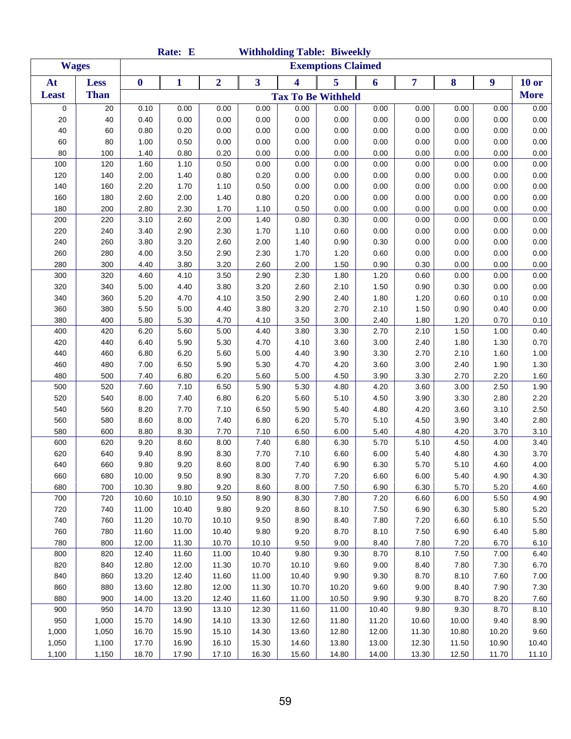|              |              |                  | Rate: E |                |                         |       | <b>Withholding Table: Biweekly</b> |       |       |       |       |              |
|--------------|--------------|------------------|---------|----------------|-------------------------|-------|------------------------------------|-------|-------|-------|-------|--------------|
|              | <b>Wages</b> |                  |         |                |                         |       | <b>Exemptions Claimed</b>          |       |       |       |       |              |
| At           | <b>Less</b>  | $\boldsymbol{0}$ | 1       | $\overline{2}$ | $\overline{\mathbf{3}}$ | 4     | 5                                  | 6     | 7     | 8     | 9     | <b>10 or</b> |
| <b>Least</b> | <b>Than</b>  |                  |         |                |                         |       | <b>Tax To Be Withheld</b>          |       |       |       |       | <b>More</b>  |
| 0            | 20           | 0.10             | 0.00    | 0.00           | 0.00                    | 0.00  | 0.00                               | 0.00  | 0.00  | 0.00  | 0.00  | 0.00         |
| 20           | 40           | 0.40             | 0.00    | 0.00           | 0.00                    | 0.00  | 0.00                               | 0.00  | 0.00  | 0.00  | 0.00  | 0.00         |
| 40           | 60           | 0.80             | 0.20    | 0.00           | 0.00                    | 0.00  | 0.00                               | 0.00  | 0.00  | 0.00  | 0.00  | 0.00         |
| 60           | 80           | 1.00             | 0.50    | 0.00           | 0.00                    | 0.00  | 0.00                               | 0.00  | 0.00  | 0.00  | 0.00  | 0.00         |
| 80           | 100          | 1.40             | 0.80    | 0.20           | 0.00                    | 0.00  | 0.00                               | 0.00  | 0.00  | 0.00  | 0.00  | 0.00         |
| 100          | 120          | 1.60             | 1.10    | 0.50           | 0.00                    | 0.00  | 0.00                               | 0.00  | 0.00  | 0.00  | 0.00  | 0.00         |
| 120          | 140          | 2.00             | 1.40    | 0.80           | 0.20                    | 0.00  | 0.00                               | 0.00  | 0.00  | 0.00  | 0.00  | 0.00         |
| 140          | 160          | 2.20             | 1.70    | 1.10           | 0.50                    | 0.00  | 0.00                               | 0.00  | 0.00  | 0.00  | 0.00  | 0.00         |
| 160          | 180          | 2.60             | 2.00    | 1.40           | 0.80                    | 0.20  | 0.00                               | 0.00  | 0.00  | 0.00  | 0.00  | 0.00         |
| 180          | 200          | 2.80             | 2.30    | 1.70           | 1.10                    | 0.50  | 0.00                               | 0.00  | 0.00  | 0.00  | 0.00  | 0.00         |
| 200          | 220          | 3.10             | 2.60    | 2.00           | 1.40                    | 0.80  | 0.30                               | 0.00  | 0.00  | 0.00  | 0.00  | 0.00         |
| 220          | 240          | 3.40             | 2.90    | 2.30           | 1.70                    | 1.10  | 0.60                               | 0.00  | 0.00  | 0.00  | 0.00  | 0.00         |
| 240          | 260          | 3.80             | 3.20    | 2.60           | 2.00                    | 1.40  | 0.90                               | 0.30  | 0.00  | 0.00  | 0.00  | 0.00         |
| 260          | 280          | 4.00             | 3.50    | 2.90           | 2.30                    | 1.70  | 1.20                               | 0.60  | 0.00  | 0.00  | 0.00  | 0.00         |
| 280          | 300          | 4.40             | 3.80    | 3.20           | 2.60                    | 2.00  | 1.50                               | 0.90  | 0.30  | 0.00  | 0.00  | 0.00         |
| 300          | 320          | 4.60             | 4.10    | 3.50           | 2.90                    | 2.30  | 1.80                               | 1.20  | 0.60  | 0.00  | 0.00  | 0.00         |
| 320          | 340          | 5.00             | 4.40    | 3.80           | 3.20                    | 2.60  | 2.10                               | 1.50  | 0.90  | 0.30  | 0.00  | 0.00         |
| 340          | 360          | 5.20             | 4.70    | 4.10           | 3.50                    | 2.90  | 2.40                               | 1.80  | 1.20  | 0.60  | 0.10  | 0.00         |
| 360          | 380          | 5.50             | 5.00    | 4.40           | 3.80                    | 3.20  | 2.70                               | 2.10  | 1.50  | 0.90  | 0.40  | 0.00         |
| 380          | 400          | 5.80             | 5.30    | 4.70           | 4.10                    | 3.50  | 3.00                               | 2.40  | 1.80  | 1.20  | 0.70  | 0.10         |
| 400          | 420          | 6.20             | 5.60    | 5.00           | 4.40                    | 3.80  | 3.30                               | 2.70  | 2.10  | 1.50  | 1.00  | 0.40         |
| 420          | 440          | 6.40             | 5.90    | 5.30           | 4.70                    | 4.10  | 3.60                               | 3.00  | 2.40  | 1.80  | 1.30  | 0.70         |
| 440          | 460          | 6.80             | 6.20    | 5.60           | 5.00                    | 4.40  | 3.90                               | 3.30  | 2.70  | 2.10  | 1.60  | 1.00         |
| 460          | 480          | 7.00             | 6.50    | 5.90           | 5.30                    | 4.70  | 4.20                               | 3.60  | 3.00  | 2.40  | 1.90  | 1.30         |
| 480          | 500          | 7.40             | 6.80    | 6.20           | 5.60                    | 5.00  | 4.50                               | 3.90  | 3.30  | 2.70  | 2.20  | 1.60         |
| 500          | 520          | 7.60             | 7.10    | 6.50           | 5.90                    | 5.30  | 4.80                               | 4.20  | 3.60  | 3.00  | 2.50  | 1.90         |
| 520          | 540          | 8.00             | 7.40    | 6.80           | 6.20                    | 5.60  | 5.10                               | 4.50  | 3.90  | 3.30  | 2.80  | 2.20         |
| 540          | 560          | 8.20             | 7.70    | 7.10           | 6.50                    | 5.90  | 5.40                               | 4.80  | 4.20  | 3.60  | 3.10  | 2.50         |
| 560          | 580          | 8.60             | 8.00    | 7.40           | 6.80                    | 6.20  | 5.70                               | 5.10  | 4.50  | 3.90  | 3.40  | 2.80         |
| 580          | 600          | 8.80             | 8.30    | 7.70           | 7.10                    | 6.50  | 6.00                               | 5.40  | 4.80  | 4.20  | 3.70  | 3.10         |
| 600          | 620          | 9.20             | 8.60    | 8.00           | 7.40                    | 6.80  | 6.30                               | 5.70  | 5.10  | 4.50  | 4.00  | 3.40         |
| 620          | 640          | 9.40             | 8.90    | 8.30           | 7.70                    | 7.10  | 6.60                               | 6.00  | 5.40  | 4.80  | 4.30  | 3.70         |
| 640          | 660          | 9.80             | 9.20    | 8.60           | 8.00                    | 7.40  | 6.90                               | 6.30  | 5.70  | 5.10  | 4.60  | 4.00         |
| 660          | 680          | 10.00            | 9.50    | 8.90           | 8.30                    | 7.70  | 7.20                               | 6.60  | 6.00  | 5.40  | 4.90  | 4.30         |
| 680          | 700          | 10.30            | 9.80    | 9.20           | 8.60                    | 8.00  | 7.50                               | 6.90  | 6.30  | 5.70  | 5.20  | 4.60         |
| 700          | 720          | 10.60            | 10.10   | 9.50           | 8.90                    | 8.30  | 7.80                               | 7.20  | 6.60  | 6.00  | 5.50  | 4.90         |
| 720          | 740          | 11.00            | 10.40   | 9.80           | 9.20                    | 8.60  | 8.10                               | 7.50  | 6.90  | 6.30  | 5.80  | 5.20         |
| 740          | 760          | 11.20            | 10.70   | 10.10          | 9.50                    | 8.90  | 8.40                               | 7.80  | 7.20  | 6.60  | 6.10  | 5.50         |
| 760          | 780          | 11.60            | 11.00   | 10.40          | 9.80                    | 9.20  | 8.70                               | 8.10  | 7.50  | 6.90  | 6.40  | 5.80         |
| 780          | 800          | 12.00            | 11.30   | 10.70          | 10.10                   | 9.50  | 9.00                               | 8.40  | 7.80  | 7.20  | 6.70  | 6.10         |
| 800          | 820          | 12.40            | 11.60   | 11.00          | 10.40                   | 9.80  | 9.30                               | 8.70  | 8.10  | 7.50  | 7.00  | 6.40         |
| 820          | 840          | 12.80            | 12.00   | 11.30          | 10.70                   | 10.10 | 9.60                               | 9.00  | 8.40  | 7.80  | 7.30  | 6.70         |
| 840          | 860          | 13.20            | 12.40   | 11.60          | 11.00                   | 10.40 | 9.90                               | 9.30  | 8.70  | 8.10  | 7.60  | 7.00         |
| 860          | 880          | 13.60            | 12.80   | 12.00          | 11.30                   | 10.70 | 10.20                              | 9.60  | 9.00  | 8.40  | 7.90  | 7.30         |
| 880          | 900          | 14.00            | 13.20   | 12.40          | 11.60                   | 11.00 | 10.50                              | 9.90  | 9.30  | 8.70  | 8.20  | 7.60         |
| 900          | 950          | 14.70            | 13.90   | 13.10          | 12.30                   | 11.60 | 11.00                              | 10.40 | 9.80  | 9.30  | 8.70  | 8.10         |
| 950          | 1,000        | 15.70            | 14.90   | 14.10          | 13.30                   | 12.60 | 11.80                              | 11.20 | 10.60 | 10.00 | 9.40  | 8.90         |
| 1,000        | 1,050        | 16.70            | 15.90   | 15.10          | 14.30                   | 13.60 | 12.80                              | 12.00 | 11.30 | 10.80 | 10.20 | 9.60         |
| 1,050        | 1,100        | 17.70            | 16.90   | 16.10          | 15.30                   | 14.60 | 13.80                              | 13.00 | 12.30 | 11.50 | 10.90 | 10.40        |
| 1,100        | 1,150        | 18.70            | 17.90   | 17.10          | 16.30                   | 15.60 | 14.80                              | 14.00 | 13.30 | 12.50 | 11.70 | 11.10        |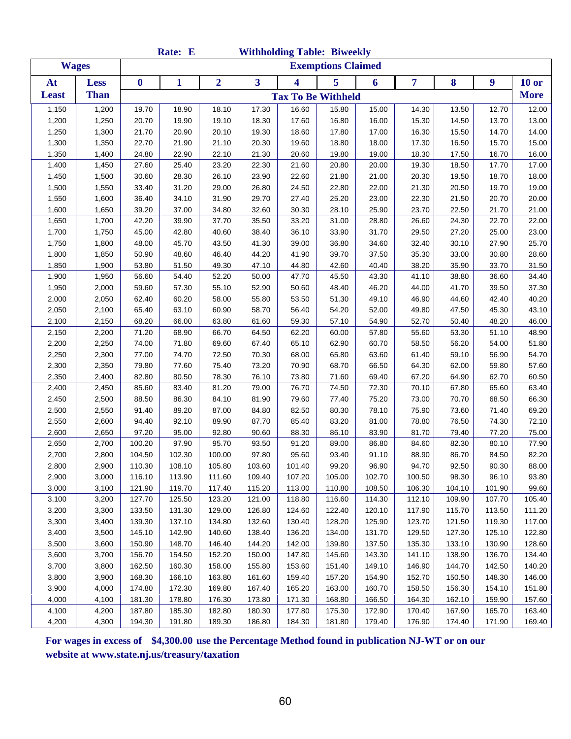|              |              |                  | Rate: E                   |                |        |        | <b>Withholding Table: Biweekly</b> |        |        |        |                  |              |  |  |
|--------------|--------------|------------------|---------------------------|----------------|--------|--------|------------------------------------|--------|--------|--------|------------------|--------------|--|--|
|              | <b>Wages</b> |                  | <b>Exemptions Claimed</b> |                |        |        |                                    |        |        |        |                  |              |  |  |
| At           | <b>Less</b>  | $\boldsymbol{0}$ | 1                         | $\overline{2}$ | 3      | 4      | 5                                  | 6      | 7      | 8      | $\boldsymbol{9}$ | <b>10 or</b> |  |  |
| <b>Least</b> | <b>Than</b>  |                  |                           |                |        |        | <b>Tax To Be Withheld</b>          |        |        |        |                  | <b>More</b>  |  |  |
| 1,150        | 1,200        | 19.70            | 18.90                     | 18.10          | 17.30  | 16.60  | 15.80                              | 15.00  | 14.30  | 13.50  | 12.70            | 12.00        |  |  |
| 1,200        | 1,250        | 20.70            | 19.90                     | 19.10          | 18.30  | 17.60  | 16.80                              | 16.00  | 15.30  | 14.50  | 13.70            | 13.00        |  |  |
| 1,250        | 1,300        | 21.70            | 20.90                     | 20.10          | 19.30  | 18.60  | 17.80                              | 17.00  | 16.30  | 15.50  | 14.70            | 14.00        |  |  |
| 1,300        | 1,350        | 22.70            | 21.90                     | 21.10          | 20.30  | 19.60  | 18.80                              | 18.00  | 17.30  | 16.50  | 15.70            | 15.00        |  |  |
| 1,350        | 1,400        | 24.80            | 22.90                     | 22.10          | 21.30  | 20.60  | 19.80                              | 19.00  | 18.30  | 17.50  | 16.70            | 16.00        |  |  |
| 1,400        | 1,450        | 27.60            | 25.40                     | 23.20          | 22.30  | 21.60  | 20.80                              | 20.00  | 19.30  | 18.50  | 17.70            | 17.00        |  |  |
| 1,450        | 1,500        | 30.60            | 28.30                     | 26.10          | 23.90  | 22.60  | 21.80                              | 21.00  | 20.30  | 19.50  | 18.70            | 18.00        |  |  |
| 1,500        | 1,550        | 33.40            | 31.20                     | 29.00          | 26.80  | 24.50  | 22.80                              | 22.00  | 21.30  | 20.50  | 19.70            | 19.00        |  |  |
| 1,550        | 1,600        | 36.40            | 34.10                     | 31.90          | 29.70  | 27.40  | 25.20                              | 23.00  | 22.30  | 21.50  | 20.70            | 20.00        |  |  |
| 1,600        | 1,650        | 39.20            | 37.00                     | 34.80          | 32.60  | 30.30  | 28.10                              | 25.90  | 23.70  | 22.50  | 21.70            | 21.00        |  |  |
| 1,650        | 1,700        | 42.20            | 39.90                     | 37.70          | 35.50  | 33.20  | 31.00                              | 28.80  | 26.60  | 24.30  | 22.70            | 22.00        |  |  |
| 1,700        | 1,750        | 45.00            | 42.80                     | 40.60          | 38.40  | 36.10  | 33.90                              | 31.70  | 29.50  | 27.20  | 25.00            | 23.00        |  |  |
| 1,750        | 1,800        | 48.00            | 45.70                     | 43.50          | 41.30  | 39.00  | 36.80                              | 34.60  | 32.40  | 30.10  | 27.90            | 25.70        |  |  |
| 1,800        | 1,850        | 50.90            | 48.60                     | 46.40          | 44.20  | 41.90  | 39.70                              | 37.50  | 35.30  | 33.00  | 30.80            | 28.60        |  |  |
| 1,850        | 1,900        | 53.80            | 51.50                     | 49.30          | 47.10  | 44.80  | 42.60                              | 40.40  | 38.20  | 35.90  | 33.70            | 31.50        |  |  |
| 1,900        | 1,950        | 56.60            | 54.40                     | 52.20          | 50.00  | 47.70  | 45.50                              | 43.30  | 41.10  | 38.80  | 36.60            | 34.40        |  |  |
| 1,950        | 2,000        | 59.60            | 57.30                     | 55.10          | 52.90  | 50.60  | 48.40                              | 46.20  | 44.00  | 41.70  | 39.50            | 37.30        |  |  |
| 2,000        | 2,050        | 62.40            | 60.20                     | 58.00          | 55.80  | 53.50  | 51.30                              | 49.10  | 46.90  | 44.60  | 42.40            | 40.20        |  |  |
| 2,050        | 2,100        | 65.40            | 63.10                     | 60.90          | 58.70  | 56.40  | 54.20                              | 52.00  | 49.80  | 47.50  | 45.30            | 43.10        |  |  |
| 2,100        | 2,150        | 68.20            | 66.00                     | 63.80          | 61.60  | 59.30  | 57.10                              | 54.90  | 52.70  | 50.40  | 48.20            | 46.00        |  |  |
| 2,150        | 2,200        | 71.20            | 68.90                     | 66.70          | 64.50  | 62.20  | 60.00                              | 57.80  | 55.60  | 53.30  | 51.10            | 48.90        |  |  |
| 2,200        | 2,250        | 74.00            | 71.80                     | 69.60          | 67.40  | 65.10  | 62.90                              | 60.70  | 58.50  | 56.20  | 54.00            | 51.80        |  |  |
| 2,250        | 2,300        | 77.00            | 74.70                     | 72.50          | 70.30  | 68.00  | 65.80                              | 63.60  | 61.40  | 59.10  | 56.90            | 54.70        |  |  |
| 2,300        | 2,350        | 79.80            | 77.60                     | 75.40          | 73.20  | 70.90  | 68.70                              | 66.50  | 64.30  | 62.00  | 59.80            | 57.60        |  |  |
| 2,350        | 2,400        | 82.80            | 80.50                     | 78.30          | 76.10  | 73.80  | 71.60                              | 69.40  | 67.20  | 64.90  | 62.70            | 60.50        |  |  |
| 2,400        | 2,450        | 85.60            | 83.40                     | 81.20          | 79.00  | 76.70  | 74.50                              | 72.30  | 70.10  | 67.80  | 65.60            | 63.40        |  |  |
| 2,450        | 2,500        | 88.50            | 86.30                     | 84.10          | 81.90  | 79.60  | 77.40                              | 75.20  | 73.00  | 70.70  | 68.50            | 66.30        |  |  |
| 2,500        | 2,550        | 91.40            | 89.20                     | 87.00          | 84.80  | 82.50  | 80.30                              | 78.10  | 75.90  | 73.60  | 71.40            | 69.20        |  |  |
| 2,550        | 2,600        | 94.40            | 92.10                     | 89.90          | 87.70  | 85.40  | 83.20                              | 81.00  | 78.80  | 76.50  | 74.30            | 72.10        |  |  |
| 2,600        | 2,650        | 97.20            | 95.00                     | 92.80          | 90.60  | 88.30  | 86.10                              | 83.90  | 81.70  | 79.40  | 77.20            | 75.00        |  |  |
| 2,650        | 2,700        | 100.20           | 97.90                     | 95.70          | 93.50  | 91.20  | 89.00                              | 86.80  | 84.60  | 82.30  | 80.10            | 77.90        |  |  |
| 2,700        | 2,800        | 104.50           | 102.30                    | 100.00         | 97.80  | 95.60  | 93.40                              | 91.10  | 88.90  | 86.70  | 84.50            | 82.20        |  |  |
| 2,800        | 2,900        | 110.30           | 108.10                    | 105.80         | 103.60 | 101.40 | 99.20                              | 96.90  | 94.70  | 92.50  | 90.30            | 88.00        |  |  |
| 2,900        | 3,000        | 116.10           | 113.90                    | 111.60         | 109.40 | 107.20 | 105.00                             | 102.70 | 100.50 | 98.30  | 96.10            | 93.80        |  |  |
| 3,000        | 3,100        | 121.90           | 119.70                    | 117.40         | 115.20 | 113.00 | 110.80                             | 108.50 | 106.30 | 104.10 | 101.90           | 99.60        |  |  |
| 3,100        | 3,200        | 127.70           | 125.50                    | 123.20         | 121.00 | 118.80 | 116.60                             | 114.30 | 112.10 | 109.90 | 107.70           | 105.40       |  |  |
| 3,200        | 3,300        | 133.50           | 131.30                    | 129.00         | 126.80 | 124.60 | 122.40                             | 120.10 | 117.90 | 115.70 | 113.50           | 111.20       |  |  |
| 3,300        | 3,400        | 139.30           | 137.10                    | 134.80         | 132.60 | 130.40 | 128.20                             | 125.90 | 123.70 | 121.50 | 119.30           | 117.00       |  |  |
| 3,400        | 3,500        | 145.10           | 142.90                    | 140.60         | 138.40 | 136.20 | 134.00                             | 131.70 | 129.50 | 127.30 | 125.10           | 122.80       |  |  |
| 3,500        | 3,600        | 150.90           | 148.70                    | 146.40         | 144.20 | 142.00 | 139.80                             | 137.50 | 135.30 | 133.10 | 130.90           | 128.60       |  |  |
| 3,600        | 3,700        | 156.70           | 154.50                    | 152.20         | 150.00 | 147.80 | 145.60                             | 143.30 | 141.10 | 138.90 | 136.70           | 134.40       |  |  |
| 3,700        | 3,800        | 162.50           | 160.30                    | 158.00         | 155.80 | 153.60 | 151.40                             | 149.10 | 146.90 | 144.70 | 142.50           | 140.20       |  |  |
| 3,800        | 3,900        | 168.30           | 166.10                    | 163.80         | 161.60 | 159.40 | 157.20                             | 154.90 | 152.70 | 150.50 | 148.30           | 146.00       |  |  |
| 3,900        | 4,000        | 174.80           | 172.30                    | 169.80         | 167.40 | 165.20 | 163.00                             | 160.70 | 158.50 | 156.30 | 154.10           | 151.80       |  |  |
| 4,000        | 4,100        | 181.30           | 178.80                    | 176.30         | 173.80 | 171.30 | 168.80                             | 166.50 | 164.30 | 162.10 | 159.90           | 157.60       |  |  |
| 4,100        | 4,200        | 187.80           | 185.30                    | 182.80         | 180.30 | 177.80 | 175.30                             | 172.90 | 170.40 | 167.90 | 165.70           | 163.40       |  |  |
| 4,200        | 4,300        | 194.30           | 191.80                    | 189.30         | 186.80 | 184.30 | 181.80                             | 179.40 | 176.90 | 174.40 | 171.90           | 169.40       |  |  |

**For wages in excess of \$4,300.00 use the Percentage Method found in publication NJ-WT or on our website at www.state.nj.us/treasury/taxation**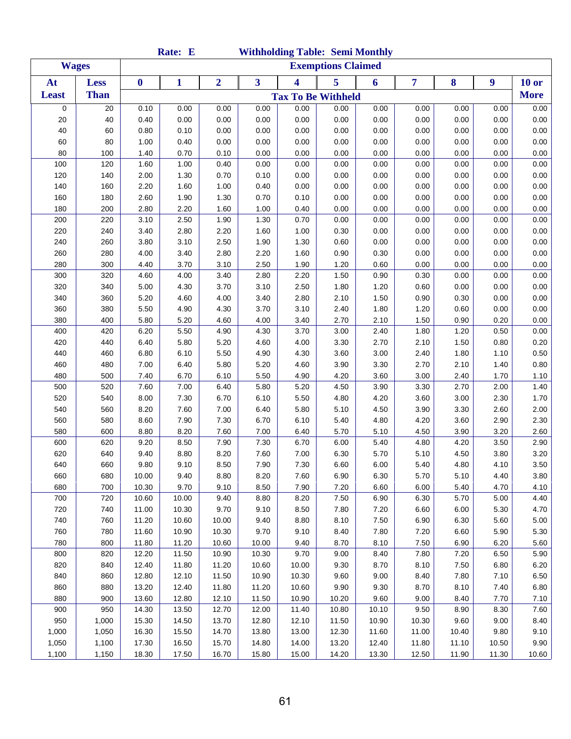| Rate: E<br><b>Withholding Table: Semi Monthly</b> |              |                           |       |                |                         |       |                           |       |       |       |       |              |
|---------------------------------------------------|--------------|---------------------------|-------|----------------|-------------------------|-------|---------------------------|-------|-------|-------|-------|--------------|
|                                                   | <b>Wages</b> | <b>Exemptions Claimed</b> |       |                |                         |       |                           |       |       |       |       |              |
| At                                                | <b>Less</b>  | $\boldsymbol{0}$          | 1     | $\overline{2}$ | $\overline{\mathbf{3}}$ | 4     | 5                         | 6     | 7     | 8     | 9     | <b>10 or</b> |
| <b>Least</b>                                      | <b>Than</b>  |                           |       |                |                         |       | <b>Tax To Be Withheld</b> |       |       |       |       | <b>More</b>  |
| 0                                                 | 20           | 0.10                      | 0.00  | 0.00           | 0.00                    | 0.00  | 0.00                      | 0.00  | 0.00  | 0.00  | 0.00  | 0.00         |
| 20                                                | 40           | 0.40                      | 0.00  | 0.00           | 0.00                    | 0.00  | 0.00                      | 0.00  | 0.00  | 0.00  | 0.00  | 0.00         |
| 40                                                | 60           | 0.80                      | 0.10  | 0.00           | 0.00                    | 0.00  | 0.00                      | 0.00  | 0.00  | 0.00  | 0.00  | 0.00         |
| 60                                                | 80           | 1.00                      | 0.40  | 0.00           | 0.00                    | 0.00  | 0.00                      | 0.00  | 0.00  | 0.00  | 0.00  | 0.00         |
| 80                                                | 100          | 1.40                      | 0.70  | 0.10           | 0.00                    | 0.00  | 0.00                      | 0.00  | 0.00  | 0.00  | 0.00  | 0.00         |
| 100                                               | 120          | 1.60                      | 1.00  | 0.40           | 0.00                    | 0.00  | 0.00                      | 0.00  | 0.00  | 0.00  | 0.00  | 0.00         |
| 120                                               | 140          | 2.00                      | 1.30  | 0.70           | 0.10                    | 0.00  | 0.00                      | 0.00  | 0.00  | 0.00  | 0.00  | 0.00         |
| 140                                               | 160          | 2.20                      | 1.60  | 1.00           | 0.40                    | 0.00  | 0.00                      | 0.00  | 0.00  | 0.00  | 0.00  | 0.00         |
| 160                                               | 180          | 2.60                      | 1.90  | 1.30           | 0.70                    | 0.10  | 0.00                      | 0.00  | 0.00  | 0.00  | 0.00  | 0.00         |
| 180                                               | 200          | 2.80                      | 2.20  | 1.60           | 1.00                    | 0.40  | 0.00                      | 0.00  | 0.00  | 0.00  | 0.00  | 0.00         |
| 200                                               | 220          | 3.10                      | 2.50  | 1.90           | 1.30                    | 0.70  | 0.00                      | 0.00  | 0.00  | 0.00  | 0.00  | 0.00         |
| 220                                               | 240          | 3.40                      | 2.80  | 2.20           | 1.60                    | 1.00  | 0.30                      | 0.00  | 0.00  | 0.00  | 0.00  | 0.00         |
| 240                                               | 260          | 3.80                      | 3.10  | 2.50           | 1.90                    | 1.30  | 0.60                      | 0.00  | 0.00  | 0.00  | 0.00  | 0.00         |
| 260                                               | 280          | 4.00                      | 3.40  | 2.80           | 2.20                    | 1.60  | 0.90                      | 0.30  | 0.00  | 0.00  | 0.00  | 0.00         |
| 280                                               | 300          | 4.40                      | 3.70  | 3.10           | 2.50                    | 1.90  | 1.20                      | 0.60  | 0.00  | 0.00  | 0.00  | 0.00         |
| 300                                               | 320          | 4.60                      | 4.00  | 3.40           | 2.80                    | 2.20  | 1.50                      | 0.90  | 0.30  | 0.00  | 0.00  | 0.00         |
| 320                                               | 340          | 5.00                      | 4.30  | 3.70           | 3.10                    | 2.50  | 1.80                      | 1.20  | 0.60  | 0.00  | 0.00  | 0.00         |
| 340                                               | 360          | 5.20                      | 4.60  | 4.00           | 3.40                    | 2.80  | 2.10                      | 1.50  | 0.90  | 0.30  | 0.00  | 0.00         |
| 360                                               | 380          | 5.50                      | 4.90  | 4.30           | 3.70                    | 3.10  | 2.40                      | 1.80  | 1.20  | 0.60  | 0.00  | 0.00         |
| 380                                               | 400          | 5.80                      | 5.20  | 4.60           | 4.00                    | 3.40  | 2.70                      | 2.10  | 1.50  | 0.90  | 0.20  | 0.00         |
| 400                                               | 420          | 6.20                      | 5.50  | 4.90           | 4.30                    | 3.70  | 3.00                      | 2.40  | 1.80  | 1.20  | 0.50  | 0.00         |
| 420                                               | 440          | 6.40                      | 5.80  | 5.20           | 4.60                    | 4.00  | 3.30                      | 2.70  | 2.10  | 1.50  | 0.80  | 0.20         |
| 440                                               | 460          | 6.80                      | 6.10  | 5.50           | 4.90                    | 4.30  | 3.60                      | 3.00  | 2.40  | 1.80  | 1.10  | 0.50         |
| 460                                               | 480          | 7.00                      | 6.40  | 5.80           | 5.20                    | 4.60  | 3.90                      | 3.30  | 2.70  | 2.10  | 1.40  | 0.80         |
| 480                                               | 500          | 7.40                      | 6.70  | 6.10           | 5.50                    | 4.90  | 4.20                      | 3.60  | 3.00  | 2.40  | 1.70  | 1.10         |
| 500                                               | 520          | 7.60                      | 7.00  | 6.40           | 5.80                    | 5.20  | 4.50                      | 3.90  | 3.30  | 2.70  | 2.00  | 1.40         |
| 520                                               | 540          | 8.00                      | 7.30  | 6.70           | 6.10                    | 5.50  | 4.80                      | 4.20  | 3.60  | 3.00  | 2.30  | 1.70         |
| 540                                               | 560          | 8.20                      | 7.60  | 7.00           | 6.40                    | 5.80  | 5.10                      | 4.50  | 3.90  | 3.30  | 2.60  | 2.00         |
| 560                                               | 580          | 8.60                      | 7.90  | 7.30           | 6.70                    | 6.10  | 5.40                      | 4.80  | 4.20  | 3.60  | 2.90  | 2.30         |
| 580                                               | 600          | 8.80                      | 8.20  | 7.60           | 7.00                    | 6.40  | 5.70                      | 5.10  | 4.50  | 3.90  | 3.20  | 2.60         |
| 600                                               | 620          | 9.20                      | 8.50  | 7.90           | 7.30                    | 6.70  | 6.00                      | 5.40  | 4.80  | 4.20  | 3.50  | 2.90         |
| 620                                               | 640          | 9.40                      | 8.80  | 8.20           | 7.60                    | 7.00  | 6.30                      | 5.70  | 5.10  | 4.50  | 3.80  | 3.20         |
| 640                                               | 660          | 9.80                      | 9.10  | 8.50           | 7.90                    | 7.30  | 6.60                      | 6.00  | 5.40  | 4.80  | 4.10  | 3.50         |
| 660                                               | 680          | 10.00                     | 9.40  | 8.80           | 8.20                    | 7.60  | 6.90                      | 6.30  | 5.70  | 5.10  | 4.40  | 3.80         |
| 680                                               | 700          | 10.30                     | 9.70  | 9.10           | 8.50                    | 7.90  | 7.20                      | 6.60  | 6.00  | 5.40  | 4.70  | 4.10         |
| 700                                               | 720          | 10.60                     | 10.00 | 9.40           | 8.80                    | 8.20  | 7.50                      | 6.90  | 6.30  | 5.70  | 5.00  | 4.40         |
| 720                                               | 740          | 11.00                     | 10.30 | 9.70           | 9.10                    | 8.50  | 7.80                      | 7.20  | 6.60  | 6.00  | 5.30  | 4.70         |
| 740                                               | 760          | 11.20                     | 10.60 | 10.00          | 9.40                    | 8.80  | 8.10                      | 7.50  | 6.90  | 6.30  | 5.60  | 5.00         |
| 760                                               | 780          | 11.60                     | 10.90 | 10.30          | 9.70                    | 9.10  | 8.40                      | 7.80  | 7.20  | 6.60  | 5.90  | 5.30         |
| 780                                               | 800          | 11.80                     | 11.20 | 10.60          | 10.00                   | 9.40  | 8.70                      | 8.10  | 7.50  | 6.90  | 6.20  | 5.60         |
| 800                                               | 820          | 12.20                     | 11.50 | 10.90          | 10.30                   | 9.70  | 9.00                      | 8.40  | 7.80  | 7.20  | 6.50  | 5.90         |
| 820                                               | 840          | 12.40                     | 11.80 | 11.20          | 10.60                   | 10.00 | 9.30                      | 8.70  | 8.10  | 7.50  | 6.80  | 6.20         |
| 840                                               | 860          | 12.80                     | 12.10 | 11.50          | 10.90                   | 10.30 | 9.60                      | 9.00  | 8.40  | 7.80  | 7.10  | 6.50         |
| 860                                               | 880          | 13.20                     | 12.40 | 11.80          | 11.20                   | 10.60 | 9.90                      | 9.30  | 8.70  | 8.10  | 7.40  | 6.80         |
| 880                                               | 900          | 13.60                     | 12.80 | 12.10          | 11.50                   | 10.90 | 10.20                     | 9.60  | 9.00  | 8.40  | 7.70  | 7.10         |
| 900                                               | 950          | 14.30                     | 13.50 | 12.70          | 12.00                   | 11.40 | 10.80                     | 10.10 | 9.50  | 8.90  | 8.30  | 7.60         |
| 950                                               | 1,000        | 15.30                     | 14.50 | 13.70          | 12.80                   | 12.10 | 11.50                     | 10.90 | 10.30 | 9.60  | 9.00  | 8.40         |
| 1,000                                             | 1,050        | 16.30                     | 15.50 | 14.70          | 13.80                   | 13.00 | 12.30                     | 11.60 | 11.00 | 10.40 | 9.80  | 9.10         |
| 1,050                                             | 1,100        | 17.30                     | 16.50 | 15.70          | 14.80                   | 14.00 | 13.20                     | 12.40 | 11.80 | 11.10 | 10.50 | 9.90         |
| 1,100                                             | 1,150        | 18.30                     | 17.50 | 16.70          | 15.80                   | 15.00 | 14.20                     | 13.30 | 12.50 | 11.90 | 11.30 | 10.60        |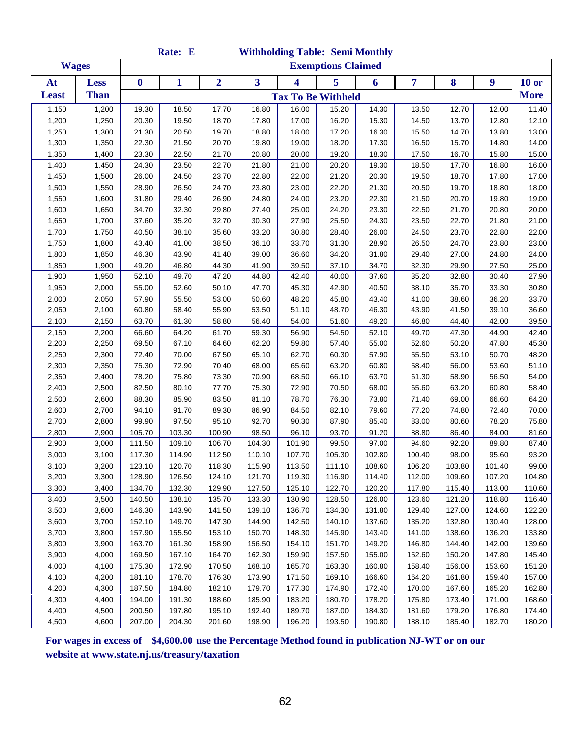|                |                |                           | Rate: E          |                  |                  |                  | <b>Withholding Table: Semi Monthly</b> |                  |                  |                  |                  |                  |  |
|----------------|----------------|---------------------------|------------------|------------------|------------------|------------------|----------------------------------------|------------------|------------------|------------------|------------------|------------------|--|
|                | <b>Wages</b>   | <b>Exemptions Claimed</b> |                  |                  |                  |                  |                                        |                  |                  |                  |                  |                  |  |
| At             | <b>Less</b>    | $\bf{0}$                  | 1                | $\overline{2}$   | 3                | 4                | 5                                      | 6                | 7                | 8                | 9                | $10$ or          |  |
| <b>Least</b>   | <b>Than</b>    |                           |                  |                  |                  |                  | <b>Tax To Be Withheld</b>              |                  |                  |                  |                  | <b>More</b>      |  |
| 1,150          | 1,200          | 19.30                     | 18.50            | 17.70            | 16.80            | 16.00            | 15.20                                  | 14.30            | 13.50            | 12.70            | 12.00            | 11.40            |  |
| 1,200          | 1,250          | 20.30                     | 19.50            | 18.70            | 17.80            | 17.00            | 16.20                                  | 15.30            | 14.50            | 13.70            | 12.80            | 12.10            |  |
| 1,250          | 1,300          | 21.30                     | 20.50            | 19.70            | 18.80            | 18.00            | 17.20                                  | 16.30            | 15.50            | 14.70            | 13.80            | 13.00            |  |
| 1,300          | 1,350          | 22.30                     | 21.50            | 20.70            | 19.80            | 19.00            | 18.20                                  | 17.30            | 16.50            | 15.70            | 14.80            | 14.00            |  |
| 1,350          | 1,400          | 23.30                     | 22.50            | 21.70            | 20.80            | 20.00            | 19.20                                  | 18.30            | 17.50            | 16.70            | 15.80            | 15.00            |  |
| 1,400          | 1,450          | 24.30                     | 23.50            | 22.70            | 21.80            | 21.00            | 20.20                                  | 19.30            | 18.50            | 17.70            | 16.80            | 16.00            |  |
| 1,450          | 1,500          | 26.00                     | 24.50            | 23.70            | 22.80            | 22.00            | 21.20                                  | 20.30            | 19.50            | 18.70            | 17.80            | 17.00            |  |
| 1,500          | 1,550          | 28.90                     | 26.50            | 24.70            | 23.80            | 23.00            | 22.20                                  | 21.30            | 20.50            | 19.70            | 18.80            | 18.00            |  |
| 1,550          | 1,600          | 31.80                     | 29.40            | 26.90            | 24.80            | 24.00            | 23.20                                  | 22.30            | 21.50            | 20.70            | 19.80            | 19.00            |  |
| 1,600          | 1,650          | 34.70                     | 32.30            | 29.80            | 27.40            | 25.00            | 24.20                                  | 23.30            | 22.50            | 21.70            | 20.80            | 20.00            |  |
| 1,650          | 1,700          | 37.60                     | 35.20            | 32.70            | 30.30            | 27.90            | 25.50                                  | 24.30            | 23.50            | 22.70            | 21.80            | 21.00            |  |
| 1,700          | 1,750          | 40.50                     | 38.10            | 35.60            | 33.20            | 30.80            | 28.40                                  | 26.00            | 24.50            | 23.70            | 22.80            | 22.00            |  |
| 1,750          | 1,800          | 43.40                     | 41.00            | 38.50            | 36.10            | 33.70            | 31.30                                  | 28.90            | 26.50            | 24.70            | 23.80            | 23.00            |  |
| 1,800          | 1,850          | 46.30                     | 43.90            | 41.40            | 39.00            | 36.60            | 34.20                                  | 31.80            | 29.40            | 27.00            | 24.80            | 24.00            |  |
| 1,850          | 1,900          | 49.20                     | 46.80            | 44.30            | 41.90            | 39.50            | 37.10                                  | 34.70            | 32.30            | 29.90            | 27.50            | 25.00            |  |
| 1,900          | 1,950          | 52.10                     | 49.70            | 47.20            | 44.80            | 42.40            | 40.00                                  | 37.60            | 35.20            | 32.80            | 30.40            | 27.90            |  |
| 1,950          | 2,000          | 55.00                     | 52.60            | 50.10            | 47.70            | 45.30            | 42.90                                  | 40.50            | 38.10            | 35.70            | 33.30            | 30.80            |  |
| 2,000          | 2,050          | 57.90                     | 55.50            | 53.00            | 50.60            | 48.20            | 45.80                                  | 43.40            | 41.00            | 38.60            | 36.20            | 33.70            |  |
| 2,050          | 2,100          | 60.80                     | 58.40            | 55.90            | 53.50            | 51.10            | 48.70                                  | 46.30            | 43.90            | 41.50            | 39.10            | 36.60            |  |
| 2,100          | 2,150          | 63.70                     | 61.30            | 58.80            | 56.40            | 54.00            | 51.60                                  | 49.20            | 46.80            | 44.40            | 42.00            | 39.50            |  |
| 2,150          | 2,200          | 66.60                     | 64.20            | 61.70            | 59.30            | 56.90            | 54.50                                  | 52.10            | 49.70            | 47.30            | 44.90            | 42.40            |  |
| 2,200          | 2,250          | 69.50                     | 67.10            | 64.60            | 62.20            | 59.80            | 57.40                                  | 55.00            | 52.60            | 50.20            | 47.80            | 45.30            |  |
| 2,250          | 2,300          | 72.40                     | 70.00            | 67.50            | 65.10            | 62.70            | 60.30                                  | 57.90            | 55.50            | 53.10            | 50.70            | 48.20            |  |
| 2,300          | 2,350          | 75.30                     | 72.90            | 70.40            | 68.00            | 65.60            | 63.20                                  | 60.80            | 58.40            | 56.00            | 53.60            | 51.10            |  |
| 2,350          | 2,400          | 78.20                     | 75.80            | 73.30            | 70.90            | 68.50            | 66.10                                  | 63.70            | 61.30            | 58.90            | 56.50            | 54.00            |  |
| 2,400          | 2,500          | 82.50                     | 80.10            | 77.70            | 75.30            | 72.90            | 70.50                                  | 68.00            | 65.60            | 63.20            | 60.80            | 58.40            |  |
| 2,500          | 2,600          | 88.30                     | 85.90            | 83.50            | 81.10            | 78.70            | 76.30                                  | 73.80            | 71.40            | 69.00            | 66.60            | 64.20            |  |
| 2,600          | 2,700          | 94.10                     | 91.70            | 89.30            | 86.90            | 84.50            | 82.10                                  | 79.60            | 77.20            | 74.80            | 72.40            | 70.00            |  |
| 2,700          | 2,800          | 99.90                     | 97.50            | 95.10            | 92.70            | 90.30            | 87.90                                  | 85.40            | 83.00            | 80.60            | 78.20            | 75.80            |  |
| 2,800          | 2,900          | 105.70                    | 103.30           | 100.90           | 98.50            | 96.10            | 93.70                                  | 91.20            | 88.80            | 86.40            | 84.00            | 81.60            |  |
| 2,900          | 3,000          | 111.50                    | 109.10           | 106.70           | 104.30           | 101.90           | 99.50                                  | 97.00            | 94.60            | 92.20            | 89.80            | 87.40            |  |
| 3,000          | 3,100          | 117.30                    | 114.90           | 112.50           | 110.10           | 107.70           | 105.30                                 | 102.80           | 100.40           | 98.00            | 95.60            | 93.20            |  |
| 3,100          | 3,200          | 123.10                    | 120.70           | 118.30           | 115.90           | 113.50           | 111.10                                 | 108.60           | 106.20           | 103.80           | 101.40           | 99.00            |  |
| 3,200          | 3,300          | 128.90                    | 126.50           | 124.10           | 121.70           | 119.30           | 116.90                                 | 114.40           | 112.00           | 109.60           | 107.20           | 104.80           |  |
| 3,300          | 3,400          | 134.70                    | 132.30           | 129.90           | 127.50           | 125.10           | 122.70                                 | 120.20           | 117.80<br>123.60 | 115.40           | 113.00           | 110.60           |  |
| 3,400          | 3,500          | 140.50                    | 138.10           | 135.70           | 133.30           | 130.90           | 128.50                                 | 126.00           | 129.40           | 121.20<br>127.00 | 118.80           | 116.40           |  |
| 3,500          | 3,600          | 146.30                    | 143.90<br>149.70 | 141.50           | 139.10<br>144.90 | 136.70           | 134.30                                 | 131.80<br>137.60 | 135.20           | 132.80           | 124.60<br>130.40 | 122.20           |  |
| 3,600<br>3,700 | 3,700<br>3,800 | 152.10<br>157.90          | 155.50           | 147.30<br>153.10 | 150.70           | 142.50<br>148.30 | 140.10<br>145.90                       | 143.40           | 141.00           | 138.60           | 136.20           | 128.00<br>133.80 |  |
| 3,800          |                |                           |                  | 158.90           |                  |                  |                                        | 149.20           | 146.80           | 144.40           |                  |                  |  |
| 3,900          | 3,900<br>4,000 | 163.70<br>169.50          | 161.30<br>167.10 | 164.70           | 156.50<br>162.30 | 154.10<br>159.90 | 151.70<br>157.50                       | 155.00           | 152.60           | 150.20           | 142.00<br>147.80 | 139.60<br>145.40 |  |
| 4,000          | 4,100          | 175.30                    | 172.90           | 170.50           | 168.10           | 165.70           | 163.30                                 | 160.80           | 158.40           | 156.00           | 153.60           | 151.20           |  |
| 4,100          | 4,200          | 181.10                    | 178.70           | 176.30           | 173.90           | 171.50           | 169.10                                 | 166.60           | 164.20           | 161.80           | 159.40           | 157.00           |  |
| 4,200          | 4,300          | 187.50                    | 184.80           | 182.10           | 179.70           | 177.30           | 174.90                                 | 172.40           | 170.00           | 167.60           | 165.20           | 162.80           |  |
| 4,300          | 4,400          | 194.00                    | 191.30           | 188.60           | 185.90           | 183.20           | 180.70                                 | 178.20           | 175.80           | 173.40           | 171.00           | 168.60           |  |
| 4,400          | 4,500          | 200.50                    | 197.80           | 195.10           | 192.40           | 189.70           | 187.00                                 | 184.30           | 181.60           | 179.20           | 176.80           | 174.40           |  |
| 4,500          | 4,600          | 207.00                    | 204.30           | 201.60           | 198.90           | 196.20           | 193.50                                 | 190.80           | 188.10           | 185.40           | 182.70           | 180.20           |  |

**For wages in excess of \$4,600.00 use the Percentage Method found in publication NJ-WT or on our website at www.state.nj.us/treasury/taxation**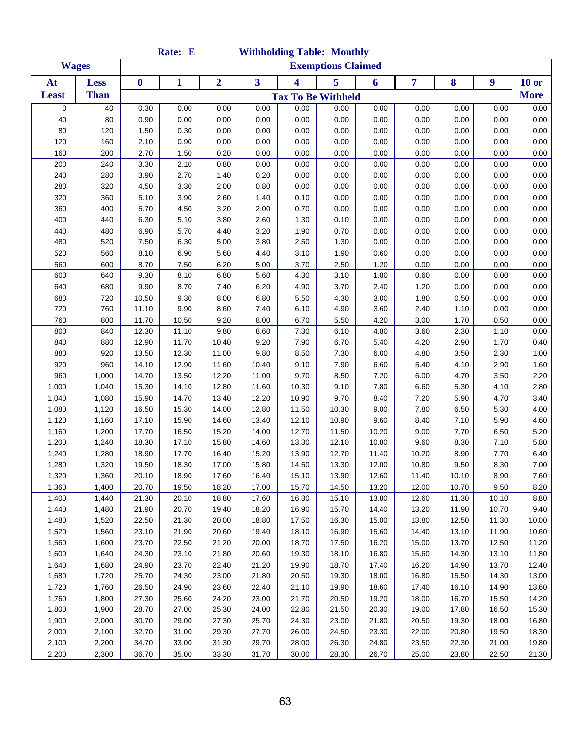| <b>Exemptions Claimed</b><br><b>Wages</b><br>$\overline{2}$<br>3<br>4<br>5<br>8<br>7<br>9<br>At<br><b>Less</b><br>$\boldsymbol{0}$<br>1<br>6<br><b>Least</b><br><b>Than</b><br><b>Tax To Be Withheld</b><br>0.00<br>0<br>40<br>0.30<br>0.00<br>0.00<br>0.00<br>0.00<br>0.00<br>0.00<br>0.00<br>0.00<br>80<br>0.00<br>40<br>0.90<br>0.00<br>0.00<br>0.00<br>0.00<br>0.00<br>0.00<br>0.00<br>0.00<br>80<br>120<br>1.50<br>0.30<br>0.00<br>0.00<br>0.00<br>0.00<br>0.00<br>0.00<br>0.00<br>0.00<br>160<br>2.10<br>0.90<br>0.00<br>0.00<br>0.00<br>0.00<br>0.00<br>0.00<br>0.00<br>120<br>0.00 | $10$ or<br><b>More</b><br>0.00<br>0.00<br>0.00<br>0.00<br>0.00<br>0.00<br>0.00<br>0.00<br>0.00 |
|--------------------------------------------------------------------------------------------------------------------------------------------------------------------------------------------------------------------------------------------------------------------------------------------------------------------------------------------------------------------------------------------------------------------------------------------------------------------------------------------------------------------------------------------------------------------------------------------|------------------------------------------------------------------------------------------------|
|                                                                                                                                                                                                                                                                                                                                                                                                                                                                                                                                                                                            |                                                                                                |
|                                                                                                                                                                                                                                                                                                                                                                                                                                                                                                                                                                                            |                                                                                                |
|                                                                                                                                                                                                                                                                                                                                                                                                                                                                                                                                                                                            |                                                                                                |
|                                                                                                                                                                                                                                                                                                                                                                                                                                                                                                                                                                                            |                                                                                                |
|                                                                                                                                                                                                                                                                                                                                                                                                                                                                                                                                                                                            |                                                                                                |
|                                                                                                                                                                                                                                                                                                                                                                                                                                                                                                                                                                                            |                                                                                                |
|                                                                                                                                                                                                                                                                                                                                                                                                                                                                                                                                                                                            |                                                                                                |
| 160<br>200<br>2.70<br>1.50<br>0.20<br>0.00<br>0.00<br>0.00<br>0.00<br>0.00<br>0.00<br>0.00                                                                                                                                                                                                                                                                                                                                                                                                                                                                                                 |                                                                                                |
| 3.30<br>0.00<br>200<br>240<br>2.10<br>0.80<br>0.00<br>0.00<br>0.00<br>0.00<br>0.00<br>0.00                                                                                                                                                                                                                                                                                                                                                                                                                                                                                                 |                                                                                                |
| 240<br>280<br>3.90<br>2.70<br>1.40<br>0.20<br>0.00<br>0.00<br>0.00<br>0.00<br>0.00<br>0.00                                                                                                                                                                                                                                                                                                                                                                                                                                                                                                 |                                                                                                |
| 280<br>320<br>4.50<br>3.30<br>2.00<br>0.80<br>0.00<br>0.00<br>0.00<br>0.00<br>0.00<br>0.00                                                                                                                                                                                                                                                                                                                                                                                                                                                                                                 |                                                                                                |
| 320<br>360<br>5.10<br>3.90<br>2.60<br>1.40<br>0.10<br>0.00<br>0.00<br>0.00<br>0.00<br>0.00                                                                                                                                                                                                                                                                                                                                                                                                                                                                                                 |                                                                                                |
| 360<br>400<br>5.70<br>3.20<br>0.70<br>0.00<br>0.00<br>0.00<br>0.00<br>0.00<br>4.50<br>2.00                                                                                                                                                                                                                                                                                                                                                                                                                                                                                                 | 0.00                                                                                           |
| 400<br>440<br>5.10<br>3.80<br>2.60<br>0.10<br>0.00<br>0.00<br>0.00<br>0.00<br>6.30<br>1.30                                                                                                                                                                                                                                                                                                                                                                                                                                                                                                 | 0.00                                                                                           |
| 440<br>480<br>6.90<br>5.70<br>4.40<br>3.20<br>1.90<br>0.70<br>0.00<br>0.00<br>0.00<br>0.00                                                                                                                                                                                                                                                                                                                                                                                                                                                                                                 | 0.00                                                                                           |
| 480<br>520<br>7.50<br>6.30<br>5.00<br>3.80<br>2.50<br>0.00<br>0.00<br>0.00<br>0.00<br>1.30                                                                                                                                                                                                                                                                                                                                                                                                                                                                                                 | 0.00                                                                                           |
| 520<br>560<br>8.10<br>6.90<br>5.60<br>4.40<br>3.10<br>0.60<br>0.00<br>0.00<br>0.00<br>1.90                                                                                                                                                                                                                                                                                                                                                                                                                                                                                                 | 0.00                                                                                           |
| 560<br>600<br>8.70<br>7.50<br>6.20<br>5.00<br>3.70<br>2.50<br>1.20<br>0.00<br>0.00<br>0.00                                                                                                                                                                                                                                                                                                                                                                                                                                                                                                 | 0.00                                                                                           |
| 600<br>640<br>9.30<br>8.10<br>6.80<br>5.60<br>4.30<br>3.10<br>1.80<br>0.60<br>0.00<br>0.00                                                                                                                                                                                                                                                                                                                                                                                                                                                                                                 | 0.00                                                                                           |
| 4.90<br>640<br>680<br>9.90<br>8.70<br>7.40<br>6.20<br>3.70<br>2.40<br>1.20<br>0.00<br>0.00                                                                                                                                                                                                                                                                                                                                                                                                                                                                                                 | 0.00                                                                                           |
| 5.50<br>680<br>720<br>10.50<br>9.30<br>8.00<br>6.80<br>4.30<br>3.00<br>1.80<br>0.50<br>0.00                                                                                                                                                                                                                                                                                                                                                                                                                                                                                                | 0.00                                                                                           |
| 720<br>760<br>9.90<br>6.10<br>11.10<br>8.60<br>7.40<br>4.90<br>3.60<br>2.40<br>1.10<br>0.00                                                                                                                                                                                                                                                                                                                                                                                                                                                                                                | 0.00                                                                                           |
| 760<br>800<br>10.50<br>9.20<br>8.00<br>6.70<br>5.50<br>4.20<br>3.00<br>1.70<br>0.50<br>11.70                                                                                                                                                                                                                                                                                                                                                                                                                                                                                               | 0.00                                                                                           |
| 800<br>840<br>12.30<br>11.10<br>9.80<br>8.60<br>7.30<br>6.10<br>4.80<br>3.60<br>2.30<br>1.10                                                                                                                                                                                                                                                                                                                                                                                                                                                                                               | 0.00                                                                                           |
| 840<br>880<br>12.90<br>11.70<br>10.40<br>9.20<br>7.90<br>6.70<br>5.40<br>4.20<br>2.90<br>1.70                                                                                                                                                                                                                                                                                                                                                                                                                                                                                              | 0.40                                                                                           |
| 880<br>920<br>13.50<br>12.30<br>11.00<br>9.80<br>8.50<br>7.30<br>6.00<br>4.80<br>3.50<br>2.30                                                                                                                                                                                                                                                                                                                                                                                                                                                                                              | 1.00                                                                                           |
| 960<br>9.10<br>920<br>14.10<br>12.90<br>11.60<br>10.40<br>7.90<br>6.60<br>5.40<br>4.10<br>2.90                                                                                                                                                                                                                                                                                                                                                                                                                                                                                             | 1.60                                                                                           |
| 960<br>1,000<br>14.70<br>13.50<br>12.20<br>11.00<br>9.70<br>8.50<br>7.20<br>6.00<br>4.70<br>3.50                                                                                                                                                                                                                                                                                                                                                                                                                                                                                           | 2.20                                                                                           |
| 5.30<br>1,000<br>1,040<br>15.30<br>14.10<br>12.80<br>11.60<br>10.30<br>9.10<br>7.80<br>6.60<br>4.10                                                                                                                                                                                                                                                                                                                                                                                                                                                                                        | 2.80                                                                                           |
| 1,040<br>1,080<br>15.90<br>14.70<br>13.40<br>12.20<br>10.90<br>9.70<br>8.40<br>7.20<br>5.90<br>4.70                                                                                                                                                                                                                                                                                                                                                                                                                                                                                        | 3.40                                                                                           |
| 1,080<br>1,120<br>16.50<br>15.30<br>14.00<br>12.80<br>11.50<br>10.30<br>9.00<br>7.80<br>6.50<br>5.30                                                                                                                                                                                                                                                                                                                                                                                                                                                                                       | 4.00                                                                                           |
| 5.90<br>1,120<br>1,160<br>17.10<br>15.90<br>14.60<br>13.40<br>12.10<br>10.90<br>9.60<br>8.40<br>7.10                                                                                                                                                                                                                                                                                                                                                                                                                                                                                       | 4.60                                                                                           |
| 1,200<br>17.70<br>16.50<br>15.20<br>14.00<br>12.70<br>10.20<br>9.00<br>6.50<br>1,160<br>11.50<br>7.70                                                                                                                                                                                                                                                                                                                                                                                                                                                                                      | 5.20                                                                                           |
| 1,240<br>18.30<br>17.10<br>15.80<br>14.60<br>13.30<br>12.10<br>9.60<br>8.30<br>7.10<br>1,200<br>10.80                                                                                                                                                                                                                                                                                                                                                                                                                                                                                      | 5.80                                                                                           |
| 17.70<br>15.20<br>13.90<br>7.70<br>1,240<br>1,280<br>18.90<br>16.40<br>12.70<br>11.40<br>10.20<br>8.90                                                                                                                                                                                                                                                                                                                                                                                                                                                                                     | 6.40                                                                                           |
| 9.50<br>8.30<br>1,280<br>1,320<br>19.50<br>18.30<br>17.00<br>15.80<br>14.50<br>13.30<br>12.00<br>10.80                                                                                                                                                                                                                                                                                                                                                                                                                                                                                     | 7.00                                                                                           |
| 20.10<br>18.90<br>12.60<br>11.40<br>8.90<br>1,320<br>1,360<br>17.60<br>16.40<br>15.10<br>13.90<br>10.10                                                                                                                                                                                                                                                                                                                                                                                                                                                                                    | 7.60                                                                                           |
| 20.70<br>15.70<br>13.20<br>1,360<br>1,400<br>19.50<br>18.20<br>17.00<br>14.50<br>12.00<br>10.70<br>9.50                                                                                                                                                                                                                                                                                                                                                                                                                                                                                    | 8.20                                                                                           |
| 1,400<br>1,440<br>21.30<br>20.10<br>18.80<br>17.60<br>16.30<br>15.10<br>13.80<br>12.60<br>11.30<br>10.10                                                                                                                                                                                                                                                                                                                                                                                                                                                                                   | 8.80                                                                                           |
| 20.70<br>18.20<br>16.90<br>13.20<br>1,440<br>1,480<br>21.90<br>19.40<br>15.70<br>14.40<br>11.90<br>10.70                                                                                                                                                                                                                                                                                                                                                                                                                                                                                   | 9.40                                                                                           |
| 1,520<br>18.80<br>17.50<br>13.80<br>11.30<br>1,480<br>22.50<br>21.30<br>20.00<br>16.30<br>15.00<br>12.50                                                                                                                                                                                                                                                                                                                                                                                                                                                                                   | 10.00                                                                                          |
| 21.90<br>19.40<br>18.10<br>11.90<br>1,520<br>1,560<br>23.10<br>20.60<br>16.90<br>15.60<br>14.40<br>13.10                                                                                                                                                                                                                                                                                                                                                                                                                                                                                   | 10.60                                                                                          |
| 1,560<br>1,600<br>23.70<br>22.50<br>21.20<br>20.00<br>18.70<br>17.50<br>16.20<br>15.00<br>12.50<br>13.70                                                                                                                                                                                                                                                                                                                                                                                                                                                                                   | 11.20                                                                                          |
| 1,600<br>1,640<br>24.30<br>23.10<br>21.80<br>20.60<br>19.30<br>18.10<br>16.80<br>15.60<br>14.30<br>13.10                                                                                                                                                                                                                                                                                                                                                                                                                                                                                   | 11.80                                                                                          |
| 1,640<br>1,680<br>23.70<br>21.20<br>19.90<br>17.40<br>16.20<br>13.70<br>24.90<br>22.40<br>18.70<br>14.90                                                                                                                                                                                                                                                                                                                                                                                                                                                                                   | 12.40                                                                                          |
| 21.80<br>20.50<br>16.80<br>1,680<br>1,720<br>25.70<br>24.30<br>23.00<br>19.30<br>18.00<br>15.50<br>14.30                                                                                                                                                                                                                                                                                                                                                                                                                                                                                   | 13.00                                                                                          |
| 26.50<br>24.90<br>23.60<br>22.40<br>21.10<br>17.40<br>14.90<br>1,720<br>1,760<br>19.90<br>18.60<br>16.10                                                                                                                                                                                                                                                                                                                                                                                                                                                                                   | 13.60                                                                                          |
| 27.30<br>24.20<br>23.00<br>21.70<br>19.20<br>1,760<br>1,800<br>25.60<br>20.50<br>18.00<br>16.70<br>15.50                                                                                                                                                                                                                                                                                                                                                                                                                                                                                   | 14.20                                                                                          |
| 1,900<br>22.80<br>1,800<br>28.70<br>27.00<br>25.30<br>24.00<br>21.50<br>20.30<br>19.00<br>17.80<br>16.50                                                                                                                                                                                                                                                                                                                                                                                                                                                                                   | 15.30                                                                                          |
| 1,900<br>30.70<br>27.30<br>25.70<br>24.30<br>21.80<br>19.30<br>2,000<br>29.00<br>23.00<br>20.50<br>18.00                                                                                                                                                                                                                                                                                                                                                                                                                                                                                   | 16.80                                                                                          |
| 27.70<br>2,000<br>2,100<br>32.70<br>31.00<br>29.30<br>26.00<br>24.50<br>23.30<br>22.00<br>20.80<br>19.50                                                                                                                                                                                                                                                                                                                                                                                                                                                                                   | 18.30                                                                                          |
| 2,100<br>34.70<br>31.30<br>29.70<br>28.00<br>26.30<br>24.80<br>23.50<br>22.30<br>21.00<br>2,200<br>33.00                                                                                                                                                                                                                                                                                                                                                                                                                                                                                   | 19.80                                                                                          |
| 2,300<br>36.70<br>35.00<br>33.30<br>31.70<br>30.00<br>28.30<br>26.70<br>25.00<br>23.80<br>22.50<br>2,200                                                                                                                                                                                                                                                                                                                                                                                                                                                                                   | 21.30                                                                                          |